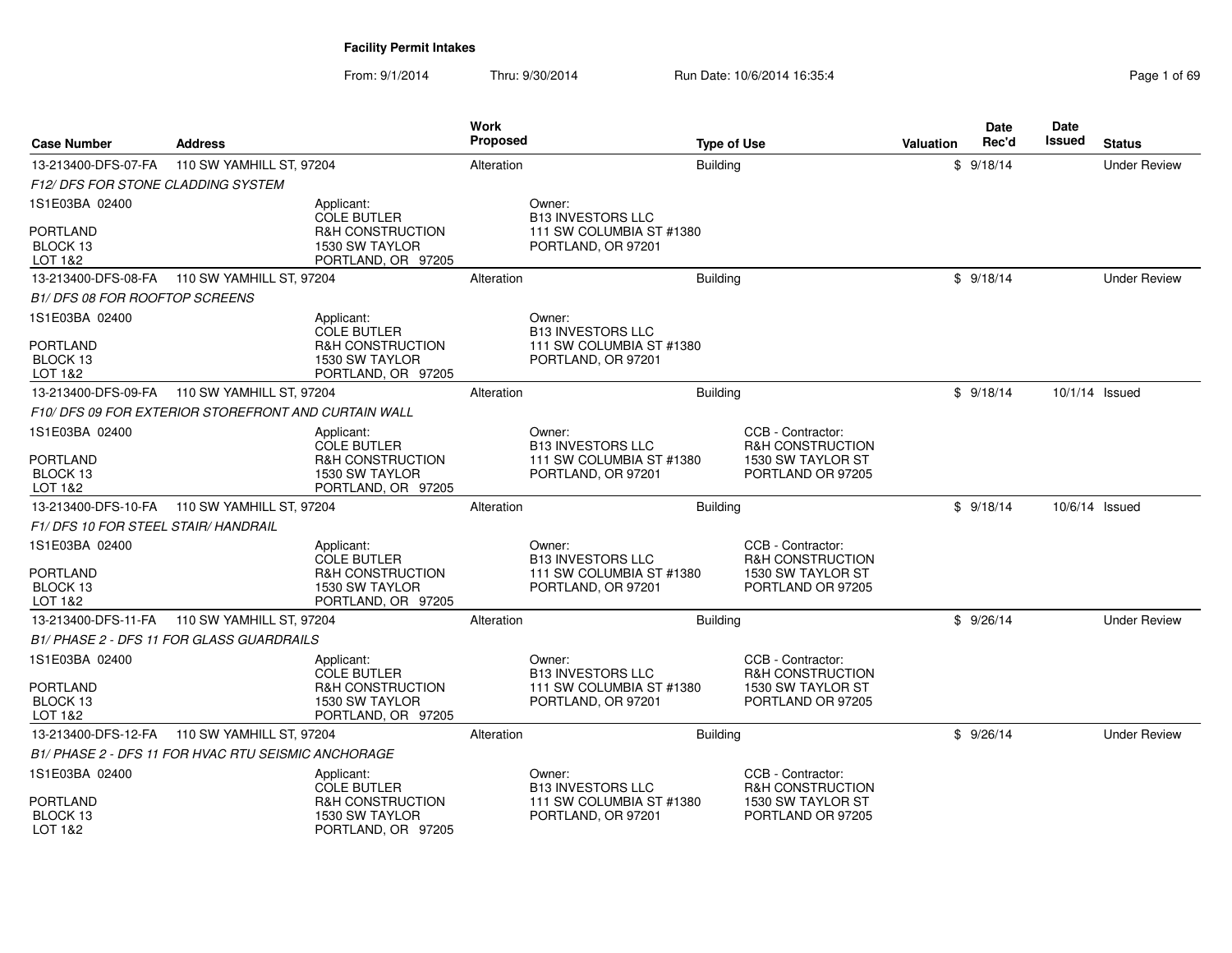| <b>Case Number</b>                   | <b>Work</b><br>Proposed<br><b>Address</b><br><b>Type of Use</b> |                                      |            |                                    | Valuation       | <b>Date</b><br>Rec'd                             | Date<br>Issued | <b>Status</b> |  |                     |
|--------------------------------------|-----------------------------------------------------------------|--------------------------------------|------------|------------------------------------|-----------------|--------------------------------------------------|----------------|---------------|--|---------------------|
| 13-213400-DFS-07-FA                  | 110 SW YAMHILL ST, 97204                                        |                                      | Alteration |                                    | <b>Building</b> |                                                  |                | \$9/18/14     |  | <b>Under Review</b> |
| F12/DFS FOR STONE CLADDING SYSTEM    |                                                                 |                                      |            |                                    |                 |                                                  |                |               |  |                     |
| 1S1E03BA 02400                       |                                                                 | Applicant:<br><b>COLE BUTLER</b>     |            | Owner:<br><b>B13 INVESTORS LLC</b> |                 |                                                  |                |               |  |                     |
| <b>PORTLAND</b>                      |                                                                 | <b>R&amp;H CONSTRUCTION</b>          |            | 111 SW COLUMBIA ST #1380           |                 |                                                  |                |               |  |                     |
| BLOCK 13                             |                                                                 | 1530 SW TAYLOR                       |            | PORTLAND, OR 97201                 |                 |                                                  |                |               |  |                     |
| LOT 1&2                              | 110 SW YAMHILL ST, 97204                                        | PORTLAND, OR 97205                   |            |                                    |                 |                                                  |                |               |  |                     |
| 13-213400-DFS-08-FA                  |                                                                 |                                      | Alteration |                                    | <b>Building</b> |                                                  |                | \$9/18/14     |  | <b>Under Review</b> |
| <b>B1/DFS 08 FOR ROOFTOP SCREENS</b> |                                                                 |                                      |            |                                    |                 |                                                  |                |               |  |                     |
| 1S1E03BA 02400                       |                                                                 | Applicant:<br><b>COLE BUTLER</b>     |            | Owner:<br><b>B13 INVESTORS LLC</b> |                 |                                                  |                |               |  |                     |
| <b>PORTLAND</b>                      |                                                                 | <b>R&amp;H CONSTRUCTION</b>          |            | 111 SW COLUMBIA ST #1380           |                 |                                                  |                |               |  |                     |
| BLOCK 13                             |                                                                 | 1530 SW TAYLOR                       |            | PORTLAND, OR 97201                 |                 |                                                  |                |               |  |                     |
| LOT 1&2                              |                                                                 | PORTLAND, OR 97205                   |            |                                    |                 |                                                  |                |               |  |                     |
| 13-213400-DFS-09-FA                  | 110 SW YAMHILL ST, 97204                                        |                                      | Alteration |                                    | <b>Building</b> |                                                  |                | \$9/18/14     |  | 10/1/14 Issued      |
|                                      | F10/ DFS 09 FOR EXTERIOR STOREFRONT AND CURTAIN WALL            |                                      |            |                                    |                 |                                                  |                |               |  |                     |
| 1S1E03BA 02400                       |                                                                 | Applicant:<br><b>COLE BUTLER</b>     |            | Owner:<br><b>B13 INVESTORS LLC</b> |                 | CCB - Contractor:<br><b>R&amp;H CONSTRUCTION</b> |                |               |  |                     |
| <b>PORTLAND</b>                      |                                                                 | R&H CONSTRUCTION                     |            | 111 SW COLUMBIA ST #1380           |                 | 1530 SW TAYLOR ST                                |                |               |  |                     |
| BLOCK 13                             |                                                                 | 1530 SW TAYLOR                       |            | PORTLAND, OR 97201                 |                 | PORTLAND OR 97205                                |                |               |  |                     |
| LOT 1&2                              |                                                                 | PORTLAND, OR 97205                   |            |                                    |                 |                                                  |                |               |  |                     |
| 13-213400-DFS-10-FA                  | 110 SW YAMHILL ST, 97204                                        |                                      | Alteration |                                    | <b>Building</b> |                                                  |                | \$9/18/14     |  | 10/6/14 Issued      |
| F1/DFS 10 FOR STEEL STAIR/HANDRAIL   |                                                                 |                                      |            |                                    |                 |                                                  |                |               |  |                     |
| 1S1E03BA 02400                       |                                                                 | Applicant:<br><b>COLE BUTLER</b>     |            | Owner:<br><b>B13 INVESTORS LLC</b> |                 | CCB - Contractor:<br><b>R&amp;H CONSTRUCTION</b> |                |               |  |                     |
| <b>PORTLAND</b>                      |                                                                 | <b>R&amp;H CONSTRUCTION</b>          |            | 111 SW COLUMBIA ST #1380           |                 | 1530 SW TAYLOR ST                                |                |               |  |                     |
| BLOCK 13                             |                                                                 | 1530 SW TAYLOR                       |            | PORTLAND, OR 97201                 |                 | PORTLAND OR 97205                                |                |               |  |                     |
| LOT 1&2                              |                                                                 | PORTLAND, OR 97205                   |            |                                    |                 |                                                  |                |               |  |                     |
| 13-213400-DFS-11-FA                  | 110 SW YAMHILL ST, 97204                                        |                                      | Alteration |                                    | <b>Building</b> |                                                  |                | \$9/26/14     |  | <b>Under Review</b> |
|                                      | B1/ PHASE 2 - DFS 11 FOR GLASS GUARDRAILS                       |                                      |            |                                    |                 |                                                  |                |               |  |                     |
| 1S1E03BA 02400                       |                                                                 | Applicant:<br><b>COLE BUTLER</b>     |            | Owner:<br><b>B13 INVESTORS LLC</b> |                 | CCB - Contractor:<br><b>R&amp;H CONSTRUCTION</b> |                |               |  |                     |
| <b>PORTLAND</b>                      |                                                                 | <b>R&amp;H CONSTRUCTION</b>          |            | 111 SW COLUMBIA ST #1380           |                 | 1530 SW TAYLOR ST                                |                |               |  |                     |
| BLOCK 13<br>LOT 1&2                  |                                                                 | 1530 SW TAYLOR                       |            | PORTLAND, OR 97201                 |                 | PORTLAND OR 97205                                |                |               |  |                     |
|                                      |                                                                 | PORTLAND, OR 97205                   | Alteration |                                    |                 |                                                  |                |               |  | <b>Under Review</b> |
|                                      | 13-213400-DFS-12-FA 110 SW YAMHILL ST, 97204                    |                                      |            |                                    | <b>Building</b> |                                                  |                | \$9/26/14     |  |                     |
|                                      | B1/ PHASE 2 - DFS 11 FOR HVAC RTU SEISMIC ANCHORAGE             |                                      |            |                                    |                 |                                                  |                |               |  |                     |
| 1S1E03BA 02400                       |                                                                 | Applicant:<br><b>COLE BUTLER</b>     |            | Owner:<br><b>B13 INVESTORS LLC</b> |                 | CCB - Contractor:<br><b>R&amp;H CONSTRUCTION</b> |                |               |  |                     |
| <b>PORTLAND</b>                      |                                                                 | R&H CONSTRUCTION                     |            | 111 SW COLUMBIA ST #1380           |                 | 1530 SW TAYLOR ST                                |                |               |  |                     |
| BLOCK 13<br>LOT 1&2                  |                                                                 | 1530 SW TAYLOR<br>PORTLAND, OR 97205 |            | PORTLAND, OR 97201                 |                 | PORTLAND OR 97205                                |                |               |  |                     |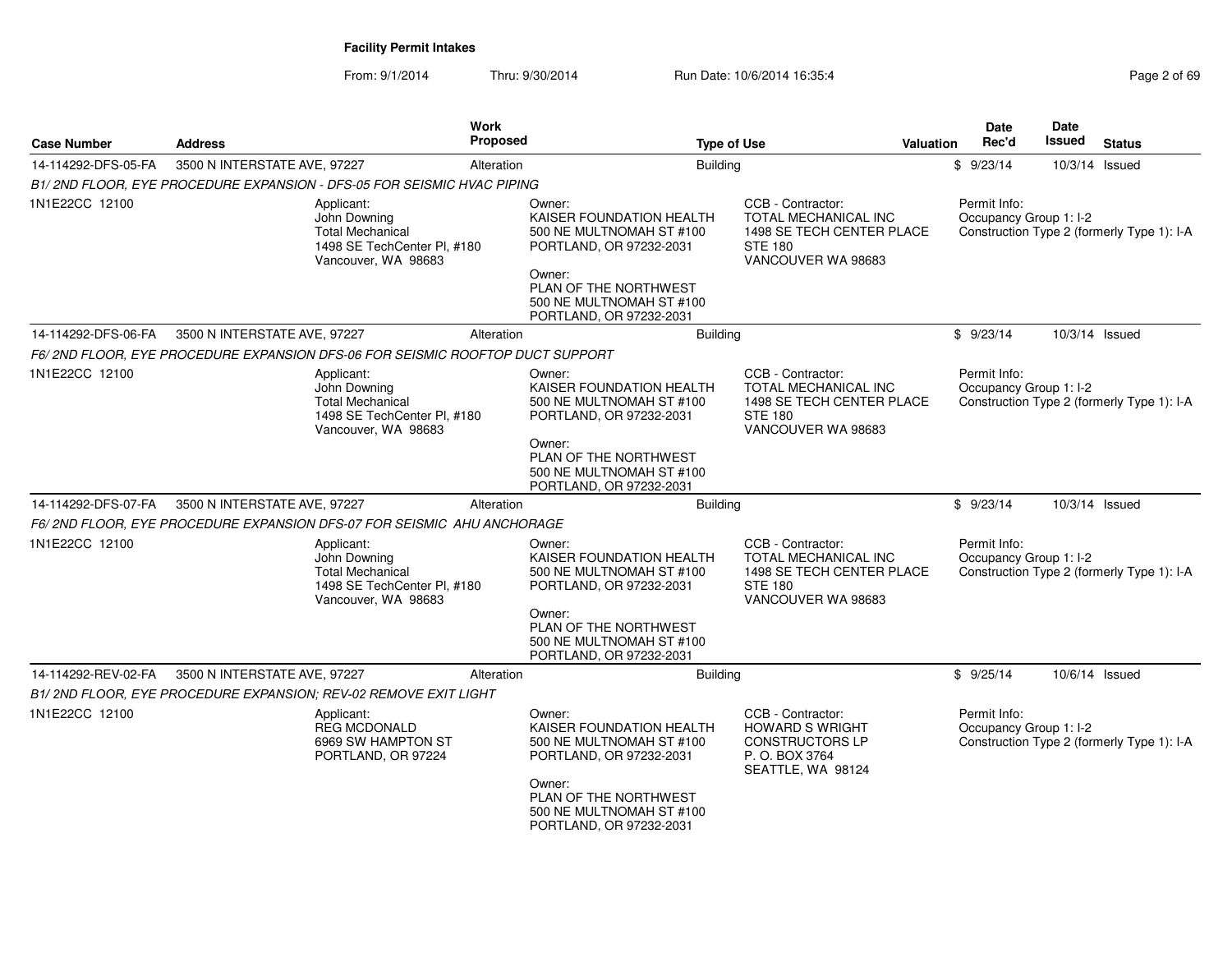| <b>Case Number</b>  | <b>Address</b>                                                                                              | <b>Work</b><br>Proposed | <b>Type of Use</b>                                                                                                                                                                  |                                                                                                                       | <b>Valuation</b> | Date<br>Rec'd                          | Date<br>Issued | <b>Status</b>                              |
|---------------------|-------------------------------------------------------------------------------------------------------------|-------------------------|-------------------------------------------------------------------------------------------------------------------------------------------------------------------------------------|-----------------------------------------------------------------------------------------------------------------------|------------------|----------------------------------------|----------------|--------------------------------------------|
| 14-114292-DFS-05-FA | 3500 N INTERSTATE AVE, 97227                                                                                | Alteration              | <b>Building</b>                                                                                                                                                                     |                                                                                                                       |                  | \$9/23/14                              | 10/3/14 Issued |                                            |
|                     | B1/2ND FLOOR, EYE PROCEDURE EXPANSION - DFS-05 FOR SEISMIC HVAC PIPING                                      |                         |                                                                                                                                                                                     |                                                                                                                       |                  |                                        |                |                                            |
| 1N1E22CC 12100      | Applicant:<br>John Downing<br><b>Total Mechanical</b><br>1498 SE TechCenter PI, #180<br>Vancouver, WA 98683 |                         | Owner:<br>KAISER FOUNDATION HEALTH<br>500 NE MULTNOMAH ST #100<br>PORTLAND, OR 97232-2031<br>Owner:<br>PLAN OF THE NORTHWEST<br>500 NE MULTNOMAH ST #100                            | CCB - Contractor:<br><b>TOTAL MECHANICAL INC</b><br>1498 SE TECH CENTER PLACE<br><b>STE 180</b><br>VANCOUVER WA 98683 |                  | Permit Info:<br>Occupancy Group 1: I-2 |                | Construction Type 2 (formerly Type 1): I-A |
|                     |                                                                                                             |                         | PORTLAND, OR 97232-2031                                                                                                                                                             |                                                                                                                       |                  |                                        |                |                                            |
| 14-114292-DFS-06-FA | 3500 N INTERSTATE AVE, 97227                                                                                | Alteration              | <b>Building</b>                                                                                                                                                                     |                                                                                                                       |                  | \$9/23/14                              | 10/3/14 Issued |                                            |
|                     | F6/2ND FLOOR, EYE PROCEDURE EXPANSION DFS-06 FOR SEISMIC ROOFTOP DUCT SUPPORT                               |                         |                                                                                                                                                                                     |                                                                                                                       |                  |                                        |                |                                            |
| 1N1E22CC 12100      | Applicant:<br>John Downing<br><b>Total Mechanical</b><br>1498 SE TechCenter PI, #180<br>Vancouver, WA 98683 |                         | Owner:<br>KAISER FOUNDATION HEALTH<br>500 NE MULTNOMAH ST #100<br>PORTLAND, OR 97232-2031<br>Owner:                                                                                 | CCB - Contractor:<br><b>TOTAL MECHANICAL INC</b><br>1498 SE TECH CENTER PLACE<br><b>STE 180</b><br>VANCOUVER WA 98683 |                  | Permit Info:<br>Occupancy Group 1: I-2 |                | Construction Type 2 (formerly Type 1): I-A |
|                     |                                                                                                             |                         | PLAN OF THE NORTHWEST<br>500 NE MULTNOMAH ST #100<br>PORTLAND, OR 97232-2031                                                                                                        |                                                                                                                       |                  |                                        |                |                                            |
| 14-114292-DFS-07-FA | 3500 N INTERSTATE AVE, 97227                                                                                | Alteration              | <b>Building</b>                                                                                                                                                                     |                                                                                                                       |                  | \$9/23/14                              | 10/3/14 Issued |                                            |
|                     | F6/2ND FLOOR, EYE PROCEDURE EXPANSION DFS-07 FOR SEISMIC AHU ANCHORAGE                                      |                         |                                                                                                                                                                                     |                                                                                                                       |                  |                                        |                |                                            |
| 1N1E22CC 12100      | Applicant:<br>John Downing<br><b>Total Mechanical</b><br>1498 SE TechCenter PI, #180<br>Vancouver, WA 98683 |                         | Owner:<br>KAISER FOUNDATION HEALTH<br>500 NE MULTNOMAH ST #100<br>PORTLAND, OR 97232-2031<br>Owner:                                                                                 | CCB - Contractor:<br>TOTAL MECHANICAL INC<br>1498 SE TECH CENTER PLACE<br><b>STE 180</b><br>VANCOUVER WA 98683        |                  | Permit Info:<br>Occupancy Group 1: I-2 |                | Construction Type 2 (formerly Type 1): I-A |
|                     |                                                                                                             |                         | PLAN OF THE NORTHWEST<br>500 NE MULTNOMAH ST #100<br>PORTLAND, OR 97232-2031                                                                                                        |                                                                                                                       |                  |                                        |                |                                            |
| 14-114292-REV-02-FA | 3500 N INTERSTATE AVE, 97227                                                                                | Alteration              | <b>Building</b>                                                                                                                                                                     |                                                                                                                       |                  | \$9/25/14                              | 10/6/14 Issued |                                            |
|                     | B1/2ND FLOOR, EYE PROCEDURE EXPANSION; REV-02 REMOVE EXIT LIGHT                                             |                         |                                                                                                                                                                                     |                                                                                                                       |                  |                                        |                |                                            |
| 1N1E22CC 12100      | Applicant:<br><b>REG MCDONALD</b><br>6969 SW HAMPTON ST<br>PORTLAND, OR 97224                               |                         | Owner:<br>KAISER FOUNDATION HEALTH<br>500 NE MULTNOMAH ST #100<br>PORTLAND, OR 97232-2031<br>Owner:<br>PLAN OF THE NORTHWEST<br>500 NE MULTNOMAH ST #100<br>PORTLAND, OR 97232-2031 | CCB - Contractor:<br><b>HOWARD S WRIGHT</b><br><b>CONSTRUCTORS LP</b><br>P. O. BOX 3764<br>SEATTLE, WA 98124          |                  | Permit Info:<br>Occupancy Group 1: I-2 |                | Construction Type 2 (formerly Type 1): I-A |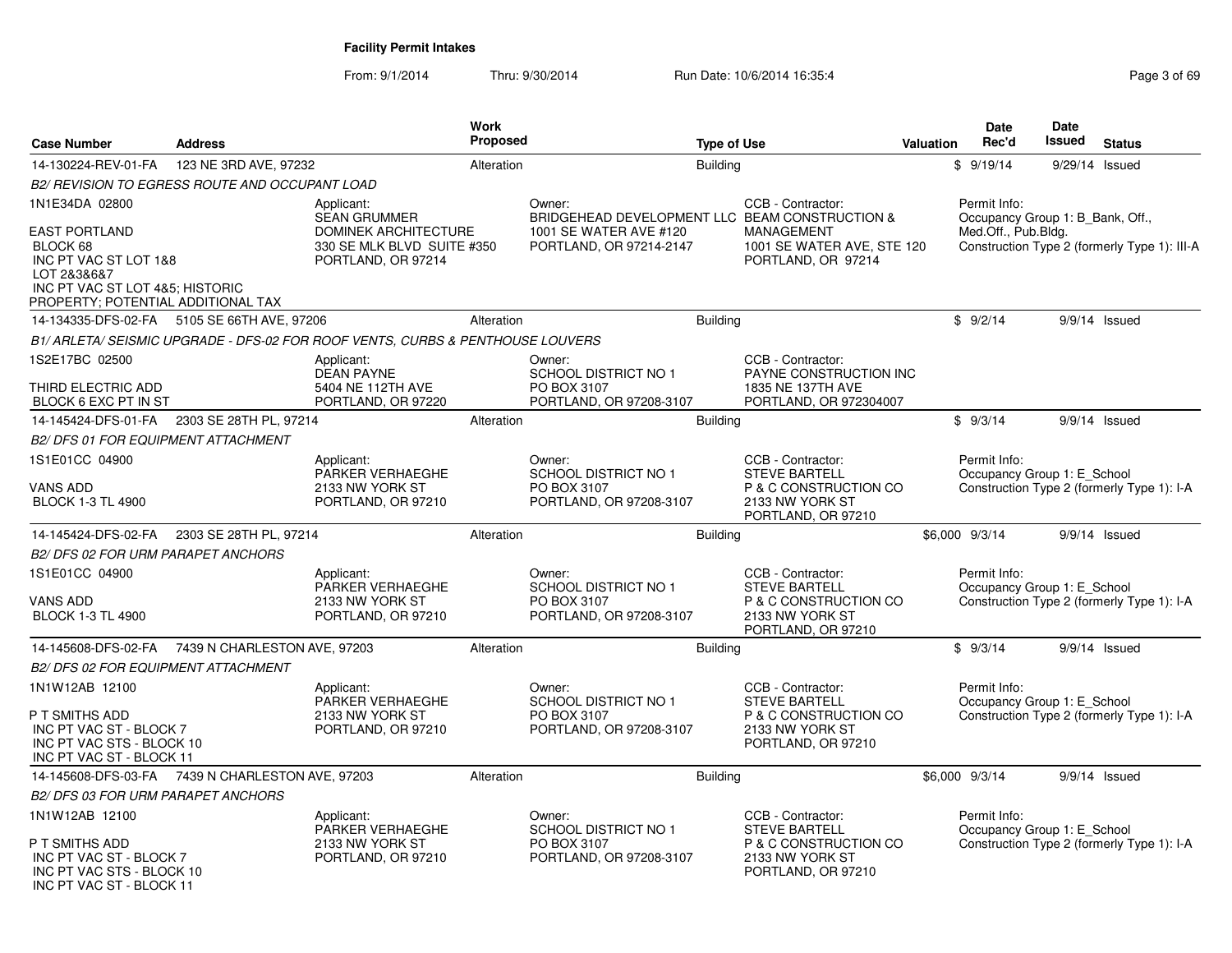| <b>Case Number</b>                                                                                                                                | <b>Address</b>                                   |                                                                                 | <b>Work</b><br>Proposed |                                                                                 | <b>Type of Use</b> | <b>Valuation</b>                                                                                            | Date<br>Rec'd | <b>Date</b><br>Issued                       | <b>Status</b>                    |                                              |
|---------------------------------------------------------------------------------------------------------------------------------------------------|--------------------------------------------------|---------------------------------------------------------------------------------|-------------------------|---------------------------------------------------------------------------------|--------------------|-------------------------------------------------------------------------------------------------------------|---------------|---------------------------------------------|----------------------------------|----------------------------------------------|
| 14-130224-REV-01-FA                                                                                                                               | 123 NE 3RD AVE, 97232                            |                                                                                 | Alteration              |                                                                                 | <b>Building</b>    |                                                                                                             |               | \$9/19/14                                   |                                  | 9/29/14 Issued                               |
|                                                                                                                                                   | B2/ REVISION TO EGRESS ROUTE AND OCCUPANT LOAD   |                                                                                 |                         |                                                                                 |                    |                                                                                                             |               |                                             |                                  |                                              |
| 1N1E34DA 02800                                                                                                                                    |                                                  | Applicant:<br><b>SEAN GRUMMER</b>                                               |                         | Owner:<br>BRIDGEHEAD DEVELOPMENT LLC BEAM CONSTRUCTION &                        |                    | CCB - Contractor:                                                                                           |               | Permit Info:                                | Occupancy Group 1: B Bank, Off., |                                              |
| <b>EAST PORTLAND</b><br>BLOCK 68<br>INC PT VAC ST LOT 1&8<br>LOT 2&3&6&7<br>INC PT VAC ST LOT 4&5; HISTORIC<br>PROPERTY; POTENTIAL ADDITIONAL TAX |                                                  | <b>DOMINEK ARCHITECTURE</b><br>330 SE MLK BLVD SUITE #350<br>PORTLAND, OR 97214 |                         | 1001 SE WATER AVE #120<br>PORTLAND, OR 97214-2147                               |                    | <b>MANAGEMENT</b><br>1001 SE WATER AVE, STE 120<br>PORTLAND, OR 97214                                       |               | Med.Off., Pub.Bldg.                         |                                  | Construction Type 2 (formerly Type 1): III-A |
|                                                                                                                                                   | 14-134335-DFS-02-FA 5105 SE 66TH AVE, 97206      |                                                                                 | Alteration              |                                                                                 | <b>Building</b>    |                                                                                                             |               | \$9/2/14                                    |                                  | 9/9/14 Issued                                |
|                                                                                                                                                   |                                                  | B1/ARLETA/SEISMIC UPGRADE - DFS-02 FOR ROOF VENTS, CURBS & PENTHOUSE LOUVERS    |                         |                                                                                 |                    |                                                                                                             |               |                                             |                                  |                                              |
| 1S2E17BC 02500<br>THIRD ELECTRIC ADD<br>BLOCK 6 EXC PT IN ST                                                                                      |                                                  | Applicant:<br><b>DEAN PAYNE</b><br>5404 NE 112TH AVE<br>PORTLAND, OR 97220      |                         | Owner:<br><b>SCHOOL DISTRICT NO 1</b><br>PO BOX 3107<br>PORTLAND, OR 97208-3107 |                    | CCB - Contractor:<br>PAYNE CONSTRUCTION INC<br>1835 NE 137TH AVE<br>PORTLAND, OR 972304007                  |               |                                             |                                  |                                              |
| 14-145424-DFS-01-FA                                                                                                                               | 2303 SE 28TH PL, 97214                           |                                                                                 | Alteration              |                                                                                 | Building           |                                                                                                             |               | \$9/3/14                                    |                                  | $9/9/14$ Issued                              |
| <b>B2/ DFS 01 FOR EQUIPMENT ATTACHMENT</b>                                                                                                        |                                                  |                                                                                 |                         |                                                                                 |                    |                                                                                                             |               |                                             |                                  |                                              |
| 1S1E01CC 04900                                                                                                                                    |                                                  | Applicant:                                                                      |                         | Owner:                                                                          |                    | CCB - Contractor:                                                                                           |               | Permit Info:                                |                                  |                                              |
| VANS ADD<br><b>BLOCK 1-3 TL 4900</b>                                                                                                              |                                                  | PARKER VERHAEGHE<br>2133 NW YORK ST<br>PORTLAND, OR 97210                       |                         | <b>SCHOOL DISTRICT NO 1</b><br>PO BOX 3107<br>PORTLAND, OR 97208-3107           |                    | <b>STEVE BARTELL</b><br>P & C CONSTRUCTION CO<br>2133 NW YORK ST<br>PORTLAND, OR 97210                      |               | Occupancy Group 1: E_School                 |                                  | Construction Type 2 (formerly Type 1): I-A   |
| 14-145424-DFS-02-FA                                                                                                                               | 2303 SE 28TH PL, 97214                           |                                                                                 | Alteration              |                                                                                 | <b>Building</b>    |                                                                                                             |               | \$6,000 9/3/14                              |                                  | 9/9/14 Issued                                |
| <b>B2/DFS 02 FOR URM PARAPET ANCHORS</b>                                                                                                          |                                                  |                                                                                 |                         |                                                                                 |                    |                                                                                                             |               |                                             |                                  |                                              |
| 1S1E01CC 04900<br>VANS ADD<br><b>BLOCK 1-3 TL 4900</b>                                                                                            |                                                  | Applicant:<br>PARKER VERHAEGHE<br>2133 NW YORK ST<br>PORTLAND, OR 97210         |                         | Owner:<br>SCHOOL DISTRICT NO 1<br>PO BOX 3107<br>PORTLAND, OR 97208-3107        |                    | CCB - Contractor:<br><b>STEVE BARTELL</b><br>P & C CONSTRUCTION CO<br>2133 NW YORK ST<br>PORTLAND, OR 97210 |               | Permit Info:<br>Occupancy Group 1: E_School |                                  | Construction Type 2 (formerly Type 1): I-A   |
|                                                                                                                                                   | 14-145608-DFS-02-FA 7439 N CHARLESTON AVE, 97203 |                                                                                 | Alteration              |                                                                                 | <b>Building</b>    |                                                                                                             |               | \$9/3/14                                    |                                  | 9/9/14 Issued                                |
| <b>B2/ DFS 02 FOR EQUIPMENT ATTACHMENT</b>                                                                                                        |                                                  |                                                                                 |                         |                                                                                 |                    |                                                                                                             |               |                                             |                                  |                                              |
| 1N1W12AB 12100                                                                                                                                    |                                                  | Applicant:<br>PARKER VERHAEGHE                                                  |                         | Owner:<br><b>SCHOOL DISTRICT NO 1</b>                                           |                    | CCB - Contractor:<br><b>STEVE BARTELL</b>                                                                   |               | Permit Info:<br>Occupancy Group 1: E_School |                                  |                                              |
| P T SMITHS ADD<br>INC PT VAC ST - BLOCK 7<br>INC PT VAC STS - BLOCK 10<br>INC PT VAC ST - BLOCK 11                                                |                                                  | 2133 NW YORK ST<br>PORTLAND, OR 97210                                           |                         | PO BOX 3107<br>PORTLAND, OR 97208-3107                                          |                    | P & C CONSTRUCTION CO<br>2133 NW YORK ST<br>PORTLAND, OR 97210                                              |               |                                             |                                  | Construction Type 2 (formerly Type 1): I-A   |
|                                                                                                                                                   | 14-145608-DFS-03-FA 7439 N CHARLESTON AVE, 97203 |                                                                                 | Alteration              |                                                                                 | <b>Building</b>    |                                                                                                             |               | \$6,000 9/3/14                              |                                  | 9/9/14 Issued                                |
| B2/DFS 03 FOR URM PARAPET ANCHORS                                                                                                                 |                                                  |                                                                                 |                         |                                                                                 |                    |                                                                                                             |               |                                             |                                  |                                              |
| 1N1W12AB 12100                                                                                                                                    |                                                  | Applicant:<br>PARKER VERHAEGHE                                                  |                         | Owner:<br>SCHOOL DISTRICT NO 1                                                  |                    | CCB - Contractor:<br><b>STEVE BARTELL</b>                                                                   |               | Permit Info:                                | Occupancy Group 1: E School      |                                              |
| P T SMITHS ADD<br>INC PT VAC ST - BLOCK 7<br>INC PT VAC STS - BLOCK 10<br>INC PT VAC ST - BLOCK 11                                                |                                                  | 2133 NW YORK ST<br>PORTLAND, OR 97210                                           |                         | PO BOX 3107<br>PORTLAND, OR 97208-3107                                          |                    | P & C CONSTRUCTION CO<br>2133 NW YORK ST<br>PORTLAND, OR 97210                                              |               |                                             |                                  | Construction Type 2 (formerly Type 1): I-A   |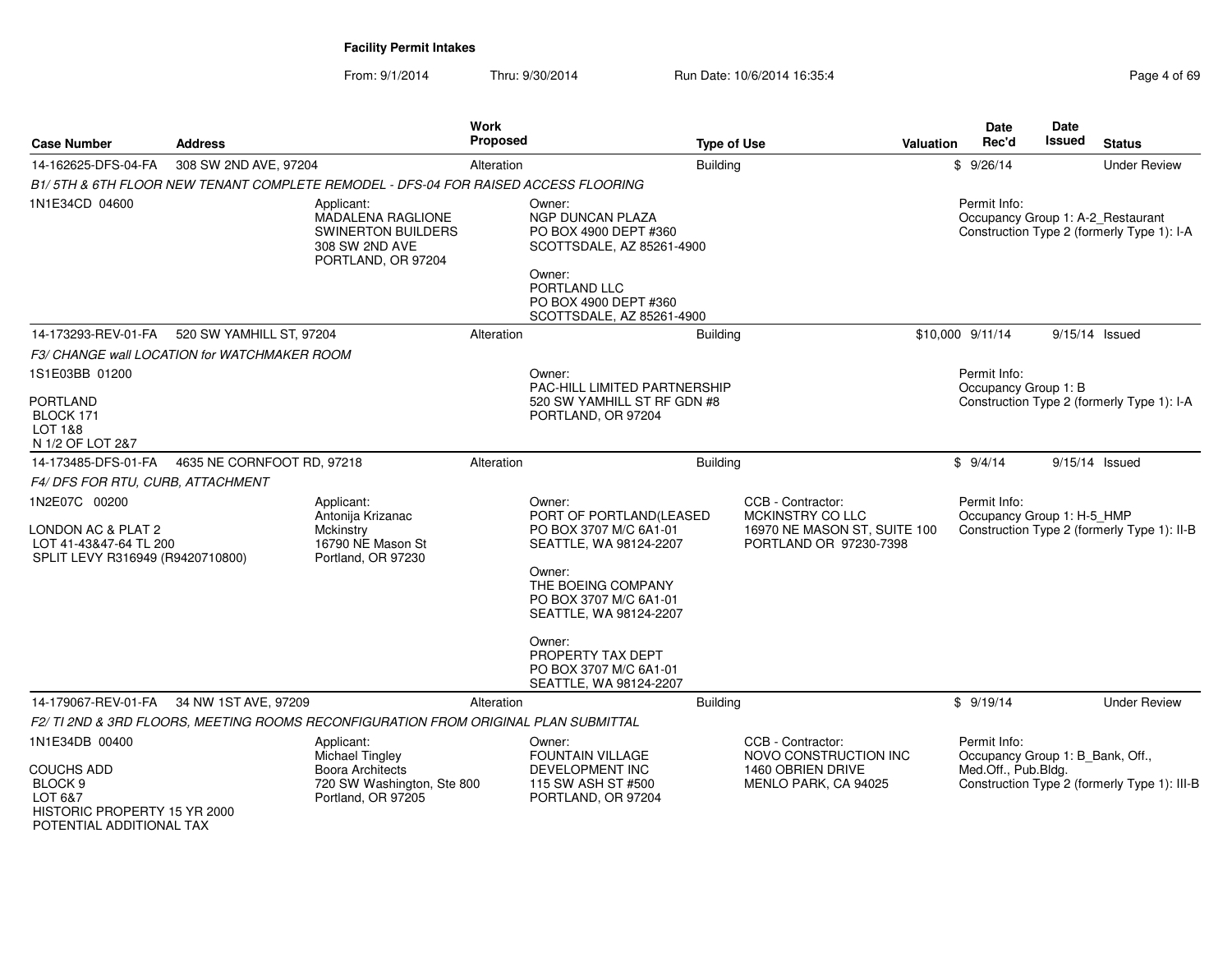From: 9/1/2014

Thru: 9/30/2014 Run Date: 10/6/2014 16:35:4

| <b>Case Number</b><br><b>Address</b>                                                                                             |                                              |                                                                                                       |            | <b>Proposed</b>                                                                                                                                                  | <b>Type of Use</b>                                                                              | Valuation | Date<br>Rec'd                                                           | Date<br><b>Issued</b> | <b>Status</b>                                |
|----------------------------------------------------------------------------------------------------------------------------------|----------------------------------------------|-------------------------------------------------------------------------------------------------------|------------|------------------------------------------------------------------------------------------------------------------------------------------------------------------|-------------------------------------------------------------------------------------------------|-----------|-------------------------------------------------------------------------|-----------------------|----------------------------------------------|
| 14-162625-DFS-04-FA                                                                                                              | 308 SW 2ND AVE, 97204                        |                                                                                                       | Alteration |                                                                                                                                                                  | Building                                                                                        |           | \$9/26/14                                                               |                       | <b>Under Review</b>                          |
|                                                                                                                                  |                                              | B1/5TH & 6TH FLOOR NEW TENANT COMPLETE REMODEL - DFS-04 FOR RAISED ACCESS FLOORING                    |            |                                                                                                                                                                  |                                                                                                 |           |                                                                         |                       |                                              |
| 1N1E34CD 04600                                                                                                                   |                                              | Applicant:<br>MADALENA RAGLIONE<br><b>SWINERTON BUILDERS</b><br>308 SW 2ND AVE<br>PORTLAND, OR 97204  |            | Owner:<br>NGP DUNCAN PLAZA<br>PO BOX 4900 DEPT #360<br>SCOTTSDALE, AZ 85261-4900<br>Owner:<br>PORTLAND LLC<br>PO BOX 4900 DEPT #360<br>SCOTTSDALE, AZ 85261-4900 |                                                                                                 |           | Permit Info:<br>Occupancy Group 1: A-2_Restaurant                       |                       | Construction Type 2 (formerly Type 1): I-A   |
| 14-173293-REV-01-FA                                                                                                              | 520 SW YAMHILL ST, 97204                     |                                                                                                       | Alteration |                                                                                                                                                                  | <b>Building</b>                                                                                 |           | \$10,000 9/11/14                                                        |                       | $9/15/14$ Issued                             |
|                                                                                                                                  | F3/ CHANGE wall LOCATION for WATCHMAKER ROOM |                                                                                                       |            |                                                                                                                                                                  |                                                                                                 |           |                                                                         |                       |                                              |
| 1S1E03BB 01200<br><b>PORTLAND</b>                                                                                                |                                              |                                                                                                       |            | Owner:<br><b>PAC-HILL LIMITED PARTNERSHIP</b><br>520 SW YAMHILL ST RF GDN #8                                                                                     |                                                                                                 |           | Permit Info:<br>Occupancy Group 1: B                                    |                       | Construction Type 2 (formerly Type 1): I-A   |
| BLOCK 171<br><b>LOT 1&amp;8</b><br>N 1/2 OF LOT 2&7                                                                              |                                              |                                                                                                       |            | PORTLAND, OR 97204                                                                                                                                               |                                                                                                 |           |                                                                         |                       |                                              |
| 14-173485-DFS-01-FA                                                                                                              | 4635 NE CORNFOOT RD, 97218                   |                                                                                                       | Alteration |                                                                                                                                                                  | <b>Building</b>                                                                                 |           | \$9/4/14                                                                |                       | 9/15/14 Issued                               |
| F4/DFS FOR RTU, CURB, ATTACHMENT                                                                                                 |                                              |                                                                                                       |            |                                                                                                                                                                  |                                                                                                 |           |                                                                         |                       |                                              |
| 1N2E07C 00200<br>LONDON AC & PLAT 2<br>LOT 41-43&47-64 TL 200<br>SPLIT LEVY R316949 (R9420710800)                                |                                              | Applicant:<br>Antonija Krizanac<br>Mckinstry<br>16790 NE Mason St<br>Portland, OR 97230               |            | Owner:<br>PORT OF PORTLAND(LEASED<br>PO BOX 3707 M/C 6A1-01<br>SEATTLE, WA 98124-2207<br>Owner:<br>THE BOEING COMPANY                                            | CCB - Contractor:<br>MCKINSTRY CO LLC<br>16970 NE MASON ST, SUITE 100<br>PORTLAND OR 97230-7398 |           | Permit Info:<br>Occupancy Group 1: H-5 HMP                              |                       | Construction Type 2 (formerly Type 1): II-B  |
|                                                                                                                                  |                                              |                                                                                                       |            | PO BOX 3707 M/C 6A1-01<br>SEATTLE, WA 98124-2207<br>Owner:<br>PROPERTY TAX DEPT<br>PO BOX 3707 M/C 6A1-01                                                        |                                                                                                 |           |                                                                         |                       |                                              |
|                                                                                                                                  |                                              |                                                                                                       |            | SEATTLE, WA 98124-2207                                                                                                                                           |                                                                                                 |           |                                                                         |                       |                                              |
| 14-179067-REV-01-FA                                                                                                              | 34 NW 1ST AVE, 97209                         |                                                                                                       | Alteration |                                                                                                                                                                  | Building                                                                                        |           | \$9/19/14                                                               |                       | <b>Under Review</b>                          |
|                                                                                                                                  |                                              | F2/TI 2ND & 3RD FLOORS, MEETING ROOMS RECONFIGURATION FROM ORIGINAL PLAN SUBMITTAL                    |            |                                                                                                                                                                  |                                                                                                 |           |                                                                         |                       |                                              |
| 1N1E34DB 00400<br><b>COUCHS ADD</b><br>BLOCK <sub>9</sub><br>LOT 6&7<br>HISTORIC PROPERTY 15 YR 2000<br>POTENTIAL ADDITIONAL TAX |                                              | Applicant:<br>Michael Tingley<br>Boora Architects<br>720 SW Washington, Ste 800<br>Portland, OR 97205 |            | Owner:<br><b>FOUNTAIN VILLAGE</b><br>DEVELOPMENT INC<br>115 SW ASH ST #500<br>PORTLAND, OR 97204                                                                 | CCB - Contractor:<br>NOVO CONSTRUCTION INC<br>1460 OBRIEN DRIVE<br>MENLO PARK, CA 94025         |           | Permit Info:<br>Occupancy Group 1: B Bank, Off.,<br>Med.Off., Pub.Bldg. |                       | Construction Type 2 (formerly Type 1): III-B |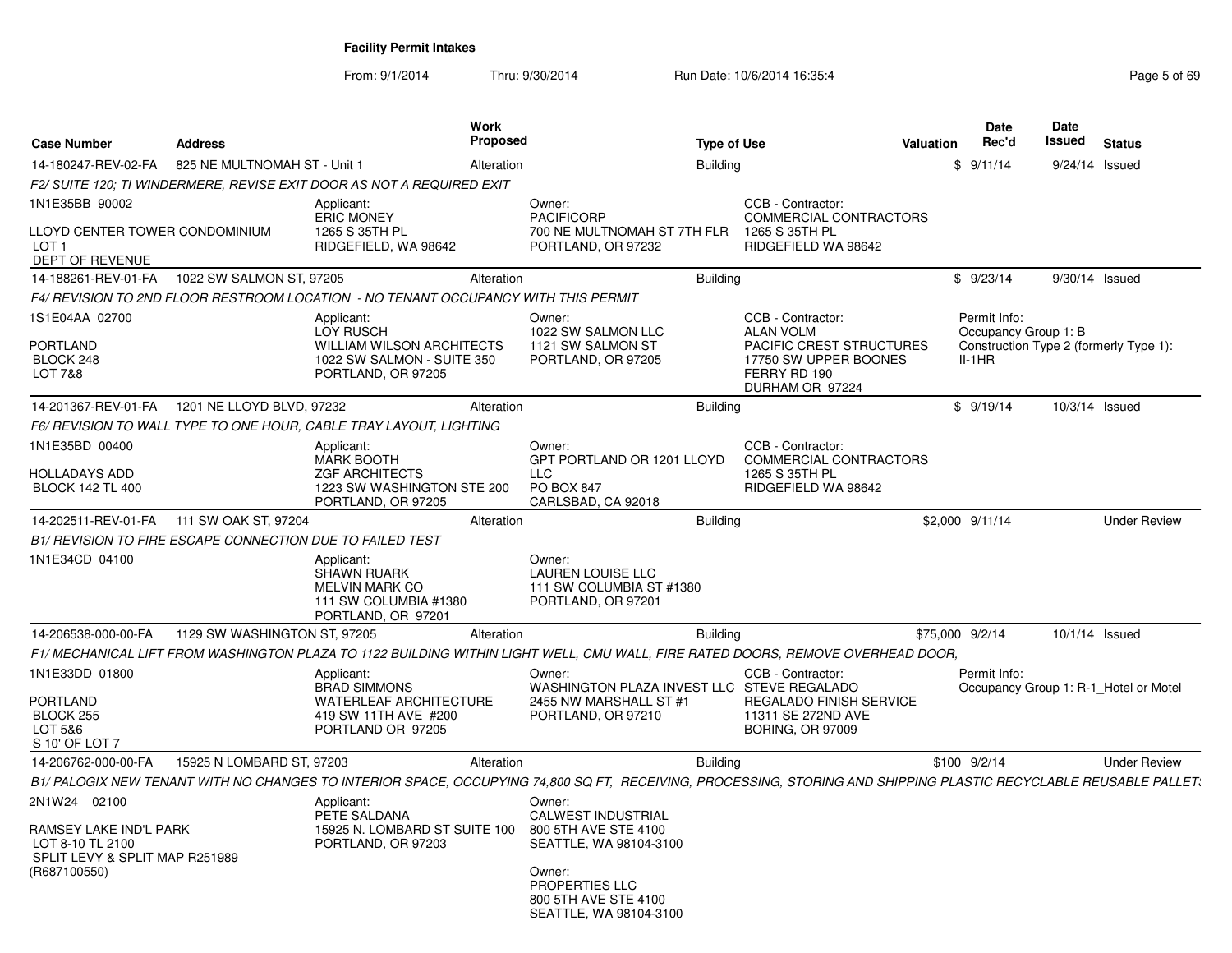| <b>Case Number</b>                                                                           | <b>Address</b>                                                   | <b>Work</b>                                                                                                     | Proposed   | <b>Type of Use</b>                                                                                                                                                | Valuation                                                                                            | Date<br>Rec'd                        | Date<br>Issued | <b>Status</b>                          |
|----------------------------------------------------------------------------------------------|------------------------------------------------------------------|-----------------------------------------------------------------------------------------------------------------|------------|-------------------------------------------------------------------------------------------------------------------------------------------------------------------|------------------------------------------------------------------------------------------------------|--------------------------------------|----------------|----------------------------------------|
| 14-180247-REV-02-FA                                                                          | 825 NE MULTNOMAH ST - Unit 1                                     |                                                                                                                 | Alteration | Building                                                                                                                                                          |                                                                                                      | \$9/11/14                            | 9/24/14        | Issued                                 |
|                                                                                              |                                                                  | F2/ SUITE 120; TI WINDERMERE, REVISE EXIT DOOR AS NOT A REQUIRED EXIT                                           |            |                                                                                                                                                                   |                                                                                                      |                                      |                |                                        |
| 1N1E35BB 90002                                                                               |                                                                  | Applicant:<br><b>ERIC MONEY</b>                                                                                 |            | Owner:<br><b>PACIFICORP</b>                                                                                                                                       | CCB - Contractor:<br>COMMERCIAL CONTRACTORS                                                          |                                      |                |                                        |
| LLOYD CENTER TOWER CONDOMINIUM<br>LOT 1<br>DEPT OF REVENUE                                   |                                                                  | 1265 S 35TH PL<br>RIDGEFIELD, WA 98642                                                                          |            | 700 NE MULTNOMAH ST 7TH FLR<br>PORTLAND, OR 97232                                                                                                                 | 1265 S 35TH PL<br>RIDGEFIELD WA 98642                                                                |                                      |                |                                        |
| 14-188261-REV-01-FA                                                                          | 1022 SW SALMON ST, 97205                                         |                                                                                                                 | Alteration | <b>Building</b>                                                                                                                                                   |                                                                                                      | \$9/23/14                            | 9/30/14 Issued |                                        |
|                                                                                              |                                                                  | F4/ REVISION TO 2ND FLOOR RESTROOM LOCATION - NO TENANT OCCUPANCY WITH THIS PERMIT                              |            |                                                                                                                                                                   |                                                                                                      |                                      |                |                                        |
| 1S1E04AA 02700                                                                               |                                                                  | Applicant:<br>LOY RUSCH                                                                                         |            | Owner:<br>1022 SW SALMON LLC                                                                                                                                      | CCB - Contractor:<br><b>ALAN VOLM</b>                                                                | Permit Info:<br>Occupancy Group 1: B |                |                                        |
| <b>PORTLAND</b><br>BLOCK 248<br>LOT 7&8                                                      |                                                                  | <b>WILLIAM WILSON ARCHITECTS</b><br>1022 SW SALMON - SUITE 350<br>PORTLAND, OR 97205                            |            | 1121 SW SALMON ST<br>PORTLAND, OR 97205                                                                                                                           | <b>PACIFIC CREST STRUCTURES</b><br>17750 SW UPPER BOONES<br>FERRY RD 190<br>DURHAM OR 97224          | $II-1HR$                             |                | Construction Type 2 (formerly Type 1): |
|                                                                                              | 14-201367-REV-01-FA 1201 NE LLOYD BLVD, 97232                    |                                                                                                                 | Alteration | <b>Building</b>                                                                                                                                                   |                                                                                                      | \$9/19/14                            | 10/3/14 Issued |                                        |
|                                                                                              |                                                                  | F6/ REVISION TO WALL TYPE TO ONE HOUR, CABLE TRAY LAYOUT, LIGHTING                                              |            |                                                                                                                                                                   |                                                                                                      |                                      |                |                                        |
| 1N1E35BD 00400                                                                               |                                                                  | Applicant:<br><b>MARK BOOTH</b>                                                                                 |            | Owner:<br>GPT PORTLAND OR 1201 LLOYD                                                                                                                              | CCB - Contractor:<br>COMMERCIAL CONTRACTORS                                                          |                                      |                |                                        |
| HOLLADAYS ADD<br><b>BLOCK 142 TL 400</b>                                                     |                                                                  | <b>ZGF ARCHITECTS</b><br>1223 SW WASHINGTON STE 200<br>PORTLAND, OR 97205                                       |            | <b>LLC</b><br><b>PO BOX 847</b><br>CARLSBAD, CA 92018                                                                                                             | 1265 S 35TH PL<br>RIDGEFIELD WA 98642                                                                |                                      |                |                                        |
| 14-202511-REV-01-FA                                                                          | 111 SW OAK ST, 97204                                             |                                                                                                                 | Alteration | <b>Building</b>                                                                                                                                                   |                                                                                                      | \$2,000 9/11/14                      |                | <b>Under Review</b>                    |
|                                                                                              | <b>B1/ REVISION TO FIRE ESCAPE CONNECTION DUE TO FAILED TEST</b> |                                                                                                                 |            |                                                                                                                                                                   |                                                                                                      |                                      |                |                                        |
| 1N1E34CD 04100                                                                               |                                                                  | Applicant:<br><b>SHAWN RUARK</b><br><b>MELVIN MARK CO</b><br>111 SW COLUMBIA #1380<br>PORTLAND, OR 97201        |            | Owner:<br><b>LAUREN LOUISE LLC</b><br>111 SW COLUMBIA ST #1380<br>PORTLAND, OR 97201                                                                              |                                                                                                      |                                      |                |                                        |
| 14-206538-000-00-FA                                                                          | 1129 SW WASHINGTON ST, 97205                                     |                                                                                                                 | Alteration | <b>Building</b>                                                                                                                                                   |                                                                                                      | \$75,000 9/2/14                      | 10/1/14 Issued |                                        |
|                                                                                              |                                                                  |                                                                                                                 |            | F1/ MECHANICAL LIFT FROM WASHINGTON PLAZA TO 1122 BUILDING WITHIN LIGHT WELL, CMU WALL, FIRE RATED DOORS, REMOVE OVERHEAD DOOR,                                   |                                                                                                      |                                      |                |                                        |
| 1N1E33DD 01800<br><b>PORTLAND</b><br>BLOCK 255<br>LOT 5&6<br>S 10' OF LOT 7                  |                                                                  | Applicant:<br><b>BRAD SIMMONS</b><br><b>WATERLEAF ARCHITECTURE</b><br>419 SW 11TH AVE #200<br>PORTLAND OR 97205 |            | Owner:<br>WASHINGTON PLAZA INVEST LLC STEVE REGALADO<br>2455 NW MARSHALL ST #1<br>PORTLAND, OR 97210                                                              | CCB - Contractor:<br><b>REGALADO FINISH SERVICE</b><br>11311 SE 272ND AVE<br><b>BORING, OR 97009</b> | Permit Info:                         |                | Occupancy Group 1: R-1 Hotel or Motel  |
| 14-206762-000-00-FA                                                                          | 15925 N LOMBARD ST, 97203                                        |                                                                                                                 | Alteration | <b>Building</b>                                                                                                                                                   |                                                                                                      | $$100$ $9/2/14$                      |                | <b>Under Review</b>                    |
|                                                                                              |                                                                  |                                                                                                                 |            | B1/ PALOGIX NEW TENANT WITH NO CHANGES TO INTERIOR SPACE, OCCUPYING 74,800 SQ FT, RECEIVING, PROCESSING, STORING AND SHIPPING PLASTIC RECYCLABLE REUSABLE PALLET. |                                                                                                      |                                      |                |                                        |
| 2N1W24 02100<br>RAMSEY LAKE IND'L PARK<br>LOT 8-10 TL 2100<br>SPLIT LEVY & SPLIT MAP R251989 |                                                                  | Applicant:<br>PETE SALDANA<br>15925 N. LOMBARD ST SUITE 100<br>PORTLAND, OR 97203                               |            | Owner:<br>CALWEST INDUSTRIAL<br>800 5TH AVE STE 4100<br>SEATTLE, WA 98104-3100                                                                                    |                                                                                                      |                                      |                |                                        |
| (R687100550)                                                                                 |                                                                  |                                                                                                                 |            | Owner:<br>PROPERTIES LLC<br>800 5TH AVE STE 4100<br>SEATTLE, WA 98104-3100                                                                                        |                                                                                                      |                                      |                |                                        |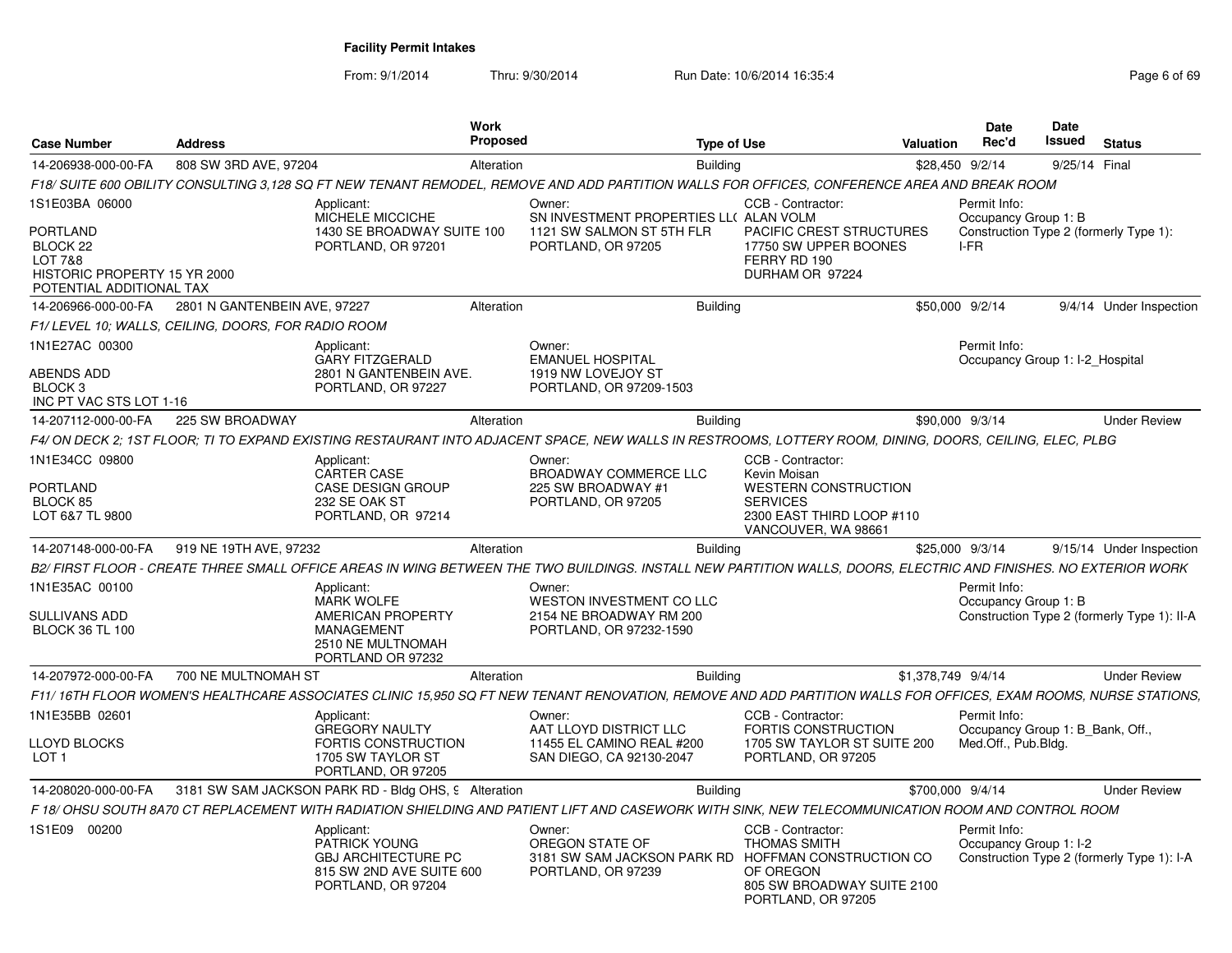| <b>Case Number</b>                                                                          | <b>Address</b>               | <b>Work</b><br>Proposed                                                                                                                                          |                                                                                                        | <b>Type of Use</b> |                                                                                                           | <b>Valuation</b>   | Date<br>Rec'd                                    | Date<br><b>Issued</b> | <b>Status</b>                               |
|---------------------------------------------------------------------------------------------|------------------------------|------------------------------------------------------------------------------------------------------------------------------------------------------------------|--------------------------------------------------------------------------------------------------------|--------------------|-----------------------------------------------------------------------------------------------------------|--------------------|--------------------------------------------------|-----------------------|---------------------------------------------|
| 14-206938-000-00-FA                                                                         | 808 SW 3RD AVE, 97204        | Alteration                                                                                                                                                       |                                                                                                        | <b>Building</b>    |                                                                                                           |                    | \$28,450 9/2/14                                  | 9/25/14 Final         |                                             |
|                                                                                             |                              | F18/ SUITE 600 OBILITY CONSULTING 3,128 SQ FT NEW TENANT REMODEL, REMOVE AND ADD PARTITION WALLS FOR OFFICES, CONFERENCE AREA AND BREAK ROOM                     |                                                                                                        |                    |                                                                                                           |                    |                                                  |                       |                                             |
| 1S1E03BA 06000                                                                              |                              | Applicant:<br>MICHELE MICCICHE                                                                                                                                   | Owner:<br>SN INVESTMENT PROPERTIES LL( ALAN VOLM                                                       |                    | CCB - Contractor:                                                                                         |                    | Permit Info:<br>Occupancy Group 1: B             |                       |                                             |
| PORTLAND<br>BLOCK 22<br>LOT 7&8<br>HISTORIC PROPERTY 15 YR 2000<br>POTENTIAL ADDITIONAL TAX |                              | 1430 SE BROADWAY SUITE 100<br>PORTLAND, OR 97201                                                                                                                 | 1121 SW SALMON ST 5TH FLR<br>PORTLAND, OR 97205                                                        |                    | PACIFIC CREST STRUCTURES<br>17750 SW UPPER BOONES<br>FERRY RD 190<br>DURHAM OR 97224                      |                    | I-FR                                             |                       | Construction Type 2 (formerly Type 1):      |
| 14-206966-000-00-FA                                                                         | 2801 N GANTENBEIN AVE, 97227 | Alteration                                                                                                                                                       |                                                                                                        | Building           |                                                                                                           |                    | \$50,000 9/2/14                                  |                       | 9/4/14 Under Inspection                     |
| F1/ LEVEL 10: WALLS, CEILING, DOORS, FOR RADIO ROOM                                         |                              |                                                                                                                                                                  |                                                                                                        |                    |                                                                                                           |                    |                                                  |                       |                                             |
| 1N1E27AC 00300                                                                              |                              | Applicant:<br><b>GARY FITZGERALD</b>                                                                                                                             | Owner:<br><b>EMANUEL HOSPITAL</b>                                                                      |                    |                                                                                                           |                    | Permit Info:<br>Occupancy Group 1: I-2_Hospital  |                       |                                             |
| ABENDS ADD<br>BLOCK <sub>3</sub><br>INC PT VAC STS LOT 1-16                                 |                              | 2801 N GANTENBEIN AVE.<br>PORTLAND, OR 97227                                                                                                                     | 1919 NW LOVEJOY ST<br>PORTLAND, OR 97209-1503                                                          |                    |                                                                                                           |                    |                                                  |                       |                                             |
| 14-207112-000-00-FA                                                                         | 225 SW BROADWAY              | Alteration                                                                                                                                                       |                                                                                                        | <b>Building</b>    |                                                                                                           |                    | \$90,000 9/3/14                                  |                       | <b>Under Review</b>                         |
|                                                                                             |                              | F4/ ON DECK 2; 1ST FLOOR; TI TO EXPAND EXISTING RESTAURANT INTO ADJACENT SPACE, NEW WALLS IN RESTROOMS, LOTTERY ROOM, DINING, DOORS, CEILING, ELEC, PLBG         |                                                                                                        |                    |                                                                                                           |                    |                                                  |                       |                                             |
| 1N1E34CC 09800                                                                              |                              | Applicant:<br><b>CARTER CASE</b>                                                                                                                                 | Owner:<br>BROADWAY COMMERCE LLC                                                                        |                    | CCB - Contractor:<br>Kevin Moisan                                                                         |                    |                                                  |                       |                                             |
| <b>PORTLAND</b><br>BLOCK 85<br>LOT 6&7 TL 9800                                              |                              | <b>CASE DESIGN GROUP</b><br>232 SE OAK ST<br>PORTLAND, OR 97214                                                                                                  | 225 SW BROADWAY #1<br>PORTLAND, OR 97205                                                               |                    | WESTERN CONSTRUCTION<br><b>SERVICES</b><br>2300 EAST THIRD LOOP #110<br>VANCOUVER, WA 98661               |                    |                                                  |                       |                                             |
| 14-207148-000-00-FA                                                                         | 919 NE 19TH AVE, 97232       | Alteration                                                                                                                                                       |                                                                                                        | Building           |                                                                                                           |                    | \$25,000 9/3/14                                  |                       | 9/15/14 Under Inspection                    |
|                                                                                             |                              | B2/ FIRST FLOOR - CREATE THREE SMALL OFFICE AREAS IN WING BETWEEN THE TWO BUILDINGS. INSTALL NEW PARTITION WALLS, DOORS, ELECTRIC AND FINISHES. NO EXTERIOR WORK |                                                                                                        |                    |                                                                                                           |                    |                                                  |                       |                                             |
| 1N1E35AC 00100<br><b>SULLIVANS ADD</b><br><b>BLOCK 36 TL 100</b>                            |                              | Applicant:<br><b>MARK WOLFE</b><br>AMERICAN PROPERTY<br>MANAGEMENT<br>2510 NE MULTNOMAH<br>PORTLAND OR 97232                                                     | Owner:<br><b>WESTON INVESTMENT CO LLC</b><br>2154 NE BROADWAY RM 200<br>PORTLAND, OR 97232-1590        |                    |                                                                                                           |                    | Permit Info:<br>Occupancy Group 1: B             |                       | Construction Type 2 (formerly Type 1): II-A |
| 14-207972-000-00-FA                                                                         | 700 NE MULTNOMAH ST          | Alteration                                                                                                                                                       |                                                                                                        | <b>Building</b>    |                                                                                                           | \$1,378,749 9/4/14 |                                                  |                       | <b>Under Review</b>                         |
|                                                                                             |                              | F11/16TH FLOOR WOMEN'S HEALTHCARE ASSOCIATES CLINIC 15,950 SQ FT NEW TENANT RENOVATION, REMOVE AND ADD PARTITION WALLS FOR OFFICES, EXAM ROOMS, NURSE STATIONS,  |                                                                                                        |                    |                                                                                                           |                    |                                                  |                       |                                             |
| 1N1E35BB 02601                                                                              |                              | Applicant:<br><b>GREGORY NAULTY</b>                                                                                                                              | Owner:<br>AAT LLOYD DISTRICT LLC                                                                       |                    | CCB - Contractor:<br><b>FORTIS CONSTRUCTION</b>                                                           |                    | Permit Info:<br>Occupancy Group 1: B Bank, Off., |                       |                                             |
| LLOYD BLOCKS<br>LOT <sub>1</sub>                                                            |                              | FORTIS CONSTRUCTION<br>1705 SW TAYLOR ST<br>PORTLAND, OR 97205                                                                                                   | 11455 EL CAMINO REAL #200<br>SAN DIEGO, CA 92130-2047                                                  |                    | 1705 SW TAYLOR ST SUITE 200<br>PORTLAND, OR 97205                                                         |                    | Med.Off., Pub.Bldg.                              |                       |                                             |
| 14-208020-000-00-FA                                                                         |                              | 3181 SW SAM JACKSON PARK RD - Bldg OHS, 9 Alteration                                                                                                             |                                                                                                        | <b>Building</b>    |                                                                                                           | \$700,000 9/4/14   |                                                  |                       | <b>Under Review</b>                         |
|                                                                                             |                              | F 18/ OHSU SOUTH 8A70 CT REPLACEMENT WITH RADIATION SHIELDING AND PATIENT LIFT AND CASEWORK WITH SINK, NEW TELECOMMUNICATION ROOM AND CONTROL ROOM               |                                                                                                        |                    |                                                                                                           |                    |                                                  |                       |                                             |
| 1S1E09 00200                                                                                |                              | Applicant:<br>PATRICK YOUNG<br><b>GBJ ARCHITECTURE PC</b><br>815 SW 2ND AVE SUITE 600<br>PORTLAND, OR 97204                                                      | Owner:<br>OREGON STATE OF<br>3181 SW SAM JACKSON PARK RD HOFFMAN CONSTRUCTION CO<br>PORTLAND, OR 97239 |                    | CCB - Contractor:<br><b>THOMAS SMITH</b><br>OF OREGON<br>805 SW BROADWAY SUITE 2100<br>PORTLAND, OR 97205 |                    | Permit Info:<br>Occupancy Group 1: I-2           |                       | Construction Type 2 (formerly Type 1): I-A  |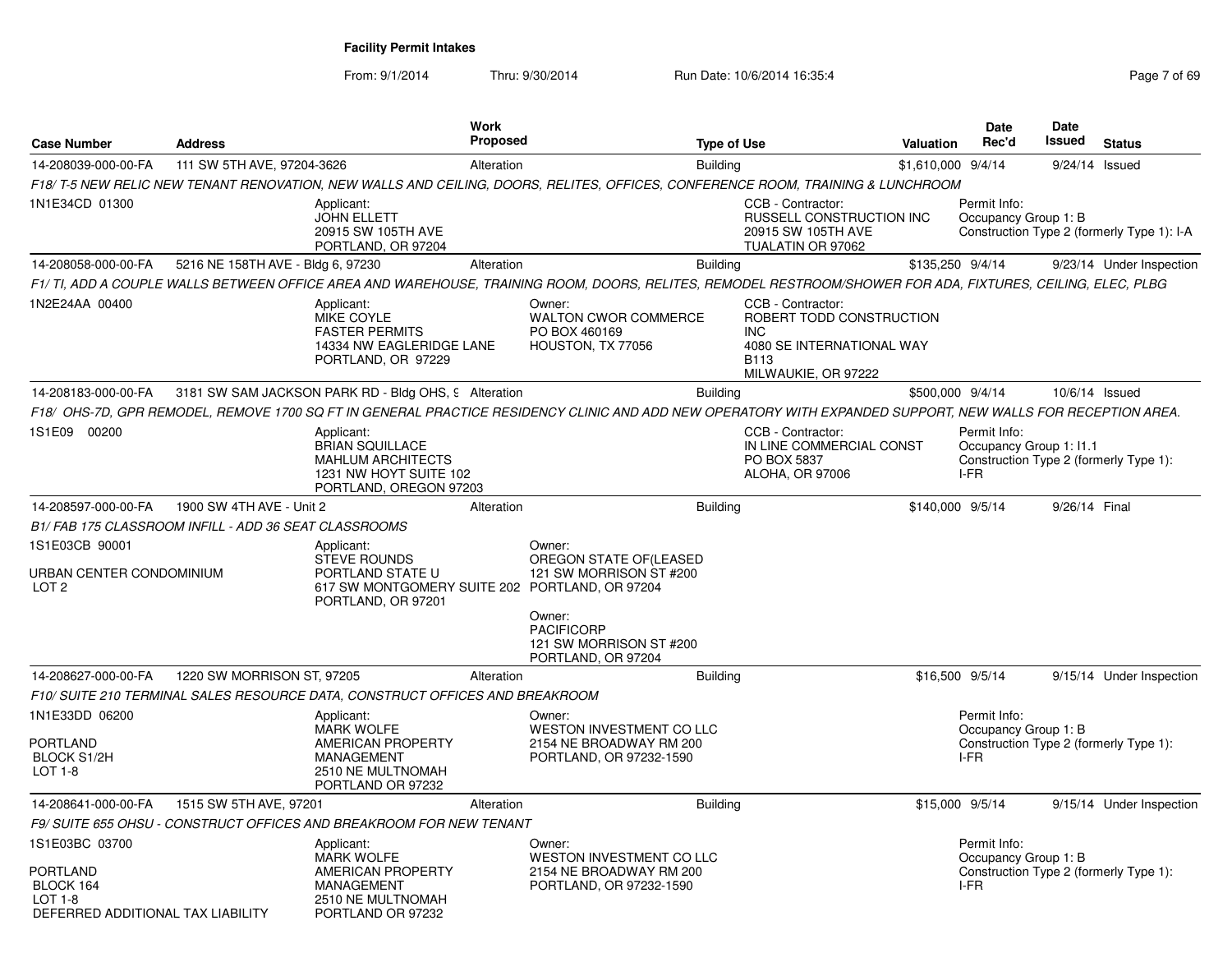| <b>Case Number</b>                                                                             | <b>Address</b>                    |                                                                                                                               | <b>Work</b><br><b>Proposed</b> |                                                                                                                                                             | <b>Type of Use</b> |                                                                                                                                | <b>Valuation</b>   | <b>Date</b><br>Rec'd                            | Date<br><b>Issued</b> | <b>Status</b>                              |
|------------------------------------------------------------------------------------------------|-----------------------------------|-------------------------------------------------------------------------------------------------------------------------------|--------------------------------|-------------------------------------------------------------------------------------------------------------------------------------------------------------|--------------------|--------------------------------------------------------------------------------------------------------------------------------|--------------------|-------------------------------------------------|-----------------------|--------------------------------------------|
| 14-208039-000-00-FA                                                                            | 111 SW 5TH AVE, 97204-3626        |                                                                                                                               | Alteration                     |                                                                                                                                                             | <b>Building</b>    |                                                                                                                                | \$1,610,000 9/4/14 |                                                 |                       | 9/24/14 Issued                             |
|                                                                                                |                                   |                                                                                                                               |                                | F18/T-5 NEW RELIC NEW TENANT RENOVATION, NEW WALLS AND CEILING, DOORS, RELITES, OFFICES, CONFERENCE ROOM, TRAINING & LUNCHROOM                              |                    |                                                                                                                                |                    |                                                 |                       |                                            |
| 1N1E34CD 01300                                                                                 |                                   | Applicant:<br><b>JOHN ELLETT</b><br>20915 SW 105TH AVE<br>PORTLAND, OR 97204                                                  |                                |                                                                                                                                                             |                    | CCB - Contractor:<br>RUSSELL CONSTRUCTION INC<br>20915 SW 105TH AVE<br>TUALATIN OR 97062                                       |                    | Permit Info:<br>Occupancy Group 1: B            |                       | Construction Type 2 (formerly Type 1): I-A |
| 14-208058-000-00-FA                                                                            | 5216 NE 158TH AVE - Bldg 6, 97230 |                                                                                                                               | Alteration                     |                                                                                                                                                             | <b>Building</b>    |                                                                                                                                | \$135,250 9/4/14   |                                                 |                       | 9/23/14 Under Inspection                   |
|                                                                                                |                                   |                                                                                                                               |                                | F1/TI, ADD A COUPLE WALLS BETWEEN OFFICE AREA AND WAREHOUSE, TRAINING ROOM, DOORS, RELITES, REMODEL RESTROOM/SHOWER FOR ADA, FIXTURES, CEILING, ELEC, PLBG  |                    |                                                                                                                                |                    |                                                 |                       |                                            |
| 1N2E24AA 00400                                                                                 |                                   | Applicant:<br><b>MIKE COYLE</b><br><b>FASTER PERMITS</b><br>14334 NW EAGLERIDGE LANE<br>PORTLAND, OR 97229                    |                                | Owner:<br><b>WALTON CWOR COMMERCE</b><br>PO BOX 460169<br>HOUSTON, TX 77056                                                                                 |                    | CCB - Contractor:<br>ROBERT TODD CONSTRUCTION<br><b>INC</b><br>4080 SE INTERNATIONAL WAY<br><b>B113</b><br>MILWAUKIE, OR 97222 |                    |                                                 |                       |                                            |
| 14-208183-000-00-FA                                                                            |                                   | 3181 SW SAM JACKSON PARK RD - Bldg OHS, 9 Alteration                                                                          |                                |                                                                                                                                                             | <b>Building</b>    |                                                                                                                                | \$500,000 9/4/14   |                                                 |                       | 10/6/14 Issued                             |
|                                                                                                |                                   |                                                                                                                               |                                | F18/ OHS-7D, GPR REMODEL, REMOVE 1700 SQ FT IN GENERAL PRACTICE RESIDENCY CLINIC AND ADD NEW OPERATORY WITH EXPANDED SUPPORT, NEW WALLS FOR RECEPTION AREA. |                    |                                                                                                                                |                    |                                                 |                       |                                            |
| 1S1E09 00200                                                                                   |                                   | Applicant:<br><b>BRIAN SQUILLACE</b><br><b>MAHLUM ARCHITECTS</b><br>1231 NW HOYT SUITE 102<br>PORTLAND, OREGON 97203          |                                |                                                                                                                                                             |                    | CCB - Contractor:<br>IN LINE COMMERCIAL CONST<br>PO BOX 5837<br>ALOHA, OR 97006                                                |                    | Permit Info:<br>Occupancy Group 1: I1.1<br>I-FR |                       | Construction Type 2 (formerly Type 1):     |
| 14-208597-000-00-FA                                                                            | 1900 SW 4TH AVE - Unit 2          |                                                                                                                               | Alteration                     |                                                                                                                                                             | <b>Building</b>    |                                                                                                                                | \$140,000 9/5/14   |                                                 | 9/26/14 Final         |                                            |
| B1/FAB 175 CLASSROOM INFILL - ADD 36 SEAT CLASSROOMS                                           |                                   |                                                                                                                               |                                |                                                                                                                                                             |                    |                                                                                                                                |                    |                                                 |                       |                                            |
| 1S1E03CB 90001<br>URBAN CENTER CONDOMINIUM<br>LOT <sub>2</sub>                                 |                                   | Applicant:<br><b>STEVE ROUNDS</b><br>PORTLAND STATE U<br>617 SW MONTGOMERY SUITE 202 PORTLAND, OR 97204<br>PORTLAND, OR 97201 |                                | Owner:<br>OREGON STATE OF(LEASED<br>121 SW MORRISON ST #200                                                                                                 |                    |                                                                                                                                |                    |                                                 |                       |                                            |
|                                                                                                |                                   |                                                                                                                               |                                | Owner:<br><b>PACIFICORP</b><br>121 SW MORRISON ST #200<br>PORTLAND, OR 97204                                                                                |                    |                                                                                                                                |                    |                                                 |                       |                                            |
| 14-208627-000-00-FA                                                                            | 1220 SW MORRISON ST, 97205        |                                                                                                                               | Alteration                     |                                                                                                                                                             | <b>Building</b>    |                                                                                                                                | \$16,500 9/5/14    |                                                 |                       | 9/15/14 Under Inspection                   |
|                                                                                                |                                   | F10/ SUITE 210 TERMINAL SALES RESOURCE DATA, CONSTRUCT OFFICES AND BREAKROOM                                                  |                                |                                                                                                                                                             |                    |                                                                                                                                |                    |                                                 |                       |                                            |
| 1N1E33DD 06200<br>PORTLAND<br><b>BLOCK S1/2H</b><br><b>LOT 1-8</b>                             |                                   | Applicant:<br><b>MARK WOLFE</b><br>AMERICAN PROPERTY<br>MANAGEMENT<br>2510 NE MULTNOMAH<br>PORTLAND OR 97232                  |                                | Owner:<br>WESTON INVESTMENT CO LLC<br>2154 NE BROADWAY RM 200<br>PORTLAND, OR 97232-1590                                                                    |                    |                                                                                                                                |                    | Permit Info:<br>Occupancy Group 1: B<br>I-FR    |                       | Construction Type 2 (formerly Type 1):     |
| 14-208641-000-00-FA                                                                            | 1515 SW 5TH AVE, 97201            |                                                                                                                               | Alteration                     |                                                                                                                                                             | <b>Building</b>    |                                                                                                                                | \$15,000 9/5/14    |                                                 |                       | 9/15/14 Under Inspection                   |
|                                                                                                |                                   | F9/ SUITE 655 OHSU - CONSTRUCT OFFICES AND BREAKROOM FOR NEW TENANT                                                           |                                |                                                                                                                                                             |                    |                                                                                                                                |                    |                                                 |                       |                                            |
| 1S1E03BC 03700<br><b>PORTLAND</b><br>BLOCK 164<br>LOT 1-8<br>DEFERRED ADDITIONAL TAX LIABILITY |                                   | Applicant:<br><b>MARK WOLFE</b><br>AMERICAN PROPERTY<br><b>MANAGEMENT</b><br>2510 NE MULTNOMAH<br>PORTLAND OR 97232           |                                | Owner:<br>WESTON INVESTMENT CO LLC<br>2154 NE BROADWAY RM 200<br>PORTLAND, OR 97232-1590                                                                    |                    |                                                                                                                                |                    | Permit Info:<br>Occupancy Group 1: B<br>I-FR    |                       | Construction Type 2 (formerly Type 1):     |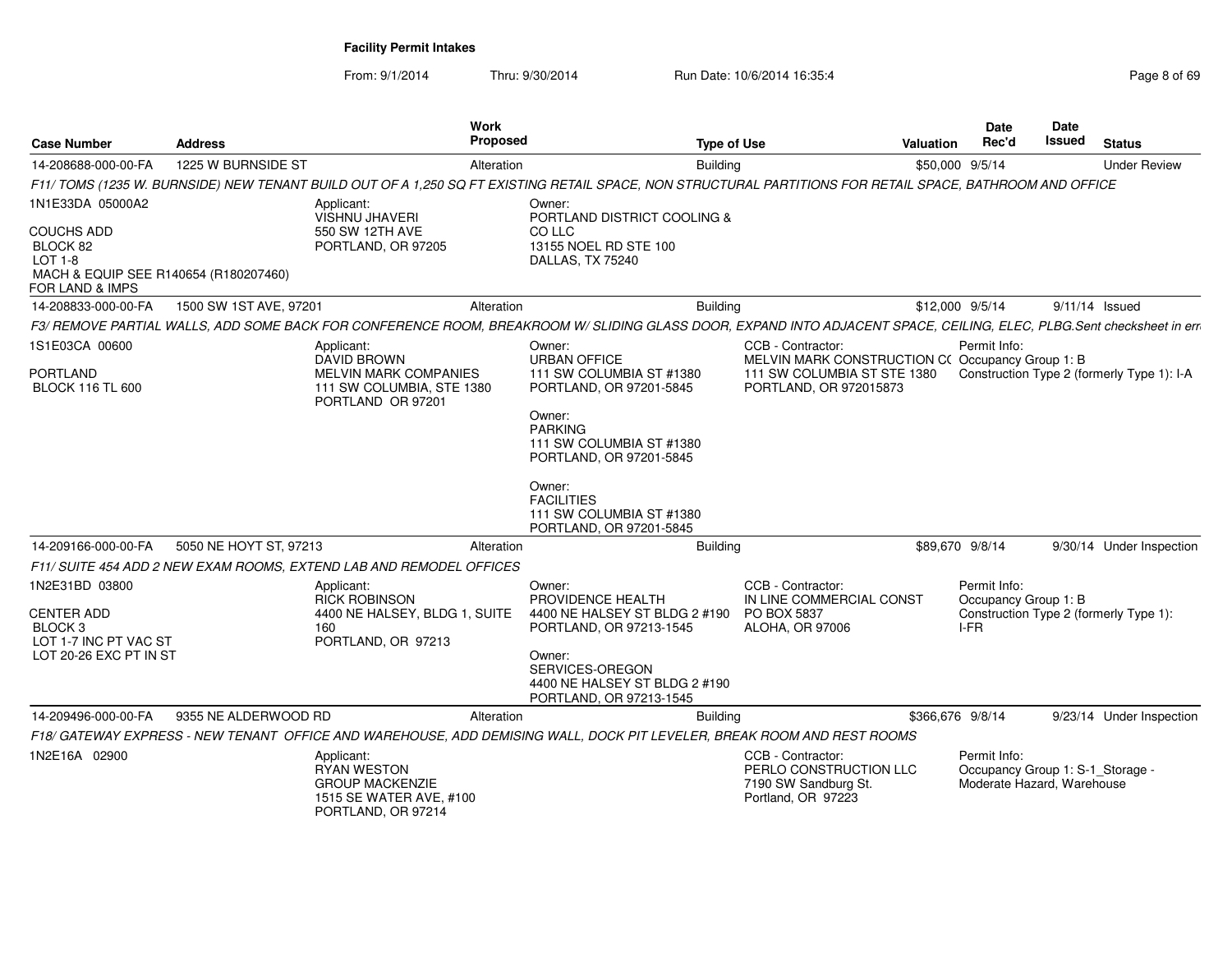| <b>Case Number</b>                                                                                              | <b>Address</b>         | <b>Work</b><br><b>Proposed</b>                                                                              | <b>Type of Use</b>                                                                                                                                                   |                                                                                           | Valuation        | <b>Date</b><br>Rec'd                                                           | <b>Date</b><br>Issued | <b>Status</b>                              |
|-----------------------------------------------------------------------------------------------------------------|------------------------|-------------------------------------------------------------------------------------------------------------|----------------------------------------------------------------------------------------------------------------------------------------------------------------------|-------------------------------------------------------------------------------------------|------------------|--------------------------------------------------------------------------------|-----------------------|--------------------------------------------|
| 14-208688-000-00-FA                                                                                             | 1225 W BURNSIDE ST     | Alteration                                                                                                  | <b>Building</b>                                                                                                                                                      |                                                                                           | \$50,000 9/5/14  |                                                                                |                       | <b>Under Review</b>                        |
|                                                                                                                 |                        |                                                                                                             | F11/ TOMS (1235 W. BURNSIDE) NEW TENANT BUILD OUT OF A 1,250 SQ FT EXISTING RETAIL SPACE, NON STRUCTURAL PARTITIONS FOR RETAIL SPACE, BATHROOM AND OFFICE            |                                                                                           |                  |                                                                                |                       |                                            |
| 1N1E33DA 05000A2                                                                                                |                        | Applicant:<br><b>VISHNU JHAVERI</b>                                                                         | Owner:<br>PORTLAND DISTRICT COOLING &                                                                                                                                |                                                                                           |                  |                                                                                |                       |                                            |
| <b>COUCHS ADD</b><br>BLOCK 82<br>LOT 1-8<br>MACH & EQUIP SEE R140654 (R180207460)<br><b>FOR LAND &amp; IMPS</b> |                        | 550 SW 12TH AVE<br>PORTLAND, OR 97205                                                                       | CO LLC<br>13155 NOEL RD STE 100<br>DALLAS, TX 75240                                                                                                                  |                                                                                           |                  |                                                                                |                       |                                            |
| 14-208833-000-00-FA                                                                                             | 1500 SW 1ST AVE, 97201 | Alteration                                                                                                  | <b>Building</b>                                                                                                                                                      |                                                                                           | \$12,000 9/5/14  |                                                                                |                       | $9/11/14$ Issued                           |
|                                                                                                                 |                        |                                                                                                             | F3/ REMOVE PARTIAL WALLS, ADD SOME BACK FOR CONFERENCE ROOM, BREAKROOM W/ SLIDING GLASS DOOR, EXPAND INTO ADJACENT SPACE, CEILING, ELEC, PLBG.Sent checksheet in err |                                                                                           |                  |                                                                                |                       |                                            |
| 1S1E03CA 00600                                                                                                  |                        | Applicant:<br><b>DAVID BROWN</b>                                                                            | Owner:<br><b>URBAN OFFICE</b>                                                                                                                                        | CCB - Contractor:<br>MELVIN MARK CONSTRUCTION C(Occupancy Group 1: B)                     |                  | Permit Info:                                                                   |                       |                                            |
| <b>PORTLAND</b><br><b>BLOCK 116 TL 600</b>                                                                      |                        | <b>MELVIN MARK COMPANIES</b><br>111 SW COLUMBIA, STE 1380<br>PORTLAND OR 97201                              | 111 SW COLUMBIA ST #1380<br>PORTLAND, OR 97201-5845                                                                                                                  | 111 SW COLUMBIA ST STE 1380<br>PORTLAND, OR 972015873                                     |                  |                                                                                |                       | Construction Type 2 (formerly Type 1): I-A |
|                                                                                                                 |                        |                                                                                                             | Owner:<br><b>PARKING</b><br>111 SW COLUMBIA ST #1380<br>PORTLAND, OR 97201-5845                                                                                      |                                                                                           |                  |                                                                                |                       |                                            |
|                                                                                                                 |                        |                                                                                                             | Owner:<br><b>FACILITIES</b><br>111 SW COLUMBIA ST #1380<br>PORTLAND, OR 97201-5845                                                                                   |                                                                                           |                  |                                                                                |                       |                                            |
| 14-209166-000-00-FA                                                                                             | 5050 NE HOYT ST, 97213 | Alteration                                                                                                  | <b>Building</b>                                                                                                                                                      |                                                                                           | \$89,670 9/8/14  |                                                                                |                       | 9/30/14 Under Inspection                   |
|                                                                                                                 |                        | F11/ SUITE 454 ADD 2 NEW EXAM ROOMS, EXTEND LAB AND REMODEL OFFICES                                         |                                                                                                                                                                      |                                                                                           |                  |                                                                                |                       |                                            |
| 1N2E31BD 03800<br><b>CENTER ADD</b><br>BLOCK <sub>3</sub><br>LOT 1-7 INC PT VAC ST                              |                        | Applicant:<br><b>RICK ROBINSON</b><br>4400 NE HALSEY, BLDG 1, SUITE<br>160<br>PORTLAND, OR 97213            | Owner:<br>PROVIDENCE HEALTH<br>4400 NE HALSEY ST BLDG 2 #190<br>PORTLAND, OR 97213-1545                                                                              | CCB - Contractor:<br>IN LINE COMMERCIAL CONST<br>PO BOX 5837<br>ALOHA, OR 97006           |                  | Permit Info:<br>Occupancy Group 1: B<br>I-FR                                   |                       | Construction Type 2 (formerly Type 1):     |
| LOT 20-26 EXC PT IN ST                                                                                          |                        |                                                                                                             | Owner:<br>SERVICES-OREGON<br>4400 NE HALSEY ST BLDG 2 #190<br>PORTLAND, OR 97213-1545                                                                                |                                                                                           |                  |                                                                                |                       |                                            |
| 14-209496-000-00-FA                                                                                             | 9355 NE ALDERWOOD RD   | Alteration                                                                                                  | <b>Building</b>                                                                                                                                                      |                                                                                           | \$366,676 9/8/14 |                                                                                |                       | 9/23/14 Under Inspection                   |
|                                                                                                                 |                        |                                                                                                             | F18/ GATEWAY EXPRESS - NEW TENANT OFFICE AND WAREHOUSE, ADD DEMISING WALL, DOCK PIT LEVELER, BREAK ROOM AND REST ROOMS                                               |                                                                                           |                  |                                                                                |                       |                                            |
| 1N2E16A 02900                                                                                                   |                        | Applicant:<br><b>RYAN WESTON</b><br><b>GROUP MACKENZIE</b><br>1515 SE WATER AVE, #100<br>PORTLAND, OR 97214 |                                                                                                                                                                      | CCB - Contractor:<br>PERLO CONSTRUCTION LLC<br>7190 SW Sandburg St.<br>Portland, OR 97223 |                  | Permit Info:<br>Occupancy Group 1: S-1_Storage -<br>Moderate Hazard, Warehouse |                       |                                            |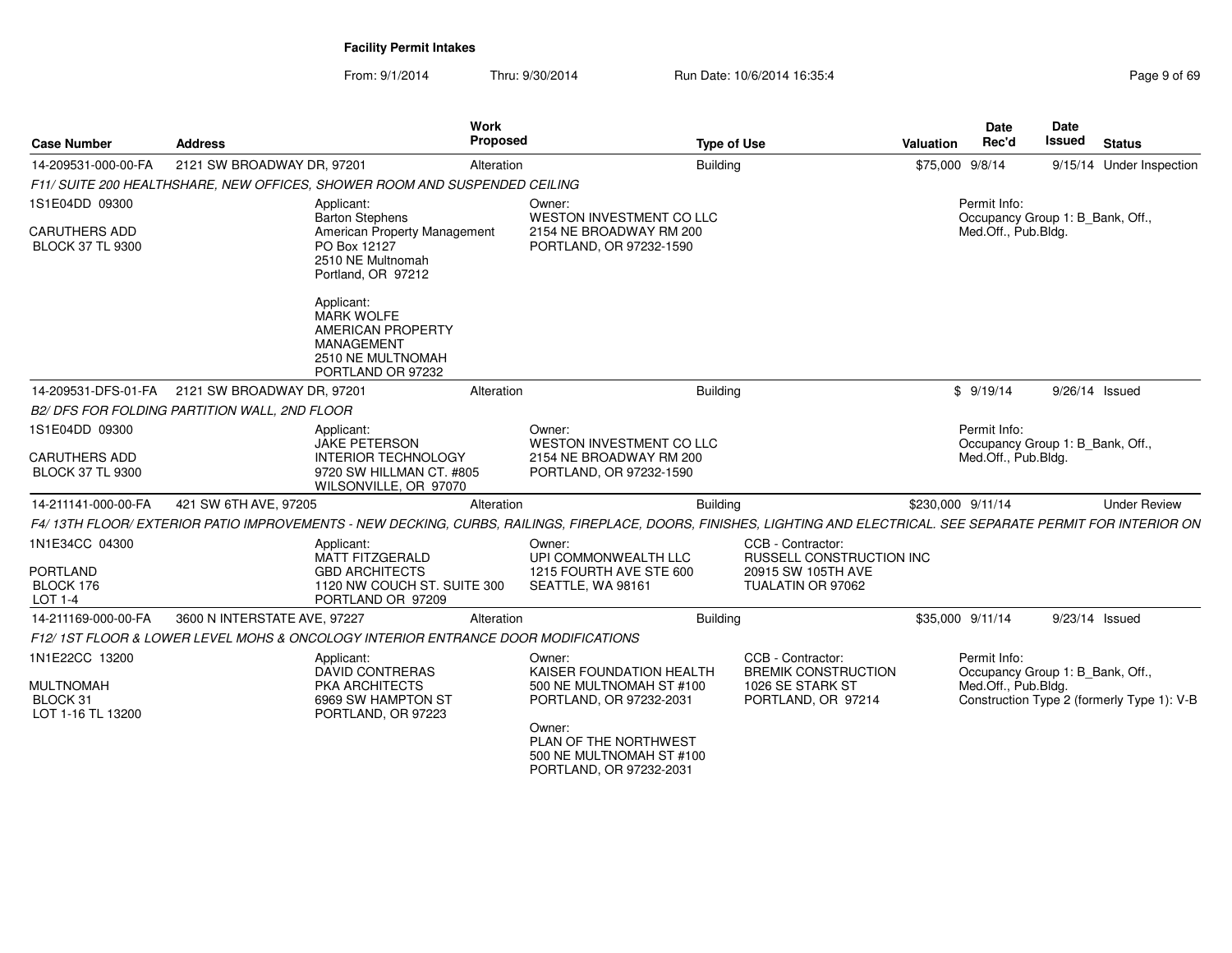| <b>Case Number</b>                                | <b>Address</b>                                | <b>Work</b>                                                                                                                                                          | <b>Proposed</b> |                                                                                        | <b>Type of Use</b> |                                                                            | <b>Valuation</b>  | <b>Date</b><br>Rec'd                             | <b>Date</b><br>Issued | <b>Status</b>                              |
|---------------------------------------------------|-----------------------------------------------|----------------------------------------------------------------------------------------------------------------------------------------------------------------------|-----------------|----------------------------------------------------------------------------------------|--------------------|----------------------------------------------------------------------------|-------------------|--------------------------------------------------|-----------------------|--------------------------------------------|
| 14-209531-000-00-FA                               | 2121 SW BROADWAY DR, 97201                    |                                                                                                                                                                      | Alteration      |                                                                                        | Building           |                                                                            | \$75,000 9/8/14   |                                                  |                       | 9/15/14 Under Inspection                   |
|                                                   |                                               | F11/ SUITE 200 HEALTHSHARE, NEW OFFICES, SHOWER ROOM AND SUSPENDED CEILING                                                                                           |                 |                                                                                        |                    |                                                                            |                   |                                                  |                       |                                            |
| 1S1E04DD 09300                                    |                                               | Applicant:<br><b>Barton Stephens</b>                                                                                                                                 |                 | Owner:<br>WESTON INVESTMENT CO LLC                                                     |                    |                                                                            |                   | Permit Info:<br>Occupancy Group 1: B_Bank, Off., |                       |                                            |
| <b>CARUTHERS ADD</b><br><b>BLOCK 37 TL 9300</b>   |                                               | American Property Management<br>PO Box 12127<br>2510 NE Multnomah<br>Portland, OR 97212                                                                              |                 | 2154 NE BROADWAY RM 200<br>PORTLAND, OR 97232-1590                                     |                    |                                                                            |                   | Med.Off., Pub.Bldg.                              |                       |                                            |
|                                                   |                                               | Applicant:<br>MARK WOLFE<br>AMERICAN PROPERTY<br><b>MANAGEMENT</b><br>2510 NE MULTNOMAH<br>PORTLAND OR 97232                                                         |                 |                                                                                        |                    |                                                                            |                   |                                                  |                       |                                            |
| 14-209531-DFS-01-FA                               | 2121 SW BROADWAY DR. 97201                    |                                                                                                                                                                      | Alteration      |                                                                                        | <b>Building</b>    |                                                                            |                   | \$9/19/14                                        | 9/26/14 Issued        |                                            |
|                                                   | B2/ DFS FOR FOLDING PARTITION WALL, 2ND FLOOR |                                                                                                                                                                      |                 |                                                                                        |                    |                                                                            |                   |                                                  |                       |                                            |
| 1S1E04DD 09300                                    |                                               | Applicant:<br><b>JAKE PETERSON</b>                                                                                                                                   |                 | Owner:<br>WESTON INVESTMENT CO LLC                                                     |                    |                                                                            |                   | Permit Info:<br>Occupancy Group 1: B_Bank, Off., |                       |                                            |
| <b>CARUTHERS ADD</b><br><b>BLOCK 37 TL 9300</b>   |                                               | <b>INTERIOR TECHNOLOGY</b><br>9720 SW HILLMAN CT. #805<br>WILSONVILLE, OR 97070                                                                                      |                 | 2154 NE BROADWAY RM 200<br>PORTLAND, OR 97232-1590                                     |                    |                                                                            |                   | Med.Off., Pub.Bldg.                              |                       |                                            |
| 14-211141-000-00-FA                               | 421 SW 6TH AVE, 97205                         |                                                                                                                                                                      | Alteration      |                                                                                        | Building           |                                                                            | \$230,000 9/11/14 |                                                  |                       | <b>Under Review</b>                        |
|                                                   |                                               | F4/ 13TH FLOOR/ EXTERIOR PATIO IMPROVEMENTS - NEW DECKING, CURBS, RAILINGS, FIREPLACE, DOORS, FINISHES, LIGHTING AND ELECTRICAL. SEE SEPARATE PERMIT FOR INTERIOR ON |                 |                                                                                        |                    |                                                                            |                   |                                                  |                       |                                            |
| 1N1E34CC 04300<br>PORTLAND                        |                                               | Applicant:<br><b>MATT FITZGERALD</b><br><b>GBD ARCHITECTS</b>                                                                                                        |                 | Owner:<br>UPI COMMONWEALTH LLC<br>1215 FOURTH AVE STE 600                              |                    | CCB - Contractor:<br><b>RUSSELL CONSTRUCTION INC</b><br>20915 SW 105TH AVE |                   |                                                  |                       |                                            |
| BLOCK 176<br><b>LOT 1-4</b>                       |                                               | 1120 NW COUCH ST. SUITE 300<br>PORTLAND OR 97209                                                                                                                     |                 | SEATTLE, WA 98161                                                                      |                    | TUALATIN OR 97062                                                          |                   |                                                  |                       |                                            |
| 14-211169-000-00-FA                               | 3600 N INTERSTATE AVE, 97227                  |                                                                                                                                                                      | Alteration      |                                                                                        | <b>Building</b>    |                                                                            | \$35,000 9/11/14  |                                                  | 9/23/14 Issued        |                                            |
|                                                   |                                               | F12/1ST FLOOR & LOWER LEVEL MOHS & ONCOLOGY INTERIOR ENTRANCE DOOR MODIFICATIONS                                                                                     |                 |                                                                                        |                    |                                                                            |                   |                                                  |                       |                                            |
| 1N1E22CC 13200                                    |                                               | Applicant:<br><b>DAVID CONTRERAS</b>                                                                                                                                 |                 | Owner:<br>KAISER FOUNDATION HEALTH                                                     |                    | CCB - Contractor:<br><b>BREMIK CONSTRUCTION</b>                            |                   | Permit Info:<br>Occupancy Group 1: B_Bank, Off., |                       |                                            |
| <b>MULTNOMAH</b><br>BLOCK 31<br>LOT 1-16 TL 13200 |                                               | <b>PKA ARCHITECTS</b><br>6969 SW HAMPTON ST<br>PORTLAND, OR 97223                                                                                                    |                 | 500 NE MULTNOMAH ST #100<br>PORTLAND, OR 97232-2031                                    |                    | 1026 SE STARK ST<br>PORTLAND, OR 97214                                     |                   | Med.Off., Pub.Bldg.                              |                       | Construction Type 2 (formerly Type 1): V-B |
|                                                   |                                               |                                                                                                                                                                      |                 | Owner:<br>PLAN OF THE NORTHWEST<br>500 NE MULTNOMAH ST #100<br>PORTLAND, OR 97232-2031 |                    |                                                                            |                   |                                                  |                       |                                            |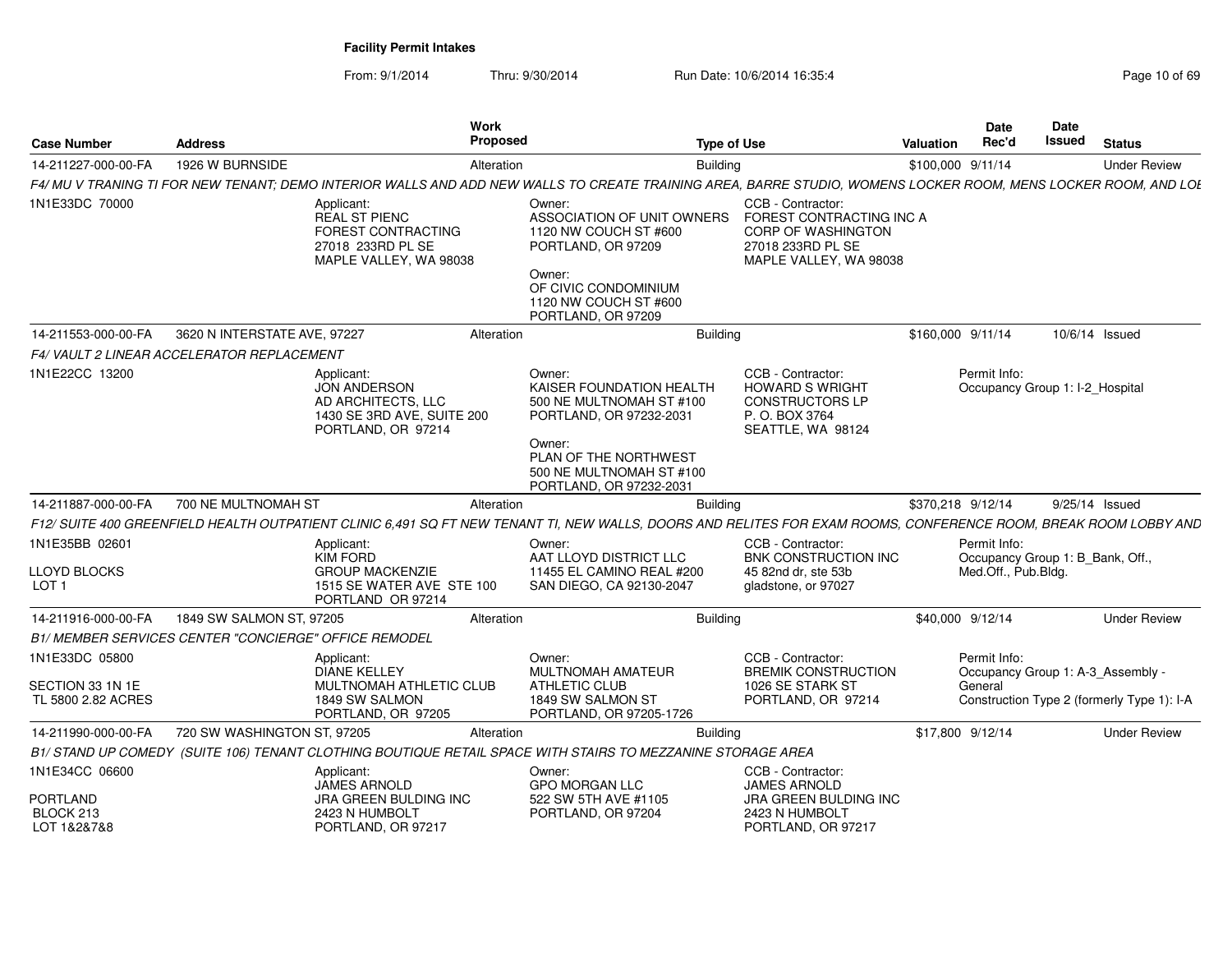From: 9/1/2014

Thru: 9/30/2014 Run Date: 10/6/2014 16:35:4

| <b>Case Number</b>                      | <b>Address</b>                                               | Work<br>Proposed                                                                                                                                                 |                                                                                           | <b>Type of Use</b>                                                                                                        | Valuation         | <b>Date</b><br>Rec'd | <b>Date</b><br>Issued             | <b>Status</b>                              |
|-----------------------------------------|--------------------------------------------------------------|------------------------------------------------------------------------------------------------------------------------------------------------------------------|-------------------------------------------------------------------------------------------|---------------------------------------------------------------------------------------------------------------------------|-------------------|----------------------|-----------------------------------|--------------------------------------------|
| 14-211227-000-00-FA                     | 1926 W BURNSIDE                                              | Alteration                                                                                                                                                       | <b>Building</b>                                                                           |                                                                                                                           | \$100,000 9/11/14 |                      |                                   | <b>Under Review</b>                        |
|                                         |                                                              | F4/ MU V TRANING TI FOR NEW TENANT: DEMO INTERIOR WALLS AND ADD NEW WALLS TO CREATE TRAINING AREA, BARRE STUDIO, WOMENS LOCKER ROOM, MENS LOCKER ROOM, AND LOI   |                                                                                           |                                                                                                                           |                   |                      |                                   |                                            |
| 1N1E33DC 70000                          |                                                              | Applicant:<br>REAL ST PIENC<br>FOREST CONTRACTING<br>27018 233RD PL SE<br>MAPLE VALLEY, WA 98038                                                                 | Owner:<br>ASSOCIATION OF UNIT OWNERS<br>1120 NW COUCH ST #600<br>PORTLAND, OR 97209       | CCB - Contractor:<br>FOREST CONTRACTING INC A<br><b>CORP OF WASHINGTON</b><br>27018 233RD PL SE<br>MAPLE VALLEY, WA 98038 |                   |                      |                                   |                                            |
|                                         |                                                              |                                                                                                                                                                  | Owner:<br>OF CIVIC CONDOMINIUM<br>1120 NW COUCH ST #600<br>PORTLAND, OR 97209             |                                                                                                                           |                   |                      |                                   |                                            |
| 14-211553-000-00-FA                     | 3620 N INTERSTATE AVE, 97227                                 | Alteration                                                                                                                                                       | <b>Building</b>                                                                           |                                                                                                                           | \$160,000 9/11/14 |                      | 10/6/14 Issued                    |                                            |
|                                         | F4/VAULT 2 LINEAR ACCELERATOR REPLACEMENT                    |                                                                                                                                                                  |                                                                                           |                                                                                                                           |                   |                      |                                   |                                            |
| 1N1E22CC 13200                          |                                                              | Applicant:<br><b>JON ANDERSON</b><br>AD ARCHITECTS, LLC<br>1430 SE 3RD AVE, SUITE 200<br>PORTLAND, OR 97214                                                      | Owner:<br>KAISER FOUNDATION HEALTH<br>500 NE MULTNOMAH ST #100<br>PORTLAND, OR 97232-2031 | CCB - Contractor:<br><b>HOWARD S WRIGHT</b><br><b>CONSTRUCTORS LP</b><br>P. O. BOX 3764<br>SEATTLE, WA 98124              |                   | Permit Info:         | Occupancy Group 1: I-2_Hospital   |                                            |
|                                         |                                                              |                                                                                                                                                                  | Owner:<br>PLAN OF THE NORTHWEST<br>500 NE MULTNOMAH ST #100<br>PORTLAND, OR 97232-2031    |                                                                                                                           |                   |                      |                                   |                                            |
| 14-211887-000-00-FA                     | 700 NE MULTNOMAH ST                                          | Alteration                                                                                                                                                       | <b>Building</b>                                                                           |                                                                                                                           | \$370,218 9/12/14 |                      | 9/25/14 Issued                    |                                            |
|                                         |                                                              | F12/ SUITE 400 GREENFIELD HEALTH OUTPATIENT CLINIC 6,491 SQ FT NEW TENANT TI, NEW WALLS, DOORS AND RELITES FOR EXAM ROOMS, CONFERENCE ROOM, BREAK ROOM LOBBY AND |                                                                                           |                                                                                                                           |                   |                      |                                   |                                            |
| 1N1E35BB 02601                          |                                                              | Applicant:<br><b>KIM FORD</b>                                                                                                                                    | Owner:<br>AAT LLOYD DISTRICT LLC                                                          | CCB - Contractor:<br><b>BNK CONSTRUCTION INC</b>                                                                          |                   | Permit Info:         | Occupancy Group 1: B_Bank, Off.,  |                                            |
| <b>LLOYD BLOCKS</b><br>LOT <sub>1</sub> |                                                              | <b>GROUP MACKENZIE</b><br>1515 SE WATER AVE STE 100<br>PORTLAND OR 97214                                                                                         | 11455 EL CAMINO REAL #200<br>SAN DIEGO, CA 92130-2047                                     | 45 82nd dr, ste 53b<br>gladstone, or 97027                                                                                |                   | Med.Off., Pub.Bldg.  |                                   |                                            |
| 14-211916-000-00-FA                     | 1849 SW SALMON ST, 97205                                     | Alteration                                                                                                                                                       | <b>Building</b>                                                                           |                                                                                                                           | \$40,000 9/12/14  |                      |                                   | <b>Under Review</b>                        |
|                                         | <b>B1/ MEMBER SERVICES CENTER "CONCIERGE" OFFICE REMODEL</b> |                                                                                                                                                                  |                                                                                           |                                                                                                                           |                   |                      |                                   |                                            |
| 1N1E33DC 05800                          |                                                              | Applicant:<br>DIANE KELLEY                                                                                                                                       | Owner:<br><b>MULTNOMAH AMATEUR</b>                                                        | CCB - Contractor:<br><b>BREMIK CONSTRUCTION</b>                                                                           |                   | Permit Info:         | Occupancy Group 1: A-3 Assembly - |                                            |
| SECTION 33 1N 1E<br>TL 5800 2.82 ACRES  |                                                              | MULTNOMAH ATHLETIC CLUB<br>1849 SW SALMON<br>PORTLAND, OR 97205                                                                                                  | ATHLETIC CLUB<br>1849 SW SALMON ST<br>PORTLAND, OR 97205-1726                             | 1026 SE STARK ST<br>PORTLAND, OR 97214                                                                                    |                   | General              |                                   | Construction Type 2 (formerly Type 1): I-A |
| 14-211990-000-00-FA                     | 720 SW WASHINGTON ST, 97205                                  | Alteration                                                                                                                                                       | <b>Building</b>                                                                           |                                                                                                                           | \$17,800 9/12/14  |                      |                                   | <b>Under Review</b>                        |
|                                         |                                                              | B1/ STAND UP COMEDY (SUITE 106) TENANT CLOTHING BOUTIQUE RETAIL SPACE WITH STAIRS TO MEZZANINE STORAGE AREA                                                      |                                                                                           |                                                                                                                           |                   |                      |                                   |                                            |
| 1N1E34CC 06600                          |                                                              | Applicant:                                                                                                                                                       | Owner:                                                                                    | CCB - Contractor:                                                                                                         |                   |                      |                                   |                                            |
| PORTLAND                                |                                                              | <b>JAMES ARNOLD</b><br>JRA GREEN BULDING INC                                                                                                                     | <b>GPO MORGAN LLC</b><br>522 SW 5TH AVE #1105                                             | <b>JAMES ARNOLD</b><br>JRA GREEN BULDING INC                                                                              |                   |                      |                                   |                                            |
| BLOCK 213<br>LOT 1&2&7&8                |                                                              | 2423 N HUMBOLT<br>PORTLAND, OR 97217                                                                                                                             | PORTLAND, OR 97204                                                                        | 2423 N HUMBOLT<br>PORTLAND, OR 97217                                                                                      |                   |                      |                                   |                                            |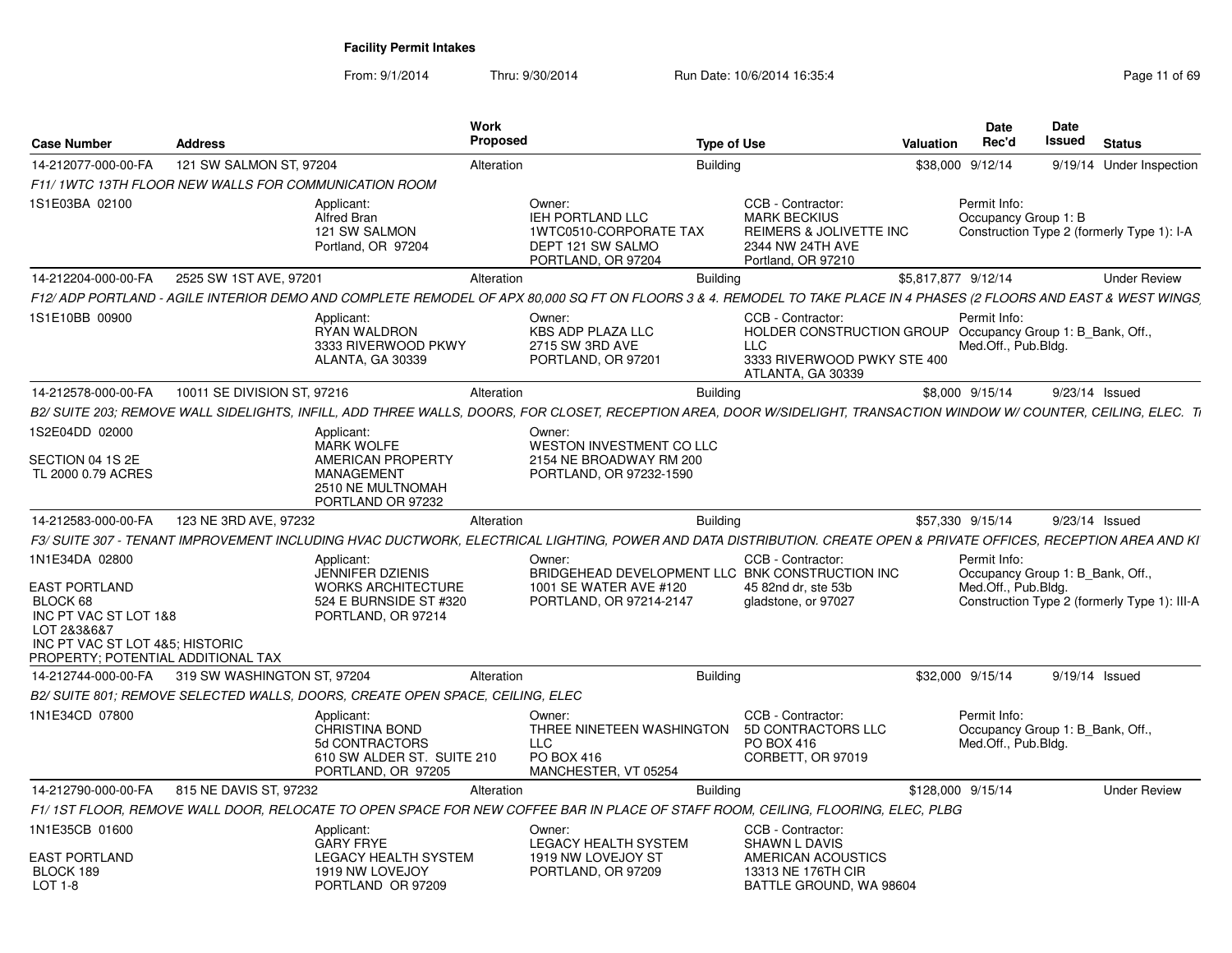| <b>Case Number</b>                                                                                                                                           | <b>Address</b>              |                                                                                                                    | Work<br><b>Proposed</b> |                                                                                                                                                                      | <b>Type of Use</b> |                                                                                                                          | Valuation           | Date<br>Rec'd                                                           | <b>Date</b><br>Issued | <b>Status</b>                                |
|--------------------------------------------------------------------------------------------------------------------------------------------------------------|-----------------------------|--------------------------------------------------------------------------------------------------------------------|-------------------------|----------------------------------------------------------------------------------------------------------------------------------------------------------------------|--------------------|--------------------------------------------------------------------------------------------------------------------------|---------------------|-------------------------------------------------------------------------|-----------------------|----------------------------------------------|
| 14-212077-000-00-FA                                                                                                                                          | 121 SW SALMON ST, 97204     |                                                                                                                    | Alteration              |                                                                                                                                                                      | <b>Building</b>    |                                                                                                                          |                     | \$38,000 9/12/14                                                        |                       | 9/19/14 Under Inspection                     |
| F11/1WTC 13TH FLOOR NEW WALLS FOR COMMUNICATION ROOM                                                                                                         |                             |                                                                                                                    |                         |                                                                                                                                                                      |                    |                                                                                                                          |                     |                                                                         |                       |                                              |
| 1S1E03BA 02100                                                                                                                                               |                             | Applicant:<br><b>Alfred Bran</b><br>121 SW SALMON<br>Portland, OR 97204                                            |                         | Owner:<br>IEH PORTLAND LLC<br>1WTC0510-CORPORATE TAX<br>DEPT 121 SW SALMO<br>PORTLAND, OR 97204                                                                      |                    | CCB - Contractor:<br><b>MARK BECKIUS</b><br><b>REIMERS &amp; JOLIVETTE INC</b><br>2344 NW 24TH AVE<br>Portland, OR 97210 |                     | Permit Info:<br>Occupancy Group 1: B                                    |                       | Construction Type 2 (formerly Type 1): I-A   |
| 14-212204-000-00-FA                                                                                                                                          | 2525 SW 1ST AVE, 97201      |                                                                                                                    | Alteration              |                                                                                                                                                                      | <b>Building</b>    |                                                                                                                          | \$5,817,877 9/12/14 |                                                                         |                       | <b>Under Review</b>                          |
|                                                                                                                                                              |                             |                                                                                                                    |                         | F12/ADP PORTLAND - AGILE INTERIOR DEMO AND COMPLETE REMODEL OF APX 80,000 SQ FT ON FLOORS 3 & 4. REMODEL TO TAKE PLACE IN 4 PHASES (2 FLOORS AND EAST & WEST WINGS   |                    |                                                                                                                          |                     |                                                                         |                       |                                              |
| 1S1E10BB 00900                                                                                                                                               |                             | Applicant:<br><b>RYAN WALDRON</b><br>3333 RIVERWOOD PKWY<br>ALANTA, GA 30339                                       |                         | Owner:<br><b>KBS ADP PLAZA LLC</b><br>2715 SW 3RD AVE<br>PORTLAND, OR 97201                                                                                          |                    | CCB - Contractor:<br><b>HOLDER CONSTRUCTION GROUP</b><br><b>LLC</b><br>3333 RIVERWOOD PWKY STE 400<br>ATLANTA, GA 30339  |                     | Permit Info:<br>Occupancy Group 1: B Bank, Off.,<br>Med.Off., Pub.Bldg. |                       |                                              |
| 14-212578-000-00-FA                                                                                                                                          | 10011 SE DIVISION ST, 97216 |                                                                                                                    | Alteration              |                                                                                                                                                                      | <b>Building</b>    |                                                                                                                          |                     | \$8,000 9/15/14                                                         |                       | 9/23/14 Issued                               |
|                                                                                                                                                              |                             |                                                                                                                    |                         | B2/SUITE 203: REMOVE WALL SIDELIGHTS. INFILL. ADD THREE WALLS. DOORS. FOR CLOSET. RECEPTION AREA. DOOR W/SIDELIGHT. TRANSACTION WINDOW W/ COUNTER. CEILING. ELEC. TI |                    |                                                                                                                          |                     |                                                                         |                       |                                              |
| 1S2E04DD 02000                                                                                                                                               |                             | Applicant:<br><b>MARK WOLFE</b>                                                                                    |                         | Owner:<br>WESTON INVESTMENT CO LLC                                                                                                                                   |                    |                                                                                                                          |                     |                                                                         |                       |                                              |
| SECTION 04 1S 2E<br>TL 2000 0.79 ACRES                                                                                                                       |                             | AMERICAN PROPERTY<br><b>MANAGEMENT</b><br>2510 NE MULTNOMAH<br>PORTLAND OR 97232                                   |                         | 2154 NE BROADWAY RM 200<br>PORTLAND, OR 97232-1590                                                                                                                   |                    |                                                                                                                          |                     |                                                                         |                       |                                              |
| 14-212583-000-00-FA                                                                                                                                          | 123 NE 3RD AVE, 97232       |                                                                                                                    | Alteration              |                                                                                                                                                                      | <b>Building</b>    |                                                                                                                          |                     | \$57,330 9/15/14                                                        |                       | 9/23/14 Issued                               |
|                                                                                                                                                              |                             |                                                                                                                    |                         | F3/ SUITE 307 - TENANT IMPROVEMENT INCLUDING HVAC DUCTWORK. ELECTRICAL LIGHTING. POWER AND DATA DISTRIBUTION. CREATE OPEN & PRIVATE OFFICES. RECEPTION AREA AND KI   |                    |                                                                                                                          |                     |                                                                         |                       |                                              |
| 1N1E34DA 02800<br>EAST PORTLAND<br>BLOCK 68<br>INC PT VAC ST LOT 1&8<br>LOT 2&3&6&7<br>INC PT VAC ST LOT 4&5: HISTORIC<br>PROPERTY: POTENTIAL ADDITIONAL TAX |                             | Applicant:<br><b>JENNIFER DZIENIS</b><br><b>WORKS ARCHITECTURE</b><br>524 E BURNSIDE ST #320<br>PORTLAND, OR 97214 |                         | Owner:<br>BRIDGEHEAD DEVELOPMENT LLC BNK CONSTRUCTION INC<br>1001 SE WATER AVE #120<br>PORTLAND, OR 97214-2147                                                       |                    | CCB - Contractor:<br>45 82nd dr. ste 53b<br>gladstone, or 97027                                                          |                     | Permit Info:<br>Occupancy Group 1: B Bank, Off.,<br>Med.Off., Pub.Bldg. |                       | Construction Type 2 (formerly Type 1): III-A |
| 14-212744-000-00-FA                                                                                                                                          | 319 SW WASHINGTON ST, 97204 |                                                                                                                    | Alteration              |                                                                                                                                                                      | <b>Building</b>    |                                                                                                                          |                     | \$32,000 9/15/14                                                        |                       | 9/19/14 Issued                               |
|                                                                                                                                                              |                             | B2/ SUITE 801; REMOVE SELECTED WALLS, DOORS, CREATE OPEN SPACE, CEILING, ELEC                                      |                         |                                                                                                                                                                      |                    |                                                                                                                          |                     |                                                                         |                       |                                              |
| 1N1E34CD 07800                                                                                                                                               |                             | Applicant:<br><b>CHRISTINA BOND</b><br>5d CONTRACTORS<br>610 SW ALDER ST. SUITE 210<br>PORTLAND, OR 97205          |                         | Owner:<br>THREE NINETEEN WASHINGTON<br>LLC<br>PO BOX 416<br>MANCHESTER. VT 05254                                                                                     |                    | CCB - Contractor:<br>5D CONTRACTORS LLC<br>PO BOX 416<br>CORBETT, OR 97019                                               |                     | Permit Info:<br>Occupancy Group 1: B_Bank, Off.,<br>Med.Off., Pub.Bldg. |                       |                                              |
| 14-212790-000-00-FA                                                                                                                                          | 815 NE DAVIS ST, 97232      |                                                                                                                    | Alteration              |                                                                                                                                                                      | <b>Building</b>    |                                                                                                                          | \$128,000 9/15/14   |                                                                         |                       | <b>Under Review</b>                          |
|                                                                                                                                                              |                             |                                                                                                                    |                         | F1/1ST FLOOR, REMOVE WALL DOOR, RELOCATE TO OPEN SPACE FOR NEW COFFEE BAR IN PLACE OF STAFF ROOM, CEILING, FLOORING, ELEC, PLBG                                      |                    |                                                                                                                          |                     |                                                                         |                       |                                              |
| 1N1E35CB 01600                                                                                                                                               |                             | Applicant:<br><b>GARY FRYE</b>                                                                                     |                         | Owner:<br><b>LEGACY HEALTH SYSTEM</b>                                                                                                                                |                    | CCB - Contractor:<br><b>SHAWN L DAVIS</b>                                                                                |                     |                                                                         |                       |                                              |
| EAST PORTLAND<br>BLOCK 189<br>LOT 1-8                                                                                                                        |                             | LEGACY HEALTH SYSTEM<br>1919 NW LOVEJOY<br>PORTLAND OR 97209                                                       |                         | 1919 NW LOVEJOY ST<br>PORTLAND, OR 97209                                                                                                                             |                    | AMERICAN ACOUSTICS<br>13313 NE 176TH CIR<br>BATTLE GROUND, WA 98604                                                      |                     |                                                                         |                       |                                              |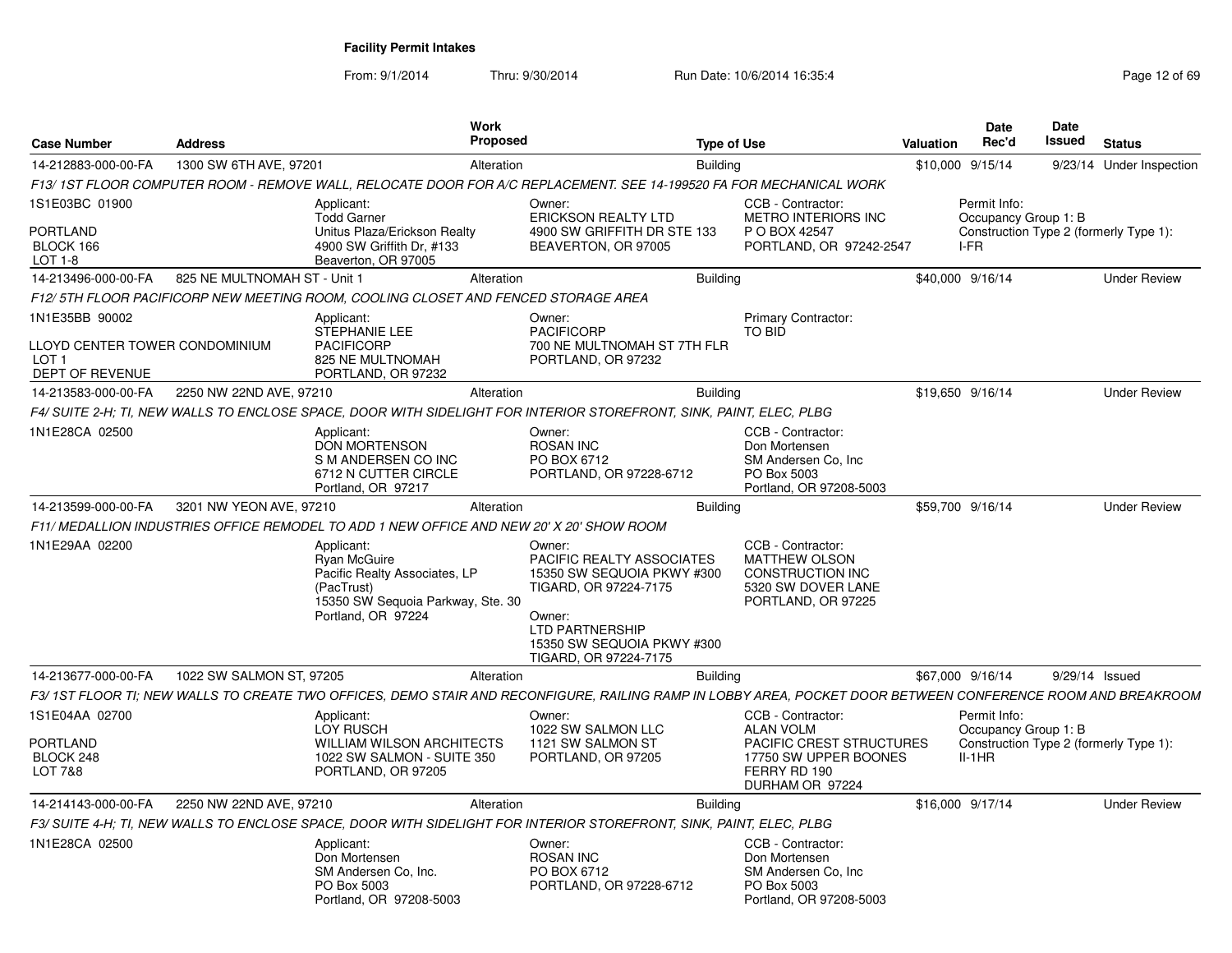| <b>Case Number</b>                                                                  | <b>Work</b><br>Proposed<br><b>Address</b> |                                                                                                                                      |                                                                                                                    |                                                                                                                                                                                       | <b>Type of Use</b> | <b>Valuation</b>                                                                                                              | <b>Date</b><br>Rec'd | <b>Date</b><br><b>Issued</b>                                                               | <b>Status</b>  |                          |
|-------------------------------------------------------------------------------------|-------------------------------------------|--------------------------------------------------------------------------------------------------------------------------------------|--------------------------------------------------------------------------------------------------------------------|---------------------------------------------------------------------------------------------------------------------------------------------------------------------------------------|--------------------|-------------------------------------------------------------------------------------------------------------------------------|----------------------|--------------------------------------------------------------------------------------------|----------------|--------------------------|
| 14-212883-000-00-FA                                                                 | 1300 SW 6TH AVE, 97201                    |                                                                                                                                      | Alteration                                                                                                         |                                                                                                                                                                                       | <b>Building</b>    |                                                                                                                               |                      | \$10,000 9/15/14                                                                           |                | 9/23/14 Under Inspection |
|                                                                                     |                                           |                                                                                                                                      | F13/1ST FLOOR COMPUTER ROOM - REMOVE WALL, RELOCATE DOOR FOR A/C REPLACEMENT. SEE 14-199520 FA FOR MECHANICAL WORK |                                                                                                                                                                                       |                    |                                                                                                                               |                      |                                                                                            |                |                          |
| 1S1E03BC 01900<br>PORTLAND<br>BLOCK 166<br>$LOT 1-8$                                |                                           | Applicant:<br><b>Todd Garner</b><br>Unitus Plaza/Erickson Realty<br>4900 SW Griffith Dr. #133<br>Beaverton, OR 97005                 |                                                                                                                    | Owner:<br><b>ERICKSON REALTY LTD</b><br>4900 SW GRIFFITH DR STE 133<br>BEAVERTON, OR 97005                                                                                            |                    | CCB - Contractor:<br>METRO INTERIORS INC<br>P O BOX 42547<br>PORTLAND, OR 97242-2547                                          |                      | Permit Info:<br>Occupancy Group 1: B<br>Construction Type 2 (formerly Type 1):<br>I-FR     |                |                          |
| 14-213496-000-00-FA                                                                 | 825 NE MULTNOMAH ST - Unit 1              |                                                                                                                                      | Alteration                                                                                                         |                                                                                                                                                                                       | <b>Building</b>    |                                                                                                                               |                      | \$40,000 9/16/14                                                                           |                | <b>Under Review</b>      |
|                                                                                     |                                           | F12/5TH FLOOR PACIFICORP NEW MEETING ROOM, COOLING CLOSET AND FENCED STORAGE AREA                                                    |                                                                                                                    |                                                                                                                                                                                       |                    |                                                                                                                               |                      |                                                                                            |                |                          |
| 1N1E35BB 90002<br>LLOYD CENTER TOWER CONDOMINIUM<br>LOT 1<br><b>DEPT OF REVENUE</b> |                                           | Applicant:<br><b>STEPHANIE LEE</b><br><b>PACIFICORP</b><br>825 NE MULTNOMAH<br>PORTLAND, OR 97232                                    |                                                                                                                    | Owner:<br><b>PACIFICORP</b><br>700 NE MULTNOMAH ST 7TH FLR<br>PORTLAND, OR 97232                                                                                                      |                    | Primary Contractor:<br>TO BID                                                                                                 |                      |                                                                                            |                |                          |
| 14-213583-000-00-FA                                                                 | 2250 NW 22ND AVE, 97210                   |                                                                                                                                      | Alteration                                                                                                         |                                                                                                                                                                                       | <b>Building</b>    |                                                                                                                               |                      | \$19.650 9/16/14                                                                           |                | <b>Under Review</b>      |
|                                                                                     |                                           |                                                                                                                                      |                                                                                                                    | F4/ SUITE 2-H; TI, NEW WALLS TO ENCLOSE SPACE, DOOR WITH SIDELIGHT FOR INTERIOR STOREFRONT, SINK, PAINT, ELEC, PLBG                                                                   |                    |                                                                                                                               |                      |                                                                                            |                |                          |
| 1N1E28CA 02500                                                                      |                                           | Applicant:<br><b>DON MORTENSON</b><br>S M ANDERSEN CO INC<br>6712 N CUTTER CIRCLE<br>Portland, OR 97217                              |                                                                                                                    | Owner:<br><b>ROSAN INC</b><br>PO BOX 6712<br>PORTLAND, OR 97228-6712                                                                                                                  |                    | CCB - Contractor:<br>Don Mortensen<br>SM Andersen Co, Inc.<br>PO Box 5003<br>Portland, OR 97208-5003                          |                      |                                                                                            |                |                          |
| 14-213599-000-00-FA                                                                 | 3201 NW YEON AVE, 97210                   |                                                                                                                                      | Alteration                                                                                                         |                                                                                                                                                                                       | <b>Building</b>    |                                                                                                                               |                      | \$59,700 9/16/14                                                                           |                | <b>Under Review</b>      |
|                                                                                     |                                           | F11/ MEDALLION INDUSTRIES OFFICE REMODEL TO ADD 1 NEW OFFICE AND NEW 20' X 20' SHOW ROOM                                             |                                                                                                                    |                                                                                                                                                                                       |                    |                                                                                                                               |                      |                                                                                            |                |                          |
| 1N1E29AA 02200                                                                      |                                           | Applicant:<br>Ryan McGuire<br>Pacific Realty Associates, LP<br>(PacTrust)<br>15350 SW Sequoia Parkway, Ste. 30<br>Portland, OR 97224 |                                                                                                                    | Owner:<br>PACIFIC REALTY ASSOCIATES<br>15350 SW SEQUOIA PKWY #300<br>TIGARD, OR 97224-7175<br>Owner:<br><b>LTD PARTNERSHIP</b><br>15350 SW SEQUOIA PKWY #300<br>TIGARD, OR 97224-7175 |                    | CCB - Contractor:<br><b>MATTHEW OLSON</b><br><b>CONSTRUCTION INC</b><br>5320 SW DOVER LANE<br>PORTLAND, OR 97225              |                      |                                                                                            |                |                          |
| 14-213677-000-00-FA                                                                 | 1022 SW SALMON ST, 97205                  |                                                                                                                                      | Alteration                                                                                                         |                                                                                                                                                                                       | <b>Building</b>    |                                                                                                                               |                      | \$67,000 9/16/14                                                                           | 9/29/14 Issued |                          |
|                                                                                     |                                           |                                                                                                                                      |                                                                                                                    | F3/ 1ST FLOOR TI: NEW WALLS TO CREATE TWO OFFICES, DEMO STAIR AND RECONFIGURE, RAILING RAMP IN LOBBY AREA, POCKET DOOR BETWEEN CONFERENCE ROOM AND BREAKROOM                          |                    |                                                                                                                               |                      |                                                                                            |                |                          |
| 1S1E04AA 02700<br>PORTLAND<br>BLOCK 248<br>LOT 7&8                                  |                                           | Applicant:<br>LOY RUSCH<br><b>WILLIAM WILSON ARCHITECTS</b><br>1022 SW SALMON - SUITE 350<br>PORTLAND, OR 97205                      |                                                                                                                    | Owner:<br>1022 SW SALMON LLC<br>1121 SW SALMON ST<br>PORTLAND, OR 97205                                                                                                               |                    | CCB - Contractor:<br><b>ALAN VOLM</b><br>PACIFIC CREST STRUCTURES<br>17750 SW UPPER BOONES<br>FERRY RD 190<br>DURHAM OR 97224 |                      | Permit Info:<br>Occupancy Group 1: B<br>Construction Type 2 (formerly Type 1):<br>$II-1HR$ |                |                          |
| 14-214143-000-00-FA                                                                 | 2250 NW 22ND AVE, 97210                   |                                                                                                                                      | Alteration                                                                                                         |                                                                                                                                                                                       | <b>Building</b>    |                                                                                                                               |                      | \$16,000 9/17/14                                                                           |                | <b>Under Review</b>      |
|                                                                                     |                                           |                                                                                                                                      |                                                                                                                    | F3/ SUITE 4-H; TI, NEW WALLS TO ENCLOSE SPACE, DOOR WITH SIDELIGHT FOR INTERIOR STOREFRONT, SINK, PAINT, ELEC, PLBG                                                                   |                    |                                                                                                                               |                      |                                                                                            |                |                          |
| 1N1E28CA 02500                                                                      |                                           | Applicant:<br>Don Mortensen<br>SM Andersen Co, Inc.<br>PO Box 5003<br>Portland, OR 97208-5003                                        |                                                                                                                    | Owner:<br><b>ROSAN INC</b><br>PO BOX 6712<br>PORTLAND, OR 97228-6712                                                                                                                  |                    | CCB - Contractor:<br>Don Mortensen<br>SM Andersen Co, Inc<br>PO Box 5003<br>Portland, OR 97208-5003                           |                      |                                                                                            |                |                          |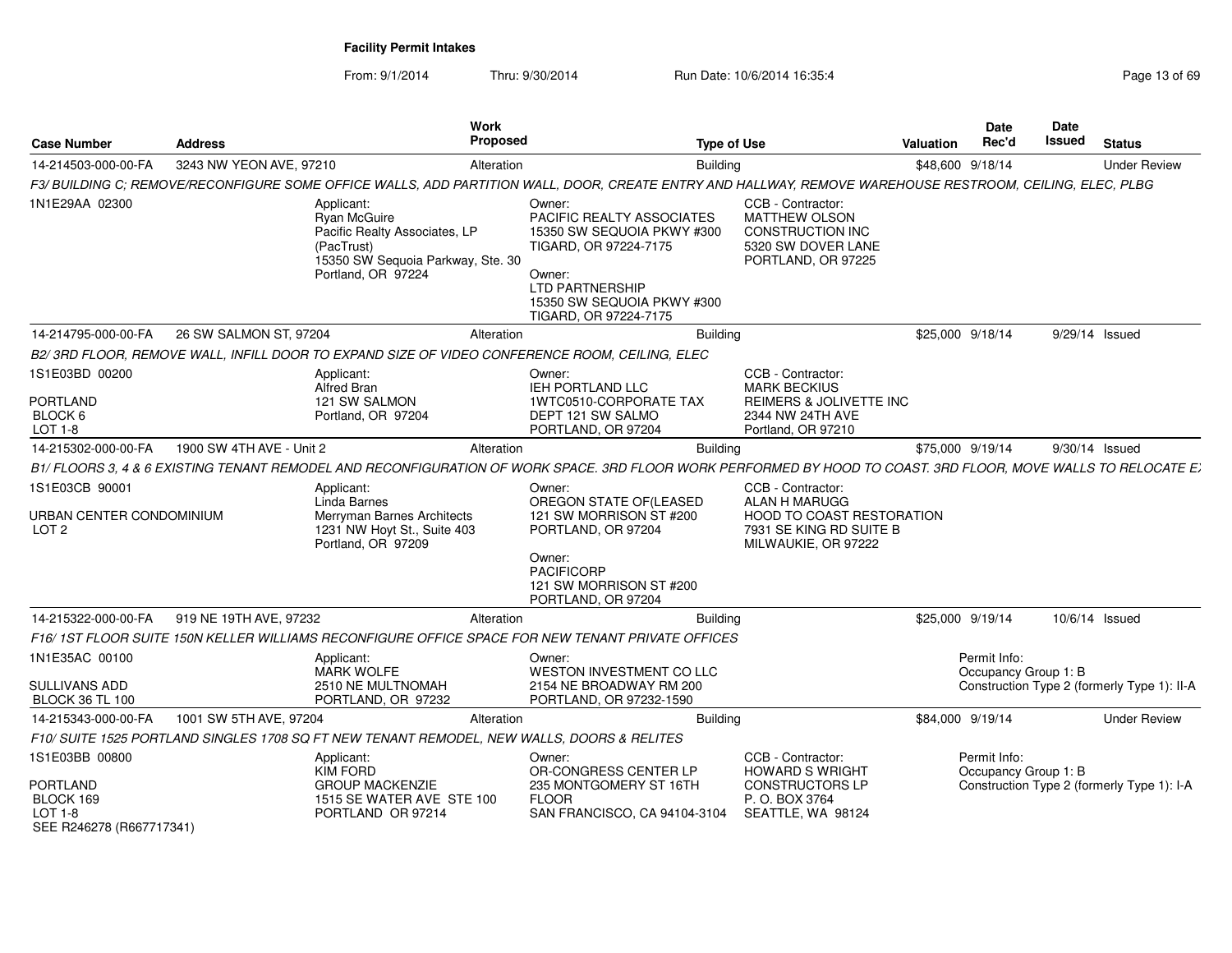From: 9/1/2014

Thru: 9/30/2014 Run Date: 10/6/2014 16:35:4

| <b>Case Number</b>                                             | <b>Address</b>           |                                                                                                                                      | <b>Work</b><br>Proposed |                                                                                                                                                                                       | <b>Type of Use</b> |                                                                                                                          | Valuation        | <b>Date</b><br>Rec'd                 | Date<br>Issued | <b>Status</b>                               |
|----------------------------------------------------------------|--------------------------|--------------------------------------------------------------------------------------------------------------------------------------|-------------------------|---------------------------------------------------------------------------------------------------------------------------------------------------------------------------------------|--------------------|--------------------------------------------------------------------------------------------------------------------------|------------------|--------------------------------------|----------------|---------------------------------------------|
| 14-214503-000-00-FA                                            | 3243 NW YEON AVE, 97210  |                                                                                                                                      | Alteration              |                                                                                                                                                                                       | <b>Building</b>    |                                                                                                                          | \$48,600 9/18/14 |                                      |                | <b>Under Review</b>                         |
|                                                                |                          |                                                                                                                                      |                         | F3/ BUILDING C; REMOVE/RECONFIGURE SOME OFFICE WALLS, ADD PARTITION WALL, DOOR, CREATE ENTRY AND HALLWAY, REMOVE WAREHOUSE RESTROOM, CEILING, ELEC, PLBG                              |                    |                                                                                                                          |                  |                                      |                |                                             |
| 1N1E29AA 02300                                                 |                          | Applicant:<br>Ryan McGuire<br>Pacific Realty Associates, LP<br>(PacTrust)<br>15350 SW Sequoia Parkway, Ste. 30<br>Portland, OR 97224 |                         | Owner:<br>PACIFIC REALTY ASSOCIATES<br>15350 SW SEQUOIA PKWY #300<br>TIGARD, OR 97224-7175<br>Owner:<br><b>LTD PARTNERSHIP</b><br>15350 SW SEQUOIA PKWY #300<br>TIGARD, OR 97224-7175 |                    | CCB - Contractor:<br>MATTHEW OLSON<br><b>CONSTRUCTION INC</b><br>5320 SW DOVER LANE<br>PORTLAND, OR 97225                |                  |                                      |                |                                             |
| 14-214795-000-00-FA                                            | 26 SW SALMON ST, 97204   |                                                                                                                                      | Alteration              |                                                                                                                                                                                       | Buildina           |                                                                                                                          | \$25,000 9/18/14 |                                      | 9/29/14 Issued |                                             |
|                                                                |                          |                                                                                                                                      |                         | B2/3RD FLOOR, REMOVE WALL, INFILL DOOR TO EXPAND SIZE OF VIDEO CONFERENCE ROOM, CEILING, ELEC                                                                                         |                    |                                                                                                                          |                  |                                      |                |                                             |
| 1S1E03BD 00200<br>PORTLAND                                     |                          | Applicant:<br>Alfred Bran<br>121 SW SALMON                                                                                           |                         | Owner:<br><b>IEH PORTLAND LLC</b><br>1WTC0510-CORPORATE TAX                                                                                                                           |                    | CCB - Contractor:<br><b>MARK BECKIUS</b><br><b>REIMERS &amp; JOLIVETTE INC</b>                                           |                  |                                      |                |                                             |
| BLOCK 6<br>LOT 1-8                                             |                          | Portland, OR 97204                                                                                                                   |                         | DEPT 121 SW SALMO<br>PORTLAND, OR 97204                                                                                                                                               |                    | 2344 NW 24TH AVE<br>Portland, OR 97210                                                                                   |                  |                                      |                |                                             |
| 14-215302-000-00-FA                                            | 1900 SW 4TH AVE - Unit 2 |                                                                                                                                      | Alteration              |                                                                                                                                                                                       | <b>Building</b>    |                                                                                                                          | \$75,000 9/19/14 |                                      | 9/30/14 Issued |                                             |
|                                                                |                          |                                                                                                                                      |                         | B1/FLOORS 3, 4 & 6 EXISTING TENANT REMODEL AND RECONFIGURATION OF WORK SPACE. 3RD FLOOR WORK PERFORMED BY HOOD TO COAST. 3RD FLOOR, MOVE WALLS TO RELOCATE E                          |                    |                                                                                                                          |                  |                                      |                |                                             |
| 1S1E03CB 90001<br>URBAN CENTER CONDOMINIUM<br>LOT <sub>2</sub> |                          | Applicant:<br>Linda Barnes<br>Merryman Barnes Architects<br>1231 NW Hoyt St., Suite 403<br>Portland, OR 97209                        |                         | Owner:<br>OREGON STATE OF(LEASED<br>121 SW MORRISON ST #200<br>PORTLAND, OR 97204<br>Owner:<br><b>PACIFICORP</b><br>121 SW MORRISON ST #200<br>PORTLAND, OR 97204                     |                    | CCB - Contractor:<br>ALAN H MARUGG<br><b>HOOD TO COAST RESTORATION</b><br>7931 SE KING RD SUITE B<br>MILWAUKIE, OR 97222 |                  |                                      |                |                                             |
| 14-215322-000-00-FA                                            | 919 NE 19TH AVE, 97232   |                                                                                                                                      | Alteration              |                                                                                                                                                                                       | <b>Building</b>    |                                                                                                                          | \$25,000 9/19/14 |                                      | 10/6/14 Issued |                                             |
|                                                                |                          |                                                                                                                                      |                         | F16/1ST FLOOR SUITE 150N KELLER WILLIAMS RECONFIGURE OFFICE SPACE FOR NEW TENANT PRIVATE OFFICES                                                                                      |                    |                                                                                                                          |                  |                                      |                |                                             |
| 1N1E35AC 00100                                                 |                          | Applicant:<br><b>MARK WOLFE</b>                                                                                                      |                         | Owner:<br>WESTON INVESTMENT CO LLC                                                                                                                                                    |                    |                                                                                                                          |                  | Permit Info:<br>Occupancy Group 1: B |                |                                             |
| SULLIVANS ADD<br><b>BLOCK 36 TL 100</b>                        |                          | 2510 NE MULTNOMAH<br>PORTLAND, OR 97232                                                                                              |                         | 2154 NE BROADWAY RM 200<br>PORTLAND, OR 97232-1590                                                                                                                                    |                    |                                                                                                                          |                  |                                      |                | Construction Type 2 (formerly Type 1): II-A |
| 14-215343-000-00-FA                                            | 1001 SW 5TH AVE, 97204   |                                                                                                                                      | Alteration              |                                                                                                                                                                                       | Buildina           |                                                                                                                          | \$84,000 9/19/14 |                                      |                | <b>Under Review</b>                         |
|                                                                |                          | F10/ SUITE 1525 PORTLAND SINGLES 1708 SQ FT NEW TENANT REMODEL, NEW WALLS, DOORS & RELITES                                           |                         |                                                                                                                                                                                       |                    |                                                                                                                          |                  |                                      |                |                                             |
| 1S1E03BB 00800<br><b>PORTLAND</b>                              |                          | Applicant:<br><b>KIM FORD</b><br><b>GROUP MACKENZIE</b>                                                                              |                         | Owner:<br>OR-CONGRESS CENTER LP<br>235 MONTGOMERY ST 16TH                                                                                                                             |                    | CCB - Contractor:<br><b>HOWARD S WRIGHT</b><br><b>CONSTRUCTORS LP</b>                                                    |                  | Permit Info:<br>Occupancy Group 1: B |                | Construction Type 2 (formerly Type 1): I-A  |
| BLOCK 169<br>LOT 1-8<br>SEE R246278 (R667717341)               |                          | 1515 SE WATER AVE STE 100<br>PORTLAND OR 97214                                                                                       |                         | <b>FLOOR</b><br>SAN FRANCISCO, CA 94104-3104                                                                                                                                          |                    | P. O. BOX 3764<br>SEATTLE, WA 98124                                                                                      |                  |                                      |                |                                             |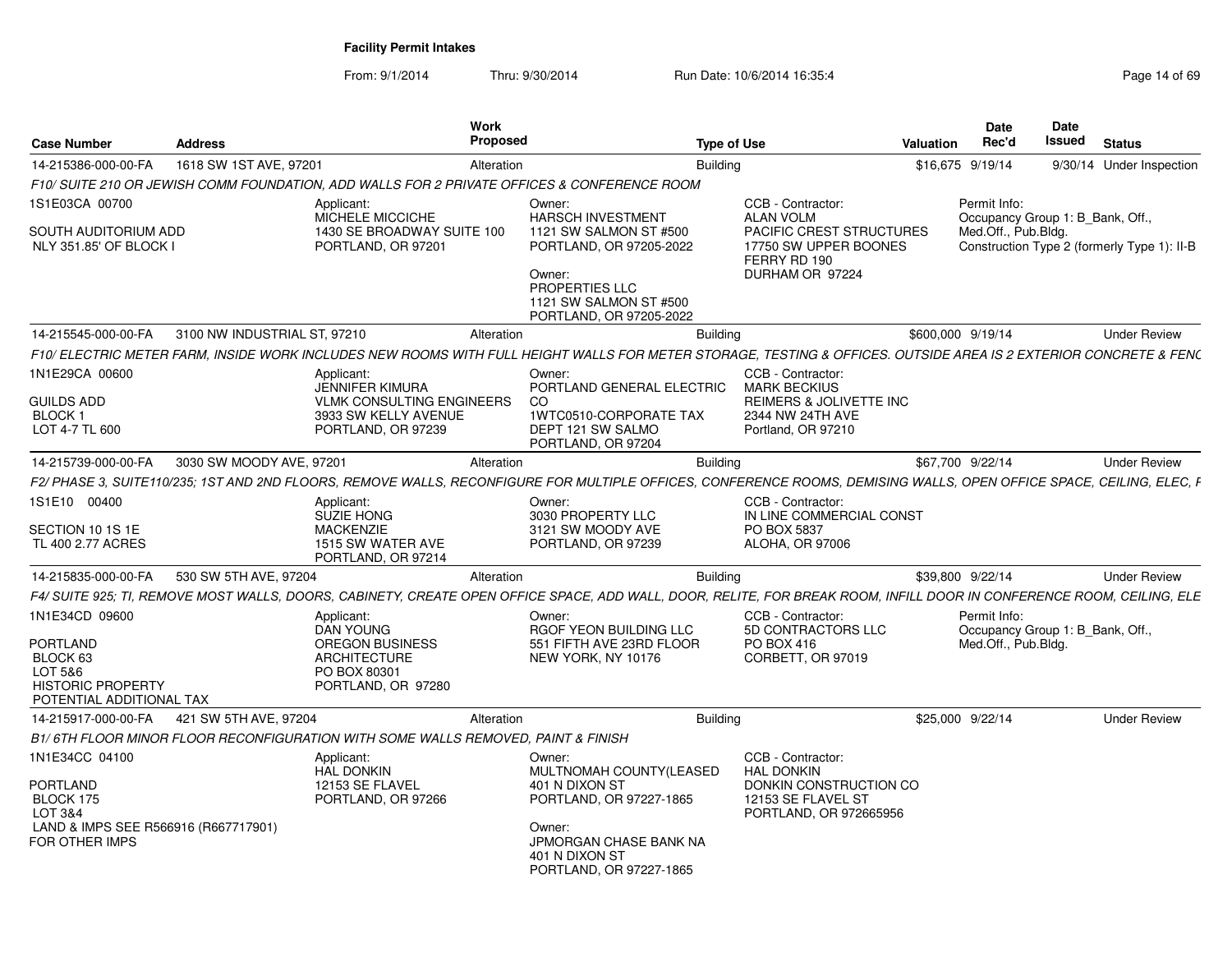| <b>Case Number</b>                                   | <b>Address</b>               |                                                                                  | <b>Work</b><br><b>Proposed</b> |                                                                                                                                                                       | <b>Type of Use</b> |                                                                                      | <b>Valuation</b> | Date<br>Rec'd                                    | <b>Date</b><br>Issued | <b>Status</b>                               |
|------------------------------------------------------|------------------------------|----------------------------------------------------------------------------------|--------------------------------|-----------------------------------------------------------------------------------------------------------------------------------------------------------------------|--------------------|--------------------------------------------------------------------------------------|------------------|--------------------------------------------------|-----------------------|---------------------------------------------|
| 14-215386-000-00-FA                                  | 1618 SW 1ST AVE, 97201       |                                                                                  | Alteration                     |                                                                                                                                                                       | <b>Building</b>    |                                                                                      |                  | \$16,675 9/19/14                                 |                       | 9/30/14 Under Inspection                    |
|                                                      |                              |                                                                                  |                                | F10/ SUITE 210 OR JEWISH COMM FOUNDATION. ADD WALLS FOR 2 PRIVATE OFFICES & CONFERENCE ROOM                                                                           |                    |                                                                                      |                  |                                                  |                       |                                             |
| 1S1E03CA 00700                                       |                              | Applicant:<br>MICHELE MICCICHE                                                   |                                | Owner:<br><b>HARSCH INVESTMENT</b>                                                                                                                                    |                    | CCB - Contractor:<br><b>ALAN VOLM</b>                                                |                  | Permit Info:<br>Occupancy Group 1: B Bank, Off., |                       |                                             |
| SOUTH AUDITORIUM ADD<br>NLY 351.85' OF BLOCK I       |                              | 1430 SE BROADWAY SUITE 100<br>PORTLAND, OR 97201                                 |                                | 1121 SW SALMON ST #500<br>PORTLAND, OR 97205-2022<br>Owner:<br>PROPERTIES LLC<br>1121 SW SALMON ST #500<br>PORTLAND, OR 97205-2022                                    |                    | PACIFIC CREST STRUCTURES<br>17750 SW UPPER BOONES<br>FERRY RD 190<br>DURHAM OR 97224 |                  | Med.Off., Pub.Bldg.                              |                       | Construction Type 2 (formerly Type 1): II-B |
| 14-215545-000-00-FA                                  | 3100 NW INDUSTRIAL ST, 97210 |                                                                                  | Alteration                     |                                                                                                                                                                       | <b>Building</b>    |                                                                                      |                  | \$600,000 9/19/14                                |                       | <b>Under Review</b>                         |
|                                                      |                              |                                                                                  |                                | F10/ ELECTRIC METER FARM. INSIDE WORK INCLUDES NEW ROOMS WITH FULL HEIGHT WALLS FOR METER STORAGE. TESTING & OFFICES. OUTSIDE AREA IS 2 EXTERIOR CONCRETE & FENC      |                    |                                                                                      |                  |                                                  |                       |                                             |
| 1N1E29CA 00600                                       |                              | Applicant:<br>JENNIFER KIMURA                                                    |                                | Owner:<br>PORTLAND GENERAL ELECTRIC                                                                                                                                   |                    | CCB - Contractor:<br><b>MARK BECKIUS</b>                                             |                  |                                                  |                       |                                             |
| <b>GUILDS ADD</b>                                    |                              | <b>VLMK CONSULTING ENGINEERS</b>                                                 |                                | <sub>CO</sub>                                                                                                                                                         |                    | <b>REIMERS &amp; JOLIVETTE INC</b>                                                   |                  |                                                  |                       |                                             |
| BLOCK 1                                              |                              | 3933 SW KELLY AVENUE                                                             |                                | 1WTC0510-CORPORATE TAX                                                                                                                                                |                    | 2344 NW 24TH AVE                                                                     |                  |                                                  |                       |                                             |
| LOT 4-7 TL 600                                       |                              | PORTLAND, OR 97239                                                               |                                | DEPT 121 SW SALMO<br>PORTLAND, OR 97204                                                                                                                               |                    | Portland, OR 97210                                                                   |                  |                                                  |                       |                                             |
| 14-215739-000-00-FA                                  | 3030 SW MOODY AVE, 97201     |                                                                                  | Alteration                     |                                                                                                                                                                       | <b>Building</b>    |                                                                                      |                  | \$67,700 9/22/14                                 |                       | <b>Under Review</b>                         |
|                                                      |                              |                                                                                  |                                | F2/ PHASE 3, SUITE110/235; 1ST AND 2ND FLOORS, REMOVE WALLS, RECONFIGURE FOR MULTIPLE OFFICES, CONFERENCE ROOMS, DEMISING WALLS, OPEN OFFICE SPACE, CEILING, ELEC, F  |                    |                                                                                      |                  |                                                  |                       |                                             |
| 1S1E10 00400                                         |                              | Applicant:<br><b>SUZIE HONG</b>                                                  |                                | Owner:<br>3030 PROPERTY LLC                                                                                                                                           |                    | CCB - Contractor:<br>IN LINE COMMERCIAL CONST                                        |                  |                                                  |                       |                                             |
| SECTION 10 1S 1E                                     |                              | <b>MACKENZIE</b>                                                                 |                                | 3121 SW MOODY AVE                                                                                                                                                     |                    | PO BOX 5837                                                                          |                  |                                                  |                       |                                             |
| TL 400 2.77 ACRES                                    |                              | 1515 SW WATER AVE<br>PORTLAND, OR 97214                                          |                                | PORTLAND, OR 97239                                                                                                                                                    |                    | ALOHA, OR 97006                                                                      |                  |                                                  |                       |                                             |
| 14-215835-000-00-FA                                  | 530 SW 5TH AVE, 97204        |                                                                                  | Alteration                     |                                                                                                                                                                       | <b>Building</b>    |                                                                                      |                  | \$39,800 9/22/14                                 |                       | <b>Under Review</b>                         |
|                                                      |                              |                                                                                  |                                | F4/ SUITE 925; TI, REMOVE MOST WALLS, DOORS, CABINETY, CREATE OPEN OFFICE SPACE, ADD WALL, DOOR, RELITE, FOR BREAK ROOM, INFILL DOOR IN CONFERENCE ROOM, CEILING, ELE |                    |                                                                                      |                  |                                                  |                       |                                             |
| 1N1E34CD 09600                                       |                              | Applicant:<br><b>DAN YOUNG</b>                                                   |                                | Owner:<br>RGOF YEON BUILDING LLC                                                                                                                                      |                    | CCB - Contractor:<br>5D CONTRACTORS LLC                                              |                  | Permit Info:<br>Occupancy Group 1: B Bank, Off., |                       |                                             |
| <b>PORTLAND</b>                                      |                              | <b>OREGON BUSINESS</b>                                                           |                                | 551 FIFTH AVE 23RD FLOOR                                                                                                                                              |                    | PO BOX 416                                                                           |                  | Med.Off., Pub.Bldg.                              |                       |                                             |
| BLOCK 63<br>LOT 5&6                                  |                              | <b>ARCHITECTURE</b><br>PO BOX 80301                                              |                                | NEW YORK, NY 10176                                                                                                                                                    |                    | CORBETT, OR 97019                                                                    |                  |                                                  |                       |                                             |
| <b>HISTORIC PROPERTY</b><br>POTENTIAL ADDITIONAL TAX |                              | PORTLAND, OR 97280                                                               |                                |                                                                                                                                                                       |                    |                                                                                      |                  |                                                  |                       |                                             |
| 14-215917-000-00-FA                                  | 421 SW 5TH AVE, 97204        |                                                                                  | Alteration                     |                                                                                                                                                                       | <b>Building</b>    |                                                                                      |                  | \$25,000 9/22/14                                 |                       | <b>Under Review</b>                         |
|                                                      |                              | B1/6TH FLOOR MINOR FLOOR RECONFIGURATION WITH SOME WALLS REMOVED, PAINT & FINISH |                                |                                                                                                                                                                       |                    |                                                                                      |                  |                                                  |                       |                                             |
| 1N1E34CC 04100                                       |                              | Applicant:<br><b>HAL DONKIN</b>                                                  |                                | Owner:<br>MULTNOMAH COUNTY(LEASED                                                                                                                                     |                    | CCB - Contractor:<br><b>HAL DONKIN</b>                                               |                  |                                                  |                       |                                             |
| <b>PORTLAND</b>                                      |                              | 12153 SE FLAVEL                                                                  |                                | 401 N DIXON ST                                                                                                                                                        |                    | DONKIN CONSTRUCTION CO                                                               |                  |                                                  |                       |                                             |
| BLOCK 175<br>LOT 3&4                                 |                              | PORTLAND, OR 97266                                                               |                                | PORTLAND, OR 97227-1865                                                                                                                                               |                    | 12153 SE FLAVEL ST<br>PORTLAND, OR 972665956                                         |                  |                                                  |                       |                                             |
| LAND & IMPS SEE R566916 (R667717901)                 |                              |                                                                                  |                                | Owner:                                                                                                                                                                |                    |                                                                                      |                  |                                                  |                       |                                             |
| FOR OTHER IMPS                                       |                              |                                                                                  |                                | JPMORGAN CHASE BANK NA<br>401 N DIXON ST<br>PORTLAND, OR 97227-1865                                                                                                   |                    |                                                                                      |                  |                                                  |                       |                                             |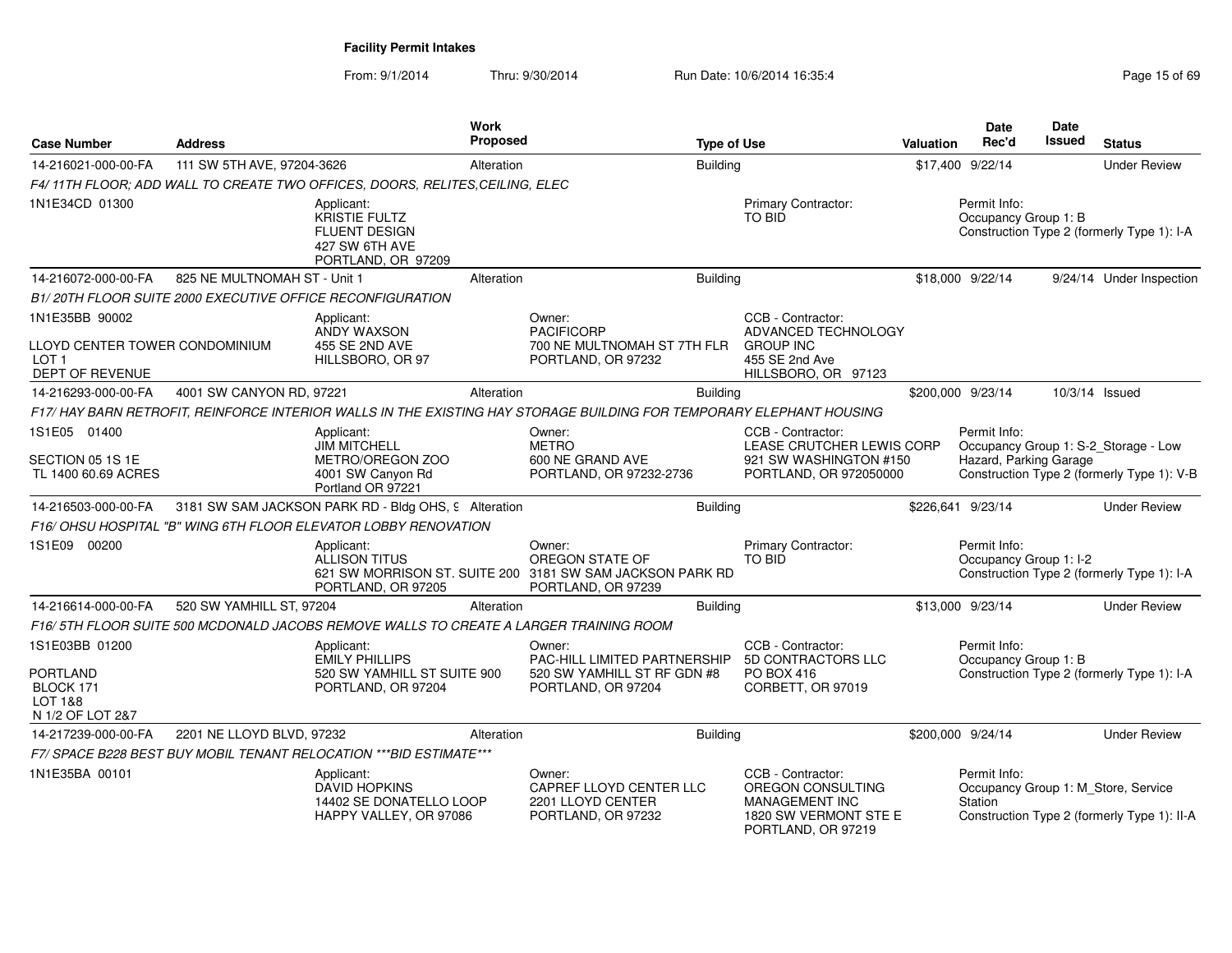| <b>Case Number</b>                                                                      | <b>Address</b>               |                                                                                             | <b>Work</b><br><b>Proposed</b> |                                                                                                                     | <b>Type of Use</b> |                                                                                                                | <b>Valuation</b> | Date<br>Rec'd                          | Date<br>Issued | <b>Status</b>                                                                      |
|-----------------------------------------------------------------------------------------|------------------------------|---------------------------------------------------------------------------------------------|--------------------------------|---------------------------------------------------------------------------------------------------------------------|--------------------|----------------------------------------------------------------------------------------------------------------|------------------|----------------------------------------|----------------|------------------------------------------------------------------------------------|
| 14-216021-000-00-FA                                                                     | 111 SW 5TH AVE, 97204-3626   |                                                                                             | Alteration                     |                                                                                                                     | Building           |                                                                                                                |                  | \$17,400 9/22/14                       |                | <b>Under Review</b>                                                                |
|                                                                                         |                              | F4/11TH FLOOR; ADD WALL TO CREATE TWO OFFICES, DOORS, RELITES, CEILING, ELEC                |                                |                                                                                                                     |                    |                                                                                                                |                  |                                        |                |                                                                                    |
| 1N1E34CD 01300                                                                          |                              | Applicant:<br>KRISTIE FULTZ<br><b>FLUENT DESIGN</b><br>427 SW 6TH AVE<br>PORTLAND, OR 97209 |                                |                                                                                                                     |                    | <b>Primary Contractor:</b><br><b>TO BID</b>                                                                    |                  | Permit Info:<br>Occupancy Group 1: B   |                | Construction Type 2 (formerly Type 1): I-A                                         |
| 14-216072-000-00-FA                                                                     | 825 NE MULTNOMAH ST - Unit 1 |                                                                                             | Alteration                     |                                                                                                                     | Building           |                                                                                                                |                  | \$18,000 9/22/14                       |                | 9/24/14 Under Inspection                                                           |
|                                                                                         |                              | B1/20TH FLOOR SUITE 2000 EXECUTIVE OFFICE RECONFIGURATION                                   |                                |                                                                                                                     |                    |                                                                                                                |                  |                                        |                |                                                                                    |
| 1N1E35BB 90002<br>LLOYD CENTER TOWER CONDOMINIUM<br>LOT <sub>1</sub><br>DEPT OF REVENUE |                              | Applicant:<br><b>ANDY WAXSON</b><br>455 SE 2ND AVE<br>HILLSBORO, OR 97                      |                                | Owner:<br><b>PACIFICORP</b><br>700 NE MULTNOMAH ST 7TH FLR<br>PORTLAND, OR 97232                                    |                    | CCB - Contractor:<br>ADVANCED TECHNOLOGY<br><b>GROUP INC</b><br>455 SE 2nd Ave<br>HILLSBORO, OR 97123          |                  |                                        |                |                                                                                    |
| 14-216293-000-00-FA                                                                     | 4001 SW CANYON RD, 97221     |                                                                                             | Alteration                     |                                                                                                                     | Building           |                                                                                                                |                  | \$200,000 9/23/14                      |                | 10/3/14 Issued                                                                     |
|                                                                                         |                              |                                                                                             |                                | F17/HAY BARN RETROFIT, REINFORCE INTERIOR WALLS IN THE EXISTING HAY STORAGE BUILDING FOR TEMPORARY ELEPHANT HOUSING |                    |                                                                                                                |                  |                                        |                |                                                                                    |
| 1S1E05 01400<br>SECTION 05 1S 1E                                                        |                              | Applicant:<br><b>JIM MITCHELL</b><br>METRO/OREGON ZOO                                       |                                | Owner:<br><b>METRO</b><br>600 NE GRAND AVE                                                                          |                    | CCB - Contractor:<br>LEASE CRUTCHER LEWIS CORP<br>921 SW WASHINGTON #150                                       |                  | Permit Info:<br>Hazard, Parking Garage |                | Occupancy Group 1: S-2_Storage - Low                                               |
| TL 1400 60.69 ACRES                                                                     |                              | 4001 SW Canyon Rd<br>Portland OR 97221                                                      |                                | PORTLAND, OR 97232-2736                                                                                             |                    | PORTLAND, OR 972050000                                                                                         |                  |                                        |                | Construction Type 2 (formerly Type 1): V-B                                         |
| 14-216503-000-00-FA                                                                     |                              | 3181 SW SAM JACKSON PARK RD - Bldg OHS, 9 Alteration                                        |                                |                                                                                                                     | Building           |                                                                                                                |                  | \$226,641 9/23/14                      |                | <b>Under Review</b>                                                                |
|                                                                                         |                              | F16/OHSU HOSPITAL "B" WING 6TH FLOOR ELEVATOR LOBBY RENOVATION                              |                                |                                                                                                                     |                    |                                                                                                                |                  |                                        |                |                                                                                    |
| 1S1E09 00200                                                                            |                              | Applicant:<br><b>ALLISON TITUS</b><br>PORTLAND, OR 97205                                    |                                | Owner:<br>OREGON STATE OF<br>621 SW MORRISON ST. SUITE 200 3181 SW SAM JACKSON PARK RD<br>PORTLAND, OR 97239        |                    | Primary Contractor:<br><b>TO BID</b>                                                                           |                  | Permit Info:<br>Occupancy Group 1: I-2 |                | Construction Type 2 (formerly Type 1): I-A                                         |
| 14-216614-000-00-FA                                                                     | 520 SW YAMHILL ST, 97204     |                                                                                             | Alteration                     |                                                                                                                     | <b>Building</b>    |                                                                                                                |                  | \$13,000 9/23/14                       |                | <b>Under Review</b>                                                                |
|                                                                                         |                              | F16/5TH FLOOR SUITE 500 MCDONALD JACOBS REMOVE WALLS TO CREATE A LARGER TRAINING ROOM       |                                |                                                                                                                     |                    |                                                                                                                |                  |                                        |                |                                                                                    |
| 1S1E03BB 01200                                                                          |                              | Applicant:<br><b>EMILY PHILLIPS</b>                                                         |                                | Owner:<br>PAC-HILL LIMITED PARTNERSHIP                                                                              |                    | CCB - Contractor:<br>5D CONTRACTORS LLC                                                                        |                  | Permit Info:<br>Occupancy Group 1: B   |                |                                                                                    |
| <b>PORTLAND</b><br>BLOCK 171<br><b>LOT 1&amp;8</b><br>N 1/2 OF LOT 2&7                  |                              | 520 SW YAMHILL ST SUITE 900<br>PORTLAND, OR 97204                                           |                                | 520 SW YAMHILL ST RF GDN #8<br>PORTLAND, OR 97204                                                                   |                    | <b>PO BOX 416</b><br>CORBETT, OR 97019                                                                         |                  |                                        |                | Construction Type 2 (formerly Type 1): I-A                                         |
| 14-217239-000-00-FA                                                                     | 2201 NE LLOYD BLVD, 97232    |                                                                                             | Alteration                     |                                                                                                                     | Building           |                                                                                                                |                  | \$200.000 9/24/14                      |                | <b>Under Review</b>                                                                |
|                                                                                         |                              | F7/ SPACE B228 BEST BUY MOBIL TENANT RELOCATION *** BID ESTIMATE***                         |                                |                                                                                                                     |                    |                                                                                                                |                  |                                        |                |                                                                                    |
| 1N1E35BA 00101                                                                          |                              | Applicant:<br><b>DAVID HOPKINS</b><br>14402 SE DONATELLO LOOP<br>HAPPY VALLEY, OR 97086     |                                | Owner:<br>CAPREF LLOYD CENTER LLC<br>2201 LLOYD CENTER<br>PORTLAND, OR 97232                                        |                    | CCB - Contractor:<br>OREGON CONSULTING<br><b>MANAGEMENT INC</b><br>1820 SW VERMONT STE E<br>PORTLAND, OR 97219 |                  | Permit Info:<br>Station                |                | Occupancy Group 1: M_Store, Service<br>Construction Type 2 (formerly Type 1): II-A |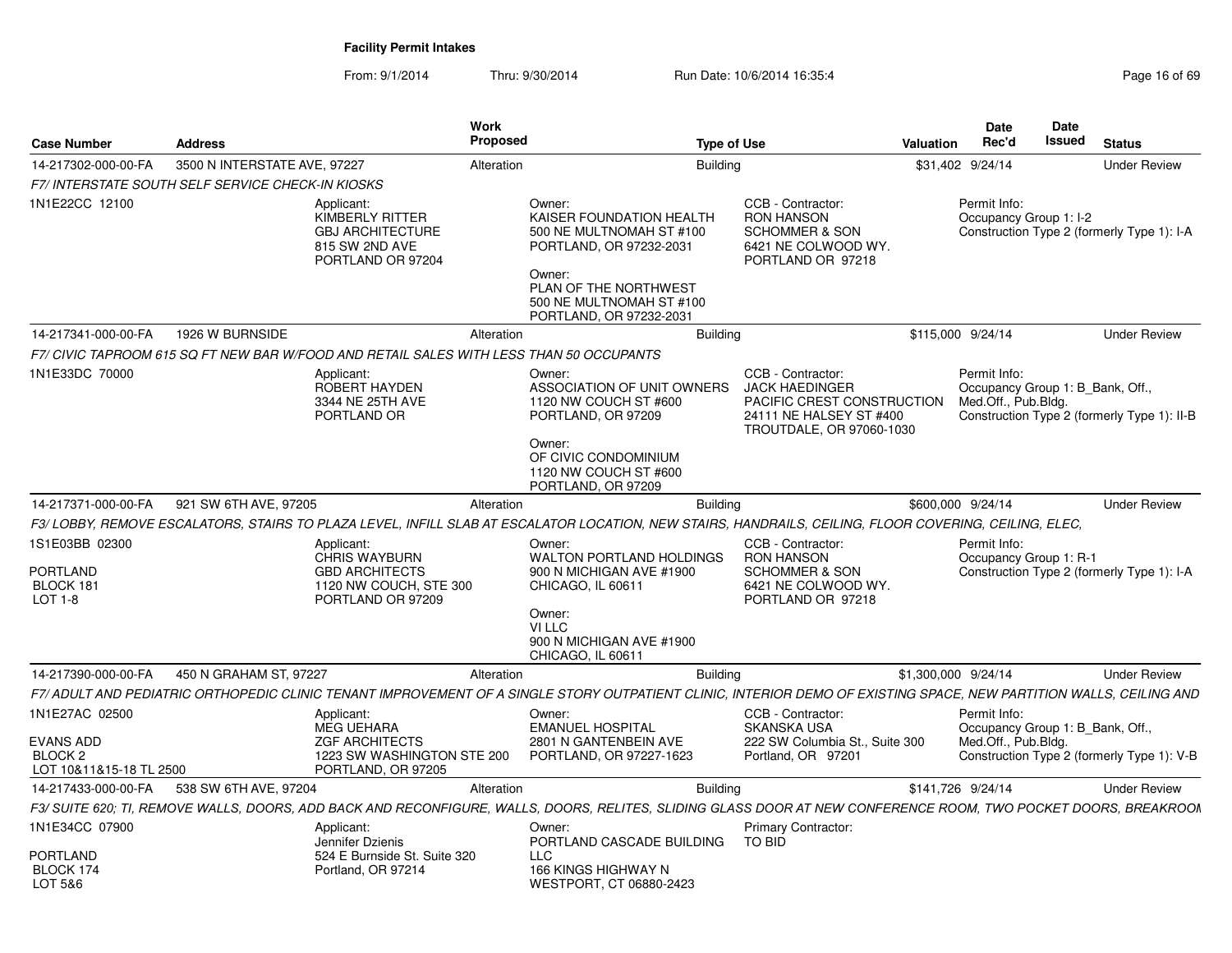|                                                                   | <b>Address</b>                                          |                                                                                                        | <b>Work</b><br><b>Proposed</b>                                                                                                                                                      | <b>Type of Use</b>                                                                                                              | Valuation           | Date<br>Rec'd                                                           | Date<br><b>Issued</b> | <b>Status</b>                               |
|-------------------------------------------------------------------|---------------------------------------------------------|--------------------------------------------------------------------------------------------------------|-------------------------------------------------------------------------------------------------------------------------------------------------------------------------------------|---------------------------------------------------------------------------------------------------------------------------------|---------------------|-------------------------------------------------------------------------|-----------------------|---------------------------------------------|
| <b>Case Number</b>                                                |                                                         |                                                                                                        |                                                                                                                                                                                     |                                                                                                                                 |                     |                                                                         |                       |                                             |
| 14-217302-000-00-FA                                               | 3500 N INTERSTATE AVE, 97227                            |                                                                                                        | Alteration                                                                                                                                                                          | <b>Building</b>                                                                                                                 |                     | \$31,402 9/24/14                                                        |                       | <b>Under Review</b>                         |
|                                                                   | <b>F7/INTERSTATE SOUTH SELF SERVICE CHECK-IN KIOSKS</b> |                                                                                                        |                                                                                                                                                                                     |                                                                                                                                 |                     |                                                                         |                       |                                             |
| 1N1E22CC 12100                                                    |                                                         | Applicant:<br><b>KIMBERLY RITTER</b><br><b>GBJ ARCHITECTURE</b><br>815 SW 2ND AVE<br>PORTLAND OR 97204 | Owner:<br>KAISER FOUNDATION HEALTH<br>500 NE MULTNOMAH ST #100<br>PORTLAND, OR 97232-2031<br>Owner:<br>PLAN OF THE NORTHWEST<br>500 NE MULTNOMAH ST #100<br>PORTLAND, OR 97232-2031 | CCB - Contractor:<br><b>RON HANSON</b><br><b>SCHOMMER &amp; SON</b><br>6421 NE COLWOOD WY.<br>PORTLAND OR 97218                 |                     | Permit Info:<br>Occupancy Group 1: I-2                                  |                       | Construction Type 2 (formerly Type 1): I-A  |
| 14-217341-000-00-FA                                               | 1926 W BURNSIDE                                         |                                                                                                        | Alteration                                                                                                                                                                          | <b>Building</b>                                                                                                                 |                     | \$115,000 9/24/14                                                       |                       | <b>Under Review</b>                         |
|                                                                   |                                                         |                                                                                                        | F7/ CIVIC TAPROOM 615 SQ FT NEW BAR W/FOOD AND RETAIL SALES WITH LESS THAN 50 OCCUPANTS                                                                                             |                                                                                                                                 |                     |                                                                         |                       |                                             |
| 1N1E33DC 70000                                                    |                                                         | Applicant:<br>ROBERT HAYDEN<br>3344 NE 25TH AVE<br>PORTLAND OR                                         | Owner:<br>ASSOCIATION OF UNIT OWNERS<br>1120 NW COUCH ST #600<br>PORTLAND, OR 97209<br>Owner:<br>OF CIVIC CONDOMINIUM                                                               | CCB - Contractor:<br><b>JACK HAEDINGER</b><br>PACIFIC CREST CONSTRUCTION<br>24111 NE HALSEY ST #400<br>TROUTDALE, OR 97060-1030 |                     | Permit Info:<br>Occupancy Group 1: B_Bank, Off.,<br>Med.Off., Pub.Bldg. |                       | Construction Type 2 (formerly Type 1): II-B |
| 14-217371-000-00-FA                                               | 921 SW 6TH AVE, 97205                                   |                                                                                                        | 1120 NW COUCH ST #600<br>PORTLAND, OR 97209<br>Alteration                                                                                                                           | <b>Building</b>                                                                                                                 |                     | \$600,000 9/24/14                                                       |                       | <b>Under Review</b>                         |
|                                                                   |                                                         |                                                                                                        | F3/LOBBY, REMOVE ESCALATORS, STAIRS TO PLAZA LEVEL, INFILL SLAB AT ESCALATOR LOCATION, NEW STAIRS, HANDRAILS, CEILING, FLOOR COVERING, CEILING, ELEC,                               |                                                                                                                                 |                     |                                                                         |                       |                                             |
|                                                                   |                                                         |                                                                                                        |                                                                                                                                                                                     |                                                                                                                                 |                     |                                                                         |                       |                                             |
| 1S1E03BB 02300<br>PORTLAND<br>BLOCK 181                           |                                                         | Applicant:<br><b>CHRIS WAYBURN</b><br><b>GBD ARCHITECTS</b><br>1120 NW COUCH, STE 300                  | Owner:<br><b>WALTON PORTLAND HOLDINGS</b><br>900 N MICHIGAN AVE #1900<br>CHICAGO, IL 60611                                                                                          | CCB - Contractor:<br><b>RON HANSON</b><br><b>SCHOMMER &amp; SON</b><br>6421 NE COLWOOD WY.                                      |                     | Permit Info:<br>Occupancy Group 1: R-1                                  |                       | Construction Type 2 (formerly Type 1): I-A  |
| LOT 1-8                                                           |                                                         | PORTLAND OR 97209                                                                                      | Owner:<br>VI LLC<br>900 N MICHIGAN AVE #1900<br>CHICAGO, IL 60611                                                                                                                   | PORTLAND OR 97218                                                                                                               |                     |                                                                         |                       |                                             |
| 14-217390-000-00-FA                                               | 450 N GRAHAM ST, 97227                                  |                                                                                                        | Alteration                                                                                                                                                                          | <b>Building</b>                                                                                                                 | \$1,300,000 9/24/14 |                                                                         |                       | <b>Under Review</b>                         |
|                                                                   |                                                         |                                                                                                        | F7/ ADULT AND PEDIATRIC ORTHOPEDIC CLINIC TENANT IMPROVEMENT OF A SINGLE STORY OUTPATIENT CLINIC, INTERIOR DEMO OF EXISTING SPACE, NEW PARTITION WALLS, CEILING AND                 |                                                                                                                                 |                     |                                                                         |                       |                                             |
| 1N1E27AC 02500                                                    |                                                         | Applicant:<br><b>MEG UEHARA</b>                                                                        | Owner:<br><b>EMANUEL HOSPITAL</b>                                                                                                                                                   | CCB - Contractor:<br><b>SKANSKA USA</b>                                                                                         |                     | Permit Info:<br>Occupancy Group 1: B Bank, Off.,                        |                       |                                             |
| <b>EVANS ADD</b><br>BLOCK <sub>2</sub><br>LOT 10&11&15-18 TL 2500 |                                                         | <b>ZGF ARCHITECTS</b><br>1223 SW WASHINGTON STE 200<br>PORTLAND, OR 97205                              | 2801 N GANTENBEIN AVE<br>PORTLAND, OR 97227-1623                                                                                                                                    | 222 SW Columbia St., Suite 300<br>Portland, OR 97201                                                                            |                     | Med.Off., Pub.Bldg.                                                     |                       | Construction Type 2 (formerly Type 1): V-B  |
| 14-217433-000-00-FA                                               | 538 SW 6TH AVE, 97204                                   |                                                                                                        | Alteration                                                                                                                                                                          | <b>Building</b>                                                                                                                 |                     | \$141,726 9/24/14                                                       |                       | <b>Under Review</b>                         |
|                                                                   |                                                         |                                                                                                        | F3/ SUITE 620; TI, REMOVE WALLS, DOORS, ADD BACK AND RECONFIGURE, WALLS, DOORS, RELITES, SLIDING GLASS DOOR AT NEW CONFERENCE ROOM, TWO POCKET DOORS, BREAKROOM                     |                                                                                                                                 |                     |                                                                         |                       |                                             |
| 1N1E34CC 07900                                                    |                                                         | Applicant:                                                                                             | Owner:                                                                                                                                                                              | Primary Contractor:                                                                                                             |                     |                                                                         |                       |                                             |
| PORTLAND                                                          |                                                         | Jennifer Dzienis<br>524 E Burnside St. Suite 320                                                       | PORTLAND CASCADE BUILDING<br><b>LLC</b>                                                                                                                                             | TO BID                                                                                                                          |                     |                                                                         |                       |                                             |
| BLOCK 174<br>LOT 5&6                                              |                                                         | Portland, OR 97214                                                                                     | 166 KINGS HIGHWAY N<br>WESTPORT, CT 06880-2423                                                                                                                                      |                                                                                                                                 |                     |                                                                         |                       |                                             |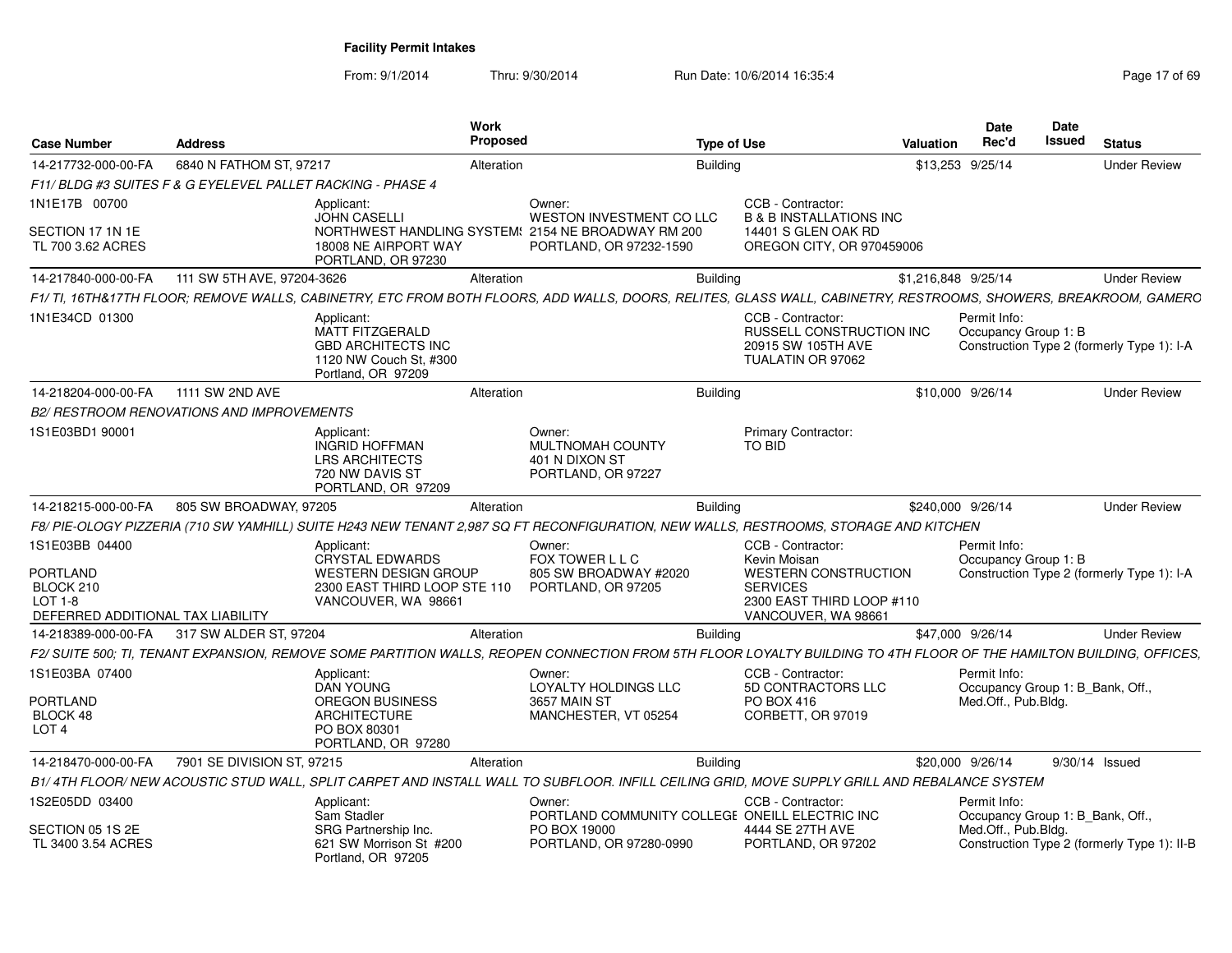| <b>Case Number</b>                                                                                    | <b>Address</b>                                             |                                                                                                                   | <b>Work</b><br>Proposed |                                                                                                                                                                     | <b>Type of Use</b> |                                                                                                                                         | <b>Valuation</b>    | <b>Date</b><br>Rec'd                             | Date<br><b>Issued</b> | <b>Status</b>                               |
|-------------------------------------------------------------------------------------------------------|------------------------------------------------------------|-------------------------------------------------------------------------------------------------------------------|-------------------------|---------------------------------------------------------------------------------------------------------------------------------------------------------------------|--------------------|-----------------------------------------------------------------------------------------------------------------------------------------|---------------------|--------------------------------------------------|-----------------------|---------------------------------------------|
| 14-217732-000-00-FA                                                                                   | 6840 N FATHOM ST, 97217                                    |                                                                                                                   | Alteration              |                                                                                                                                                                     | <b>Building</b>    |                                                                                                                                         |                     | \$13,253 9/25/14                                 |                       | <b>Under Review</b>                         |
|                                                                                                       | F11/BLDG #3 SUITES F & G EYELEVEL PALLET RACKING - PHASE 4 |                                                                                                                   |                         |                                                                                                                                                                     |                    |                                                                                                                                         |                     |                                                  |                       |                                             |
| 1N1E17B 00700                                                                                         |                                                            | Applicant:<br><b>JOHN CASELLI</b>                                                                                 |                         | Owner:<br>WESTON INVESTMENT CO LLC                                                                                                                                  |                    | CCB - Contractor:<br><b>B &amp; B INSTALLATIONS INC</b>                                                                                 |                     |                                                  |                       |                                             |
| SECTION 17 1N 1E<br>TL 700 3.62 ACRES                                                                 |                                                            | 18008 NE AIRPORT WAY<br>PORTLAND, OR 97230                                                                        |                         | NORTHWEST HANDLING SYSTEM: 2154 NE BROADWAY RM 200<br>PORTLAND, OR 97232-1590                                                                                       |                    | 14401 S GLEN OAK RD<br>OREGON CITY, OR 970459006                                                                                        |                     |                                                  |                       |                                             |
| 14-217840-000-00-FA                                                                                   | 111 SW 5TH AVE, 97204-3626                                 |                                                                                                                   | Alteration              |                                                                                                                                                                     | <b>Building</b>    |                                                                                                                                         | \$1,216,848 9/25/14 |                                                  |                       | <b>Under Review</b>                         |
|                                                                                                       |                                                            |                                                                                                                   |                         | F1/ TI, 16TH&17TH FLOOR; REMOVE WALLS, CABINETRY, ETC FROM BOTH FLOORS, ADD WALLS, DOORS, RELITES, GLASS WALL, CABINETRY, RESTROOMS, SHOWERS, BREAKROOM, GAMERC     |                    |                                                                                                                                         |                     |                                                  |                       |                                             |
| 1N1E34CD 01300                                                                                        |                                                            | Applicant:<br><b>MATT FITZGERALD</b><br><b>GBD ARCHITECTS INC</b><br>1120 NW Couch St. #300<br>Portland, OR 97209 |                         |                                                                                                                                                                     |                    | CCB - Contractor:<br><b>RUSSELL CONSTRUCTION INC.</b><br>20915 SW 105TH AVE<br>TUALATIN OR 97062                                        |                     | Permit Info:<br>Occupancy Group 1: B             |                       | Construction Type 2 (formerly Type 1): I-A  |
| 14-218204-000-00-FA                                                                                   | 1111 SW 2ND AVE                                            |                                                                                                                   | Alteration              |                                                                                                                                                                     | Building           |                                                                                                                                         |                     | \$10,000 9/26/14                                 |                       | <b>Under Review</b>                         |
|                                                                                                       | B2/ RESTROOM RENOVATIONS AND IMPROVEMENTS                  |                                                                                                                   |                         |                                                                                                                                                                     |                    |                                                                                                                                         |                     |                                                  |                       |                                             |
| 1S1E03BD1 90001                                                                                       |                                                            | Applicant:<br><b>INGRID HOFFMAN</b><br><b>LRS ARCHITECTS</b><br>720 NW DAVIS ST<br>PORTLAND, OR 97209             |                         | Owner:<br><b>MULTNOMAH COUNTY</b><br>401 N DIXON ST<br>PORTLAND, OR 97227                                                                                           |                    | <b>Primary Contractor:</b><br><b>TO BID</b>                                                                                             |                     |                                                  |                       |                                             |
| 14-218215-000-00-FA                                                                                   | 805 SW BROADWAY, 97205                                     |                                                                                                                   | Alteration              |                                                                                                                                                                     | <b>Building</b>    |                                                                                                                                         |                     | \$240,000 9/26/14                                |                       | <b>Under Review</b>                         |
|                                                                                                       |                                                            |                                                                                                                   |                         | F8/ PIE-OLOGY PIZZERIA (710 SW YAMHILL) SUITE H243 NEW TENANT 2,987 SQ FT RECONFIGURATION, NEW WALLS, RESTROOMS, STORAGE AND KITCHEN                                |                    |                                                                                                                                         |                     |                                                  |                       |                                             |
| 1S1E03BB 04400<br><b>PORTLAND</b><br>BLOCK 210<br><b>LOT 1-8</b><br>DEFERRED ADDITIONAL TAX LIABILITY |                                                            | Applicant:<br>CRYSTAL EDWARDS<br>WESTERN DESIGN GROUP<br>2300 EAST THIRD LOOP STE 110<br>VANCOUVER, WA 98661      |                         | Owner:<br>FOX TOWER L L C<br>805 SW BROADWAY #2020<br>PORTLAND, OR 97205                                                                                            |                    | CCB - Contractor:<br>Kevin Moisan<br><b>WESTERN CONSTRUCTION</b><br><b>SERVICES</b><br>2300 EAST THIRD LOOP #110<br>VANCOUVER, WA 98661 |                     | Permit Info:<br>Occupancy Group 1: B             |                       | Construction Type 2 (formerly Type 1): I-A  |
| 14-218389-000-00-FA                                                                                   | 317 SW ALDER ST, 97204                                     |                                                                                                                   | Alteration              |                                                                                                                                                                     | Building           |                                                                                                                                         |                     | \$47,000 9/26/14                                 |                       | <b>Under Review</b>                         |
|                                                                                                       |                                                            |                                                                                                                   |                         | F2/ SUITE 500: TI. TENANT EXPANSION. REMOVE SOME PARTITION WALLS. REOPEN CONNECTION FROM 5TH FLOOR LOYALTY BUILDING TO 4TH FLOOR OF THE HAMILTON BUILDING. OFFICES. |                    |                                                                                                                                         |                     |                                                  |                       |                                             |
| 1S1E03BA 07400                                                                                        |                                                            | Applicant:<br><b>DAN YOUNG</b>                                                                                    |                         | Owner:<br>LOYALTY HOLDINGS LLC                                                                                                                                      |                    | CCB - Contractor:<br>5D CONTRACTORS LLC                                                                                                 |                     | Permit Info:<br>Occupancy Group 1: B_Bank, Off., |                       |                                             |
| PORTLAND<br>BLOCK 48<br>LOT <sub>4</sub>                                                              |                                                            | <b>OREGON BUSINESS</b><br><b>ARCHITECTURE</b><br>PO BOX 80301<br>PORTLAND, OR 97280                               |                         | <b>3657 MAIN ST</b><br>MANCHESTER, VT 05254                                                                                                                         |                    | PO BOX 416<br>CORBETT, OR 97019                                                                                                         |                     | Med.Off., Pub.Blda.                              |                       |                                             |
| 14-218470-000-00-FA                                                                                   | 7901 SE DIVISION ST, 97215                                 |                                                                                                                   | Alteration              |                                                                                                                                                                     | <b>Building</b>    |                                                                                                                                         |                     | \$20,000 9/26/14                                 |                       | 9/30/14 Issued                              |
|                                                                                                       |                                                            |                                                                                                                   |                         | B1/4TH FLOOR/NEW ACOUSTIC STUD WALL, SPLIT CARPET AND INSTALL WALL TO SUBFLOOR. INFILL CEILING GRID, MOVE SUPPLY GRILL AND REBALANCE SYSTEM                         |                    |                                                                                                                                         |                     |                                                  |                       |                                             |
| 1S2E05DD 03400                                                                                        |                                                            | Applicant:<br>Sam Stadler                                                                                         |                         | Owner:<br>PORTLAND COMMUNITY COLLEGE ONEILL ELECTRIC INC                                                                                                            |                    | CCB - Contractor:                                                                                                                       |                     | Permit Info:<br>Occupancy Group 1: B_Bank, Off., |                       |                                             |
| SECTION 05 1S 2E<br>TL 3400 3.54 ACRES                                                                |                                                            | SRG Partnership Inc.<br>621 SW Morrison St #200<br>Portland, OR 97205                                             |                         | PO BOX 19000<br>PORTLAND, OR 97280-0990                                                                                                                             |                    | 4444 SE 27TH AVE<br>PORTLAND, OR 97202                                                                                                  |                     | Med.Off., Pub.Bldg.                              |                       | Construction Type 2 (formerly Type 1): II-B |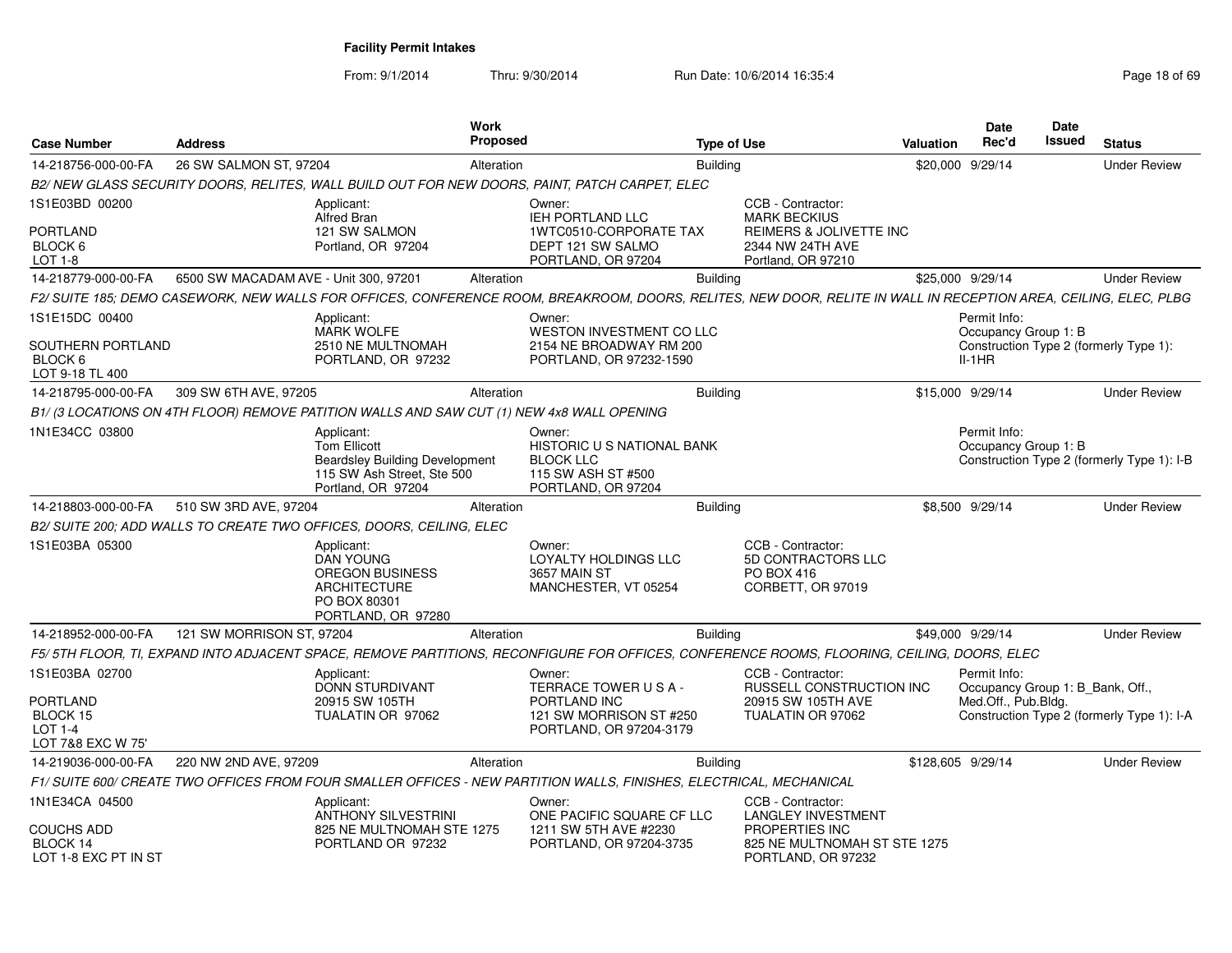| Case Number                                                               | <b>Address</b>                        |                                                                                                                                | Work<br><b>Proposed</b> |                                                                                                                                                                 | <b>Type of Use</b> |                                                                                   | <b>Valuation</b> | Date<br>Rec'd                                    | Date<br>Issued | <b>Status</b>                              |
|---------------------------------------------------------------------------|---------------------------------------|--------------------------------------------------------------------------------------------------------------------------------|-------------------------|-----------------------------------------------------------------------------------------------------------------------------------------------------------------|--------------------|-----------------------------------------------------------------------------------|------------------|--------------------------------------------------|----------------|--------------------------------------------|
| 14-218756-000-00-FA                                                       | 26 SW SALMON ST, 97204                |                                                                                                                                | Alteration              |                                                                                                                                                                 | <b>Building</b>    |                                                                                   |                  | \$20,000 9/29/14                                 |                | <b>Under Review</b>                        |
|                                                                           |                                       |                                                                                                                                |                         | B2/ NEW GLASS SECURITY DOORS, RELITES, WALL BUILD OUT FOR NEW DOORS, PAINT, PATCH CARPET, ELEC                                                                  |                    |                                                                                   |                  |                                                  |                |                                            |
| 1S1E03BD 00200                                                            |                                       | Applicant:<br><b>Alfred Bran</b>                                                                                               |                         | Owner:<br><b>IEH PORTLAND LLC</b>                                                                                                                               |                    | CCB - Contractor:<br><b>MARK BECKIUS</b>                                          |                  |                                                  |                |                                            |
| PORTLAND<br>BLOCK 6<br>LOT 1-8                                            |                                       | 121 SW SALMON<br>Portland, OR 97204                                                                                            |                         | 1WTC0510-CORPORATE TAX<br>DEPT 121 SW SALMO<br>PORTLAND, OR 97204                                                                                               |                    | REIMERS & JOLIVETTE INC<br>2344 NW 24TH AVE<br>Portland, OR 97210                 |                  |                                                  |                |                                            |
| 14-218779-000-00-FA                                                       | 6500 SW MACADAM AVE - Unit 300, 97201 |                                                                                                                                | Alteration              |                                                                                                                                                                 | <b>Building</b>    |                                                                                   |                  | \$25,000 9/29/14                                 |                | <b>Under Review</b>                        |
|                                                                           |                                       |                                                                                                                                |                         | F2/SUITE 185; DEMO CASEWORK, NEW WALLS FOR OFFICES, CONFERENCE ROOM, BREAKROOM, DOORS, RELITES, NEW DOOR, RELITE IN WALL IN RECEPTION AREA, CEILING, ELEC, PLBG |                    |                                                                                   |                  |                                                  |                |                                            |
| 1S1E15DC 00400                                                            |                                       | Applicant:                                                                                                                     |                         | Owner:                                                                                                                                                          |                    |                                                                                   |                  | Permit Info:                                     |                |                                            |
| SOUTHERN PORTLAND<br>BLOCK 6<br>LOT 9-18 TL 400                           |                                       | <b>MARK WOLFE</b><br>2510 NE MULTNOMAH<br>PORTLAND, OR 97232                                                                   |                         | WESTON INVESTMENT CO LLC<br>2154 NE BROADWAY RM 200<br>PORTLAND, OR 97232-1590                                                                                  |                    |                                                                                   |                  | Occupancy Group 1: B<br>$II-1HR$                 |                | Construction Type 2 (formerly Type 1):     |
| 14-218795-000-00-FA                                                       | 309 SW 6TH AVE, 97205                 |                                                                                                                                | Alteration              |                                                                                                                                                                 | <b>Building</b>    |                                                                                   |                  | \$15,000 9/29/14                                 |                | <b>Under Review</b>                        |
|                                                                           |                                       | B1/ (3 LOCATIONS ON 4TH FLOOR) REMOVE PATITION WALLS AND SAW CUT (1) NEW 4x8 WALL OPENING                                      |                         |                                                                                                                                                                 |                    |                                                                                   |                  |                                                  |                |                                            |
| 1N1E34CC 03800                                                            |                                       | Applicant:<br><b>Tom Ellicott</b><br><b>Beardsley Building Development</b><br>115 SW Ash Street, Ste 500<br>Portland, OR 97204 |                         | Owner:<br>HISTORIC U S NATIONAL BANK<br><b>BLOCK LLC</b><br>115 SW ASH ST #500<br>PORTLAND, OR 97204                                                            |                    |                                                                                   |                  | Permit Info:<br>Occupancy Group 1: B             |                | Construction Type 2 (formerly Type 1): I-B |
| 14-218803-000-00-FA                                                       | 510 SW 3RD AVE, 97204                 |                                                                                                                                | Alteration              |                                                                                                                                                                 | <b>Building</b>    |                                                                                   |                  | \$8,500 9/29/14                                  |                | <b>Under Review</b>                        |
|                                                                           |                                       | B2/ SUITE 200; ADD WALLS TO CREATE TWO OFFICES, DOORS, CEILING, ELEC                                                           |                         |                                                                                                                                                                 |                    |                                                                                   |                  |                                                  |                |                                            |
| 1S1E03BA 05300                                                            |                                       | Applicant:<br><b>DAN YOUNG</b><br>OREGON BUSINESS<br><b>ARCHITECTURE</b><br>PO BOX 80301<br>PORTLAND, OR 97280                 |                         | Owner:<br><b>LOYALTY HOLDINGS LLC</b><br>3657 MAIN ST<br>MANCHESTER, VT 05254                                                                                   |                    | CCB - Contractor:<br><b>5D CONTRACTORS LLC</b><br>PO BOX 416<br>CORBETT, OR 97019 |                  |                                                  |                |                                            |
| 14-218952-000-00-FA                                                       | 121 SW MORRISON ST, 97204             |                                                                                                                                | Alteration              |                                                                                                                                                                 | <b>Building</b>    |                                                                                   |                  | \$49,000 9/29/14                                 |                | <b>Under Review</b>                        |
|                                                                           |                                       |                                                                                                                                |                         | F5/ 5TH FLOOR, TI, EXPAND INTO ADJACENT SPACE, REMOVE PARTITIONS, RECONFIGURE FOR OFFICES, CONFERENCE ROOMS, FLOORING, CEILING, DOORS, ELEC                     |                    |                                                                                   |                  |                                                  |                |                                            |
| 1S1E03BA 02700                                                            |                                       | Applicant:<br>DONN STURDIVANT                                                                                                  |                         | Owner:<br>TERRACE TOWER USA-                                                                                                                                    |                    | CCB - Contractor:<br>RUSSELL CONSTRUCTION INC                                     |                  | Permit Info:<br>Occupancy Group 1: B_Bank, Off., |                |                                            |
| <b>PORTLAND</b><br><b>BLOCK 15</b><br><b>LOT 1-4</b><br>LOT 7&8 EXC W 75' |                                       | 20915 SW 105TH<br>TUALATIN OR 97062                                                                                            |                         | PORTLAND INC<br>121 SW MORRISON ST #250<br>PORTLAND, OR 97204-3179                                                                                              |                    | 20915 SW 105TH AVE<br>TUALATIN OR 97062                                           |                  | Med.Off., Pub.Bldg.                              |                | Construction Type 2 (formerly Type 1): I-A |
| 14-219036-000-00-FA                                                       | 220 NW 2ND AVE, 97209                 |                                                                                                                                | Alteration              |                                                                                                                                                                 | <b>Building</b>    |                                                                                   |                  | \$128,605 9/29/14                                |                | <b>Under Review</b>                        |
|                                                                           |                                       |                                                                                                                                |                         | F1/ SUITE 600/ CREATE TWO OFFICES FROM FOUR SMALLER OFFICES - NEW PARTITION WALLS, FINISHES, ELECTRICAL, MECHANICAL                                             |                    |                                                                                   |                  |                                                  |                |                                            |
| 1N1E34CA 04500                                                            |                                       | Applicant:<br><b>ANTHONY SILVESTRINI</b>                                                                                       |                         | Owner:<br>ONE PACIFIC SQUARE CF LLC                                                                                                                             |                    | CCB - Contractor:<br><b>LANGLEY INVESTMENT</b>                                    |                  |                                                  |                |                                            |
| <b>COUCHS ADD</b><br>BLOCK 14<br>LOT 1-8 EXC PT IN ST                     |                                       | 825 NE MULTNOMAH STE 1275<br>PORTLAND OR 97232                                                                                 |                         | 1211 SW 5TH AVE #2230<br>PORTLAND, OR 97204-3735                                                                                                                |                    | <b>PROPERTIES INC</b><br>825 NE MULTNOMAH ST STE 1275<br>PORTLAND, OR 97232       |                  |                                                  |                |                                            |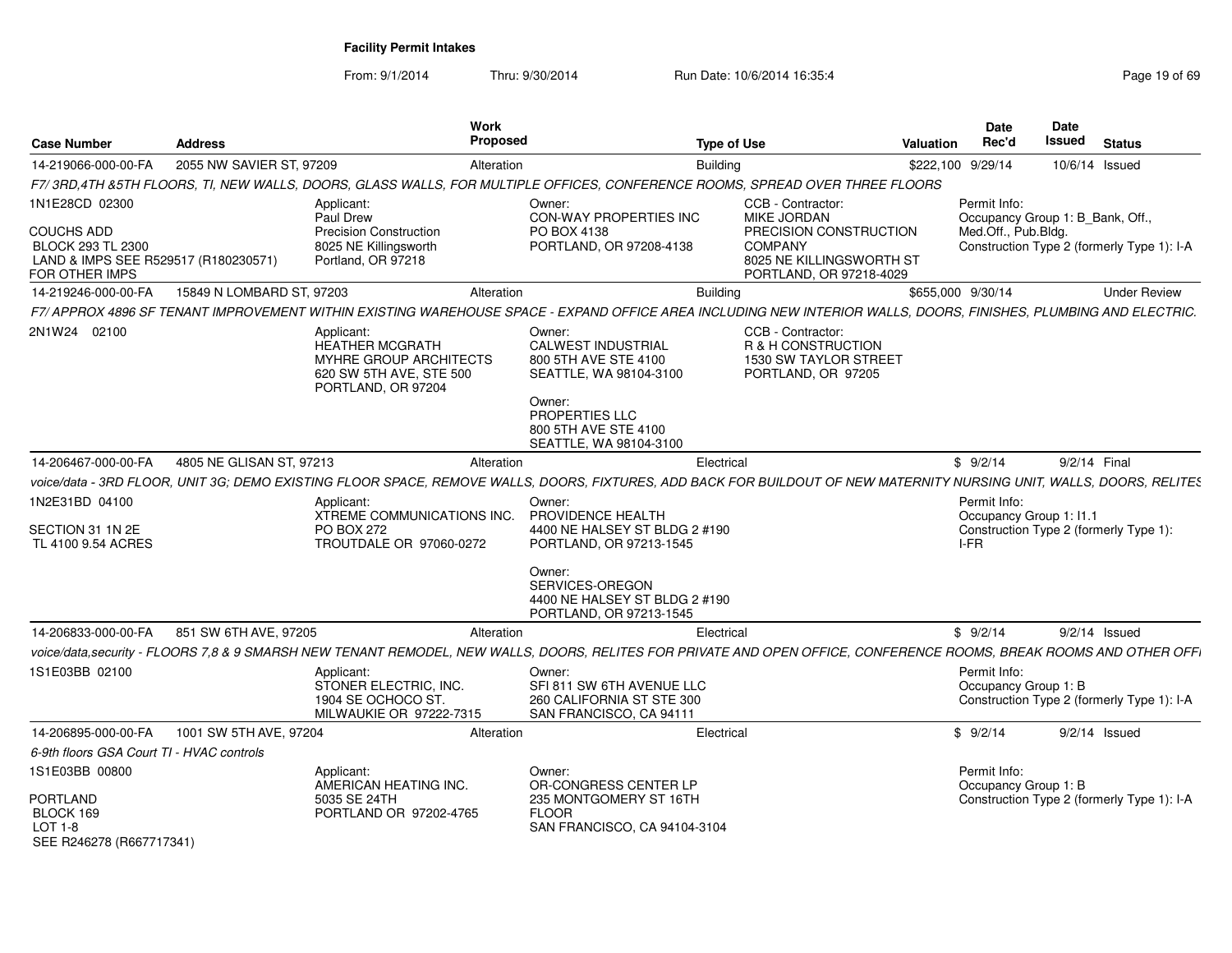| <b>Case Number</b>                                                                                                 | <b>Address</b>            |                                                                                                                                                                       | <b>Work</b><br><b>Proposed</b>                                                                            | <b>Type of Use</b> |                                                                                                                                     | Valuation         | Date<br>Rec'd                                   | <b>Date</b><br>Issued                  | <b>Status</b>                              |
|--------------------------------------------------------------------------------------------------------------------|---------------------------|-----------------------------------------------------------------------------------------------------------------------------------------------------------------------|-----------------------------------------------------------------------------------------------------------|--------------------|-------------------------------------------------------------------------------------------------------------------------------------|-------------------|-------------------------------------------------|----------------------------------------|--------------------------------------------|
| 14-219066-000-00-FA                                                                                                | 2055 NW SAVIER ST, 97209  |                                                                                                                                                                       | Alteration                                                                                                | <b>Building</b>    |                                                                                                                                     | \$222,100 9/29/14 |                                                 | 10/6/14 Issued                         |                                            |
|                                                                                                                    |                           | F7/3RD.4TH &5TH FLOORS, TI, NEW WALLS, DOORS, GLASS WALLS, FOR MULTIPLE OFFICES, CONFERENCE ROOMS, SPREAD OVER THREE FLOORS                                           |                                                                                                           |                    |                                                                                                                                     |                   |                                                 |                                        |                                            |
| 1N1E28CD 02300<br><b>COUCHS ADD</b><br>BLOCK 293 TL 2300<br>LAND & IMPS SEE R529517 (R180230571)<br>FOR OTHER IMPS |                           | Applicant:<br>Paul Drew<br><b>Precision Construction</b><br>8025 NE Killingsworth<br>Portland, OR 97218                                                               | Owner:<br><b>CON-WAY PROPERTIES INC</b><br>PO BOX 4138<br>PORTLAND, OR 97208-4138                         |                    | CCB - Contractor:<br>MIKE JORDAN<br>PRECISION CONSTRUCTION<br><b>COMPANY</b><br>8025 NE KILLINGSWORTH ST<br>PORTLAND, OR 97218-4029 |                   | Permit Info:<br>Med.Off., Pub.Bldg.             | Occupancy Group 1: B_Bank, Off.,       | Construction Type 2 (formerly Type 1): I-A |
| 14-219246-000-00-FA                                                                                                | 15849 N LOMBARD ST, 97203 |                                                                                                                                                                       | Alteration                                                                                                | <b>Building</b>    |                                                                                                                                     | \$655,000 9/30/14 |                                                 |                                        | <b>Under Review</b>                        |
|                                                                                                                    |                           | F7/APPROX 4896 SF TENANT IMPROVEMENT WITHIN EXISTING WAREHOUSE SPACE - EXPAND OFFICE AREA INCLUDING NEW INTERIOR WALLS, DOORS, FINISHES, PLUMBING AND ELECTRIC.       |                                                                                                           |                    |                                                                                                                                     |                   |                                                 |                                        |                                            |
| 2N1W24 02100                                                                                                       |                           | Applicant:<br>HEATHER MCGRATH<br>MYHRE GROUP ARCHITECTS<br>620 SW 5TH AVE, STE 500<br>PORTLAND, OR 97204                                                              | Owner:<br>CALWEST INDUSTRIAL<br>800 5TH AVE STE 4100<br>SEATTLE, WA 98104-3100<br>Owner:                  |                    | CCB - Contractor:<br>R & H CONSTRUCTION<br>1530 SW TAYLOR STREET<br>PORTLAND, OR 97205                                              |                   |                                                 |                                        |                                            |
|                                                                                                                    |                           |                                                                                                                                                                       | <b>PROPERTIES LLC</b><br>800 5TH AVE STE 4100<br>SEATTLE, WA 98104-3100                                   |                    |                                                                                                                                     |                   |                                                 |                                        |                                            |
| 14-206467-000-00-FA                                                                                                | 4805 NE GLISAN ST, 97213  |                                                                                                                                                                       | Alteration                                                                                                | Electrical         |                                                                                                                                     |                   | \$9/2/14                                        | 9/2/14 Final                           |                                            |
|                                                                                                                    |                           | voice/data - 3RD FLOOR, UNIT 3G; DEMO EXISTING FLOOR SPACE, REMOVE WALLS, DOORS, FIXTURES, ADD BACK FOR BUILDOUT OF NEW MATERNITY NURSING UNIT, WALLS, DOORS, RELITES |                                                                                                           |                    |                                                                                                                                     |                   |                                                 |                                        |                                            |
| 1N2E31BD 04100<br>SECTION 31 1N 2E<br>TL 4100 9.54 ACRES                                                           |                           | Applicant<br>XTREME COMMUNICATIONS INC.<br>PO BOX 272<br>TROUTDALE OR 97060-0272                                                                                      | Owner:<br>PROVIDENCE HEALTH<br>4400 NE HALSEY ST BLDG 2 #190<br>PORTLAND, OR 97213-1545<br>Owner:         |                    |                                                                                                                                     |                   | Permit Info:<br>Occupancy Group 1: I1.1<br>I-FR | Construction Type 2 (formerly Type 1): |                                            |
|                                                                                                                    |                           |                                                                                                                                                                       | SERVICES-OREGON<br>4400 NE HALSEY ST BLDG 2 #190<br>PORTLAND, OR 97213-1545                               |                    |                                                                                                                                     |                   |                                                 |                                        |                                            |
| 14-206833-000-00-FA                                                                                                | 851 SW 6TH AVE, 97205     |                                                                                                                                                                       | Alteration                                                                                                | Electrical         |                                                                                                                                     |                   | \$9/2/14                                        | $9/2/14$ Issued                        |                                            |
|                                                                                                                    |                           | voice/data,security - FLOORS 7,8 & 9 SMARSH NEW TENANT REMODEL, NEW WALLS, DOORS, RELITES FOR PRIVATE AND OPEN OFFICE, CONFERENCE ROOMS, BREAK ROOMS AND OTHER OFFI   |                                                                                                           |                    |                                                                                                                                     |                   |                                                 |                                        |                                            |
| 1S1E03BB 02100                                                                                                     |                           | Applicant:<br>STONER ELECTRIC, INC.<br>1904 SE OCHOCO ST.<br>MILWAUKIE OR 97222-7315                                                                                  | Owner:<br>SFI 811 SW 6TH AVENUE LLC<br>260 CALIFORNIA ST STE 300<br>SAN FRANCISCO, CA 94111               |                    |                                                                                                                                     |                   | Permit Info:<br>Occupancy Group 1: B            |                                        | Construction Type 2 (formerly Type 1): I-A |
| 14-206895-000-00-FA                                                                                                | 1001 SW 5TH AVE, 97204    |                                                                                                                                                                       | Alteration                                                                                                | Electrical         |                                                                                                                                     |                   | \$9/2/14                                        | $9/2/14$ Issued                        |                                            |
| 6-9th floors GSA Court TI - HVAC controls                                                                          |                           |                                                                                                                                                                       |                                                                                                           |                    |                                                                                                                                     |                   |                                                 |                                        |                                            |
| 1S1E03BB 00800<br><b>PORTLAND</b><br>BLOCK 169<br><b>LOT 1-8</b><br>SEE R246278 (R667717341)                       |                           | Applicant:<br>AMERICAN HEATING INC.<br>5035 SE 24TH<br>PORTLAND OR 97202-4765                                                                                         | Owner:<br>OR-CONGRESS CENTER LP<br>235 MONTGOMERY ST 16TH<br><b>FLOOR</b><br>SAN FRANCISCO, CA 94104-3104 |                    |                                                                                                                                     |                   | Permit Info:<br>Occupancy Group 1: B            |                                        | Construction Type 2 (formerly Type 1): I-A |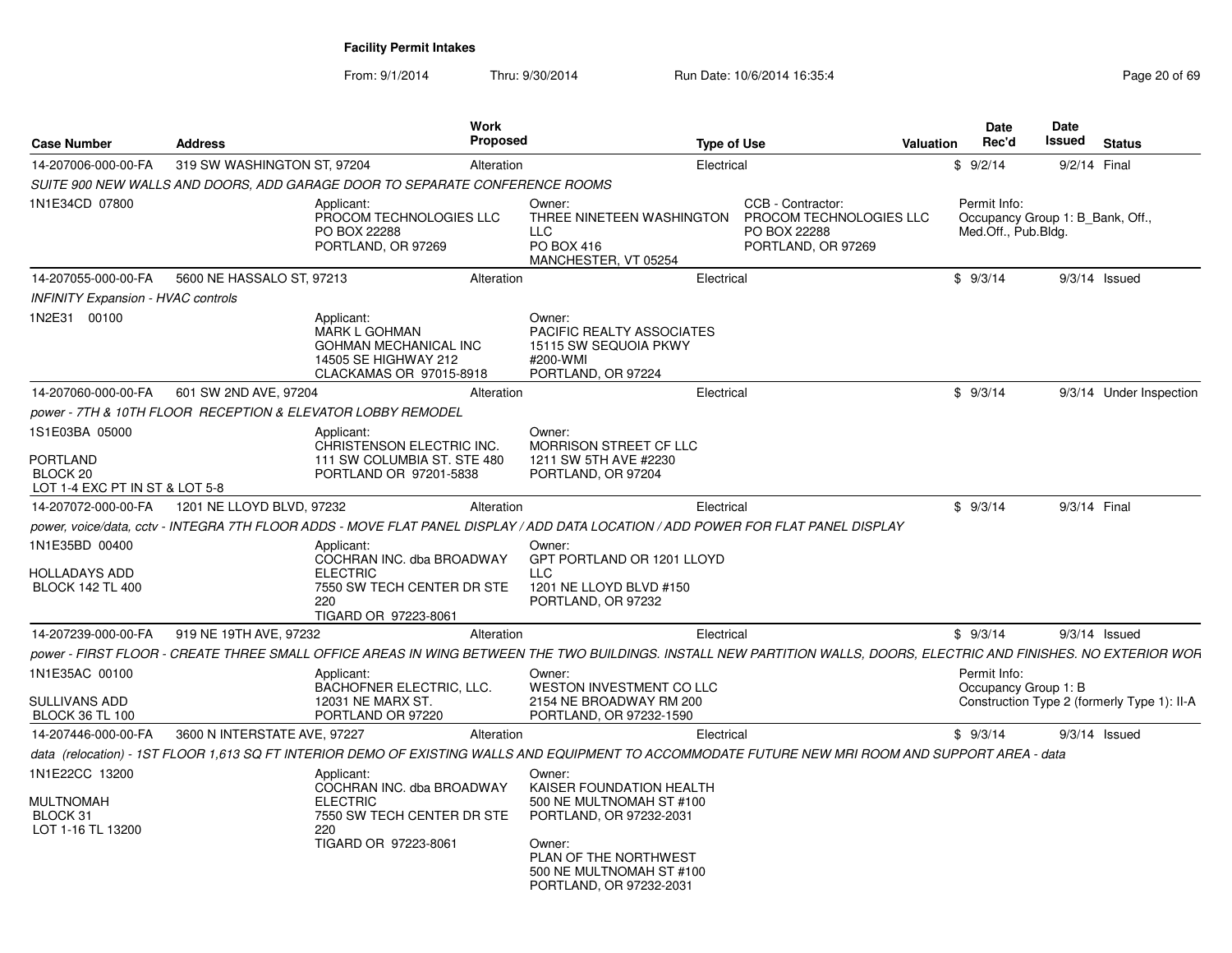From: 9/1/2014

Thru: 9/30/2014 Run Date: 10/6/2014 16:35:4

| <b>Case Number</b>                                                       | <b>Address</b>               |                                                                                                                         | <b>Work</b><br><b>Proposed</b> |                                                                                                                                                                                     | <b>Type of Use</b> |                                                                                    | Valuation | Date<br>Rec'd                                                           | <b>Date</b><br>Issued | <b>Status</b>                               |
|--------------------------------------------------------------------------|------------------------------|-------------------------------------------------------------------------------------------------------------------------|--------------------------------|-------------------------------------------------------------------------------------------------------------------------------------------------------------------------------------|--------------------|------------------------------------------------------------------------------------|-----------|-------------------------------------------------------------------------|-----------------------|---------------------------------------------|
| 14-207006-000-00-FA                                                      | 319 SW WASHINGTON ST, 97204  |                                                                                                                         | Alteration                     |                                                                                                                                                                                     | Electrical         |                                                                                    |           | \$9/2/14                                                                | 9/2/14 Final          |                                             |
|                                                                          |                              | SUITE 900 NEW WALLS AND DOORS, ADD GARAGE DOOR TO SEPARATE CONFERENCE ROOMS                                             |                                |                                                                                                                                                                                     |                    |                                                                                    |           |                                                                         |                       |                                             |
| 1N1E34CD 07800                                                           |                              | Applicant:<br>PROCOM TECHNOLOGIES LLC<br>PO BOX 22288<br>PORTLAND, OR 97269                                             |                                | Owner:<br>THREE NINETEEN WASHINGTON<br><b>LLC</b><br>PO BOX 416<br>MANCHESTER, VT 05254                                                                                             |                    | CCB - Contractor:<br>PROCOM TECHNOLOGIES LLC<br>PO BOX 22288<br>PORTLAND, OR 97269 |           | Permit Info:<br>Occupancy Group 1: B Bank, Off.,<br>Med.Off., Pub.Bldg. |                       |                                             |
| 14-207055-000-00-FA                                                      | 5600 NE HASSALO ST, 97213    |                                                                                                                         | Alteration                     |                                                                                                                                                                                     | Electrical         |                                                                                    |           | \$9/3/14                                                                |                       | $9/3/14$ Issued                             |
| <b>INFINITY Expansion - HVAC controls</b>                                |                              |                                                                                                                         |                                |                                                                                                                                                                                     |                    |                                                                                    |           |                                                                         |                       |                                             |
| 1N2E31 00100                                                             |                              | Applicant:<br><b>MARK L GOHMAN</b><br>GOHMAN MECHANICAL INC<br>14505 SE HIGHWAY 212<br>CLACKAMAS OR 97015-8918          |                                | Owner:<br>PACIFIC REALTY ASSOCIATES<br>15115 SW SEQUOIA PKWY<br>#200-WMI<br>PORTLAND, OR 97224                                                                                      |                    |                                                                                    |           |                                                                         |                       |                                             |
| 14-207060-000-00-FA                                                      | 601 SW 2ND AVE, 97204        |                                                                                                                         | Alteration                     |                                                                                                                                                                                     | Electrical         |                                                                                    |           | \$9/3/14                                                                |                       | 9/3/14 Under Inspection                     |
|                                                                          |                              | power - 7TH & 10TH FLOOR RECEPTION & ELEVATOR LOBBY REMODEL                                                             |                                |                                                                                                                                                                                     |                    |                                                                                    |           |                                                                         |                       |                                             |
| 1S1E03BA 05000                                                           |                              | Applicant:                                                                                                              |                                | Owner:                                                                                                                                                                              |                    |                                                                                    |           |                                                                         |                       |                                             |
| <b>PORTLAND</b><br>BLOCK <sub>20</sub><br>LOT 1-4 EXC PT IN ST & LOT 5-8 |                              | CHRISTENSON ELECTRIC INC.<br>111 SW COLUMBIA ST. STE 480<br>PORTLAND OR 97201-5838                                      |                                | MORRISON STREET CF LLC<br>1211 SW 5TH AVE #2230<br>PORTLAND, OR 97204                                                                                                               |                    |                                                                                    |           |                                                                         |                       |                                             |
| 14-207072-000-00-FA                                                      | 1201 NE LLOYD BLVD, 97232    |                                                                                                                         | Alteration                     |                                                                                                                                                                                     | Electrical         |                                                                                    |           | \$9/3/14                                                                | 9/3/14 Final          |                                             |
|                                                                          |                              |                                                                                                                         |                                | power, voice/data, cctv - INTEGRA 7TH FLOOR ADDS - MOVE FLAT PANEL DISPLAY / ADD DATA LOCATION / ADD POWER FOR FLAT PANEL DISPLAY                                                   |                    |                                                                                    |           |                                                                         |                       |                                             |
| 1N1E35BD 00400<br>HOLLADAYS ADD<br><b>BLOCK 142 TL 400</b>               |                              | Applicant:<br>COCHRAN INC. dba BROADWAY<br><b>ELECTRIC</b><br>7550 SW TECH CENTER DR STE<br>220<br>TIGARD OR 97223-8061 |                                | Owner:<br>GPT PORTLAND OR 1201 LLOYD<br><b>LLC</b><br>1201 NE LLOYD BLVD #150<br>PORTLAND, OR 97232                                                                                 |                    |                                                                                    |           |                                                                         |                       |                                             |
| 14-207239-000-00-FA                                                      | 919 NE 19TH AVE, 97232       |                                                                                                                         | Alteration                     |                                                                                                                                                                                     | Electrical         |                                                                                    |           | \$9/3/14                                                                |                       | $9/3/14$ Issued                             |
|                                                                          |                              |                                                                                                                         |                                | power - FIRST FLOOR - CREATE THREE SMALL OFFICE AREAS IN WING BETWEEN THE TWO BUILDINGS. INSTALL NEW PARTITION WALLS, DOORS, ELECTRIC AND FINISHES. NO EXTERIOR WOR                 |                    |                                                                                    |           |                                                                         |                       |                                             |
| 1N1E35AC 00100                                                           |                              | Applicant:<br>BACHOFNER ELECTRIC, LLC.                                                                                  |                                | Owner:<br><b>WESTON INVESTMENT CO LLC</b>                                                                                                                                           |                    |                                                                                    |           | Permit Info:<br>Occupancy Group 1: B                                    |                       |                                             |
| <b>SULLIVANS ADD</b><br><b>BLOCK 36 TL 100</b>                           |                              | 12031 NE MARX ST.<br>PORTLAND OR 97220                                                                                  |                                | 2154 NE BROADWAY RM 200<br>PORTLAND, OR 97232-1590                                                                                                                                  |                    |                                                                                    |           |                                                                         |                       | Construction Type 2 (formerly Type 1): II-A |
| 14-207446-000-00-FA                                                      | 3600 N INTERSTATE AVE, 97227 |                                                                                                                         | Alteration                     |                                                                                                                                                                                     | Electrical         |                                                                                    |           | \$9/3/14                                                                |                       | $9/3/14$ Issued                             |
|                                                                          |                              |                                                                                                                         |                                | data (relocation) - 1ST FLOOR 1,613 SQ FT INTERIOR DEMO OF EXISTING WALLS AND EQUIPMENT TO ACCOMMODATE FUTURE NEW MRI ROOM AND SUPPORT AREA - data                                  |                    |                                                                                    |           |                                                                         |                       |                                             |
| 1N1E22CC 13200<br><b>MULTNOMAH</b><br>BLOCK 31<br>LOT 1-16 TL 13200      |                              | Applicant:<br>COCHRAN INC. dba BROADWAY<br><b>ELECTRIC</b><br>7550 SW TECH CENTER DR STE<br>220<br>TIGARD OR 97223-8061 |                                | Owner:<br>KAISER FOUNDATION HEALTH<br>500 NE MULTNOMAH ST #100<br>PORTLAND, OR 97232-2031<br>Owner:<br>PLAN OF THE NORTHWEST<br>500 NE MULTNOMAH ST #100<br>PORTLAND, OR 97232-2031 |                    |                                                                                    |           |                                                                         |                       |                                             |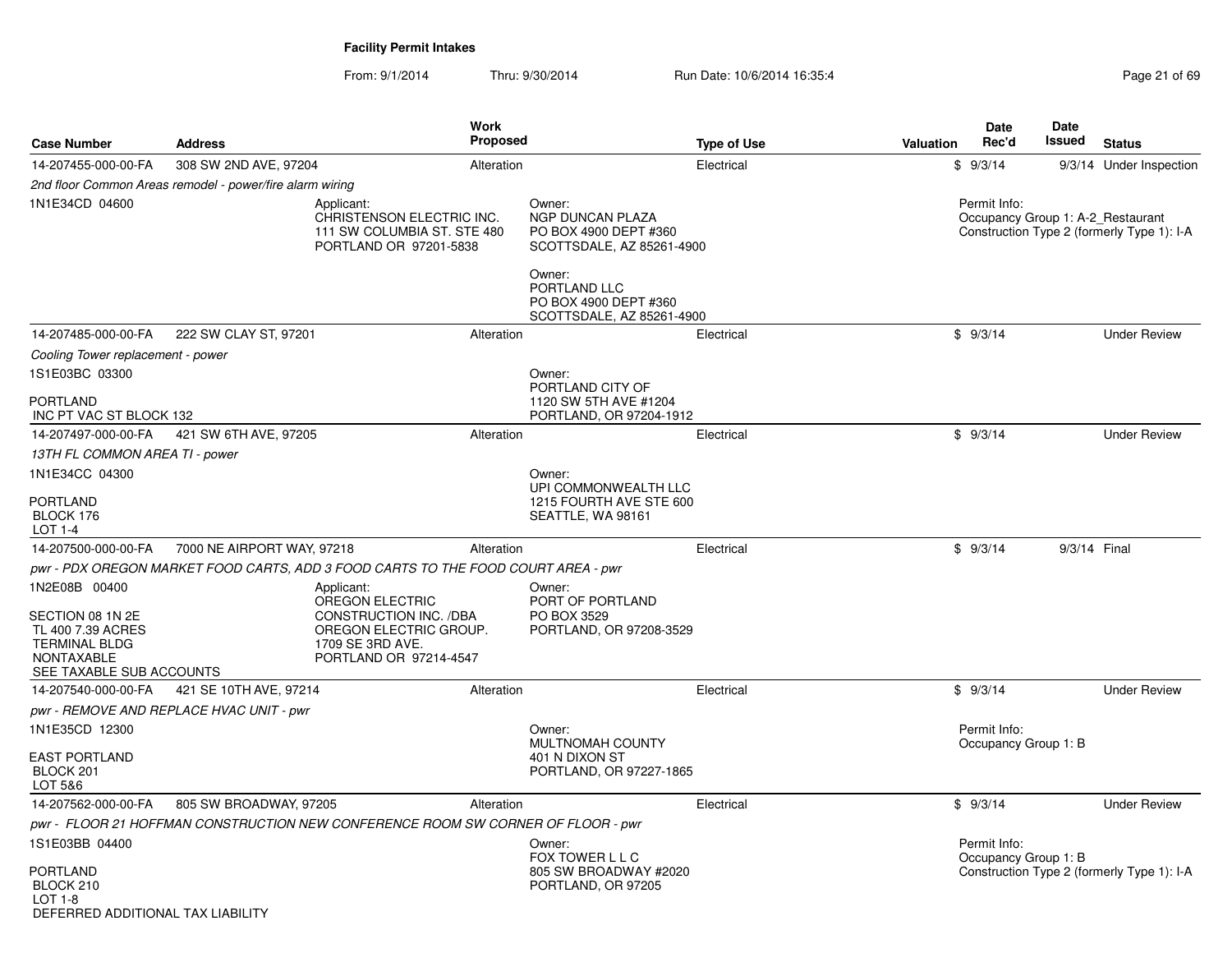| <b>Case Number</b>                                                                                                              | <b>Address</b>                                           | Work<br>Proposed                                                                                                                |                                                                                         | <b>Type of Use</b> | Valuation | Date<br>Rec'd                        | Date<br>Issued | <b>Status</b>                                                                   |
|---------------------------------------------------------------------------------------------------------------------------------|----------------------------------------------------------|---------------------------------------------------------------------------------------------------------------------------------|-----------------------------------------------------------------------------------------|--------------------|-----------|--------------------------------------|----------------|---------------------------------------------------------------------------------|
| 14-207455-000-00-FA                                                                                                             | 308 SW 2ND AVE, 97204                                    | Alteration                                                                                                                      |                                                                                         | Electrical         |           | \$9/3/14                             |                | 9/3/14 Under Inspection                                                         |
|                                                                                                                                 | 2nd floor Common Areas remodel - power/fire alarm wiring |                                                                                                                                 |                                                                                         |                    |           |                                      |                |                                                                                 |
| 1N1E34CD 04600                                                                                                                  |                                                          | Applicant:<br>CHRISTENSON ELECTRIC INC.<br>111 SW COLUMBIA ST. STE 480<br>PORTLAND OR 97201-5838                                | Owner:<br><b>NGP DUNCAN PLAZA</b><br>PO BOX 4900 DEPT #360<br>SCOTTSDALE, AZ 85261-4900 |                    |           | Permit Info:                         |                | Occupancy Group 1: A-2_Restaurant<br>Construction Type 2 (formerly Type 1): I-A |
|                                                                                                                                 |                                                          |                                                                                                                                 | Owner:<br>PORTLAND LLC<br>PO BOX 4900 DEPT #360<br>SCOTTSDALE, AZ 85261-4900            |                    |           |                                      |                |                                                                                 |
| 14-207485-000-00-FA                                                                                                             | 222 SW CLAY ST, 97201                                    | Alteration                                                                                                                      |                                                                                         | Electrical         |           | \$9/3/14                             |                | <b>Under Review</b>                                                             |
| Cooling Tower replacement - power                                                                                               |                                                          |                                                                                                                                 |                                                                                         |                    |           |                                      |                |                                                                                 |
| 1S1E03BC 03300                                                                                                                  |                                                          |                                                                                                                                 | Owner:                                                                                  |                    |           |                                      |                |                                                                                 |
| PORTLAND<br>INC PT VAC ST BLOCK 132                                                                                             |                                                          |                                                                                                                                 | PORTLAND CITY OF<br>1120 SW 5TH AVE #1204<br>PORTLAND, OR 97204-1912                    |                    |           |                                      |                |                                                                                 |
| 14-207497-000-00-FA                                                                                                             | 421 SW 6TH AVE, 97205                                    | Alteration                                                                                                                      |                                                                                         | Electrical         |           | \$9/3/14                             |                | <b>Under Review</b>                                                             |
| 13TH FL COMMON AREA TI - power                                                                                                  |                                                          |                                                                                                                                 |                                                                                         |                    |           |                                      |                |                                                                                 |
| 1N1E34CC 04300                                                                                                                  |                                                          |                                                                                                                                 | Owner:                                                                                  |                    |           |                                      |                |                                                                                 |
| PORTLAND<br>BLOCK 176<br>LOT 1-4                                                                                                |                                                          |                                                                                                                                 | UPI COMMONWEALTH LLC<br>1215 FOURTH AVE STE 600<br>SEATTLE, WA 98161                    |                    |           |                                      |                |                                                                                 |
| 14-207500-000-00-FA                                                                                                             | 7000 NE AIRPORT WAY, 97218                               | Alteration                                                                                                                      |                                                                                         | Electrical         |           | \$9/3/14                             | 9/3/14 Final   |                                                                                 |
|                                                                                                                                 |                                                          | pwr - PDX OREGON MARKET FOOD CARTS, ADD 3 FOOD CARTS TO THE FOOD COURT AREA - pwr                                               |                                                                                         |                    |           |                                      |                |                                                                                 |
| 1N2E08B 00400<br>SECTION 08 1N 2E<br>TL 400 7.39 ACRES<br><b>TERMINAL BLDG</b><br><b>NONTAXABLE</b><br>SEE TAXABLE SUB ACCOUNTS |                                                          | Applicant:<br>OREGON ELECTRIC<br>CONSTRUCTION INC. /DBA<br>OREGON ELECTRIC GROUP.<br>1709 SE 3RD AVE.<br>PORTLAND OR 97214-4547 | Owner:<br>PORT OF PORTLAND<br>PO BOX 3529<br>PORTLAND, OR 97208-3529                    |                    |           |                                      |                |                                                                                 |
| 14-207540-000-00-FA                                                                                                             | 421 SE 10TH AVE, 97214                                   | Alteration                                                                                                                      |                                                                                         | Electrical         |           | \$9/3/14                             |                | <b>Under Review</b>                                                             |
|                                                                                                                                 | pwr - REMOVE AND REPLACE HVAC UNIT - pwr                 |                                                                                                                                 |                                                                                         |                    |           |                                      |                |                                                                                 |
| 1N1E35CD 12300                                                                                                                  |                                                          |                                                                                                                                 | Owner:<br>MULTNOMAH COUNTY                                                              |                    |           | Permit Info:<br>Occupancy Group 1: B |                |                                                                                 |
| EAST PORTLAND<br>BLOCK 201<br>LOT 5&6                                                                                           |                                                          |                                                                                                                                 | 401 N DIXON ST<br>PORTLAND, OR 97227-1865                                               |                    |           |                                      |                |                                                                                 |
| 14-207562-000-00-FA                                                                                                             | 805 SW BROADWAY, 97205                                   | Alteration                                                                                                                      |                                                                                         | Electrical         |           | \$9/3/14                             |                | <b>Under Review</b>                                                             |
|                                                                                                                                 |                                                          | pwr - FLOOR 21 HOFFMAN CONSTRUCTION NEW CONFERENCE ROOM SW CORNER OF FLOOR - pwr                                                |                                                                                         |                    |           |                                      |                |                                                                                 |
| 1S1E03BB 04400                                                                                                                  |                                                          |                                                                                                                                 | Owner:                                                                                  |                    |           | Permit Info:                         |                |                                                                                 |
| PORTLAND<br>BLOCK 210<br>LOT 1-8<br>DEFERRED ADDITIONAL TAX LIABILITY                                                           |                                                          |                                                                                                                                 | FOX TOWER L L C<br>805 SW BROADWAY #2020<br>PORTLAND, OR 97205                          |                    |           | Occupancy Group 1: B                 |                | Construction Type 2 (formerly Type 1): I-A                                      |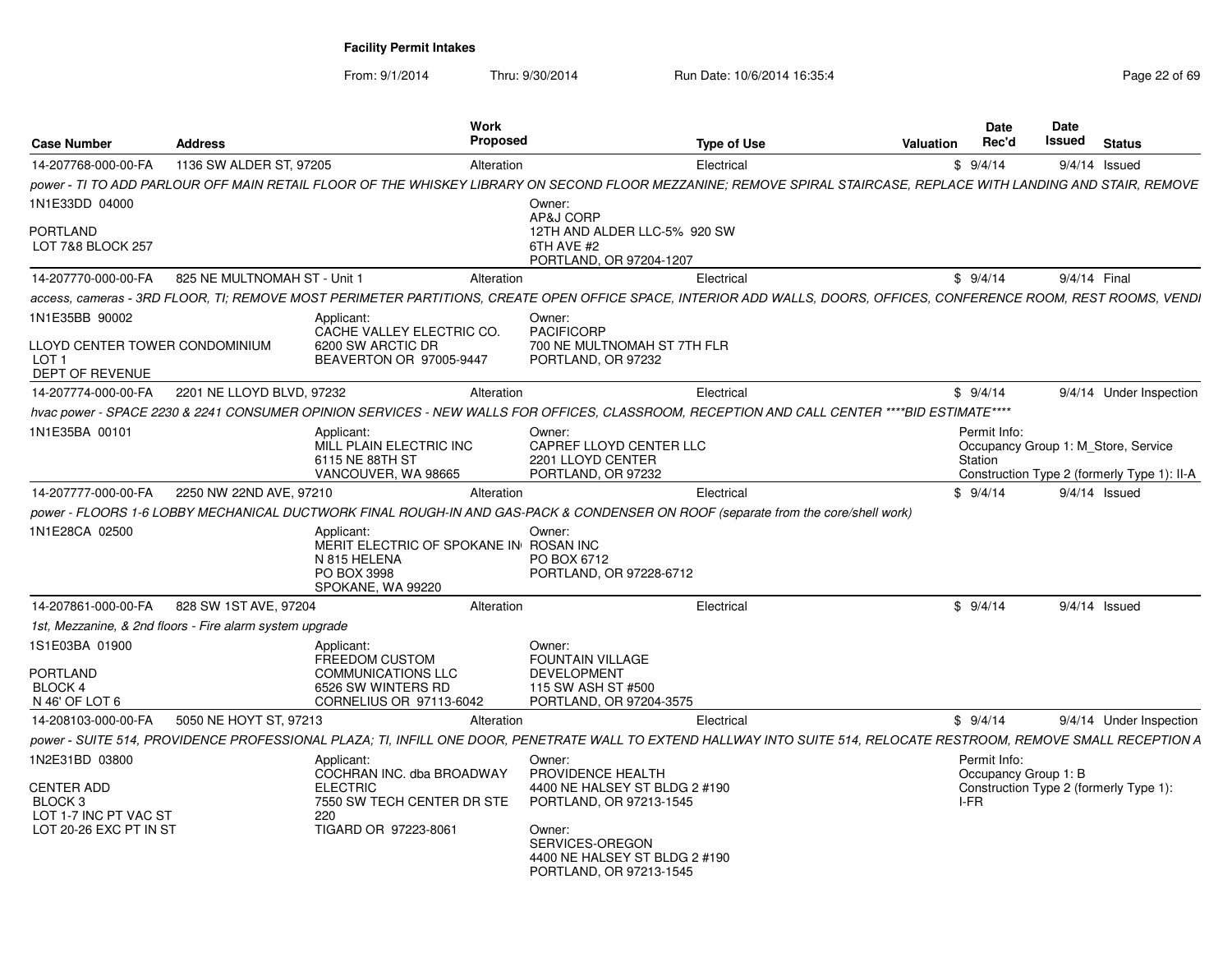| <b>Case Number</b>                                                    | <b>Address</b>                                           |                                                                                                         | Work<br><b>Proposed</b> |                                                                                       | <b>Type of Use</b>                                                                                                                                                  | Valuation | <b>Date</b><br>Rec'd                 | Date<br>Issued | <b>Status</b>                                                  |
|-----------------------------------------------------------------------|----------------------------------------------------------|---------------------------------------------------------------------------------------------------------|-------------------------|---------------------------------------------------------------------------------------|---------------------------------------------------------------------------------------------------------------------------------------------------------------------|-----------|--------------------------------------|----------------|----------------------------------------------------------------|
| 14-207768-000-00-FA                                                   | 1136 SW ALDER ST, 97205                                  |                                                                                                         | Alteration              |                                                                                       | Electrical                                                                                                                                                          |           | \$9/4/14                             |                | $9/4/14$ Issued                                                |
| 1N1E33DD 04000                                                        |                                                          |                                                                                                         |                         | Owner:                                                                                | power - TI TO ADD PARLOUR OFF MAIN RETAIL FLOOR OF THE WHISKEY LIBRARY ON SECOND FLOOR MEZZANINE; REMOVE SPIRAL STAIRCASE, REPLACE WITH LANDING AND STAIR, REMOVE   |           |                                      |                |                                                                |
| <b>PORTLAND</b><br>LOT 7&8 BLOCK 257                                  |                                                          |                                                                                                         |                         | AP&J CORP<br>12TH AND ALDER LLC-5% 920 SW<br>6TH AVE #2<br>PORTLAND, OR 97204-1207    |                                                                                                                                                                     |           |                                      |                |                                                                |
| 14-207770-000-00-FA                                                   | 825 NE MULTNOMAH ST - Unit 1                             |                                                                                                         | Alteration              |                                                                                       | Electrical                                                                                                                                                          |           | \$9/4/14                             | 9/4/14 Final   |                                                                |
|                                                                       |                                                          |                                                                                                         |                         |                                                                                       | access. cameras - 3RD FLOOR. TI: REMOVE MOST PERIMETER PARTITIONS. CREATE OPEN OFFICE SPACE. INTERIOR ADD WALLS. DOORS. OFFICES. CONFERENCE ROOM. REST ROOMS. VENDI |           |                                      |                |                                                                |
| 1N1E35BB 90002                                                        |                                                          | Applicant<br>CACHE VALLEY ELECTRIC CO.                                                                  |                         | Owner:<br><b>PACIFICORP</b>                                                           |                                                                                                                                                                     |           |                                      |                |                                                                |
| LLOYD CENTER TOWER CONDOMINIUM<br>LOT <sub>1</sub><br>DEPT OF REVENUE |                                                          | 6200 SW ARCTIC DR<br>BEAVERTON OR 97005-9447                                                            |                         | 700 NE MULTNOMAH ST 7TH FLR<br>PORTLAND, OR 97232                                     |                                                                                                                                                                     |           |                                      |                |                                                                |
| 14-207774-000-00-FA                                                   | 2201 NE LLOYD BLVD, 97232                                |                                                                                                         | Alteration              |                                                                                       | Electrical                                                                                                                                                          |           | \$9/4/14                             |                | 9/4/14 Under Inspection                                        |
|                                                                       |                                                          |                                                                                                         |                         |                                                                                       | hvac power - SPACE 2230 & 2241 CONSUMER OPINION SERVICES - NEW WALLS FOR OFFICES, CLASSROOM, RECEPTION AND CALL CENTER ****BID ESTIMATE****                         |           |                                      |                |                                                                |
| 1N1E35BA 00101                                                        |                                                          | Applicant:<br>MILL PLAIN ELECTRIC INC<br>6115 NE 88TH ST                                                |                         | Owner:<br>CAPREF LLOYD CENTER LLC<br>2201 LLOYD CENTER                                |                                                                                                                                                                     |           | Permit Info:<br>Station              |                | Occupancy Group 1: M Store, Service                            |
| 14-207777-000-00-FA                                                   | 2250 NW 22ND AVE, 97210                                  | VANCOUVER, WA 98665                                                                                     | Alteration              | PORTLAND, OR 97232                                                                    | Electrical                                                                                                                                                          |           | \$9/4/14                             |                | Construction Type 2 (formerly Type 1): II-A<br>$9/4/14$ Issued |
|                                                                       |                                                          |                                                                                                         |                         |                                                                                       |                                                                                                                                                                     |           |                                      |                |                                                                |
|                                                                       |                                                          |                                                                                                         |                         |                                                                                       | power - FLOORS 1-6 LOBBY MECHANICAL DUCTWORK FINAL ROUGH-IN AND GAS-PACK & CONDENSER ON ROOF (separate from the core/shell work)                                    |           |                                      |                |                                                                |
| 1N1E28CA 02500                                                        |                                                          | Applicant<br>MERIT ELECTRIC OF SPOKANE IN ROSAN INC<br>N 815 HELENA<br>PO BOX 3998<br>SPOKANE, WA 99220 |                         | Owner:<br>PO BOX 6712<br>PORTLAND, OR 97228-6712                                      |                                                                                                                                                                     |           |                                      |                |                                                                |
| 14-207861-000-00-FA                                                   | 828 SW 1ST AVE, 97204                                    |                                                                                                         | Alteration              |                                                                                       | Electrical                                                                                                                                                          |           | \$9/4/14                             |                | $9/4/14$ Issued                                                |
|                                                                       | 1st, Mezzanine, & 2nd floors - Fire alarm system upgrade |                                                                                                         |                         |                                                                                       |                                                                                                                                                                     |           |                                      |                |                                                                |
| 1S1E03BA 01900                                                        |                                                          | Applicant:<br><b>FREEDOM CUSTOM</b>                                                                     |                         | Owner:<br><b>FOUNTAIN VILLAGE</b>                                                     |                                                                                                                                                                     |           |                                      |                |                                                                |
| <b>PORTLAND</b><br>BLOCK 4                                            |                                                          | <b>COMMUNICATIONS LLC</b><br>6526 SW WINTERS RD                                                         |                         | <b>DEVELOPMENT</b><br>115 SW ASH ST #500                                              |                                                                                                                                                                     |           |                                      |                |                                                                |
| N 46' OF LOT 6                                                        |                                                          | CORNELIUS OR 97113-6042                                                                                 |                         | PORTLAND, OR 97204-3575                                                               |                                                                                                                                                                     |           |                                      |                |                                                                |
| 14-208103-000-00-FA                                                   | 5050 NE HOYT ST, 97213                                   |                                                                                                         | Alteration              |                                                                                       | Electrical                                                                                                                                                          |           | \$9/4/14                             |                | 9/4/14 Under Inspection                                        |
|                                                                       |                                                          |                                                                                                         |                         |                                                                                       | power - SUITE 514, PROVIDENCE PROFESSIONAL PLAZA; TI, INFILL ONE DOOR, PENETRATE WALL TO EXTEND HALLWAY INTO SUITE 514, RELOCATE RESTROOM, REMOVE SMALL RECEPTION A |           |                                      |                |                                                                |
| 1N2E31BD 03800                                                        |                                                          | Applicant<br>COCHRAN INC. dba BROADWAY                                                                  |                         | Owner:<br>PROVIDENCE HEALTH                                                           |                                                                                                                                                                     |           | Permit Info:<br>Occupancy Group 1: B |                |                                                                |
| CENTER ADD<br>BLOCK <sub>3</sub><br>LOT 1-7 INC PT VAC ST             |                                                          | <b>ELECTRIC</b><br>7550 SW TECH CENTER DR STE<br>220                                                    |                         | 4400 NE HALSEY ST BLDG 2 #190<br>PORTLAND, OR 97213-1545                              |                                                                                                                                                                     |           | I-FR                                 |                | Construction Type 2 (formerly Type 1):                         |
| LOT 20-26 EXC PT IN ST                                                |                                                          | TIGARD OR 97223-8061                                                                                    |                         | Owner:<br>SERVICES-OREGON<br>4400 NE HALSEY ST BLDG 2 #190<br>PORTLAND, OR 97213-1545 |                                                                                                                                                                     |           |                                      |                |                                                                |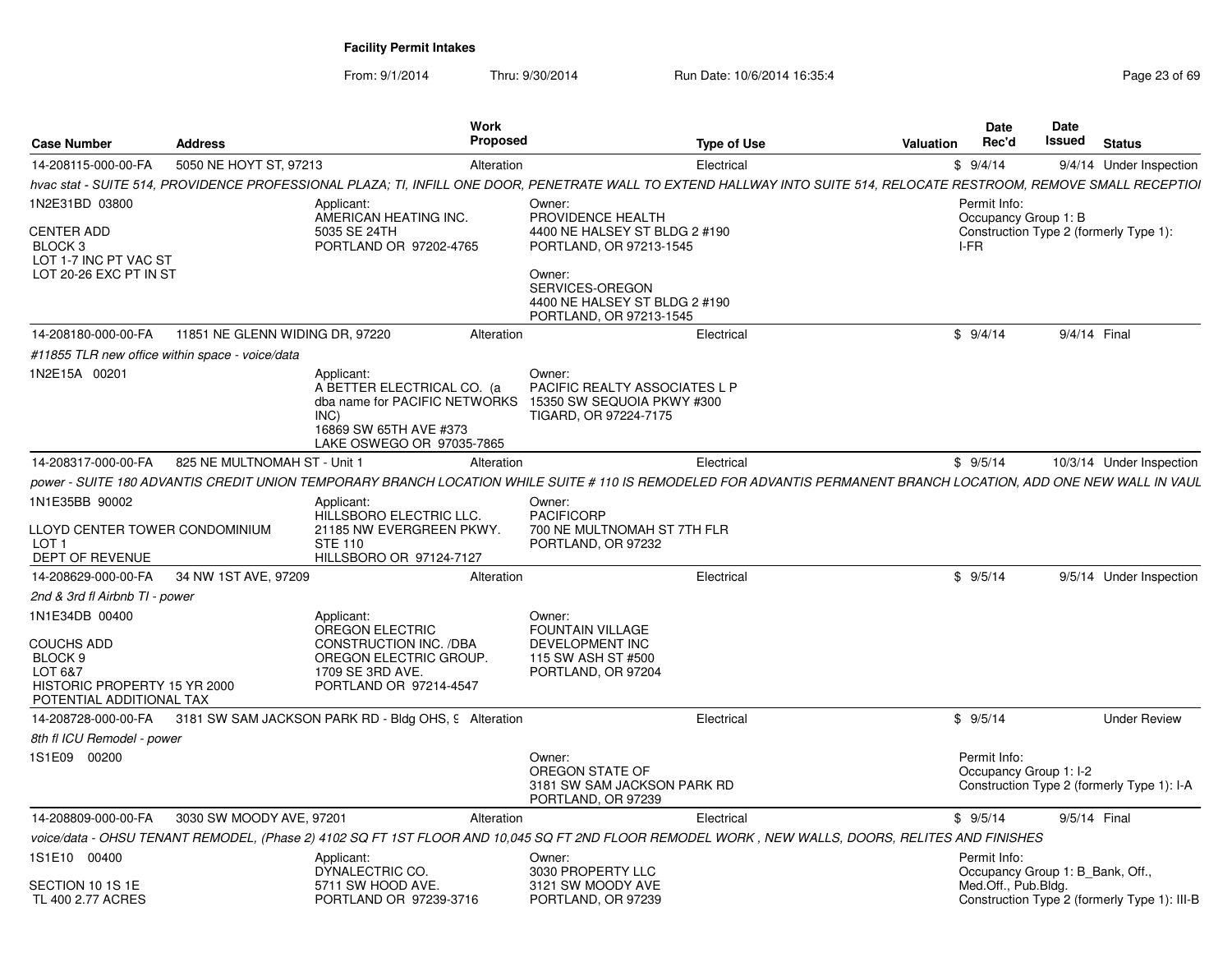| 5050 NE HOYT ST, 97213<br>14-208115-000-00-FA<br>9/4/14 Under Inspection<br>Alteration<br>Electrical<br>\$9/4/14<br>Owner:<br>Permit Info:<br>Applicant:<br>AMERICAN HEATING INC.<br>PROVIDENCE HEALTH<br>Occupancy Group 1: B<br>5035 SE 24TH<br>4400 NE HALSEY ST BLDG 2 #190<br>Construction Type 2 (formerly Type 1):<br>PORTLAND, OR 97213-1545<br>PORTLAND OR 97202-4765<br>I-FR<br>LOT 1-7 INC PT VAC ST<br>LOT 20-26 EXC PT IN ST<br>Owner:<br>SERVICES-OREGON<br>4400 NE HALSEY ST BLDG 2 #190<br>PORTLAND, OR 97213-1545<br>11851 NE GLENN WIDING DR. 97220<br>\$9/4/14<br>9/4/14 Final<br>Alteration<br>Electrical<br>#11855 TLR new office within space - voice/data<br>Applicant:<br>Owner:<br>A BETTER ELECTRICAL CO. (a<br>PACIFIC REALTY ASSOCIATES L P<br>dba name for PACIFIC NETWORKS<br>15350 SW SEQUOIA PKWY #300<br>INC)<br>TIGARD, OR 97224-7175<br>16869 SW 65TH AVE #373<br>LAKE OSWEGO OR 97035-7865<br>825 NE MULTNOMAH ST - Unit 1<br>\$9/5/14<br>Alteration<br>Electrical<br>10/3/14 Under Inspection<br>Applicant:<br>Owner:<br>PACIFICORP<br>HILLSBORO ELECTRIC LLC.<br>21185 NW EVERGREEN PKWY.<br>700 NE MULTNOMAH ST 7TH FLR<br>LLOYD CENTER TOWER CONDOMINIUM<br><b>STE 110</b><br>PORTLAND, OR 97232<br>HILLSBORO OR 97124-7127<br>34 NW 1ST AVE, 97209<br>Electrical<br>\$9/5/14<br>9/5/14 Under Inspection<br>Alteration<br>2nd & 3rd fl Airbnb TI - power<br>Applicant:<br>Owner:<br>OREGON ELECTRIC<br><b>FOUNTAIN VILLAGE</b><br>CONSTRUCTION INC. /DBA<br><b>DEVELOPMENT INC</b><br>OREGON ELECTRIC GROUP.<br>115 SW ASH ST #500<br>1709 SE 3RD AVE.<br>PORTLAND, OR 97204<br>HISTORIC PROPERTY 15 YR 2000<br>PORTLAND OR 97214-4547<br>POTENTIAL ADDITIONAL TAX<br>3181 SW SAM JACKSON PARK RD - Bldg OHS, 9 Alteration<br>\$9/5/14<br><b>Under Review</b><br>Electrical<br>8th fl ICU Remodel - power<br>Owner:<br>Permit Info:<br>OREGON STATE OF<br>Occupancy Group 1: I-2<br>3181 SW SAM JACKSON PARK RD<br>Construction Type 2 (formerly Type 1): I-A<br>PORTLAND, OR 97239<br>3030 SW MOODY AVE, 97201<br>14-208809-000-00-FA<br>Electrical<br>\$9/5/14<br>9/5/14 Final<br>Alteration<br>voice/data - OHSU TENANT REMODEL. (Phase 2) 4102 SQ FT 1ST FLOOR AND 10.045 SQ FT 2ND FLOOR REMODEL WORK . NEW WALLS. DOORS. RELITES AND FINISHES<br>Permit Info:<br>Applicant:<br>Owner:<br>DYNALECTRIC CO.<br>3030 PROPERTY LLC<br>Occupancy Group 1: B Bank, Off.,<br>3121 SW MOODY AVE<br>5711 SW HOOD AVE.<br>Med.Off., Pub.Bldg.<br>PORTLAND OR 97239-3716<br>PORTLAND, OR 97239 | <b>Case Number</b>                                                   | <b>Address</b> | <b>Work</b><br><b>Proposed</b> | <b>Type of Use</b> | Valuation | <b>Date</b><br>Rec'd | Date<br>Issued | <b>Status</b> |
|----------------------------------------------------------------------------------------------------------------------------------------------------------------------------------------------------------------------------------------------------------------------------------------------------------------------------------------------------------------------------------------------------------------------------------------------------------------------------------------------------------------------------------------------------------------------------------------------------------------------------------------------------------------------------------------------------------------------------------------------------------------------------------------------------------------------------------------------------------------------------------------------------------------------------------------------------------------------------------------------------------------------------------------------------------------------------------------------------------------------------------------------------------------------------------------------------------------------------------------------------------------------------------------------------------------------------------------------------------------------------------------------------------------------------------------------------------------------------------------------------------------------------------------------------------------------------------------------------------------------------------------------------------------------------------------------------------------------------------------------------------------------------------------------------------------------------------------------------------------------------------------------------------------------------------------------------------------------------------------------------------------------------------------------------------------------------------------------------------------------------------------------------------------------------------------------------------------------------------------------------------------------------------------------------------------------------------------------------------------------------------------------------------------------------------------------------------------------------------------------------------------------------------|----------------------------------------------------------------------|----------------|--------------------------------|--------------------|-----------|----------------------|----------------|---------------|
| hvac stat - SUITE 514, PROVIDENCE PROFESSIONAL PLAZA; TI, INFILL ONE DOOR, PENETRATE WALL TO EXTEND HALLWAY INTO SUITE 514, RELOCATE RESTROOM, REMOVE SMALL RECEPTIOI<br>power - SUITE 180 ADVANTIS CREDIT UNION TEMPORARY BRANCH LOCATION WHILE SUITE # 110 IS REMODELED FOR ADVANTIS PERMANENT BRANCH LOCATION. ADD ONE NEW WALL IN VAUL<br>Construction Type 2 (formerly Type 1): III-B                                                                                                                                                                                                                                                                                                                                                                                                                                                                                                                                                                                                                                                                                                                                                                                                                                                                                                                                                                                                                                                                                                                                                                                                                                                                                                                                                                                                                                                                                                                                                                                                                                                                                                                                                                                                                                                                                                                                                                                                                                                                                                                                       |                                                                      |                |                                |                    |           |                      |                |               |
|                                                                                                                                                                                                                                                                                                                                                                                                                                                                                                                                                                                                                                                                                                                                                                                                                                                                                                                                                                                                                                                                                                                                                                                                                                                                                                                                                                                                                                                                                                                                                                                                                                                                                                                                                                                                                                                                                                                                                                                                                                                                                                                                                                                                                                                                                                                                                                                                                                                                                                                                  |                                                                      |                |                                |                    |           |                      |                |               |
|                                                                                                                                                                                                                                                                                                                                                                                                                                                                                                                                                                                                                                                                                                                                                                                                                                                                                                                                                                                                                                                                                                                                                                                                                                                                                                                                                                                                                                                                                                                                                                                                                                                                                                                                                                                                                                                                                                                                                                                                                                                                                                                                                                                                                                                                                                                                                                                                                                                                                                                                  | 1N2E31BD 03800                                                       |                |                                |                    |           |                      |                |               |
|                                                                                                                                                                                                                                                                                                                                                                                                                                                                                                                                                                                                                                                                                                                                                                                                                                                                                                                                                                                                                                                                                                                                                                                                                                                                                                                                                                                                                                                                                                                                                                                                                                                                                                                                                                                                                                                                                                                                                                                                                                                                                                                                                                                                                                                                                                                                                                                                                                                                                                                                  | <b>CENTER ADD</b><br>BLOCK <sub>3</sub>                              |                |                                |                    |           |                      |                |               |
|                                                                                                                                                                                                                                                                                                                                                                                                                                                                                                                                                                                                                                                                                                                                                                                                                                                                                                                                                                                                                                                                                                                                                                                                                                                                                                                                                                                                                                                                                                                                                                                                                                                                                                                                                                                                                                                                                                                                                                                                                                                                                                                                                                                                                                                                                                                                                                                                                                                                                                                                  |                                                                      |                |                                |                    |           |                      |                |               |
|                                                                                                                                                                                                                                                                                                                                                                                                                                                                                                                                                                                                                                                                                                                                                                                                                                                                                                                                                                                                                                                                                                                                                                                                                                                                                                                                                                                                                                                                                                                                                                                                                                                                                                                                                                                                                                                                                                                                                                                                                                                                                                                                                                                                                                                                                                                                                                                                                                                                                                                                  | 14-208180-000-00-FA                                                  |                |                                |                    |           |                      |                |               |
|                                                                                                                                                                                                                                                                                                                                                                                                                                                                                                                                                                                                                                                                                                                                                                                                                                                                                                                                                                                                                                                                                                                                                                                                                                                                                                                                                                                                                                                                                                                                                                                                                                                                                                                                                                                                                                                                                                                                                                                                                                                                                                                                                                                                                                                                                                                                                                                                                                                                                                                                  |                                                                      |                |                                |                    |           |                      |                |               |
|                                                                                                                                                                                                                                                                                                                                                                                                                                                                                                                                                                                                                                                                                                                                                                                                                                                                                                                                                                                                                                                                                                                                                                                                                                                                                                                                                                                                                                                                                                                                                                                                                                                                                                                                                                                                                                                                                                                                                                                                                                                                                                                                                                                                                                                                                                                                                                                                                                                                                                                                  | 1N2E15A 00201                                                        |                |                                |                    |           |                      |                |               |
|                                                                                                                                                                                                                                                                                                                                                                                                                                                                                                                                                                                                                                                                                                                                                                                                                                                                                                                                                                                                                                                                                                                                                                                                                                                                                                                                                                                                                                                                                                                                                                                                                                                                                                                                                                                                                                                                                                                                                                                                                                                                                                                                                                                                                                                                                                                                                                                                                                                                                                                                  | 14-208317-000-00-FA                                                  |                |                                |                    |           |                      |                |               |
|                                                                                                                                                                                                                                                                                                                                                                                                                                                                                                                                                                                                                                                                                                                                                                                                                                                                                                                                                                                                                                                                                                                                                                                                                                                                                                                                                                                                                                                                                                                                                                                                                                                                                                                                                                                                                                                                                                                                                                                                                                                                                                                                                                                                                                                                                                                                                                                                                                                                                                                                  |                                                                      |                |                                |                    |           |                      |                |               |
|                                                                                                                                                                                                                                                                                                                                                                                                                                                                                                                                                                                                                                                                                                                                                                                                                                                                                                                                                                                                                                                                                                                                                                                                                                                                                                                                                                                                                                                                                                                                                                                                                                                                                                                                                                                                                                                                                                                                                                                                                                                                                                                                                                                                                                                                                                                                                                                                                                                                                                                                  | 1N1E35BB 90002                                                       |                |                                |                    |           |                      |                |               |
|                                                                                                                                                                                                                                                                                                                                                                                                                                                                                                                                                                                                                                                                                                                                                                                                                                                                                                                                                                                                                                                                                                                                                                                                                                                                                                                                                                                                                                                                                                                                                                                                                                                                                                                                                                                                                                                                                                                                                                                                                                                                                                                                                                                                                                                                                                                                                                                                                                                                                                                                  | LOT <sub>1</sub><br>DEPT OF REVENUE                                  |                |                                |                    |           |                      |                |               |
|                                                                                                                                                                                                                                                                                                                                                                                                                                                                                                                                                                                                                                                                                                                                                                                                                                                                                                                                                                                                                                                                                                                                                                                                                                                                                                                                                                                                                                                                                                                                                                                                                                                                                                                                                                                                                                                                                                                                                                                                                                                                                                                                                                                                                                                                                                                                                                                                                                                                                                                                  | 14-208629-000-00-FA                                                  |                |                                |                    |           |                      |                |               |
|                                                                                                                                                                                                                                                                                                                                                                                                                                                                                                                                                                                                                                                                                                                                                                                                                                                                                                                                                                                                                                                                                                                                                                                                                                                                                                                                                                                                                                                                                                                                                                                                                                                                                                                                                                                                                                                                                                                                                                                                                                                                                                                                                                                                                                                                                                                                                                                                                                                                                                                                  |                                                                      |                |                                |                    |           |                      |                |               |
|                                                                                                                                                                                                                                                                                                                                                                                                                                                                                                                                                                                                                                                                                                                                                                                                                                                                                                                                                                                                                                                                                                                                                                                                                                                                                                                                                                                                                                                                                                                                                                                                                                                                                                                                                                                                                                                                                                                                                                                                                                                                                                                                                                                                                                                                                                                                                                                                                                                                                                                                  | 1N1E34DB 00400<br><b>COUCHS ADD</b><br>BLOCK <sub>9</sub><br>LOT 6&7 |                |                                |                    |           |                      |                |               |
|                                                                                                                                                                                                                                                                                                                                                                                                                                                                                                                                                                                                                                                                                                                                                                                                                                                                                                                                                                                                                                                                                                                                                                                                                                                                                                                                                                                                                                                                                                                                                                                                                                                                                                                                                                                                                                                                                                                                                                                                                                                                                                                                                                                                                                                                                                                                                                                                                                                                                                                                  | 14-208728-000-00-FA                                                  |                |                                |                    |           |                      |                |               |
|                                                                                                                                                                                                                                                                                                                                                                                                                                                                                                                                                                                                                                                                                                                                                                                                                                                                                                                                                                                                                                                                                                                                                                                                                                                                                                                                                                                                                                                                                                                                                                                                                                                                                                                                                                                                                                                                                                                                                                                                                                                                                                                                                                                                                                                                                                                                                                                                                                                                                                                                  |                                                                      |                |                                |                    |           |                      |                |               |
|                                                                                                                                                                                                                                                                                                                                                                                                                                                                                                                                                                                                                                                                                                                                                                                                                                                                                                                                                                                                                                                                                                                                                                                                                                                                                                                                                                                                                                                                                                                                                                                                                                                                                                                                                                                                                                                                                                                                                                                                                                                                                                                                                                                                                                                                                                                                                                                                                                                                                                                                  | IS1E09 00200                                                         |                |                                |                    |           |                      |                |               |
|                                                                                                                                                                                                                                                                                                                                                                                                                                                                                                                                                                                                                                                                                                                                                                                                                                                                                                                                                                                                                                                                                                                                                                                                                                                                                                                                                                                                                                                                                                                                                                                                                                                                                                                                                                                                                                                                                                                                                                                                                                                                                                                                                                                                                                                                                                                                                                                                                                                                                                                                  |                                                                      |                |                                |                    |           |                      |                |               |
|                                                                                                                                                                                                                                                                                                                                                                                                                                                                                                                                                                                                                                                                                                                                                                                                                                                                                                                                                                                                                                                                                                                                                                                                                                                                                                                                                                                                                                                                                                                                                                                                                                                                                                                                                                                                                                                                                                                                                                                                                                                                                                                                                                                                                                                                                                                                                                                                                                                                                                                                  |                                                                      |                |                                |                    |           |                      |                |               |
|                                                                                                                                                                                                                                                                                                                                                                                                                                                                                                                                                                                                                                                                                                                                                                                                                                                                                                                                                                                                                                                                                                                                                                                                                                                                                                                                                                                                                                                                                                                                                                                                                                                                                                                                                                                                                                                                                                                                                                                                                                                                                                                                                                                                                                                                                                                                                                                                                                                                                                                                  | 1S1E10 00400                                                         |                |                                |                    |           |                      |                |               |
|                                                                                                                                                                                                                                                                                                                                                                                                                                                                                                                                                                                                                                                                                                                                                                                                                                                                                                                                                                                                                                                                                                                                                                                                                                                                                                                                                                                                                                                                                                                                                                                                                                                                                                                                                                                                                                                                                                                                                                                                                                                                                                                                                                                                                                                                                                                                                                                                                                                                                                                                  | SECTION 10 1S 1E<br>TL 400 2.77 ACRES                                |                |                                |                    |           |                      |                |               |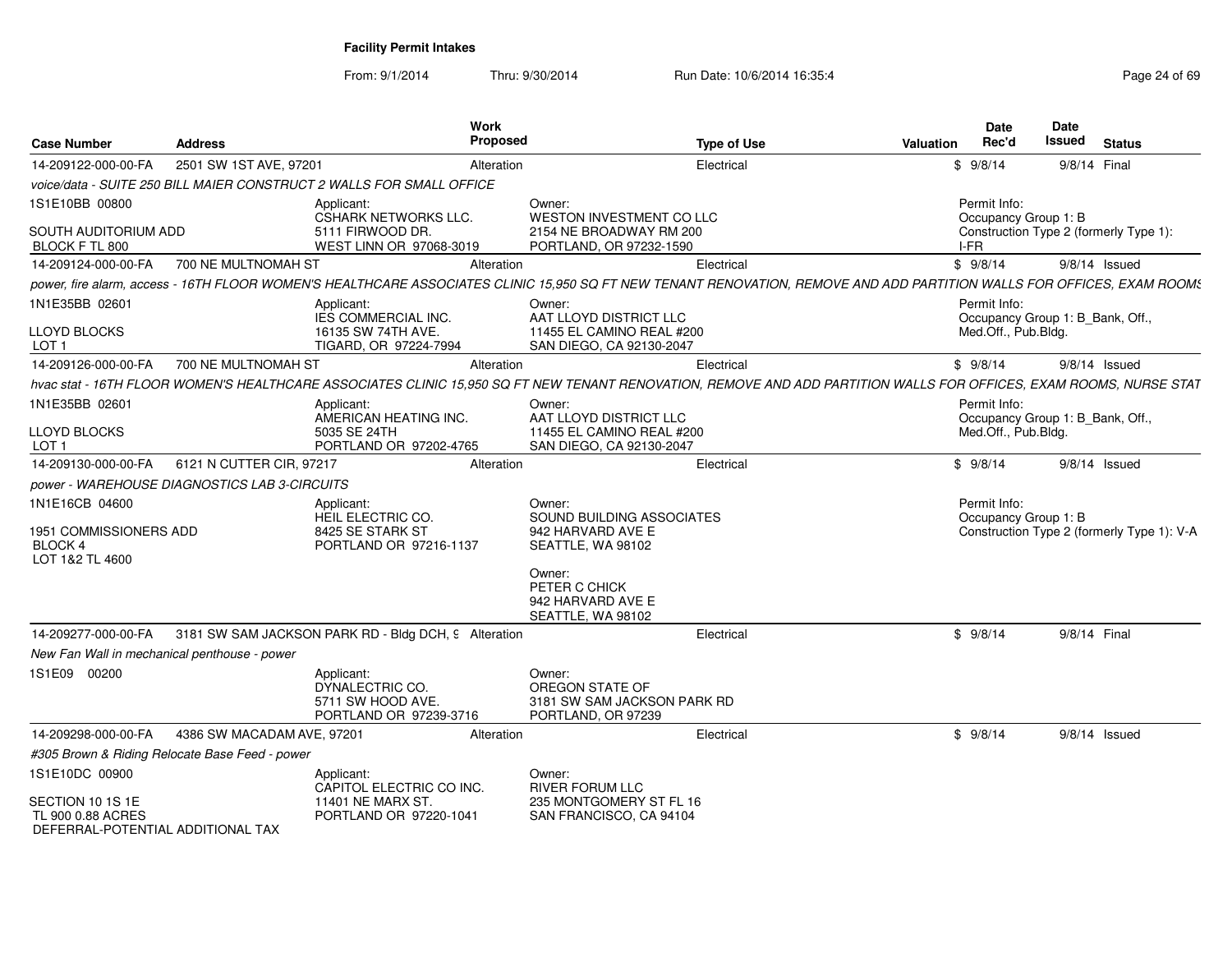| <b>Case Number</b>                           | <b>Address</b>                                 | Work<br>Proposed                                                                                                                                                       |                                                       | <b>Type of Use</b> | <b>Valuation</b> | Date<br>Rec'd                                           | <b>Date</b><br>Issued | <b>Status</b>                              |
|----------------------------------------------|------------------------------------------------|------------------------------------------------------------------------------------------------------------------------------------------------------------------------|-------------------------------------------------------|--------------------|------------------|---------------------------------------------------------|-----------------------|--------------------------------------------|
|                                              |                                                |                                                                                                                                                                        |                                                       |                    |                  |                                                         |                       |                                            |
| 14-209122-000-00-FA                          | 2501 SW 1ST AVE, 97201                         | Alteration                                                                                                                                                             |                                                       | Electrical         |                  | \$9/8/14                                                | 9/8/14 Final          |                                            |
|                                              |                                                | voice/data - SUITE 250 BILL MAIER CONSTRUCT 2 WALLS FOR SMALL OFFICE                                                                                                   |                                                       |                    |                  |                                                         |                       |                                            |
| 1S1E10BB 00800                               |                                                | Applicant:<br>CSHARK NETWORKS LLC.                                                                                                                                     | Owner:<br>WESTON INVESTMENT CO LLC                    |                    |                  | Permit Info:<br>Occupancy Group 1: B                    |                       |                                            |
| SOUTH AUDITORIUM ADD                         |                                                | 5111 FIRWOOD DR.                                                                                                                                                       | 2154 NE BROADWAY RM 200                               |                    |                  |                                                         |                       | Construction Type 2 (formerly Type 1):     |
| BLOCK F TL 800                               |                                                | WEST LINN OR 97068-3019                                                                                                                                                | PORTLAND, OR 97232-1590                               |                    | I-FR             |                                                         |                       |                                            |
| 14-209124-000-00-FA                          | 700 NE MULTNOMAH ST                            | Alteration                                                                                                                                                             |                                                       | Electrical         |                  | \$9/8/14                                                |                       | 9/8/14 Issued                              |
|                                              |                                                | power, fire alarm, access - 16TH FLOOR WOMEN'S HEALTHCARE ASSOCIATES CLINIC 15,950 SQ FT NEW TENANT RENOVATION, REMOVE AND ADD PARTITION WALLS FOR OFFICES, EXAM ROOM: |                                                       |                    |                  |                                                         |                       |                                            |
| 1N1E35BB 02601                               |                                                | Applicant:                                                                                                                                                             | Owner:                                                |                    |                  | Permit Info:                                            |                       |                                            |
| LLOYD BLOCKS                                 |                                                | IES COMMERCIAL INC.<br>16135 SW 74TH AVE.                                                                                                                              | AAT LLOYD DISTRICT LLC<br>11455 EL CAMINO REAL #200   |                    |                  | Occupancy Group 1: B Bank, Off.,<br>Med.Off., Pub.Bldg. |                       |                                            |
| LOT 1                                        |                                                | TIGARD, OR 97224-7994                                                                                                                                                  | SAN DIEGO, CA 92130-2047                              |                    |                  |                                                         |                       |                                            |
| 14-209126-000-00-FA                          | 700 NE MULTNOMAH ST                            | Alteration                                                                                                                                                             |                                                       | Electrical         |                  | \$9/8/14                                                |                       | $9/8/14$ Issued                            |
|                                              |                                                | hvac stat - 16TH FLOOR WOMEN'S HEALTHCARE ASSOCIATES CLINIC 15,950 SQ FT NEW TENANT RENOVATION, REMOVE AND ADD PARTITION WALLS FOR OFFICES, EXAM ROOMS, NURSE STAT     |                                                       |                    |                  |                                                         |                       |                                            |
| 1N1E35BB 02601                               |                                                | Applicant:                                                                                                                                                             | Owner:                                                |                    |                  | Permit Info:                                            |                       |                                            |
|                                              |                                                | AMERICAN HEATING INC.                                                                                                                                                  | AAT LLOYD DISTRICT LLC                                |                    |                  | Occupancy Group 1: B Bank, Off.,                        |                       |                                            |
| LLOYD BLOCKS<br>LOT <sub>1</sub>             |                                                | 5035 SE 24TH<br>PORTLAND OR 97202-4765                                                                                                                                 | 11455 EL CAMINO REAL #200<br>SAN DIEGO, CA 92130-2047 |                    |                  | Med.Off., Pub.Bldg.                                     |                       |                                            |
| 14-209130-000-00-FA                          | 6121 N CUTTER CIR, 97217                       | Alteration                                                                                                                                                             |                                                       | Electrical         |                  | \$9/8/14                                                |                       | 9/8/14 Issued                              |
|                                              | power - WAREHOUSE DIAGNOSTICS LAB 3-CIRCUITS   |                                                                                                                                                                        |                                                       |                    |                  |                                                         |                       |                                            |
| 1N1E16CB 04600                               |                                                | Applicant:                                                                                                                                                             | Owner:                                                |                    |                  | Permit Info:                                            |                       |                                            |
|                                              |                                                | HEIL ELECTRIC CO.                                                                                                                                                      | SOUND BUILDING ASSOCIATES                             |                    |                  | Occupancy Group 1: B                                    |                       |                                            |
| 1951 COMMISSIONERS ADD                       |                                                | 8425 SE STARK ST                                                                                                                                                       | 942 HARVARD AVE E                                     |                    |                  |                                                         |                       | Construction Type 2 (formerly Type 1): V-A |
| <b>BLOCK 4</b><br>LOT 1&2 TL 4600            |                                                | PORTLAND OR 97216-1137                                                                                                                                                 | SEATTLE, WA 98102                                     |                    |                  |                                                         |                       |                                            |
|                                              |                                                |                                                                                                                                                                        | Owner:                                                |                    |                  |                                                         |                       |                                            |
|                                              |                                                |                                                                                                                                                                        | PETER C CHICK                                         |                    |                  |                                                         |                       |                                            |
|                                              |                                                |                                                                                                                                                                        | 942 HARVARD AVE E<br>SEATTLE, WA 98102                |                    |                  |                                                         |                       |                                            |
| 14-209277-000-00-FA                          |                                                | 3181 SW SAM JACKSON PARK RD - Bldg DCH, 9 Alteration                                                                                                                   |                                                       | Electrical         |                  | \$9/8/14                                                | 9/8/14 Final          |                                            |
| New Fan Wall in mechanical penthouse - power |                                                |                                                                                                                                                                        |                                                       |                    |                  |                                                         |                       |                                            |
| 1S1E09 00200                                 |                                                |                                                                                                                                                                        | Owner:                                                |                    |                  |                                                         |                       |                                            |
|                                              |                                                | Applicant:<br>DYNALECTRIC CO.                                                                                                                                          | OREGON STATE OF                                       |                    |                  |                                                         |                       |                                            |
|                                              |                                                | 5711 SW HOOD AVE.                                                                                                                                                      | 3181 SW SAM JACKSON PARK RD                           |                    |                  |                                                         |                       |                                            |
|                                              |                                                | PORTLAND OR 97239-3716                                                                                                                                                 | PORTLAND, OR 97239                                    |                    |                  |                                                         |                       |                                            |
| 14-209298-000-00-FA                          | 4386 SW MACADAM AVE, 97201                     | Alteration                                                                                                                                                             |                                                       | Electrical         |                  | \$9/8/14                                                |                       | $9/8/14$ Issued                            |
|                                              | #305 Brown & Riding Relocate Base Feed - power |                                                                                                                                                                        |                                                       |                    |                  |                                                         |                       |                                            |
| 1S1E10DC 00900                               |                                                | Applicant:                                                                                                                                                             | Owner:                                                |                    |                  |                                                         |                       |                                            |
| SECTION 10 1S 1E                             |                                                | CAPITOL ELECTRIC CO INC.<br>11401 NE MARX ST.                                                                                                                          | <b>RIVER FORUM LLC</b><br>235 MONTGOMERY ST FL 16     |                    |                  |                                                         |                       |                                            |
| TL 900 0.88 ACRES                            |                                                | PORTLAND OR 97220-1041                                                                                                                                                 | SAN FRANCISCO, CA 94104                               |                    |                  |                                                         |                       |                                            |
| DEFERRAL-POTENTIAL ADDITIONAL TAX            |                                                |                                                                                                                                                                        |                                                       |                    |                  |                                                         |                       |                                            |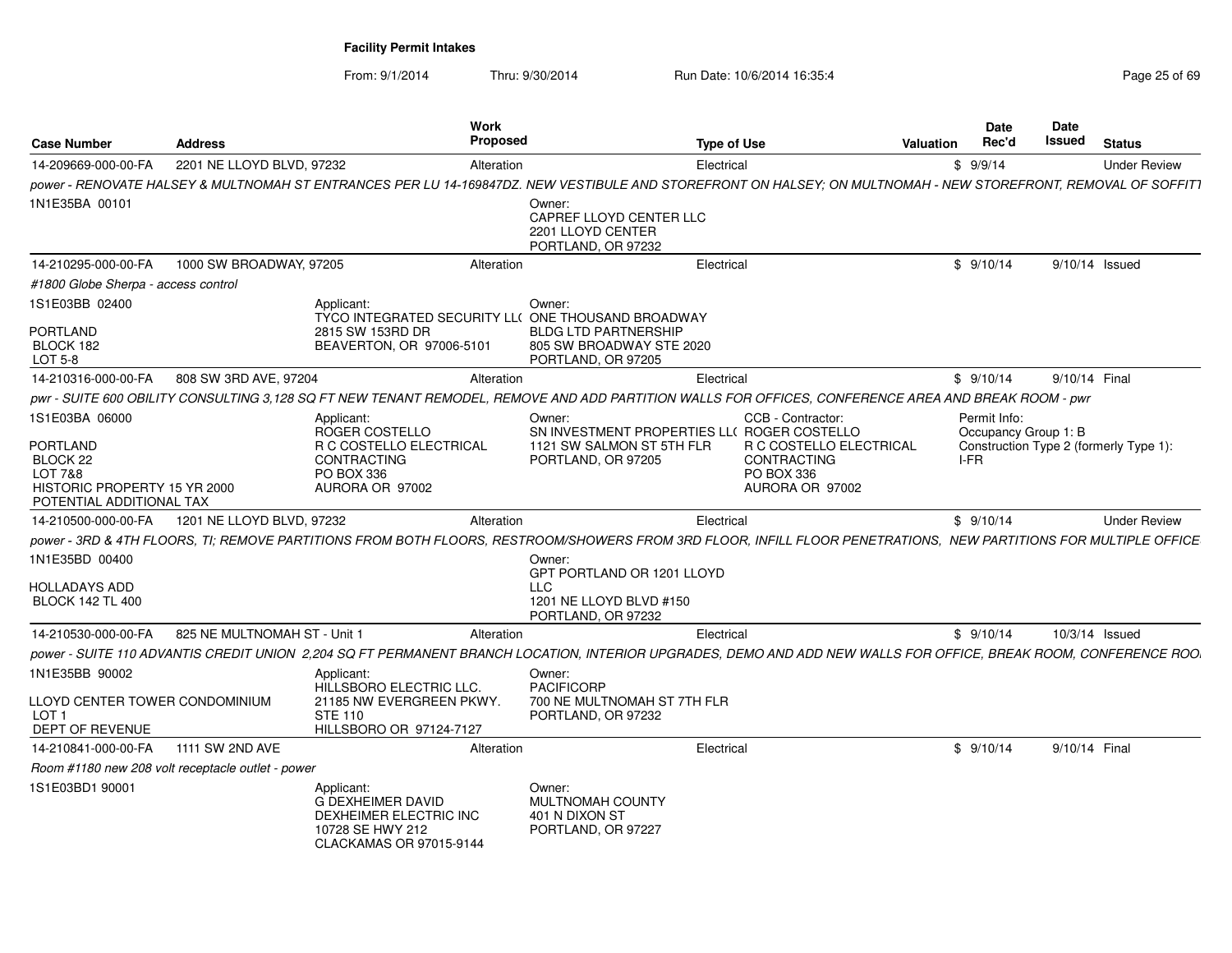| <b>Case Number</b>                                                                          | <b>Address</b>                                    |                                                                                                                 | Work<br><b>Proposed</b> |                                                                                                                                                                  | <b>Type of Use</b>                                                                    | Valuation | <b>Date</b><br>Rec'd                 | Date<br>Issued | <b>Status</b>                          |
|---------------------------------------------------------------------------------------------|---------------------------------------------------|-----------------------------------------------------------------------------------------------------------------|-------------------------|------------------------------------------------------------------------------------------------------------------------------------------------------------------|---------------------------------------------------------------------------------------|-----------|--------------------------------------|----------------|----------------------------------------|
| 14-209669-000-00-FA                                                                         | 2201 NE LLOYD BLVD, 97232                         |                                                                                                                 | Alteration              |                                                                                                                                                                  | Electrical                                                                            |           | \$9/9/14                             |                | <b>Under Review</b>                    |
|                                                                                             |                                                   |                                                                                                                 |                         | power - RENOVATE HALSEY & MULTNOMAH ST ENTRANCES PER LU 14-169847DZ. NEW VESTIBULE AND STOREFRONT ON HALSEY; ON MULTNOMAH - NEW STOREFRONT, REMOVAL OF SOFFIT1   |                                                                                       |           |                                      |                |                                        |
| 1N1E35BA 00101                                                                              |                                                   |                                                                                                                 |                         | Owner:<br>CAPREF LLOYD CENTER LLC<br>2201 LLOYD CENTER<br>PORTLAND, OR 97232                                                                                     |                                                                                       |           |                                      |                |                                        |
| 14-210295-000-00-FA                                                                         | 1000 SW BROADWAY, 97205                           |                                                                                                                 | Alteration              |                                                                                                                                                                  | Electrical                                                                            |           | \$9/10/14                            |                | 9/10/14 Issued                         |
| #1800 Globe Sherpa - access control                                                         |                                                   |                                                                                                                 |                         |                                                                                                                                                                  |                                                                                       |           |                                      |                |                                        |
| 1S1E03BB 02400<br>PORTLAND<br>BLOCK 182<br>LOT 5-8                                          |                                                   | Applicant:<br>2815 SW 153RD DR<br>BEAVERTON, OR 97006-5101                                                      |                         | Owner:<br>TYCO INTEGRATED SECURITY LL( ONE THOUSAND BROADWAY<br><b>BLDG LTD PARTNERSHIP</b><br>805 SW BROADWAY STE 2020<br>PORTLAND, OR 97205                    |                                                                                       |           |                                      |                |                                        |
| 14-210316-000-00-FA                                                                         | 808 SW 3RD AVE, 97204                             |                                                                                                                 | Alteration              |                                                                                                                                                                  | Electrical                                                                            |           | \$9/10/14                            | 9/10/14 Final  |                                        |
|                                                                                             |                                                   |                                                                                                                 |                         | pwr - SUITE 600 OBILITY CONSULTING 3,128 SQ FT NEW TENANT REMODEL, REMOVE AND ADD PARTITION WALLS FOR OFFICES, CONFERENCE AREA AND BREAK ROOM - pwr              |                                                                                       |           |                                      |                |                                        |
| 1S1E03BA 06000                                                                              |                                                   | Applicant:<br>ROGER COSTELLO                                                                                    |                         | Owner:<br>SN INVESTMENT PROPERTIES LLC ROGER COSTELLO                                                                                                            | CCB - Contractor:                                                                     |           | Permit Info:<br>Occupancy Group 1: B |                |                                        |
| PORTLAND<br>BLOCK 22<br>LOT 7&8<br>HISTORIC PROPERTY 15 YR 2000<br>POTENTIAL ADDITIONAL TAX |                                                   | R C COSTELLO ELECTRICAL<br><b>CONTRACTING</b><br>PO BOX 336<br>AURORA OR 97002                                  |                         | 1121 SW SALMON ST 5TH FLR<br>PORTLAND, OR 97205                                                                                                                  | <b>R C COSTELLO ELECTRICAL</b><br><b>CONTRACTING</b><br>PO BOX 336<br>AURORA OR 97002 |           | I-FR                                 |                | Construction Type 2 (formerly Type 1): |
| 14-210500-000-00-FA                                                                         | 1201 NE LLOYD BLVD, 97232                         |                                                                                                                 | Alteration              |                                                                                                                                                                  | Electrica                                                                             |           | \$9/10/14                            |                | <b>Under Review</b>                    |
|                                                                                             |                                                   |                                                                                                                 |                         | power - 3RD & 4TH FLOORS. TI: REMOVE PARTITIONS FROM BOTH FLOORS. RESTROOM/SHOWERS FROM 3RD FLOOR. INFILL FLOOR PENETRATIONS. NEW PARTITIONS FOR MULTIPLE OFFICE |                                                                                       |           |                                      |                |                                        |
| 1N1E35BD 00400                                                                              |                                                   |                                                                                                                 |                         | Owner:<br>GPT PORTLAND OR 1201 LLOYD                                                                                                                             |                                                                                       |           |                                      |                |                                        |
| HOLLADAYS ADD<br><b>BLOCK 142 TL 400</b>                                                    |                                                   |                                                                                                                 |                         | <b>LLC</b><br>1201 NE LLOYD BLVD #150<br>PORTLAND, OR 97232                                                                                                      |                                                                                       |           |                                      |                |                                        |
| 14-210530-000-00-FA                                                                         | 825 NE MULTNOMAH ST - Unit 1                      |                                                                                                                 | Alteration              |                                                                                                                                                                  | Electrical                                                                            |           | \$9/10/14                            |                | 10/3/14 Issued                         |
|                                                                                             |                                                   |                                                                                                                 |                         | power - SUITE 110 ADVANTIS CREDIT UNION 2,204 SQ FT PERMANENT BRANCH LOCATION, INTERIOR UPGRADES, DEMO AND ADD NEW WALLS FOR OFFICE, BREAK ROOM, CONFERENCE ROO. |                                                                                       |           |                                      |                |                                        |
| 1N1E35BB 90002                                                                              |                                                   | Applicant:<br>HILLSBORO ELECTRIC LLC.                                                                           |                         | Owner:<br><b>PACIFICORP</b>                                                                                                                                      |                                                                                       |           |                                      |                |                                        |
| LLOYD CENTER TOWER CONDOMINIUM<br>LOT <sub>1</sub><br><b>DEPT OF REVENUE</b>                |                                                   | 21185 NW EVERGREEN PKWY.<br><b>STE 110</b><br>HILLSBORO OR 97124-7127                                           |                         | 700 NE MULTNOMAH ST 7TH FLR<br>PORTLAND, OR 97232                                                                                                                |                                                                                       |           |                                      |                |                                        |
| 14-210841-000-00-FA                                                                         | 1111 SW 2ND AVE                                   |                                                                                                                 | Alteration              |                                                                                                                                                                  | Electrical                                                                            |           | \$9/10/14                            | 9/10/14 Final  |                                        |
|                                                                                             | Room #1180 new 208 volt receptacle outlet - power |                                                                                                                 |                         |                                                                                                                                                                  |                                                                                       |           |                                      |                |                                        |
| 1S1E03BD1 90001                                                                             |                                                   | Applicant:<br><b>G DEXHEIMER DAVID</b><br>DEXHEIMER ELECTRIC INC<br>10728 SE HWY 212<br>CLACKAMAS OR 97015-9144 |                         | Owner:<br>MULTNOMAH COUNTY<br>401 N DIXON ST<br>PORTLAND, OR 97227                                                                                               |                                                                                       |           |                                      |                |                                        |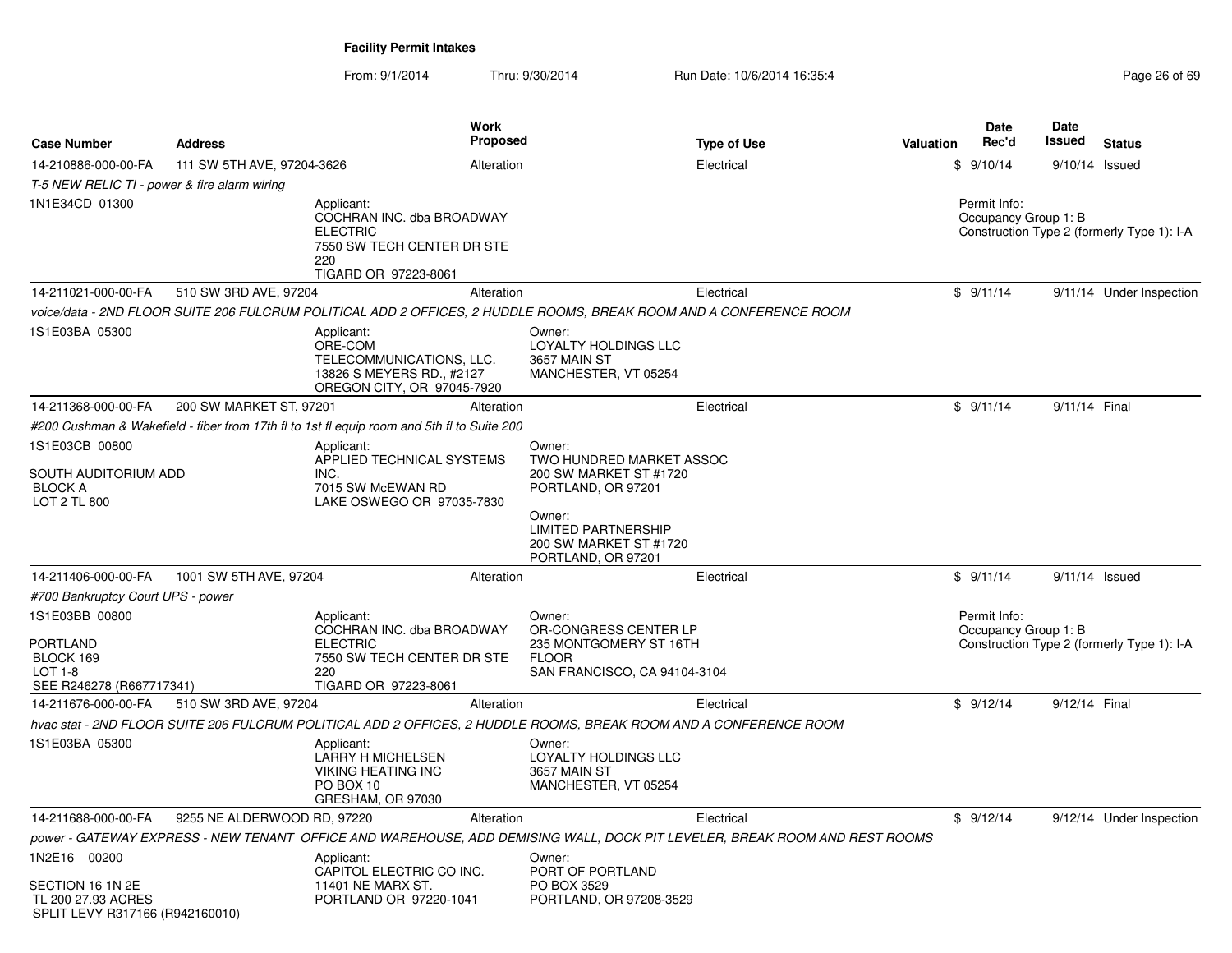| <b>Case Number</b>                                                                        | <b>Address</b>              |                                                                                                                         | <b>Work</b><br>Proposed |                                                                                                           | <b>Type of Use</b>                                                                                                         | <b>Valuation</b> | <b>Date</b><br>Rec'd                 | Date<br>Issued | <b>Status</b>                              |
|-------------------------------------------------------------------------------------------|-----------------------------|-------------------------------------------------------------------------------------------------------------------------|-------------------------|-----------------------------------------------------------------------------------------------------------|----------------------------------------------------------------------------------------------------------------------------|------------------|--------------------------------------|----------------|--------------------------------------------|
| 14-210886-000-00-FA                                                                       | 111 SW 5TH AVE, 97204-3626  |                                                                                                                         | Alteration              |                                                                                                           | Electrical                                                                                                                 |                  | \$9/10/14                            | 9/10/14 Issued |                                            |
| T-5 NEW RELIC TI - power & fire alarm wiring                                              |                             |                                                                                                                         |                         |                                                                                                           |                                                                                                                            |                  |                                      |                |                                            |
| 1N1E34CD 01300                                                                            |                             | Applicant:<br>COCHRAN INC. dba BROADWAY<br><b>ELECTRIC</b><br>7550 SW TECH CENTER DR STE<br>220<br>TIGARD OR 97223-8061 |                         |                                                                                                           |                                                                                                                            |                  | Permit Info:<br>Occupancy Group 1: B |                | Construction Type 2 (formerly Type 1): I-A |
| 14-211021-000-00-FA                                                                       | 510 SW 3RD AVE, 97204       |                                                                                                                         | Alteration              |                                                                                                           | Electrical                                                                                                                 |                  | \$9/11/14                            |                | 9/11/14 Under Inspection                   |
|                                                                                           |                             | voice/data - 2ND FLOOR SUITE 206 FULCRUM POLITICAL ADD 2 OFFICES, 2 HUDDLE ROOMS, BREAK ROOM AND A CONFERENCE ROOM      |                         |                                                                                                           |                                                                                                                            |                  |                                      |                |                                            |
| 1S1E03BA 05300                                                                            |                             | Applicant:<br>ORE-COM<br>TELECOMMUNICATIONS, LLC.<br>13826 S MEYERS RD., #2127<br>OREGON CITY, OR 97045-7920            |                         | Owner:<br>LOYALTY HOLDINGS LLC<br>3657 MAIN ST<br>MANCHESTER, VT 05254                                    |                                                                                                                            |                  |                                      |                |                                            |
| 14-211368-000-00-FA                                                                       | 200 SW MARKET ST, 97201     |                                                                                                                         | Alteration              |                                                                                                           | Electrical                                                                                                                 |                  | \$9/11/14                            | 9/11/14 Final  |                                            |
|                                                                                           |                             | #200 Cushman & Wakefield - fiber from 17th fl to 1st fl equip room and 5th fl to Suite 200                              |                         |                                                                                                           |                                                                                                                            |                  |                                      |                |                                            |
| 1S1E03CB 00800                                                                            |                             | Applicant:                                                                                                              |                         | Owner:                                                                                                    |                                                                                                                            |                  |                                      |                |                                            |
| SOUTH AUDITORIUM ADD<br><b>BLOCK A</b><br>LOT 2 TL 800                                    |                             | APPLIED TECHNICAL SYSTEMS<br>INC.<br>7015 SW McEWAN RD<br>LAKE OSWEGO OR 97035-7830                                     |                         | TWO HUNDRED MARKET ASSOC<br>200 SW MARKET ST #1720<br>PORTLAND, OR 97201                                  |                                                                                                                            |                  |                                      |                |                                            |
|                                                                                           |                             |                                                                                                                         |                         | Owner:<br><b>LIMITED PARTNERSHIP</b><br>200 SW MARKET ST #1720<br>PORTLAND, OR 97201                      |                                                                                                                            |                  |                                      |                |                                            |
| 14-211406-000-00-FA                                                                       | 1001 SW 5TH AVE, 97204      |                                                                                                                         | Alteration              |                                                                                                           | Electrical                                                                                                                 |                  | \$9/11/14                            | 9/11/14 Issued |                                            |
| #700 Bankruptcy Court UPS - power                                                         |                             |                                                                                                                         |                         |                                                                                                           |                                                                                                                            |                  |                                      |                |                                            |
| 1S1E03BB 00800<br><b>PORTLAND</b><br>BLOCK 169<br>$LOT 1-8$<br>SEE R246278 (R667717341)   |                             | Applicant:<br>COCHRAN INC. dba BROADWAY<br><b>ELECTRIC</b><br>7550 SW TECH CENTER DR STE<br>220<br>TIGARD OR 97223-8061 |                         | Owner:<br>OR-CONGRESS CENTER LP<br>235 MONTGOMERY ST 16TH<br><b>FLOOR</b><br>SAN FRANCISCO, CA 94104-3104 |                                                                                                                            |                  | Permit Info:<br>Occupancy Group 1: B |                | Construction Type 2 (formerly Type 1): I-A |
| 14-211676-000-00-FA                                                                       | 510 SW 3RD AVE, 97204       |                                                                                                                         | Alteration              |                                                                                                           | Electrical                                                                                                                 |                  | \$9/12/14                            | 9/12/14 Final  |                                            |
|                                                                                           |                             | hvac stat - 2ND FLOOR SUITE 206 FULCRUM POLITICAL ADD 2 OFFICES, 2 HUDDLE ROOMS, BREAK ROOM AND A CONFERENCE ROOM       |                         |                                                                                                           |                                                                                                                            |                  |                                      |                |                                            |
| 1S1E03BA 05300                                                                            |                             | Applicant:<br><b>LARRY H MICHELSEN</b><br><b>VIKING HEATING INC</b><br>PO BOX 10<br>GRESHAM, OR 97030                   |                         | Owner:<br><b>LOYALTY HOLDINGS LLC</b><br>3657 MAIN ST<br>MANCHESTER, VT 05254                             |                                                                                                                            |                  |                                      |                |                                            |
| 14-211688-000-00-FA                                                                       | 9255 NE ALDERWOOD RD, 97220 |                                                                                                                         | Alteration              |                                                                                                           | Electrical                                                                                                                 |                  | \$9/12/14                            |                | 9/12/14 Under Inspection                   |
|                                                                                           |                             |                                                                                                                         |                         |                                                                                                           | power - GATEWAY EXPRESS - NEW TENANT  OFFICE AND WAREHOUSE, ADD DEMISING WALL, DOCK PIT LEVELER, BREAK ROOM AND REST ROOMS |                  |                                      |                |                                            |
| 1N2E16 00200<br>SECTION 16 1N 2E<br>TL 200 27.93 ACRES<br>SPLIT LEVY R317166 (R942160010) |                             | Applicant:<br>CAPITOL ELECTRIC CO INC.<br>11401 NE MARX ST.<br>PORTLAND OR 97220-1041                                   |                         | Owner:<br>PORT OF PORTLAND<br>PO BOX 3529<br>PORTLAND, OR 97208-3529                                      |                                                                                                                            |                  |                                      |                |                                            |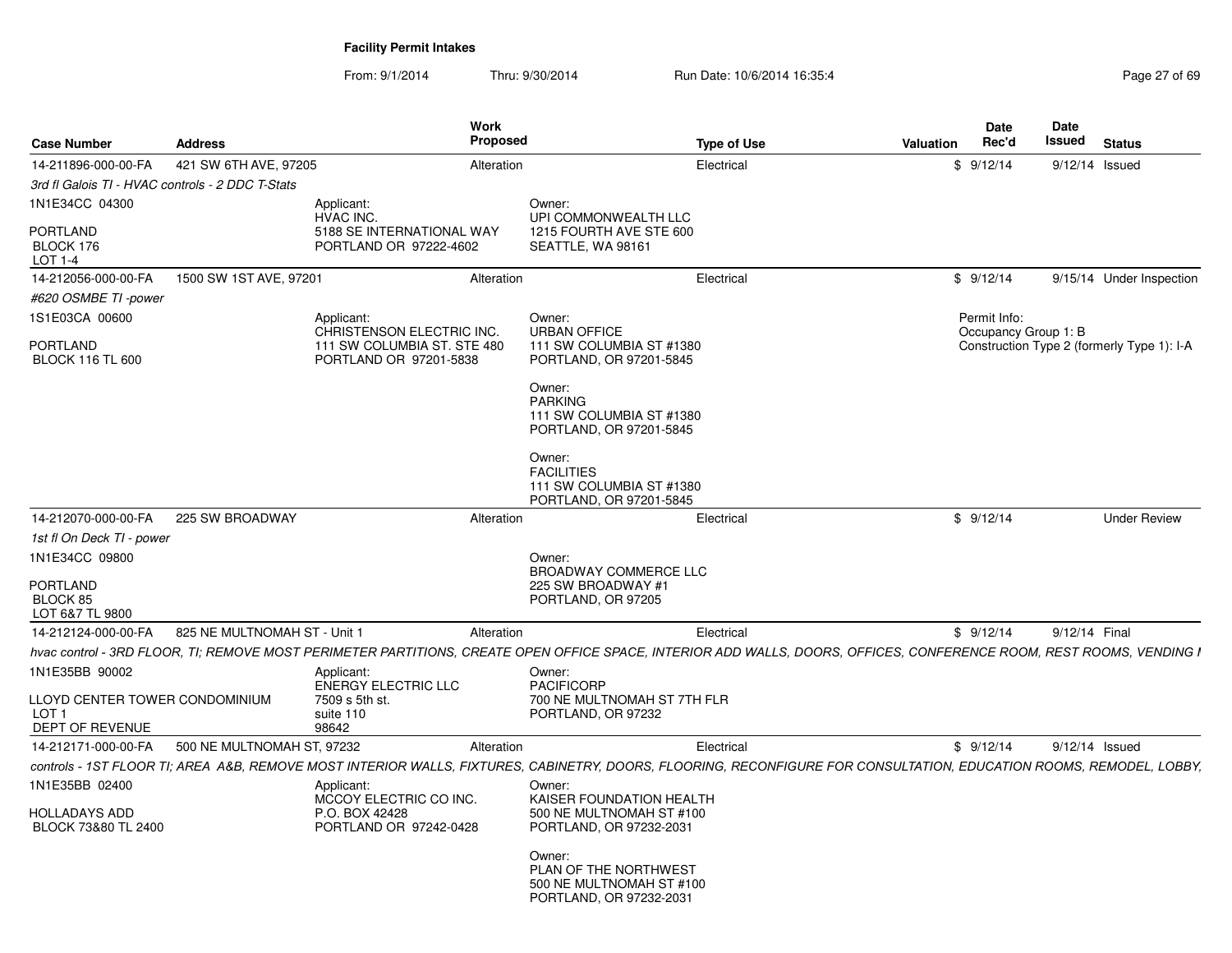| <b>Case Number</b>                                                    | <b>Address</b>               |                                                                                    | Work<br>Proposed |                                                                                        | <b>Type of Use</b> | <b>Valuation</b>                                                                                                                                                     | Date<br>Rec'd        | <b>Date</b><br>Issued | <b>Status</b>                              |
|-----------------------------------------------------------------------|------------------------------|------------------------------------------------------------------------------------|------------------|----------------------------------------------------------------------------------------|--------------------|----------------------------------------------------------------------------------------------------------------------------------------------------------------------|----------------------|-----------------------|--------------------------------------------|
| 14-211896-000-00-FA                                                   | 421 SW 6TH AVE, 97205        |                                                                                    | Alteration       |                                                                                        | Electrical         |                                                                                                                                                                      | \$9/12/14            | 9/12/14 Issued        |                                            |
| 3rd fl Galois TI - HVAC controls - 2 DDC T-Stats                      |                              |                                                                                    |                  |                                                                                        |                    |                                                                                                                                                                      |                      |                       |                                            |
| 1N1E34CC 04300                                                        |                              | Applicant:                                                                         |                  | Owner:                                                                                 |                    |                                                                                                                                                                      |                      |                       |                                            |
| PORTLAND<br>BLOCK 176<br>LOT 1-4                                      |                              | HVAC INC.<br>5188 SE INTERNATIONAL WAY<br>PORTLAND OR 97222-4602                   |                  | UPI COMMONWEALTH LLC<br>1215 FOURTH AVE STE 600<br>SEATTLE, WA 98161                   |                    |                                                                                                                                                                      |                      |                       |                                            |
| 14-212056-000-00-FA                                                   | 1500 SW 1ST AVE, 97201       |                                                                                    | Alteration       |                                                                                        | Electrical         |                                                                                                                                                                      | \$9/12/14            |                       | 9/15/14 Under Inspection                   |
| #620 OSMBE TI -power                                                  |                              |                                                                                    |                  |                                                                                        |                    |                                                                                                                                                                      |                      |                       |                                            |
| 1S1E03CA 00600                                                        |                              | Applicant:                                                                         |                  | Owner:                                                                                 |                    |                                                                                                                                                                      | Permit Info:         |                       |                                            |
| <b>PORTLAND</b><br><b>BLOCK 116 TL 600</b>                            |                              | CHRISTENSON ELECTRIC INC.<br>111 SW COLUMBIA ST. STE 480<br>PORTLAND OR 97201-5838 |                  | <b>URBAN OFFICE</b><br>111 SW COLUMBIA ST #1380<br>PORTLAND, OR 97201-5845             |                    |                                                                                                                                                                      | Occupancy Group 1: B |                       | Construction Type 2 (formerly Type 1): I-A |
|                                                                       |                              |                                                                                    |                  | Owner:<br><b>PARKING</b><br>111 SW COLUMBIA ST #1380<br>PORTLAND, OR 97201-5845        |                    |                                                                                                                                                                      |                      |                       |                                            |
|                                                                       |                              |                                                                                    |                  | Owner:<br><b>FACILITIES</b><br>111 SW COLUMBIA ST #1380<br>PORTLAND, OR 97201-5845     |                    |                                                                                                                                                                      |                      |                       |                                            |
| 14-212070-000-00-FA                                                   | 225 SW BROADWAY              |                                                                                    | Alteration       |                                                                                        | Electrical         |                                                                                                                                                                      | \$9/12/14            |                       | <b>Under Review</b>                        |
| 1st fl On Deck TI - power                                             |                              |                                                                                    |                  |                                                                                        |                    |                                                                                                                                                                      |                      |                       |                                            |
| 1N1E34CC 09800                                                        |                              |                                                                                    |                  | Owner:                                                                                 |                    |                                                                                                                                                                      |                      |                       |                                            |
| <b>PORTLAND</b>                                                       |                              |                                                                                    |                  | <b>BROADWAY COMMERCE LLC</b><br>225 SW BROADWAY #1                                     |                    |                                                                                                                                                                      |                      |                       |                                            |
| BLOCK 85                                                              |                              |                                                                                    |                  | PORTLAND, OR 97205                                                                     |                    |                                                                                                                                                                      |                      |                       |                                            |
| LOT 6&7 TL 9800                                                       |                              |                                                                                    |                  |                                                                                        |                    |                                                                                                                                                                      |                      |                       |                                            |
| 14-212124-000-00-FA                                                   | 825 NE MULTNOMAH ST - Unit 1 |                                                                                    | Alteration       |                                                                                        | Electrical         |                                                                                                                                                                      | \$9/12/14            | 9/12/14 Final         |                                            |
|                                                                       |                              |                                                                                    |                  |                                                                                        |                    | hvac control - 3RD FLOOR, TI; REMOVE MOST PERIMETER PARTITIONS, CREATE OPEN OFFICE SPACE, INTERIOR ADD WALLS, DOORS, OFFICES, CONFERENCE ROOM, REST ROOMS, VENDING I |                      |                       |                                            |
| 1N1E35BB 90002                                                        |                              | Applicant:                                                                         |                  | Owner:                                                                                 |                    |                                                                                                                                                                      |                      |                       |                                            |
| LLOYD CENTER TOWER CONDOMINIUM<br>LOT <sub>1</sub><br>DEPT OF REVENUE |                              | <b>ENERGY ELECTRIC LLC</b><br>7509 s 5th st.<br>suite 110<br>98642                 |                  | <b>PACIFICORP</b><br>700 NE MULTNOMAH ST 7TH FLR<br>PORTLAND, OR 97232                 |                    |                                                                                                                                                                      |                      |                       |                                            |
| 14-212171-000-00-FA                                                   | 500 NE MULTNOMAH ST, 97232   |                                                                                    | Alteration       |                                                                                        | Electrical         |                                                                                                                                                                      | \$9/12/14            | 9/12/14 Issued        |                                            |
|                                                                       |                              |                                                                                    |                  |                                                                                        |                    | controls - 1ST FLOOR TI; AREA A&B, REMOVE MOST INTERIOR WALLS, FIXTURES, CABINETRY, DOORS, FLOORING, RECONFIGURE FOR CONSULTATION, EDUCATION ROOMS, REMODEL, LOBBY,  |                      |                       |                                            |
| 1N1E35BB 02400                                                        |                              | Applicant:                                                                         |                  | Owner:                                                                                 |                    |                                                                                                                                                                      |                      |                       |                                            |
| HOLLADAYS ADD<br>BLOCK 73&80 TL 2400                                  |                              | MCCOY ELECTRIC CO INC.<br>P.O. BOX 42428<br>PORTLAND OR 97242-0428                 |                  | KAISER FOUNDATION HEALTH<br>500 NE MULTNOMAH ST #100<br>PORTLAND, OR 97232-2031        |                    |                                                                                                                                                                      |                      |                       |                                            |
|                                                                       |                              |                                                                                    |                  | Owner:<br>PLAN OF THE NORTHWEST<br>500 NE MULTNOMAH ST #100<br>PORTLAND, OR 97232-2031 |                    |                                                                                                                                                                      |                      |                       |                                            |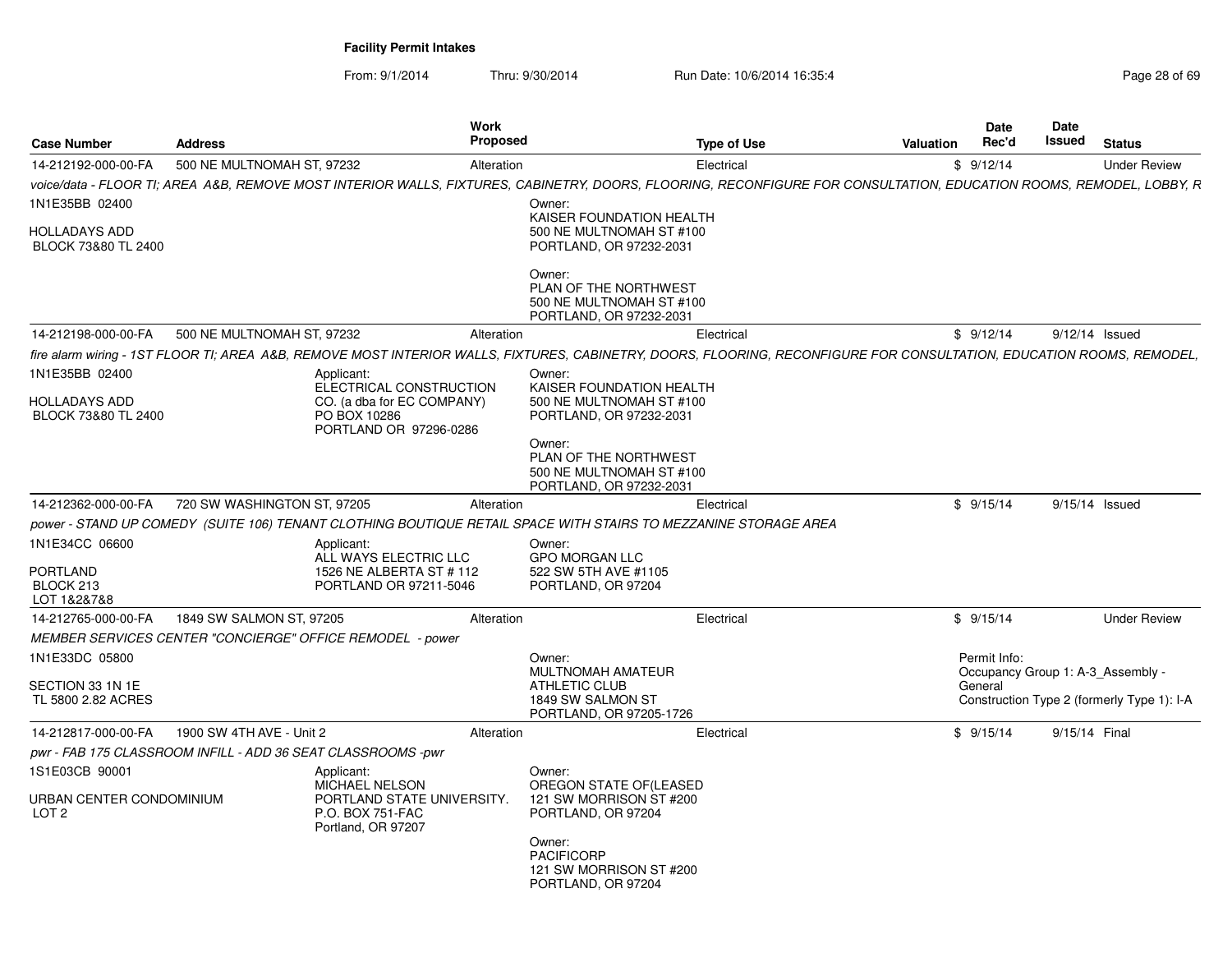| <b>Case Number</b>                                           | <b>Address</b>              | <b>Work</b><br><b>Proposed</b>                                                                                                                                        |                                                                                        | <b>Type of Use</b> | <b>Valuation</b> | <b>Date</b><br>Rec'd | Date<br>Issued | <b>Status</b>                                                                   |
|--------------------------------------------------------------|-----------------------------|-----------------------------------------------------------------------------------------------------------------------------------------------------------------------|----------------------------------------------------------------------------------------|--------------------|------------------|----------------------|----------------|---------------------------------------------------------------------------------|
| 14-212192-000-00-FA                                          | 500 NE MULTNOMAH ST. 97232  | Alteration                                                                                                                                                            |                                                                                        | Electrical         |                  | \$9/12/14            |                | <b>Under Review</b>                                                             |
|                                                              |                             | voice/data - FLOOR TI: AREA A&B. REMOVE MOST INTERIOR WALLS. FIXTURES. CABINETRY. DOORS. FLOORING. RECONFIGURE FOR CONSULTATION. EDUCATION ROOMS. REMODEL. LOBBY. R   |                                                                                        |                    |                  |                      |                |                                                                                 |
| 1N1E35BB 02400                                               |                             |                                                                                                                                                                       | Owner:                                                                                 |                    |                  |                      |                |                                                                                 |
| <b>HOLLADAYS ADD</b><br>BLOCK 73&80 TL 2400                  |                             |                                                                                                                                                                       | KAISER FOUNDATION HEALTH<br>500 NE MULTNOMAH ST #100<br>PORTLAND, OR 97232-2031        |                    |                  |                      |                |                                                                                 |
|                                                              |                             |                                                                                                                                                                       | Owner:<br>PLAN OF THE NORTHWEST<br>500 NE MULTNOMAH ST #100<br>PORTLAND, OR 97232-2031 |                    |                  |                      |                |                                                                                 |
| 14-212198-000-00-FA                                          | 500 NE MULTNOMAH ST, 97232  | Alteration                                                                                                                                                            |                                                                                        | Electrical         |                  | \$9/12/14            |                | 9/12/14 Issued                                                                  |
|                                                              |                             | fire alarm wiring - 1ST FLOOR TI; AREA A&B, REMOVE MOST INTERIOR WALLS, FIXTURES, CABINETRY, DOORS, FLOORING, RECONFIGURE FOR CONSULTATION, EDUCATION ROOMS, REMODEL, |                                                                                        |                    |                  |                      |                |                                                                                 |
| 1N1E35BB 02400                                               |                             | Applicant:                                                                                                                                                            | Owner:                                                                                 |                    |                  |                      |                |                                                                                 |
| <b>HOLLADAYS ADD</b><br>BLOCK 73&80 TL 2400                  |                             | ELECTRICAL CONSTRUCTION<br>CO. (a dba for EC COMPANY)<br>PO BOX 10286<br>PORTLAND OR 97296-0286                                                                       | KAISER FOUNDATION HEALTH<br>500 NE MULTNOMAH ST #100<br>PORTLAND, OR 97232-2031        |                    |                  |                      |                |                                                                                 |
|                                                              |                             |                                                                                                                                                                       | Owner:<br>PLAN OF THE NORTHWEST<br>500 NE MULTNOMAH ST #100<br>PORTLAND, OR 97232-2031 |                    |                  |                      |                |                                                                                 |
| 14-212362-000-00-FA                                          | 720 SW WASHINGTON ST, 97205 | Alteration                                                                                                                                                            |                                                                                        | Electrical         |                  | \$9/15/14            |                | 9/15/14 Issued                                                                  |
|                                                              |                             | power - STAND UP COMEDY (SUITE 106) TENANT CLOTHING BOUTIQUE RETAIL SPACE WITH STAIRS TO MEZZANINE STORAGE AREA                                                       |                                                                                        |                    |                  |                      |                |                                                                                 |
| 1N1E34CC 06600                                               |                             | Applicant:                                                                                                                                                            | Owner:                                                                                 |                    |                  |                      |                |                                                                                 |
| <b>PORTLAND</b><br>BLOCK 213<br>LOT 1&2&7&8                  |                             | ALL WAYS ELECTRIC LLC<br>1526 NE ALBERTA ST # 112<br>PORTLAND OR 97211-5046                                                                                           | GPO MORGAN LLC<br>522 SW 5TH AVE #1105<br>PORTLAND, OR 97204                           |                    |                  |                      |                |                                                                                 |
| 14-212765-000-00-FA                                          | 1849 SW SALMON ST, 97205    | Alteration                                                                                                                                                            |                                                                                        | Electrical         |                  | \$9/15/14            |                | <b>Under Review</b>                                                             |
|                                                              |                             | MEMBER SERVICES CENTER "CONCIERGE" OFFICE REMODEL - power                                                                                                             |                                                                                        |                    |                  |                      |                |                                                                                 |
| 1N1E33DC 05800                                               |                             |                                                                                                                                                                       | Owner:                                                                                 |                    |                  | Permit Info:         |                |                                                                                 |
| SECTION 33 1N 1E<br>TL 5800 2.82 ACRES                       |                             |                                                                                                                                                                       | MULTNOMAH AMATEUR<br>ATHLETIC CLUB<br>1849 SW SALMON ST<br>PORTLAND, OR 97205-1726     |                    |                  | General              |                | Occupancy Group 1: A-3_Assembly -<br>Construction Type 2 (formerly Type 1): I-A |
| 14-212817-000-00-FA                                          | 1900 SW 4TH AVE - Unit 2    | Alteration                                                                                                                                                            |                                                                                        | Electrical         |                  | \$9/15/14            |                | 9/15/14 Final                                                                   |
| pwr - FAB 175 CLASSROOM INFILL - ADD 36 SEAT CLASSROOMS -pwr |                             |                                                                                                                                                                       |                                                                                        |                    |                  |                      |                |                                                                                 |
| 1S1E03CB 90001                                               |                             | Applicant:                                                                                                                                                            | Owner:                                                                                 |                    |                  |                      |                |                                                                                 |
| URBAN CENTER CONDOMINIUM<br>LOT 2                            |                             | <b>MICHAEL NELSON</b><br>PORTLAND STATE UNIVERSITY.<br>P.O. BOX 751-FAC<br>Portland, OR 97207                                                                         | OREGON STATE OF (LEASED<br>121 SW MORRISON ST #200<br>PORTLAND, OR 97204               |                    |                  |                      |                |                                                                                 |
|                                                              |                             |                                                                                                                                                                       | Owner:<br><b>PACIFICORP</b><br>121 SW MORRISON ST #200<br>PORTLAND, OR 97204           |                    |                  |                      |                |                                                                                 |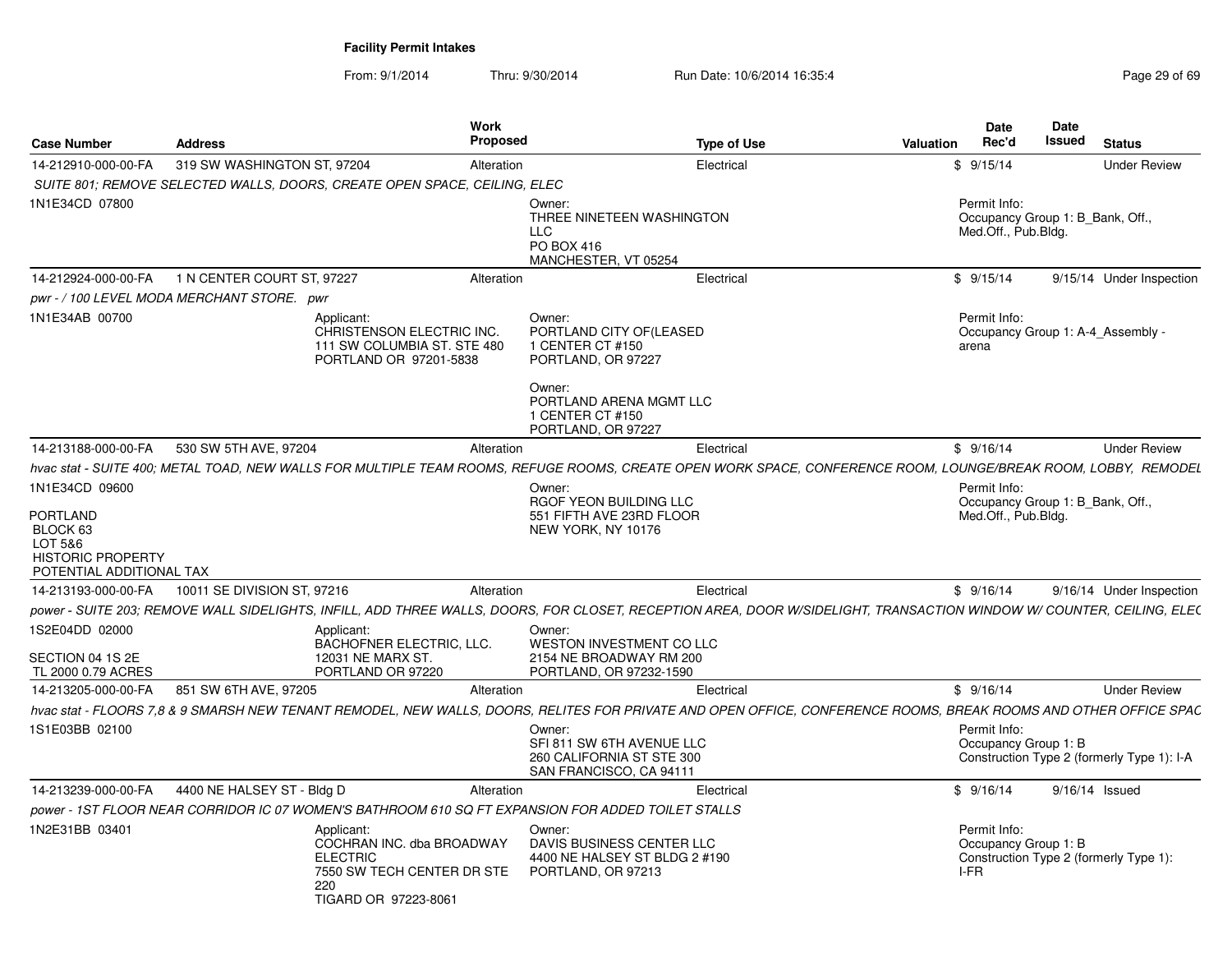From: 9/1/2014

Thru: 9/30/2014 Run Date: 10/6/2014 16:35:4

| <b>Case Number</b>                                                                             | <b>Address</b>                             | Work<br><b>Proposed</b>                                                                                                                                                        |                                                                                                                                                            | <b>Type of Use</b> | Valuation | Date<br>Rec'd                                                           | Date<br><b>Issued</b> | <b>Status</b>                              |
|------------------------------------------------------------------------------------------------|--------------------------------------------|--------------------------------------------------------------------------------------------------------------------------------------------------------------------------------|------------------------------------------------------------------------------------------------------------------------------------------------------------|--------------------|-----------|-------------------------------------------------------------------------|-----------------------|--------------------------------------------|
| 14-212910-000-00-FA                                                                            | 319 SW WASHINGTON ST, 97204                | Alteration                                                                                                                                                                     |                                                                                                                                                            | Electrical         |           | \$9/15/14                                                               |                       | <b>Under Review</b>                        |
|                                                                                                |                                            | SUITE 801; REMOVE SELECTED WALLS, DOORS, CREATE OPEN SPACE, CEILING, ELEC                                                                                                      |                                                                                                                                                            |                    |           |                                                                         |                       |                                            |
| 1N1E34CD 07800                                                                                 |                                            |                                                                                                                                                                                | Owner:<br>THREE NINETEEN WASHINGTON<br><b>LLC</b><br>PO BOX 416<br>MANCHESTER, VT 05254                                                                    |                    |           | Permit Info:<br>Occupancy Group 1: B Bank, Off.,<br>Med.Off., Pub.Bldg. |                       |                                            |
| 14-212924-000-00-FA                                                                            | 1 N CENTER COURT ST, 97227                 | Alteration                                                                                                                                                                     |                                                                                                                                                            | Electrical         |           | \$9/15/14                                                               |                       | 9/15/14 Under Inspection                   |
|                                                                                                | pwr - / 100 LEVEL MODA MERCHANT STORE. pwr |                                                                                                                                                                                |                                                                                                                                                            |                    |           |                                                                         |                       |                                            |
| 1N1E34AB 00700                                                                                 |                                            | Applicant:<br>CHRISTENSON ELECTRIC INC.<br>111 SW COLUMBIA ST. STE 480<br>PORTLAND OR 97201-5838                                                                               | Owner:<br>PORTLAND CITY OF(LEASED<br>1 CENTER CT #150<br>PORTLAND, OR 97227<br>Owner:<br>PORTLAND ARENA MGMT LLC<br>1 CENTER CT #150<br>PORTLAND, OR 97227 |                    |           | Permit Info:<br>arena                                                   |                       | Occupancy Group 1: A-4 Assembly -          |
| 14-213188-000-00-FA                                                                            | 530 SW 5TH AVE, 97204                      | Alteration                                                                                                                                                                     |                                                                                                                                                            | Electrical         |           | \$9/16/14                                                               |                       | <b>Under Review</b>                        |
|                                                                                                |                                            | hvac stat - SUITE 400; METAL TOAD, NEW WALLS FOR MULTIPLE TEAM ROOMS, REFUGE ROOMS, CREATE OPEN WORK SPACE, CONFERENCE ROOM, LOUNGE/BREAK ROOM, LOBBY, REMODEL                 |                                                                                                                                                            |                    |           |                                                                         |                       |                                            |
| 1N1E34CD 09600                                                                                 |                                            |                                                                                                                                                                                | Owner:<br>RGOF YEON BUILDING LLC                                                                                                                           |                    |           | Permit Info:<br>Occupancy Group 1: B_Bank, Off.,                        |                       |                                            |
| <b>PORTLAND</b><br>BLOCK 63<br>LOT 5&6<br><b>HISTORIC PROPERTY</b><br>POTENTIAL ADDITIONAL TAX |                                            |                                                                                                                                                                                | 551 FIFTH AVE 23RD FLOOR<br>NEW YORK, NY 10176                                                                                                             |                    |           | Med.Off., Pub.Bldg.                                                     |                       |                                            |
| 14-213193-000-00-FA                                                                            | 10011 SE DIVISION ST, 97216                | Alteration                                                                                                                                                                     |                                                                                                                                                            | Electrical         |           | \$9/16/14                                                               |                       | 9/16/14 Under Inspection                   |
|                                                                                                |                                            | power - SUITE 203; REMOVE WALL SIDELIGHTS, INFILL, ADD THREE WALLS, DOORS, FOR CLOSET, RECEPTION AREA, DOOR W/SIDELIGHT, TRANSACTION WINDOW W/ COUNTER, CEILING, ELEC          |                                                                                                                                                            |                    |           |                                                                         |                       |                                            |
| 1S2E04DD 02000<br>SECTION 04 1S 2E                                                             |                                            | Applicant:<br>BACHOFNER ELECTRIC, LLC.<br>12031 NE MARX ST.                                                                                                                    | Owner:<br>WESTON INVESTMENT CO LLC<br>2154 NE BROADWAY RM 200                                                                                              |                    |           |                                                                         |                       |                                            |
| TL 2000 0.79 ACRES                                                                             |                                            | PORTLAND OR 97220                                                                                                                                                              | PORTLAND, OR 97232-1590                                                                                                                                    |                    |           |                                                                         |                       |                                            |
| 14-213205-000-00-FA                                                                            | 851 SW 6TH AVE, 97205                      | Alteration<br>hvac stat - FLOORS 7,8 & 9 SMARSH NEW TENANT REMODEL, NEW WALLS, DOORS, RELITES FOR PRIVATE AND OPEN OFFICE, CONFERENCE ROOMS, BREAK ROOMS AND OTHER OFFICE SPAC |                                                                                                                                                            | Electrical         |           | \$9/16/14                                                               |                       | <b>Under Review</b>                        |
| 1S1E03BB 02100                                                                                 |                                            |                                                                                                                                                                                |                                                                                                                                                            |                    |           | Permit Info:                                                            |                       |                                            |
|                                                                                                |                                            |                                                                                                                                                                                | Owner:<br>SFI 811 SW 6TH AVENUE LLC<br>260 CALIFORNIA ST STE 300<br>SAN FRANCISCO, CA 94111                                                                |                    |           | Occupancy Group 1: B                                                    |                       | Construction Type 2 (formerly Type 1): I-A |
| 14-213239-000-00-FA                                                                            | 4400 NE HALSEY ST - Bldg D                 | Alteration                                                                                                                                                                     |                                                                                                                                                            | Electrical         |           | \$9/16/14                                                               |                       | 9/16/14 Issued                             |
|                                                                                                |                                            | power - 1ST FLOOR NEAR CORRIDOR IC 07 WOMEN'S BATHROOM 610 SQ FT EXPANSION FOR ADDED TOILET STALLS                                                                             |                                                                                                                                                            |                    |           |                                                                         |                       |                                            |
| 1N2E31BB 03401                                                                                 |                                            | Applicant:<br>COCHRAN INC. dba BROADWAY<br><b>ELECTRIC</b><br>7550 SW TECH CENTER DR STE<br>220<br>TIGARD OR 97223-8061                                                        | Owner:<br>DAVIS BUSINESS CENTER LLC<br>4400 NE HALSEY ST BLDG 2 #190<br>PORTLAND, OR 97213                                                                 |                    |           | Permit Info:<br>Occupancy Group 1: B<br>I-FR                            |                       | Construction Type 2 (formerly Type 1):     |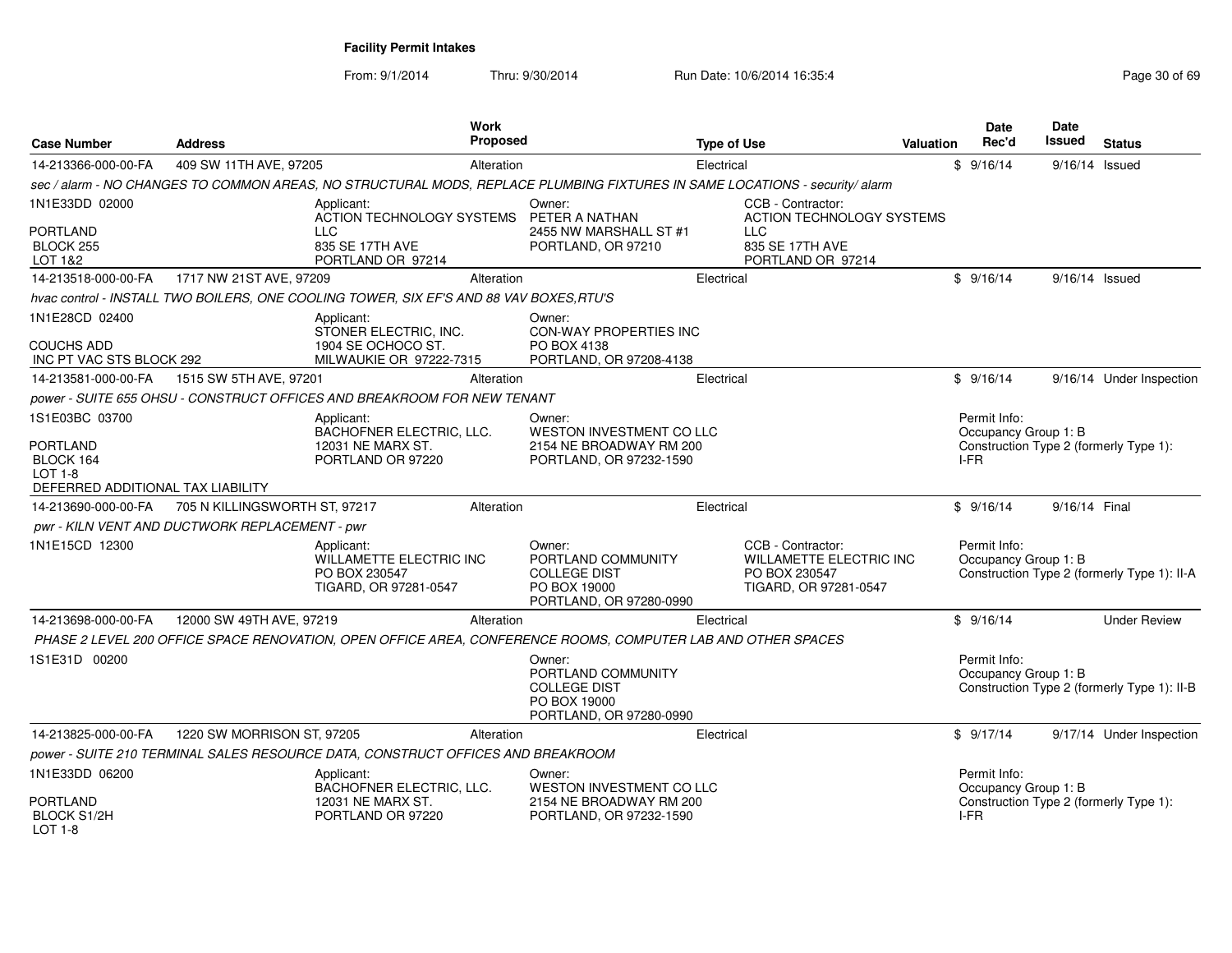| <b>Case Number</b>                                 | <b>Address</b>                                 |                                                                                         | Work<br><b>Proposed</b> |                                                                                                                             | <b>Type of Use</b> |                                                                                        | Valuation | <b>Date</b><br>Rec'd | Date<br>Issued       | <b>Status</b>                               |
|----------------------------------------------------|------------------------------------------------|-----------------------------------------------------------------------------------------|-------------------------|-----------------------------------------------------------------------------------------------------------------------------|--------------------|----------------------------------------------------------------------------------------|-----------|----------------------|----------------------|---------------------------------------------|
| 14-213366-000-00-FA                                | 409 SW 11TH AVE, 97205                         |                                                                                         | Alteration              |                                                                                                                             | Electrical         |                                                                                        |           | \$9/16/14            |                      | $9/16/14$ Issued                            |
|                                                    |                                                |                                                                                         |                         | sec / alarm - NO CHANGES TO COMMON AREAS, NO STRUCTURAL MODS, REPLACE PLUMBING FIXTURES IN SAME LOCATIONS - security/ alarm |                    |                                                                                        |           |                      |                      |                                             |
| 1N1E33DD 02000                                     |                                                | Applicant:<br>ACTION TECHNOLOGY SYSTEMS                                                 |                         | Owner:<br>PETER A NATHAN                                                                                                    |                    | CCB - Contractor:<br><b>ACTION TECHNOLOGY SYSTEMS</b>                                  |           |                      |                      |                                             |
| <b>PORTLAND</b><br>BLOCK 255<br>LOT 1&2            |                                                | <b>LLC</b><br>835 SE 17TH AVE<br>PORTLAND OR 97214                                      |                         | 2455 NW MARSHALL ST #1<br>PORTLAND, OR 97210                                                                                |                    | <b>LLC</b><br>835 SE 17TH AVE<br>PORTLAND OR 97214                                     |           |                      |                      |                                             |
| 14-213518-000-00-FA                                | 1717 NW 21ST AVE, 97209                        |                                                                                         | Alteration              |                                                                                                                             | Electrical         |                                                                                        |           | \$9/16/14            |                      | $9/16/14$ Issued                            |
|                                                    |                                                | hvac control - INSTALL TWO BOILERS, ONE COOLING TOWER, SIX EF'S AND 88 VAV BOXES, RTU'S |                         |                                                                                                                             |                    |                                                                                        |           |                      |                      |                                             |
| 1N1E28CD 02400                                     |                                                | Applicant:<br>STONER ELECTRIC, INC.                                                     |                         | Owner:<br>CON-WAY PROPERTIES INC                                                                                            |                    |                                                                                        |           |                      |                      |                                             |
| <b>COUCHS ADD</b><br>INC PT VAC STS BLOCK 292      |                                                | 1904 SE OCHOCO ST.<br>MILWAUKIE OR 97222-7315                                           |                         | PO BOX 4138<br>PORTLAND, OR 97208-4138                                                                                      |                    |                                                                                        |           |                      |                      |                                             |
| 14-213581-000-00-FA                                | 1515 SW 5TH AVE, 97201                         |                                                                                         | Alteration              |                                                                                                                             | Electrical         |                                                                                        |           | \$9/16/14            |                      | 9/16/14 Under Inspection                    |
|                                                    |                                                | power - SUITE 655 OHSU - CONSTRUCT OFFICES AND BREAKROOM FOR NEW TENANT                 |                         |                                                                                                                             |                    |                                                                                        |           |                      |                      |                                             |
| 1S1E03BC 03700                                     |                                                | Applicant:<br>BACHOFNER ELECTRIC, LLC.                                                  |                         | Owner:<br><b>WESTON INVESTMENT CO LLC</b>                                                                                   |                    |                                                                                        |           | Permit Info:         | Occupancy Group 1: B |                                             |
| <b>PORTLAND</b><br>BLOCK 164<br><b>LOT 1-8</b>     |                                                | 12031 NE MARX ST.<br>PORTLAND OR 97220                                                  |                         | 2154 NE BROADWAY RM 200<br>PORTLAND, OR 97232-1590                                                                          |                    |                                                                                        |           | I-FR                 |                      | Construction Type 2 (formerly Type 1):      |
| DEFERRED ADDITIONAL TAX LIABILITY                  |                                                |                                                                                         |                         |                                                                                                                             |                    |                                                                                        |           |                      |                      |                                             |
| 14-213690-000-00-FA                                | 705 N KILLINGSWORTH ST, 97217                  |                                                                                         | Alteration              |                                                                                                                             | Electrical         |                                                                                        |           | \$9/16/14            |                      | 9/16/14 Final                               |
|                                                    | pwr - KILN VENT AND DUCTWORK REPLACEMENT - pwr |                                                                                         |                         |                                                                                                                             |                    |                                                                                        |           |                      |                      |                                             |
| 1N1E15CD 12300                                     |                                                | Applicant:<br>WILLAMETTE ELECTRIC INC<br>PO BOX 230547<br>TIGARD, OR 97281-0547         |                         | Owner:<br>PORTLAND COMMUNITY<br><b>COLLEGE DIST</b><br>PO BOX 19000<br>PORTLAND, OR 97280-0990                              |                    | CCB - Contractor:<br>WILLAMETTE ELECTRIC INC<br>PO BOX 230547<br>TIGARD, OR 97281-0547 |           | Permit Info:         | Occupancy Group 1: B | Construction Type 2 (formerly Type 1): II-A |
| 14-213698-000-00-FA                                | 12000 SW 49TH AVE, 97219                       |                                                                                         | Alteration              |                                                                                                                             | Electrical         |                                                                                        |           | \$9/16/14            |                      | <b>Under Review</b>                         |
|                                                    |                                                |                                                                                         |                         | PHASE 2 LEVEL 200 OFFICE SPACE RENOVATION, OPEN OFFICE AREA, CONFERENCE ROOMS, COMPUTER LAB AND OTHER SPACES                |                    |                                                                                        |           |                      |                      |                                             |
| 1S1E31D 00200                                      |                                                |                                                                                         |                         | Owner:<br>PORTLAND COMMUNITY<br><b>COLLEGE DIST</b><br>PO BOX 19000<br>PORTLAND, OR 97280-0990                              |                    |                                                                                        |           | Permit Info:         | Occupancy Group 1: B | Construction Type 2 (formerly Type 1): II-B |
| 14-213825-000-00-FA                                | 1220 SW MORRISON ST, 97205                     |                                                                                         | Alteration              |                                                                                                                             | Electrical         |                                                                                        |           | \$9/17/14            |                      | 9/17/14 Under Inspection                    |
|                                                    |                                                | power - SUITE 210 TERMINAL SALES RESOURCE DATA, CONSTRUCT OFFICES AND BREAKROOM         |                         |                                                                                                                             |                    |                                                                                        |           |                      |                      |                                             |
| 1N1E33DD 06200                                     |                                                | Applicant:<br>BACHOFNER ELECTRIC, LLC.                                                  |                         | Owner:<br>WESTON INVESTMENT CO LLC                                                                                          |                    |                                                                                        |           | Permit Info:         | Occupancy Group 1: B |                                             |
| <b>PORTLAND</b><br><b>BLOCK S1/2H</b><br>$LOT 1-8$ |                                                | 12031 NE MARX ST.<br>PORTLAND OR 97220                                                  |                         | 2154 NE BROADWAY RM 200<br>PORTLAND, OR 97232-1590                                                                          |                    |                                                                                        |           | I-FR                 |                      | Construction Type 2 (formerly Type 1):      |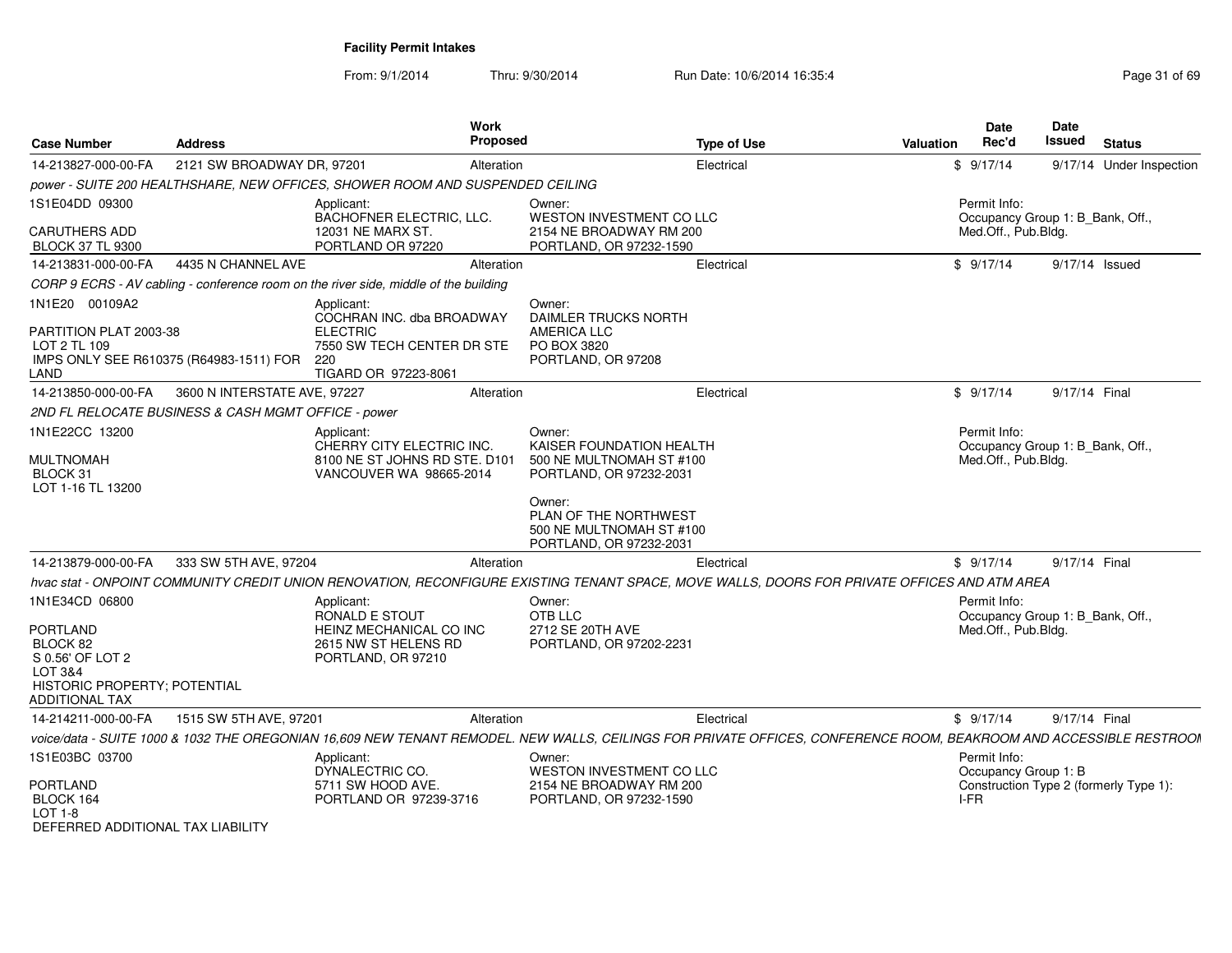| <b>Case Number</b>                                                                                    | <b>Address</b>                                      | Work<br><b>Proposed</b>                                                                                                 |                                                                                                                                                                                     | <b>Type of Use</b>                                                                                                                                                               | <b>Valuation</b> | <b>Date</b><br>Rec'd                                                    | Date<br>Issued | <b>Status</b>                          |
|-------------------------------------------------------------------------------------------------------|-----------------------------------------------------|-------------------------------------------------------------------------------------------------------------------------|-------------------------------------------------------------------------------------------------------------------------------------------------------------------------------------|----------------------------------------------------------------------------------------------------------------------------------------------------------------------------------|------------------|-------------------------------------------------------------------------|----------------|----------------------------------------|
| 14-213827-000-00-FA                                                                                   | 2121 SW BROADWAY DR, 97201                          | Alteration                                                                                                              |                                                                                                                                                                                     | Electrical                                                                                                                                                                       |                  | \$9/17/14                                                               |                | 9/17/14 Under Inspection               |
|                                                                                                       |                                                     | power - SUITE 200 HEALTHSHARE, NEW OFFICES, SHOWER ROOM AND SUSPENDED CEILING                                           |                                                                                                                                                                                     |                                                                                                                                                                                  |                  |                                                                         |                |                                        |
| 1S1E04DD 09300                                                                                        |                                                     | Applicant:<br>BACHOFNER ELECTRIC, LLC.                                                                                  | Owner:<br>WESTON INVESTMENT CO LLC                                                                                                                                                  |                                                                                                                                                                                  |                  | Permit Info:<br>Occupancy Group 1: B Bank, Off.,                        |                |                                        |
| <b>CARUTHERS ADD</b><br><b>BLOCK 37 TL 9300</b>                                                       |                                                     | 12031 NE MARX ST.<br>PORTLAND OR 97220                                                                                  | 2154 NE BROADWAY RM 200<br>PORTLAND, OR 97232-1590                                                                                                                                  |                                                                                                                                                                                  |                  | Med.Off., Pub.Bldg.                                                     |                |                                        |
| 14-213831-000-00-FA                                                                                   | 4435 N CHANNEL AVE                                  | Alteration                                                                                                              |                                                                                                                                                                                     | Electrical                                                                                                                                                                       |                  | \$9/17/14                                                               |                | 9/17/14 Issued                         |
|                                                                                                       |                                                     | CORP 9 ECRS - AV cabling - conference room on the river side, middle of the building                                    |                                                                                                                                                                                     |                                                                                                                                                                                  |                  |                                                                         |                |                                        |
| 1N1E20 00109A2<br>PARTITION PLAT 2003-38<br>LOT 2 TL 109<br>LAND                                      | IMPS ONLY SEE R610375 (R64983-1511) FOR             | Applicant:<br>COCHRAN INC. dba BROADWAY<br><b>ELECTRIC</b><br>7550 SW TECH CENTER DR STE<br>220<br>TIGARD OR 97223-8061 | Owner:<br><b>DAIMLER TRUCKS NORTH</b><br><b>AMERICA LLC</b><br>PO BOX 3820<br>PORTLAND, OR 97208                                                                                    |                                                                                                                                                                                  |                  |                                                                         |                |                                        |
| 14-213850-000-00-FA                                                                                   | 3600 N INTERSTATE AVE, 97227                        | Alteration                                                                                                              |                                                                                                                                                                                     | Electrical                                                                                                                                                                       |                  | \$9/17/14                                                               | 9/17/14 Final  |                                        |
|                                                                                                       | 2ND FL RELOCATE BUSINESS & CASH MGMT OFFICE - power |                                                                                                                         |                                                                                                                                                                                     |                                                                                                                                                                                  |                  |                                                                         |                |                                        |
| 1N1E22CC 13200<br><b>MULTNOMAH</b><br>BLOCK 31<br>LOT 1-16 TL 13200                                   |                                                     | Applicant:<br>CHERRY CITY ELECTRIC INC.<br>8100 NE ST JOHNS RD STE. D101<br>VANCOUVER WA 98665-2014                     | Owner:<br>KAISER FOUNDATION HEALTH<br>500 NE MULTNOMAH ST #100<br>PORTLAND, OR 97232-2031<br>Owner:<br>PLAN OF THE NORTHWEST<br>500 NE MULTNOMAH ST #100<br>PORTLAND, OR 97232-2031 |                                                                                                                                                                                  |                  | Permit Info:<br>Occupancy Group 1: B_Bank, Off.,<br>Med.Off., Pub.Bldg. |                |                                        |
| 14-213879-000-00-FA                                                                                   | 333 SW 5TH AVE, 97204                               | Alteration                                                                                                              |                                                                                                                                                                                     | Electrical                                                                                                                                                                       |                  | \$9/17/14                                                               | 9/17/14 Final  |                                        |
|                                                                                                       |                                                     |                                                                                                                         |                                                                                                                                                                                     | hvac stat - ONPOINT COMMUNITY CREDIT UNION RENOVATION, RECONFIGURE EXISTING TENANT SPACE, MOVE WALLS, DOORS FOR PRIVATE OFFICES AND ATM AREA                                     |                  |                                                                         |                |                                        |
| 1N1E34CD 06800<br>PORTLAND<br>BLOCK 82<br>S 0.56' OF LOT 2<br>LOT 3&4<br>HISTORIC PROPERTY; POTENTIAL |                                                     | Applicant:<br>RONALD E STOUT<br>HEINZ MECHANICAL CO INC<br>2615 NW ST HELENS RD<br>PORTLAND, OR 97210                   | Owner:<br>OTB LLC<br>2712 SE 20TH AVE<br>PORTLAND, OR 97202-2231                                                                                                                    |                                                                                                                                                                                  |                  | Permit Info:<br>Occupancy Group 1: B_Bank, Off.,<br>Med.Off., Pub.Bldg. |                |                                        |
| ADDITIONAL TAX                                                                                        |                                                     |                                                                                                                         |                                                                                                                                                                                     |                                                                                                                                                                                  |                  |                                                                         |                |                                        |
| 14-214211-000-00-FA                                                                                   | 1515 SW 5TH AVE, 97201                              | Alteration                                                                                                              |                                                                                                                                                                                     | Electrical<br>voice/data - SUITE 1000 & 1032 THE OREGONIAN 16,609 NEW TENANT REMODEL. NEW WALLS, CEILINGS FOR PRIVATE OFFICES, CONFERENCE ROOM, BEAKROOM AND ACCESSIBLE RESTROOM |                  | \$9/17/14                                                               | 9/17/14 Final  |                                        |
| 1S1E03BC 03700                                                                                        |                                                     | Applicant:                                                                                                              | Owner:                                                                                                                                                                              |                                                                                                                                                                                  |                  | Permit Info:                                                            |                |                                        |
| <b>PORTLAND</b><br>BLOCK 164<br>$LOT 1-8$<br>DEFERRED ADDITIONAL TAX LIABILITY                        |                                                     | DYNALECTRIC CO.<br>5711 SW HOOD AVE.<br>PORTLAND OR 97239-3716                                                          | WESTON INVESTMENT CO LLC<br>2154 NE BROADWAY RM 200<br>PORTLAND, OR 97232-1590                                                                                                      |                                                                                                                                                                                  |                  | Occupancy Group 1: B<br>I-FR                                            |                | Construction Type 2 (formerly Type 1): |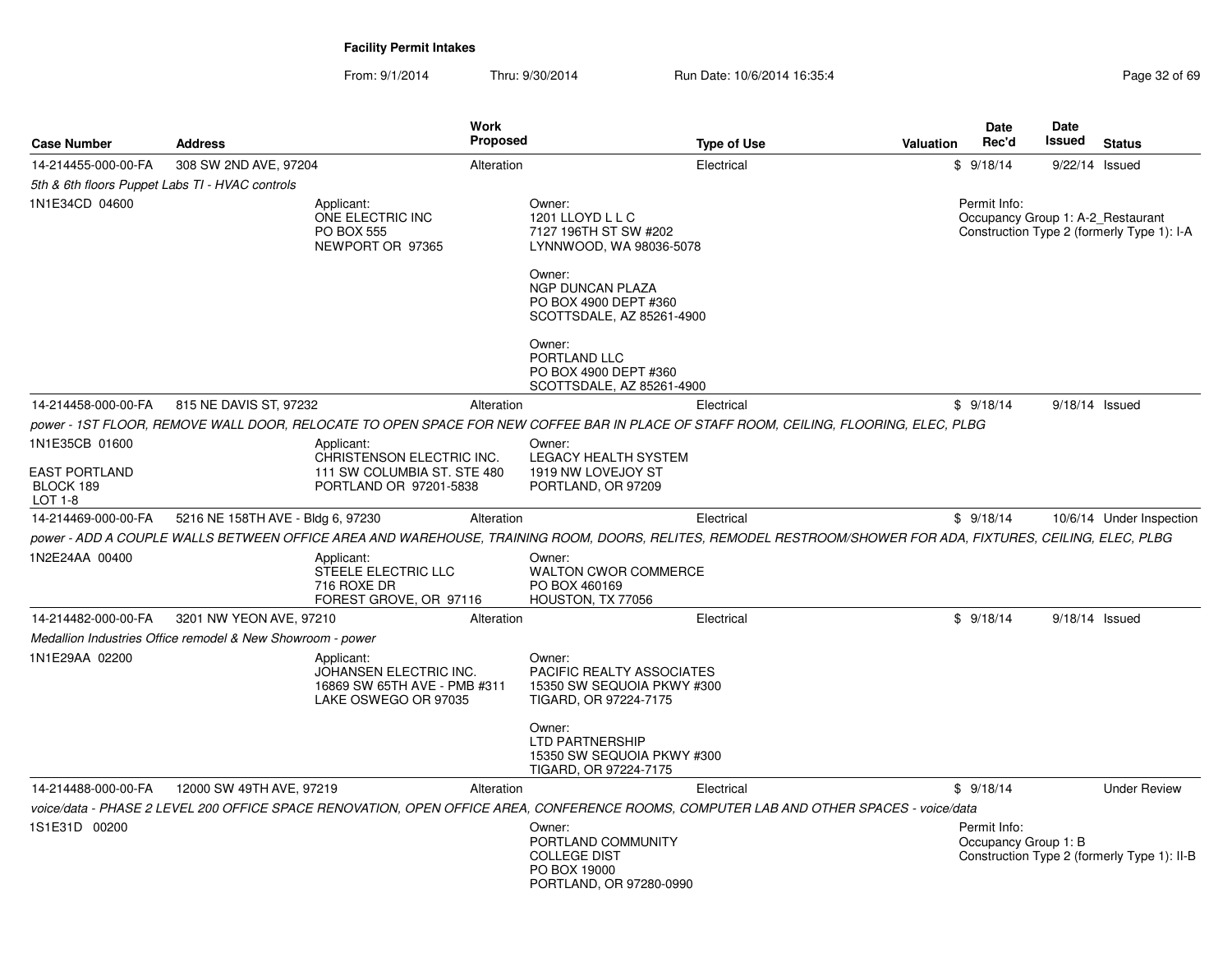| <b>Case Number</b>                              | <b>Address</b>                                             | <b>Work</b>                                                                                  | <b>Proposed</b> | <b>Type of Use</b>                                                                                                                                          | Valuation | Date<br>Rec'd                                     | Date<br>Issued   | <b>Status</b>                               |
|-------------------------------------------------|------------------------------------------------------------|----------------------------------------------------------------------------------------------|-----------------|-------------------------------------------------------------------------------------------------------------------------------------------------------------|-----------|---------------------------------------------------|------------------|---------------------------------------------|
| 14-214455-000-00-FA                             | 308 SW 2ND AVE, 97204                                      |                                                                                              | Alteration      | Electrical                                                                                                                                                  |           | \$9/18/14                                         | 9/22/14 Issued   |                                             |
| 5th & 6th floors Puppet Labs TI - HVAC controls |                                                            |                                                                                              |                 |                                                                                                                                                             |           |                                                   |                  |                                             |
| 1N1E34CD 04600                                  |                                                            | Applicant:<br>ONE ELECTRIC INC<br><b>PO BOX 555</b><br>NEWPORT OR 97365                      |                 | Owner:<br>1201 LLOYD L L C<br>7127 196TH ST SW #202<br>LYNNWOOD, WA 98036-5078                                                                              |           | Permit Info:<br>Occupancy Group 1: A-2_Restaurant |                  | Construction Type 2 (formerly Type 1): I-A  |
|                                                 |                                                            |                                                                                              |                 | Owner:<br><b>NGP DUNCAN PLAZA</b><br>PO BOX 4900 DEPT #360<br>SCOTTSDALE, AZ 85261-4900                                                                     |           |                                                   |                  |                                             |
|                                                 |                                                            |                                                                                              |                 | Owner:<br>PORTLAND LLC<br>PO BOX 4900 DEPT #360<br>SCOTTSDALE, AZ 85261-4900                                                                                |           |                                                   |                  |                                             |
| 14-214458-000-00-FA                             | 815 NE DAVIS ST, 97232                                     |                                                                                              | Alteration      | Electrical                                                                                                                                                  |           | \$9/18/14                                         | $9/18/14$ Issued |                                             |
|                                                 |                                                            |                                                                                              |                 | power - 1ST FLOOR. REMOVE WALL DOOR. RELOCATE TO OPEN SPACE FOR NEW COFFEE BAR IN PLACE OF STAFF ROOM. CEILING. FLOORING. ELEC. PLBG                        |           |                                                   |                  |                                             |
| 1N1E35CB 01600                                  |                                                            | Applicant:<br>CHRISTENSON ELECTRIC INC.                                                      |                 | Owner:<br><b>LEGACY HEALTH SYSTEM</b>                                                                                                                       |           |                                                   |                  |                                             |
| <b>EAST PORTLAND</b><br>BLOCK 189<br>LOT 1-8    |                                                            | 111 SW COLUMBIA ST. STE 480<br>PORTLAND OR 97201-5838                                        |                 | 1919 NW LOVEJOY ST<br>PORTLAND, OR 97209                                                                                                                    |           |                                                   |                  |                                             |
| 14-214469-000-00-FA                             | 5216 NE 158TH AVE - Bldg 6, 97230                          |                                                                                              | Alteration      | Electrical                                                                                                                                                  |           | \$9/18/14                                         |                  | 10/6/14 Under Inspection                    |
|                                                 |                                                            |                                                                                              |                 | power - ADD A COUPLE WALLS BETWEEN OFFICE AREA AND WAREHOUSE, TRAINING ROOM, DOORS, RELITES, REMODEL RESTROOM/SHOWER FOR ADA, FIXTURES, CEILING, ELEC, PLBG |           |                                                   |                  |                                             |
| 1N2E24AA 00400                                  |                                                            | Applicant:<br>STEELE ELECTRIC LLC<br>716 ROXE DR<br>FOREST GROVE, OR 97116                   |                 | Owner:<br><b>WALTON CWOR COMMERCE</b><br>PO BOX 460169<br>HOUSTON, TX 77056                                                                                 |           |                                                   |                  |                                             |
| 14-214482-000-00-FA                             | 3201 NW YEON AVE, 97210                                    |                                                                                              | Alteration      | Electrical                                                                                                                                                  |           | \$9/18/14                                         | $9/18/14$ Issued |                                             |
|                                                 | Medallion Industries Office remodel & New Showroom - power |                                                                                              |                 |                                                                                                                                                             |           |                                                   |                  |                                             |
| 1N1E29AA 02200                                  |                                                            | Applicant:<br>JOHANSEN ELECTRIC INC.<br>16869 SW 65TH AVE - PMB #311<br>LAKE OSWEGO OR 97035 |                 | Owner:<br>PACIFIC REALTY ASSOCIATES<br>15350 SW SEQUOIA PKWY #300<br>TIGARD, OR 97224-7175                                                                  |           |                                                   |                  |                                             |
|                                                 |                                                            |                                                                                              |                 | Owner:<br><b>LTD PARTNERSHIP</b><br>15350 SW SEQUOIA PKWY #300<br>TIGARD, OR 97224-7175                                                                     |           |                                                   |                  |                                             |
| 14-214488-000-00-FA                             | 12000 SW 49TH AVE, 97219                                   |                                                                                              | Alteration      | Electrical                                                                                                                                                  |           | \$9/18/14                                         |                  | <b>Under Review</b>                         |
|                                                 |                                                            |                                                                                              |                 | voice/data - PHASE 2 LEVEL 200 OFFICE SPACE RENOVATION, OPEN OFFICE AREA, CONFERENCE ROOMS, COMPUTER LAB AND OTHER SPACES - voice/data                      |           |                                                   |                  |                                             |
| 1S1E31D 00200                                   |                                                            |                                                                                              |                 | Owner:<br>PORTLAND COMMUNITY<br><b>COLLEGE DIST</b><br>PO BOX 19000<br>PORTLAND, OR 97280-0990                                                              |           | Permit Info:<br>Occupancy Group 1: B              |                  | Construction Type 2 (formerly Type 1): II-B |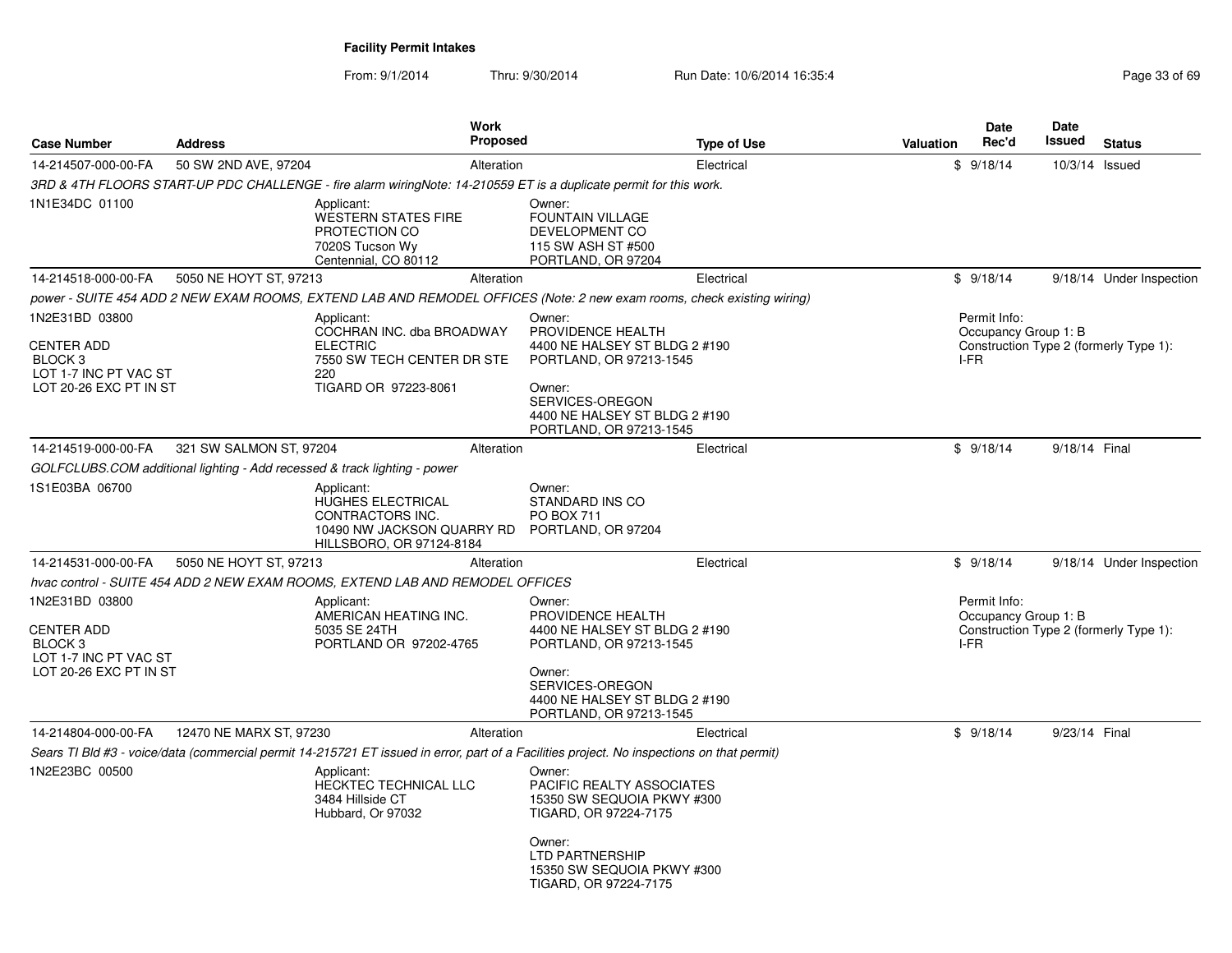| <b>Case Number</b>                                                                                           | <b>Address</b>          | Work<br>Proposed                                                                                                                           |                                                                                                                                                                                  | <b>Type of Use</b> | <b>Valuation</b> | Date<br>Rec'd                                | Date<br><b>Issued</b> | <b>Status</b>                          |
|--------------------------------------------------------------------------------------------------------------|-------------------------|--------------------------------------------------------------------------------------------------------------------------------------------|----------------------------------------------------------------------------------------------------------------------------------------------------------------------------------|--------------------|------------------|----------------------------------------------|-----------------------|----------------------------------------|
| 14-214507-000-00-FA                                                                                          | 50 SW 2ND AVE, 97204    | Alteration                                                                                                                                 |                                                                                                                                                                                  | Electrical         |                  | \$9/18/14                                    | 10/3/14 Issued        |                                        |
|                                                                                                              |                         | 3RD & 4TH FLOORS START-UP PDC CHALLENGE - fire alarm wiringNote: 14-210559 ET is a duplicate permit for this work.                         |                                                                                                                                                                                  |                    |                  |                                              |                       |                                        |
| 1N1E34DC 01100                                                                                               |                         | Applicant:<br><b>WESTERN STATES FIRE</b><br>PROTECTION CO<br>7020S Tucson Wy<br>Centennial, CO 80112                                       | Owner:<br><b>FOUNTAIN VILLAGE</b><br><b>DEVELOPMENT CO</b><br>115 SW ASH ST #500<br>PORTLAND, OR 97204                                                                           |                    |                  |                                              |                       |                                        |
| 14-214518-000-00-FA                                                                                          | 5050 NE HOYT ST, 97213  | Alteration                                                                                                                                 |                                                                                                                                                                                  | Electrical         |                  | \$9/18/14                                    |                       | 9/18/14 Under Inspection               |
|                                                                                                              |                         | power - SUITE 454 ADD 2 NEW EXAM ROOMS, EXTEND LAB AND REMODEL OFFICES (Note: 2 new exam rooms, check existing wiring)                     |                                                                                                                                                                                  |                    |                  |                                              |                       |                                        |
| 1N2E31BD 03800<br><b>CENTER ADD</b><br>BLOCK <sub>3</sub><br>LOT 1-7 INC PT VAC ST<br>LOT 20-26 EXC PT IN ST |                         | Applicant:<br>COCHRAN INC. dba BROADWAY<br><b>ELECTRIC</b><br>7550 SW TECH CENTER DR STE<br>220<br>TIGARD OR 97223-8061                    | Owner:<br>PROVIDENCE HEALTH<br>4400 NE HALSEY ST BLDG 2 #190<br>PORTLAND, OR 97213-1545<br>Owner:<br>SERVICES-OREGON<br>4400 NE HALSEY ST BLDG 2 #190<br>PORTLAND, OR 97213-1545 |                    |                  | Permit Info:<br>Occupancy Group 1: B<br>I-FR |                       | Construction Type 2 (formerly Type 1): |
| 14-214519-000-00-FA                                                                                          | 321 SW SALMON ST, 97204 | Alteration                                                                                                                                 |                                                                                                                                                                                  | Electrical         |                  | \$9/18/14                                    | 9/18/14 Final         |                                        |
|                                                                                                              |                         | GOLFCLUBS.COM additional lighting - Add recessed & track lighting - power                                                                  |                                                                                                                                                                                  |                    |                  |                                              |                       |                                        |
| 1S1E03BA 06700                                                                                               |                         | Applicant:<br><b>HUGHES ELECTRICAL</b><br>CONTRACTORS INC.<br>10490 NW JACKSON QUARRY RD<br>HILLSBORO, OR 97124-8184                       | Owner:<br>STANDARD INS CO<br>PO BOX 711<br>PORTLAND, OR 97204                                                                                                                    |                    |                  |                                              |                       |                                        |
| 14-214531-000-00-FA                                                                                          | 5050 NE HOYT ST, 97213  | Alteration                                                                                                                                 |                                                                                                                                                                                  | Electrical         |                  | \$9/18/14                                    |                       | 9/18/14 Under Inspection               |
|                                                                                                              |                         | hvac control - SUITE 454 ADD 2 NEW EXAM ROOMS, EXTEND LAB AND REMODEL OFFICES                                                              |                                                                                                                                                                                  |                    |                  |                                              |                       |                                        |
| 1N2E31BD 03800<br><b>CENTER ADD</b><br>BLOCK <sub>3</sub><br>LOT 1-7 INC PT VAC ST<br>LOT 20-26 EXC PT IN ST |                         | Applicant:<br>AMERICAN HEATING INC.<br>5035 SE 24TH<br>PORTLAND OR 97202-4765                                                              | Owner:<br>PROVIDENCE HEALTH<br>4400 NE HALSEY ST BLDG 2 #190<br>PORTLAND, OR 97213-1545<br>Owner:<br>SERVICES-OREGON<br>4400 NE HALSEY ST BLDG 2 #190<br>PORTLAND, OR 97213-1545 |                    |                  | Permit Info:<br>Occupancy Group 1: B<br>I-FR |                       | Construction Type 2 (formerly Type 1): |
| 14-214804-000-00-FA                                                                                          | 12470 NE MARX ST, 97230 | Alteration                                                                                                                                 |                                                                                                                                                                                  | Electrical         |                  | \$9/18/14                                    | 9/23/14 Final         |                                        |
|                                                                                                              |                         | Sears TI Bld #3 - voice/data (commercial permit 14-215721 ET issued in error, part of a Facilities project. No inspections on that permit) |                                                                                                                                                                                  |                    |                  |                                              |                       |                                        |
| 1N2E23BC 00500                                                                                               |                         | Applicant:<br><b>HECKTEC TECHNICAL LLC</b><br>3484 Hillside CT<br>Hubbard, Or 97032                                                        | Owner:<br><b>PACIFIC REALTY ASSOCIATES</b><br>15350 SW SEQUOIA PKWY #300<br>TIGARD, OR 97224-7175<br>Owner:                                                                      |                    |                  |                                              |                       |                                        |
|                                                                                                              |                         |                                                                                                                                            | LTD PARTNERSHIP<br>15350 SW SEQUOIA PKWY #300<br>TIGARD, OR 97224-7175                                                                                                           |                    |                  |                                              |                       |                                        |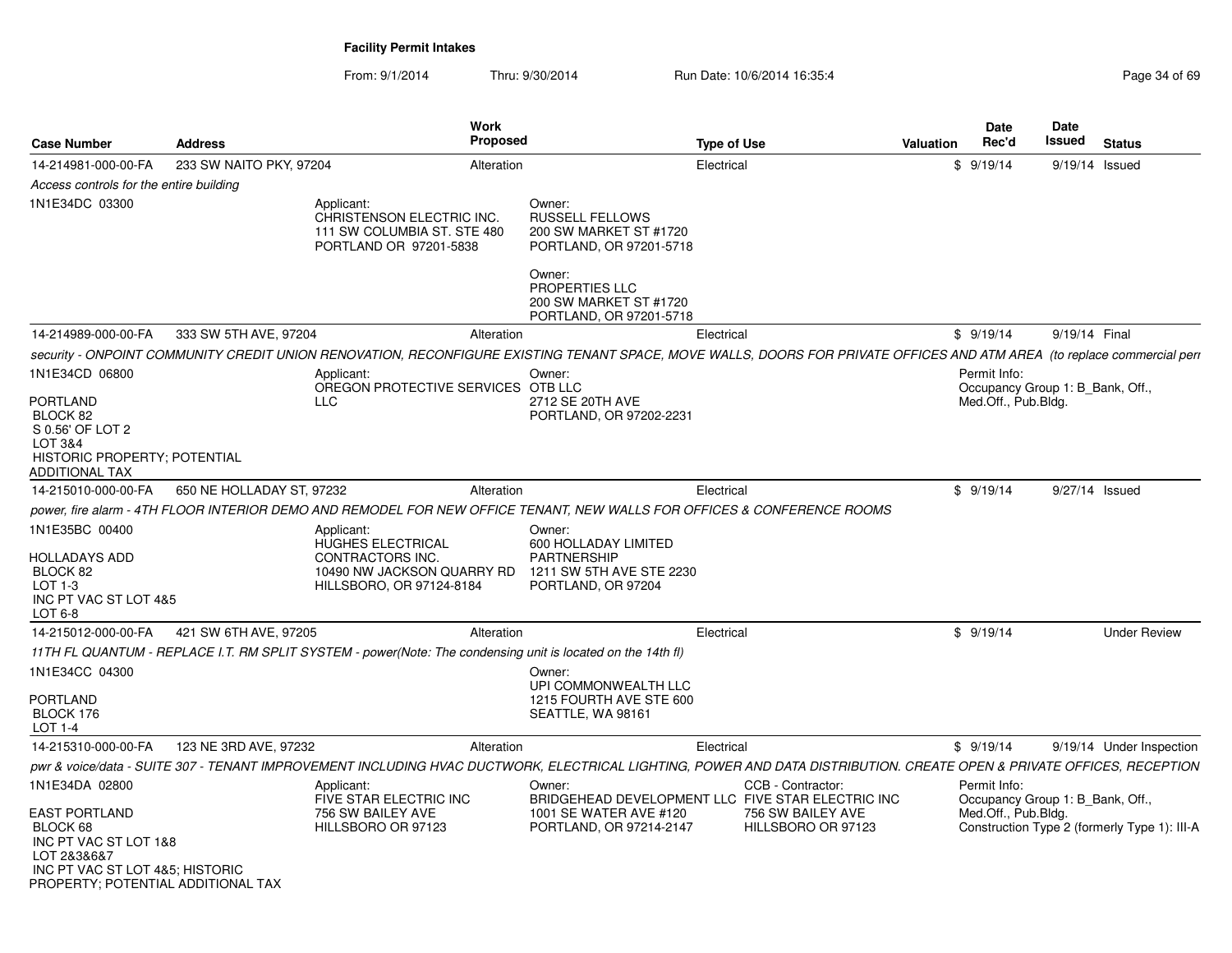From: 9/1/2014Thru: 9/30/2014 Run Date: 10/6/2014 16:35:4<br>
Run Date: 10/6/2014 16:35:4

| <b>Case Number</b>                                                                                                                                                  | <b>Address</b>            | <b>Work</b><br><b>Proposed</b>                                                                                                                                          |                                                                                                                                             | <b>Type of Use</b>                                                                                                | <b>Valuation</b> | <b>Date</b><br>Rec'd                                                    | Date<br>Issued | <b>Status</b>                                |
|---------------------------------------------------------------------------------------------------------------------------------------------------------------------|---------------------------|-------------------------------------------------------------------------------------------------------------------------------------------------------------------------|---------------------------------------------------------------------------------------------------------------------------------------------|-------------------------------------------------------------------------------------------------------------------|------------------|-------------------------------------------------------------------------|----------------|----------------------------------------------|
| 14-214981-000-00-FA                                                                                                                                                 | 233 SW NAITO PKY, 97204   | Alteration                                                                                                                                                              |                                                                                                                                             | Electrical                                                                                                        |                  | \$9/19/14                                                               | 9/19/14 Issued |                                              |
| Access controls for the entire building                                                                                                                             |                           |                                                                                                                                                                         |                                                                                                                                             |                                                                                                                   |                  |                                                                         |                |                                              |
| 1N1E34DC 03300                                                                                                                                                      |                           | Applicant:<br>CHRISTENSON ELECTRIC INC.<br>111 SW COLUMBIA ST. STE 480<br>PORTLAND OR 97201-5838                                                                        | Owner:<br><b>RUSSELL FELLOWS</b><br>200 SW MARKET ST #1720<br>PORTLAND, OR 97201-5718<br>Owner:<br>PROPERTIES LLC<br>200 SW MARKET ST #1720 |                                                                                                                   |                  |                                                                         |                |                                              |
|                                                                                                                                                                     |                           |                                                                                                                                                                         | PORTLAND, OR 97201-5718                                                                                                                     |                                                                                                                   |                  |                                                                         |                |                                              |
| 14-214989-000-00-FA                                                                                                                                                 | 333 SW 5TH AVE, 97204     | Alteration                                                                                                                                                              |                                                                                                                                             | Electrical                                                                                                        |                  | \$9/19/14                                                               | 9/19/14 Final  |                                              |
|                                                                                                                                                                     |                           | security - ONPOINT COMMUNITY CREDIT UNION RENOVATION, RECONFIGURE EXISTING TENANT SPACE, MOVE WALLS, DOORS FOR PRIVATE OFFICES AND ATM AREA (to replace commercial perr |                                                                                                                                             |                                                                                                                   |                  |                                                                         |                |                                              |
| 1N1E34CD 06800<br><b>PORTLAND</b><br>BLOCK 82<br>S 0.56' OF LOT 2<br>LOT 3&4<br><b>HISTORIC PROPERTY: POTENTIAL</b><br>ADDITIONAL TAX                               |                           | Applicant:<br>OREGON PROTECTIVE SERVICES OTB LLC<br><b>LLC</b>                                                                                                          | Owner:<br>2712 SE 20TH AVE<br>PORTLAND, OR 97202-2231                                                                                       |                                                                                                                   |                  | Permit Info:<br>Occupancy Group 1: B Bank, Off.,<br>Med.Off., Pub.Bldg. |                |                                              |
| 14-215010-000-00-FA                                                                                                                                                 | 650 NE HOLLADAY ST, 97232 | Alteration                                                                                                                                                              |                                                                                                                                             | Electrical                                                                                                        |                  | \$9/19/14                                                               | 9/27/14 Issued |                                              |
|                                                                                                                                                                     |                           | power, fire alarm - 4TH FLOOR INTERIOR DEMO AND REMODEL FOR NEW OFFICE TENANT, NEW WALLS FOR OFFICES & CONFERENCE ROOMS                                                 |                                                                                                                                             |                                                                                                                   |                  |                                                                         |                |                                              |
| 1N1E35BC 00400<br><b>HOLLADAYS ADD</b><br>BLOCK 82<br>LOT $1-3$<br>INC PT VAC ST LOT 4&5<br>LOT 6-8                                                                 |                           | Applicant:<br>HUGHES ELECTRICAL<br><b>CONTRACTORS INC.</b><br>10490 NW JACKSON QUARRY RD<br>HILLSBORO, OR 97124-8184                                                    | Owner:<br>600 HOLLADAY LIMITED<br><b>PARTNERSHIP</b><br>1211 SW 5TH AVE STE 2230<br>PORTLAND, OR 97204                                      |                                                                                                                   |                  |                                                                         |                |                                              |
| 14-215012-000-00-FA                                                                                                                                                 | 421 SW 6TH AVE, 97205     | Alteration                                                                                                                                                              |                                                                                                                                             | Electrical                                                                                                        |                  | \$9/19/14                                                               |                | <b>Under Review</b>                          |
|                                                                                                                                                                     |                           | 11TH FL QUANTUM - REPLACE I.T. RM SPLIT SYSTEM - power(Note: The condensing unit is located on the 14th fl)                                                             |                                                                                                                                             |                                                                                                                   |                  |                                                                         |                |                                              |
| 1N1E34CC 04300<br><b>PORTLAND</b><br>BLOCK 176<br>LOT 1-4                                                                                                           |                           |                                                                                                                                                                         | Owner:<br>UPI COMMONWEALTH LLC<br>1215 FOURTH AVE STE 600<br>SEATTLE, WA 98161                                                              |                                                                                                                   |                  |                                                                         |                |                                              |
| 14-215310-000-00-FA                                                                                                                                                 | 123 NE 3RD AVE, 97232     | Alteration                                                                                                                                                              |                                                                                                                                             | Electrical                                                                                                        |                  | \$9/19/14                                                               |                | 9/19/14 Under Inspection                     |
|                                                                                                                                                                     |                           | pwr & voice/data - SUITE 307 - TENANT IMPROVEMENT INCLUDING HVAC DUCTWORK, ELECTRICAL LIGHTING, POWER AND DATA DISTRIBUTION. CREATE OPEN & PRIVATE OFFICES, RECEPTION   |                                                                                                                                             |                                                                                                                   |                  |                                                                         |                |                                              |
| 1N1E34DA 02800<br><b>EAST PORTLAND</b><br>BLOCK 68<br>INC PT VAC ST LOT 1&8<br>LOT 2&3&6&7<br>INC PT VAC ST LOT 4&5; HISTORIC<br>PROPERTY: POTENTIAL ADDITIONAL TAX |                           | Applicant:<br>FIVE STAR ELECTRIC INC<br>756 SW BAILEY AVE<br>HILLSBORO OR 97123                                                                                         | Owner:<br>1001 SE WATER AVE #120<br>PORTLAND, OR 97214-2147                                                                                 | CCB - Contractor:<br>BRIDGEHEAD DEVELOPMENT LLC FIVE STAR ELECTRIC INC<br>756 SW BAILEY AVE<br>HILLSBORO OR 97123 |                  | Permit Info:<br>Occupancy Group 1: B Bank, Off.,<br>Med.Off., Pub.Bldg. |                | Construction Type 2 (formerly Type 1): III-A |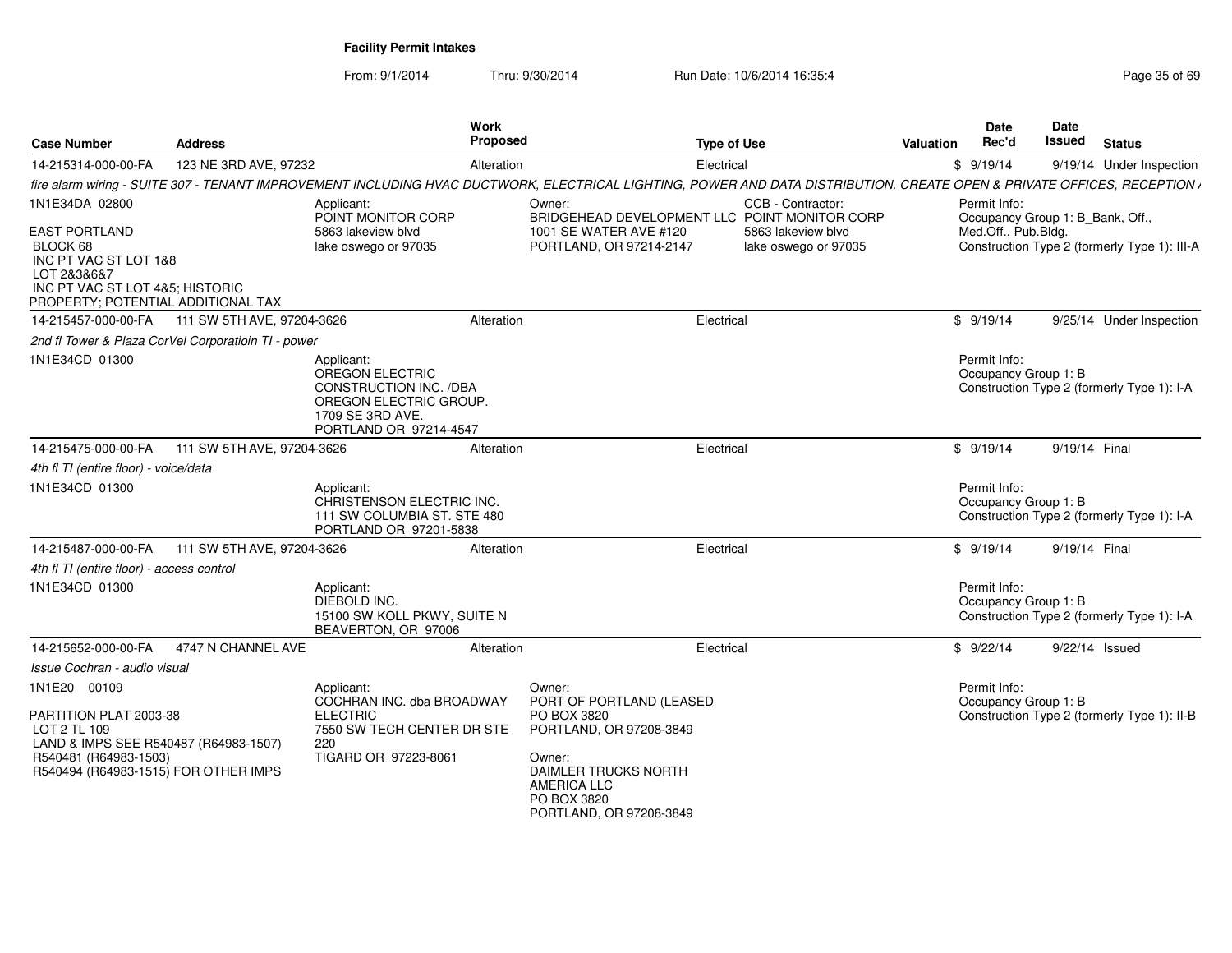From: 9/1/2014

Thru: 9/30/2014 Run Date: 10/6/2014 16:35:4

| <b>Case Number</b>                                                                                                                                | <b>Address</b>                                      | Work<br><b>Proposed</b>                                                                                                         | <b>Type of Use</b>                                                                                                                                                       |                                            | <b>Valuation</b> | Date<br>Rec'd                                    | Date<br>Issued | <b>Status</b>                                |
|---------------------------------------------------------------------------------------------------------------------------------------------------|-----------------------------------------------------|---------------------------------------------------------------------------------------------------------------------------------|--------------------------------------------------------------------------------------------------------------------------------------------------------------------------|--------------------------------------------|------------------|--------------------------------------------------|----------------|----------------------------------------------|
| 14-215314-000-00-FA                                                                                                                               | 123 NE 3RD AVE, 97232                               | Alteration                                                                                                                      | Electrical                                                                                                                                                               |                                            |                  | \$9/19/14                                        |                | 9/19/14 Under Inspection                     |
|                                                                                                                                                   |                                                     |                                                                                                                                 | fire alarm wiring - SUITE 307 - TENANT IMPROVEMENT INCLUDING HVAC DUCTWORK, ELECTRICAL LIGHTING, POWER AND DATA DISTRIBUTION. CREATE OPEN & PRIVATE OFFICES, RECEPTION , |                                            |                  |                                                  |                |                                              |
| 1N1E34DA 02800                                                                                                                                    |                                                     | Applicant:<br>POINT MONITOR CORP                                                                                                | Owner:<br>BRIDGEHEAD DEVELOPMENT LLC POINT MONITOR CORP                                                                                                                  | CCB - Contractor:                          |                  | Permit Info:<br>Occupancy Group 1: B_Bank, Off., |                |                                              |
| <b>EAST PORTLAND</b><br>BLOCK 68<br>INC PT VAC ST LOT 1&8<br>LOT 2&3&6&7<br>INC PT VAC ST LOT 4&5; HISTORIC<br>PROPERTY; POTENTIAL ADDITIONAL TAX |                                                     | 5863 lakeview blvd<br>lake oswego or 97035                                                                                      | 1001 SE WATER AVE #120<br>PORTLAND, OR 97214-2147                                                                                                                        | 5863 lakeview blyd<br>lake oswego or 97035 |                  | Med.Off., Pub.Bldg.                              |                | Construction Type 2 (formerly Type 1): III-A |
|                                                                                                                                                   | 14-215457-000-00-FA 111 SW 5TH AVE, 97204-3626      | Alteration                                                                                                                      | Electrical                                                                                                                                                               |                                            |                  | \$9/19/14                                        |                | 9/25/14 Under Inspection                     |
|                                                                                                                                                   | 2nd fl Tower & Plaza CorVel Corporatioin TI - power |                                                                                                                                 |                                                                                                                                                                          |                                            |                  |                                                  |                |                                              |
| 1N1E34CD 01300                                                                                                                                    |                                                     | Applicant:<br>OREGON ELECTRIC<br>CONSTRUCTION INC. /DBA<br>OREGON ELECTRIC GROUP.<br>1709 SE 3RD AVE.<br>PORTLAND OR 97214-4547 |                                                                                                                                                                          |                                            |                  | Permit Info:<br>Occupancy Group 1: B             |                | Construction Type 2 (formerly Type 1): I-A   |
| 14-215475-000-00-FA                                                                                                                               | 111 SW 5TH AVE, 97204-3626                          | Alteration                                                                                                                      | Electrical                                                                                                                                                               |                                            |                  | \$9/19/14                                        | 9/19/14 Final  |                                              |
| 4th fl TI (entire floor) - voice/data                                                                                                             |                                                     |                                                                                                                                 |                                                                                                                                                                          |                                            |                  |                                                  |                |                                              |
| 1N1E34CD 01300                                                                                                                                    |                                                     | Applicant:<br>CHRISTENSON ELECTRIC INC.<br>111 SW COLUMBIA ST. STE 480<br>PORTLAND OR 97201-5838                                |                                                                                                                                                                          |                                            |                  | Permit Info:<br>Occupancy Group 1: B             |                | Construction Type 2 (formerly Type 1): I-A   |
| 14-215487-000-00-FA                                                                                                                               | 111 SW 5TH AVE, 97204-3626                          | Alteration                                                                                                                      | Electrical                                                                                                                                                               |                                            |                  | \$9/19/14                                        | 9/19/14 Final  |                                              |
| 4th fl TI (entire floor) - access control                                                                                                         |                                                     |                                                                                                                                 |                                                                                                                                                                          |                                            |                  |                                                  |                |                                              |
| 1N1E34CD 01300                                                                                                                                    |                                                     | Applicant:<br>DIEBOLD INC.<br>15100 SW KOLL PKWY, SUITE N<br>BEAVERTON, OR 97006                                                |                                                                                                                                                                          |                                            |                  | Permit Info:<br>Occupancy Group 1: B             |                | Construction Type 2 (formerly Type 1): I-A   |
| 14-215652-000-00-FA                                                                                                                               | 4747 N CHANNEL AVE                                  | Alteration                                                                                                                      | Electrical                                                                                                                                                               |                                            |                  | \$9/22/14                                        |                | $9/22/14$ Issued                             |
| Issue Cochran - audio visual                                                                                                                      |                                                     |                                                                                                                                 |                                                                                                                                                                          |                                            |                  |                                                  |                |                                              |
| 1N1E20 00109<br>PARTITION PLAT 2003-38<br>LOT 2 TL 109                                                                                            |                                                     | Applicant:<br>COCHRAN INC. dba BROADWAY<br><b>ELECTRIC</b><br>7550 SW TECH CENTER DR STE                                        | Owner:<br>PORT OF PORTLAND (LEASED<br>PO BOX 3820<br>PORTLAND, OR 97208-3849                                                                                             |                                            |                  | Permit Info:<br>Occupancy Group 1: B             |                | Construction Type 2 (formerly Type 1): II-B  |
| LAND & IMPS SEE R540487 (R64983-1507)<br>R540481 (R64983-1503)<br>R540494 (R64983-1515) FOR OTHER IMPS                                            |                                                     | 220<br>TIGARD OR 97223-8061                                                                                                     | Owner:<br>DAIMLER TRUCKS NORTH<br><b>AMERICA LLC</b><br>PO BOX 3820<br>PORTLAND, OR 97208-3849                                                                           |                                            |                  |                                                  |                |                                              |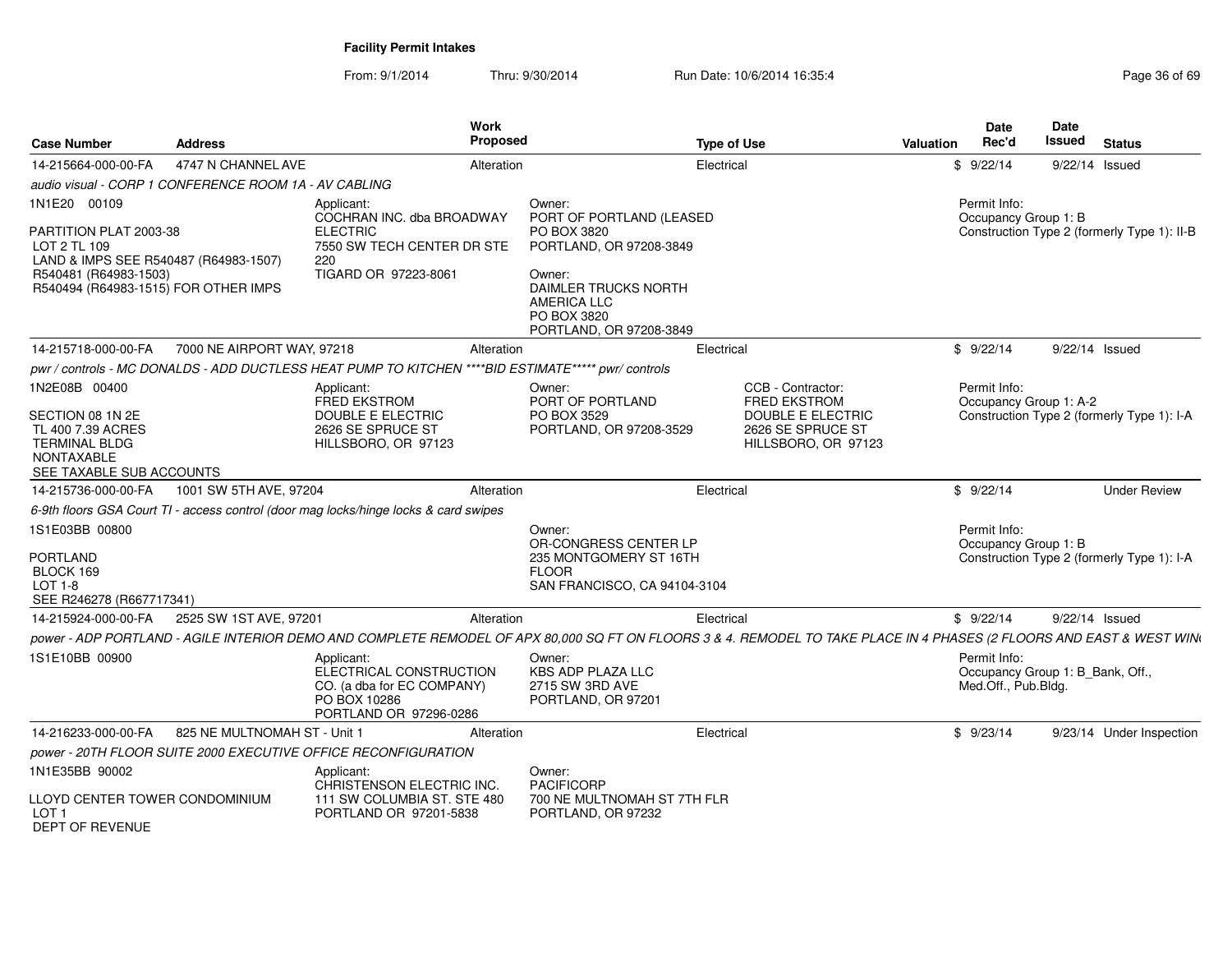| <b>Case Number</b>                                                                                                                                               | <b>Address</b>                                        | <b>Work</b><br><b>Proposed</b>                                                                                          |                                                                                                                                                                                | <b>Type of Use</b>                                                                                                                                                    | <b>Date</b><br>Rec'd<br><b>Valuation</b> | Date<br><b>Issued</b>            | <b>Status</b>                               |
|------------------------------------------------------------------------------------------------------------------------------------------------------------------|-------------------------------------------------------|-------------------------------------------------------------------------------------------------------------------------|--------------------------------------------------------------------------------------------------------------------------------------------------------------------------------|-----------------------------------------------------------------------------------------------------------------------------------------------------------------------|------------------------------------------|----------------------------------|---------------------------------------------|
| 14-215664-000-00-FA                                                                                                                                              | 4747 N CHANNEL AVE                                    | Alteration                                                                                                              |                                                                                                                                                                                | Electrical                                                                                                                                                            | \$9/22/14                                | 9/22/14 Issued                   |                                             |
|                                                                                                                                                                  | audio visual - CORP 1 CONFERENCE ROOM 1A - AV CABLING |                                                                                                                         |                                                                                                                                                                                |                                                                                                                                                                       |                                          |                                  |                                             |
| 1N1E20 00109<br>PARTITION PLAT 2003-38<br>LOT 2 TL 109<br>LAND & IMPS SEE R540487 (R64983-1507)<br>R540481 (R64983-1503)<br>R540494 (R64983-1515) FOR OTHER IMPS |                                                       | Applicant:<br>COCHRAN INC. dba BROADWAY<br><b>ELECTRIC</b><br>7550 SW TECH CENTER DR STE<br>220<br>TIGARD OR 97223-8061 | Owner:<br>PORT OF PORTLAND (LEASED<br>PO BOX 3820<br>PORTLAND, OR 97208-3849<br>Owner:<br>DAIMLER TRUCKS NORTH<br><b>AMERICA LLC</b><br>PO BOX 3820<br>PORTLAND, OR 97208-3849 |                                                                                                                                                                       | Permit Info:<br>Occupancy Group 1: B     |                                  | Construction Type 2 (formerly Type 1): II-B |
| 14-215718-000-00-FA                                                                                                                                              | 7000 NE AIRPORT WAY, 97218                            | Alteration                                                                                                              |                                                                                                                                                                                | Electrical                                                                                                                                                            | \$9/22/14                                | 9/22/14 Issued                   |                                             |
|                                                                                                                                                                  |                                                       | pwr / controls - MC DONALDS - ADD DUCTLESS HEAT PUMP TO KITCHEN ****BID ESTIMATE***** pwr/ controls                     |                                                                                                                                                                                |                                                                                                                                                                       |                                          |                                  |                                             |
| 1N2E08B 00400<br>SECTION 08 1N 2E<br>TL 400 7.39 ACRES<br><b>TERMINAL BLDG</b><br>NONTAXABLE<br>SEE TAXABLE SUB ACCOUNTS                                         |                                                       | Applicant:<br><b>FRED EKSTROM</b><br>DOUBLE E ELECTRIC<br>2626 SE SPRUCE ST<br>HILLSBORO, OR 97123                      | Owner:<br>PORT OF PORTLAND<br>PO BOX 3529<br>PORTLAND, OR 97208-3529                                                                                                           | CCB - Contractor:<br><b>FRED EKSTROM</b><br>DOUBLE E ELECTRIC<br>2626 SE SPRUCE ST<br>HILLSBORO, OR 97123                                                             | Permit Info:<br>Occupancy Group 1: A-2   |                                  | Construction Type 2 (formerly Type 1): I-A  |
| 14-215736-000-00-FA                                                                                                                                              | 1001 SW 5TH AVE, 97204                                | Alteration                                                                                                              |                                                                                                                                                                                | Electrical                                                                                                                                                            | \$9/22/14                                |                                  | <b>Under Review</b>                         |
|                                                                                                                                                                  |                                                       | 6-9th floors GSA Court TI - access control (door mag locks/hinge locks & card swipes                                    |                                                                                                                                                                                |                                                                                                                                                                       |                                          |                                  |                                             |
| 1S1E03BB 00800<br>PORTLAND<br>BLOCK 169<br>LOT 1-8<br>SEE R246278 (R667717341)                                                                                   |                                                       |                                                                                                                         | Owner:<br>OR-CONGRESS CENTER LP<br>235 MONTGOMERY ST 16TH<br><b>FLOOR</b><br>SAN FRANCISCO, CA 94104-3104                                                                      |                                                                                                                                                                       | Permit Info:<br>Occupancy Group 1: B     |                                  | Construction Type 2 (formerly Type 1): I-A  |
| 14-215924-000-00-FA                                                                                                                                              | 2525 SW 1ST AVE, 97201                                | Alteration                                                                                                              |                                                                                                                                                                                | Electrical                                                                                                                                                            | \$9/22/14                                | 9/22/14 Issued                   |                                             |
|                                                                                                                                                                  |                                                       |                                                                                                                         |                                                                                                                                                                                | power - ADP PORTLAND - AGILE INTERIOR DEMO AND COMPLETE REMODEL OF APX 80,000 SQ FT ON FLOORS 3 & 4. REMODEL TO TAKE PLACE IN 4 PHASES (2 FLOORS AND EAST & WEST WINI |                                          |                                  |                                             |
| 1S1E10BB 00900                                                                                                                                                   |                                                       | Applicant:<br>ELECTRICAL CONSTRUCTION<br>CO. (a dba for EC COMPANY)<br>PO BOX 10286<br>PORTLAND OR 97296-0286           | Owner:<br><b>KBS ADP PLAZA LLC</b><br>2715 SW 3RD AVE<br>PORTLAND, OR 97201                                                                                                    |                                                                                                                                                                       | Permit Info:<br>Med.Off., Pub.Bldg.      | Occupancy Group 1: B_Bank, Off., |                                             |
| 14-216233-000-00-FA                                                                                                                                              | 825 NE MULTNOMAH ST - Unit 1                          | Alteration                                                                                                              |                                                                                                                                                                                | Electrical                                                                                                                                                            | \$9/23/14                                |                                  | 9/23/14 Under Inspection                    |
|                                                                                                                                                                  |                                                       | power - 20TH FLOOR SUITE 2000 EXECUTIVE OFFICE RECONFIGURATION                                                          |                                                                                                                                                                                |                                                                                                                                                                       |                                          |                                  |                                             |
| 1N1E35BB 90002<br>LLOYD CENTER TOWER CONDOMINIUM<br>LOT <sub>1</sub><br>DEPT OF REVENUE                                                                          |                                                       | Applicant:<br>CHRISTENSON ELECTRIC INC.<br>111 SW COLUMBIA ST. STE 480<br>PORTLAND OR 97201-5838                        | Owner:<br><b>PACIFICORP</b><br>700 NE MULTNOMAH ST 7TH FLR<br>PORTLAND, OR 97232                                                                                               |                                                                                                                                                                       |                                          |                                  |                                             |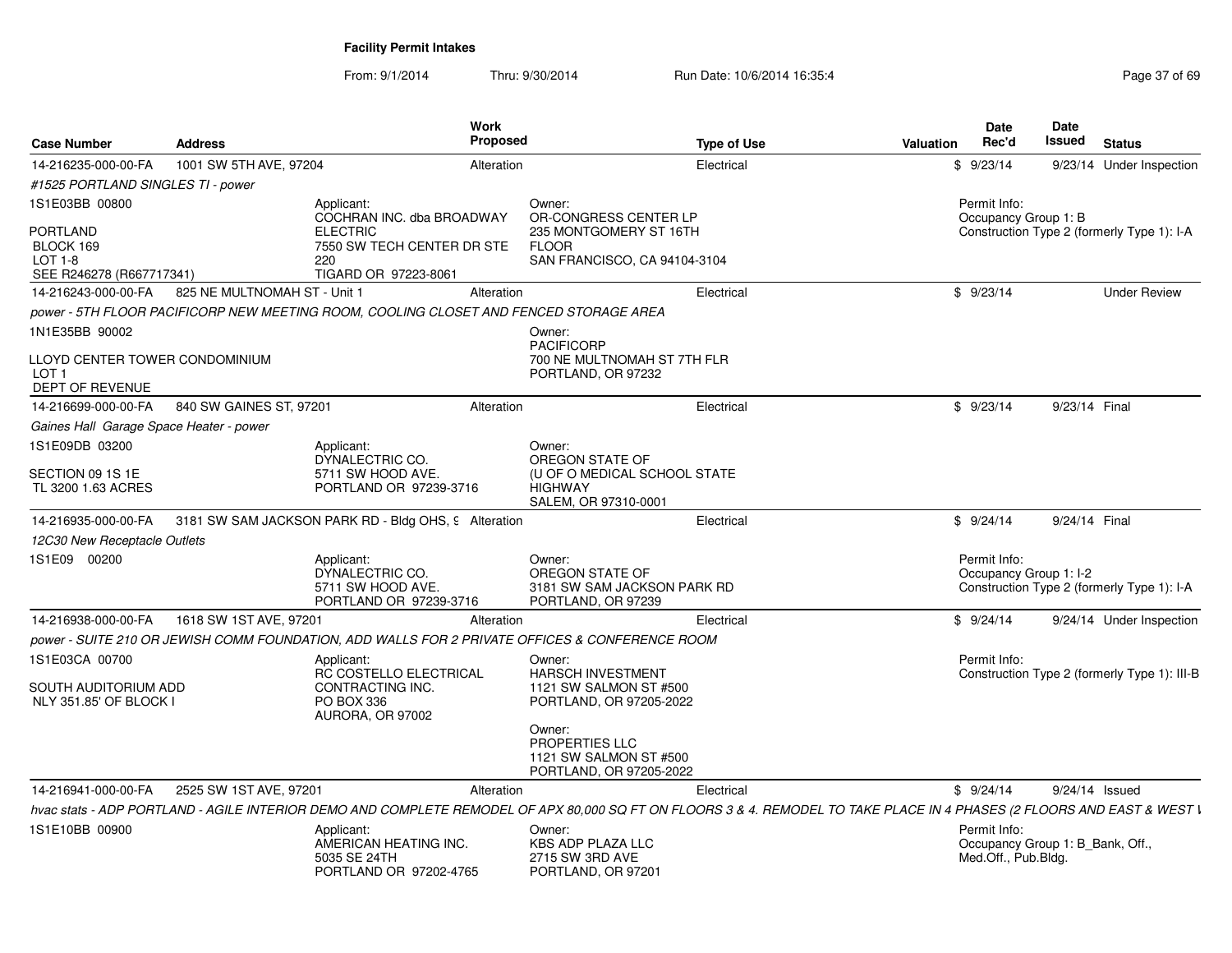| <b>Case Number</b>                                                    | <b>Address</b>               | Work<br><b>Proposed</b>                                                                        |                                                                                | <b>Type of Use</b><br><b>Valuation</b>                                                                                                                                  | Date<br>Rec'd                                                           | <b>Date</b><br>Issued | <b>Status</b>                                |
|-----------------------------------------------------------------------|------------------------------|------------------------------------------------------------------------------------------------|--------------------------------------------------------------------------------|-------------------------------------------------------------------------------------------------------------------------------------------------------------------------|-------------------------------------------------------------------------|-----------------------|----------------------------------------------|
| 14-216235-000-00-FA                                                   | 1001 SW 5TH AVE, 97204       | Alteration                                                                                     |                                                                                | Electrical                                                                                                                                                              | \$9/23/14                                                               |                       | 9/23/14 Under Inspection                     |
| #1525 PORTLAND SINGLES TI - power                                     |                              |                                                                                                |                                                                                |                                                                                                                                                                         |                                                                         |                       |                                              |
| 1S1E03BB 00800                                                        |                              | Applicant:<br>COCHRAN INC. dba BROADWAY                                                        | Owner:<br>OR-CONGRESS CENTER LP                                                |                                                                                                                                                                         | Permit Info:<br>Occupancy Group 1: B                                    |                       |                                              |
| PORTLAND<br>BLOCK 169<br>$LOT 1-8$<br>SEE R246278 (R667717341)        |                              | <b>ELECTRIC</b><br>7550 SW TECH CENTER DR STE<br>220<br>TIGARD OR 97223-8061                   | 235 MONTGOMERY ST 16TH<br><b>FLOOR</b><br>SAN FRANCISCO, CA 94104-3104         |                                                                                                                                                                         |                                                                         |                       | Construction Type 2 (formerly Type 1): I-A   |
| 14-216243-000-00-FA                                                   | 825 NE MULTNOMAH ST - Unit 1 | Alteration                                                                                     |                                                                                | Electrical                                                                                                                                                              | \$9/23/14                                                               |                       | <b>Under Review</b>                          |
|                                                                       |                              | power - 5TH FLOOR PACIFICORP NEW MEETING ROOM, COOLING CLOSET AND FENCED STORAGE AREA          |                                                                                |                                                                                                                                                                         |                                                                         |                       |                                              |
| 1N1E35BB 90002                                                        |                              |                                                                                                | Owner:<br><b>PACIFICORP</b>                                                    |                                                                                                                                                                         |                                                                         |                       |                                              |
| LLOYD CENTER TOWER CONDOMINIUM<br>LOT <sub>1</sub><br>DEPT OF REVENUE |                              |                                                                                                | 700 NE MULTNOMAH ST 7TH FLR<br>PORTLAND, OR 97232                              |                                                                                                                                                                         |                                                                         |                       |                                              |
| 14-216699-000-00-FA                                                   | 840 SW GAINES ST, 97201      | Alteration                                                                                     |                                                                                | Electrical                                                                                                                                                              | \$9/23/14                                                               | 9/23/14 Final         |                                              |
| Gaines Hall Garage Space Heater - power                               |                              |                                                                                                |                                                                                |                                                                                                                                                                         |                                                                         |                       |                                              |
| 1S1E09DB 03200                                                        |                              | Applicant:<br>DYNALECTRIC CO.                                                                  | Owner:<br>OREGON STATE OF                                                      |                                                                                                                                                                         |                                                                         |                       |                                              |
| SECTION 09 1S 1E<br>TL 3200 1.63 ACRES                                |                              | 5711 SW HOOD AVE.<br>PORTLAND OR 97239-3716                                                    | (U OF O MEDICAL SCHOOL STATE<br><b>HIGHWAY</b><br>SALEM, OR 97310-0001         |                                                                                                                                                                         |                                                                         |                       |                                              |
| 14-216935-000-00-FA                                                   |                              | 3181 SW SAM JACKSON PARK RD - Bldg OHS, 9 Alteration                                           |                                                                                | Electrical                                                                                                                                                              | \$9/24/14                                                               | 9/24/14 Final         |                                              |
| 12C30 New Receptacle Outlets                                          |                              |                                                                                                |                                                                                |                                                                                                                                                                         |                                                                         |                       |                                              |
| 1S1E09 00200                                                          |                              | Applicant:<br>DYNALECTRIC CO.<br>5711 SW HOOD AVE.<br>PORTLAND OR 97239-3716                   | Owner:<br>OREGON STATE OF<br>3181 SW SAM JACKSON PARK RD<br>PORTLAND, OR 97239 |                                                                                                                                                                         | Permit Info:<br>Occupancy Group 1: I-2                                  |                       | Construction Type 2 (formerly Type 1): I-A   |
| 14-216938-000-00-FA                                                   | 1618 SW 1ST AVE, 97201       | Alteration                                                                                     |                                                                                | Electrical                                                                                                                                                              | \$9/24/14                                                               |                       | 9/24/14 Under Inspection                     |
|                                                                       |                              | power - SUITE 210 OR JEWISH COMM FOUNDATION, ADD WALLS FOR 2 PRIVATE OFFICES & CONFERENCE ROOM |                                                                                |                                                                                                                                                                         |                                                                         |                       |                                              |
| 1S1E03CA 00700                                                        |                              | Applicant:<br>RC COSTELLO ELECTRICAL                                                           | Owner:<br><b>HARSCH INVESTMENT</b>                                             |                                                                                                                                                                         | Permit Info:                                                            |                       | Construction Type 2 (formerly Type 1): III-B |
| SOUTH AUDITORIUM ADD<br>NLY 351.85' OF BLOCK I                        |                              | CONTRACTING INC.<br><b>PO BOX 336</b><br>AURORA, OR 97002                                      | 1121 SW SALMON ST #500<br>PORTLAND, OR 97205-2022                              |                                                                                                                                                                         |                                                                         |                       |                                              |
|                                                                       |                              |                                                                                                | Owner:<br>PROPERTIES LLC<br>1121 SW SALMON ST #500<br>PORTLAND, OR 97205-2022  |                                                                                                                                                                         |                                                                         |                       |                                              |
| 14-216941-000-00-FA                                                   | 2525 SW 1ST AVE, 97201       | Alteration                                                                                     |                                                                                | Electrical                                                                                                                                                              | \$9/24/14                                                               |                       | 9/24/14 Issued                               |
|                                                                       |                              |                                                                                                |                                                                                | hvac stats - ADP PORTLAND - AGILE INTERIOR DEMO AND COMPLETE REMODEL OF APX 80,000 SQ FT ON FLOORS 3 & 4. REMODEL TO TAKE PLACE IN 4 PHASES (2 FLOORS AND EAST & WEST I |                                                                         |                       |                                              |
| 1S1E10BB 00900                                                        |                              | Applicant:<br>AMERICAN HEATING INC.<br>5035 SE 24TH<br>PORTLAND OR 97202-4765                  | Owner:<br><b>KBS ADP PLAZA LLC</b><br>2715 SW 3RD AVE<br>PORTLAND, OR 97201    |                                                                                                                                                                         | Permit Info:<br>Occupancy Group 1: B Bank, Off.,<br>Med.Off., Pub.Bldg. |                       |                                              |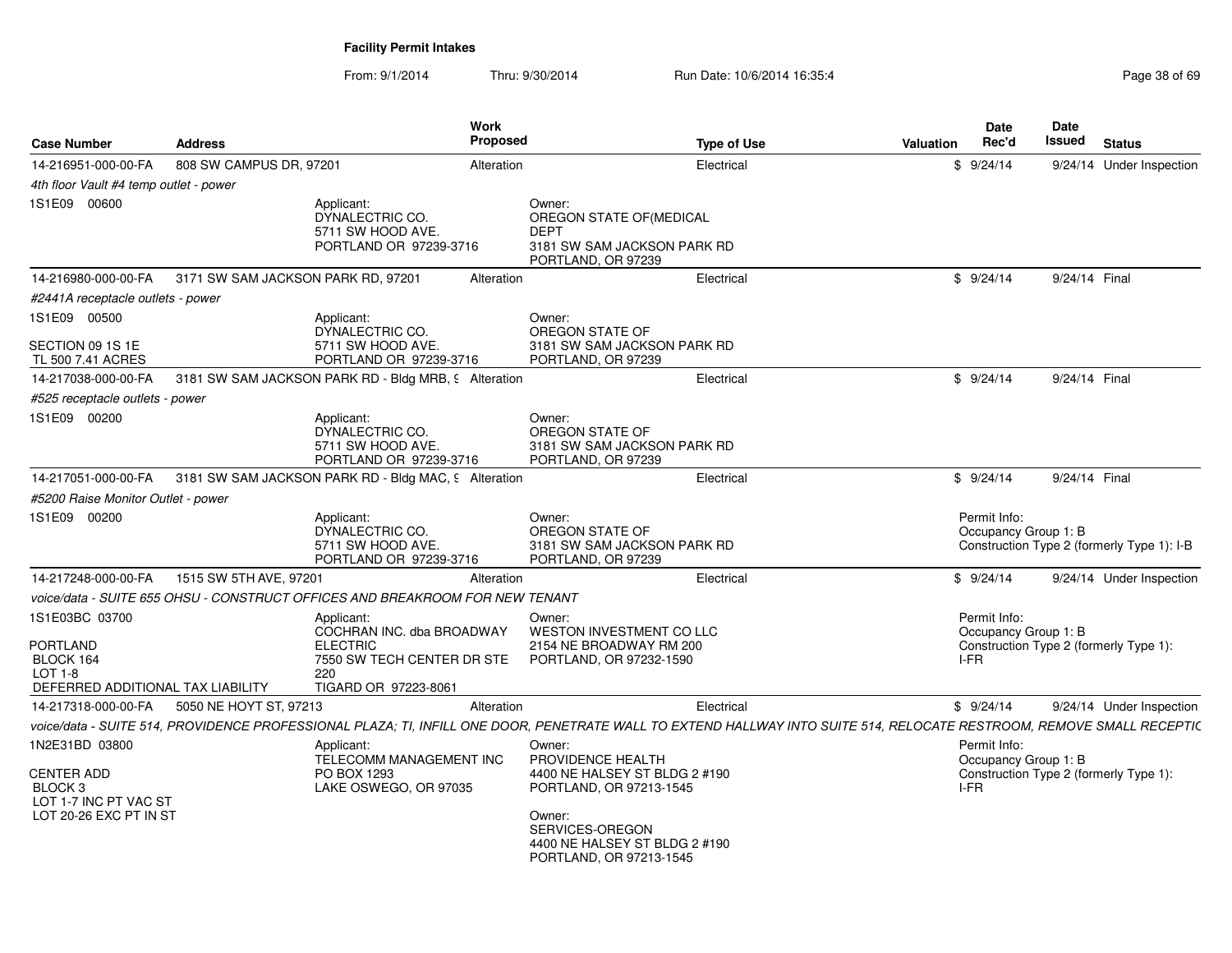| <b>Case Number</b>                                                                               | <b>Address</b>                                                               | Work<br>Proposed                                                                          | <b>Type of Use</b>                                                                                                                                                    | <b>Valuation</b> | <b>Date</b><br>Rec'd                 | Date<br>Issued<br><b>Status</b>            |
|--------------------------------------------------------------------------------------------------|------------------------------------------------------------------------------|-------------------------------------------------------------------------------------------|-----------------------------------------------------------------------------------------------------------------------------------------------------------------------|------------------|--------------------------------------|--------------------------------------------|
| 14-216951-000-00-FA                                                                              | 808 SW CAMPUS DR, 97201                                                      | Alteration                                                                                | Electrical                                                                                                                                                            |                  | \$9/24/14                            | 9/24/14 Under Inspection                   |
| 4th floor Vault #4 temp outlet - power                                                           |                                                                              |                                                                                           |                                                                                                                                                                       |                  |                                      |                                            |
| 1S1E09 00600                                                                                     | Applicant:<br>DYNALECTRIC CO.                                                | Owner:<br>5711 SW HOOD AVE.<br><b>DEPT</b><br>PORTLAND OR 97239-3716                      | OREGON STATE OF (MEDICAL<br>3181 SW SAM JACKSON PARK RD<br>PORTLAND, OR 97239                                                                                         |                  |                                      |                                            |
| 14-216980-000-00-FA                                                                              | 3171 SW SAM JACKSON PARK RD, 97201                                           | Alteration                                                                                | Electrical                                                                                                                                                            |                  | \$9/24/14                            | 9/24/14 Final                              |
| #2441A receptacle outlets - power                                                                |                                                                              |                                                                                           |                                                                                                                                                                       |                  |                                      |                                            |
| 1S1E09 00500<br>SECTION 09 1S 1E                                                                 | Applicant:<br>DYNALECTRIC CO.                                                | Owner:<br>5711 SW HOOD AVE.                                                               | OREGON STATE OF<br>3181 SW SAM JACKSON PARK RD                                                                                                                        |                  |                                      |                                            |
| TL 500 7.41 ACRES                                                                                |                                                                              | PORTLAND OR 97239-3716                                                                    | PORTLAND, OR 97239                                                                                                                                                    |                  |                                      |                                            |
| 14-217038-000-00-FA                                                                              | 3181 SW SAM JACKSON PARK RD - Bldg MRB, 9 Alteration                         |                                                                                           | Electrical                                                                                                                                                            |                  | \$9/24/14                            | 9/24/14 Final                              |
| #525 receptacle outlets - power                                                                  |                                                                              |                                                                                           |                                                                                                                                                                       |                  |                                      |                                            |
| 1S1E09 00200                                                                                     | Applicant:<br>DYNALECTRIC CO.                                                | Owner:<br>5711 SW HOOD AVE.<br>PORTLAND OR 97239-3716                                     | OREGON STATE OF<br>3181 SW SAM JACKSON PARK RD<br>PORTLAND, OR 97239                                                                                                  |                  |                                      |                                            |
| 14-217051-000-00-FA                                                                              | 3181 SW SAM JACKSON PARK RD - Bldg MAC, 9 Alteration                         |                                                                                           | Electrical                                                                                                                                                            |                  | \$9/24/14                            | 9/24/14 Final                              |
| #5200 Raise Monitor Outlet - power                                                               |                                                                              |                                                                                           |                                                                                                                                                                       |                  |                                      |                                            |
| 1S1E09 00200                                                                                     | Applicant:<br>DYNALECTRIC CO.                                                | Owner:<br>5711 SW HOOD AVE.<br>PORTLAND OR 97239-3716                                     | OREGON STATE OF<br>3181 SW SAM JACKSON PARK RD<br>PORTLAND, OR 97239                                                                                                  |                  | Permit Info:<br>Occupancy Group 1: B | Construction Type 2 (formerly Type 1): I-B |
| 14-217248-000-00-FA                                                                              | 1515 SW 5TH AVE, 97201                                                       | Alteration                                                                                | Electrical                                                                                                                                                            |                  | \$9/24/14                            | 9/24/14 Under Inspection                   |
|                                                                                                  | voice/data - SUITE 655 OHSU - CONSTRUCT OFFICES AND BREAKROOM FOR NEW TENANT |                                                                                           |                                                                                                                                                                       |                  |                                      |                                            |
| 1S1E03BC 03700<br><b>PORTLAND</b><br>BLOCK 164<br>$LOT 1-8$<br>DEFERRED ADDITIONAL TAX LIABILITY | Applicant:<br><b>ELECTRIC</b><br>220                                         | Owner:<br>COCHRAN INC. dba BROADWAY<br>7550 SW TECH CENTER DR STE<br>TIGARD OR 97223-8061 | <b>WESTON INVESTMENT CO LLC</b><br>2154 NE BROADWAY RM 200<br>PORTLAND, OR 97232-1590                                                                                 | I-FR             | Permit Info:<br>Occupancy Group 1: B | Construction Type 2 (formerly Type 1):     |
| 14-217318-000-00-FA                                                                              | 5050 NE HOYT ST, 97213                                                       | Alteration                                                                                | Electrical                                                                                                                                                            |                  | \$9/24/14                            | 9/24/14 Under Inspection                   |
|                                                                                                  |                                                                              |                                                                                           | voice/data - SUITE 514, PROVIDENCE PROFESSIONAL PLAZA; TI, INFILL ONE DOOR, PENETRATE WALL TO EXTEND HALLWAY INTO SUITE 514, RELOCATE RESTROOM, REMOVE SMALL RECEPTIC |                  |                                      |                                            |
| 1N2E31BD 03800<br><b>CENTER ADD</b><br>BLOCK <sub>3</sub><br>LOT 1-7 INC PT VAC ST               | Applicant:<br>PO BOX 1293                                                    | Owner:<br>TELECOMM MANAGEMENT INC<br>LAKE OSWEGO, OR 97035                                | PROVIDENCE HEALTH<br>4400 NE HALSEY ST BLDG 2 #190<br>PORTLAND, OR 97213-1545                                                                                         | I-FR             | Permit Info:<br>Occupancy Group 1: B | Construction Type 2 (formerly Type 1):     |
| LOT 20-26 EXC PT IN ST                                                                           |                                                                              | Owner:                                                                                    | SERVICES-OREGON<br>4400 NE HALSEY ST BLDG 2 #190<br>PORTLAND, OR 97213-1545                                                                                           |                  |                                      |                                            |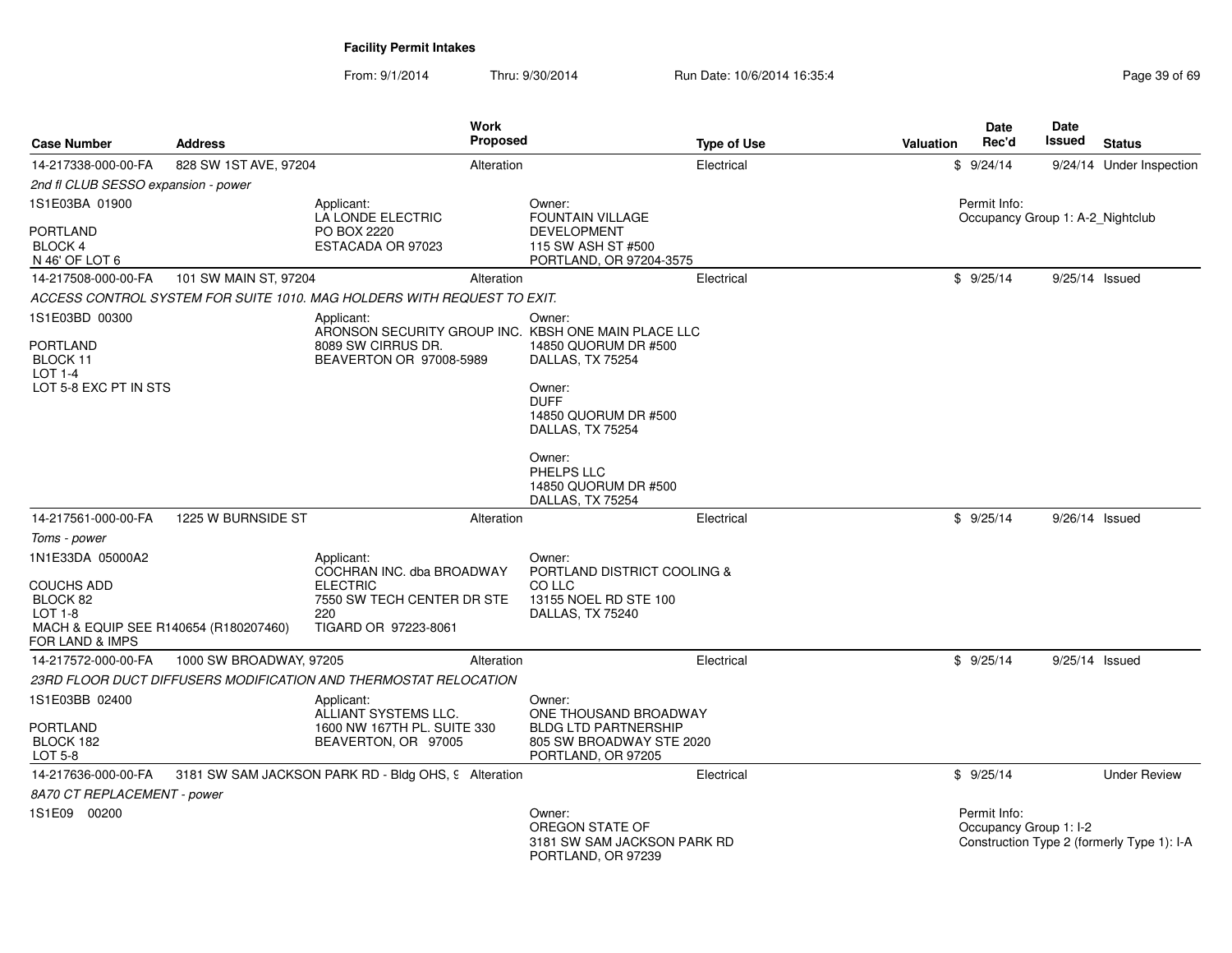| <b>Case Number</b>                                                                                                         | <b>Address</b>          | Work<br><b>Proposed</b>                                                                                                 |                                                                                                              | <b>Type of Use</b> | Valuation | <b>Date</b><br>Rec'd                             | <b>Date</b><br><b>Issued</b> | <b>Status</b>                              |
|----------------------------------------------------------------------------------------------------------------------------|-------------------------|-------------------------------------------------------------------------------------------------------------------------|--------------------------------------------------------------------------------------------------------------|--------------------|-----------|--------------------------------------------------|------------------------------|--------------------------------------------|
| 14-217338-000-00-FA                                                                                                        | 828 SW 1ST AVE, 97204   | Alteration                                                                                                              |                                                                                                              | Electrical         |           | \$9/24/14                                        |                              | 9/24/14 Under Inspection                   |
| 2nd fl CLUB SESSO expansion - power                                                                                        |                         |                                                                                                                         |                                                                                                              |                    |           |                                                  |                              |                                            |
| 1S1E03BA 01900                                                                                                             |                         | Applicant:<br>LA LONDE ELECTRIC                                                                                         | Owner:<br><b>FOUNTAIN VILLAGE</b>                                                                            |                    |           | Permit Info:<br>Occupancy Group 1: A-2 Nightclub |                              |                                            |
| <b>PORTLAND</b><br><b>BLOCK 4</b><br>N 46' OF LOT 6                                                                        |                         | PO BOX 2220<br>ESTACADA OR 97023                                                                                        | <b>DEVELOPMENT</b><br>115 SW ASH ST #500<br>PORTLAND, OR 97204-3575                                          |                    |           |                                                  |                              |                                            |
| 14-217508-000-00-FA                                                                                                        | 101 SW MAIN ST, 97204   | Alteration                                                                                                              |                                                                                                              | Electrical         |           | \$9/25/14                                        | $9/25/14$ Issued             |                                            |
|                                                                                                                            |                         | ACCESS CONTROL SYSTEM FOR SUITE 1010. MAG HOLDERS WITH REQUEST TO EXIT.                                                 |                                                                                                              |                    |           |                                                  |                              |                                            |
| 1S1E03BD 00300<br>PORTLAND<br>BLOCK 11<br>LOT $1-4$<br>LOT 5-8 EXC PT IN STS                                               |                         | Applicant:<br>ARONSON SECURITY GROUP INC. KBSH ONE MAIN PLACE LLC<br>8089 SW CIRRUS DR.<br>BEAVERTON OR 97008-5989      | Owner:<br>14850 QUORUM DR #500<br>DALLAS, TX 75254<br>Owner:<br><b>DUFF</b>                                  |                    |           |                                                  |                              |                                            |
|                                                                                                                            |                         |                                                                                                                         | 14850 QUORUM DR #500<br>DALLAS, TX 75254<br>Owner:<br>PHELPS LLC<br>14850 QUORUM DR #500<br>DALLAS, TX 75254 |                    |           |                                                  |                              |                                            |
| 14-217561-000-00-FA                                                                                                        | 1225 W BURNSIDE ST      | Alteration                                                                                                              |                                                                                                              | Electrical         |           | \$9/25/14                                        | $9/26/14$ Issued             |                                            |
| Toms - power                                                                                                               |                         |                                                                                                                         |                                                                                                              |                    |           |                                                  |                              |                                            |
| 1N1E33DA 05000A2<br><b>COUCHS ADD</b><br>BLOCK 82<br>$LOT 1-8$<br>MACH & EQUIP SEE R140654 (R180207460)<br>FOR LAND & IMPS |                         | Applicant:<br>COCHRAN INC. dba BROADWAY<br><b>ELECTRIC</b><br>7550 SW TECH CENTER DR STE<br>220<br>TIGARD OR 97223-8061 | Owner:<br>PORTLAND DISTRICT COOLING &<br>CO LLC<br>13155 NOEL RD STE 100<br>DALLAS, TX 75240                 |                    |           |                                                  |                              |                                            |
| 14-217572-000-00-FA                                                                                                        | 1000 SW BROADWAY, 97205 | Alteration                                                                                                              |                                                                                                              | Electrical         |           | \$9/25/14                                        | 9/25/14 Issued               |                                            |
|                                                                                                                            |                         | 23RD FLOOR DUCT DIFFUSERS MODIFICATION AND THERMOSTAT RELOCATION                                                        |                                                                                                              |                    |           |                                                  |                              |                                            |
| 1S1E03BB 02400                                                                                                             |                         | Applicant:<br>ALLIANT SYSTEMS LLC.                                                                                      | Owner:<br>ONE THOUSAND BROADWAY                                                                              |                    |           |                                                  |                              |                                            |
| <b>PORTLAND</b><br>BLOCK 182<br>LOT 5-8                                                                                    |                         | 1600 NW 167TH PL, SUITE 330<br>BEAVERTON, OR 97005                                                                      | <b>BLDG LTD PARTNERSHIP</b><br>805 SW BROADWAY STE 2020<br>PORTLAND, OR 97205                                |                    |           |                                                  |                              |                                            |
| 14-217636-000-00-FA                                                                                                        |                         | 3181 SW SAM JACKSON PARK RD - Bldg OHS, 9 Alteration                                                                    |                                                                                                              | Electrical         |           | \$9/25/14                                        |                              | <b>Under Review</b>                        |
| 8A70 CT REPLACEMENT - power                                                                                                |                         |                                                                                                                         |                                                                                                              |                    |           |                                                  |                              |                                            |
| 1S1E09 00200                                                                                                               |                         |                                                                                                                         | Owner:<br>OREGON STATE OF<br>3181 SW SAM JACKSON PARK RD<br>PORTLAND, OR 97239                               |                    |           | Permit Info:<br>Occupancy Group 1: I-2           |                              | Construction Type 2 (formerly Type 1): I-A |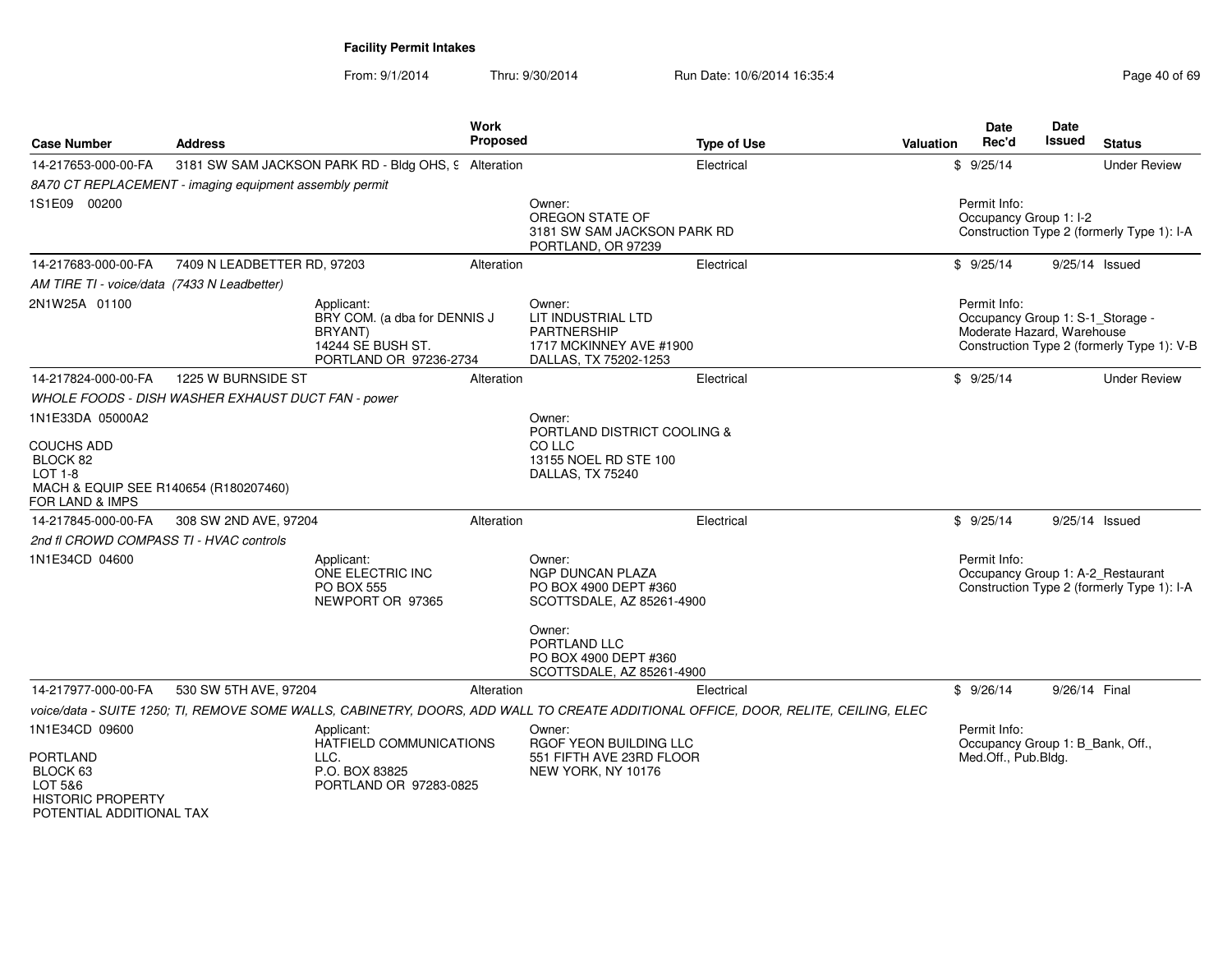| <b>Case Number</b>                                                                                        | <b>Address</b>                                          | Work<br><b>Proposed</b>                                                                              |                                                                                                        | <b>Type of Use</b>                                                                                                                  | <b>Valuation</b> | Date<br>Rec'd                                                                  | Date<br>Issued | <b>Status</b>                              |
|-----------------------------------------------------------------------------------------------------------|---------------------------------------------------------|------------------------------------------------------------------------------------------------------|--------------------------------------------------------------------------------------------------------|-------------------------------------------------------------------------------------------------------------------------------------|------------------|--------------------------------------------------------------------------------|----------------|--------------------------------------------|
| 14-217653-000-00-FA                                                                                       |                                                         | 3181 SW SAM JACKSON PARK RD - Bldg OHS, 9 Alteration                                                 |                                                                                                        | Electrical                                                                                                                          |                  | \$9/25/14                                                                      |                | <b>Under Review</b>                        |
|                                                                                                           | 8A70 CT REPLACEMENT - imaging equipment assembly permit |                                                                                                      |                                                                                                        |                                                                                                                                     |                  |                                                                                |                |                                            |
| 1S1E09 00200                                                                                              |                                                         |                                                                                                      | Owner:<br>OREGON STATE OF<br>3181 SW SAM JACKSON PARK RD<br>PORTLAND, OR 97239                         |                                                                                                                                     |                  | Permit Info:<br>Occupancy Group 1: I-2                                         |                | Construction Type 2 (formerly Type 1): I-A |
| 14-217683-000-00-FA                                                                                       | 7409 N LEADBETTER RD, 97203                             | Alteration                                                                                           |                                                                                                        | Electrical                                                                                                                          |                  | \$9/25/14                                                                      |                | $9/25/14$ Issued                           |
| AM TIRE TI - voice/data (7433 N Leadbetter)                                                               |                                                         |                                                                                                      |                                                                                                        |                                                                                                                                     |                  |                                                                                |                |                                            |
| 2N1W25A 01100                                                                                             |                                                         | Applicant:<br>BRY COM. (a dba for DENNIS J<br>BRYANT)<br>14244 SE BUSH ST.<br>PORTLAND OR 97236-2734 | Owner:<br>LIT INDUSTRIAL LTD<br><b>PARTNERSHIP</b><br>1717 MCKINNEY AVE #1900<br>DALLAS, TX 75202-1253 |                                                                                                                                     |                  | Permit Info:<br>Occupancy Group 1: S-1_Storage -<br>Moderate Hazard, Warehouse |                | Construction Type 2 (formerly Type 1): V-B |
| 14-217824-000-00-FA                                                                                       | 1225 W BURNSIDE ST                                      | Alteration                                                                                           |                                                                                                        | Electrical                                                                                                                          |                  | \$9/25/14                                                                      |                | <b>Under Review</b>                        |
|                                                                                                           | WHOLE FOODS - DISH WASHER EXHAUST DUCT FAN - power      |                                                                                                      |                                                                                                        |                                                                                                                                     |                  |                                                                                |                |                                            |
| 1N1E33DA 05000A2                                                                                          |                                                         |                                                                                                      | Owner:<br>PORTLAND DISTRICT COOLING &                                                                  |                                                                                                                                     |                  |                                                                                |                |                                            |
| <b>COUCHS ADD</b><br>BLOCK 82<br>LOT 1-8<br>MACH & EQUIP SEE R140654 (R180207460)<br>FOR LAND & IMPS      |                                                         |                                                                                                      | CO LLC<br>13155 NOEL RD STE 100<br>DALLAS, TX 75240                                                    |                                                                                                                                     |                  |                                                                                |                |                                            |
| 14-217845-000-00-FA                                                                                       | 308 SW 2ND AVE, 97204                                   | Alteration                                                                                           |                                                                                                        | Electrical                                                                                                                          |                  | \$9/25/14                                                                      |                | $9/25/14$ Issued                           |
| 2nd fl CROWD COMPASS TI - HVAC controls                                                                   |                                                         |                                                                                                      |                                                                                                        |                                                                                                                                     |                  |                                                                                |                |                                            |
| 1N1E34CD 04600                                                                                            |                                                         | Applicant:<br>ONE ELECTRIC INC<br><b>PO BOX 555</b><br>NEWPORT OR 97365                              | Owner:<br><b>NGP DUNCAN PLAZA</b><br>PO BOX 4900 DEPT #360<br>SCOTTSDALE, AZ 85261-4900                |                                                                                                                                     |                  | Permit Info:<br>Occupancy Group 1: A-2_Restaurant                              |                | Construction Type 2 (formerly Type 1): I-A |
|                                                                                                           |                                                         |                                                                                                      | Owner:<br>PORTLAND LLC<br>PO BOX 4900 DEPT #360<br>SCOTTSDALE, AZ 85261-4900                           |                                                                                                                                     |                  |                                                                                |                |                                            |
| 14-217977-000-00-FA                                                                                       | 530 SW 5TH AVE, 97204                                   | Alteration                                                                                           |                                                                                                        | Electrical                                                                                                                          |                  | \$9/26/14                                                                      | 9/26/14 Final  |                                            |
|                                                                                                           |                                                         |                                                                                                      |                                                                                                        | voice/data - SUITE 1250; TI, REMOVE SOME WALLS, CABINETRY, DOORS, ADD WALL TO CREATE ADDITIONAL OFFICE, DOOR, RELITE, CEILING, ELEC |                  |                                                                                |                |                                            |
| 1N1E34CD 09600                                                                                            |                                                         | Applicant:<br>HATFIELD COMMUNICATIONS                                                                | Owner:<br>RGOF YEON BUILDING LLC                                                                       |                                                                                                                                     |                  | Permit Info:<br>Occupancy Group 1: B_Bank, Off.,                               |                |                                            |
| <b>PORTLAND</b><br>BLOCK <sub>63</sub><br>LOT 5&6<br><b>HISTORIC PROPERTY</b><br>POTENTIAL ADDITIONAL TAX | LLC.                                                    | P.O. BOX 83825<br>PORTLAND OR 97283-0825                                                             | 551 FIFTH AVE 23RD FLOOR<br>NEW YORK, NY 10176                                                         |                                                                                                                                     |                  | Med.Off., Pub.Bldg.                                                            |                |                                            |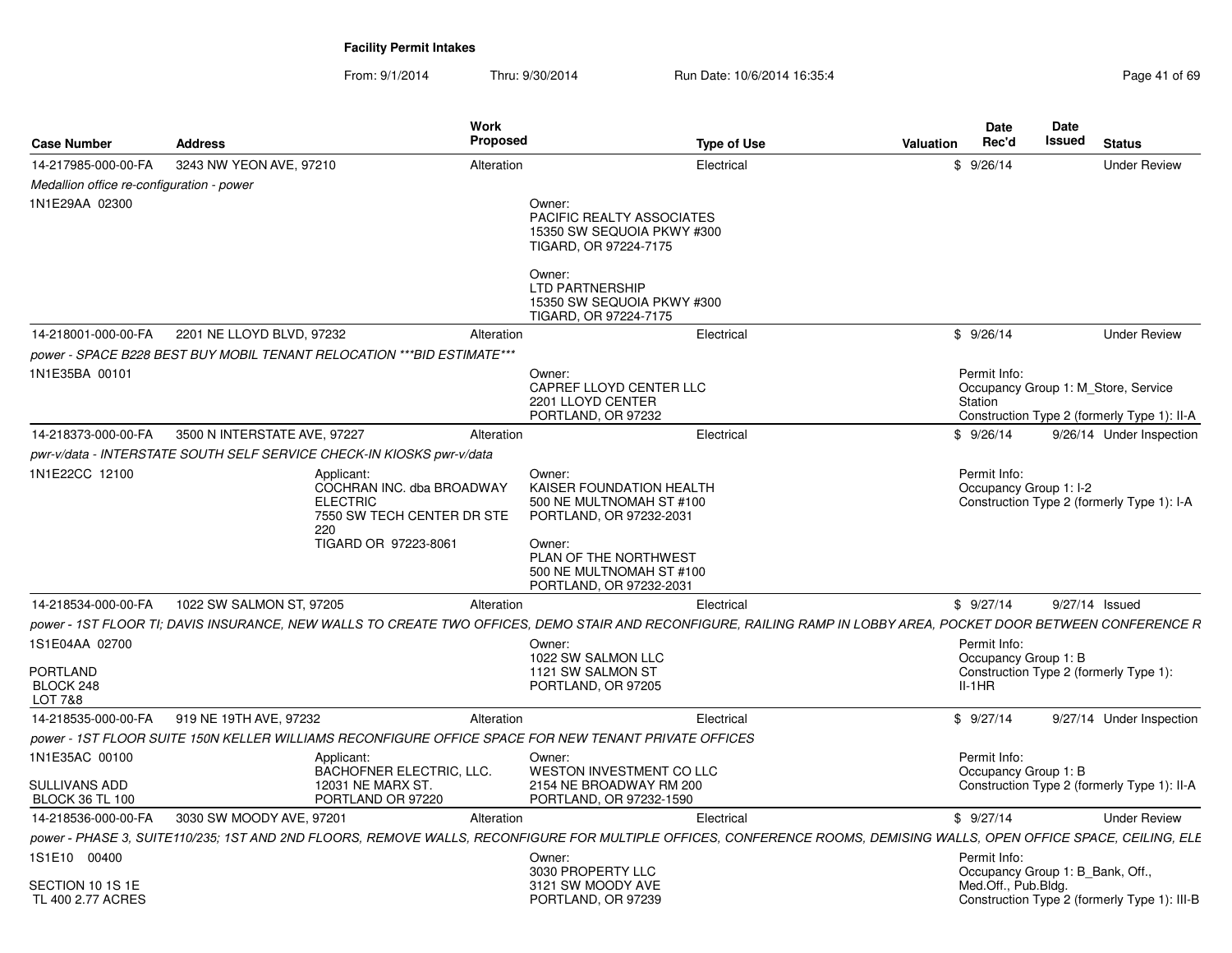| <b>Case Number</b>                        | <b>Address</b>                                                                                                                                                       | Work<br><b>Proposed</b>                                                         |                                                                                                     | <b>Type of Use</b> | <b>Valuation</b> | <b>Date</b><br>Rec'd                             | Date<br><b>Issued</b> | <b>Status</b>                                                                      |
|-------------------------------------------|----------------------------------------------------------------------------------------------------------------------------------------------------------------------|---------------------------------------------------------------------------------|-----------------------------------------------------------------------------------------------------|--------------------|------------------|--------------------------------------------------|-----------------------|------------------------------------------------------------------------------------|
| 14-217985-000-00-FA                       | 3243 NW YEON AVE, 97210                                                                                                                                              | Alteration                                                                      |                                                                                                     | Electrical         |                  | \$9/26/14                                        |                       | <b>Under Review</b>                                                                |
| Medallion office re-configuration - power |                                                                                                                                                                      |                                                                                 |                                                                                                     |                    |                  |                                                  |                       |                                                                                    |
| 1N1E29AA 02300                            |                                                                                                                                                                      |                                                                                 | Owner:<br><b>PACIFIC REALTY ASSOCIATES</b><br>15350 SW SEQUOIA PKWY #300<br>TIGARD, OR 97224-7175   |                    |                  |                                                  |                       |                                                                                    |
|                                           |                                                                                                                                                                      |                                                                                 | Owner:<br>LTD PARTNERSHIP<br>15350 SW SEQUOIA PKWY #300<br>TIGARD, OR 97224-7175                    |                    |                  |                                                  |                       |                                                                                    |
| 14-218001-000-00-FA                       | 2201 NE LLOYD BLVD, 97232                                                                                                                                            | Alteration                                                                      |                                                                                                     | Electrical         |                  | \$9/26/14                                        |                       | <b>Under Review</b>                                                                |
|                                           | power - SPACE B228 BEST BUY MOBIL TENANT RELOCATION ***BID ESTIMATE***                                                                                               |                                                                                 |                                                                                                     |                    |                  |                                                  |                       |                                                                                    |
| 1N1E35BA 00101                            |                                                                                                                                                                      |                                                                                 | Owner:<br>CAPREF LLOYD CENTER LLC<br>2201 LLOYD CENTER<br>PORTLAND, OR 97232                        |                    |                  | Permit Info:<br>Station                          |                       | Occupancy Group 1: M Store, Service<br>Construction Type 2 (formerly Type 1): II-A |
| 14-218373-000-00-FA                       | 3500 N INTERSTATE AVE, 97227                                                                                                                                         | Alteration                                                                      |                                                                                                     | Electrical         |                  | \$9/26/14                                        |                       | 9/26/14 Under Inspection                                                           |
|                                           | pwr-v/data - INTERSTATE SOUTH SELF SERVICE CHECK-IN KIOSKS pwr-v/data                                                                                                |                                                                                 |                                                                                                     |                    |                  |                                                  |                       |                                                                                    |
| 1N1E22CC 12100                            | Applicant:<br><b>ELECTRIC</b><br>220                                                                                                                                 | COCHRAN INC. dba BROADWAY<br>7550 SW TECH CENTER DR STE<br>TIGARD OR 97223-8061 | Owner:<br>KAISER FOUNDATION HEALTH<br>500 NE MULTNOMAH ST #100<br>PORTLAND, OR 97232-2031<br>Owner: |                    |                  | Permit Info:<br>Occupancy Group 1: I-2           |                       | Construction Type 2 (formerly Type 1): I-A                                         |
|                                           |                                                                                                                                                                      |                                                                                 | PLAN OF THE NORTHWEST<br>500 NE MULTNOMAH ST #100<br>PORTLAND, OR 97232-2031                        |                    |                  |                                                  |                       |                                                                                    |
| 14-218534-000-00-FA                       | 1022 SW SALMON ST, 97205                                                                                                                                             | Alteration                                                                      |                                                                                                     | Electrical         |                  | \$9/27/14                                        |                       | 9/27/14 Issued                                                                     |
| 1S1E04AA 02700                            | power - 1ST FLOOR TI; DAVIS INSURANCE, NEW WALLS TO CREATE TWO OFFICES, DEMO STAIR AND RECONFIGURE, RAILING RAMP IN LOBBY AREA, POCKET DOOR BETWEEN CONFERENCE R     |                                                                                 | Owner:<br>1022 SW SALMON LLC                                                                        |                    |                  | Permit Info:<br>Occupancy Group 1: B             |                       |                                                                                    |
| <b>PORTLAND</b><br>BLOCK 248<br>LOT 7&8   |                                                                                                                                                                      |                                                                                 | 1121 SW SALMON ST<br>PORTLAND, OR 97205                                                             |                    |                  | $II-1HR$                                         |                       | Construction Type 2 (formerly Type 1):                                             |
| 14-218535-000-00-FA                       | 919 NE 19TH AVE, 97232                                                                                                                                               | Alteration                                                                      |                                                                                                     | Electrical         |                  | \$9/27/14                                        |                       | 9/27/14 Under Inspection                                                           |
|                                           | power - 1ST FLOOR SUITE 150N KELLER WILLIAMS RECONFIGURE OFFICE SPACE FOR NEW TENANT PRIVATE OFFICES                                                                 |                                                                                 |                                                                                                     |                    |                  |                                                  |                       |                                                                                    |
| 1N1E35AC 00100                            | Applicant:                                                                                                                                                           | BACHOFNER ELECTRIC, LLC.                                                        | Owner:<br>WESTON INVESTMENT CO LLC                                                                  |                    |                  | Permit Info:<br>Occupancy Group 1: B             |                       |                                                                                    |
| SULLIVANS ADD<br><b>BLOCK 36 TL 100</b>   |                                                                                                                                                                      | 12031 NE MARX ST.<br>PORTLAND OR 97220                                          | 2154 NE BROADWAY RM 200<br>PORTLAND, OR 97232-1590                                                  |                    |                  |                                                  |                       | Construction Type 2 (formerly Type 1): II-A                                        |
| 14-218536-000-00-FA                       | 3030 SW MOODY AVE, 97201                                                                                                                                             | Alteration                                                                      |                                                                                                     | Electrical         |                  | \$9/27/14                                        |                       | <b>Under Review</b>                                                                |
|                                           | power - PHASE 3, SUITE110/235; 1ST AND 2ND FLOORS, REMOVE WALLS, RECONFIGURE FOR MULTIPLE OFFICES, CONFERENCE ROOMS, DEMISING WALLS, OPEN OFFICE SPACE, CEILING, ELE |                                                                                 |                                                                                                     |                    |                  |                                                  |                       |                                                                                    |
| 1S1E10 00400                              |                                                                                                                                                                      |                                                                                 | Owner:<br>3030 PROPERTY LLC                                                                         |                    |                  | Permit Info:<br>Occupancy Group 1: B Bank, Off., |                       |                                                                                    |
| SECTION 10 1S 1E<br>TL 400 2.77 ACRES     |                                                                                                                                                                      |                                                                                 | 3121 SW MOODY AVE<br>PORTLAND, OR 97239                                                             |                    |                  | Med.Off., Pub.Bldg.                              |                       | Construction Type 2 (formerly Type 1): III-B                                       |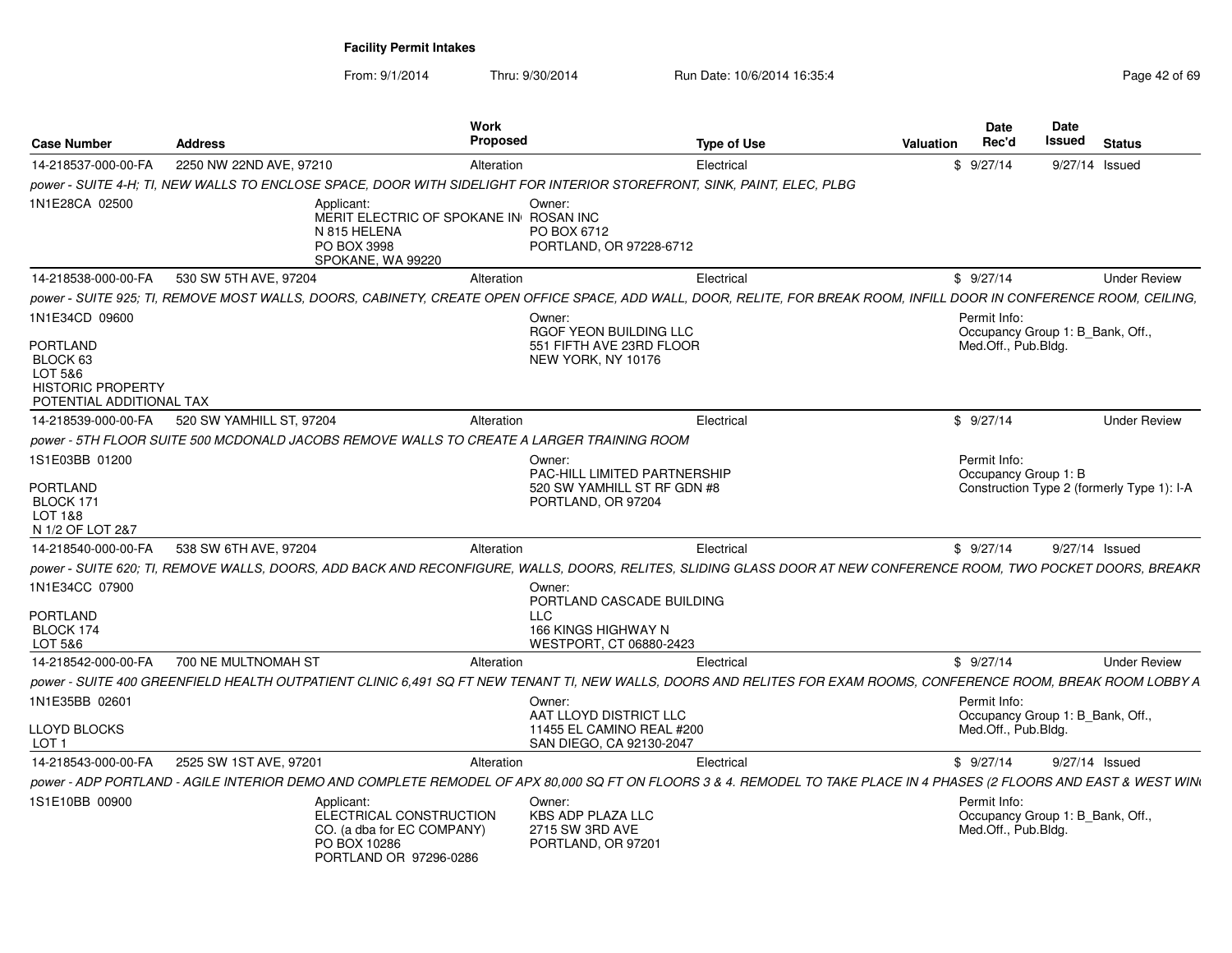From: 9/1/2014

| <b>Case Number</b>                                                                             | <b>Address</b>                                                                                                | Work<br><b>Proposed</b> | <b>Type of Use</b>                                                                                                                                                    | Valuation | <b>Date</b><br>Rec'd                                                    | Date<br>Issued | <b>Status</b>                              |
|------------------------------------------------------------------------------------------------|---------------------------------------------------------------------------------------------------------------|-------------------------|-----------------------------------------------------------------------------------------------------------------------------------------------------------------------|-----------|-------------------------------------------------------------------------|----------------|--------------------------------------------|
| 14-218537-000-00-FA                                                                            | 2250 NW 22ND AVE, 97210                                                                                       | Alteration              | Electrical                                                                                                                                                            |           | \$9/27/14                                                               |                | 9/27/14 Issued                             |
|                                                                                                |                                                                                                               |                         | power - SUITE 4-H; TI, NEW WALLS TO ENCLOSE SPACE, DOOR WITH SIDELIGHT FOR INTERIOR STOREFRONT, SINK, PAINT, ELEC, PLBG                                               |           |                                                                         |                |                                            |
| 1N1E28CA 02500                                                                                 | Applicant<br>MERIT ELECTRIC OF SPOKANE IN ROSAN INC<br>N 815 HELENA<br>PO BOX 3998<br>SPOKANE, WA 99220       |                         | Owner:<br>PO BOX 6712<br>PORTLAND, OR 97228-6712                                                                                                                      |           |                                                                         |                |                                            |
| 14-218538-000-00-FA                                                                            | 530 SW 5TH AVE, 97204                                                                                         | Alteration              | Electrical                                                                                                                                                            |           | \$9/27/14                                                               |                | <b>Under Review</b>                        |
|                                                                                                |                                                                                                               |                         | power - SUITE 925; TI, REMOVE MOST WALLS, DOORS, CABINETY, CREATE OPEN OFFICE SPACE, ADD WALL, DOOR, RELITE, FOR BREAK ROOM, INFILL DOOR IN CONFERENCE ROOM, CEILING, |           |                                                                         |                |                                            |
| 1N1E34CD 09600                                                                                 |                                                                                                               |                         | Owner:<br>RGOF YEON BUILDING LLC                                                                                                                                      |           | Permit Info:<br>Occupancy Group 1: B Bank, Off.,                        |                |                                            |
| <b>PORTLAND</b><br>BLOCK 63<br>LOT 5&6<br><b>HISTORIC PROPERTY</b><br>POTENTIAL ADDITIONAL TAX |                                                                                                               |                         | 551 FIFTH AVE 23RD FLOOR<br>NEW YORK, NY 10176                                                                                                                        |           | Med.Off., Pub.Bldg.                                                     |                |                                            |
| 14-218539-000-00-FA                                                                            | 520 SW YAMHILL ST, 97204                                                                                      | Alteration              | Electrical                                                                                                                                                            |           | \$9/27/14                                                               |                | <b>Under Review</b>                        |
|                                                                                                | power - 5TH FLOOR SUITE 500 MCDONALD JACOBS REMOVE WALLS TO CREATE A LARGER TRAINING ROOM                     |                         |                                                                                                                                                                       |           |                                                                         |                |                                            |
| 1S1E03BB 01200                                                                                 |                                                                                                               |                         | Owner:<br>PAC-HILL LIMITED PARTNERSHIP                                                                                                                                |           | Permit Info:<br>Occupancy Group 1: B                                    |                |                                            |
| PORTLAND<br>BLOCK 171<br>LOT 1&8<br>N 1/2 OF LOT 2&7                                           |                                                                                                               |                         | 520 SW YAMHILL ST RF GDN #8<br>PORTLAND, OR 97204                                                                                                                     |           |                                                                         |                | Construction Type 2 (formerly Type 1): I-A |
| 14-218540-000-00-FA                                                                            | 538 SW 6TH AVE, 97204                                                                                         | Alteration              | Electrical                                                                                                                                                            |           | \$9/27/14                                                               |                | 9/27/14 Issued                             |
|                                                                                                |                                                                                                               |                         | power - SUITE 620; TI, REMOVE WALLS, DOORS, ADD BACK AND RECONFIGURE, WALLS, DOORS, RELITES, SLIDING GLASS DOOR AT NEW CONFERENCE ROOM, TWO POCKET DOORS, BREAKR      |           |                                                                         |                |                                            |
| 1N1E34CC 07900                                                                                 |                                                                                                               |                         | Owner:<br>PORTLAND CASCADE BUILDING                                                                                                                                   |           |                                                                         |                |                                            |
| <b>PORTLAND</b><br>BLOCK 174                                                                   |                                                                                                               | <b>LLC</b>              | 166 KINGS HIGHWAY N                                                                                                                                                   |           |                                                                         |                |                                            |
| LOT 5&6                                                                                        |                                                                                                               |                         | WESTPORT, CT 06880-2423                                                                                                                                               |           |                                                                         |                |                                            |
| 14-218542-000-00-FA                                                                            | 700 NE MULTNOMAH ST                                                                                           | Alteration              | Electrical                                                                                                                                                            |           | \$9/27/14                                                               |                | <b>Under Review</b>                        |
|                                                                                                |                                                                                                               |                         | power - SUITE 400 GREENFIELD HEALTH OUTPATIENT CLINIC 6,491 SQ FT NEW TENANT TI, NEW WALLS, DOORS AND RELITES FOR EXAM ROOMS, CONFERENCE ROOM, BREAK ROOM LOBBY A     |           |                                                                         |                |                                            |
| 1N1E35BB 02601                                                                                 |                                                                                                               |                         | Owner:<br>AAT LLOYD DISTRICT LLC                                                                                                                                      |           | Permit Info:<br>Occupancy Group 1: B Bank, Off.,                        |                |                                            |
| <b>LLOYD BLOCKS</b><br>LOT 1                                                                   |                                                                                                               |                         | 11455 EL CAMINO REAL #200<br>SAN DIEGO, CA 92130-2047                                                                                                                 |           | Med.Off., Pub.Bldg.                                                     |                |                                            |
| 14-218543-000-00-FA                                                                            | 2525 SW 1ST AVE, 97201                                                                                        | Alteration              | Electrical                                                                                                                                                            |           | \$9/27/14                                                               |                | 9/27/14 Issued                             |
|                                                                                                |                                                                                                               |                         | power - ADP PORTLAND - AGILE INTERIOR DEMO AND COMPLETE REMODEL OF APX 80,000 SQ FT ON FLOORS 3 & 4. REMODEL TO TAKE PLACE IN 4 PHASES (2 FLOORS AND EAST & WEST WIN  |           |                                                                         |                |                                            |
| 1S1E10BB 00900                                                                                 | Applicant:<br>ELECTRICAL CONSTRUCTION<br>CO. (a dba for EC COMPANY)<br>PO BOX 10286<br>PORTLAND OR 97296-0286 |                         | Owner:<br><b>KBS ADP PLAZA LLC</b><br>2715 SW 3RD AVE<br>PORTLAND, OR 97201                                                                                           |           | Permit Info:<br>Occupancy Group 1: B_Bank, Off.,<br>Med.Off., Pub.Bldg. |                |                                            |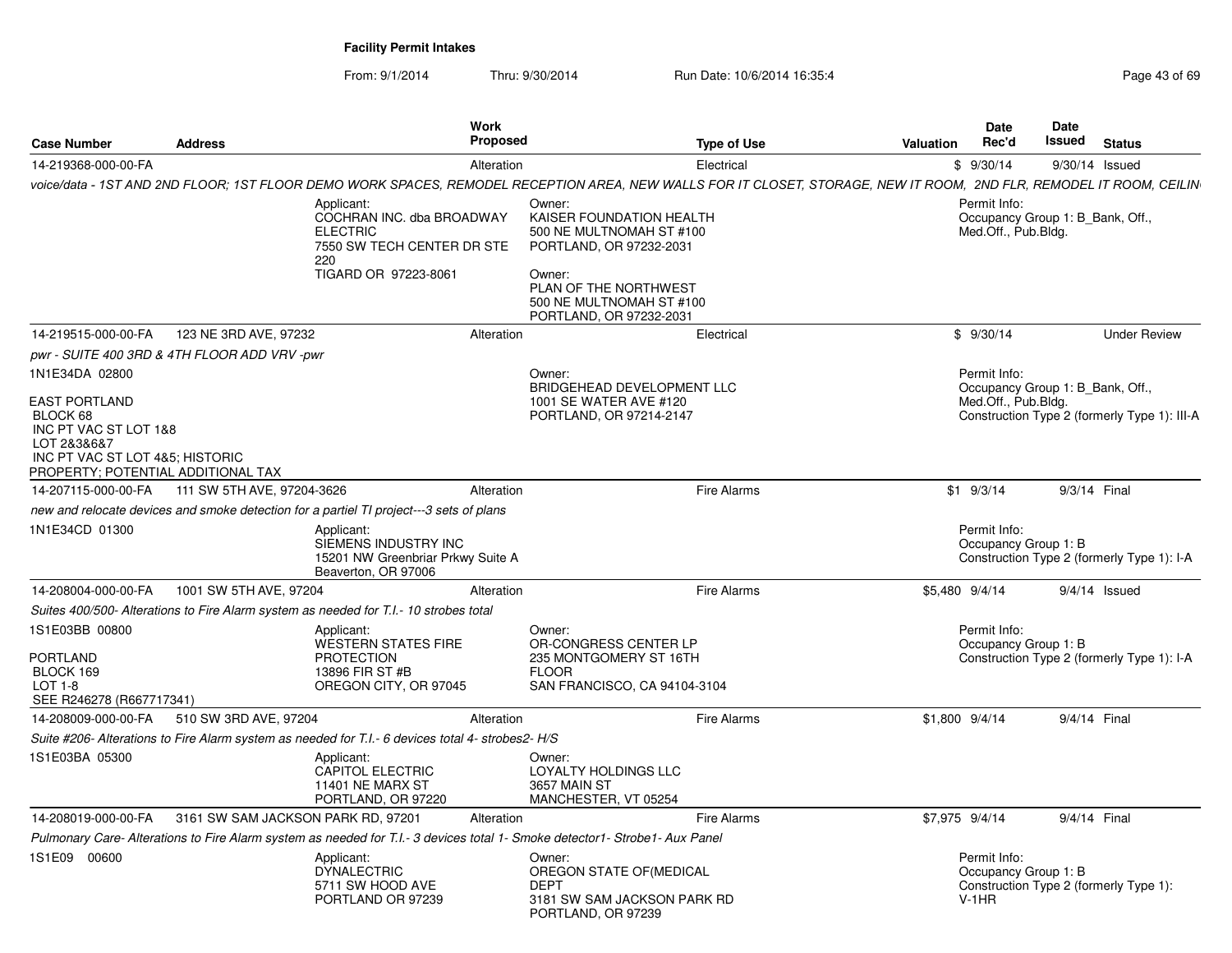| <b>Case Number</b><br><b>Address</b>                                                                                                                                |                                              | <b>Work</b><br><b>Proposed</b>                                                                                                                                      |                                                                                                                                                                                     | <b>Date</b><br>Rec'd<br><b>Type of Use</b><br>Valuation |  |                                                 | <b>Date</b><br>Issued<br><b>Status</b> |                                              |  |
|---------------------------------------------------------------------------------------------------------------------------------------------------------------------|----------------------------------------------|---------------------------------------------------------------------------------------------------------------------------------------------------------------------|-------------------------------------------------------------------------------------------------------------------------------------------------------------------------------------|---------------------------------------------------------|--|-------------------------------------------------|----------------------------------------|----------------------------------------------|--|
| 14-219368-000-00-FA                                                                                                                                                 |                                              | Alteration                                                                                                                                                          |                                                                                                                                                                                     | Electrical                                              |  | \$9/30/14                                       |                                        | 9/30/14 Issued                               |  |
|                                                                                                                                                                     |                                              | voice/data - 1ST AND 2ND FLOOR; 1ST FLOOR DEMO WORK SPACES, REMODEL RECEPTION AREA. NEW WALLS FOR IT CLOSET. STORAGE, NEW IT ROOM, 2ND FLR, REMODEL IT ROOM, CEILIN |                                                                                                                                                                                     |                                                         |  |                                                 |                                        |                                              |  |
|                                                                                                                                                                     |                                              | Applicant:<br>COCHRAN INC. dba BROADWAY<br><b>ELECTRIC</b><br>7550 SW TECH CENTER DR STE<br>220<br>TIGARD OR 97223-8061                                             | Owner:<br>KAISER FOUNDATION HEALTH<br>500 NE MULTNOMAH ST #100<br>PORTLAND, OR 97232-2031<br>Owner:<br>PLAN OF THE NORTHWEST<br>500 NE MULTNOMAH ST #100<br>PORTLAND, OR 97232-2031 |                                                         |  | Permit Info:<br>Med.Off., Pub.Bldg.             | Occupancy Group 1: B_Bank, Off.,       |                                              |  |
| 14-219515-000-00-FA                                                                                                                                                 | 123 NE 3RD AVE, 97232                        | Alteration                                                                                                                                                          |                                                                                                                                                                                     | Electrical                                              |  | \$9/30/14                                       |                                        | <b>Under Review</b>                          |  |
|                                                                                                                                                                     | pwr - SUITE 400 3RD & 4TH FLOOR ADD VRV -pwr |                                                                                                                                                                     |                                                                                                                                                                                     |                                                         |  |                                                 |                                        |                                              |  |
| 1N1E34DA 02800<br><b>EAST PORTLAND</b><br>BLOCK 68<br>INC PT VAC ST LOT 1&8<br>LOT 2&3&6&7<br>INC PT VAC ST LOT 4&5; HISTORIC<br>PROPERTY; POTENTIAL ADDITIONAL TAX |                                              |                                                                                                                                                                     | Owner:<br>BRIDGEHEAD DEVELOPMENT LLC<br>1001 SE WATER AVE #120<br>PORTLAND, OR 97214-2147                                                                                           |                                                         |  | Permit Info:<br>Med.Off., Pub.Bldg.             | Occupancy Group 1: B Bank, Off.,       | Construction Type 2 (formerly Type 1): III-A |  |
| 14-207115-000-00-FA                                                                                                                                                 | 111 SW 5TH AVE, 97204-3626                   | Alteration                                                                                                                                                          |                                                                                                                                                                                     | <b>Fire Alarms</b>                                      |  | $$1$ 9/3/14                                     |                                        | 9/3/14 Final                                 |  |
|                                                                                                                                                                     |                                              | new and relocate devices and smoke detection for a partiel TI project---3 sets of plans                                                                             |                                                                                                                                                                                     |                                                         |  |                                                 |                                        |                                              |  |
| 1N1E34CD 01300                                                                                                                                                      |                                              | Applicant:<br>SIEMENS INDUSTRY INC<br>15201 NW Greenbriar Prkwy Suite A<br>Beaverton, OR 97006                                                                      |                                                                                                                                                                                     |                                                         |  | Permit Info:<br>Occupancy Group 1: B            |                                        | Construction Type 2 (formerly Type 1): I-A   |  |
| 14-208004-000-00-FA                                                                                                                                                 | 1001 SW 5TH AVE, 97204                       | Alteration                                                                                                                                                          |                                                                                                                                                                                     | Fire Alarms                                             |  | \$5,480 9/4/14                                  |                                        | $9/4/14$ Issued                              |  |
|                                                                                                                                                                     |                                              | Suites 400/500- Alterations to Fire Alarm system as needed for T.I.- 10 strobes total                                                                               |                                                                                                                                                                                     |                                                         |  |                                                 |                                        |                                              |  |
| 1S1E03BB 00800<br><b>PORTLAND</b><br>BLOCK 169<br>$LOT 1-8$<br>SEE R246278 (R667717341)                                                                             |                                              | Applicant:<br><b>WESTERN STATES FIRE</b><br><b>PROTECTION</b><br>13896 FIR ST #B<br>OREGON CITY, OR 97045                                                           | Owner:<br>OR-CONGRESS CENTER LP<br>235 MONTGOMERY ST 16TH<br><b>FLOOR</b><br>SAN FRANCISCO, CA 94104-3104                                                                           |                                                         |  | Permit Info:<br>Occupancy Group 1: B            |                                        | Construction Type 2 (formerly Type 1): I-A   |  |
| 14-208009-000-00-FA                                                                                                                                                 | 510 SW 3RD AVE, 97204                        | Alteration                                                                                                                                                          |                                                                                                                                                                                     | Fire Alarms                                             |  | \$1,800 9/4/14                                  |                                        | 9/4/14 Final                                 |  |
|                                                                                                                                                                     |                                              | Suite #206- Alterations to Fire Alarm system as needed for T.I.- 6 devices total 4- strobes2- H/S                                                                   |                                                                                                                                                                                     |                                                         |  |                                                 |                                        |                                              |  |
| 1S1E03BA 05300                                                                                                                                                      |                                              | Applicant:<br><b>CAPITOL ELECTRIC</b><br><b>11401 NE MARX ST</b><br>PORTLAND, OR 97220                                                                              | Owner:<br>LOYALTY HOLDINGS LLC<br>3657 MAIN ST<br>MANCHESTER, VT 05254                                                                                                              |                                                         |  |                                                 |                                        |                                              |  |
| 14-208019-000-00-FA                                                                                                                                                 | 3161 SW SAM JACKSON PARK RD, 97201           | Alteration                                                                                                                                                          |                                                                                                                                                                                     | <b>Fire Alarms</b>                                      |  | \$7,975 9/4/14                                  |                                        | 9/4/14 Final                                 |  |
|                                                                                                                                                                     |                                              | Pulmonary Care-Alterations to Fire Alarm system as needed for T.I.- 3 devices total 1- Smoke detector1- Strobe1- Aux Panel                                          |                                                                                                                                                                                     |                                                         |  |                                                 |                                        |                                              |  |
| 1S1E09 00600                                                                                                                                                        |                                              | Applicant:<br><b>DYNALECTRIC</b><br>5711 SW HOOD AVE<br>PORTLAND OR 97239                                                                                           | Owner:<br>OREGON STATE OF(MEDICAL<br><b>DEPT</b><br>3181 SW SAM JACKSON PARK RD<br>PORTLAND, OR 97239                                                                               |                                                         |  | Permit Info:<br>Occupancy Group 1: B<br>$V-1HR$ |                                        | Construction Type 2 (formerly Type 1):       |  |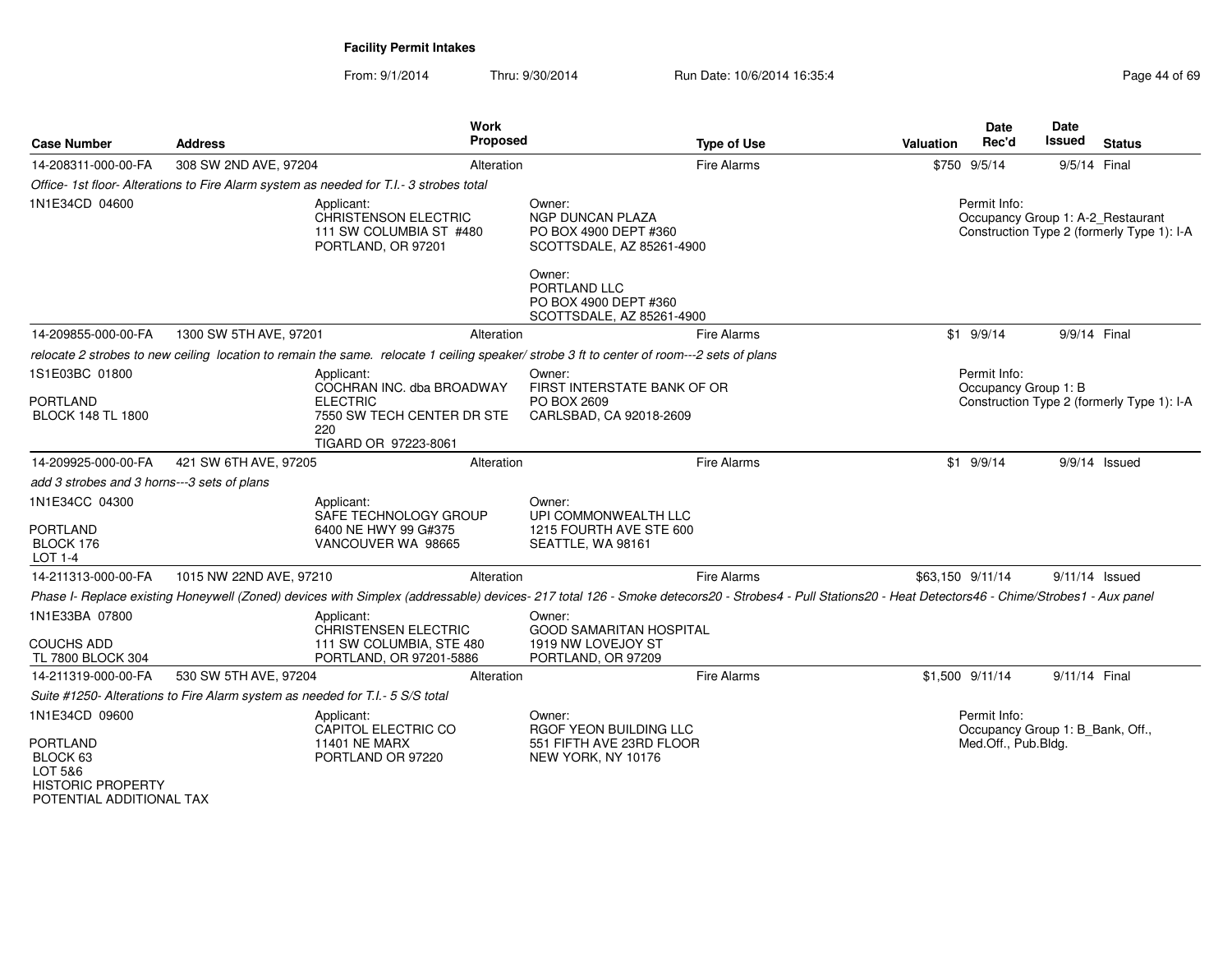| <b>Case Number</b>                                                                              | <b>Address</b>                                                                | <b>Work</b><br><b>Proposed</b>                                                                                                                                                                        |                                                                                         | <b>Type of Use</b> | Valuation | <b>Date</b><br>Rec'd                                                    | <b>Date</b><br><b>Issued</b> | <b>Status</b>                                                                   |
|-------------------------------------------------------------------------------------------------|-------------------------------------------------------------------------------|-------------------------------------------------------------------------------------------------------------------------------------------------------------------------------------------------------|-----------------------------------------------------------------------------------------|--------------------|-----------|-------------------------------------------------------------------------|------------------------------|---------------------------------------------------------------------------------|
| 14-208311-000-00-FA                                                                             | 308 SW 2ND AVE, 97204                                                         | Alteration                                                                                                                                                                                            |                                                                                         | <b>Fire Alarms</b> |           | \$750 9/5/14                                                            | 9/5/14 Final                 |                                                                                 |
|                                                                                                 |                                                                               | Office- 1st floor- Alterations to Fire Alarm system as needed for T.I.- 3 strobes total                                                                                                               |                                                                                         |                    |           |                                                                         |                              |                                                                                 |
| 1N1E34CD 04600                                                                                  |                                                                               | Applicant:<br><b>CHRISTENSON ELECTRIC</b><br>111 SW COLUMBIA ST #480<br>PORTLAND, OR 97201                                                                                                            | Owner:<br><b>NGP DUNCAN PLAZA</b><br>PO BOX 4900 DEPT #360<br>SCOTTSDALE, AZ 85261-4900 |                    |           | Permit Info:                                                            |                              | Occupancy Group 1: A-2_Restaurant<br>Construction Type 2 (formerly Type 1): I-A |
|                                                                                                 |                                                                               |                                                                                                                                                                                                       | Owner:<br>PORTLAND LLC<br>PO BOX 4900 DEPT #360<br>SCOTTSDALE, AZ 85261-4900            |                    |           |                                                                         |                              |                                                                                 |
| 14-209855-000-00-FA                                                                             | 1300 SW 5TH AVE, 97201                                                        | Alteration                                                                                                                                                                                            |                                                                                         | <b>Fire Alarms</b> |           | $$1$ 9/9/14                                                             | 9/9/14 Final                 |                                                                                 |
|                                                                                                 |                                                                               | relocate 2 strobes to new ceiling location to remain the same. relocate 1 ceiling speaker/strobe 3 ft to center of room---2 sets of plans                                                             |                                                                                         |                    |           |                                                                         |                              |                                                                                 |
| 1S1E03BC 01800                                                                                  |                                                                               | Applicant:<br>COCHRAN INC. dba BROADWAY                                                                                                                                                               | Owner:<br>FIRST INTERSTATE BANK OF OR                                                   |                    |           | Permit Info:<br>Occupancy Group 1: B                                    |                              |                                                                                 |
| PORTLAND<br><b>BLOCK 148 TL 1800</b>                                                            |                                                                               | <b>ELECTRIC</b><br>7550 SW TECH CENTER DR STE<br>220<br>TIGARD OR 97223-8061                                                                                                                          | PO BOX 2609<br>CARLSBAD, CA 92018-2609                                                  |                    |           |                                                                         |                              | Construction Type 2 (formerly Type 1): I-A                                      |
| 14-209925-000-00-FA                                                                             | 421 SW 6TH AVE, 97205                                                         | Alteration                                                                                                                                                                                            |                                                                                         | <b>Fire Alarms</b> |           | $$1$ 9/9/14                                                             |                              | $9/9/14$ Issued                                                                 |
| add 3 strobes and 3 horns---3 sets of plans                                                     |                                                                               |                                                                                                                                                                                                       |                                                                                         |                    |           |                                                                         |                              |                                                                                 |
| 1N1E34CC 04300<br><b>PORTLAND</b><br>BLOCK 176<br>LOT 1-4                                       |                                                                               | Applicant:<br>SAFE TECHNOLOGY GROUP<br>6400 NE HWY 99 G#375<br>VANCOUVER WA 98665                                                                                                                     | Owner:<br>UPI COMMONWEALTH LLC<br>1215 FOURTH AVE STE 600<br>SEATTLE, WA 98161          |                    |           |                                                                         |                              |                                                                                 |
| 14-211313-000-00-FA                                                                             | 1015 NW 22ND AVE, 97210                                                       | Alteration                                                                                                                                                                                            |                                                                                         | Fire Alarms        |           | \$63,150 9/11/14                                                        |                              | 9/11/14 Issued                                                                  |
|                                                                                                 |                                                                               | Phase I- Replace existing Honeywell (Zoned) devices with Simplex (addressable) devices- 217 total 126 - Smoke detecors20 - Strobes4 - Pull Stations20 - Heat Detectors46 - Chime/Strobes1 - Aux panel |                                                                                         |                    |           |                                                                         |                              |                                                                                 |
| 1N1E33BA 07800                                                                                  |                                                                               | Applicant:<br><b>CHRISTENSEN ELECTRIC</b>                                                                                                                                                             | Owner:<br><b>GOOD SAMARITAN HOSPITAL</b>                                                |                    |           |                                                                         |                              |                                                                                 |
| COUCHS ADD<br>TL 7800 BLOCK 304                                                                 |                                                                               | 111 SW COLUMBIA, STE 480<br>PORTLAND, OR 97201-5886                                                                                                                                                   | 1919 NW LOVEJOY ST<br>PORTLAND, OR 97209                                                |                    |           |                                                                         |                              |                                                                                 |
| 14-211319-000-00-FA                                                                             | 530 SW 5TH AVE, 97204                                                         | Alteration                                                                                                                                                                                            |                                                                                         | Fire Alarms        |           | \$1,500 9/11/14                                                         | 9/11/14 Final                |                                                                                 |
|                                                                                                 | Suite #1250- Alterations to Fire Alarm system as needed for T.I.- 5 S/S total |                                                                                                                                                                                                       |                                                                                         |                    |           |                                                                         |                              |                                                                                 |
| 1N1E34CD 09600<br><b>PORTLAND</b><br>BLOCK <sub>63</sub><br>LOT 5&6<br><b>HISTORIC PROPERTY</b> |                                                                               | Applicant:<br>CAPITOL ELECTRIC CO<br><b>11401 NE MARX</b><br>PORTLAND OR 97220                                                                                                                        | Owner:<br>RGOF YEON BUILDING LLC<br>551 FIFTH AVE 23RD FLOOR<br>NEW YORK, NY 10176      |                    |           | Permit Info:<br>Occupancy Group 1: B_Bank, Off.,<br>Med.Off., Pub.Bldg. |                              |                                                                                 |
| POTENTIAL ADDITIONAL TAX                                                                        |                                                                               |                                                                                                                                                                                                       |                                                                                         |                    |           |                                                                         |                              |                                                                                 |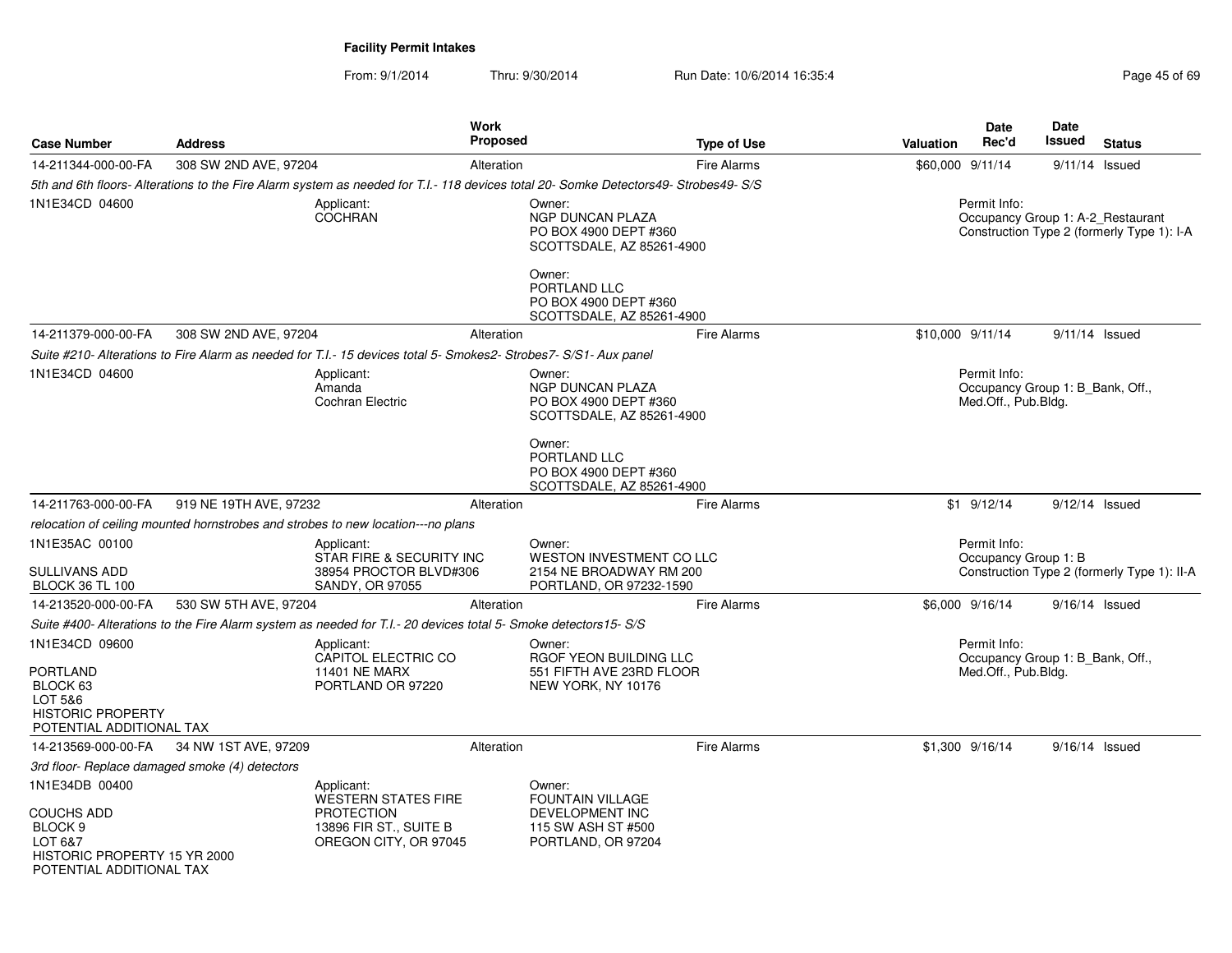| <b>Case Number</b>                                                                                               | <b>Address</b>         |                                                                                                                                     | <b>Work</b><br>Proposed |                                                                                            | <b>Type of Use</b> | <b>Valuation</b> | Date<br>Rec'd                                                           | Date<br>Issued   | <b>Status</b>                               |
|------------------------------------------------------------------------------------------------------------------|------------------------|-------------------------------------------------------------------------------------------------------------------------------------|-------------------------|--------------------------------------------------------------------------------------------|--------------------|------------------|-------------------------------------------------------------------------|------------------|---------------------------------------------|
| 14-211344-000-00-FA                                                                                              | 308 SW 2ND AVE, 97204  |                                                                                                                                     | Alteration              |                                                                                            | <b>Fire Alarms</b> | \$60,000 9/11/14 |                                                                         | $9/11/14$ Issued |                                             |
|                                                                                                                  |                        | 5th and 6th floors- Alterations to the Fire Alarm system as needed for T.I.-118 devices total 20- Somke Detectors49- Strobes49- S/S |                         |                                                                                            |                    |                  |                                                                         |                  |                                             |
| 1N1E34CD 04600                                                                                                   |                        | Applicant:<br><b>COCHRAN</b>                                                                                                        |                         | Owner:<br>NGP DUNCAN PLAZA<br>PO BOX 4900 DEPT #360<br>SCOTTSDALE, AZ 85261-4900<br>Owner: |                    |                  | Permit Info:<br>Occupancy Group 1: A-2 Restaurant                       |                  | Construction Type 2 (formerly Type 1): I-A  |
|                                                                                                                  |                        |                                                                                                                                     |                         | PORTLAND LLC<br>PO BOX 4900 DEPT #360<br>SCOTTSDALE, AZ 85261-4900                         |                    |                  |                                                                         |                  |                                             |
| 14-211379-000-00-FA                                                                                              | 308 SW 2ND AVE, 97204  |                                                                                                                                     | Alteration              |                                                                                            | <b>Fire Alarms</b> | \$10,000 9/11/14 |                                                                         | $9/11/14$ Issued |                                             |
|                                                                                                                  |                        | Suite #210- Alterations to Fire Alarm as needed for T.I.- 15 devices total 5- Smokes2- Strobes7- S/S1- Aux panel                    |                         |                                                                                            |                    |                  |                                                                         |                  |                                             |
| 1N1E34CD 04600                                                                                                   |                        | Applicant:<br>Amanda<br>Cochran Electric                                                                                            |                         | Owner:<br><b>NGP DUNCAN PLAZA</b><br>PO BOX 4900 DEPT #360<br>SCOTTSDALE, AZ 85261-4900    |                    |                  | Permit Info:<br>Occupancy Group 1: B_Bank, Off.,<br>Med.Off., Pub.Bldg. |                  |                                             |
|                                                                                                                  |                        |                                                                                                                                     |                         | Owner:<br>PORTLAND LLC<br>PO BOX 4900 DEPT #360<br>SCOTTSDALE, AZ 85261-4900               |                    |                  |                                                                         |                  |                                             |
| 14-211763-000-00-FA                                                                                              | 919 NE 19TH AVE, 97232 |                                                                                                                                     | Alteration              |                                                                                            | <b>Fire Alarms</b> |                  | $$1$ 9/12/14                                                            | $9/12/14$ Issued |                                             |
|                                                                                                                  |                        | relocation of ceiling mounted hornstrobes and strobes to new location---no plans                                                    |                         |                                                                                            |                    |                  |                                                                         |                  |                                             |
| 1N1E35AC 00100<br><b>SULLIVANS ADD</b><br><b>BLOCK 36 TL 100</b>                                                 |                        | Applicant:<br>STAR FIRE & SECURITY INC<br>38954 PROCTOR BLVD#306<br>SANDY, OR 97055                                                 |                         | Owner:<br>WESTON INVESTMENT CO LLC<br>2154 NE BROADWAY RM 200<br>PORTLAND, OR 97232-1590   |                    |                  | Permit Info:<br>Occupancy Group 1: B                                    |                  | Construction Type 2 (formerly Type 1): II-A |
| 14-213520-000-00-FA                                                                                              | 530 SW 5TH AVE, 97204  |                                                                                                                                     | Alteration              |                                                                                            | <b>Fire Alarms</b> |                  | \$6,000 9/16/14                                                         | $9/16/14$ Issued |                                             |
|                                                                                                                  |                        | Suite #400- Alterations to the Fire Alarm system as needed for T.I.- 20 devices total 5- Smoke detectors15- S/S                     |                         |                                                                                            |                    |                  |                                                                         |                  |                                             |
| 1N1E34CD 09600<br><b>PORTLAND</b><br>BLOCK 63<br>LOT 5&6<br><b>HISTORIC PROPERTY</b><br>POTENTIAL ADDITIONAL TAX |                        | Applicant:<br>CAPITOL ELECTRIC CO<br><b>11401 NE MARX</b><br>PORTLAND OR 97220                                                      |                         | Owner:<br>RGOF YEON BUILDING LLC<br>551 FIFTH AVE 23RD FLOOR<br>NEW YORK, NY 10176         |                    |                  | Permit Info:<br>Occupancy Group 1: B_Bank, Off.,<br>Med.Off., Pub.Bldg. |                  |                                             |
| 14-213569-000-00-FA                                                                                              | 34 NW 1ST AVE, 97209   |                                                                                                                                     | Alteration              |                                                                                            | <b>Fire Alarms</b> |                  | \$1,300 9/16/14                                                         | $9/16/14$ Issued |                                             |
| 3rd floor- Replace damaged smoke (4) detectors                                                                   |                        |                                                                                                                                     |                         |                                                                                            |                    |                  |                                                                         |                  |                                             |
| 1N1E34DB 00400<br><b>COUCHS ADD</b><br>BLOCK <sub>9</sub>                                                        |                        | Applicant:<br><b>WESTERN STATES FIRE</b><br><b>PROTECTION</b><br>13896 FIR ST., SUITE B                                             |                         | Owner:<br><b>FOUNTAIN VILLAGE</b><br>DEVELOPMENT INC<br>115 SW ASH ST #500                 |                    |                  |                                                                         |                  |                                             |
| LOT 6&7<br>HISTORIC PROPERTY 15 YR 2000<br>POTENTIAL ADDITIONAL TAX                                              |                        | OREGON CITY, OR 97045                                                                                                               |                         | PORTLAND, OR 97204                                                                         |                    |                  |                                                                         |                  |                                             |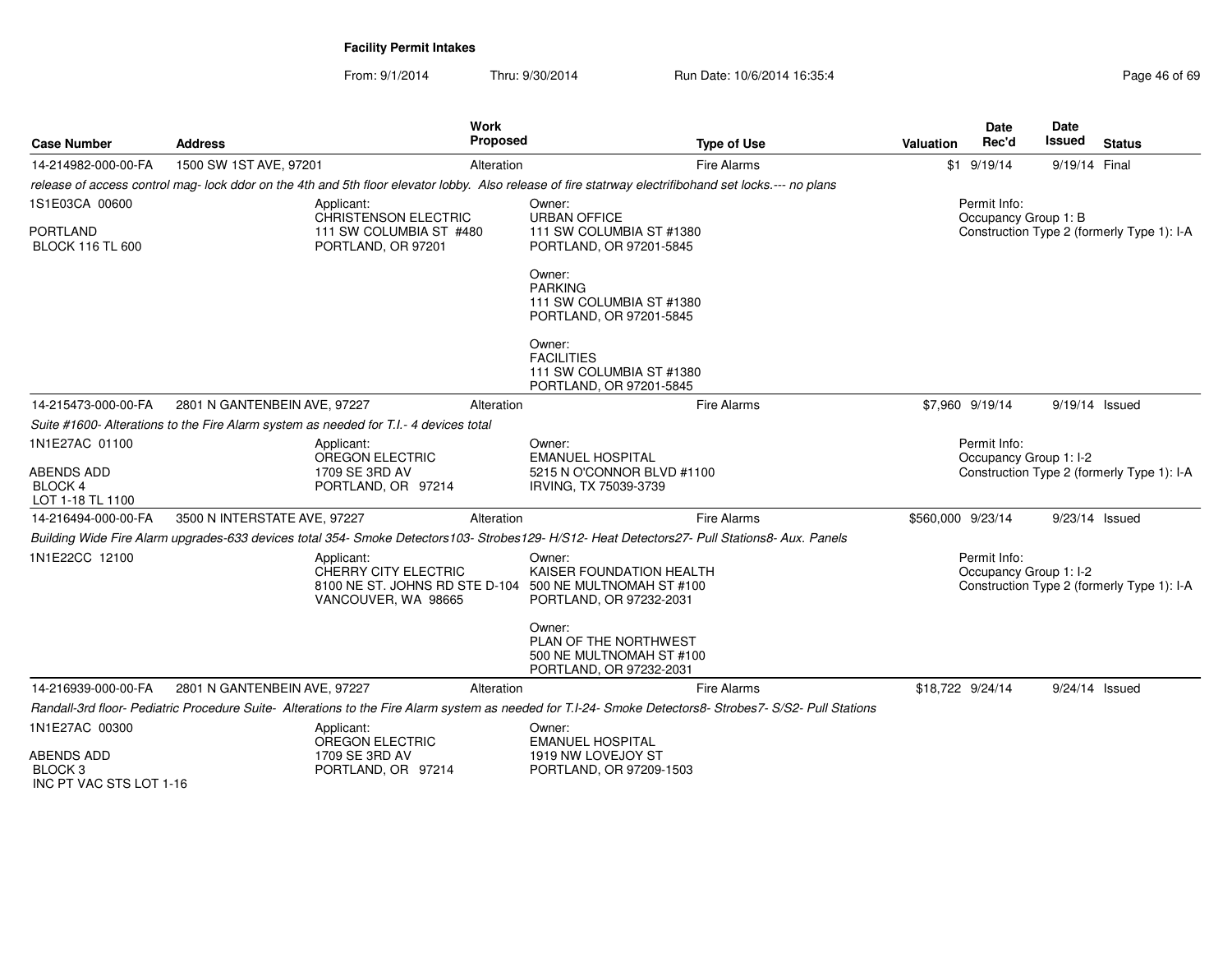From: 9/1/2014Thru: 9/30/2014 Run Date: 10/6/2014 16:35:4

| <b>Case Number</b>                                        | <b>Address</b>                                                                        | <b>Work</b><br><b>Proposed</b>                                                                                                                         |                                                                                        | <b>Type of Use</b>                                                                                                                                       | Valuation         | <b>Date</b><br>Rec'd                   | <b>Date</b><br><b>Issued</b> | <b>Status</b>                              |
|-----------------------------------------------------------|---------------------------------------------------------------------------------------|--------------------------------------------------------------------------------------------------------------------------------------------------------|----------------------------------------------------------------------------------------|----------------------------------------------------------------------------------------------------------------------------------------------------------|-------------------|----------------------------------------|------------------------------|--------------------------------------------|
| 14-214982-000-00-FA                                       | 1500 SW 1ST AVE, 97201                                                                | Alteration                                                                                                                                             |                                                                                        | <b>Fire Alarms</b>                                                                                                                                       |                   | $$1$ 9/19/14                           | 9/19/14 Final                |                                            |
|                                                           |                                                                                       | release of access control mag- lock ddor on the 4th and 5th floor elevator lobby. Also release of fire statrway electrifibohand set locks.--- no plans |                                                                                        |                                                                                                                                                          |                   |                                        |                              |                                            |
| 1S1E03CA 00600                                            |                                                                                       | Applicant:                                                                                                                                             | Owner:                                                                                 |                                                                                                                                                          |                   | Permit Info:                           |                              |                                            |
| <b>PORTLAND</b><br><b>BLOCK 116 TL 600</b>                |                                                                                       | CHRISTENSON ELECTRIC<br>111 SW COLUMBIA ST #480<br>PORTLAND, OR 97201                                                                                  | <b>URBAN OFFICE</b><br>111 SW COLUMBIA ST #1380<br>PORTLAND, OR 97201-5845             | Occupancy Group 1: B<br>Construction Type 2 (formerly Type 1): I-A                                                                                       |                   |                                        |                              |                                            |
|                                                           |                                                                                       |                                                                                                                                                        | Owner:<br><b>PARKING</b><br>111 SW COLUMBIA ST #1380<br>PORTLAND, OR 97201-5845        |                                                                                                                                                          |                   |                                        |                              |                                            |
|                                                           |                                                                                       |                                                                                                                                                        | Owner:<br><b>FACILITIES</b><br>111 SW COLUMBIA ST #1380<br>PORTLAND, OR 97201-5845     |                                                                                                                                                          |                   |                                        |                              |                                            |
| 14-215473-000-00-FA                                       | 2801 N GANTENBEIN AVE, 97227                                                          | Alteration                                                                                                                                             |                                                                                        | <b>Fire Alarms</b>                                                                                                                                       |                   | \$7,960 9/19/14                        | 9/19/14 Issued               |                                            |
|                                                           | Suite #1600- Alterations to the Fire Alarm system as needed for T.I.- 4 devices total |                                                                                                                                                        |                                                                                        |                                                                                                                                                          |                   |                                        |                              |                                            |
| 1N1E27AC 01100                                            |                                                                                       | Applicant:                                                                                                                                             | Owner:                                                                                 |                                                                                                                                                          |                   | Permit Info:                           |                              |                                            |
| ABENDS ADD<br><b>BLOCK 4</b><br>LOT 1-18 TL 1100          |                                                                                       | OREGON ELECTRIC<br>1709 SE 3RD AV<br>PORTLAND, OR 97214                                                                                                | <b>EMANUEL HOSPITAL</b><br>5215 N O'CONNOR BLVD #1100<br>IRVING, TX 75039-3739         | Occupancy Group 1: I-2<br>Construction Type 2 (formerly Type 1): I-A                                                                                     |                   |                                        |                              |                                            |
| 14-216494-000-00-FA                                       | 3500 N INTERSTATE AVE, 97227                                                          | Alteration                                                                                                                                             |                                                                                        | <b>Fire Alarms</b>                                                                                                                                       | \$560,000 9/23/14 |                                        | 9/23/14 Issued               |                                            |
|                                                           |                                                                                       | Building Wide Fire Alarm upgrades-633 devices total 354- Smoke Detectors103- Strobes129- H/S12- Heat Detectors27- Pull Stations8- Aux. Panels          |                                                                                        |                                                                                                                                                          |                   |                                        |                              |                                            |
| 1N1E22CC 12100                                            |                                                                                       | Applicant:<br>CHERRY CITY ELECTRIC<br>8100 NE ST. JOHNS RD STE D-104 500 NE MULTNOMAH ST #100<br>VANCOUVER, WA 98665                                   | Owner:<br>KAISER FOUNDATION HEALTH<br>PORTLAND, OR 97232-2031                          |                                                                                                                                                          |                   | Permit Info:<br>Occupancy Group 1: I-2 |                              | Construction Type 2 (formerly Type 1): I-A |
|                                                           |                                                                                       |                                                                                                                                                        | Owner:<br>PLAN OF THE NORTHWEST<br>500 NE MULTNOMAH ST #100<br>PORTLAND, OR 97232-2031 |                                                                                                                                                          |                   |                                        |                              |                                            |
| 14-216939-000-00-FA                                       | 2801 N GANTENBEIN AVE, 97227                                                          | Alteration                                                                                                                                             |                                                                                        | <b>Fire Alarms</b>                                                                                                                                       |                   | \$18,722 9/24/14                       | 9/24/14 Issued               |                                            |
|                                                           |                                                                                       |                                                                                                                                                        |                                                                                        | Randall-3rd floor- Pediatric Procedure Suite- Alterations to the Fire Alarm system as needed for T.I-24- Smoke Detectors8- Strobes7- S/S2- Pull Stations |                   |                                        |                              |                                            |
| 1N1E27AC 00300<br><b>ABENDS ADD</b><br>BLOCK <sub>3</sub> |                                                                                       | Applicant:<br><b>OREGON ELECTRIC</b><br>1709 SE 3RD AV<br>PORTLAND, OR 97214                                                                           | Owner:<br><b>EMANUEL HOSPITAL</b><br>1919 NW LOVEJOY ST<br>PORTLAND, OR 97209-1503     |                                                                                                                                                          |                   |                                        |                              |                                            |

INC PT VAC STS LOT 1-16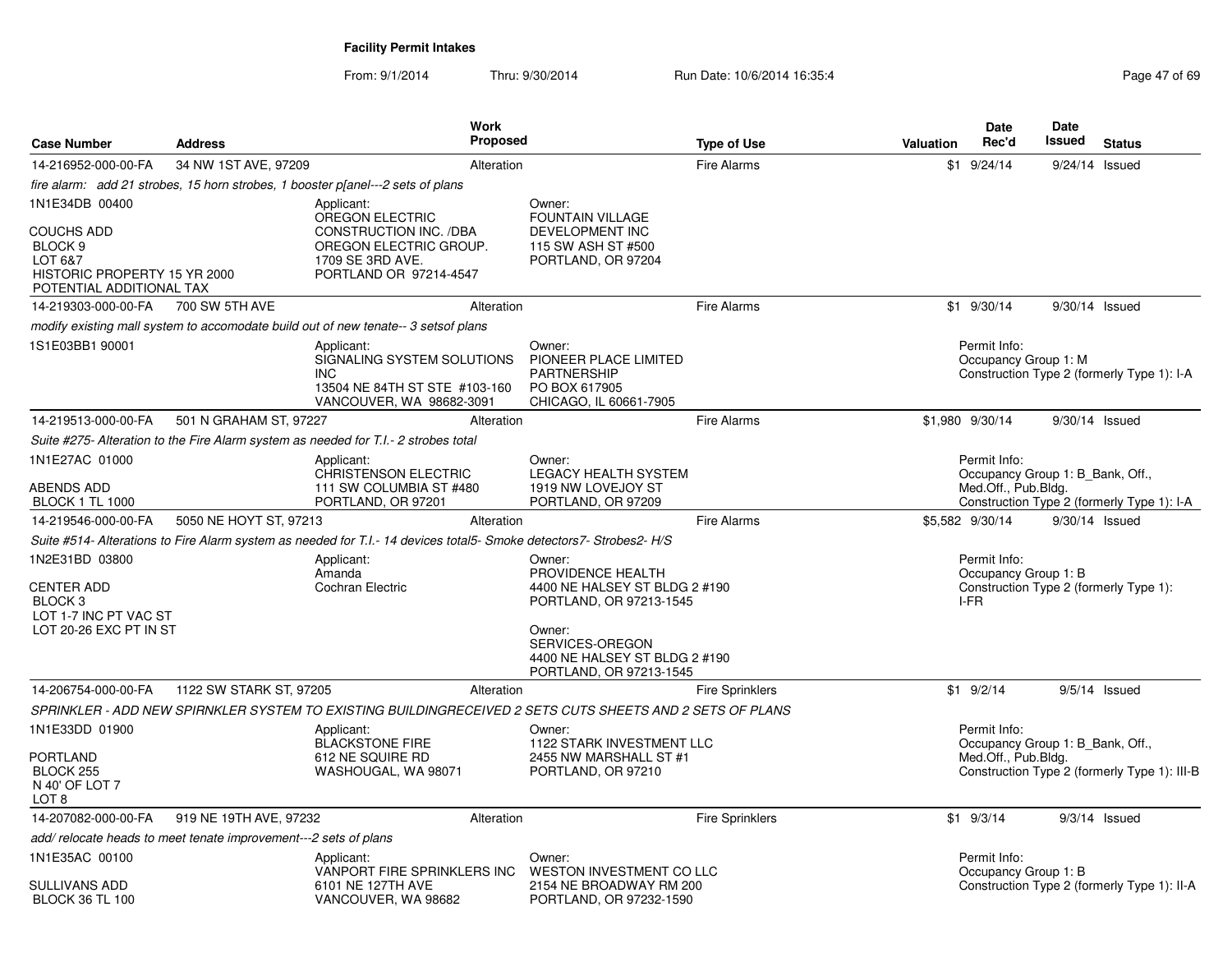| <b>Case Number</b>                                                                                             | <b>Address</b>                                                  | <b>Work</b><br><b>Proposed</b>                                                                                      |                                                                                                                                                                                  | <b>Type of Use</b>     | <b>Valuation</b> | <b>Date</b><br>Rec'd                                                    | <b>Date</b><br><b>Issued</b> | <b>Status</b>                                |
|----------------------------------------------------------------------------------------------------------------|-----------------------------------------------------------------|---------------------------------------------------------------------------------------------------------------------|----------------------------------------------------------------------------------------------------------------------------------------------------------------------------------|------------------------|------------------|-------------------------------------------------------------------------|------------------------------|----------------------------------------------|
| 14-216952-000-00-FA                                                                                            | 34 NW 1ST AVE, 97209                                            | Alteration                                                                                                          |                                                                                                                                                                                  | <b>Fire Alarms</b>     |                  | $$1$ 9/24/14                                                            |                              | 9/24/14 Issued                               |
|                                                                                                                |                                                                 | fire alarm: add 21 strobes, 15 horn strobes, 1 booster p[anel---2 sets of plans                                     |                                                                                                                                                                                  |                        |                  |                                                                         |                              |                                              |
| 1N1E34DB 00400                                                                                                 |                                                                 | Applicant:                                                                                                          | Owner:                                                                                                                                                                           |                        |                  |                                                                         |                              |                                              |
| <b>COUCHS ADD</b><br>BLOCK <sub>9</sub><br>LOT 6&7<br>HISTORIC PROPERTY 15 YR 2000<br>POTENTIAL ADDITIONAL TAX |                                                                 | OREGON ELECTRIC<br>CONSTRUCTION INC. /DBA<br>OREGON ELECTRIC GROUP.<br>1709 SE 3RD AVE.<br>PORTLAND OR 97214-4547   | <b>FOUNTAIN VILLAGE</b><br>DEVELOPMENT INC<br>115 SW ASH ST #500<br>PORTLAND, OR 97204                                                                                           |                        |                  |                                                                         |                              |                                              |
| 14-219303-000-00-FA                                                                                            | 700 SW 5TH AVE                                                  | Alteration                                                                                                          |                                                                                                                                                                                  | <b>Fire Alarms</b>     |                  | $$1$ 9/30/14                                                            | 9/30/14 Issued               |                                              |
|                                                                                                                |                                                                 | modify existing mall system to accomodate build out of new tenate-- 3 setsof plans                                  |                                                                                                                                                                                  |                        |                  |                                                                         |                              |                                              |
| 1S1E03BB1 90001                                                                                                |                                                                 | Applicant:<br>SIGNALING SYSTEM SOLUTIONS<br><b>INC</b><br>13504 NE 84TH ST STE #103-160<br>VANCOUVER, WA 98682-3091 | Owner:<br>PIONEER PLACE LIMITED<br>PARTNERSHIP<br>PO BOX 617905<br>CHICAGO, IL 60661-7905                                                                                        |                        |                  | Permit Info:<br>Occupancy Group 1: M                                    |                              | Construction Type 2 (formerly Type 1): I-A   |
| 14-219513-000-00-FA                                                                                            | 501 N GRAHAM ST. 97227                                          | Alteration                                                                                                          |                                                                                                                                                                                  | <b>Fire Alarms</b>     |                  | \$1,980 9/30/14                                                         | 9/30/14 Issued               |                                              |
|                                                                                                                |                                                                 | Suite #275- Alteration to the Fire Alarm system as needed for T.I.- 2 strobes total                                 |                                                                                                                                                                                  |                        |                  |                                                                         |                              |                                              |
| 1N1E27AC 01000<br><b>ABENDS ADD</b><br><b>BLOCK 1 TL 1000</b>                                                  |                                                                 | Applicant:<br><b>CHRISTENSON ELECTRIC</b><br>111 SW COLUMBIA ST #480<br>PORTLAND, OR 97201                          | Owner:<br><b>LEGACY HEALTH SYSTEM</b><br>1919 NW LOVEJOY ST<br>PORTLAND, OR 97209                                                                                                |                        |                  | Permit Info:<br>Occupancy Group 1: B Bank, Off.,<br>Med.Off., Pub.Bldg. |                              | Construction Type 2 (formerly Type 1): I-A   |
| 14-219546-000-00-FA                                                                                            | 5050 NE HOYT ST, 97213                                          | Alteration                                                                                                          |                                                                                                                                                                                  | <b>Fire Alarms</b>     |                  | \$5,582 9/30/14                                                         | 9/30/14 Issued               |                                              |
|                                                                                                                |                                                                 | Suite #514- Alterations to Fire Alarm system as needed for T.I.- 14 devices total5- Smoke detectors7- Strobes2- H/S |                                                                                                                                                                                  |                        |                  |                                                                         |                              |                                              |
| 1N2E31BD 03800<br><b>CENTER ADD</b><br>BLOCK <sub>3</sub><br>LOT 1-7 INC PT VAC ST<br>LOT 20-26 EXC PT IN ST   |                                                                 | Applicant:<br>Amanda<br>Cochran Electric                                                                            | Owner:<br>PROVIDENCE HEALTH<br>4400 NE HALSEY ST BLDG 2 #190<br>PORTLAND, OR 97213-1545<br>Owner:<br>SERVICES-OREGON<br>4400 NE HALSEY ST BLDG 2 #190<br>PORTLAND, OR 97213-1545 |                        |                  | Permit Info:<br>Occupancy Group 1: B<br>I-FR                            |                              | Construction Type 2 (formerly Type 1):       |
| 14-206754-000-00-FA                                                                                            | 1122 SW STARK ST, 97205                                         | Alteration                                                                                                          |                                                                                                                                                                                  | <b>Fire Sprinklers</b> |                  | $$1$ 9/2/14                                                             |                              | $9/5/14$ Issued                              |
|                                                                                                                |                                                                 | SPRINKLER - ADD NEW SPIRNKLER SYSTEM TO EXISTING BUILDINGRECEIVED 2 SETS CUTS SHEETS AND 2 SETS OF PLANS            |                                                                                                                                                                                  |                        |                  |                                                                         |                              |                                              |
| 1N1E33DD 01900<br><b>PORTLAND</b><br>BLOCK 255<br>N 40' OF LOT 7<br>LOT 8                                      |                                                                 | Applicant:<br><b>BLACKSTONE FIRE</b><br>612 NE SQUIRE RD<br>WASHOUGAL, WA 98071                                     | Owner:<br>1122 STARK INVESTMENT LLC<br>2455 NW MARSHALL ST #1<br>PORTLAND, OR 97210                                                                                              |                        |                  | Permit Info:<br>Occupancy Group 1: B Bank, Off.,<br>Med.Off., Pub.Bldg. |                              | Construction Type 2 (formerly Type 1): III-B |
| 14-207082-000-00-FA                                                                                            | 919 NE 19TH AVE, 97232                                          | Alteration                                                                                                          |                                                                                                                                                                                  | Fire Sprinklers        |                  | $$1$ 9/3/14                                                             |                              | $9/3/14$ Issued                              |
|                                                                                                                | add/relocate heads to meet tenate improvement---2 sets of plans |                                                                                                                     |                                                                                                                                                                                  |                        |                  |                                                                         |                              |                                              |
| 1N1E35AC 00100<br><b>SULLIVANS ADD</b><br><b>BLOCK 36 TL 100</b>                                               |                                                                 | Applicant:<br>VANPORT FIRE SPRINKLERS INC<br>6101 NE 127TH AVE<br>VANCOUVER, WA 98682                               | Owner:<br>WESTON INVESTMENT CO LLC<br>2154 NE BROADWAY RM 200<br>PORTLAND, OR 97232-1590                                                                                         |                        |                  | Permit Info:<br>Occupancy Group 1: B                                    |                              | Construction Type 2 (formerly Type 1): II-A  |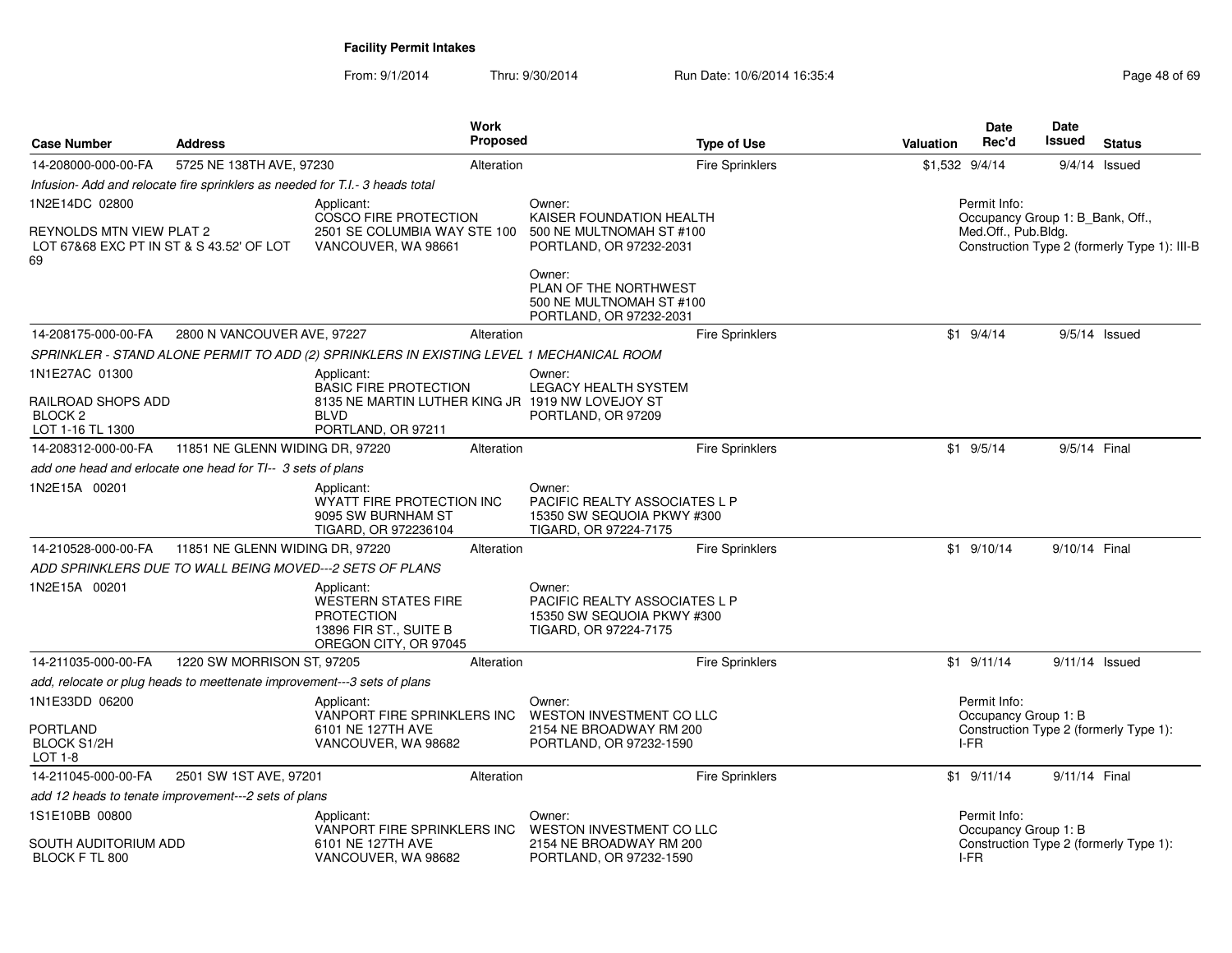| <b>Case Number</b>                                                                           | <b>Address</b>                                                               | <b>Work</b><br>Proposed                                                                                                             | <b>Type of Use</b>                                                                                  | <b>Valuation</b>  | <b>Date</b><br>Rec'd                 | <b>Date</b><br>Issued<br><b>Status</b>                                           |
|----------------------------------------------------------------------------------------------|------------------------------------------------------------------------------|-------------------------------------------------------------------------------------------------------------------------------------|-----------------------------------------------------------------------------------------------------|-------------------|--------------------------------------|----------------------------------------------------------------------------------|
| 14-208000-000-00-FA                                                                          | 5725 NE 138TH AVE, 97230                                                     | Alteration                                                                                                                          | <b>Fire Sprinklers</b>                                                                              | $$1,532$ $9/4/14$ |                                      | 9/4/14<br>Issued                                                                 |
|                                                                                              | Infusion- Add and relocate fire sprinklers as needed for T.I.- 3 heads total |                                                                                                                                     |                                                                                                     |                   |                                      |                                                                                  |
| 1N2E14DC 02800<br>REYNOLDS MTN VIEW PLAT 2<br>LOT 67&68 EXC PT IN ST & S 43.52' OF LOT<br>69 |                                                                              | Applicant:<br>COSCO FIRE PROTECTION<br>2501 SE COLUMBIA WAY STE 100<br>VANCOUVER, WA 98661                                          | Owner:<br>KAISER FOUNDATION HEALTH<br>500 NE MULTNOMAH ST #100<br>PORTLAND, OR 97232-2031<br>Owner: |                   | Permit Info:<br>Med.Off., Pub.Bldg.  | Occupancy Group 1: B_Bank, Off.,<br>Construction Type 2 (formerly Type 1): III-B |
|                                                                                              |                                                                              |                                                                                                                                     | PLAN OF THE NORTHWEST<br>500 NE MULTNOMAH ST #100<br>PORTLAND, OR 97232-2031                        |                   |                                      |                                                                                  |
| 14-208175-000-00-FA                                                                          | 2800 N VANCOUVER AVE, 97227                                                  | Alteration                                                                                                                          | <b>Fire Sprinklers</b>                                                                              |                   | $$1 \t9/4/14$                        | $9/5/14$ Issued                                                                  |
|                                                                                              |                                                                              | SPRINKLER - STAND ALONE PERMIT TO ADD (2) SPRINKLERS IN EXISTING LEVEL 1 MECHANICAL ROOM                                            |                                                                                                     |                   |                                      |                                                                                  |
| 1N1E27AC 01300<br>RAILROAD SHOPS ADD<br>BLOCK <sub>2</sub><br>LOT 1-16 TL 1300               |                                                                              | Applicant:<br><b>BASIC FIRE PROTECTION</b><br>8135 NE MARTIN LUTHER KING JR 1919 NW LOVEJOY ST<br><b>BIVD</b><br>PORTLAND, OR 97211 | Owner:<br>LEGACY HEALTH SYSTEM<br>PORTLAND, OR 97209                                                |                   |                                      |                                                                                  |
| 14-208312-000-00-FA                                                                          | 11851 NE GLENN WIDING DR, 97220                                              | Alteration                                                                                                                          | <b>Fire Sprinklers</b>                                                                              |                   | $$1$ 9/5/14                          | 9/5/14 Final                                                                     |
|                                                                                              | add one head and erlocate one head for TI-- 3 sets of plans                  |                                                                                                                                     |                                                                                                     |                   |                                      |                                                                                  |
| 1N2E15A 00201                                                                                |                                                                              | Applicant:<br>WYATT FIRE PROTECTION INC<br>9095 SW BURNHAM ST<br>TIGARD, OR 972236104                                               | Owner:<br>PACIFIC REALTY ASSOCIATES L P<br>15350 SW SEQUOIA PKWY #300<br>TIGARD, OR 97224-7175      |                   |                                      |                                                                                  |
| 14-210528-000-00-FA                                                                          | 11851 NE GLENN WIDING DR, 97220                                              | Alteration                                                                                                                          | <b>Fire Sprinklers</b>                                                                              |                   | $$1$ 9/10/14                         | 9/10/14 Final                                                                    |
|                                                                                              | ADD SPRINKLERS DUE TO WALL BEING MOVED---2 SETS OF PLANS                     |                                                                                                                                     |                                                                                                     |                   |                                      |                                                                                  |
| 1N2E15A 00201                                                                                |                                                                              | Applicant:<br><b>WESTERN STATES FIRE</b><br><b>PROTECTION</b><br>13896 FIR ST., SUITE B<br>OREGON CITY, OR 97045                    | Owner:<br>PACIFIC REALTY ASSOCIATES L P<br>15350 SW SEQUOIA PKWY #300<br>TIGARD, OR 97224-7175      |                   |                                      |                                                                                  |
| 14-211035-000-00-FA                                                                          | 1220 SW MORRISON ST, 97205                                                   | Alteration                                                                                                                          | <b>Fire Sprinklers</b>                                                                              |                   | $$1$ 9/11/14                         | $9/11/14$ Issued                                                                 |
|                                                                                              | add, relocate or plug heads to meettenate improvement---3 sets of plans      |                                                                                                                                     |                                                                                                     |                   |                                      |                                                                                  |
| 1N1E33DD 06200                                                                               |                                                                              | Applicant:                                                                                                                          | Owner:                                                                                              |                   | Permit Info:                         |                                                                                  |
| PORTLAND<br><b>BLOCK S1/2H</b><br>LOT 1-8                                                    |                                                                              | VANPORT FIRE SPRINKLERS INC<br>6101 NE 127TH AVE<br>VANCOUVER, WA 98682                                                             | WESTON INVESTMENT CO LLC<br>2154 NE BROADWAY RM 200<br>PORTLAND, OR 97232-1590                      |                   | Occupancy Group 1: B<br>I-FR         | Construction Type 2 (formerly Type 1):                                           |
| 14-211045-000-00-FA                                                                          | 2501 SW 1ST AVE, 97201                                                       | Alteration                                                                                                                          | Fire Sprinklers                                                                                     |                   | $$1$ 9/11/14                         | 9/11/14 Final                                                                    |
|                                                                                              | add 12 heads to tenate improvement---2 sets of plans                         |                                                                                                                                     |                                                                                                     |                   |                                      |                                                                                  |
| 1S1E10BB 00800<br>SOUTH AUDITORIUM ADD                                                       |                                                                              | Applicant:<br>VANPORT FIRE SPRINKLERS INC<br>6101 NE 127TH AVE                                                                      | Owner:<br>WESTON INVESTMENT CO LLC<br>2154 NE BROADWAY RM 200                                       |                   | Permit Info:<br>Occupancy Group 1: B | Construction Type 2 (formerly Type 1):                                           |
| BLOCK F TL 800                                                                               |                                                                              | VANCOUVER, WA 98682                                                                                                                 | PORTLAND, OR 97232-1590                                                                             |                   | I-FR                                 |                                                                                  |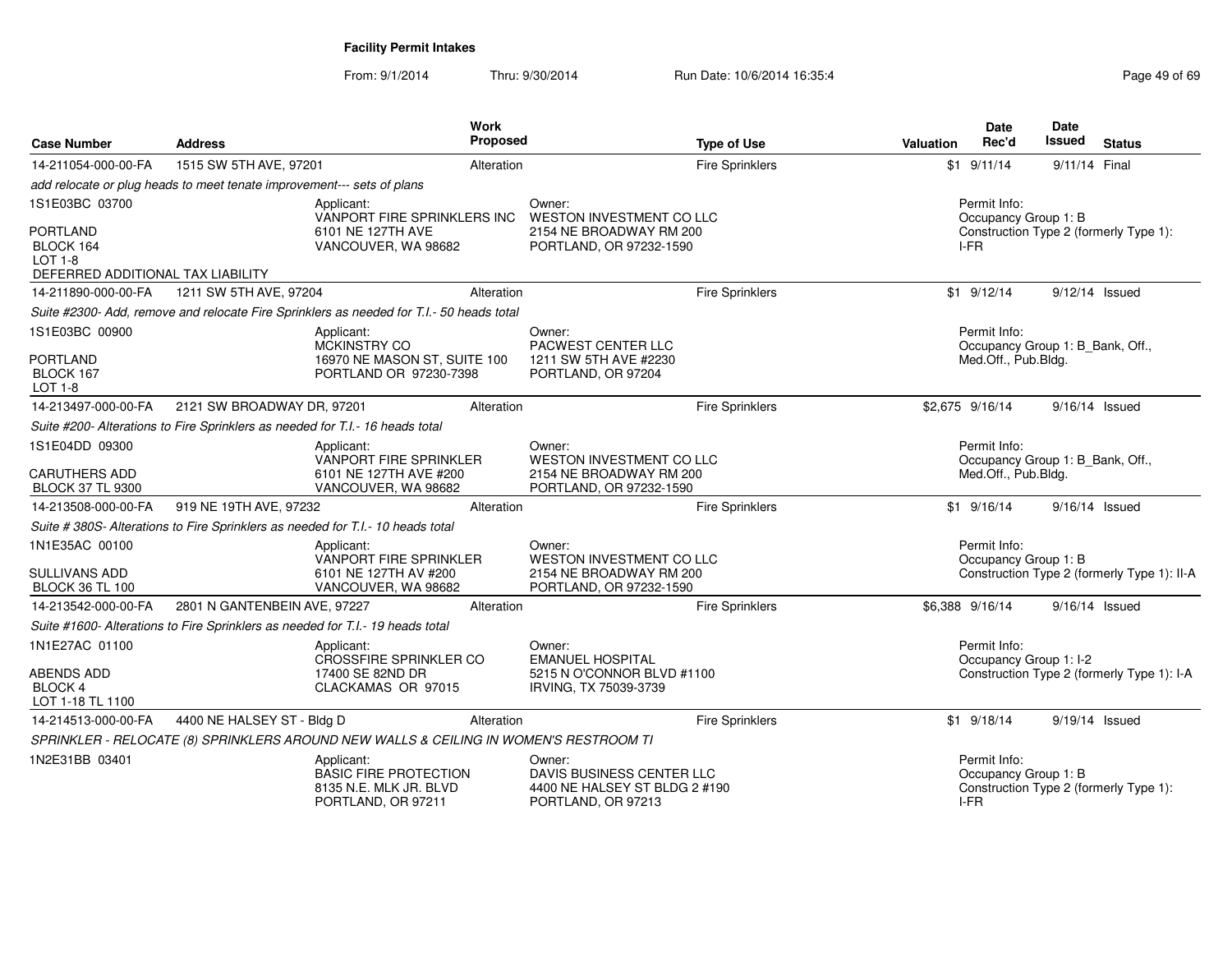| <b>Case Number</b>                                                                  | <b>Address</b>                                                                  | <b>Work</b>                                                                                | Proposed   |                                                                                            | <b>Type of Use</b>     | Valuation | <b>Date</b><br>Rec'd                         | Date<br><b>Issued</b>            | <b>Status</b>                               |
|-------------------------------------------------------------------------------------|---------------------------------------------------------------------------------|--------------------------------------------------------------------------------------------|------------|--------------------------------------------------------------------------------------------|------------------------|-----------|----------------------------------------------|----------------------------------|---------------------------------------------|
| 14-211054-000-00-FA                                                                 | 1515 SW 5TH AVE, 97201                                                          |                                                                                            | Alteration |                                                                                            | <b>Fire Sprinklers</b> |           | $$1$ 9/11/14                                 | 9/11/14 Final                    |                                             |
|                                                                                     | add relocate or plug heads to meet tenate improvement--- sets of plans          |                                                                                            |            |                                                                                            |                        |           |                                              |                                  |                                             |
| 1S1E03BC 03700                                                                      |                                                                                 | Applicant:<br>VANPORT FIRE SPRINKLERS INC                                                  |            | Owner:<br>WESTON INVESTMENT CO LLC                                                         |                        |           | Permit Info:<br>Occupancy Group 1: B         |                                  |                                             |
| <b>PORTLAND</b><br>BLOCK 164<br><b>LOT 1-8</b><br>DEFERRED ADDITIONAL TAX LIABILITY |                                                                                 | 6101 NE 127TH AVE<br>VANCOUVER, WA 98682                                                   |            | 2154 NE BROADWAY RM 200<br>PORTLAND, OR 97232-1590                                         |                        |           | I-FR                                         |                                  | Construction Type 2 (formerly Type 1):      |
| 14-211890-000-00-FA                                                                 | 1211 SW 5TH AVE, 97204                                                          |                                                                                            | Alteration |                                                                                            | <b>Fire Sprinklers</b> |           | $$1$ 9/12/14                                 | 9/12/14 Issued                   |                                             |
|                                                                                     |                                                                                 | Suite #2300- Add, remove and relocate Fire Sprinklers as needed for T.I.- 50 heads total   |            |                                                                                            |                        |           |                                              |                                  |                                             |
| 1S1E03BC 00900<br><b>PORTLAND</b><br>BLOCK 167<br><b>LOT 1-8</b>                    |                                                                                 | Applicant:<br>MCKINSTRY CO<br>16970 NE MASON ST, SUITE 100<br>PORTLAND OR 97230-7398       |            | Owner:<br>PACWEST CENTER LLC<br>1211 SW 5TH AVE #2230<br>PORTLAND, OR 97204                |                        |           | Permit Info:<br>Med.Off., Pub.Bldg.          | Occupancy Group 1: B_Bank, Off., |                                             |
| 14-213497-000-00-FA                                                                 | 2121 SW BROADWAY DR, 97201                                                      |                                                                                            | Alteration |                                                                                            | Fire Sprinklers        |           | \$2,675 9/16/14                              | 9/16/14 Issued                   |                                             |
|                                                                                     | Suite #200- Alterations to Fire Sprinklers as needed for T.I.- 16 heads total   |                                                                                            |            |                                                                                            |                        |           |                                              |                                  |                                             |
| 1S1E04DD 09300<br><b>CARUTHERS ADD</b>                                              |                                                                                 | Applicant:<br>VANPORT FIRE SPRINKLER<br>6101 NE 127TH AVE #200                             |            | Owner:<br>WESTON INVESTMENT CO LLC<br>2154 NE BROADWAY RM 200                              |                        |           | Permit Info:<br>Med.Off., Pub.Bldg.          | Occupancy Group 1: B_Bank, Off., |                                             |
| <b>BLOCK 37 TL 9300</b><br>14-213508-000-00-FA                                      | 919 NE 19TH AVE, 97232                                                          | VANCOUVER, WA 98682                                                                        | Alteration | PORTLAND, OR 97232-1590                                                                    | Fire Sprinklers        |           | $$1$ 9/16/14                                 | $9/16/14$ Issued                 |                                             |
|                                                                                     | Suite # 380S- Alterations to Fire Sprinklers as needed for T.I.- 10 heads total |                                                                                            |            |                                                                                            |                        |           |                                              |                                  |                                             |
| 1N1E35AC 00100                                                                      |                                                                                 | Applicant:                                                                                 |            | Owner:                                                                                     |                        |           | Permit Info:                                 |                                  |                                             |
| SULLIVANS ADD<br><b>BLOCK 36 TL 100</b>                                             |                                                                                 | <b>VANPORT FIRE SPRINKLER</b><br>6101 NE 127TH AV #200<br>VANCOUVER, WA 98682              |            | WESTON INVESTMENT CO LLC<br>2154 NE BROADWAY RM 200<br>PORTLAND, OR 97232-1590             |                        |           | Occupancy Group 1: B                         |                                  | Construction Type 2 (formerly Type 1): II-A |
| 14-213542-000-00-FA                                                                 | 2801 N GANTENBEIN AVE, 97227                                                    |                                                                                            | Alteration |                                                                                            | <b>Fire Sprinklers</b> |           | \$6,388 9/16/14                              | $9/16/14$ Issued                 |                                             |
|                                                                                     | Suite #1600- Alterations to Fire Sprinklers as needed for T.I.- 19 heads total  |                                                                                            |            |                                                                                            |                        |           |                                              |                                  |                                             |
| 1N1E27AC 01100                                                                      |                                                                                 | Applicant:                                                                                 |            | Owner:                                                                                     |                        |           | Permit Info:                                 |                                  |                                             |
| <b>ABENDS ADD</b><br>BLOCK 4                                                        |                                                                                 | <b>CROSSFIRE SPRINKLER CO</b><br>17400 SE 82ND DR<br>CLACKAMAS OR 97015                    |            | <b>EMANUEL HOSPITAL</b><br>5215 N O'CONNOR BLVD #1100<br>IRVING, TX 75039-3739             |                        |           | Occupancy Group 1: I-2                       |                                  | Construction Type 2 (formerly Type 1): I-A  |
| LOT 1-18 TL 1100                                                                    |                                                                                 |                                                                                            |            |                                                                                            |                        |           |                                              |                                  |                                             |
| 14-214513-000-00-FA                                                                 | 4400 NE HALSEY ST - Bldg D                                                      |                                                                                            | Alteration |                                                                                            | <b>Fire Sprinklers</b> |           | $$1$ 9/18/14                                 | 9/19/14 Issued                   |                                             |
|                                                                                     |                                                                                 | SPRINKLER - RELOCATE (8) SPRINKLERS AROUND NEW WALLS & CEILING IN WOMEN'S RESTROOM TI      |            |                                                                                            |                        |           |                                              |                                  |                                             |
| 1N2E31BB 03401                                                                      |                                                                                 | Applicant:<br><b>BASIC FIRE PROTECTION</b><br>8135 N.E. MLK JR. BLVD<br>PORTLAND, OR 97211 |            | Owner:<br>DAVIS BUSINESS CENTER LLC<br>4400 NE HALSEY ST BLDG 2 #190<br>PORTLAND, OR 97213 |                        |           | Permit Info:<br>Occupancy Group 1: B<br>I-FR |                                  | Construction Type 2 (formerly Type 1):      |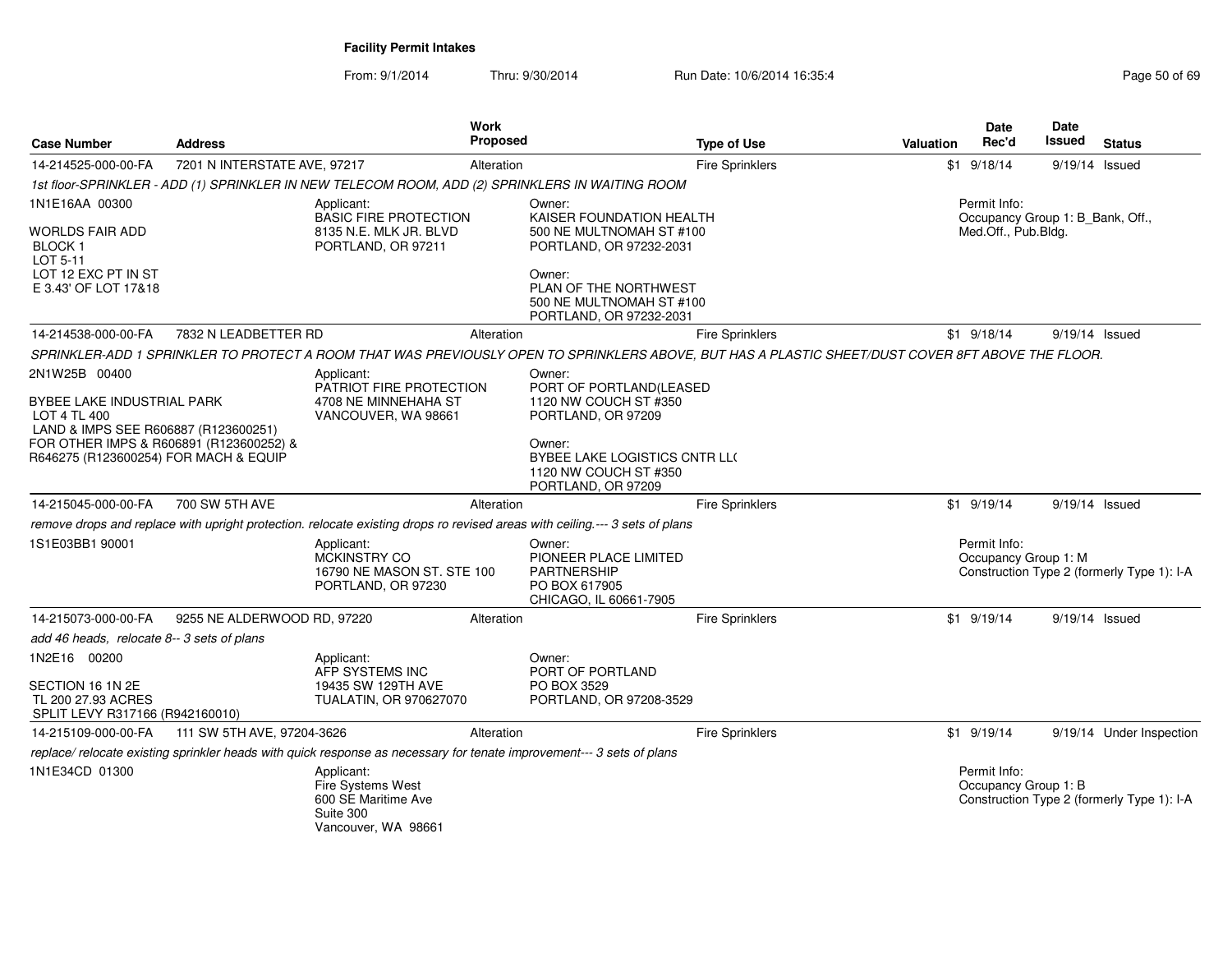| <b>Case Number</b>                                                                                                                                                                      | <b>Address</b>               |                                                                                                                                                   | Work<br>Proposed |                                                                                                                                                                                     | <b>Type of Use</b>     | <b>Valuation</b> | Date<br>Rec'd                                                           | Date<br>Issued   | <b>Status</b>                              |
|-----------------------------------------------------------------------------------------------------------------------------------------------------------------------------------------|------------------------------|---------------------------------------------------------------------------------------------------------------------------------------------------|------------------|-------------------------------------------------------------------------------------------------------------------------------------------------------------------------------------|------------------------|------------------|-------------------------------------------------------------------------|------------------|--------------------------------------------|
| 14-214525-000-00-FA                                                                                                                                                                     | 7201 N INTERSTATE AVE, 97217 |                                                                                                                                                   | Alteration       |                                                                                                                                                                                     | <b>Fire Sprinklers</b> |                  | $$1$ 9/18/14                                                            | 9/19/14 Issued   |                                            |
|                                                                                                                                                                                         |                              | 1st floor-SPRINKLER - ADD (1) SPRINKLER IN NEW TELECOM ROOM, ADD (2) SPRINKLERS IN WAITING ROOM                                                   |                  |                                                                                                                                                                                     |                        |                  |                                                                         |                  |                                            |
| 1N1E16AA 00300<br>WORLDS FAIR ADD<br>BLOCK 1<br>LOT 5-11<br>LOT 12 EXC PT IN ST<br>E 3.43' OF LOT 17&18                                                                                 |                              | Applicant:<br><b>BASIC FIRE PROTECTION</b><br>8135 N.E. MLK JR. BLVD<br>PORTLAND, OR 97211                                                        |                  | Owner:<br>KAISER FOUNDATION HEALTH<br>500 NE MULTNOMAH ST #100<br>PORTLAND, OR 97232-2031<br>Owner:<br>PLAN OF THE NORTHWEST<br>500 NE MULTNOMAH ST #100<br>PORTLAND, OR 97232-2031 |                        |                  | Permit Info:<br>Occupancy Group 1: B_Bank, Off.,<br>Med.Off., Pub.Bldg. |                  |                                            |
| 14-214538-000-00-FA                                                                                                                                                                     | 7832 N LEADBETTER RD         |                                                                                                                                                   | Alteration       |                                                                                                                                                                                     | <b>Fire Sprinklers</b> |                  | $$1$ 9/18/14                                                            | 9/19/14 Issued   |                                            |
|                                                                                                                                                                                         |                              | SPRINKLER-ADD 1 SPRINKLER TO PROTECT A ROOM THAT WAS PREVIOUSLY OPEN TO SPRINKLERS ABOVE, BUT HAS A PLASTIC SHEET/DUST COVER 8FT ABOVE THE FLOOR. |                  |                                                                                                                                                                                     |                        |                  |                                                                         |                  |                                            |
| 2N1W25B 00400<br>BYBEE LAKE INDUSTRIAL PARK<br>LOT 4 TL 400<br>LAND & IMPS SEE R606887 (R123600251)<br>FOR OTHER IMPS & R606891 (R123600252) &<br>R646275 (R123600254) FOR MACH & EQUIP |                              | Applicant:<br>PATRIOT FIRE PROTECTION<br>4708 NE MINNEHAHA ST<br>VANCOUVER, WA 98661                                                              |                  | Owner:<br>PORT OF PORTLAND(LEASED<br>1120 NW COUCH ST #350<br>PORTLAND, OR 97209<br>Owner:<br>BYBEE LAKE LOGISTICS CNTR LL(<br>1120 NW COUCH ST #350<br>PORTLAND, OR 97209          |                        |                  |                                                                         |                  |                                            |
| 14-215045-000-00-FA                                                                                                                                                                     | 700 SW 5TH AVE               |                                                                                                                                                   | Alteration       |                                                                                                                                                                                     | Fire Sprinklers        |                  | $$1$ 9/19/14                                                            | $9/19/14$ Issued |                                            |
|                                                                                                                                                                                         |                              | remove drops and replace with upright protection. relocate existing drops ro revised areas with ceiling.--- 3 sets of plans                       |                  |                                                                                                                                                                                     |                        |                  |                                                                         |                  |                                            |
| 1S1E03BB1 90001                                                                                                                                                                         |                              | Applicant:<br><b>MCKINSTRY CO</b><br>16790 NE MASON ST. STE 100<br>PORTLAND, OR 97230                                                             |                  | Owner:<br>PIONEER PLACE LIMITED<br><b>PARTNERSHIP</b><br>PO BOX 617905<br>CHICAGO, IL 60661-7905                                                                                    |                        |                  | Permit Info:<br>Occupancy Group 1: M                                    |                  | Construction Type 2 (formerly Type 1): I-A |
| 14-215073-000-00-FA                                                                                                                                                                     | 9255 NE ALDERWOOD RD, 97220  |                                                                                                                                                   | Alteration       |                                                                                                                                                                                     | <b>Fire Sprinklers</b> |                  | $$1$ 9/19/14                                                            | $9/19/14$ Issued |                                            |
| add 46 heads, relocate 8-- 3 sets of plans                                                                                                                                              |                              |                                                                                                                                                   |                  |                                                                                                                                                                                     |                        |                  |                                                                         |                  |                                            |
| 1N2E16 00200<br>SECTION 16 1N 2E<br>TL 200 27.93 ACRES<br>SPLIT LEVY R317166 (R942160010)                                                                                               |                              | Applicant:<br>AFP SYSTEMS INC<br>19435 SW 129TH AVE<br><b>TUALATIN, OR 970627070</b>                                                              |                  | Owner:<br>PORT OF PORTLAND<br>PO BOX 3529<br>PORTLAND, OR 97208-3529                                                                                                                |                        |                  |                                                                         |                  |                                            |
| 14-215109-000-00-FA                                                                                                                                                                     | 111 SW 5TH AVE, 97204-3626   |                                                                                                                                                   | Alteration       |                                                                                                                                                                                     | <b>Fire Sprinklers</b> |                  | $$1$ 9/19/14                                                            |                  | 9/19/14 Under Inspection                   |
|                                                                                                                                                                                         |                              | replace/ relocate existing sprinkler heads with quick response as necessary for tenate improvement--- 3 sets of plans                             |                  |                                                                                                                                                                                     |                        |                  |                                                                         |                  |                                            |
| 1N1E34CD 01300                                                                                                                                                                          |                              | Applicant:<br>Fire Systems West<br>600 SE Maritime Ave<br>Suite 300<br>Vancouver, WA 98661                                                        |                  |                                                                                                                                                                                     |                        |                  | Permit Info:<br>Occupancy Group 1: B                                    |                  | Construction Type 2 (formerly Type 1): I-A |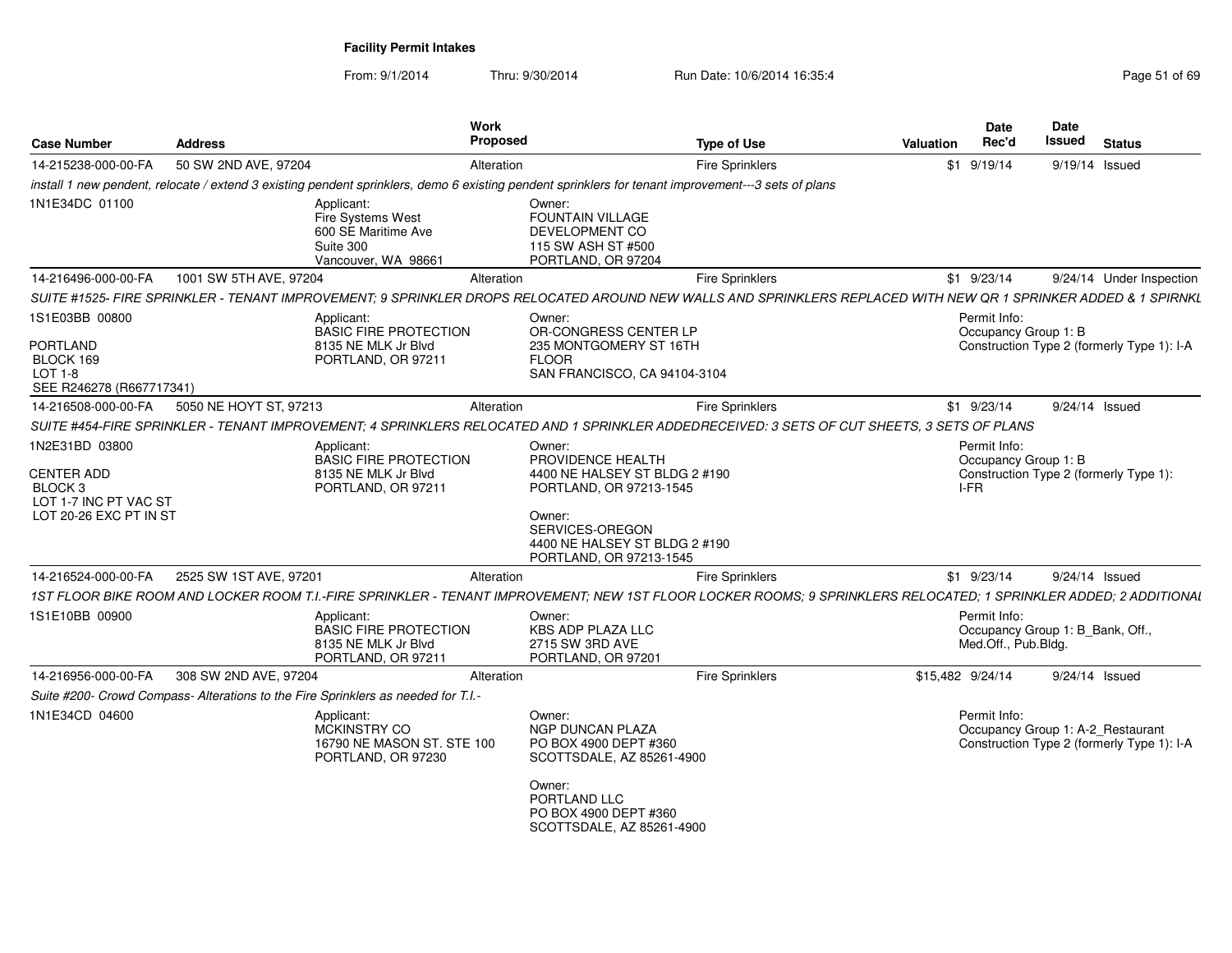| <b>Case Number</b>                                                                                           | <b>Address</b>         | <b>Work</b><br>Proposed                                                                                                                                           |                                                                                                                                                                                  | <b>Type of Use</b>     | Valuation        | Date<br>Rec'd                                                           | Date<br>Issued | <b>Status</b>                                                                   |
|--------------------------------------------------------------------------------------------------------------|------------------------|-------------------------------------------------------------------------------------------------------------------------------------------------------------------|----------------------------------------------------------------------------------------------------------------------------------------------------------------------------------|------------------------|------------------|-------------------------------------------------------------------------|----------------|---------------------------------------------------------------------------------|
| 14-215238-000-00-FA                                                                                          | 50 SW 2ND AVE, 97204   | Alteration                                                                                                                                                        |                                                                                                                                                                                  | <b>Fire Sprinklers</b> |                  | $$1$ 9/19/14                                                            |                | 9/19/14 Issued                                                                  |
|                                                                                                              |                        | install 1 new pendent, relocate / extend 3 existing pendent sprinklers, demo 6 existing pendent sprinklers for tenant improvement---3 sets of plans               |                                                                                                                                                                                  |                        |                  |                                                                         |                |                                                                                 |
| 1N1E34DC 01100                                                                                               |                        | Applicant:<br>Fire Systems West<br>600 SE Maritime Ave<br>Suite 300<br>Vancouver, WA 98661                                                                        | Owner:<br><b>FOUNTAIN VILLAGE</b><br>DEVELOPMENT CO<br>115 SW ASH ST #500<br>PORTLAND, OR 97204                                                                                  |                        |                  |                                                                         |                |                                                                                 |
| 14-216496-000-00-FA                                                                                          | 1001 SW 5TH AVE, 97204 | Alteration                                                                                                                                                        |                                                                                                                                                                                  | <b>Fire Sprinklers</b> |                  | $$1$ 9/23/14                                                            |                | 9/24/14 Under Inspection                                                        |
|                                                                                                              |                        | SUITE #1525- FIRE SPRINKLER - TENANT IMPROVEMENT; 9 SPRINKLER DROPS RELOCATED AROUND NEW WALLS AND SPRINKLERS REPLACED WITH NEW QR 1 SPRINKER ADDED & 1 SPIRNKL   |                                                                                                                                                                                  |                        |                  |                                                                         |                |                                                                                 |
| 1S1E03BB 00800<br><b>PORTLAND</b><br>BLOCK 169<br>$LOT 1-8$<br>SEE R246278 (R667717341)                      |                        | Applicant:<br><b>BASIC FIRE PROTECTION</b><br>8135 NE MLK Jr Blvd<br>PORTLAND, OR 97211                                                                           | Owner:<br>OR-CONGRESS CENTER LP<br>235 MONTGOMERY ST 16TH<br><b>FLOOR</b><br>SAN FRANCISCO, CA 94104-3104                                                                        |                        |                  | Permit Info:<br>Occupancy Group 1: B                                    |                | Construction Type 2 (formerly Type 1): I-A                                      |
| 14-216508-000-00-FA                                                                                          | 5050 NE HOYT ST, 97213 | Alteration                                                                                                                                                        |                                                                                                                                                                                  | <b>Fire Sprinklers</b> |                  | $$1$ 9/23/14                                                            |                | 9/24/14 Issued                                                                  |
|                                                                                                              |                        | SUITE #454-FIRE SPRINKLER - TENANT IMPROVEMENT; 4 SPRINKLERS RELOCATED AND 1 SPRINKLER ADDEDRECEIVED: 3 SETS OF CUT SHEETS, 3 SETS OF PLANS                       |                                                                                                                                                                                  |                        |                  |                                                                         |                |                                                                                 |
| 1N2E31BD 03800<br><b>CENTER ADD</b><br>BLOCK <sub>3</sub><br>LOT 1-7 INC PT VAC ST<br>LOT 20-26 EXC PT IN ST |                        | Applicant:<br><b>BASIC FIRE PROTECTION</b><br>8135 NE MLK Jr Blvd<br>PORTLAND, OR 97211                                                                           | Owner:<br>PROVIDENCE HEALTH<br>4400 NE HALSEY ST BLDG 2 #190<br>PORTLAND, OR 97213-1545<br>Owner:<br>SERVICES-OREGON<br>4400 NE HALSEY ST BLDG 2 #190<br>PORTLAND, OR 97213-1545 |                        |                  | Permit Info:<br>Occupancy Group 1: B<br>I-FR                            |                | Construction Type 2 (formerly Type 1):                                          |
| 14-216524-000-00-FA                                                                                          | 2525 SW 1ST AVE, 97201 | Alteration                                                                                                                                                        |                                                                                                                                                                                  | <b>Fire Sprinklers</b> |                  | $$1$ 9/23/14                                                            |                | 9/24/14 Issued                                                                  |
|                                                                                                              |                        | 1ST FLOOR BIKE ROOM AND LOCKER ROOM T.I.-FIRE SPRINKLER - TENANT IMPROVEMENT; NEW 1ST FLOOR LOCKER ROOMS; 9 SPRINKLERS RELOCATED; 1 SPRINKLER ADDED; 2 ADDITIONAL |                                                                                                                                                                                  |                        |                  |                                                                         |                |                                                                                 |
| 1S1E10BB 00900                                                                                               |                        | Applicant:<br><b>BASIC FIRE PROTECTION</b><br>8135 NE MLK Jr Blvd<br>PORTLAND, OR 97211                                                                           | Owner:<br><b>KBS ADP PLAZA LLC</b><br>2715 SW 3RD AVE<br>PORTLAND, OR 97201                                                                                                      |                        |                  | Permit Info:<br>Occupancy Group 1: B_Bank, Off.,<br>Med.Off., Pub.Bldg. |                |                                                                                 |
| 14-216956-000-00-FA                                                                                          | 308 SW 2ND AVE, 97204  | Alteration                                                                                                                                                        |                                                                                                                                                                                  | <b>Fire Sprinklers</b> | \$15,482 9/24/14 |                                                                         |                | 9/24/14 Issued                                                                  |
|                                                                                                              |                        | Suite #200- Crowd Compass- Alterations to the Fire Sprinklers as needed for T.I.-                                                                                 |                                                                                                                                                                                  |                        |                  |                                                                         |                |                                                                                 |
| 1N1E34CD 04600                                                                                               |                        | Applicant:<br>MCKINSTRY CO<br>16790 NE MASON ST. STE 100<br>PORTLAND, OR 97230                                                                                    | Owner:<br>NGP DUNCAN PLAZA<br>PO BOX 4900 DEPT #360<br>SCOTTSDALE, AZ 85261-4900<br>Owner:<br>PORTLAND LLC                                                                       |                        |                  | Permit Info:                                                            |                | Occupancy Group 1: A-2_Restaurant<br>Construction Type 2 (formerly Type 1): I-A |
|                                                                                                              |                        |                                                                                                                                                                   | PO BOX 4900 DEPT #360<br>SCOTTSDALE, AZ 85261-4900                                                                                                                               |                        |                  |                                                                         |                |                                                                                 |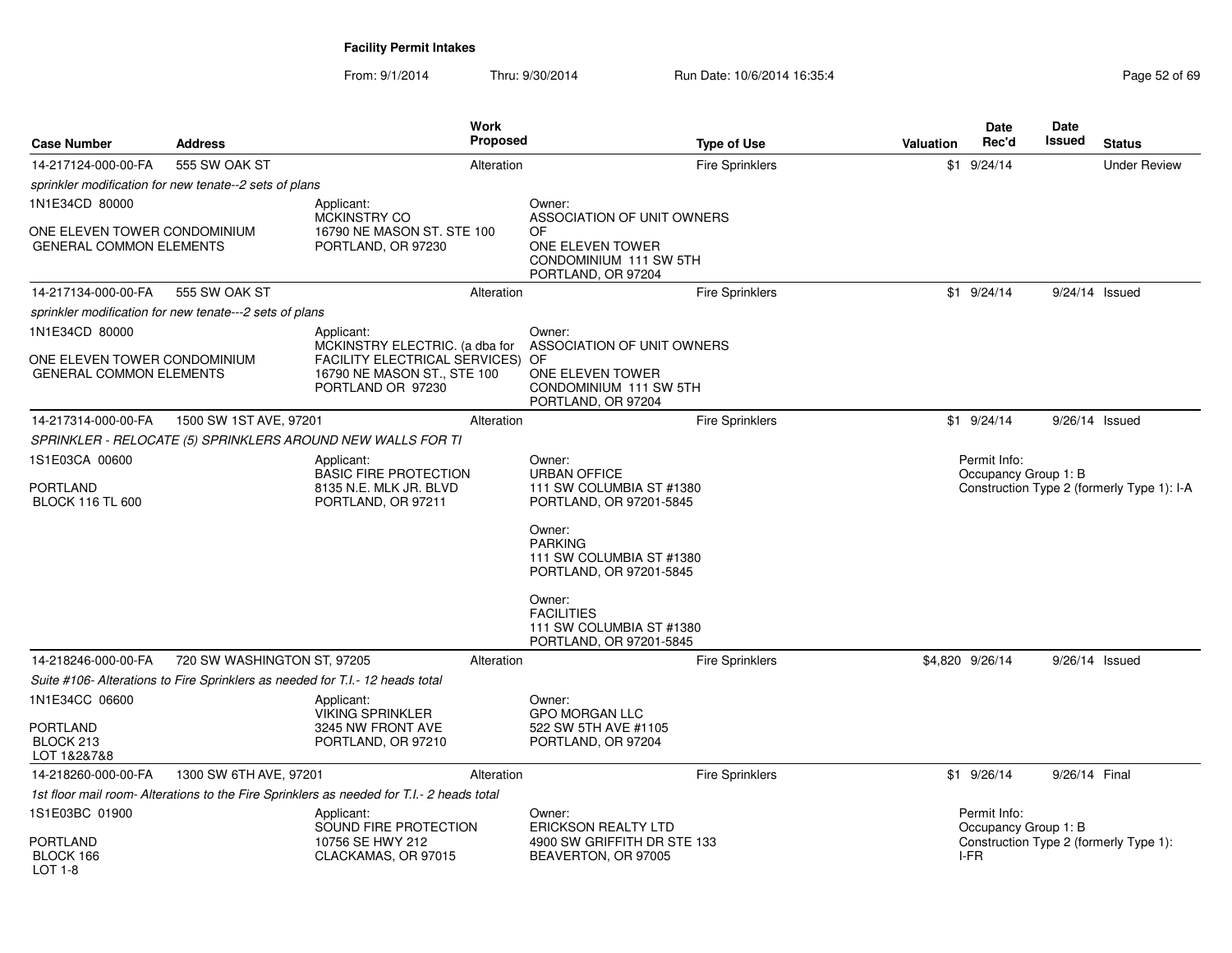From: 9/1/2014

Thru: 9/30/2014 Run Date: 10/6/2014 16:35:4

| <b>Case Number</b>                                             | <b>Address</b>                                                                |                                                                                                                               | Work<br>Proposed |                                                                                                      | <b>Type of Use</b>     | <b>Valuation</b> | Date<br>Rec'd                | Date<br><b>Issued</b> | <b>Status</b>                              |
|----------------------------------------------------------------|-------------------------------------------------------------------------------|-------------------------------------------------------------------------------------------------------------------------------|------------------|------------------------------------------------------------------------------------------------------|------------------------|------------------|------------------------------|-----------------------|--------------------------------------------|
| 14-217124-000-00-FA                                            | 555 SW OAK ST                                                                 |                                                                                                                               | Alteration       |                                                                                                      | <b>Fire Sprinklers</b> |                  | $$1$ 9/24/14                 |                       | <b>Under Review</b>                        |
|                                                                | sprinkler modification for new tenate--2 sets of plans                        |                                                                                                                               |                  |                                                                                                      |                        |                  |                              |                       |                                            |
| 1N1E34CD 80000                                                 |                                                                               | Applicant:                                                                                                                    |                  | Owner:                                                                                               |                        |                  |                              |                       |                                            |
| ONE ELEVEN TOWER CONDOMINIUM<br><b>GENERAL COMMON ELEMENTS</b> |                                                                               | MCKINSTRY CO<br>16790 NE MASON ST. STE 100<br>PORTLAND, OR 97230                                                              |                  | ASSOCIATION OF UNIT OWNERS<br>OF<br>ONE ELEVEN TOWER<br>CONDOMINIUM 111 SW 5TH<br>PORTLAND, OR 97204 |                        |                  |                              |                       |                                            |
| 14-217134-000-00-FA                                            | 555 SW OAK ST                                                                 |                                                                                                                               | Alteration       |                                                                                                      | Fire Sprinklers        |                  | $$1$ 9/24/14                 |                       | 9/24/14 Issued                             |
|                                                                | sprinkler modification for new tenate---2 sets of plans                       |                                                                                                                               |                  |                                                                                                      |                        |                  |                              |                       |                                            |
| 1N1E34CD 80000                                                 |                                                                               | Applicant:                                                                                                                    |                  | Owner:                                                                                               |                        |                  |                              |                       |                                            |
| ONE ELEVEN TOWER CONDOMINIUM<br><b>GENERAL COMMON ELEMENTS</b> |                                                                               | MCKINSTRY ELECTRIC. (a dba for<br><b>FACILITY ELECTRICAL SERVICES) OF</b><br>16790 NE MASON ST., STE 100<br>PORTLAND OR 97230 |                  | ASSOCIATION OF UNIT OWNERS<br>ONE ELEVEN TOWER<br>CONDOMINIUM 111 SW 5TH<br>PORTLAND, OR 97204       |                        |                  |                              |                       |                                            |
| 14-217314-000-00-FA                                            | 1500 SW 1ST AVE, 97201                                                        |                                                                                                                               | Alteration       |                                                                                                      | Fire Sprinklers        |                  | $$1$ 9/24/14                 |                       | $9/26/14$ Issued                           |
|                                                                |                                                                               | SPRINKLER - RELOCATE (5) SPRINKLERS AROUND NEW WALLS FOR TI                                                                   |                  |                                                                                                      |                        |                  |                              |                       |                                            |
| 1S1E03CA 00600                                                 |                                                                               | Applicant:                                                                                                                    |                  | Owner:                                                                                               |                        |                  | Permit Info:                 |                       |                                            |
| <b>PORTLAND</b><br><b>BLOCK 116 TL 600</b>                     |                                                                               | <b>BASIC FIRE PROTECTION</b><br>8135 N.E. MLK JR. BLVD<br>PORTLAND, OR 97211                                                  |                  | <b>URBAN OFFICE</b><br>111 SW COLUMBIA ST #1380<br>PORTLAND, OR 97201-5845                           |                        |                  | Occupancy Group 1: B         |                       | Construction Type 2 (formerly Type 1): I-A |
|                                                                |                                                                               |                                                                                                                               |                  | Owner:<br><b>PARKING</b><br>111 SW COLUMBIA ST #1380<br>PORTLAND, OR 97201-5845                      |                        |                  |                              |                       |                                            |
|                                                                |                                                                               |                                                                                                                               |                  | Owner:<br><b>FACILITIES</b><br>111 SW COLUMBIA ST #1380<br>PORTLAND, OR 97201-5845                   |                        |                  |                              |                       |                                            |
| 14-218246-000-00-FA                                            | 720 SW WASHINGTON ST, 97205                                                   |                                                                                                                               | Alteration       |                                                                                                      | <b>Fire Sprinklers</b> |                  | \$4,820 9/26/14              |                       | 9/26/14 Issued                             |
|                                                                | Suite #106- Alterations to Fire Sprinklers as needed for T.I.- 12 heads total |                                                                                                                               |                  |                                                                                                      |                        |                  |                              |                       |                                            |
| 1N1E34CC 06600                                                 |                                                                               | Applicant:                                                                                                                    |                  | Owner:                                                                                               |                        |                  |                              |                       |                                            |
| <b>PORTLAND</b><br>BLOCK 213<br>LOT 1&2&7&8                    |                                                                               | <b>VIKING SPRINKLER</b><br>3245 NW FRONT AVE<br>PORTLAND, OR 97210                                                            |                  | <b>GPO MORGAN LLC</b><br>522 SW 5TH AVE #1105<br>PORTLAND, OR 97204                                  |                        |                  |                              |                       |                                            |
| 14-218260-000-00-FA                                            | 1300 SW 6TH AVE, 97201                                                        |                                                                                                                               | Alteration       |                                                                                                      | <b>Fire Sprinklers</b> |                  | \$1 9/26/14                  | 9/26/14 Final         |                                            |
|                                                                |                                                                               | 1st floor mail room- Alterations to the Fire Sprinklers as needed for T.I.- 2 heads total                                     |                  |                                                                                                      |                        |                  |                              |                       |                                            |
| 1S1E03BC 01900                                                 |                                                                               | Applicant:                                                                                                                    |                  | Owner:                                                                                               |                        |                  | Permit Info:                 |                       |                                            |
| <b>PORTLAND</b><br>BLOCK 166<br>LOT 1-8                        |                                                                               | SOUND FIRE PROTECTION<br>10756 SE HWY 212<br>CLACKAMAS, OR 97015                                                              |                  | <b>ERICKSON REALTY LTD</b><br>4900 SW GRIFFITH DR STE 133<br>BEAVERTON, OR 97005                     |                        |                  | Occupancy Group 1: B<br>I-FR |                       | Construction Type 2 (formerly Type 1):     |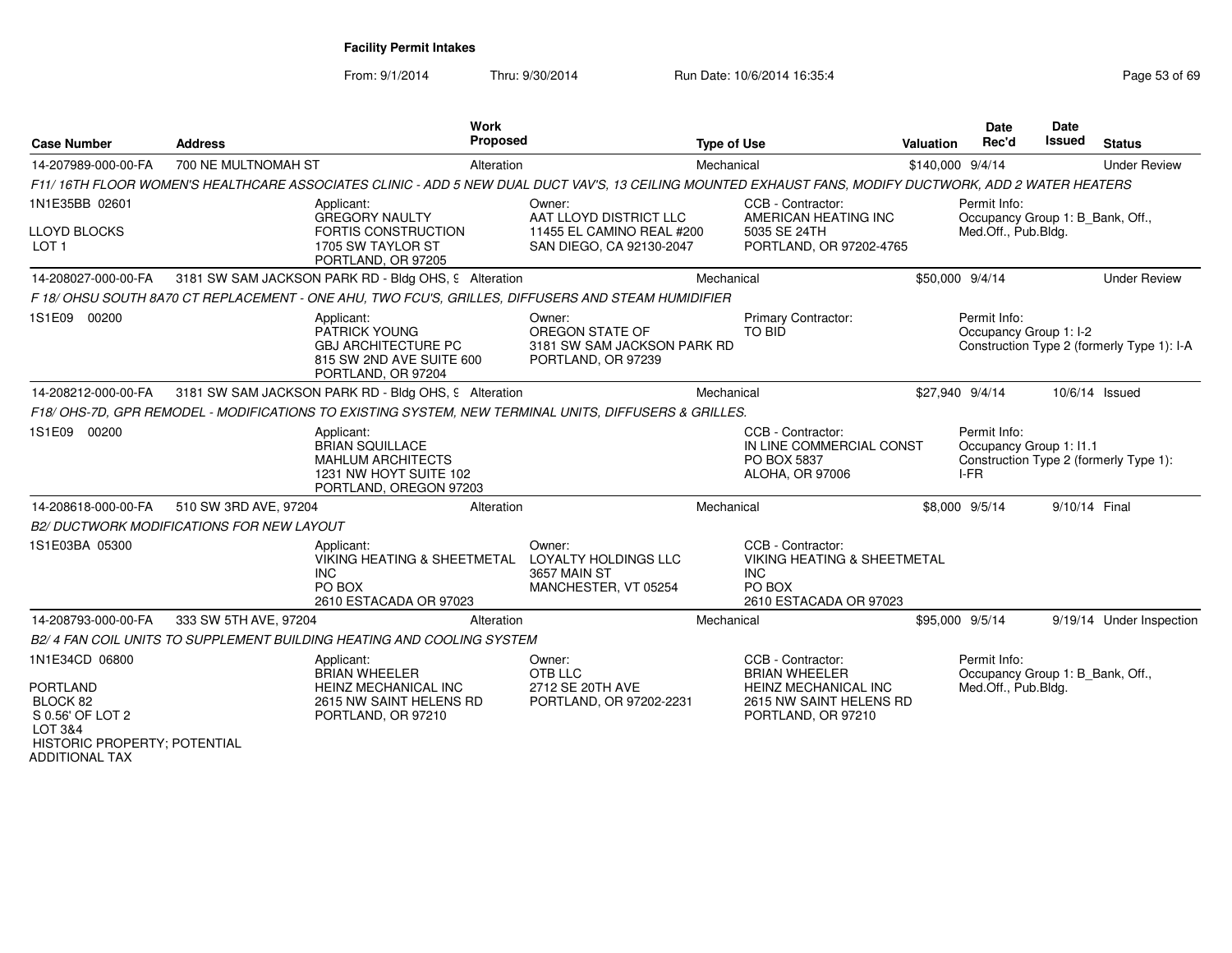From: 9/1/2014

Thru: 9/30/2014 Run Date: 10/6/2014 16:35:4

| <b>Case Number</b>                                                                                                                    | <b>Address</b>                                   | <b>Work</b><br><b>Proposed</b>                                                                                                                         |                                                                                           | <b>Type of Use</b> |                                                                                                                           | <b>Valuation</b> | <b>Date</b><br>Rec'd                                                    | <b>Date</b><br><b>Issued</b> | <b>Status</b>                              |
|---------------------------------------------------------------------------------------------------------------------------------------|--------------------------------------------------|--------------------------------------------------------------------------------------------------------------------------------------------------------|-------------------------------------------------------------------------------------------|--------------------|---------------------------------------------------------------------------------------------------------------------------|------------------|-------------------------------------------------------------------------|------------------------------|--------------------------------------------|
| 14-207989-000-00-FA                                                                                                                   | 700 NE MULTNOMAH ST                              | Alteration                                                                                                                                             |                                                                                           | Mechanical         |                                                                                                                           | \$140,000 9/4/14 |                                                                         |                              | <b>Under Review</b>                        |
|                                                                                                                                       |                                                  | F11/16TH FLOOR WOMEN'S HEALTHCARE ASSOCIATES CLINIC - ADD 5 NEW DUAL DUCT VAV'S, 13 CEILING MOUNTED EXHAUST FANS, MODIFY DUCTWORK, ADD 2 WATER HEATERS |                                                                                           |                    |                                                                                                                           |                  |                                                                         |                              |                                            |
| 1N1E35BB 02601<br><b>LLOYD BLOCKS</b><br>LOT <sub>1</sub>                                                                             |                                                  | Applicant:<br>GREGORY NAULTY<br>FORTIS CONSTRUCTION<br>1705 SW TAYLOR ST<br>PORTLAND, OR 97205                                                         | Owner:<br>AAT LLOYD DISTRICT LLC<br>11455 EL CAMINO REAL #200<br>SAN DIEGO, CA 92130-2047 |                    | CCB - Contractor:<br>AMERICAN HEATING INC<br>5035 SE 24TH<br>PORTLAND, OR 97202-4765                                      |                  | Permit Info:<br>Occupancy Group 1: B_Bank, Off.,<br>Med.Off., Pub.Bldg. |                              |                                            |
| 14-208027-000-00-FA                                                                                                                   |                                                  | 3181 SW SAM JACKSON PARK RD - Bldg OHS, 9 Alteration                                                                                                   |                                                                                           | Mechanical         |                                                                                                                           |                  | \$50,000 9/4/14                                                         |                              | <b>Under Review</b>                        |
|                                                                                                                                       |                                                  | F 18/OHSU SOUTH 8A70 CT REPLACEMENT - ONE AHU, TWO FCU'S, GRILLES, DIFFUSERS AND STEAM HUMIDIFIER                                                      |                                                                                           |                    |                                                                                                                           |                  |                                                                         |                              |                                            |
| 1S1E09 00200                                                                                                                          |                                                  | Applicant:<br>PATRICK YOUNG<br><b>GBJ ARCHITECTURE PC</b><br>815 SW 2ND AVE SUITE 600<br>PORTLAND, OR 97204                                            | Owner:<br>OREGON STATE OF<br>3181 SW SAM JACKSON PARK RD<br>PORTLAND, OR 97239            |                    | <b>Primary Contractor:</b><br><b>TO BID</b>                                                                               |                  | Permit Info:<br>Occupancy Group 1: I-2                                  |                              | Construction Type 2 (formerly Type 1): I-A |
| 14-208212-000-00-FA                                                                                                                   |                                                  | 3181 SW SAM JACKSON PARK RD - Bldg OHS, 9 Alteration                                                                                                   |                                                                                           | Mechanical         |                                                                                                                           |                  | \$27,940 9/4/14                                                         |                              | 10/6/14 Issued                             |
|                                                                                                                                       |                                                  | F18/OHS-7D, GPR REMODEL - MODIFICATIONS TO EXISTING SYSTEM, NEW TERMINAL UNITS, DIFFUSERS & GRILLES.                                                   |                                                                                           |                    |                                                                                                                           |                  |                                                                         |                              |                                            |
| 1S1E09 00200                                                                                                                          |                                                  | Applicant:<br><b>BRIAN SQUILLACE</b><br><b>MAHLUM ARCHITECTS</b><br>1231 NW HOYT SUITE 102<br>PORTLAND, OREGON 97203                                   |                                                                                           |                    | CCB - Contractor:<br>IN LINE COMMERCIAL CONST<br>PO BOX 5837<br>ALOHA, OR 97006                                           |                  | Permit Info:<br>Occupancy Group 1: 11.1<br>$I-FR$                       |                              | Construction Type 2 (formerly Type 1):     |
| 14-208618-000-00-FA                                                                                                                   | 510 SW 3RD AVE, 97204                            | Alteration                                                                                                                                             |                                                                                           | Mechanical         |                                                                                                                           |                  | \$8,000 9/5/14                                                          | 9/10/14 Final                |                                            |
|                                                                                                                                       | <b>B2/ DUCTWORK MODIFICATIONS FOR NEW LAYOUT</b> |                                                                                                                                                        |                                                                                           |                    |                                                                                                                           |                  |                                                                         |                              |                                            |
| 1S1E03BA 05300                                                                                                                        |                                                  | Applicant:<br><b>VIKING HEATING &amp; SHEETMETAL</b><br>INC.<br>PO BOX<br>2610 ESTACADA OR 97023                                                       | Owner:<br><b>LOYALTY HOLDINGS LLC</b><br>3657 MAIN ST<br>MANCHESTER, VT 05254             |                    | CCB - Contractor:<br><b>VIKING HEATING &amp; SHEETMETAL</b><br><b>INC</b><br>PO BOX<br>2610 ESTACADA OR 97023             |                  |                                                                         |                              |                                            |
| 14-208793-000-00-FA                                                                                                                   | 333 SW 5TH AVE, 97204                            | Alteration                                                                                                                                             |                                                                                           | Mechanical         |                                                                                                                           |                  | \$95,000 9/5/14                                                         |                              | 9/19/14 Under Inspection                   |
|                                                                                                                                       |                                                  | B2/4 FAN COIL UNITS TO SUPPLEMENT BUILDING HEATING AND COOLING SYSTEM                                                                                  |                                                                                           |                    |                                                                                                                           |                  |                                                                         |                              |                                            |
| 1N1E34CD 06800<br><b>PORTLAND</b><br>BLOCK 82<br>S 0.56' OF LOT 2<br>LOT 3&4<br>HISTORIC PROPERTY; POTENTIAL<br><b>ADDITIONAL TAX</b> |                                                  | Applicant:<br><b>BRIAN WHEELER</b><br>HEINZ MECHANICAL INC<br>2615 NW SAINT HELENS RD<br>PORTLAND, OR 97210                                            | Owner:<br>OTB LLC<br>2712 SE 20TH AVE<br>PORTLAND, OR 97202-2231                          |                    | CCB - Contractor:<br><b>BRIAN WHEELER</b><br><b>HEINZ MECHANICAL INC</b><br>2615 NW SAINT HELENS RD<br>PORTLAND, OR 97210 |                  | Permit Info:<br>Occupancy Group 1: B Bank, Off.,<br>Med.Off., Pub.Bldg. |                              |                                            |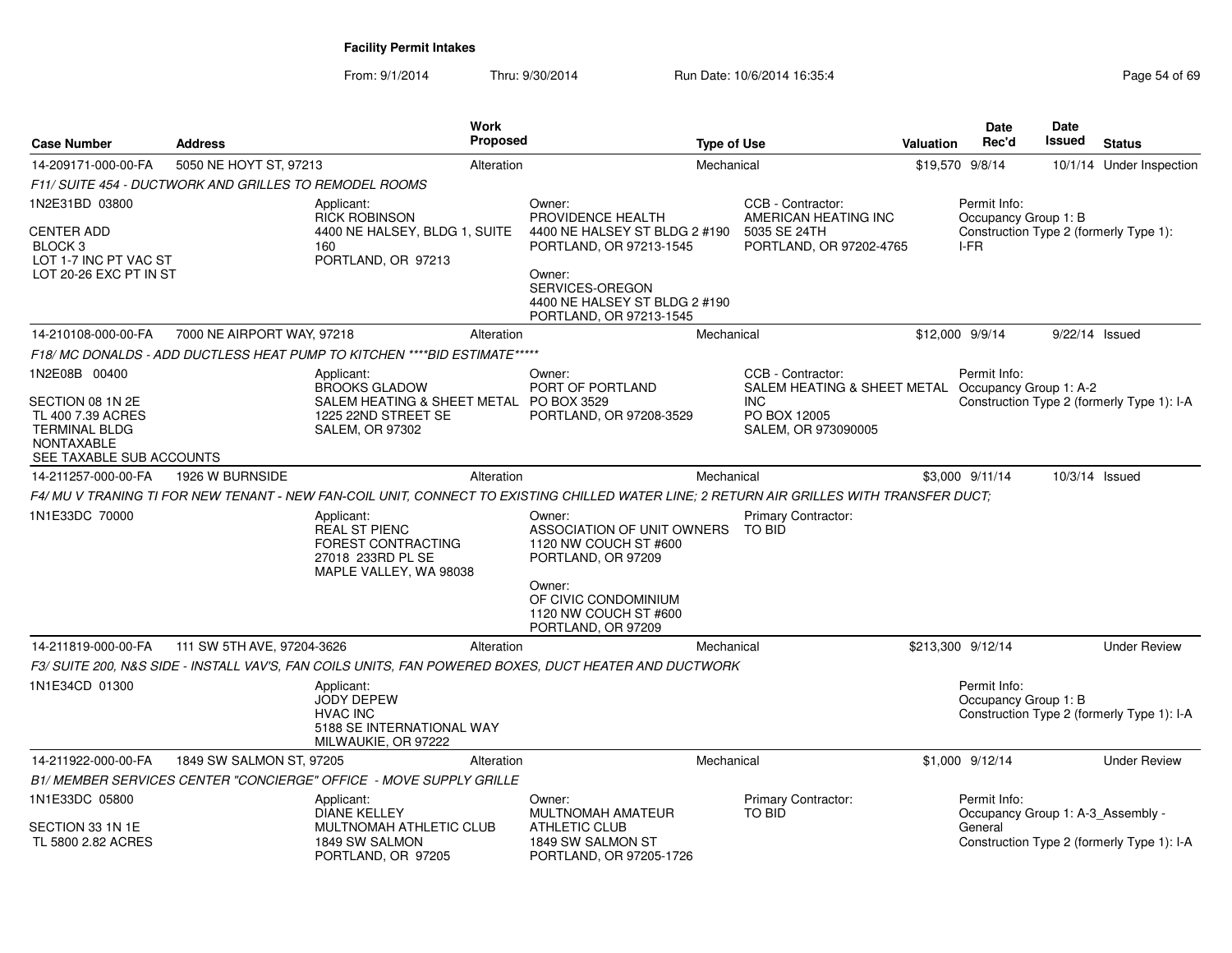| <b>Case Number</b>                                                                                                              | <b>Address</b>                                         | <b>Work</b><br>Proposed                                                                                                                  |                                                                                                                                                   | <b>Type of Use</b> |                                                                                                                              | <b>Valuation</b> | <b>Date</b><br>Rec'd                              | <b>Date</b><br>Issued | <b>Status</b>                              |
|---------------------------------------------------------------------------------------------------------------------------------|--------------------------------------------------------|------------------------------------------------------------------------------------------------------------------------------------------|---------------------------------------------------------------------------------------------------------------------------------------------------|--------------------|------------------------------------------------------------------------------------------------------------------------------|------------------|---------------------------------------------------|-----------------------|--------------------------------------------|
| 14-209171-000-00-FA                                                                                                             | 5050 NE HOYT ST, 97213                                 | Alteration                                                                                                                               |                                                                                                                                                   | Mechanical         |                                                                                                                              |                  | \$19,570 9/8/14                                   |                       | 10/1/14 Under Inspection                   |
|                                                                                                                                 | F11/ SUITE 454 - DUCTWORK AND GRILLES TO REMODEL ROOMS |                                                                                                                                          |                                                                                                                                                   |                    |                                                                                                                              |                  |                                                   |                       |                                            |
| 1N2E31BD 03800                                                                                                                  |                                                        | Applicant:<br><b>RICK ROBINSON</b>                                                                                                       | Owner:<br>PROVIDENCE HEALTH                                                                                                                       |                    | CCB - Contractor:<br>AMERICAN HEATING INC                                                                                    |                  | Permit Info:<br>Occupancy Group 1: B              |                       |                                            |
| <b>CENTER ADD</b><br>BLOCK <sub>3</sub><br>LOT 1-7 INC PT VAC ST<br>LOT 20-26 EXC PT IN ST                                      |                                                        | 4400 NE HALSEY, BLDG 1, SUITE<br>160<br>PORTLAND, OR 97213                                                                               | 4400 NE HALSEY ST BLDG 2 #190<br>PORTLAND, OR 97213-1545<br>Owner:<br>SERVICES-OREGON<br>4400 NE HALSEY ST BLDG 2 #190<br>PORTLAND, OR 97213-1545 |                    | 5035 SE 24TH<br>PORTLAND, OR 97202-4765                                                                                      |                  | I-FR                                              |                       | Construction Type 2 (formerly Type 1):     |
| 14-210108-000-00-FA                                                                                                             | 7000 NE AIRPORT WAY, 97218                             | Alteration                                                                                                                               |                                                                                                                                                   | Mechanical         |                                                                                                                              |                  | \$12,000 9/9/14                                   | 9/22/14 Issued        |                                            |
|                                                                                                                                 |                                                        | F18/ MC DONALDS - ADD DUCTLESS HEAT PUMP TO KITCHEN ****BID ESTIMATE*****                                                                |                                                                                                                                                   |                    |                                                                                                                              |                  |                                                   |                       |                                            |
| 1N2E08B 00400<br>SECTION 08 1N 2E<br>TL 400 7.39 ACRES<br><b>TERMINAL BLDG</b><br><b>NONTAXABLE</b><br>SEE TAXABLE SUB ACCOUNTS |                                                        | Applicant:<br><b>BROOKS GLADOW</b><br>SALEM HEATING & SHEET METAL PO BOX 3529<br>1225 22ND STREET SE<br><b>SALEM, OR 97302</b>           | Owner:<br>PORT OF PORTLAND<br>PORTLAND, OR 97208-3529                                                                                             |                    | CCB - Contractor:<br>SALEM HEATING & SHEET METAL Occupancy Group 1: A-2<br><b>INC</b><br>PO BOX 12005<br>SALEM, OR 973090005 |                  | Permit Info:                                      |                       | Construction Type 2 (formerly Type 1): I-A |
| 14-211257-000-00-FA                                                                                                             | 1926 W BURNSIDE                                        | Alteration                                                                                                                               |                                                                                                                                                   | Mechanical         |                                                                                                                              |                  | \$3,000 9/11/14                                   | 10/3/14 Issued        |                                            |
|                                                                                                                                 |                                                        | F4/ MU V TRANING TI FOR NEW TENANT - NEW FAN-COIL UNIT, CONNECT TO EXISTING CHILLED WATER LINE; 2 RETURN AIR GRILLES WITH TRANSFER DUCT; |                                                                                                                                                   |                    |                                                                                                                              |                  |                                                   |                       |                                            |
| 1N1E33DC 70000                                                                                                                  |                                                        | Applicant:<br><b>REAL ST PIENC</b><br><b>FOREST CONTRACTING</b><br>27018 233RD PL SE<br>MAPLE VALLEY, WA 98038                           | Owner:<br>ASSOCIATION OF UNIT OWNERS<br>1120 NW COUCH ST #600<br>PORTLAND, OR 97209<br>Owner:<br>OF CIVIC CONDOMINIUM<br>1120 NW COUCH ST #600    |                    | Primary Contractor:<br>TO BID                                                                                                |                  |                                                   |                       |                                            |
|                                                                                                                                 |                                                        |                                                                                                                                          | PORTLAND, OR 97209                                                                                                                                |                    |                                                                                                                              |                  |                                                   |                       |                                            |
| 14-211819-000-00-FA                                                                                                             | 111 SW 5TH AVE, 97204-3626                             | Alteration<br>F3/ SUITE 200, N&S SIDE - INSTALL VAV'S, FAN COILS UNITS, FAN POWERED BOXES, DUCT HEATER AND DUCTWORK                      |                                                                                                                                                   | Mechanical         |                                                                                                                              |                  | \$213,300 9/12/14                                 |                       | <b>Under Review</b>                        |
| 1N1E34CD 01300                                                                                                                  |                                                        | Applicant:<br><b>JODY DEPEW</b><br><b>HVAC INC</b><br>5188 SE INTERNATIONAL WAY<br>MILWAUKIE, OR 97222                                   |                                                                                                                                                   |                    |                                                                                                                              |                  | Permit Info:<br>Occupancy Group 1: B              |                       | Construction Type 2 (formerly Type 1): I-A |
| 14-211922-000-00-FA                                                                                                             | 1849 SW SALMON ST, 97205                               | Alteration                                                                                                                               |                                                                                                                                                   | Mechanical         |                                                                                                                              |                  | \$1,000 9/12/14                                   |                       | <b>Under Review</b>                        |
|                                                                                                                                 |                                                        | B1/ MEMBER SERVICES CENTER "CONCIERGE" OFFICE - MOVE SUPPLY GRILLE                                                                       |                                                                                                                                                   |                    |                                                                                                                              |                  |                                                   |                       |                                            |
| 1N1E33DC 05800                                                                                                                  |                                                        | Applicant:<br><b>DIANE KELLEY</b>                                                                                                        | Owner:<br><b>MULTNOMAH AMATEUR</b>                                                                                                                |                    | Primary Contractor:<br><b>TO BID</b>                                                                                         |                  | Permit Info:<br>Occupancy Group 1: A-3_Assembly - |                       |                                            |
| SECTION 33 1N 1E<br>TL 5800 2.82 ACRES                                                                                          |                                                        | MULTNOMAH ATHLETIC CLUB<br>1849 SW SALMON<br>PORTLAND, OR 97205                                                                          | <b>ATHLETIC CLUB</b><br>1849 SW SALMON ST<br>PORTLAND, OR 97205-1726                                                                              |                    |                                                                                                                              |                  | General                                           |                       | Construction Type 2 (formerly Type 1): I-A |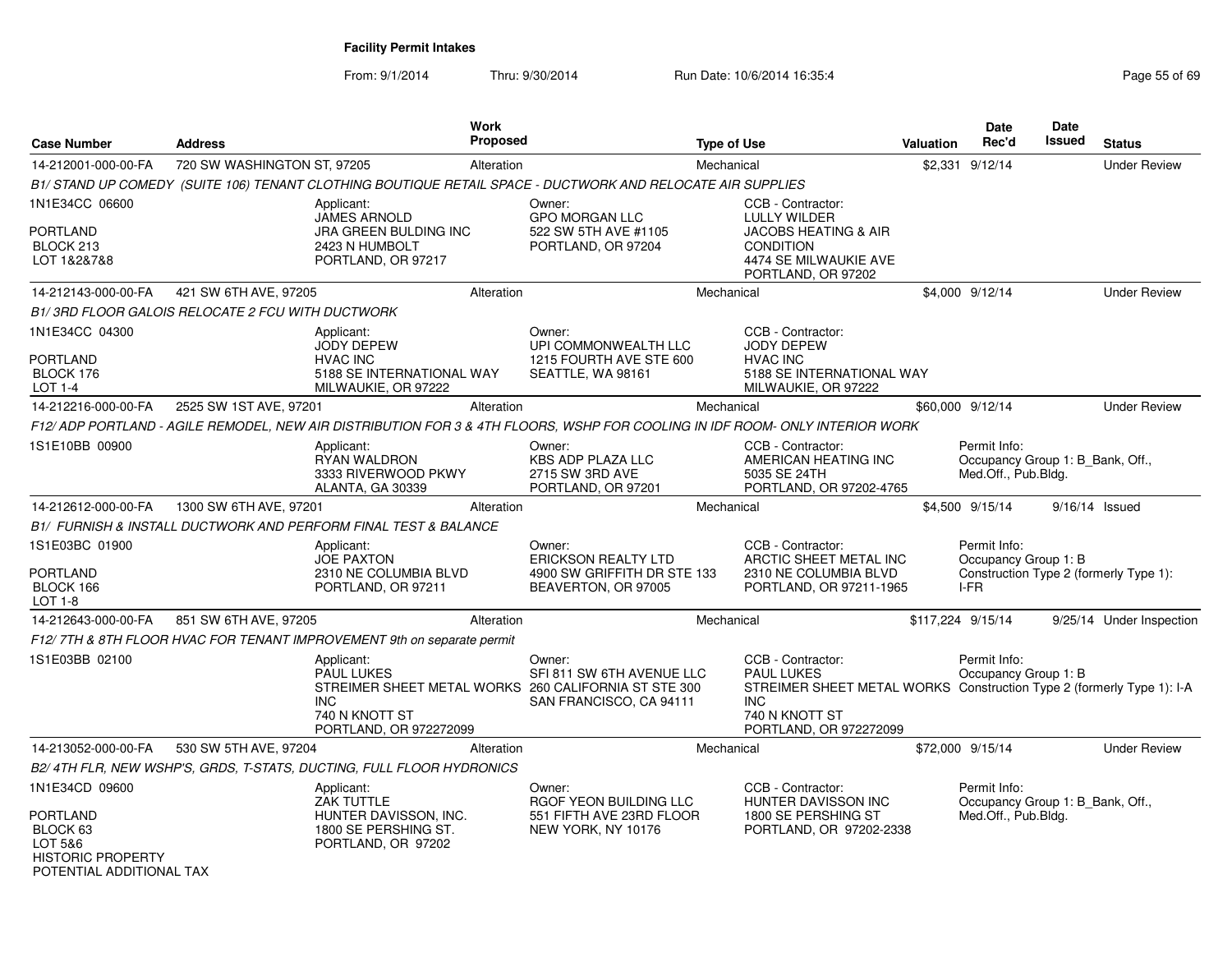| <b>Case Number</b>                                        | <b>Address</b>                                                                                                               | <b>Work</b><br><b>Proposed</b>                |                                                                                                                        | <b>Type of Use</b>                                                                                                                                                        | <b>Valuation</b> | <b>Date</b><br>Rec'd                                                    | <b>Date</b><br>Issued | <b>Status</b>                          |
|-----------------------------------------------------------|------------------------------------------------------------------------------------------------------------------------------|-----------------------------------------------|------------------------------------------------------------------------------------------------------------------------|---------------------------------------------------------------------------------------------------------------------------------------------------------------------------|------------------|-------------------------------------------------------------------------|-----------------------|----------------------------------------|
| 14-212001-000-00-FA                                       | 720 SW WASHINGTON ST, 97205                                                                                                  | Alteration                                    |                                                                                                                        | Mechanical                                                                                                                                                                |                  | \$2,331 9/12/14                                                         |                       | <b>Under Review</b>                    |
|                                                           | B1/ STAND UP COMEDY (SUITE 106) TENANT CLOTHING BOUTIQUE RETAIL SPACE - DUCTWORK AND RELOCATE AIR SUPPLIES                   |                                               |                                                                                                                        |                                                                                                                                                                           |                  |                                                                         |                       |                                        |
| 1N1E34CC 06600                                            | Applicant:                                                                                                                   |                                               | Owner:                                                                                                                 | CCB - Contractor:                                                                                                                                                         |                  |                                                                         |                       |                                        |
| <b>PORTLAND</b><br>BLOCK 213<br>LOT 1&2&7&8               | <b>JAMES ARNOLD</b><br>2423 N HUMBOLT<br>PORTLAND, OR 97217                                                                  | JRA GREEN BULDING INC                         | <b>GPO MORGAN LLC</b><br>522 SW 5TH AVE #1105<br>PORTLAND, OR 97204                                                    | <b>LULLY WILDER</b><br>JACOBS HEATING & AIR<br><b>CONDITION</b><br>4474 SE MILWAUKIE AVE<br>PORTLAND, OR 97202                                                            |                  |                                                                         |                       |                                        |
| 14-212143-000-00-FA                                       | 421 SW 6TH AVE, 97205                                                                                                        | Alteration                                    |                                                                                                                        | Mechanical                                                                                                                                                                |                  | \$4,000 9/12/14                                                         |                       | <b>Under Review</b>                    |
|                                                           | B1/3RD FLOOR GALOIS RELOCATE 2 FCU WITH DUCTWORK                                                                             |                                               |                                                                                                                        |                                                                                                                                                                           |                  |                                                                         |                       |                                        |
| 1N1E34CC 04300<br><b>PORTLAND</b><br>BLOCK 176<br>LOT 1-4 | Applicant:<br><b>JODY DEPEW</b><br><b>HVAC INC</b><br>MILWAUKIE, OR 97222                                                    | 5188 SE INTERNATIONAL WAY                     | Owner:<br>UPI COMMONWEALTH LLC<br>1215 FOURTH AVE STE 600<br>SEATTLE, WA 98161                                         | CCB - Contractor:<br><b>JODY DEPEW</b><br><b>HVAC INC</b><br>5188 SE INTERNATIONAL WAY<br>MILWAUKIE, OR 97222                                                             |                  |                                                                         |                       |                                        |
| 14-212216-000-00-FA                                       | 2525 SW 1ST AVE, 97201                                                                                                       | Alteration                                    |                                                                                                                        | Mechanical                                                                                                                                                                |                  | \$60,000 9/12/14                                                        |                       | <b>Under Review</b>                    |
|                                                           | F12/ ADP PORTLAND - AGILE REMODEL, NEW AIR DISTRIBUTION FOR 3 & 4TH FLOORS, WSHP FOR COOLING IN IDF ROOM- ONLY INTERIOR WORK |                                               |                                                                                                                        |                                                                                                                                                                           |                  |                                                                         |                       |                                        |
| 1S1E10BB 00900                                            | Applicant:<br><b>RYAN WALDRON</b><br><b>ALANTA, GA 30339</b>                                                                 | 3333 RIVERWOOD PKWY                           | Owner:<br><b>KBS ADP PLAZA LLC</b><br>2715 SW 3RD AVE<br>PORTLAND, OR 97201                                            | CCB - Contractor:<br>AMERICAN HEATING INC<br>5035 SE 24TH<br>PORTLAND, OR 97202-4765                                                                                      |                  | Permit Info:<br>Occupancy Group 1: B_Bank, Off.,<br>Med.Off., Pub.Bldg. |                       |                                        |
| 14-212612-000-00-FA                                       | 1300 SW 6TH AVE, 97201                                                                                                       | Alteration                                    |                                                                                                                        | Mechanical                                                                                                                                                                |                  | \$4,500 9/15/14                                                         |                       | 9/16/14 Issued                         |
|                                                           | B1/ FURNISH & INSTALL DUCTWORK AND PERFORM FINAL TEST & BALANCE                                                              |                                               |                                                                                                                        |                                                                                                                                                                           |                  |                                                                         |                       |                                        |
| 1S1E03BC 01900<br><b>PORTLAND</b><br>BLOCK 166<br>LOT 1-8 | Applicant:<br><b>JOE PAXTON</b><br>PORTLAND, OR 97211                                                                        | 2310 NE COLUMBIA BLVD                         | Owner:<br><b>ERICKSON REALTY LTD</b><br>4900 SW GRIFFITH DR STE 133<br>BEAVERTON, OR 97005                             | CCB - Contractor:<br>ARCTIC SHEET METAL INC<br>2310 NE COLUMBIA BLVD<br>PORTLAND, OR 97211-1965                                                                           |                  | Permit Info:<br>Occupancy Group 1: B<br>I-FR                            |                       | Construction Type 2 (formerly Type 1): |
| 14-212643-000-00-FA                                       | 851 SW 6TH AVE, 97205                                                                                                        | Alteration                                    |                                                                                                                        | Mechanical                                                                                                                                                                |                  | \$117,224 9/15/14                                                       |                       | 9/25/14 Under Inspection               |
|                                                           | F12/7TH & 8TH FLOOR HVAC FOR TENANT IMPROVEMENT 9th on separate permit                                                       |                                               |                                                                                                                        |                                                                                                                                                                           |                  |                                                                         |                       |                                        |
| 1S1E03BB 02100                                            | Applicant:<br><b>PAUL LUKES</b><br><b>INC</b><br>740 N KNOTT ST                                                              | PORTLAND, OR 972272099                        | Owner:<br>SFI 811 SW 6TH AVENUE LLC<br>STREIMER SHEET METAL WORKS 260 CALIFORNIA ST STE 300<br>SAN FRANCISCO, CA 94111 | CCB - Contractor:<br><b>PAUL LUKES</b><br>STREIMER SHEET METAL WORKS Construction Type 2 (formerly Type 1): I-A<br><b>INC</b><br>740 N KNOTT ST<br>PORTLAND, OR 972272099 |                  | Permit Info:<br>Occupancy Group 1: B                                    |                       |                                        |
| 14-213052-000-00-FA                                       | 530 SW 5TH AVE, 97204                                                                                                        | Alteration                                    |                                                                                                                        | Mechanical                                                                                                                                                                |                  | \$72,000 9/15/14                                                        |                       | <b>Under Review</b>                    |
|                                                           | B2/4TH FLR, NEW WSHP'S, GRDS, T-STATS, DUCTING, FULL FLOOR HYDRONICS                                                         |                                               |                                                                                                                        |                                                                                                                                                                           |                  |                                                                         |                       |                                        |
| 1N1E34CD 09600<br><b>PORTLAND</b><br>BLOCK 63<br>LOT 5&6  | Applicant:<br>ZAK TUTTLE<br>PORTLAND, OR 97202                                                                               | HUNTER DAVISSON, INC.<br>1800 SE PERSHING ST. | Owner:<br>RGOF YEON BUILDING LLC<br>551 FIFTH AVE 23RD FLOOR<br>NEW YORK, NY 10176                                     | CCB - Contractor:<br>HUNTER DAVISSON INC<br>1800 SE PERSHING ST<br>PORTLAND, OR 97202-2338                                                                                |                  | Permit Info:<br>Occupancy Group 1: B_Bank, Off.,<br>Med.Off., Pub.Bldg. |                       |                                        |
| <b>HISTORIC PROPERTY</b><br>POTENTIAL ADDITIONAL TAX      |                                                                                                                              |                                               |                                                                                                                        |                                                                                                                                                                           |                  |                                                                         |                       |                                        |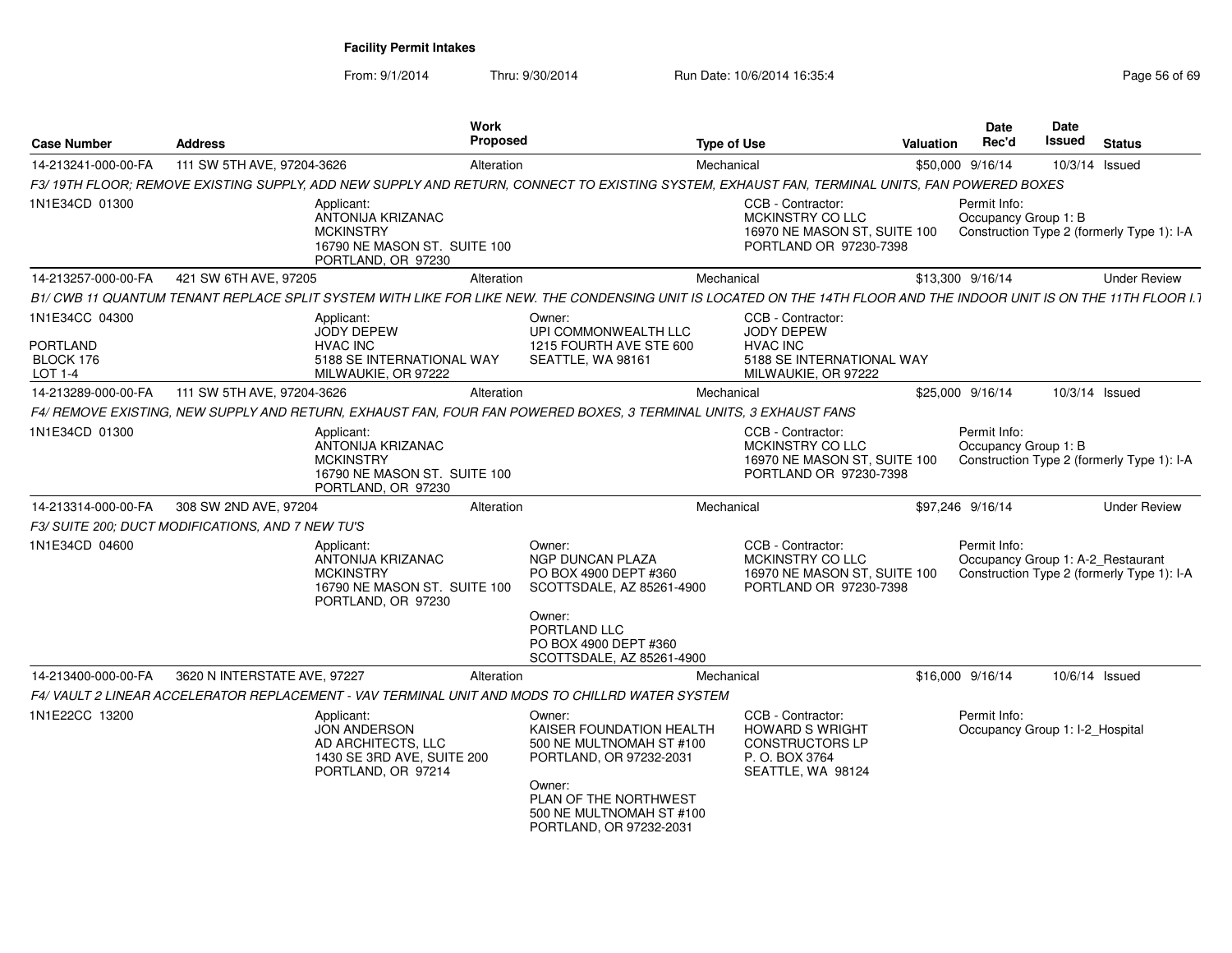| <b>Case Number</b>                                 | <b>Address</b>                                                                                                    | <b>Work</b><br><b>Proposed</b>                                                                                                                                                                          | <b>Type of Use</b>                                                                                                                                                   | <b>Valuation</b> | Date<br>Rec'd                        | <b>Date</b><br>Issued             | <b>Status</b>                              |
|----------------------------------------------------|-------------------------------------------------------------------------------------------------------------------|---------------------------------------------------------------------------------------------------------------------------------------------------------------------------------------------------------|----------------------------------------------------------------------------------------------------------------------------------------------------------------------|------------------|--------------------------------------|-----------------------------------|--------------------------------------------|
| 14-213241-000-00-FA                                | 111 SW 5TH AVE, 97204-3626                                                                                        | Alteration                                                                                                                                                                                              | Mechanical                                                                                                                                                           |                  | \$50,000 9/16/14                     | 10/3/14 Issued                    |                                            |
|                                                    |                                                                                                                   |                                                                                                                                                                                                         | F3/19TH FLOOR; REMOVE EXISTING SUPPLY, ADD NEW SUPPLY AND RETURN, CONNECT TO EXISTING SYSTEM, EXHAUST FAN, TERMINAL UNITS, FAN POWERED BOXES                         |                  |                                      |                                   |                                            |
| 1N1E34CD 01300                                     | Applicant:<br>ANTONIJA KRIZANAC<br><b>MCKINSTRY</b><br>PORTLAND, OR 97230                                         | 16790 NE MASON ST. SUITE 100                                                                                                                                                                            | CCB - Contractor:<br>MCKINSTRY CO LLC<br>16970 NE MASON ST. SUITE 100<br>PORTLAND OR 97230-7398                                                                      |                  | Permit Info:<br>Occupancy Group 1: B |                                   | Construction Type 2 (formerly Type 1): I-A |
| 14-213257-000-00-FA                                | 421 SW 6TH AVE, 97205                                                                                             | Alteration                                                                                                                                                                                              | Mechanical                                                                                                                                                           |                  | \$13,300 9/16/14                     |                                   | <b>Under Review</b>                        |
|                                                    |                                                                                                                   |                                                                                                                                                                                                         | B1/ CWB 11 QUANTUM TENANT REPLACE SPLIT SYSTEM WITH LIKE FOR LIKE NEW. THE CONDENSING UNIT IS LOCATED ON THE 14TH FLOOR AND THE INDOOR UNIT IS ON THE 11TH FLOOR I.1 |                  |                                      |                                   |                                            |
| 1N1E34CC 04300<br>PORTLAND<br>BLOCK 176<br>LOT 1-4 | Applicant:<br><b>JODY DEPEW</b><br><b>HVAC INC</b><br>MILWAUKIE, OR 97222                                         | Owner:<br>UPI COMMONWEALTH LLC<br>1215 FOURTH AVE STE 600<br>5188 SE INTERNATIONAL WAY<br>SEATTLE, WA 98161                                                                                             | CCB - Contractor:<br><b>JODY DEPEW</b><br><b>HVAC INC</b><br>5188 SE INTERNATIONAL WAY<br>MILWAUKIE, OR 97222                                                        |                  |                                      |                                   |                                            |
| 14-213289-000-00-FA                                | 111 SW 5TH AVE, 97204-3626                                                                                        | Alteration                                                                                                                                                                                              | Mechanical                                                                                                                                                           |                  | \$25,000 9/16/14                     | 10/3/14 Issued                    |                                            |
|                                                    | F4/ REMOVE EXISTING, NEW SUPPLY AND RETURN, EXHAUST FAN, FOUR FAN POWERED BOXES, 3 TERMINAL UNITS, 3 EXHAUST FANS |                                                                                                                                                                                                         |                                                                                                                                                                      |                  |                                      |                                   |                                            |
| 1N1E34CD 01300                                     | Applicant:<br><b>ANTONIJA KRIZANAC</b><br><b>MCKINSTRY</b><br>PORTLAND, OR 97230                                  | 16790 NE MASON ST. SUITE 100                                                                                                                                                                            | CCB - Contractor:<br><b>MCKINSTRY CO LLC</b><br>16970 NE MASON ST, SUITE 100<br>PORTLAND OR 97230-7398                                                               |                  | Permit Info:<br>Occupancy Group 1: B |                                   | Construction Type 2 (formerly Type 1): I-A |
| 14-213314-000-00-FA                                | 308 SW 2ND AVE, 97204                                                                                             | Alteration                                                                                                                                                                                              | Mechanical                                                                                                                                                           |                  | \$97,246 9/16/14                     |                                   | <b>Under Review</b>                        |
|                                                    | F3/ SUITE 200; DUCT MODIFICATIONS, AND 7 NEW TU'S                                                                 |                                                                                                                                                                                                         |                                                                                                                                                                      |                  |                                      |                                   |                                            |
| 1N1E34CD 04600                                     | Applicant:<br>ANTONIJA KRIZANAC<br><b>MCKINSTRY</b><br>PORTLAND, OR 97230                                         | Owner:<br><b>NGP DUNCAN PLAZA</b><br>PO BOX 4900 DEPT #360<br>16790 NE MASON ST. SUITE 100<br>SCOTTSDALE, AZ 85261-4900<br>Owner:<br>PORTLAND LLC<br>PO BOX 4900 DEPT #360<br>SCOTTSDALE, AZ 85261-4900 | CCB - Contractor:<br>MCKINSTRY CO LLC<br>16970 NE MASON ST, SUITE 100<br>PORTLAND OR 97230-7398                                                                      |                  | Permit Info:                         | Occupancy Group 1: A-2 Restaurant | Construction Type 2 (formerly Type 1): I-A |
| 14-213400-000-00-FA                                | 3620 N INTERSTATE AVE, 97227                                                                                      | Alteration                                                                                                                                                                                              | Mechanical                                                                                                                                                           |                  | \$16,000 9/16/14                     | 10/6/14 Issued                    |                                            |
|                                                    | F4/ VAULT 2 LINEAR ACCELERATOR REPLACEMENT - VAV TERMINAL UNIT AND MODS TO CHILLRD WATER SYSTEM                   |                                                                                                                                                                                                         |                                                                                                                                                                      |                  |                                      |                                   |                                            |
| 1N1E22CC 13200                                     | Applicant:<br><b>JON ANDERSON</b><br>AD ARCHITECTS, LLC<br>1430 SE 3RD AVE, SUITE 200<br>PORTLAND, OR 97214       | Owner:<br>KAISER FOUNDATION HEALTH<br>500 NE MULTNOMAH ST #100<br>PORTLAND, OR 97232-2031<br>Owner:<br>PLAN OF THE NORTHWEST<br>500 NE MULTNOMAH ST #100<br>PORTLAND, OR 97232-2031                     | CCB - Contractor:<br><b>HOWARD S WRIGHT</b><br><b>CONSTRUCTORS LP</b><br>P. O. BOX 3764<br>SEATTLE, WA 98124                                                         |                  | Permit Info:                         | Occupancy Group 1: I-2 Hospital   |                                            |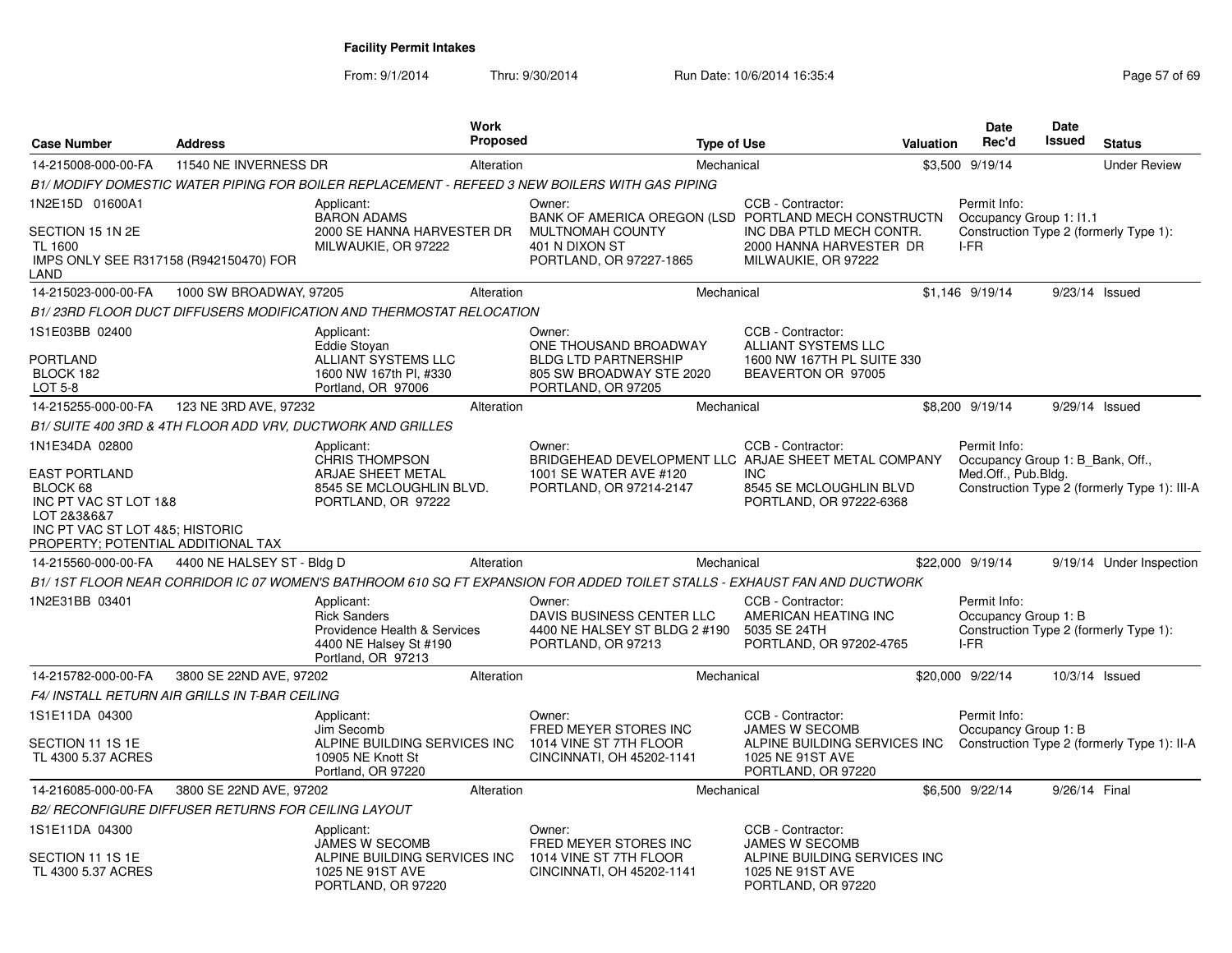| <b>Case Number</b>                                                                                                                         | <b>Address</b>                                      |                                                                                                                   | <b>Work</b><br><b>Proposed</b> |                                                                                                                          | <b>Type of Use</b> |                                                                                              | Valuation | Date<br>Rec'd                                    | <b>Date</b><br><b>Issued</b> | <b>Status</b>                                |
|--------------------------------------------------------------------------------------------------------------------------------------------|-----------------------------------------------------|-------------------------------------------------------------------------------------------------------------------|--------------------------------|--------------------------------------------------------------------------------------------------------------------------|--------------------|----------------------------------------------------------------------------------------------|-----------|--------------------------------------------------|------------------------------|----------------------------------------------|
| 14-215008-000-00-FA                                                                                                                        | 11540 NE INVERNESS DR                               |                                                                                                                   | Alteration                     |                                                                                                                          | Mechanical         |                                                                                              |           | \$3,500 9/19/14                                  |                              | <b>Under Review</b>                          |
|                                                                                                                                            |                                                     |                                                                                                                   |                                | B1/ MODIFY DOMESTIC WATER PIPING FOR BOILER REPLACEMENT - REFEED 3 NEW BOILERS WITH GAS PIPING                           |                    |                                                                                              |           |                                                  |                              |                                              |
| 1N2E15D 01600A1                                                                                                                            |                                                     | Applicant:<br><b>BARON ADAMS</b>                                                                                  |                                | Owner:<br>BANK OF AMERICA OREGON (LSD PORTLAND MECH CONSTRUCTN                                                           |                    | CCB - Contractor:                                                                            |           | Permit Info:<br>Occupancy Group 1: I1.1          |                              |                                              |
| SECTION 15 1N 2E<br><b>TL 1600</b><br>IMPS ONLY SEE R317158 (R942150470) FOR<br>LAND                                                       |                                                     | 2000 SE HANNA HARVESTER DR<br>MILWAUKIE, OR 97222                                                                 |                                | <b>MULTNOMAH COUNTY</b><br>401 N DIXON ST<br>PORTLAND, OR 97227-1865                                                     |                    | INC DBA PTLD MECH CONTR.<br>2000 HANNA HARVESTER DR<br>MILWAUKIE, OR 97222                   |           | I-FR                                             |                              | Construction Type 2 (formerly Type 1):       |
| 14-215023-000-00-FA                                                                                                                        | 1000 SW BROADWAY, 97205                             |                                                                                                                   | Alteration                     |                                                                                                                          | Mechanical         |                                                                                              |           | \$1,146 9/19/14                                  |                              | 9/23/14 Issued                               |
|                                                                                                                                            |                                                     | B1/23RD FLOOR DUCT DIFFUSERS MODIFICATION AND THERMOSTAT RELOCATION                                               |                                |                                                                                                                          |                    |                                                                                              |           |                                                  |                              |                                              |
| 1S1E03BB 02400<br><b>PORTLAND</b><br>BLOCK 182<br>LOT 5-8                                                                                  |                                                     | Applicant:<br>Eddie Stoyan<br><b>ALLIANT SYSTEMS LLC</b><br>1600 NW 167th Pl, #330<br>Portland, OR 97006          |                                | Owner:<br>ONE THOUSAND BROADWAY<br><b>BLDG LTD PARTNERSHIP</b><br>805 SW BROADWAY STE 2020<br>PORTLAND, OR 97205         |                    | CCB - Contractor:<br>ALLIANT SYSTEMS LLC<br>1600 NW 167TH PL SUITE 330<br>BEAVERTON OR 97005 |           |                                                  |                              |                                              |
| 14-215255-000-00-FA                                                                                                                        | 123 NE 3RD AVE, 97232                               |                                                                                                                   | Alteration                     |                                                                                                                          | Mechanical         |                                                                                              |           | \$8,200 9/19/14                                  |                              | 9/29/14 Issued                               |
|                                                                                                                                            |                                                     | B1/ SUITE 400 3RD & 4TH FLOOR ADD VRV, DUCTWORK AND GRILLES                                                       |                                |                                                                                                                          |                    |                                                                                              |           |                                                  |                              |                                              |
| 1N1E34DA 02800                                                                                                                             |                                                     | Applicant:<br><b>CHRIS THOMPSON</b>                                                                               |                                | Owner:<br>BRIDGEHEAD DEVELOPMENT LLC ARJAE SHEET METAL COMPANY                                                           |                    | CCB - Contractor:                                                                            |           | Permit Info:<br>Occupancy Group 1: B Bank, Off., |                              |                                              |
| EAST PORTLAND<br>BLOCK 68<br>INC PT VAC ST LOT 1&8<br>LOT 2&3&6&7<br>INC PT VAC ST LOT 4&5; HISTORIC<br>PROPERTY; POTENTIAL ADDITIONAL TAX |                                                     | ARJAE SHEET METAL<br>8545 SE MCLOUGHLIN BLVD.<br>PORTLAND, OR 97222                                               |                                | 1001 SE WATER AVE #120<br>PORTLAND, OR 97214-2147                                                                        |                    | <b>INC</b><br>8545 SE MCLOUGHLIN BLVD<br>PORTLAND, OR 97222-6368                             |           | Med.Off., Pub.Bldg.                              |                              | Construction Type 2 (formerly Type 1): III-A |
| 14-215560-000-00-FA                                                                                                                        | 4400 NE HALSEY ST - Bldg D                          |                                                                                                                   | Alteration                     |                                                                                                                          | Mechanical         |                                                                                              |           | \$22,000 9/19/14                                 |                              | 9/19/14 Under Inspection                     |
|                                                                                                                                            |                                                     |                                                                                                                   |                                | B1/1ST FLOOR NEAR CORRIDOR IC 07 WOMEN'S BATHROOM 610 SQ FT EXPANSION FOR ADDED TOILET STALLS - EXHAUST FAN AND DUCTWORK |                    |                                                                                              |           |                                                  |                              |                                              |
| 1N2E31BB 03401                                                                                                                             |                                                     | Applicant:<br><b>Rick Sanders</b><br>Providence Health & Services<br>4400 NE Halsey St #190<br>Portland, OR 97213 |                                | Owner:<br>DAVIS BUSINESS CENTER LLC<br>4400 NE HALSEY ST BLDG 2 #190<br>PORTLAND, OR 97213                               |                    | CCB - Contractor:<br>AMERICAN HEATING INC<br>5035 SE 24TH<br>PORTLAND, OR 97202-4765         |           | Permit Info:<br>Occupancy Group 1: B<br>I-FR     |                              | Construction Type 2 (formerly Type 1):       |
| 14-215782-000-00-FA                                                                                                                        | 3800 SE 22ND AVE, 97202                             |                                                                                                                   | Alteration                     |                                                                                                                          | Mechanical         |                                                                                              |           | \$20,000 9/22/14                                 |                              | 10/3/14 Issued                               |
|                                                                                                                                            | F4/ INSTALL RETURN AIR GRILLS IN T-BAR CEILING      |                                                                                                                   |                                |                                                                                                                          |                    |                                                                                              |           |                                                  |                              |                                              |
| 1S1E11DA 04300                                                                                                                             |                                                     | Applicant:<br>Jim Secomb                                                                                          |                                | Owner:<br>FRED MEYER STORES INC                                                                                          |                    | CCB - Contractor:<br><b>JAMES W SECOMB</b>                                                   |           | Permit Info:<br>Occupancy Group 1: B             |                              |                                              |
| SECTION 11 1S 1E<br>TL 4300 5.37 ACRES                                                                                                     |                                                     | ALPINE BUILDING SERVICES INC<br>10905 NE Knott St<br>Portland, OR 97220                                           |                                | 1014 VINE ST 7TH FLOOR<br>CINCINNATI, OH 45202-1141                                                                      |                    | ALPINE BUILDING SERVICES INC<br>1025 NE 91ST AVE<br>PORTLAND, OR 97220                       |           |                                                  |                              | Construction Type 2 (formerly Type 1): II-A  |
| 14-216085-000-00-FA                                                                                                                        | 3800 SE 22ND AVE, 97202                             |                                                                                                                   | Alteration                     |                                                                                                                          | Mechanical         |                                                                                              |           | \$6,500 9/22/14                                  | 9/26/14 Final                |                                              |
|                                                                                                                                            | B2/ RECONFIGURE DIFFUSER RETURNS FOR CEILING LAYOUT |                                                                                                                   |                                |                                                                                                                          |                    |                                                                                              |           |                                                  |                              |                                              |
| 1S1E11DA 04300                                                                                                                             |                                                     | Applicant:<br>JAMES W SECOMB                                                                                      |                                | Owner:<br>FRED MEYER STORES INC                                                                                          |                    | CCB - Contractor:<br><b>JAMES W SECOMB</b>                                                   |           |                                                  |                              |                                              |
| SECTION 11 1S 1E<br>TL 4300 5.37 ACRES                                                                                                     |                                                     | ALPINE BUILDING SERVICES INC<br>1025 NE 91ST AVE<br>PORTLAND, OR 97220                                            |                                | 1014 VINE ST 7TH FLOOR<br>CINCINNATI, OH 45202-1141                                                                      |                    | ALPINE BUILDING SERVICES INC<br>1025 NE 91ST AVE<br>PORTLAND, OR 97220                       |           |                                                  |                              |                                              |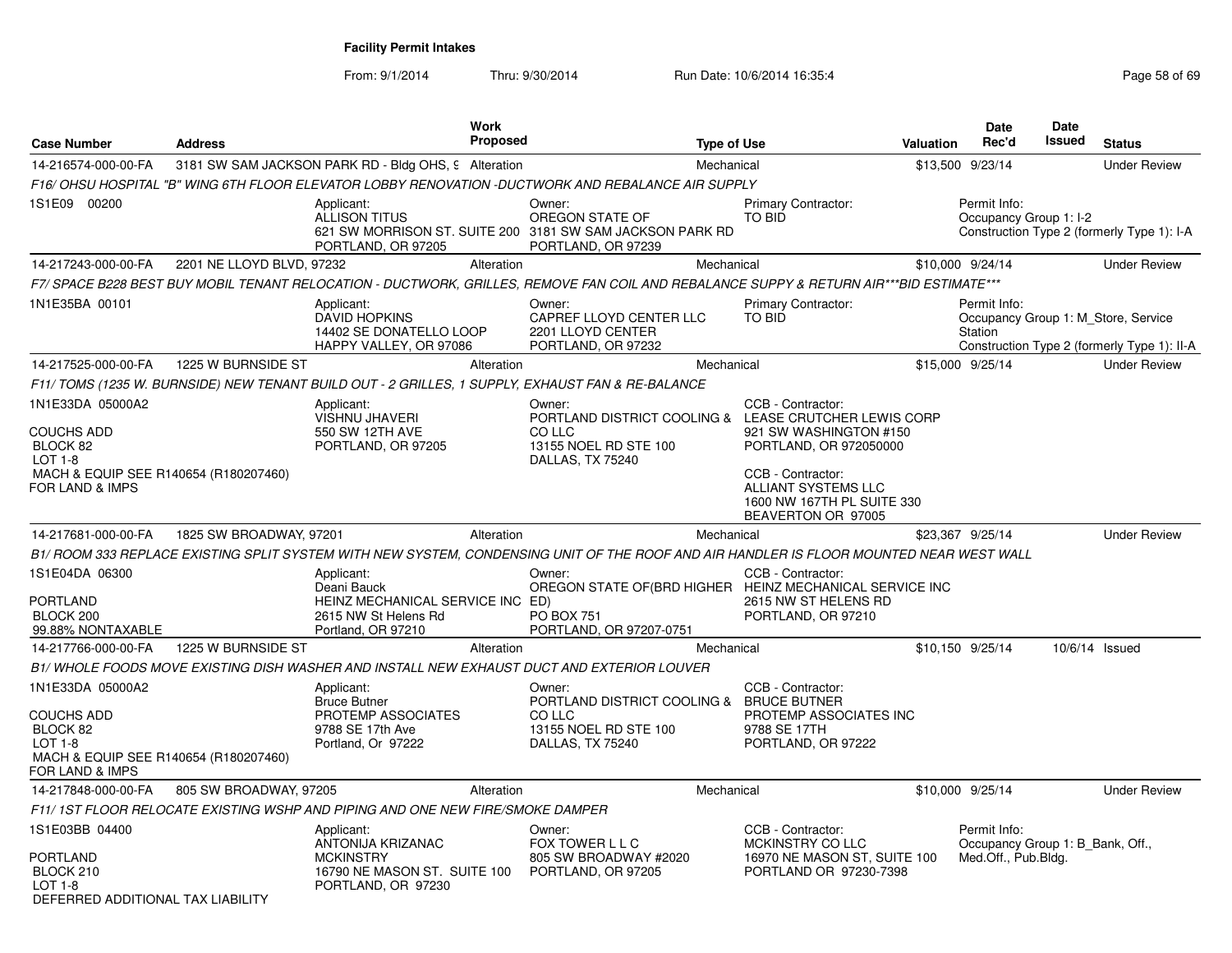| <b>Case Number</b>                                                                                                              | <b>Address</b>            |                                                                                                             | <b>Work</b><br><b>Proposed</b> |                                                                                                                                         | <b>Type of Use</b> |                                                                                                                                                     | Valuation | <b>Date</b><br>Rec'd                                                    | Date<br>Issued | <b>Status</b>                                                                      |
|---------------------------------------------------------------------------------------------------------------------------------|---------------------------|-------------------------------------------------------------------------------------------------------------|--------------------------------|-----------------------------------------------------------------------------------------------------------------------------------------|--------------------|-----------------------------------------------------------------------------------------------------------------------------------------------------|-----------|-------------------------------------------------------------------------|----------------|------------------------------------------------------------------------------------|
| 14-216574-000-00-FA                                                                                                             |                           | 3181 SW SAM JACKSON PARK RD - Bldg OHS, 9 Alteration                                                        |                                |                                                                                                                                         | Mechanical         |                                                                                                                                                     |           | \$13,500 9/23/14                                                        |                | <b>Under Review</b>                                                                |
|                                                                                                                                 |                           |                                                                                                             |                                | F16/ OHSU HOSPITAL "B" WING 6TH FLOOR ELEVATOR LOBBY RENOVATION -DUCTWORK AND REBALANCE AIR SUPPLY                                      |                    |                                                                                                                                                     |           |                                                                         |                |                                                                                    |
| 1S1E09 00200                                                                                                                    |                           | Applicant:<br><b>ALLISON TITUS</b><br>PORTLAND, OR 97205                                                    |                                | Owner:<br>OREGON STATE OF<br>621 SW MORRISON ST. SUITE 200 3181 SW SAM JACKSON PARK RD<br>PORTLAND, OR 97239                            |                    | Primary Contractor:<br><b>TO BID</b>                                                                                                                |           | Permit Info:<br>Occupancy Group 1: I-2                                  |                | Construction Type 2 (formerly Type 1): I-A                                         |
| 14-217243-000-00-FA                                                                                                             | 2201 NE LLOYD BLVD, 97232 |                                                                                                             | Alteration                     |                                                                                                                                         | Mechanical         |                                                                                                                                                     |           | \$10,000 9/24/14                                                        |                | <b>Under Review</b>                                                                |
|                                                                                                                                 |                           |                                                                                                             |                                | F7/ SPACE B228 BEST BUY MOBIL TENANT RELOCATION - DUCTWORK, GRILLES, REMOVE FAN COIL AND REBALANCE SUPPY & RETURN AIR***BID ESTIMATE*** |                    |                                                                                                                                                     |           |                                                                         |                |                                                                                    |
| 1N1E35BA 00101                                                                                                                  |                           | Applicant:<br><b>DAVID HOPKINS</b><br>14402 SE DONATELLO LOOP<br>HAPPY VALLEY, OR 97086                     |                                | Owner:<br>CAPREF LLOYD CENTER LLC<br>2201 LLOYD CENTER<br>PORTLAND, OR 97232                                                            |                    | <b>Primary Contractor:</b><br>TO BID                                                                                                                |           | Permit Info:<br>Station                                                 |                | Occupancy Group 1: M_Store, Service<br>Construction Type 2 (formerly Type 1): II-A |
| 14-217525-000-00-FA                                                                                                             | 1225 W BURNSIDE ST        |                                                                                                             | Alteration                     |                                                                                                                                         | Mechanical         |                                                                                                                                                     |           | \$15,000 9/25/14                                                        |                | <b>Under Review</b>                                                                |
|                                                                                                                                 |                           |                                                                                                             |                                | F11/ TOMS (1235 W. BURNSIDE) NEW TENANT BUILD OUT - 2 GRILLES, 1 SUPPLY, EXHAUST FAN & RE-BALANCE                                       |                    |                                                                                                                                                     |           |                                                                         |                |                                                                                    |
| 1N1E33DA 05000A2<br><b>COUCHS ADD</b><br>BLOCK 82<br>LOT 1-8<br>MACH & EQUIP SEE R140654 (R180207460)                           |                           | Applicant:<br><b>VISHNU JHAVERI</b><br>550 SW 12TH AVE<br>PORTLAND, OR 97205                                |                                | Owner:<br>CO LLC<br>13155 NOEL RD STE 100<br>DALLAS, TX 75240                                                                           |                    | CCB - Contractor:<br>PORTLAND DISTRICT COOLING & LEASE CRUTCHER LEWIS CORP<br>921 SW WASHINGTON #150<br>PORTLAND, OR 972050000<br>CCB - Contractor: |           |                                                                         |                |                                                                                    |
| FOR LAND & IMPS                                                                                                                 |                           |                                                                                                             |                                |                                                                                                                                         |                    | ALLIANT SYSTEMS LLC<br>1600 NW 167TH PL SUITE 330<br>BEAVERTON OR 97005                                                                             |           |                                                                         |                |                                                                                    |
| 14-217681-000-00-FA                                                                                                             | 1825 SW BROADWAY, 97201   |                                                                                                             | Alteration                     |                                                                                                                                         | Mechanical         |                                                                                                                                                     |           | \$23,367 9/25/14                                                        |                | <b>Under Review</b>                                                                |
|                                                                                                                                 |                           |                                                                                                             |                                | B1/ ROOM 333 REPLACE EXISTING SPLIT SYSTEM WITH NEW SYSTEM. CONDENSING UNIT OF THE ROOF AND AIR HANDLER IS FLOOR MOUNTED NEAR WEST WALL |                    |                                                                                                                                                     |           |                                                                         |                |                                                                                    |
| 1S1E04DA 06300<br><b>PORTLAND</b><br>BLOCK 200<br>99.88% NONTAXABLE                                                             |                           | Applicant:<br>Deani Bauck<br>HEINZ MECHANICAL SERVICE INC ED)<br>2615 NW St Helens Rd<br>Portland, OR 97210 |                                | Owner:<br><b>PO BOX 751</b><br>PORTLAND, OR 97207-0751                                                                                  |                    | CCB - Contractor:<br>OREGON STATE OF(BRD HIGHER HEINZ MECHANICAL SERVICE INC<br>2615 NW ST HELENS RD<br>PORTLAND, OR 97210                          |           |                                                                         |                |                                                                                    |
| 14-217766-000-00-FA                                                                                                             | 1225 W BURNSIDE ST        |                                                                                                             | Alteration                     |                                                                                                                                         | Mechanical         |                                                                                                                                                     |           | \$10,150 9/25/14                                                        |                | 10/6/14 Issued                                                                     |
|                                                                                                                                 |                           |                                                                                                             |                                | B1/ WHOLE FOODS MOVE EXISTING DISH WASHER AND INSTALL NEW EXHAUST DUCT AND EXTERIOR LOUVER                                              |                    |                                                                                                                                                     |           |                                                                         |                |                                                                                    |
| 1N1E33DA 05000A2<br><b>COUCHS ADD</b><br>BLOCK 82<br><b>LOT 1-8</b><br>MACH & EQUIP SEE R140654 (R180207460)<br>FOR LAND & IMPS |                           | Applicant:<br><b>Bruce Butner</b><br><b>PROTEMP ASSOCIATES</b><br>9788 SE 17th Ave<br>Portland, Or 97222    |                                | Owner:<br>PORTLAND DISTRICT COOLING & BRUCE BUTNER<br>CO LLC<br>13155 NOEL RD STE 100<br>DALLAS, TX 75240                               |                    | CCB - Contractor:<br>PROTEMP ASSOCIATES INC<br>9788 SE 17TH<br>PORTLAND, OR 97222                                                                   |           |                                                                         |                |                                                                                    |
| 14-217848-000-00-FA                                                                                                             | 805 SW BROADWAY, 97205    |                                                                                                             | Alteration                     |                                                                                                                                         | Mechanical         |                                                                                                                                                     |           | \$10,000 9/25/14                                                        |                | <b>Under Review</b>                                                                |
|                                                                                                                                 |                           | F11/1ST FLOOR RELOCATE EXISTING WSHP AND PIPING AND ONE NEW FIRE/SMOKE DAMPER                               |                                |                                                                                                                                         |                    |                                                                                                                                                     |           |                                                                         |                |                                                                                    |
| 1S1E03BB 04400<br>PORTLAND<br>BLOCK 210                                                                                         |                           | Applicant:<br>ANTONIJA KRIZANAC<br><b>MCKINSTRY</b><br>16790 NE MASON ST. SUITE 100                         |                                | Owner:<br>FOX TOWER L L C<br>805 SW BROADWAY #2020<br>PORTLAND, OR 97205                                                                |                    | CCB - Contractor:<br>MCKINSTRY CO LLC<br>16970 NE MASON ST, SUITE 100<br>PORTLAND OR 97230-7398                                                     |           | Permit Info:<br>Occupancy Group 1: B_Bank, Off.,<br>Med.Off., Pub.Bldg. |                |                                                                                    |
| <b>LOT 1-8</b><br>DEFERRED ADDITIONAL TAX LIABILITY                                                                             |                           | PORTLAND, OR 97230                                                                                          |                                |                                                                                                                                         |                    |                                                                                                                                                     |           |                                                                         |                |                                                                                    |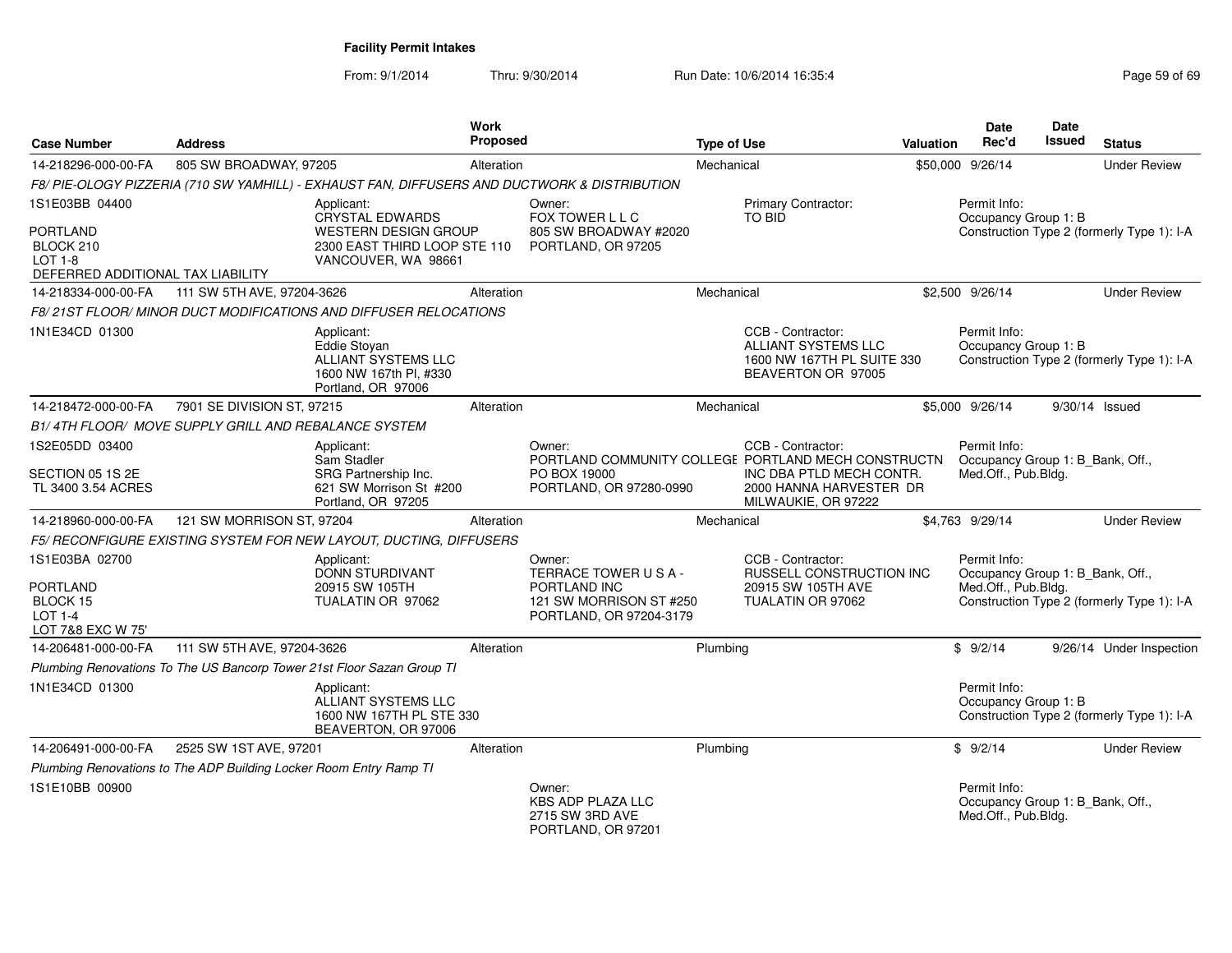| <b>Case Number</b>                                                    | <b>Address</b>                                                     |                                                                                                   | Work<br>Proposed |                                                                      | <b>Type of Use</b> |                                                                                                     | <b>Valuation</b> | Date<br>Rec'd                                                           | <b>Date</b><br><b>Issued</b> | <b>Status</b>                              |
|-----------------------------------------------------------------------|--------------------------------------------------------------------|---------------------------------------------------------------------------------------------------|------------------|----------------------------------------------------------------------|--------------------|-----------------------------------------------------------------------------------------------------|------------------|-------------------------------------------------------------------------|------------------------------|--------------------------------------------|
| 14-218296-000-00-FA                                                   | 805 SW BROADWAY, 97205                                             |                                                                                                   | Alteration       |                                                                      | Mechanical         |                                                                                                     |                  | \$50,000 9/26/14                                                        |                              | <b>Under Review</b>                        |
|                                                                       |                                                                    | F8/PIE-OLOGY PIZZERIA (710 SW YAMHILL) - EXHAUST FAN, DIFFUSERS AND DUCTWORK & DISTRIBUTION       |                  |                                                                      |                    |                                                                                                     |                  |                                                                         |                              |                                            |
| 1S1E03BB 04400                                                        |                                                                    | Applicant:<br><b>CRYSTAL EDWARDS</b>                                                              |                  | Owner:<br>FOX TOWER L L C                                            |                    | <b>Primary Contractor:</b><br><b>TO BID</b>                                                         |                  | Permit Info:<br>Occupancy Group 1: B                                    |                              |                                            |
| PORTLAND<br>BLOCK 210<br>LOT 1-8<br>DEFERRED ADDITIONAL TAX LIABILITY |                                                                    | <b>WESTERN DESIGN GROUP</b><br>2300 EAST THIRD LOOP STE 110<br>VANCOUVER, WA 98661                |                  | 805 SW BROADWAY #2020<br>PORTLAND, OR 97205                          |                    |                                                                                                     |                  |                                                                         |                              | Construction Type 2 (formerly Type 1): I-A |
| 14-218334-000-00-FA                                                   | 111 SW 5TH AVE, 97204-3626                                         |                                                                                                   | Alteration       |                                                                      | Mechanical         |                                                                                                     |                  | \$2,500 9/26/14                                                         |                              | <b>Under Review</b>                        |
|                                                                       |                                                                    | F8/21ST FLOOR/MINOR DUCT MODIFICATIONS AND DIFFUSER RELOCATIONS                                   |                  |                                                                      |                    |                                                                                                     |                  |                                                                         |                              |                                            |
| 1N1E34CD 01300                                                        |                                                                    | Applicant:<br>Eddie Stovan<br>ALLIANT SYSTEMS LLC<br>1600 NW 167th Pl, #330<br>Portland, OR 97006 |                  |                                                                      |                    | CCB - Contractor:<br><b>ALLIANT SYSTEMS LLC</b><br>1600 NW 167TH PL SUITE 330<br>BEAVERTON OR 97005 |                  | Permit Info:<br>Occupancy Group 1: B                                    |                              | Construction Type 2 (formerly Type 1): I-A |
| 14-218472-000-00-FA                                                   | 7901 SE DIVISION ST, 97215                                         |                                                                                                   | Alteration       |                                                                      | Mechanical         |                                                                                                     |                  | \$5,000 9/26/14                                                         |                              | 9/30/14 Issued                             |
|                                                                       | B1/4TH FLOOR/ MOVE SUPPLY GRILL AND REBALANCE SYSTEM               |                                                                                                   |                  |                                                                      |                    |                                                                                                     |                  |                                                                         |                              |                                            |
| 1S2E05DD 03400                                                        |                                                                    | Applicant:<br>Sam Stadler                                                                         |                  | Owner:<br>PORTLAND COMMUNITY COLLEGE PORTLAND MECH CONSTRUCTN        |                    | CCB - Contractor:                                                                                   |                  | Permit Info:<br>Occupancy Group 1: B_Bank, Off.,                        |                              |                                            |
| SECTION 05 1S 2E<br>TL 3400 3.54 ACRES                                |                                                                    | SRG Partnership Inc.<br>621 SW Morrison St #200<br>Portland, OR 97205                             |                  | PO BOX 19000<br>PORTLAND, OR 97280-0990                              |                    | INC DBA PTLD MECH CONTR.<br>2000 HANNA HARVESTER DR<br>MILWAUKIE, OR 97222                          |                  | Med.Off., Pub.Bldg.                                                     |                              |                                            |
| 14-218960-000-00-FA                                                   | 121 SW MORRISON ST, 97204                                          |                                                                                                   | Alteration       |                                                                      | Mechanical         |                                                                                                     |                  | \$4,763 9/29/14                                                         |                              | <b>Under Review</b>                        |
|                                                                       |                                                                    | F5/ RECONFIGURE EXISTING SYSTEM FOR NEW LAYOUT, DUCTING, DIFFUSERS                                |                  |                                                                      |                    |                                                                                                     |                  |                                                                         |                              |                                            |
| 1S1E03BA 02700                                                        |                                                                    | Applicant:<br><b>DONN STURDIVANT</b>                                                              |                  | Owner:<br>TERRACE TOWER USA-                                         |                    | CCB - Contractor:<br>RUSSELL CONSTRUCTION INC                                                       |                  | Permit Info:<br>Occupancy Group 1: B_Bank, Off.,                        |                              |                                            |
| PORTLAND<br>BLOCK 15<br>$LOT 1-4$<br>LOT 7&8 EXC W 75'                |                                                                    | 20915 SW 105TH<br>TUALATIN OR 97062                                                               |                  | PORTLAND INC<br>121 SW MORRISON ST #250<br>PORTLAND, OR 97204-3179   |                    | 20915 SW 105TH AVE<br>TUALATIN OR 97062                                                             |                  | Med.Off., Pub.Bldg.                                                     |                              | Construction Type 2 (formerly Type 1): I-A |
| 14-206481-000-00-FA                                                   | 111 SW 5TH AVE, 97204-3626                                         |                                                                                                   | Alteration       |                                                                      | Plumbing           |                                                                                                     |                  | \$9/2/14                                                                |                              | 9/26/14 Under Inspection                   |
|                                                                       |                                                                    | Plumbing Renovations To The US Bancorp Tower 21st Floor Sazan Group TI                            |                  |                                                                      |                    |                                                                                                     |                  |                                                                         |                              |                                            |
| 1N1E34CD 01300                                                        |                                                                    | Applicant:<br>ALLIANT SYSTEMS LLC<br>1600 NW 167TH PL STE 330<br>BEAVERTON, OR 97006              |                  |                                                                      |                    |                                                                                                     |                  | Permit Info:<br>Occupancy Group 1: B                                    |                              | Construction Type 2 (formerly Type 1): I-A |
| 14-206491-000-00-FA                                                   | 2525 SW 1ST AVE, 97201                                             |                                                                                                   | Alteration       |                                                                      | Plumbing           |                                                                                                     |                  | \$9/2/14                                                                |                              | <b>Under Review</b>                        |
|                                                                       | Plumbing Renovations to The ADP Building Locker Room Entry Ramp TI |                                                                                                   |                  |                                                                      |                    |                                                                                                     |                  |                                                                         |                              |                                            |
| 1S1E10BB 00900                                                        |                                                                    |                                                                                                   |                  | Owner:<br>KBS ADP PLAZA LLC<br>2715 SW 3RD AVE<br>PORTLAND, OR 97201 |                    |                                                                                                     |                  | Permit Info:<br>Occupancy Group 1: B_Bank, Off.,<br>Med.Off., Pub.Bldg. |                              |                                            |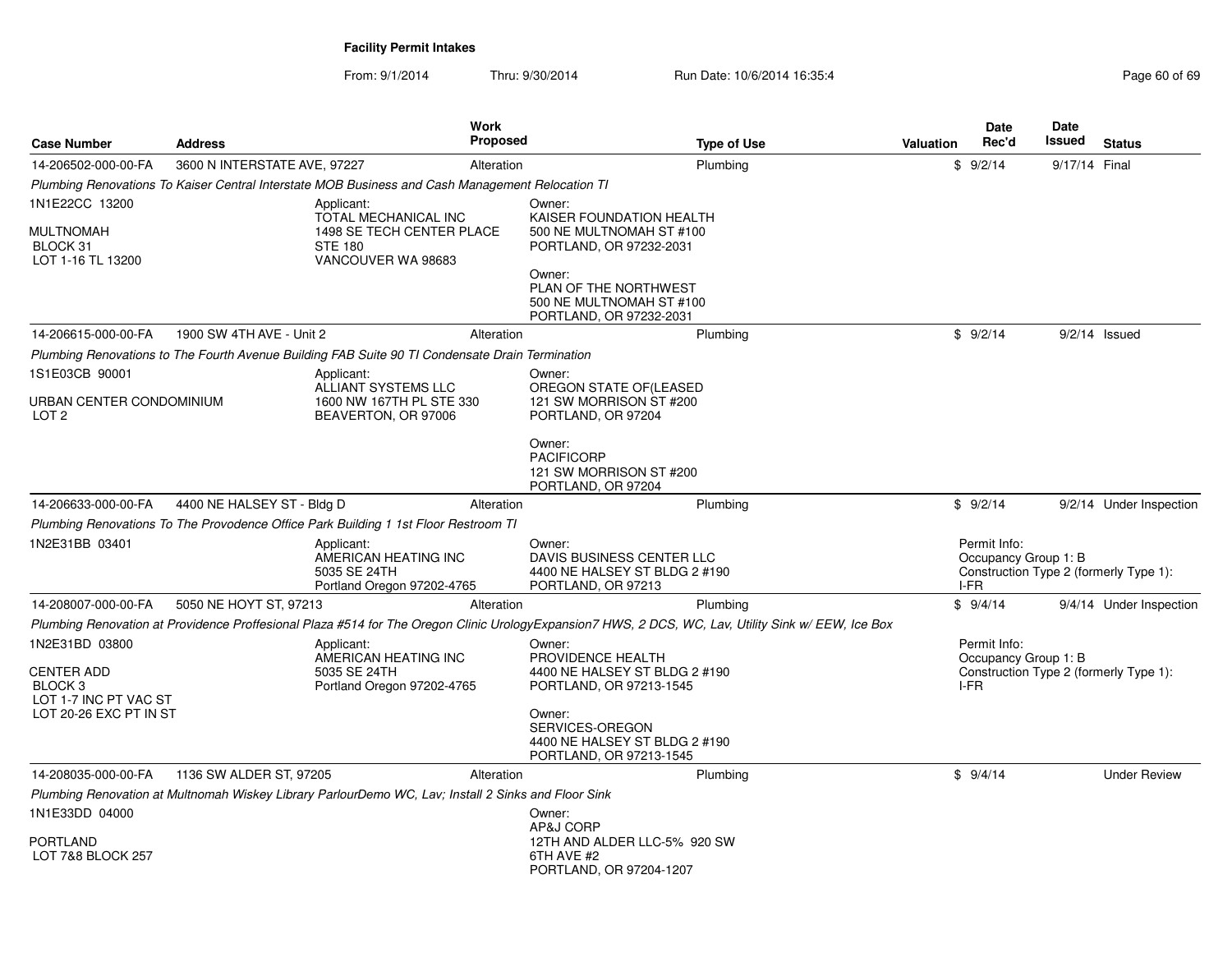| <b>Case Number</b>                              | <b>Address</b>               |                                                                                                     | <b>Work</b><br>Proposed | <b>Type of Use</b>                                                                                                                                  | <b>Valuation</b> | <b>Date</b><br>Rec'd                         | <b>Date</b><br>Issued | <b>Status</b>                          |
|-------------------------------------------------|------------------------------|-----------------------------------------------------------------------------------------------------|-------------------------|-----------------------------------------------------------------------------------------------------------------------------------------------------|------------------|----------------------------------------------|-----------------------|----------------------------------------|
| 14-206502-000-00-FA                             | 3600 N INTERSTATE AVE, 97227 |                                                                                                     | Alteration              | Plumbing                                                                                                                                            |                  | \$9/2/14                                     | 9/17/14 Final         |                                        |
|                                                 |                              | Plumbing Renovations To Kaiser Central Interstate MOB Business and Cash Management Relocation TI    |                         |                                                                                                                                                     |                  |                                              |                       |                                        |
| 1N1E22CC 13200<br>MULTNOMAH<br>BLOCK 31         |                              | Applicant:<br>TOTAL MECHANICAL INC<br>1498 SE TECH CENTER PLACE<br><b>STE 180</b>                   |                         | Owner:<br>KAISER FOUNDATION HEALTH<br>500 NE MULTNOMAH ST #100<br>PORTLAND, OR 97232-2031                                                           |                  |                                              |                       |                                        |
| LOT 1-16 TL 13200                               |                              | VANCOUVER WA 98683                                                                                  |                         | Owner:<br>PLAN OF THE NORTHWEST<br>500 NE MULTNOMAH ST #100<br>PORTLAND, OR 97232-2031                                                              |                  |                                              |                       |                                        |
| 14-206615-000-00-FA                             | 1900 SW 4TH AVE - Unit 2     |                                                                                                     | Alteration              | Plumbing                                                                                                                                            |                  | \$9/2/14                                     |                       | $9/2/14$ Issued                        |
|                                                 |                              | Plumbing Renovations to The Fourth Avenue Building FAB Suite 90 TI Condensate Drain Termination     |                         |                                                                                                                                                     |                  |                                              |                       |                                        |
| 1S1E03CB 90001                                  |                              | Applicant:                                                                                          |                         | Owner:                                                                                                                                              |                  |                                              |                       |                                        |
| URBAN CENTER CONDOMINIUM<br>LOT <sub>2</sub>    |                              | ALLIANT SYSTEMS LLC<br>1600 NW 167TH PL STE 330<br>BEAVERTON, OR 97006                              |                         | OREGON STATE OF(LEASED<br>121 SW MORRISON ST #200<br>PORTLAND, OR 97204                                                                             |                  |                                              |                       |                                        |
|                                                 |                              |                                                                                                     |                         | Owner:<br><b>PACIFICORP</b><br>121 SW MORRISON ST #200<br>PORTLAND, OR 97204                                                                        |                  |                                              |                       |                                        |
| 14-206633-000-00-FA                             | 4400 NE HALSEY ST - Bldg D   |                                                                                                     | Alteration              | Plumbing                                                                                                                                            |                  | \$9/2/14                                     |                       | 9/2/14 Under Inspection                |
|                                                 |                              | Plumbing Renovations To The Provodence Office Park Building 1 1st Floor Restroom TI                 |                         |                                                                                                                                                     |                  |                                              |                       |                                        |
| 1N2E31BB 03401                                  |                              | Applicant:<br>AMERICAN HEATING INC<br>5035 SE 24TH<br>Portland Oregon 97202-4765                    |                         | Owner:<br>DAVIS BUSINESS CENTER LLC<br>4400 NE HALSEY ST BLDG 2 #190<br>PORTLAND, OR 97213                                                          |                  | Permit Info:<br>Occupancy Group 1: B<br>I-FR |                       | Construction Type 2 (formerly Type 1): |
| 14-208007-000-00-FA                             | 5050 NE HOYT ST, 97213       |                                                                                                     | Alteration              | Plumbing                                                                                                                                            |                  | \$9/4/14                                     |                       | 9/4/14 Under Inspection                |
|                                                 |                              |                                                                                                     |                         | Plumbing Renovation at Providence Proffesional Plaza #514 for The Oregon Clinic UrologyExpansion7 HWS, 2 DCS, WC, Lav, Utility Sink w/ EEW, Ice Box |                  |                                              |                       |                                        |
| 1N2E31BD 03800<br><b>CENTER ADD</b><br>BLOCK 3  |                              | Applicant:<br>AMERICAN HEATING INC<br>5035 SE 24TH<br>Portland Oregon 97202-4765                    |                         | Owner:<br>PROVIDENCE HEALTH<br>4400 NE HALSEY ST BLDG 2 #190<br>PORTLAND, OR 97213-1545                                                             |                  | Permit Info:<br>Occupancy Group 1: B<br>I-FR |                       | Construction Type 2 (formerly Type 1): |
| LOT 1-7 INC PT VAC ST<br>LOT 20-26 EXC PT IN ST |                              |                                                                                                     |                         | Owner:<br>SERVICES-OREGON<br>4400 NE HALSEY ST BLDG 2 #190<br>PORTLAND, OR 97213-1545                                                               |                  |                                              |                       |                                        |
| 14-208035-000-00-FA                             | 1136 SW ALDER ST, 97205      |                                                                                                     | Alteration              | Plumbing                                                                                                                                            |                  | \$9/4/14                                     |                       | <b>Under Review</b>                    |
|                                                 |                              | Plumbing Renovation at Multnomah Wiskey Library ParlourDemo WC, Lav; Install 2 Sinks and Floor Sink |                         |                                                                                                                                                     |                  |                                              |                       |                                        |
| 1N1E33DD 04000                                  |                              |                                                                                                     |                         | Owner:<br>AP&J CORP                                                                                                                                 |                  |                                              |                       |                                        |
| PORTLAND<br>LOT 7&8 BLOCK 257                   |                              |                                                                                                     |                         | 12TH AND ALDER LLC-5% 920 SW<br>6TH AVE #2<br>PORTLAND, OR 97204-1207                                                                               |                  |                                              |                       |                                        |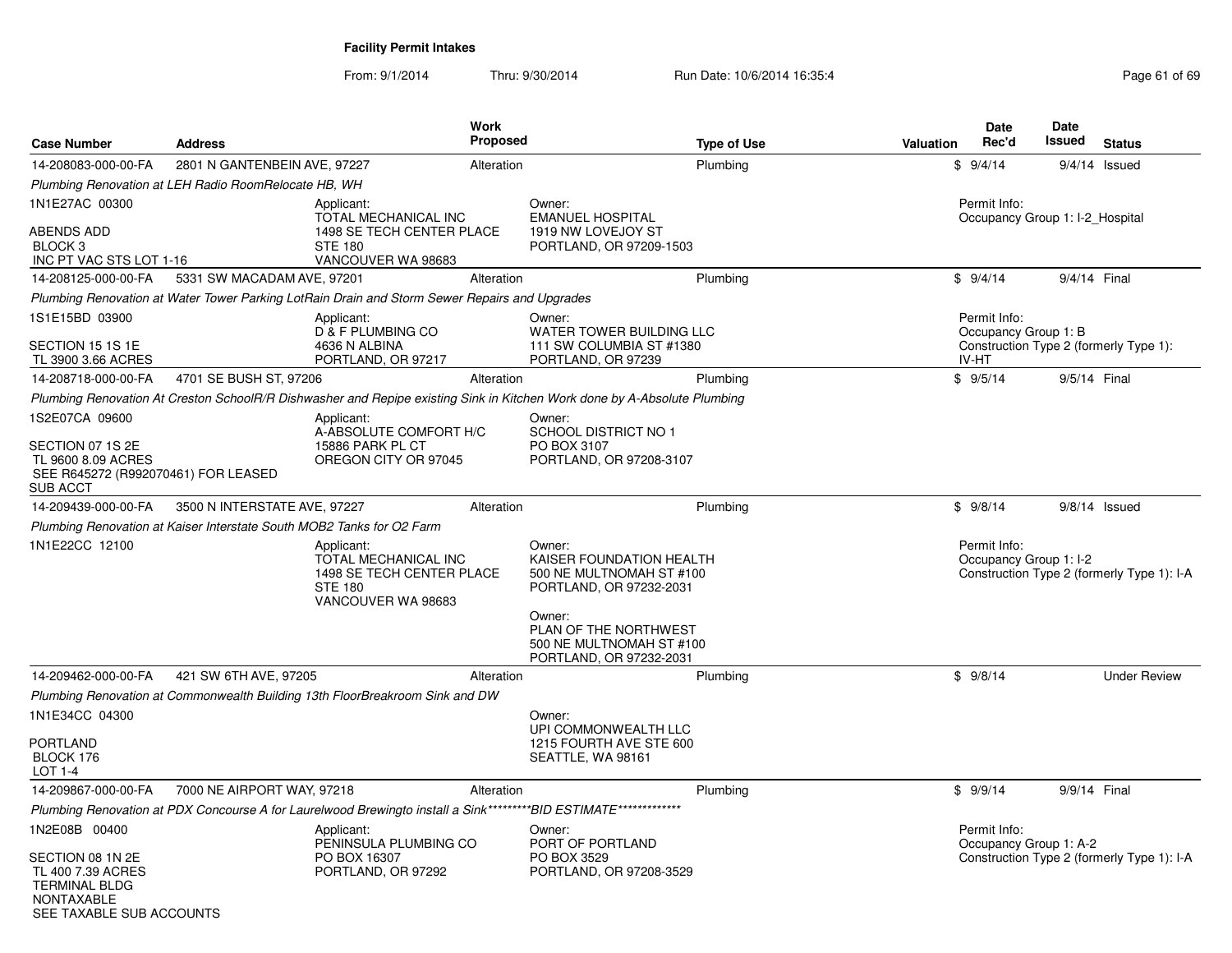| <b>Case Number</b>                                                                                             | <b>Address</b>                                       |                                                                                                                 | <b>Work</b><br><b>Proposed</b> | <b>Type of Use</b>                                                                                                       | <b>Valuation</b> | <b>Date</b><br>Rec'd                            | Date<br>Issued | <b>Status</b>                              |
|----------------------------------------------------------------------------------------------------------------|------------------------------------------------------|-----------------------------------------------------------------------------------------------------------------|--------------------------------|--------------------------------------------------------------------------------------------------------------------------|------------------|-------------------------------------------------|----------------|--------------------------------------------|
| 14-208083-000-00-FA                                                                                            | 2801 N GANTENBEIN AVE, 97227                         |                                                                                                                 | Alteration                     | Plumbing                                                                                                                 |                  | \$9/4/14                                        |                | $9/4/14$ Issued                            |
|                                                                                                                | Plumbing Renovation at LEH Radio RoomRelocate HB, WH |                                                                                                                 |                                |                                                                                                                          |                  |                                                 |                |                                            |
| 1N1E27AC 00300<br><b>ABENDS ADD</b>                                                                            |                                                      | Applicant:<br>TOTAL MECHANICAL INC<br>1498 SE TECH CENTER PLACE                                                 |                                | Owner:<br><b>EMANUEL HOSPITAL</b><br>1919 NW LOVEJOY ST                                                                  |                  | Permit Info:<br>Occupancy Group 1: I-2_Hospital |                |                                            |
| BLOCK 3<br>INC PT VAC STS LOT 1-16                                                                             |                                                      | <b>STE 180</b><br>VANCOUVER WA 98683                                                                            |                                | PORTLAND, OR 97209-1503                                                                                                  |                  |                                                 |                |                                            |
| 14-208125-000-00-FA                                                                                            | 5331 SW MACADAM AVE, 97201                           |                                                                                                                 | Alteration                     | Plumbing                                                                                                                 |                  | \$9/4/14                                        | 9/4/14 Final   |                                            |
|                                                                                                                |                                                      | Plumbing Renovation at Water Tower Parking LotRain Drain and Storm Sewer Repairs and Upgrades                   |                                |                                                                                                                          |                  |                                                 |                |                                            |
| 1S1E15BD 03900                                                                                                 |                                                      | Applicant:<br>D & F PLUMBING CO                                                                                 |                                | Owner:<br>WATER TOWER BUILDING LLC                                                                                       |                  | Permit Info:<br>Occupancy Group 1: B            |                |                                            |
| SECTION 15 1S 1E<br>TL 3900 3.66 ACRES                                                                         |                                                      | 4636 N ALBINA<br>PORTLAND, OR 97217                                                                             |                                | 111 SW COLUMBIA ST #1380<br>PORTLAND, OR 97239                                                                           |                  | IV-HT                                           |                | Construction Type 2 (formerly Type 1):     |
| 14-208718-000-00-FA                                                                                            | 4701 SE BUSH ST, 97206                               |                                                                                                                 | Alteration                     | Plumbing                                                                                                                 |                  | \$9/5/14                                        | 9/5/14 Final   |                                            |
|                                                                                                                |                                                      |                                                                                                                 |                                | Plumbing Renovation At Creston SchoolR/R Dishwasher and Repipe existing Sink in Kitchen Work done by A-Absolute Plumbing |                  |                                                 |                |                                            |
| 1S2E07CA 09600                                                                                                 |                                                      | Applicant:<br>A-ABSOLUTE COMFORT H/C                                                                            |                                | Owner:<br>SCHOOL DISTRICT NO 1                                                                                           |                  |                                                 |                |                                            |
| SECTION 07 1S 2E<br>TL 9600 8.09 ACRES<br>SEE R645272 (R992070461) FOR LEASED<br>SUB ACCT                      |                                                      | 15886 PARK PL CT<br>OREGON CITY OR 97045                                                                        |                                | PO BOX 3107<br>PORTLAND, OR 97208-3107                                                                                   |                  |                                                 |                |                                            |
| 14-209439-000-00-FA                                                                                            | 3500 N INTERSTATE AVE, 97227                         |                                                                                                                 | Alteration                     | Plumbing                                                                                                                 |                  | \$9/8/14                                        |                | $9/8/14$ Issued                            |
|                                                                                                                |                                                      | Plumbing Renovation at Kaiser Interstate South MOB2 Tanks for O2 Farm                                           |                                |                                                                                                                          |                  |                                                 |                |                                            |
| 1N1E22CC 12100                                                                                                 |                                                      | Applicant:<br>TOTAL MECHANICAL INC<br>1498 SE TECH CENTER PLACE<br><b>STE 180</b><br>VANCOUVER WA 98683         |                                | Owner:<br>KAISER FOUNDATION HEALTH<br>500 NE MULTNOMAH ST #100<br>PORTLAND, OR 97232-2031<br>Owner:                      |                  | Permit Info:<br>Occupancy Group 1: I-2          |                | Construction Type 2 (formerly Type 1): I-A |
|                                                                                                                |                                                      |                                                                                                                 |                                | PLAN OF THE NORTHWEST<br>500 NE MULTNOMAH ST #100<br>PORTLAND, OR 97232-2031                                             |                  |                                                 |                |                                            |
| 14-209462-000-00-FA                                                                                            | 421 SW 6TH AVE, 97205                                |                                                                                                                 | Alteration                     | Plumbing                                                                                                                 |                  | \$9/8/14                                        |                | <b>Under Review</b>                        |
|                                                                                                                |                                                      | Plumbing Renovation at Commonwealth Building 13th FloorBreakroom Sink and DW                                    |                                |                                                                                                                          |                  |                                                 |                |                                            |
| 1N1E34CC 04300                                                                                                 |                                                      |                                                                                                                 |                                | Owner:<br>UPI COMMONWEALTH LLC                                                                                           |                  |                                                 |                |                                            |
| PORTLAND<br>BLOCK 176<br>LOT 1-4                                                                               |                                                      |                                                                                                                 |                                | 1215 FOURTH AVE STE 600<br>SEATTLE, WA 98161                                                                             |                  |                                                 |                |                                            |
| 14-209867-000-00-FA                                                                                            | 7000 NE AIRPORT WAY, 97218                           |                                                                                                                 | Alteration                     | Plumbing                                                                                                                 |                  | \$9/9/14                                        | 9/9/14 Final   |                                            |
|                                                                                                                |                                                      | Plumbing Renovation at PDX Concourse A for Laurelwood Brewingto install a Sink*********BID ESTIMATE************ |                                |                                                                                                                          |                  |                                                 |                |                                            |
| 1N2E08B 00400                                                                                                  |                                                      | Applicant:<br>PENINSULA PLUMBING CO                                                                             |                                | Owner:<br>PORT OF PORTLAND                                                                                               |                  | Permit Info:<br>Occupancy Group 1: A-2          |                |                                            |
| SECTION 08 1N 2E<br>TL 400 7.39 ACRES<br><b>TERMINAL BLDG</b><br><b>NONTAXABLE</b><br>SEE TAXABLE SUB ACCOUNTS |                                                      | PO BOX 16307<br>PORTLAND, OR 97292                                                                              |                                | PO BOX 3529<br>PORTLAND, OR 97208-3529                                                                                   |                  |                                                 |                | Construction Type 2 (formerly Type 1): I-A |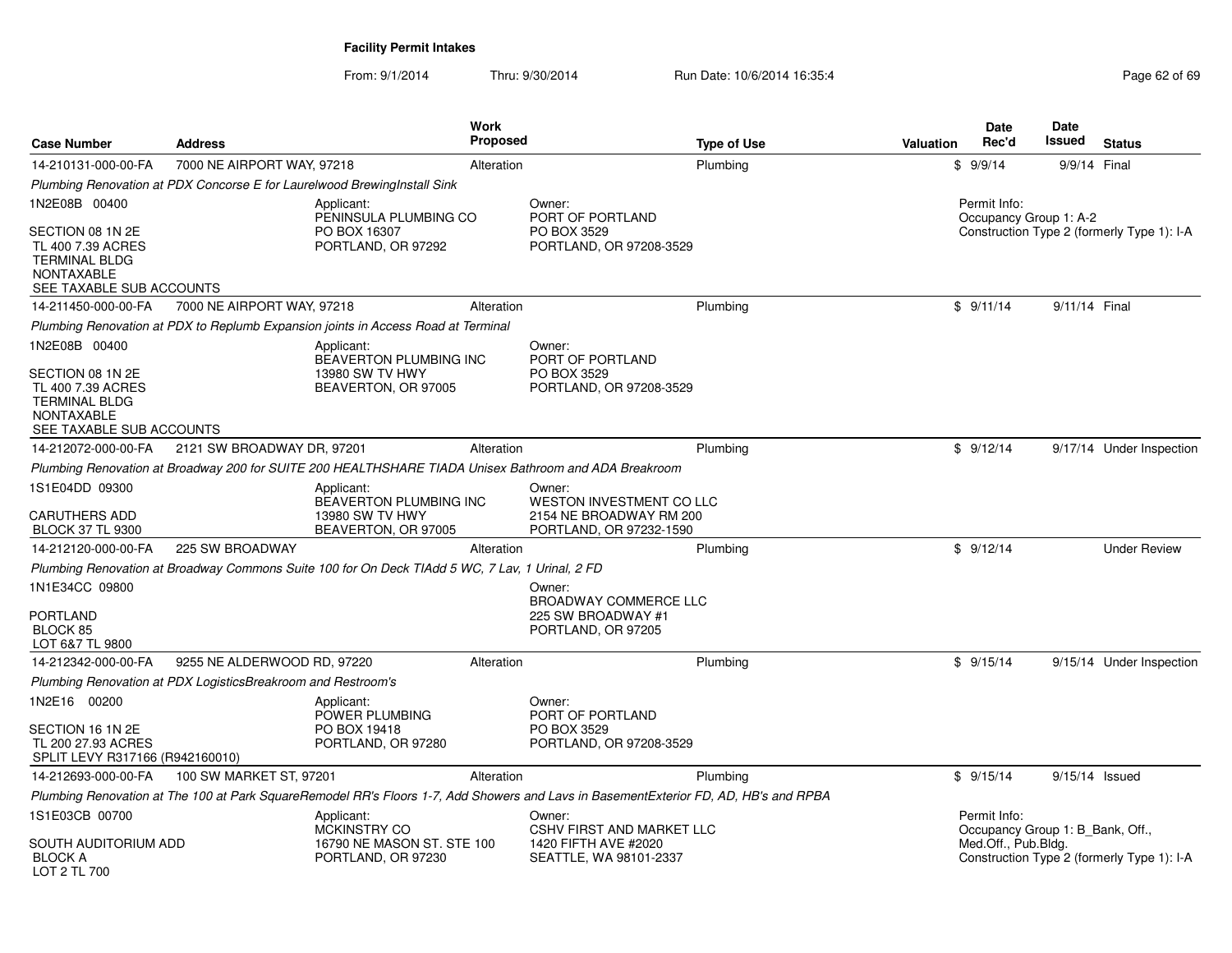| <b>Case Number</b>                                                                                                              | <b>Address</b>                                               |                                                                                                 | <b>Work</b><br><b>Proposed</b> |                                                                                                                                      | <b>Type of Use</b> | <b>Valuation</b> | Date<br>Rec'd                                    | <b>Date</b><br>Issued | <b>Status</b>                              |
|---------------------------------------------------------------------------------------------------------------------------------|--------------------------------------------------------------|-------------------------------------------------------------------------------------------------|--------------------------------|--------------------------------------------------------------------------------------------------------------------------------------|--------------------|------------------|--------------------------------------------------|-----------------------|--------------------------------------------|
| 14-210131-000-00-FA                                                                                                             | 7000 NE AIRPORT WAY, 97218                                   |                                                                                                 | Alteration                     |                                                                                                                                      | Plumbing           |                  | \$9/9/14                                         | 9/9/14 Final          |                                            |
|                                                                                                                                 |                                                              | Plumbing Renovation at PDX Concorse E for Laurelwood Brewing Install Sink                       |                                |                                                                                                                                      |                    |                  |                                                  |                       |                                            |
| 1N2E08B 00400                                                                                                                   |                                                              | Applicant:<br>PENINSULA PLUMBING CO                                                             |                                | Owner:<br>PORT OF PORTLAND                                                                                                           |                    |                  | Permit Info:<br>Occupancy Group 1: A-2           |                       |                                            |
| SECTION 08 1N 2E<br>TL 400 7.39 ACRES<br><b>TERMINAL BLDG</b><br><b>NONTAXABLE</b><br>SEE TAXABLE SUB ACCOUNTS                  |                                                              | PO BOX 16307<br>PORTLAND, OR 97292                                                              |                                | PO BOX 3529<br>PORTLAND, OR 97208-3529                                                                                               |                    |                  |                                                  |                       | Construction Type 2 (formerly Type 1): I-A |
| 14-211450-000-00-FA                                                                                                             | 7000 NE AIRPORT WAY, 97218                                   |                                                                                                 | Alteration                     |                                                                                                                                      | Plumbing           |                  | \$9/11/14                                        | 9/11/14 Final         |                                            |
|                                                                                                                                 |                                                              | Plumbing Renovation at PDX to Replumb Expansion joints in Access Road at Terminal               |                                |                                                                                                                                      |                    |                  |                                                  |                       |                                            |
| 1N2E08B 00400<br>SECTION 08 1N 2E<br>TL 400 7.39 ACRES<br><b>TERMINAL BLDG</b><br><b>NONTAXABLE</b><br>SEE TAXABLE SUB ACCOUNTS |                                                              | Applicant:<br><b>BEAVERTON PLUMBING INC</b><br>13980 SW TV HWY<br>BEAVERTON, OR 97005           |                                | Owner:<br>PORT OF PORTLAND<br>PO BOX 3529<br>PORTLAND, OR 97208-3529                                                                 |                    |                  |                                                  |                       |                                            |
| 14-212072-000-00-FA                                                                                                             | 2121 SW BROADWAY DR, 97201                                   |                                                                                                 | Alteration                     |                                                                                                                                      | Plumbing           |                  | \$9/12/14                                        |                       | 9/17/14 Under Inspection                   |
|                                                                                                                                 |                                                              |                                                                                                 |                                | Plumbing Renovation at Broadway 200 for SUITE 200 HEALTHSHARE TIADA Unisex Bathroom and ADA Breakroom                                |                    |                  |                                                  |                       |                                            |
| 1S1E04DD 09300<br><b>CARUTHERS ADD</b><br><b>BLOCK 37 TL 9300</b>                                                               |                                                              | Applicant:<br><b>BEAVERTON PLUMBING INC.</b><br>13980 SW TV HWY<br>BEAVERTON, OR 97005          |                                | Owner:<br><b>WESTON INVESTMENT CO LLC</b><br>2154 NE BROADWAY RM 200<br>PORTLAND, OR 97232-1590                                      |                    |                  |                                                  |                       |                                            |
| 14-212120-000-00-FA                                                                                                             | 225 SW BROADWAY                                              |                                                                                                 | Alteration                     |                                                                                                                                      | Plumbing           |                  | \$9/12/14                                        |                       | <b>Under Review</b>                        |
|                                                                                                                                 |                                                              | Plumbing Renovation at Broadway Commons Suite 100 for On Deck TIAdd 5 WC, 7 Lav, 1 Urinal, 2 FD |                                |                                                                                                                                      |                    |                  |                                                  |                       |                                            |
| 1N1E34CC 09800<br>PORTLAND<br>BLOCK 85<br>LOT 6&7 TL 9800                                                                       |                                                              |                                                                                                 |                                | Owner:<br><b>BROADWAY COMMERCE LLC</b><br>225 SW BROADWAY #1<br>PORTLAND, OR 97205                                                   |                    |                  |                                                  |                       |                                            |
| 14-212342-000-00-FA                                                                                                             | 9255 NE ALDERWOOD RD, 97220                                  |                                                                                                 | Alteration                     |                                                                                                                                      | Plumbing           |                  | \$9/15/14                                        |                       | 9/15/14 Under Inspection                   |
|                                                                                                                                 | Plumbing Renovation at PDX LogisticsBreakroom and Restroom's |                                                                                                 |                                |                                                                                                                                      |                    |                  |                                                  |                       |                                            |
| 1N2E16 00200                                                                                                                    |                                                              | Applicant:<br>POWER PLUMBING                                                                    |                                | Owner:<br>PORT OF PORTLAND                                                                                                           |                    |                  |                                                  |                       |                                            |
| SECTION 16 1N 2E<br>TL 200 27.93 ACRES<br>SPLIT LEVY R317166 (R942160010)                                                       |                                                              | PO BOX 19418<br>PORTLAND, OR 97280                                                              |                                | PO BOX 3529<br>PORTLAND, OR 97208-3529                                                                                               |                    |                  |                                                  |                       |                                            |
| 14-212693-000-00-FA                                                                                                             | 100 SW MARKET ST, 97201                                      |                                                                                                 | Alteration                     |                                                                                                                                      | Plumbing           |                  | \$9/15/14                                        | 9/15/14 Issued        |                                            |
|                                                                                                                                 |                                                              |                                                                                                 |                                | Plumbing Renovation at The 100 at Park SquareRemodel RR's Floors 1-7, Add Showers and Lavs in BasementExterior FD, AD, HB's and RPBA |                    |                  |                                                  |                       |                                            |
| 1S1E03CB 00700                                                                                                                  |                                                              | Applicant:<br><b>MCKINSTRY CO</b>                                                               |                                | Owner:<br><b>CSHV FIRST AND MARKET LLC</b>                                                                                           |                    |                  | Permit Info:<br>Occupancy Group 1: B Bank, Off., |                       |                                            |
| SOUTH AUDITORIUM ADD<br><b>BLOCK A</b><br>LOT 2 TL 700                                                                          |                                                              | 16790 NE MASON ST. STE 100<br>PORTLAND, OR 97230                                                |                                | 1420 FIFTH AVE #2020<br>SEATTLE, WA 98101-2337                                                                                       |                    |                  | Med.Off., Pub.Bldg.                              |                       | Construction Type 2 (formerly Type 1): I-A |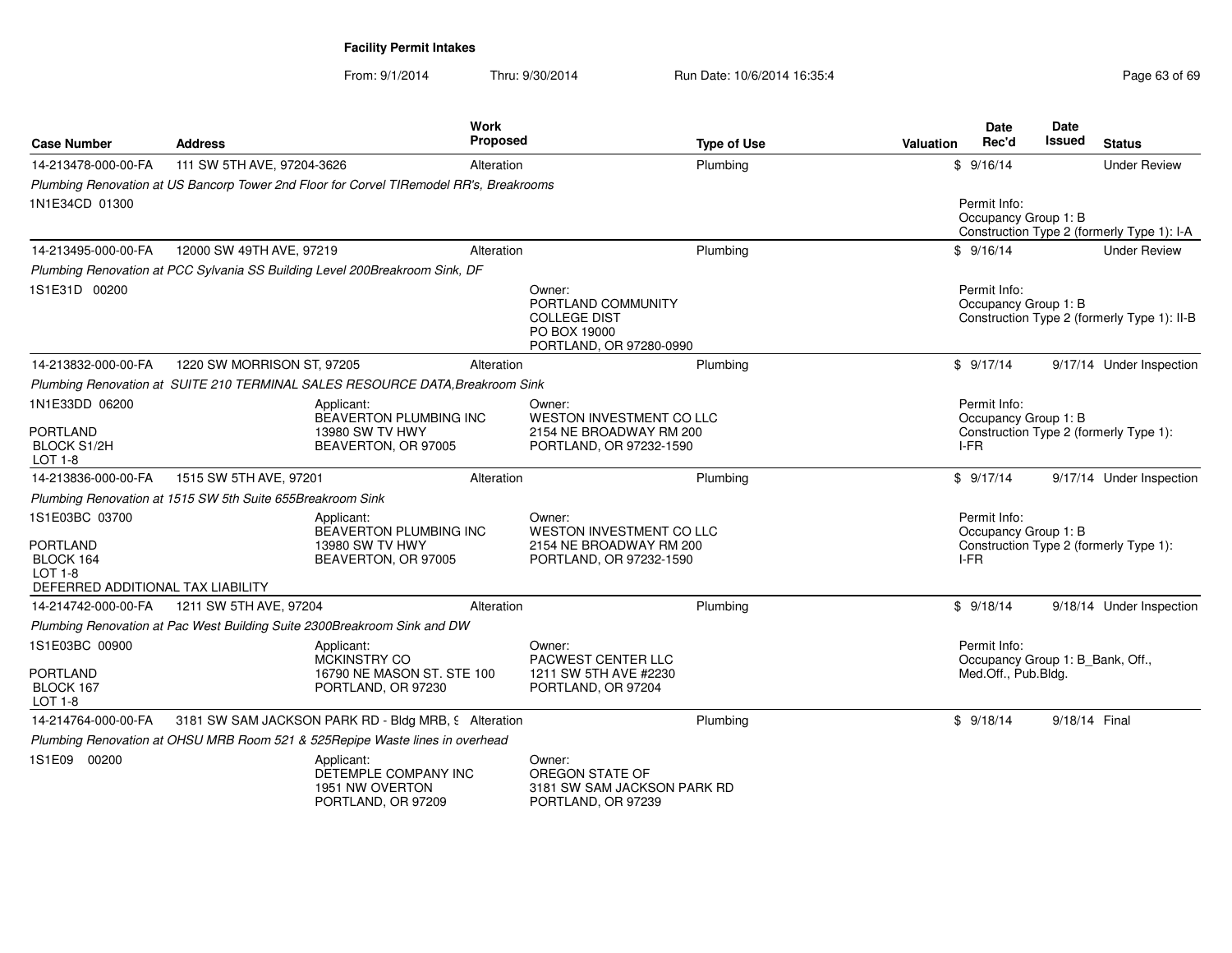| <b>Case Number</b>                                                                  | <b>Address</b>                                             |                                                                                         | Work<br><b>Proposed</b> |                                                                                | <b>Type of Use</b> | Valuation |           | <b>Date</b><br>Rec'd | <b>Date</b><br><b>Issued</b>     | <b>Status</b>                               |
|-------------------------------------------------------------------------------------|------------------------------------------------------------|-----------------------------------------------------------------------------------------|-------------------------|--------------------------------------------------------------------------------|--------------------|-----------|-----------|----------------------|----------------------------------|---------------------------------------------|
| 14-213478-000-00-FA                                                                 | 111 SW 5TH AVE, 97204-3626                                 |                                                                                         | Alteration              |                                                                                | Plumbina           |           | \$9/16/14 |                      |                                  | <b>Under Review</b>                         |
| 1N1E34CD 01300                                                                      |                                                            | Plumbing Renovation at US Bancorp Tower 2nd Floor for Corvel TIRemodel RR's, Breakrooms |                         |                                                                                |                    |           |           | Permit Info:         | Occupancy Group 1: B             | Construction Type 2 (formerly Type 1): I-A  |
| 14-213495-000-00-FA                                                                 | 12000 SW 49TH AVE, 97219                                   |                                                                                         | Alteration              |                                                                                | Plumbing           |           | \$9/16/14 |                      |                                  | <b>Under Review</b>                         |
| 1S1E31D 00200                                                                       |                                                            | Plumbing Renovation at PCC Sylvania SS Building Level 200Breakroom Sink, DF             |                         | Owner:<br>PORTLAND COMMUNITY                                                   |                    |           |           | Permit Info:         | Occupancy Group 1: B             |                                             |
|                                                                                     |                                                            |                                                                                         |                         | <b>COLLEGE DIST</b><br>PO BOX 19000<br>PORTLAND, OR 97280-0990                 |                    |           |           |                      |                                  | Construction Type 2 (formerly Type 1): II-B |
| 14-213832-000-00-FA                                                                 | 1220 SW MORRISON ST, 97205                                 |                                                                                         | Alteration              |                                                                                | Plumbing           |           | \$9/17/14 |                      |                                  | 9/17/14 Under Inspection                    |
|                                                                                     |                                                            | Plumbing Renovation at SUITE 210 TERMINAL SALES RESOURCE DATA, Breakroom Sink           |                         |                                                                                |                    |           |           |                      |                                  |                                             |
| 1N1E33DD 06200                                                                      |                                                            | Applicant:<br>BEAVERTON PLUMBING INC                                                    |                         | Owner:<br>WESTON INVESTMENT CO LLC                                             |                    |           |           | Permit Info:         | Occupancy Group 1: B             |                                             |
| <b>PORTLAND</b><br><b>BLOCK S1/2H</b><br>$LOT 1-8$                                  | 13980 SW TV HWY<br>BEAVERTON, OR 97005                     |                                                                                         |                         | 2154 NE BROADWAY RM 200<br>PORTLAND, OR 97232-1590                             |                    |           | I-FR      |                      |                                  | Construction Type 2 (formerly Type 1):      |
| 14-213836-000-00-FA                                                                 | 1515 SW 5TH AVE, 97201                                     |                                                                                         | Alteration              |                                                                                | Plumbing           |           | \$9/17/14 |                      |                                  | 9/17/14 Under Inspection                    |
|                                                                                     | Plumbing Renovation at 1515 SW 5th Suite 655Breakroom Sink |                                                                                         |                         |                                                                                |                    |           |           |                      |                                  |                                             |
| 1S1E03BC 03700                                                                      |                                                            | Applicant:<br><b>BEAVERTON PLUMBING INC</b>                                             |                         | Owner:<br>WESTON INVESTMENT CO LLC                                             |                    |           |           | Permit Info:         | Occupancy Group 1: B             |                                             |
| <b>PORTLAND</b><br>BLOCK 164<br><b>LOT 1-8</b><br>DEFERRED ADDITIONAL TAX LIABILITY |                                                            | 13980 SW TV HWY<br>BEAVERTON, OR 97005                                                  |                         | 2154 NE BROADWAY RM 200<br>PORTLAND, OR 97232-1590                             |                    |           | $I-FR$    |                      |                                  | Construction Type 2 (formerly Type 1):      |
| 14-214742-000-00-FA                                                                 | 1211 SW 5TH AVE, 97204                                     |                                                                                         | Alteration              |                                                                                | Plumbing           |           | \$9/18/14 |                      |                                  | 9/18/14 Under Inspection                    |
|                                                                                     |                                                            | Plumbing Renovation at Pac West Building Suite 2300Breakroom Sink and DW                |                         |                                                                                |                    |           |           |                      |                                  |                                             |
| 1S1E03BC 00900                                                                      |                                                            | Applicant:<br><b>MCKINSTRY CO</b>                                                       |                         | Owner:<br>PACWEST CENTER LLC                                                   |                    |           |           | Permit Info:         | Occupancy Group 1: B_Bank, Off., |                                             |
| PORTLAND<br>BLOCK 167<br>LOT 1-8                                                    |                                                            | 16790 NE MASON ST. STE 100<br>PORTLAND, OR 97230                                        |                         | 1211 SW 5TH AVE #2230<br>PORTLAND, OR 97204                                    |                    |           |           | Med.Off., Pub.Bldg.  |                                  |                                             |
| 14-214764-000-00-FA                                                                 |                                                            | 3181 SW SAM JACKSON PARK RD - Bldg MRB, 9 Alteration                                    |                         |                                                                                | Plumbing           |           | \$9/18/14 |                      | 9/18/14 Final                    |                                             |
|                                                                                     |                                                            | Plumbing Renovation at OHSU MRB Room 521 & 525 Repipe Waste lines in overhead           |                         |                                                                                |                    |           |           |                      |                                  |                                             |
| 1S1E09 00200                                                                        |                                                            | Applicant:<br>DETEMPLE COMPANY INC<br>1951 NW OVERTON<br>PORTLAND, OR 97209             |                         | Owner:<br>OREGON STATE OF<br>3181 SW SAM JACKSON PARK RD<br>PORTLAND, OR 97239 |                    |           |           |                      |                                  |                                             |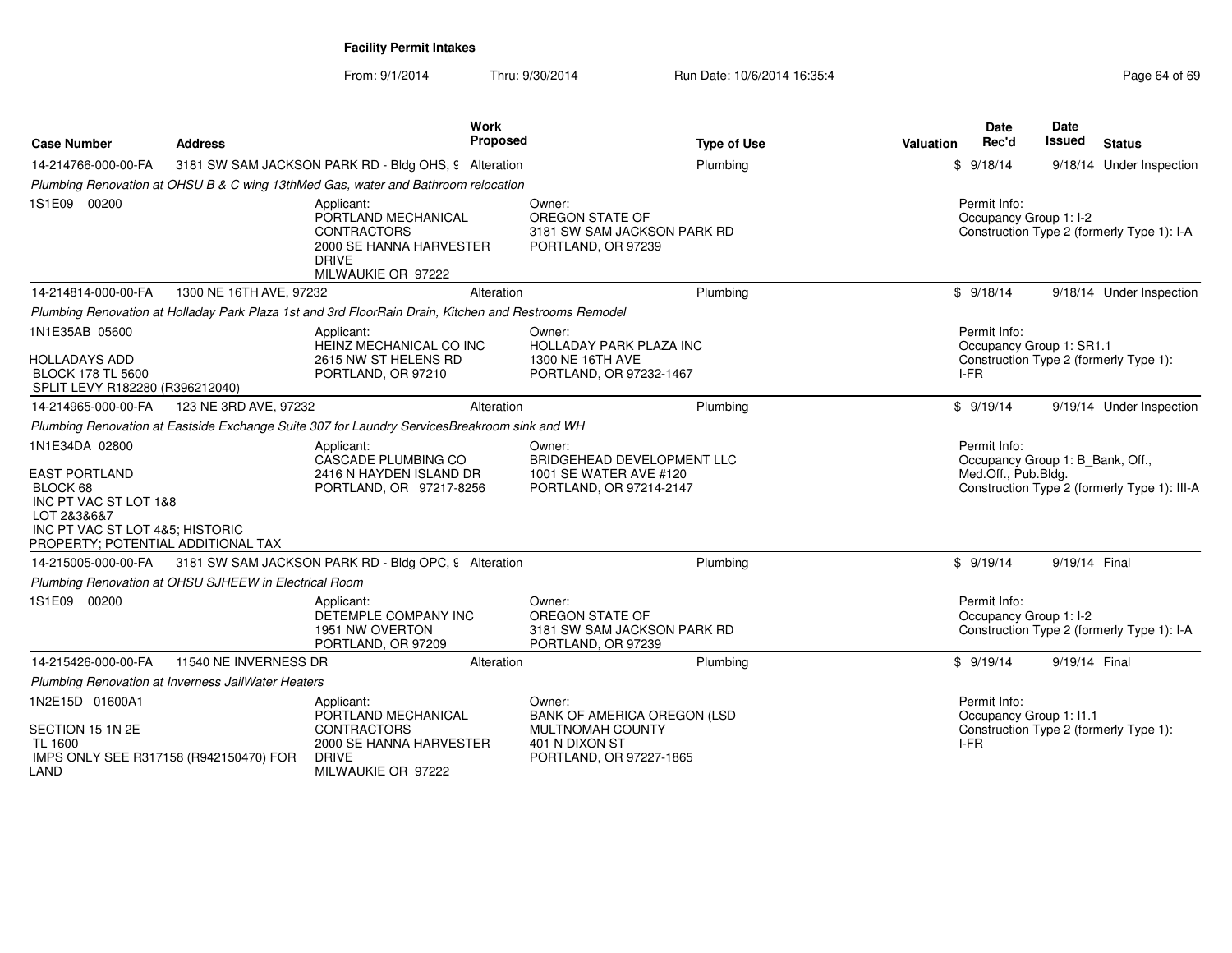| <b>Case Number</b>                                                                                                                                                  | <b>Address</b>                                        | <b>Work</b><br>Proposed                                                                                                  | <b>Type of Use</b>                                                                               | Date<br>Rec'd<br>Valuation              | <b>Date</b><br><b>Issued</b><br><b>Status</b>                                    |
|---------------------------------------------------------------------------------------------------------------------------------------------------------------------|-------------------------------------------------------|--------------------------------------------------------------------------------------------------------------------------|--------------------------------------------------------------------------------------------------|-----------------------------------------|----------------------------------------------------------------------------------|
| 14-214766-000-00-FA                                                                                                                                                 |                                                       | 3181 SW SAM JACKSON PARK RD - Bldg OHS, 9 Alteration                                                                     | Plumbing                                                                                         | \$9/18/14                               | 9/18/14 Under Inspection                                                         |
|                                                                                                                                                                     |                                                       | Plumbing Renovation at OHSU B & C wing 13thMed Gas, water and Bathroom relocation                                        |                                                                                                  |                                         |                                                                                  |
| 1S1E09 00200                                                                                                                                                        |                                                       | Applicant:<br>PORTLAND MECHANICAL<br><b>CONTRACTORS</b><br>2000 SE HANNA HARVESTER<br><b>DRIVE</b><br>MILWAUKIE OR 97222 | Owner:<br>OREGON STATE OF<br>3181 SW SAM JACKSON PARK RD<br>PORTLAND, OR 97239                   | Permit Info:<br>Occupancy Group 1: I-2  | Construction Type 2 (formerly Type 1): I-A                                       |
| 14-214814-000-00-FA                                                                                                                                                 | 1300 NE 16TH AVE, 97232                               | Alteration                                                                                                               | Plumbing                                                                                         | \$9/18/14                               | 9/18/14 Under Inspection                                                         |
|                                                                                                                                                                     |                                                       | Plumbing Renovation at Holladay Park Plaza 1st and 3rd FloorRain Drain, Kitchen and Restrooms Remodel                    |                                                                                                  |                                         |                                                                                  |
| 1N1E35AB 05600                                                                                                                                                      |                                                       | Applicant:                                                                                                               | Owner:                                                                                           | Permit Info:                            |                                                                                  |
| <b>HOLLADAYS ADD</b><br><b>BLOCK 178 TL 5600</b><br>SPLIT LEVY R182280 (R396212040)                                                                                 |                                                       | HEINZ MECHANICAL CO INC<br>2615 NW ST HELENS RD<br>PORTLAND, OR 97210                                                    | HOLLADAY PARK PLAZA INC<br>1300 NE 16TH AVE<br>PORTLAND, OR 97232-1467                           | I-FR                                    | Occupancy Group 1: SR1.1<br>Construction Type 2 (formerly Type 1):               |
| 14-214965-000-00-FA                                                                                                                                                 | 123 NE 3RD AVE, 97232                                 | Alteration                                                                                                               | Plumbing                                                                                         | \$9/19/14                               | 9/19/14 Under Inspection                                                         |
|                                                                                                                                                                     |                                                       | Plumbing Renovation at Eastside Exchange Suite 307 for Laundry ServicesBreakroom sink and WH                             |                                                                                                  |                                         |                                                                                  |
| 1N1E34DA 02800<br><b>EAST PORTLAND</b><br>BLOCK 68<br>INC PT VAC ST LOT 1&8<br>LOT 2&3&6&7<br>INC PT VAC ST LOT 4&5; HISTORIC<br>PROPERTY; POTENTIAL ADDITIONAL TAX |                                                       | Applicant:<br>CASCADE PLUMBING CO<br>2416 N HAYDEN ISLAND DR<br>PORTLAND, OR 97217-8256                                  | Owner:<br><b>BRIDGEHEAD DEVELOPMENT LLC</b><br>1001 SE WATER AVE #120<br>PORTLAND, OR 97214-2147 | Permit Info:<br>Med.Off., Pub.Bldg.     | Occupancy Group 1: B_Bank, Off.,<br>Construction Type 2 (formerly Type 1): III-A |
| 14-215005-000-00-FA                                                                                                                                                 |                                                       | 3181 SW SAM JACKSON PARK RD - Bldg OPC, 9 Alteration                                                                     | Plumbing                                                                                         | \$9/19/14                               | 9/19/14 Final                                                                    |
|                                                                                                                                                                     | Plumbing Renovation at OHSU SJHEEW in Electrical Room |                                                                                                                          |                                                                                                  |                                         |                                                                                  |
| 1S1E09 00200                                                                                                                                                        |                                                       | Applicant:<br>DETEMPLE COMPANY INC<br>1951 NW OVERTON<br>PORTLAND, OR 97209                                              | Owner:<br>OREGON STATE OF<br>3181 SW SAM JACKSON PARK RD<br>PORTLAND, OR 97239                   | Permit Info:<br>Occupancy Group 1: I-2  | Construction Type 2 (formerly Type 1): I-A                                       |
| 14-215426-000-00-FA                                                                                                                                                 | 11540 NE INVERNESS DR                                 | Alteration                                                                                                               | Plumbing                                                                                         | \$9/19/14                               | 9/19/14 Final                                                                    |
|                                                                                                                                                                     | Plumbing Renovation at Inverness JailWater Heaters    |                                                                                                                          |                                                                                                  |                                         |                                                                                  |
| 1N2E15D 01600A1                                                                                                                                                     |                                                       | Applicant:<br>PORTLAND MECHANICAL                                                                                        | Owner:<br><b>BANK OF AMERICA OREGON (LSD)</b>                                                    | Permit Info:<br>Occupancy Group 1: I1.1 |                                                                                  |
| SECTION 15 1N 2E<br><b>TL 1600</b><br>LAND                                                                                                                          | IMPS ONLY SEE R317158 (R942150470) FOR                | <b>CONTRACTORS</b><br>2000 SE HANNA HARVESTER<br><b>DRIVE</b><br>MILWAUKIE OR 97222                                      | MULTNOMAH COUNTY<br>401 N DIXON ST<br>PORTLAND, OR 97227-1865                                    | IFR                                     | Construction Type 2 (formerly Type 1):                                           |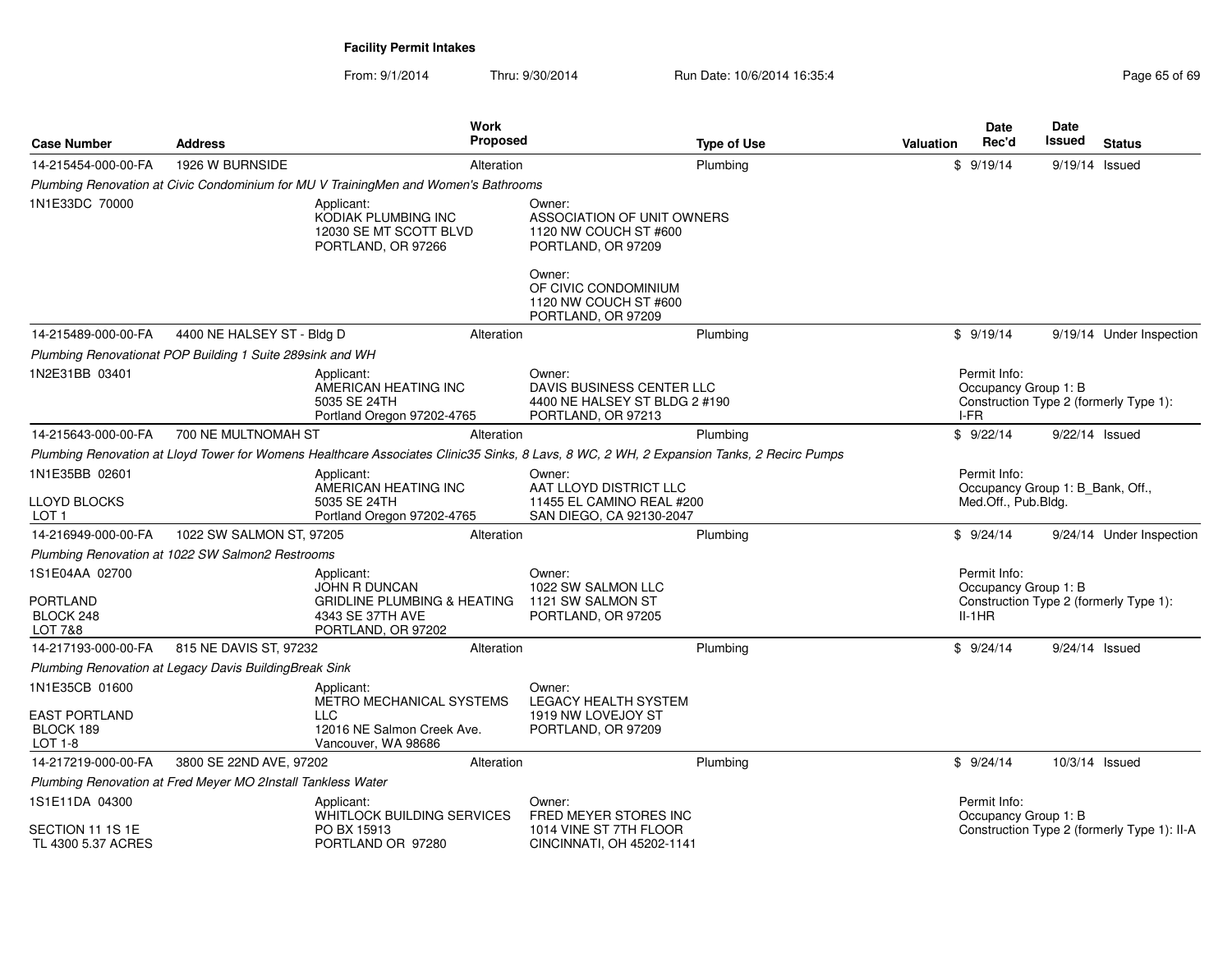| <b>Case Number</b>                                           | <b>Address</b>             | Work<br><b>Proposed</b>                                                                                                                   |                                                                                               | <b>Type of Use</b> | Valuation | <b>Date</b><br>Rec'd                                                    | Date<br><b>Issued</b> | <b>Status</b>                               |
|--------------------------------------------------------------|----------------------------|-------------------------------------------------------------------------------------------------------------------------------------------|-----------------------------------------------------------------------------------------------|--------------------|-----------|-------------------------------------------------------------------------|-----------------------|---------------------------------------------|
| 14-215454-000-00-FA                                          | 1926 W BURNSIDE            | Alteration                                                                                                                                |                                                                                               | Plumbing           |           | \$9/19/14                                                               | 9/19/14 Issued        |                                             |
|                                                              |                            | Plumbing Renovation at Civic Condominium for MU V TrainingMen and Women's Bathrooms                                                       |                                                                                               |                    |           |                                                                         |                       |                                             |
| 1N1E33DC 70000                                               |                            | Applicant:<br>KODIAK PLUMBING INC<br>12030 SE MT SCOTT BLVD<br>PORTLAND, OR 97266                                                         | Owner:<br>ASSOCIATION OF UNIT OWNERS<br>1120 NW COUCH ST #600<br>PORTLAND, OR 97209<br>Owner: |                    |           |                                                                         |                       |                                             |
|                                                              |                            |                                                                                                                                           | OF CIVIC CONDOMINIUM<br>1120 NW COUCH ST #600<br>PORTLAND, OR 97209                           |                    |           |                                                                         |                       |                                             |
| 14-215489-000-00-FA                                          | 4400 NE HALSEY ST - Bldg D | Alteration                                                                                                                                |                                                                                               | Plumbing           |           | \$9/19/14                                                               |                       | 9/19/14 Under Inspection                    |
| Plumbing Renovationat POP Building 1 Suite 289sink and WH    |                            |                                                                                                                                           |                                                                                               |                    |           |                                                                         |                       |                                             |
| 1N2E31BB 03401                                               |                            | Applicant:<br>AMERICAN HEATING INC<br>5035 SE 24TH<br>Portland Oregon 97202-4765                                                          | Owner:<br>DAVIS BUSINESS CENTER LLC<br>4400 NE HALSEY ST BLDG 2 #190<br>PORTLAND, OR 97213    |                    |           | Permit Info:<br>Occupancy Group 1: B<br>I-FR                            |                       | Construction Type 2 (formerly Type 1):      |
| 14-215643-000-00-FA                                          | 700 NE MULTNOMAH ST        | Alteration                                                                                                                                |                                                                                               | Plumbing           |           | \$9/22/14                                                               | 9/22/14 Issued        |                                             |
|                                                              |                            | Plumbing Renovation at Lloyd Tower for Womens Healthcare Associates Clinic35 Sinks, 8 Lavs, 8 WC, 2 WH, 2 Expansion Tanks, 2 Recirc Pumps |                                                                                               |                    |           |                                                                         |                       |                                             |
| 1N1E35BB 02601<br><b>LLOYD BLOCKS</b><br>LOT <sub>1</sub>    |                            | Applicant:<br>AMERICAN HEATING INC<br>5035 SE 24TH<br>Portland Oregon 97202-4765                                                          | Owner:<br>AAT LLOYD DISTRICT LLC<br>11455 EL CAMINO REAL #200<br>SAN DIEGO, CA 92130-2047     |                    |           | Permit Info:<br>Occupancy Group 1: B Bank, Off.,<br>Med.Off., Pub.Bldg. |                       |                                             |
| 14-216949-000-00-FA                                          | 1022 SW SALMON ST, 97205   | Alteration                                                                                                                                |                                                                                               | Plumbing           |           | \$9/24/14                                                               |                       | 9/24/14 Under Inspection                    |
| Plumbing Renovation at 1022 SW Salmon2 Restrooms             |                            |                                                                                                                                           |                                                                                               |                    |           |                                                                         |                       |                                             |
| 1S1E04AA 02700<br><b>PORTLAND</b><br>BLOCK 248<br>LOT 7&8    |                            | Applicant:<br><b>JOHN R DUNCAN</b><br><b>GRIDLINE PLUMBING &amp; HEATING</b><br>4343 SE 37TH AVE<br>PORTLAND, OR 97202                    | Owner:<br>1022 SW SALMON LLC<br>1121 SW SALMON ST<br>PORTLAND, OR 97205                       |                    |           | Permit Info:<br>Occupancy Group 1: B<br>$II-1HR$                        |                       | Construction Type 2 (formerly Type 1):      |
| 14-217193-000-00-FA                                          | 815 NE DAVIS ST, 97232     | Alteration                                                                                                                                |                                                                                               | Plumbing           |           | \$9/24/14                                                               | 9/24/14 Issued        |                                             |
| Plumbing Renovation at Legacy Davis Building Break Sink      |                            |                                                                                                                                           |                                                                                               |                    |           |                                                                         |                       |                                             |
| 1N1E35CB 01600                                               |                            | Applicant:<br>METRO MECHANICAL SYSTEMS                                                                                                    | Owner:<br><b>LEGACY HEALTH SYSTEM</b>                                                         |                    |           |                                                                         |                       |                                             |
| <b>EAST PORTLAND</b><br>BLOCK 189<br>LOT 1-8                 |                            | LLC<br>12016 NE Salmon Creek Ave.<br>Vancouver, WA 98686                                                                                  | 1919 NW LOVEJOY ST<br>PORTLAND, OR 97209                                                      |                    |           |                                                                         |                       |                                             |
| 14-217219-000-00-FA                                          | 3800 SE 22ND AVE, 97202    | Alteration                                                                                                                                |                                                                                               | Plumbing           |           | \$9/24/14                                                               | 10/3/14 Issued        |                                             |
| Plumbing Renovation at Fred Meyer MO 2Install Tankless Water |                            |                                                                                                                                           |                                                                                               |                    |           |                                                                         |                       |                                             |
| 1S1E11DA 04300<br>SECTION 11 1S 1E<br>TL 4300 5.37 ACRES     |                            | Applicant:<br>WHITLOCK BUILDING SERVICES<br>PO BX 15913<br>PORTLAND OR 97280                                                              | Owner:<br>FRED MEYER STORES INC<br>1014 VINE ST 7TH FLOOR<br>CINCINNATI, OH 45202-1141        |                    |           | Permit Info:<br>Occupancy Group 1: B                                    |                       | Construction Type 2 (formerly Type 1): II-A |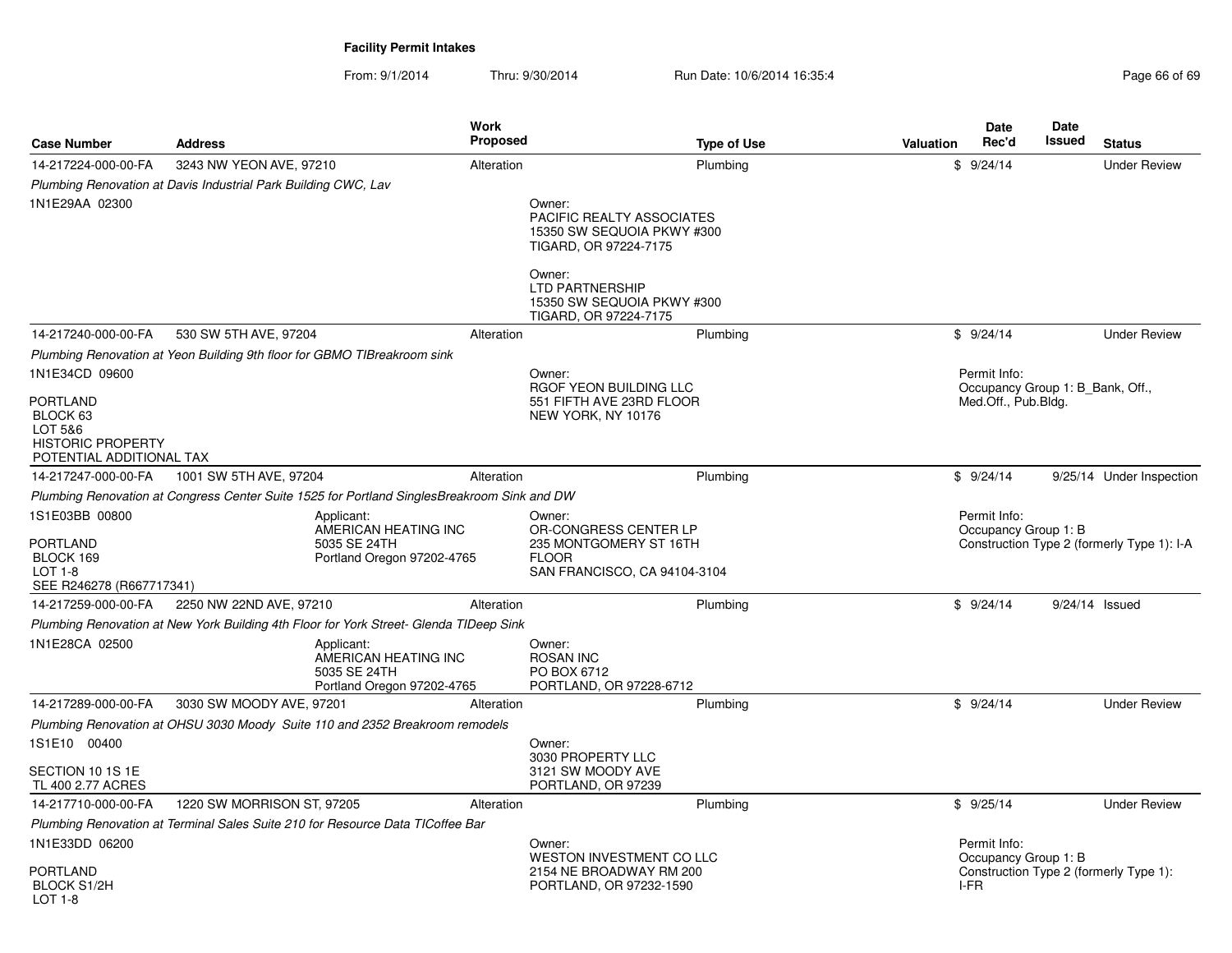| <b>Case Number</b>                                                                      | <b>Address</b>                                                                              | Work<br><b>Proposed</b>                                                                      | <b>Type of Use</b>                                                                           | <b>Date</b><br>Rec'd<br><b>Valuation</b> | Date<br>Issued<br><b>Status</b>            |
|-----------------------------------------------------------------------------------------|---------------------------------------------------------------------------------------------|----------------------------------------------------------------------------------------------|----------------------------------------------------------------------------------------------|------------------------------------------|--------------------------------------------|
| 14-217224-000-00-FA                                                                     | 3243 NW YEON AVE, 97210                                                                     | Alteration                                                                                   | Plumbing                                                                                     | \$9/24/14                                | <b>Under Review</b>                        |
|                                                                                         | Plumbing Renovation at Davis Industrial Park Building CWC, Lav                              |                                                                                              |                                                                                              |                                          |                                            |
| 1N1E29AA 02300                                                                          |                                                                                             | Owner:<br>TIGARD, OR 97224-7175<br>Owner:<br><b>LTD PARTNERSHIP</b><br>TIGARD, OR 97224-7175 | <b>PACIFIC REALTY ASSOCIATES</b><br>15350 SW SEQUOIA PKWY #300<br>15350 SW SEQUOIA PKWY #300 |                                          |                                            |
| 14-217240-000-00-FA                                                                     | 530 SW 5TH AVE, 97204                                                                       | Alteration                                                                                   | Plumbing                                                                                     | \$9/24/14                                | <b>Under Review</b>                        |
|                                                                                         | Plumbing Renovation at Yeon Building 9th floor for GBMO TIBreakroom sink                    |                                                                                              |                                                                                              |                                          |                                            |
| 1N1E34CD 09600                                                                          |                                                                                             | Owner:                                                                                       |                                                                                              | Permit Info:                             |                                            |
| PORTLAND<br>BLOCK 63<br>LOT 5&6<br><b>HISTORIC PROPERTY</b><br>POTENTIAL ADDITIONAL TAX |                                                                                             | NEW YORK, NY 10176                                                                           | RGOF YEON BUILDING LLC<br>551 FIFTH AVE 23RD FLOOR                                           | Med.Off., Pub.Bldg.                      | Occupancy Group 1: B Bank, Off.,           |
| 14-217247-000-00-FA                                                                     | 1001 SW 5TH AVE, 97204                                                                      | Alteration                                                                                   | Plumbing                                                                                     | \$9/24/14                                | 9/25/14 Under Inspection                   |
|                                                                                         | Plumbing Renovation at Congress Center Suite 1525 for Portland SinglesBreakroom Sink and DW |                                                                                              |                                                                                              |                                          |                                            |
| 1S1E03BB 00800<br>PORTLAND<br>BLOCK 169<br>LOT 1-8<br>SEE R246278 (R667717341)          | Applicant:<br>AMERICAN HEATING INC<br>5035 SE 24TH<br>Portland Oregon 97202-4765            | Owner:<br><b>FLOOR</b>                                                                       | OR-CONGRESS CENTER LP<br>235 MONTGOMERY ST 16TH<br>SAN FRANCISCO, CA 94104-3104              | Permit Info:<br>Occupancy Group 1: B     | Construction Type 2 (formerly Type 1): I-A |
| 14-217259-000-00-FA                                                                     | 2250 NW 22ND AVE, 97210                                                                     | Alteration                                                                                   | Plumbing                                                                                     | \$9/24/14                                | $9/24/14$ Issued                           |
|                                                                                         | Plumbing Renovation at New York Building 4th Floor for York Street- Glenda TIDeep Sink      |                                                                                              |                                                                                              |                                          |                                            |
| 1N1E28CA 02500                                                                          | Applicant:<br>AMERICAN HEATING INC<br>5035 SE 24TH<br>Portland Oregon 97202-4765            | Owner:<br><b>ROSAN INC</b><br>PO BOX 6712                                                    | PORTLAND, OR 97228-6712                                                                      |                                          |                                            |
| 14-217289-000-00-FA                                                                     | 3030 SW MOODY AVE, 97201                                                                    | Alteration                                                                                   | Plumbing                                                                                     | \$9/24/14                                | <b>Under Review</b>                        |
|                                                                                         | Plumbing Renovation at OHSU 3030 Moody Suite 110 and 2352 Breakroom remodels                |                                                                                              |                                                                                              |                                          |                                            |
| 1S1E10 00400                                                                            |                                                                                             | Owner:<br>3030 PROPERTY LLC                                                                  |                                                                                              |                                          |                                            |
| SECTION 10 1S 1E<br>TL 400 2.77 ACRES                                                   |                                                                                             | 3121 SW MOODY AVE<br>PORTLAND, OR 97239                                                      |                                                                                              |                                          |                                            |
| 14-217710-000-00-FA                                                                     | 1220 SW MORRISON ST, 97205                                                                  | Alteration                                                                                   | Plumbing                                                                                     | \$9/25/14                                | <b>Under Review</b>                        |
|                                                                                         | Plumbing Renovation at Terminal Sales Suite 210 for Resource Data TICoffee Bar              |                                                                                              |                                                                                              |                                          |                                            |
| 1N1E33DD 06200                                                                          |                                                                                             | Owner:                                                                                       | WESTON INVESTMENT CO LLC                                                                     | Permit Info:<br>Occupancy Group 1: B     |                                            |
| PORTLAND<br>BLOCK S1/2H<br>LOT 1-8                                                      |                                                                                             |                                                                                              | 2154 NE BROADWAY RM 200<br>PORTLAND, OR 97232-1590                                           | I-FR                                     | Construction Type 2 (formerly Type 1):     |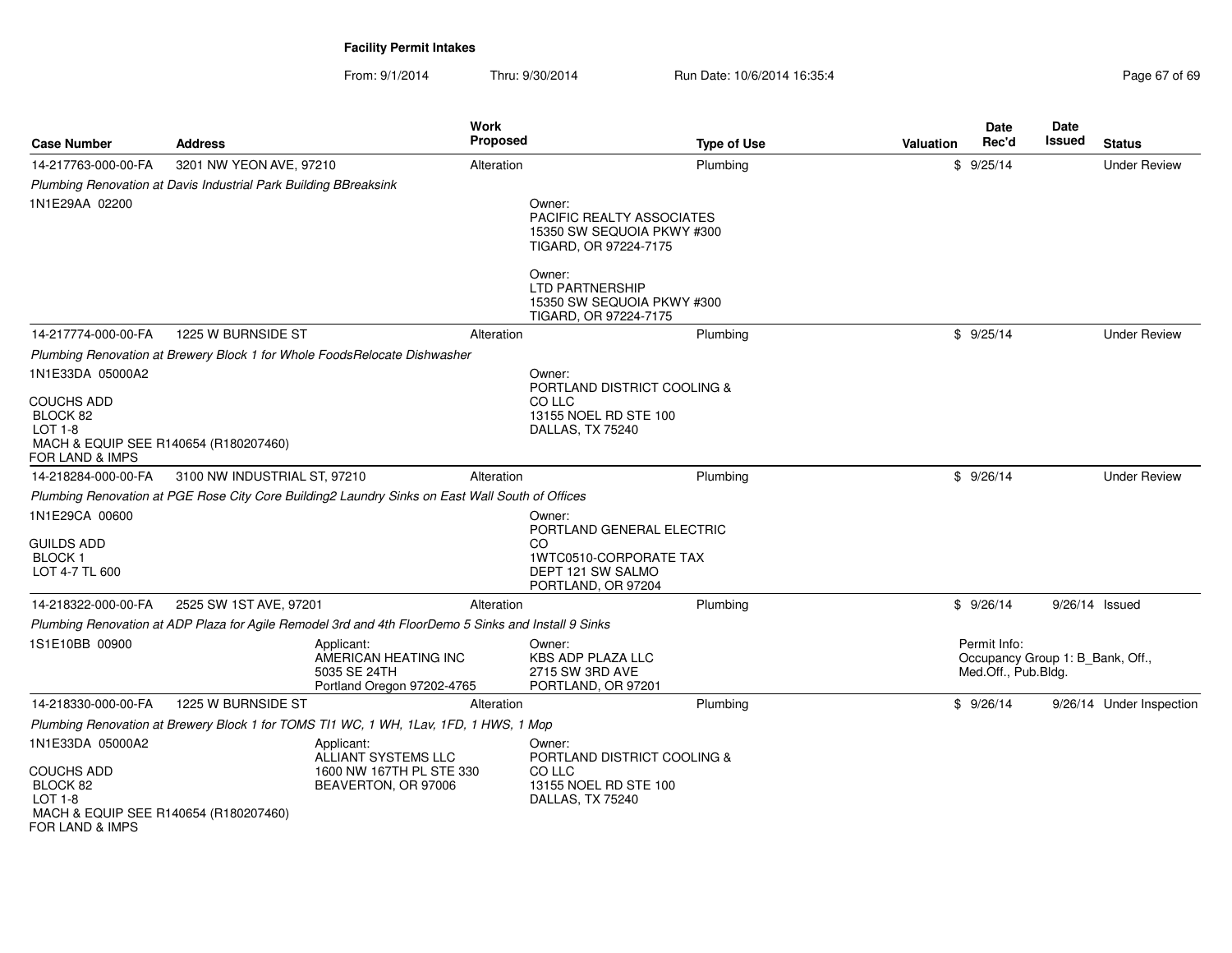| <b>Case Number</b>                                                                                                       | <b>Address</b>                                                   | Work<br><b>Proposed</b>                                                                              |                                                                                                 | <b>Type of Use</b> | Valuation | <b>Date</b><br>Rec'd                                                    | <b>Date</b><br>Issued | <b>Status</b>            |
|--------------------------------------------------------------------------------------------------------------------------|------------------------------------------------------------------|------------------------------------------------------------------------------------------------------|-------------------------------------------------------------------------------------------------|--------------------|-----------|-------------------------------------------------------------------------|-----------------------|--------------------------|
| 14-217763-000-00-FA                                                                                                      | 3201 NW YEON AVE, 97210                                          | Alteration                                                                                           |                                                                                                 | Plumbing           |           | \$9/25/14                                                               |                       | <b>Under Review</b>      |
|                                                                                                                          | Plumbing Renovation at Davis Industrial Park Building BBreaksink |                                                                                                      |                                                                                                 |                    |           |                                                                         |                       |                          |
| 1N1E29AA 02200                                                                                                           |                                                                  |                                                                                                      | Owner:<br>PACIFIC REALTY ASSOCIATES<br>15350 SW SEQUOIA PKWY #300<br>TIGARD, OR 97224-7175      |                    |           |                                                                         |                       |                          |
|                                                                                                                          |                                                                  |                                                                                                      | Owner:<br><b>LTD PARTNERSHIP</b><br>15350 SW SEQUOIA PKWY #300<br>TIGARD, OR 97224-7175         |                    |           |                                                                         |                       |                          |
| 14-217774-000-00-FA                                                                                                      | 1225 W BURNSIDE ST                                               | Alteration                                                                                           |                                                                                                 | Plumbing           |           | \$9/25/14                                                               |                       | <b>Under Review</b>      |
|                                                                                                                          |                                                                  | Plumbing Renovation at Brewery Block 1 for Whole FoodsRelocate Dishwasher                            |                                                                                                 |                    |           |                                                                         |                       |                          |
| 1N1E33DA 05000A2                                                                                                         |                                                                  |                                                                                                      | Owner:                                                                                          |                    |           |                                                                         |                       |                          |
| <b>COUCHS ADD</b><br>BLOCK 82<br><b>LOT 1-8</b><br>MACH & EQUIP SEE R140654 (R180207460)<br>FOR LAND & IMPS              |                                                                  |                                                                                                      | PORTLAND DISTRICT COOLING &<br>CO LLC<br>13155 NOEL RD STE 100<br>DALLAS, TX 75240              |                    |           |                                                                         |                       |                          |
| 14-218284-000-00-FA                                                                                                      | 3100 NW INDUSTRIAL ST, 97210                                     | Alteration                                                                                           |                                                                                                 | Plumbing           |           | \$9/26/14                                                               |                       | <b>Under Review</b>      |
|                                                                                                                          |                                                                  | Plumbing Renovation at PGE Rose City Core Building2 Laundry Sinks on East Wall South of Offices      |                                                                                                 |                    |           |                                                                         |                       |                          |
| 1N1E29CA 00600<br><b>GUILDS ADD</b><br><b>BLOCK1</b><br>LOT 4-7 TL 600                                                   |                                                                  |                                                                                                      | Owner:<br>PORTLAND GENERAL ELECTRIC<br><b>CO</b><br>1WTC0510-CORPORATE TAX<br>DEPT 121 SW SALMO |                    |           |                                                                         |                       |                          |
|                                                                                                                          |                                                                  |                                                                                                      | PORTLAND, OR 97204                                                                              |                    |           |                                                                         |                       |                          |
| 14-218322-000-00-FA                                                                                                      | 2525 SW 1ST AVE, 97201                                           | Alteration                                                                                           |                                                                                                 | Plumbing           |           | \$9/26/14                                                               |                       | $9/26/14$ Issued         |
|                                                                                                                          |                                                                  | Plumbing Renovation at ADP Plaza for Agile Remodel 3rd and 4th FloorDemo 5 Sinks and Install 9 Sinks |                                                                                                 |                    |           |                                                                         |                       |                          |
| 1S1E10BB 00900                                                                                                           |                                                                  | Applicant:<br>AMERICAN HEATING INC<br>5035 SE 24TH<br>Portland Oregon 97202-4765                     | Owner:<br><b>KBS ADP PLAZA LLC</b><br>2715 SW 3RD AVE<br>PORTLAND, OR 97201                     |                    |           | Permit Info:<br>Occupancy Group 1: B_Bank, Off.,<br>Med.Off., Pub.Bldg. |                       |                          |
| 14-218330-000-00-FA                                                                                                      | 1225 W BURNSIDE ST                                               | Alteration                                                                                           |                                                                                                 | Plumbing           |           | \$9/26/14                                                               |                       | 9/26/14 Under Inspection |
|                                                                                                                          |                                                                  | Plumbing Renovation at Brewery Block 1 for TOMS TI1 WC, 1 WH, 1Lav, 1FD, 1 HWS, 1 Mop                |                                                                                                 |                    |           |                                                                         |                       |                          |
| 1N1E33DA 05000A2<br><b>COUCHS ADD</b><br>BLOCK 82<br>LOT 1-8<br>MACH & EQUIP SEE R140654 (R180207460)<br>FOR LAND & IMPS |                                                                  | Applicant:<br>ALLIANT SYSTEMS LLC<br>1600 NW 167TH PL STE 330<br>BEAVERTON, OR 97006                 | Owner:<br>PORTLAND DISTRICT COOLING &<br>CO LLC<br>13155 NOEL RD STE 100<br>DALLAS, TX 75240    |                    |           |                                                                         |                       |                          |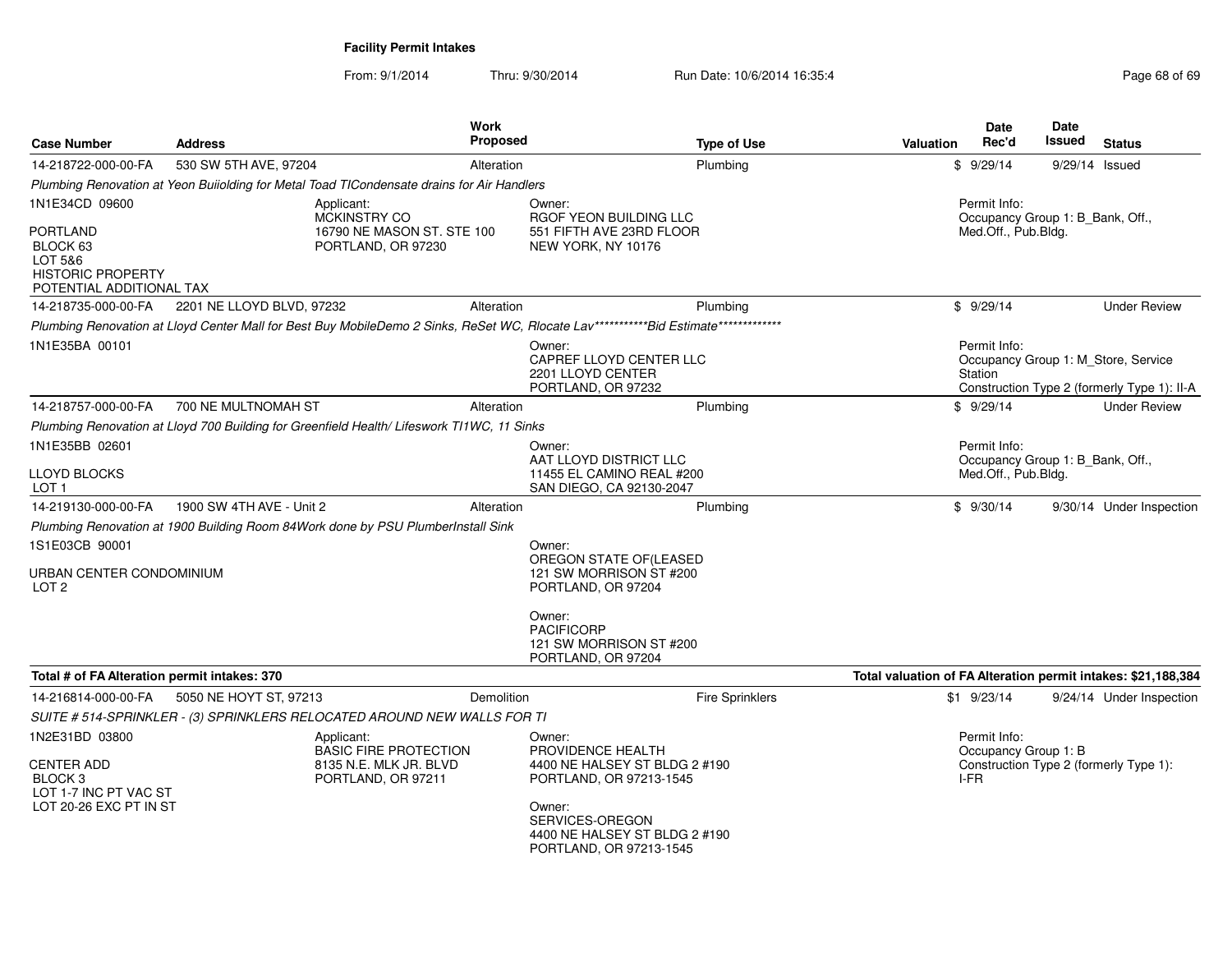| <b>Case Number</b>                                                          | <b>Address</b>                                                                             | <b>Work</b><br><b>Proposed</b> | <b>Type of Use</b>                                                                                                                    | <b>Valuation</b>                                                        | Date<br>Rec'd                                           | Date<br>Issued | <b>Status</b>                                                                      |  |
|-----------------------------------------------------------------------------|--------------------------------------------------------------------------------------------|--------------------------------|---------------------------------------------------------------------------------------------------------------------------------------|-------------------------------------------------------------------------|---------------------------------------------------------|----------------|------------------------------------------------------------------------------------|--|
| 14-218722-000-00-FA                                                         | 530 SW 5TH AVE, 97204                                                                      | Alteration                     | Plumbing                                                                                                                              |                                                                         | \$9/29/14                                               | 9/29/14 Issued |                                                                                    |  |
|                                                                             | Plumbing Renovation at Yeon Buiiolding for Metal Toad TICondensate drains for Air Handlers |                                |                                                                                                                                       |                                                                         |                                                         |                |                                                                                    |  |
| 1N1E34CD 09600<br>PORTLAND                                                  | Applicant:<br><b>MCKINSTRY CO</b><br>16790 NE MASON ST. STE 100                            |                                | Owner:<br>RGOF YEON BUILDING LLC<br>551 FIFTH AVE 23RD FLOOR                                                                          | Permit Info:<br>Occupancy Group 1: B_Bank, Off.,<br>Med.Off., Pub.Bldg. |                                                         |                |                                                                                    |  |
| BLOCK 63<br>LOT 5&6<br><b>HISTORIC PROPERTY</b><br>POTENTIAL ADDITIONAL TAX | PORTLAND, OR 97230                                                                         |                                | NEW YORK, NY 10176                                                                                                                    |                                                                         |                                                         |                |                                                                                    |  |
| 14-218735-000-00-FA                                                         | 2201 NE LLOYD BLVD, 97232                                                                  | Alteration                     | Plumbing                                                                                                                              |                                                                         | \$9/29/14                                               |                | <b>Under Review</b>                                                                |  |
|                                                                             |                                                                                            |                                | Plumbing Renovation at Lloyd Center Mall for Best Buy MobileDemo 2 Sinks, ReSet WC, Rlocate Lav*************bid Estimate************* |                                                                         |                                                         |                |                                                                                    |  |
| 1N1E35BA 00101                                                              |                                                                                            |                                | Owner:<br>CAPREF LLOYD CENTER LLC<br>2201 LLOYD CENTER<br>PORTLAND, OR 97232                                                          |                                                                         | Permit Info:<br>Station                                 |                | Occupancy Group 1: M_Store, Service<br>Construction Type 2 (formerly Type 1): II-A |  |
| 14-218757-000-00-FA                                                         | 700 NE MULTNOMAH ST                                                                        | Alteration                     | Plumbing                                                                                                                              |                                                                         | \$9/29/14                                               |                | <b>Under Review</b>                                                                |  |
|                                                                             | Plumbing Renovation at Lloyd 700 Building for Greenfield Health/ Lifeswork T11WC, 11 Sinks |                                |                                                                                                                                       |                                                                         |                                                         |                |                                                                                    |  |
| 1N1E35BB 02601                                                              |                                                                                            |                                | Owner:                                                                                                                                |                                                                         | Permit Info:                                            |                |                                                                                    |  |
| <b>LLOYD BLOCKS</b><br>LOT <sub>1</sub>                                     |                                                                                            |                                | AAT LLOYD DISTRICT LLC<br>11455 EL CAMINO REAL #200<br>SAN DIEGO, CA 92130-2047                                                       |                                                                         | Occupancy Group 1: B_Bank, Off.,<br>Med.Off., Pub.Bldg. |                |                                                                                    |  |
| 14-219130-000-00-FA                                                         | 1900 SW 4TH AVE - Unit 2                                                                   | Alteration                     | Plumbing                                                                                                                              |                                                                         | \$9/30/14                                               |                | 9/30/14 Under Inspection                                                           |  |
|                                                                             | Plumbing Renovation at 1900 Building Room 84Work done by PSU PlumberInstall Sink           |                                |                                                                                                                                       |                                                                         |                                                         |                |                                                                                    |  |
| 1S1E03CB 90001                                                              |                                                                                            |                                | Owner:<br>OREGON STATE OF (LEASED                                                                                                     |                                                                         |                                                         |                |                                                                                    |  |
| URBAN CENTER CONDOMINIUM<br>LOT <sub>2</sub>                                |                                                                                            |                                | 121 SW MORRISON ST #200<br>PORTLAND, OR 97204                                                                                         |                                                                         |                                                         |                |                                                                                    |  |
|                                                                             |                                                                                            |                                | Owner:<br><b>PACIFICORP</b><br>121 SW MORRISON ST #200<br>PORTLAND, OR 97204                                                          |                                                                         |                                                         |                |                                                                                    |  |
| Total # of FA Alteration permit intakes: 370                                |                                                                                            |                                |                                                                                                                                       | Total valuation of FA Alteration permit intakes: \$21,188,384           |                                                         |                |                                                                                    |  |
| 14-216814-000-00-FA                                                         | 5050 NE HOYT ST, 97213                                                                     | Demolition                     | <b>Fire Sprinklers</b>                                                                                                                |                                                                         | $$1 \t9/23/14$                                          |                | 9/24/14 Under Inspection                                                           |  |
|                                                                             | SUITE # 514-SPRINKLER - (3) SPRINKLERS RELOCATED AROUND NEW WALLS FOR TI                   |                                |                                                                                                                                       |                                                                         |                                                         |                |                                                                                    |  |
| 1N2E31BD 03800<br>CENTER ADD<br>BLOCK 3<br>LOT 1-7 INC PT VAC ST            | Applicant:<br><b>BASIC FIRE PROTECTION</b><br>8135 N.E. MLK JR. BLVD<br>PORTLAND, OR 97211 |                                | Owner:<br>PROVIDENCE HEALTH<br>4400 NE HALSEY ST BLDG 2 #190<br>PORTLAND, OR 97213-1545                                               |                                                                         | Permit Info:<br>Occupancy Group 1: B<br>I-FR            |                | Construction Type 2 (formerly Type 1):                                             |  |
| LOT 20-26 EXC PT IN ST                                                      |                                                                                            |                                | Owner:<br>SERVICES-OREGON<br>4400 NE HALSEY ST BLDG 2 #190<br>PORTLAND, OR 97213-1545                                                 |                                                                         |                                                         |                |                                                                                    |  |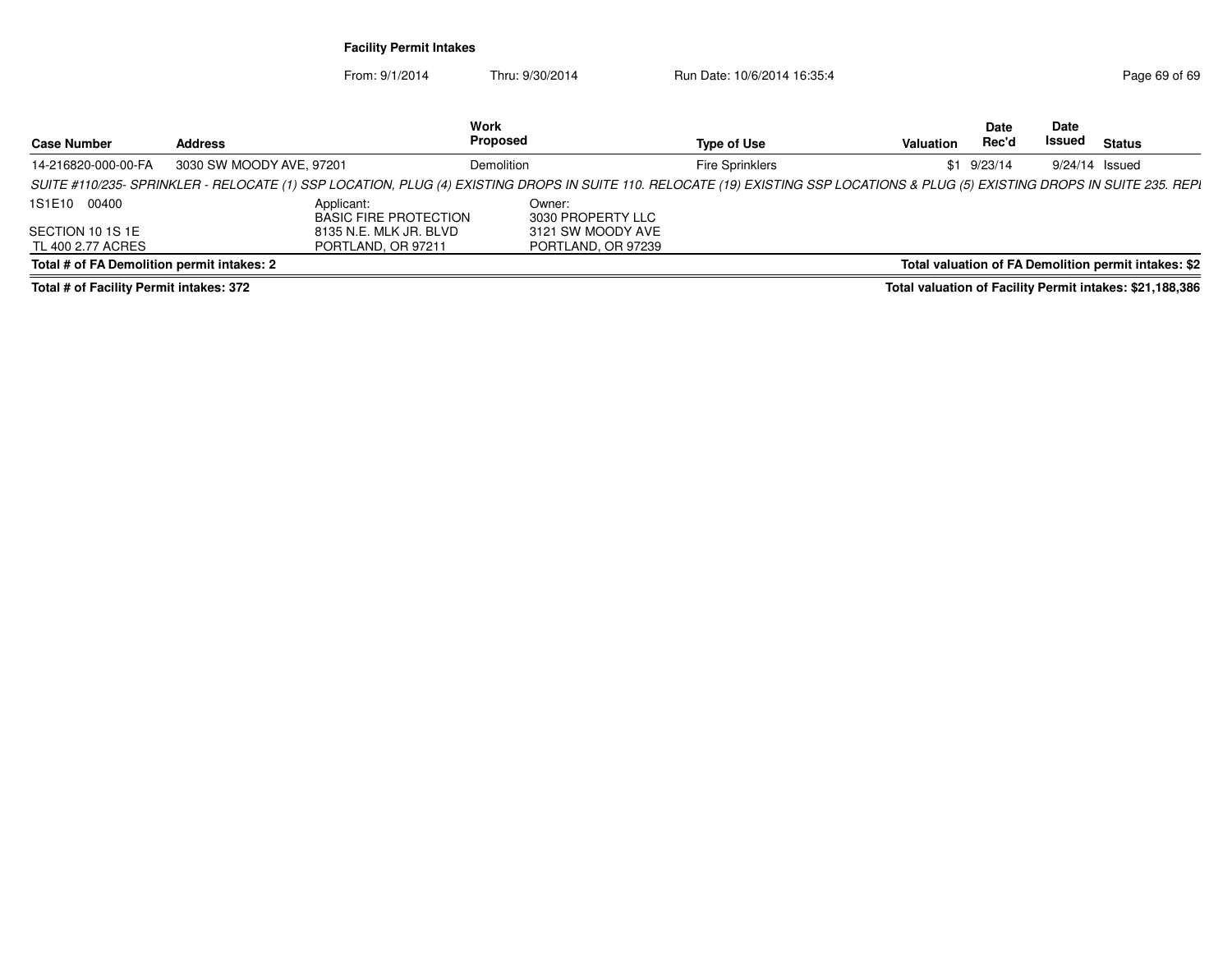From: 9/1/2014Thru: 9/30/2014 Run Date: 10/6/2014 16:35:4

| <b>Case Number</b>                         | <b>Address</b>                                                                                                                                                                 | Work<br><b>Proposed</b>     |                        | Valuation | Date<br>Rec'd | Date<br>Issued | Status                                               |
|--------------------------------------------|--------------------------------------------------------------------------------------------------------------------------------------------------------------------------------|-----------------------------|------------------------|-----------|---------------|----------------|------------------------------------------------------|
|                                            |                                                                                                                                                                                |                             | <b>Type of Use</b>     |           |               |                |                                                      |
| 14-216820-000-00-FA                        | 3030 SW MOODY AVE, 97201                                                                                                                                                       | Demolition                  | <b>Fire Sprinklers</b> |           | $$1$ 9/23/14  |                | 9/24/14 Issued                                       |
|                                            | SUITE #110/235- SPRINKLER - RELOCATE (1) SSP LOCATION, PLUG (4) EXISTING DROPS IN SUITE 110. RELOCATE (19) EXISTING SSP LOCATIONS & PLUG (5) EXISTING DROPS IN SUITE 235. REPL |                             |                        |           |               |                |                                                      |
| 1S1E10 00400                               | Applicant:<br><b>BASIC FIRE PROTECTION</b>                                                                                                                                     | Owner:<br>3030 PROPERTY LLC |                        |           |               |                |                                                      |
| SECTION 10 1S 1E                           | 8135 N.E. MLK JR. BLVD                                                                                                                                                         | 3121 SW MOODY AVE           |                        |           |               |                |                                                      |
| TL 400 2.77 ACRES                          | PORTLAND, OR 97211                                                                                                                                                             | PORTLAND, OR 97239          |                        |           |               |                |                                                      |
| Total # of FA Demolition permit intakes: 2 |                                                                                                                                                                                |                             |                        |           |               |                | Total valuation of FA Demolition permit intakes: \$2 |
|                                            |                                                                                                                                                                                |                             |                        |           |               |                |                                                      |

**Total # of Facility Permit intakes: 372**

**Total valuation of Facility Permit intakes: \$21,188,386**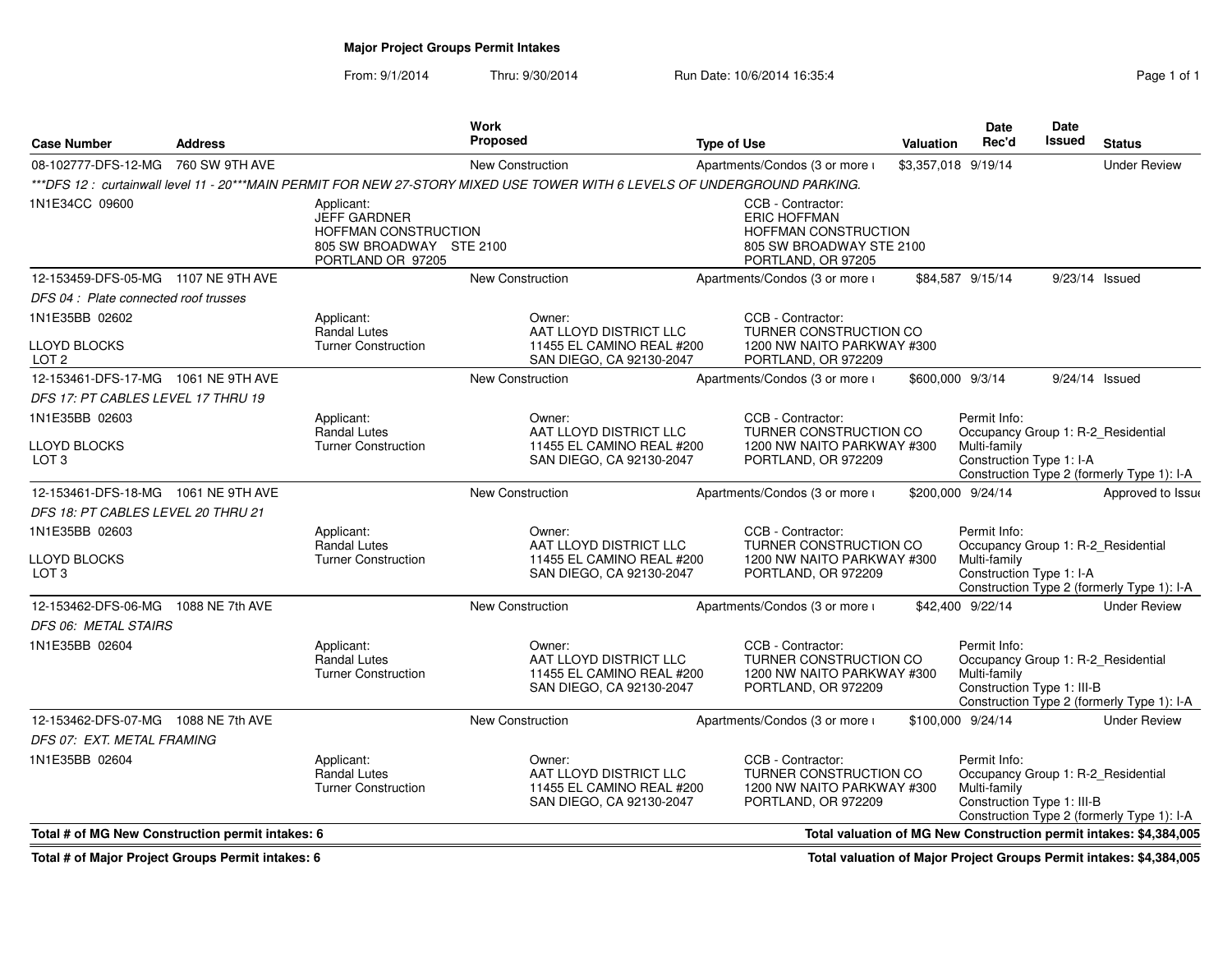# **Major Project Groups Permit Intakes**

From: 9/1/2014Thru: 9/30/2014 Run Date: 10/6/2014 16:35:4

| Page 1 of 1 |  |  |
|-------------|--|--|
|             |  |  |

| <b>Case Number</b>                               | <b>Address</b>  |                                                                                                            | Work<br><b>Proposed</b>                                                                                                    | <b>Type of Use</b>                                                                                                 | <b>Valuation</b>    | Date<br>Rec'd                                                                                    | <b>Date</b><br>Issued | <b>Status</b>                                                      |
|--------------------------------------------------|-----------------|------------------------------------------------------------------------------------------------------------|----------------------------------------------------------------------------------------------------------------------------|--------------------------------------------------------------------------------------------------------------------|---------------------|--------------------------------------------------------------------------------------------------|-----------------------|--------------------------------------------------------------------|
| 08-102777-DFS-12-MG                              | 760 SW 9TH AVE  |                                                                                                            | New Construction                                                                                                           | Apartments/Condos (3 or more i                                                                                     | \$3,357,018 9/19/14 |                                                                                                  |                       | <b>Under Review</b>                                                |
|                                                  |                 |                                                                                                            | ***DFS 12 : curtainwall level 11 - 20***MAIN PERMIT FOR NEW 27-STORY MIXED USE TOWER WITH 6 LEVELS OF UNDERGROUND PARKING. |                                                                                                                    |                     |                                                                                                  |                       |                                                                    |
| 1N1E34CC 09600                                   |                 | Applicant:<br><b>JEFF GARDNER</b><br>HOFFMAN CONSTRUCTION<br>805 SW BROADWAY STE 2100<br>PORTLAND OR 97205 |                                                                                                                            | CCB - Contractor:<br><b>ERIC HOFFMAN</b><br>HOFFMAN CONSTRUCTION<br>805 SW BROADWAY STE 2100<br>PORTLAND, OR 97205 |                     |                                                                                                  |                       |                                                                    |
| 12-153459-DFS-05-MG 1107 NE 9TH AVE              |                 |                                                                                                            | New Construction                                                                                                           | Apartments/Condos (3 or more i                                                                                     |                     | \$84,587 9/15/14                                                                                 | 9/23/14 Issued        |                                                                    |
| DFS 04: Plate connected roof trusses             |                 |                                                                                                            |                                                                                                                            |                                                                                                                    |                     |                                                                                                  |                       |                                                                    |
| 1N1E35BB 02602                                   |                 | Applicant:                                                                                                 | Owner:                                                                                                                     | CCB - Contractor:                                                                                                  |                     |                                                                                                  |                       |                                                                    |
| LLOYD BLOCKS<br>LOT <sub>2</sub>                 |                 | <b>Randal Lutes</b><br><b>Turner Construction</b>                                                          | AAT LLOYD DISTRICT LLC<br>11455 EL CAMINO REAL #200<br>SAN DIEGO, CA 92130-2047                                            | TURNER CONSTRUCTION CO<br>1200 NW NAITO PARKWAY #300<br>PORTLAND, OR 972209                                        |                     |                                                                                                  |                       |                                                                    |
| 12-153461-DFS-17-MG 1061 NE 9TH AVE              |                 |                                                                                                            | <b>New Construction</b>                                                                                                    | Apartments/Condos (3 or more i                                                                                     | \$600,000 9/3/14    |                                                                                                  | 9/24/14 Issued        |                                                                    |
| DFS 17: PT CABLES LEVEL 17 THRU 19               |                 |                                                                                                            |                                                                                                                            |                                                                                                                    |                     |                                                                                                  |                       |                                                                    |
| 1N1E35BB 02603                                   |                 | Applicant:<br><b>Randal Lutes</b>                                                                          | Owner:<br>AAT LLOYD DISTRICT LLC                                                                                           | CCB - Contractor:<br>TURNER CONSTRUCTION CO                                                                        |                     | Permit Info:<br>Occupancy Group 1: R-2_Residential                                               |                       |                                                                    |
| LLOYD BLOCKS<br>LOT <sub>3</sub>                 |                 | <b>Turner Construction</b>                                                                                 | 11455 EL CAMINO REAL #200<br>SAN DIEGO, CA 92130-2047                                                                      | 1200 NW NAITO PARKWAY #300<br>PORTLAND, OR 972209                                                                  |                     | Multi-family<br>Construction Type 1: I-A                                                         |                       | Construction Type 2 (formerly Type 1): I-A                         |
| 12-153461-DFS-18-MG 1061 NE 9TH AVE              |                 |                                                                                                            | <b>New Construction</b>                                                                                                    | Apartments/Condos (3 or more i                                                                                     | \$200,000 9/24/14   |                                                                                                  |                       | Approved to Issue                                                  |
| <b>DFS 18: PT CABLES LEVEL 20 THRU 21</b>        |                 |                                                                                                            |                                                                                                                            |                                                                                                                    |                     |                                                                                                  |                       |                                                                    |
| 1N1E35BB 02603                                   |                 | Applicant:                                                                                                 | Owner:                                                                                                                     | CCB - Contractor:                                                                                                  |                     | Permit Info:                                                                                     |                       |                                                                    |
| <b>LLOYD BLOCKS</b><br>LOT <sub>3</sub>          |                 | <b>Randal Lutes</b><br><b>Turner Construction</b>                                                          | AAT LLOYD DISTRICT LLC<br>11455 EL CAMINO REAL #200<br>SAN DIEGO, CA 92130-2047                                            | TURNER CONSTRUCTION CO<br>1200 NW NAITO PARKWAY #300<br>PORTLAND, OR 972209                                        |                     | Occupancy Group 1: R-2_Residential<br>Multi-family<br>Construction Type 1: I-A                   |                       | Construction Type 2 (formerly Type 1): I-A                         |
| 12-153462-DFS-06-MG                              | 1088 NE 7th AVE |                                                                                                            | <b>New Construction</b>                                                                                                    | Apartments/Condos (3 or more i                                                                                     |                     | \$42,400 9/22/14                                                                                 |                       | <b>Under Review</b>                                                |
| DFS 06: METAL STAIRS                             |                 |                                                                                                            |                                                                                                                            |                                                                                                                    |                     |                                                                                                  |                       |                                                                    |
| 1N1E35BB 02604                                   |                 | Applicant:<br><b>Randal Lutes</b><br><b>Turner Construction</b>                                            | Owner:<br>AAT LLOYD DISTRICT LLC<br>11455 EL CAMINO REAL #200<br>SAN DIEGO, CA 92130-2047                                  | CCB - Contractor:<br>TURNER CONSTRUCTION CO<br>1200 NW NAITO PARKWAY #300<br>PORTLAND, OR 972209                   |                     | Permit Info:<br>Occupancy Group 1: R-2_Residential<br>Multi-family<br>Construction Type 1: III-B |                       | Construction Type 2 (formerly Type 1): I-A                         |
| 12-153462-DFS-07-MG 1088 NE 7th AVE              |                 |                                                                                                            | New Construction                                                                                                           | Apartments/Condos (3 or more i                                                                                     |                     | \$100,000 9/24/14                                                                                |                       | <b>Under Review</b>                                                |
| DFS 07: EXT. METAL FRAMING                       |                 |                                                                                                            |                                                                                                                            |                                                                                                                    |                     |                                                                                                  |                       |                                                                    |
| 1N1E35BB 02604                                   |                 | Applicant:<br><b>Randal Lutes</b><br><b>Turner Construction</b>                                            | Owner:<br>AAT LLOYD DISTRICT LLC<br>11455 EL CAMINO REAL #200<br>SAN DIEGO, CA 92130-2047                                  | CCB - Contractor:<br>TURNER CONSTRUCTION CO<br>1200 NW NAITO PARKWAY #300<br>PORTLAND, OR 972209                   |                     | Permit Info:<br>Occupancy Group 1: R-2_Residential<br>Multi-family<br>Construction Type 1: III-B |                       | Construction Type 2 (formerly Type 1): I-A                         |
| Total # of MG New Construction permit intakes: 6 |                 |                                                                                                            |                                                                                                                            |                                                                                                                    |                     |                                                                                                  |                       | Total valuation of MG New Construction permit intakes: \$4,384,005 |

**Total # of Major Project Groups Permit intakes: 6**

**Total valuation of Major Project Groups Permit intakes: \$4,384,005**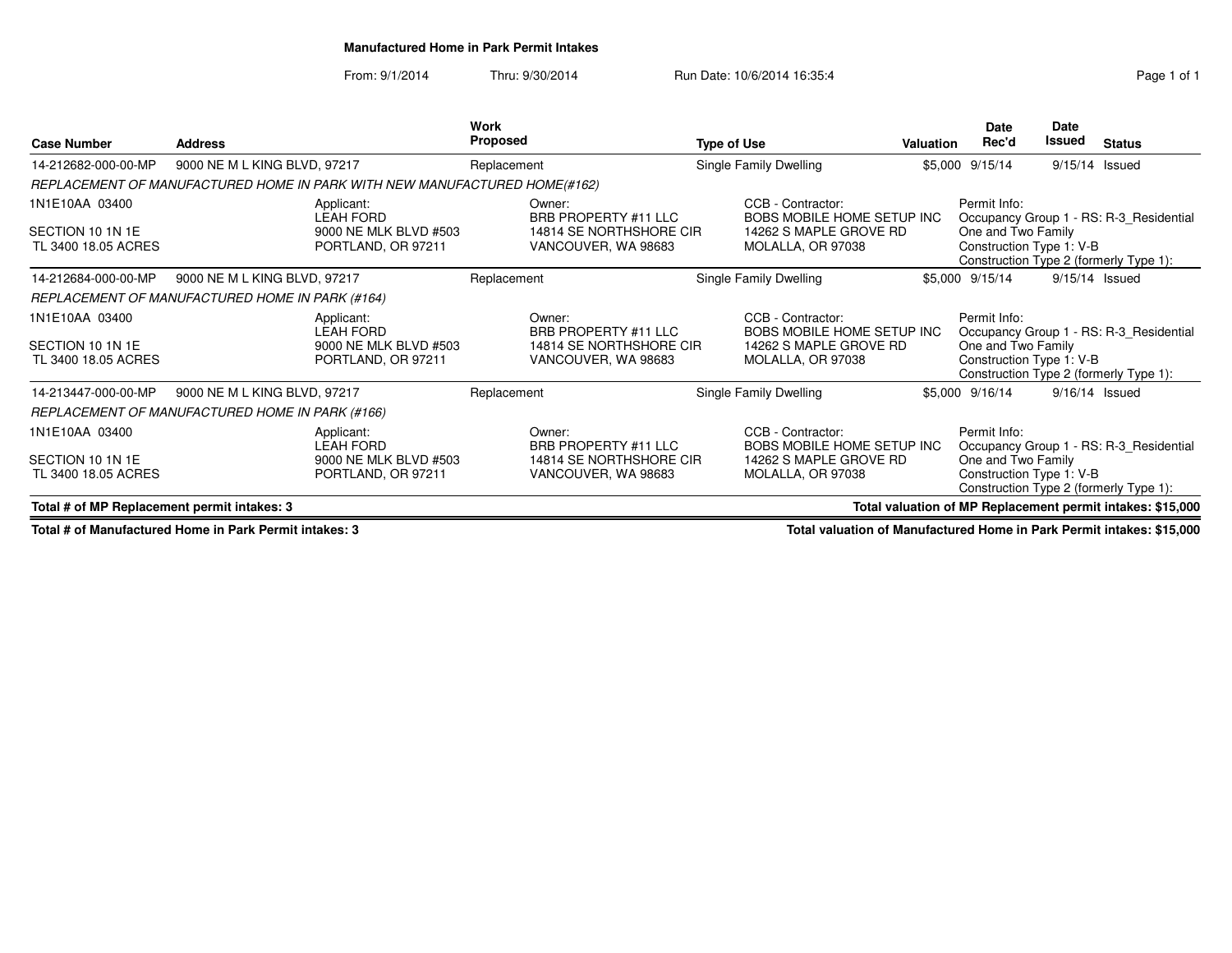**Manufactured Home in Park Permit Intakes**

From: 9/1/2014Thru: 9/30/2014 Run Date: 10/6/2014 16:35:4

| <b>Case Number</b>                          | <b>Address</b>                                                            | <b>Work</b><br><b>Proposed</b>                            | <b>Type of Use</b>                                                        | <b>Valuation</b> | <b>Date</b><br>Rec'd                           | <b>Date</b><br>Issued | <b>Status</b>                                              |
|---------------------------------------------|---------------------------------------------------------------------------|-----------------------------------------------------------|---------------------------------------------------------------------------|------------------|------------------------------------------------|-----------------------|------------------------------------------------------------|
| 14-212682-000-00-MP                         | 9000 NE M L KING BLVD, 97217                                              | Replacement                                               | Single Family Dwelling                                                    |                  | \$5,000 9/15/14                                | 9/15/14 Issued        |                                                            |
|                                             | REPLACEMENT OF MANUFACTURED HOME IN PARK WITH NEW MANUFACTURED HOME(#162) |                                                           |                                                                           |                  |                                                |                       |                                                            |
| 1N1E10AA 03400                              | Applicant:<br><b>LEAH FORD</b>                                            | Owner:<br>BRB PROPERTY #11 LLC                            | CCB - Contractor:<br>BOBS MOBILE HOME SETUP INC                           |                  | Permit Info:                                   |                       | Occupancy Group 1 - RS: R-3 Residential                    |
| SECTION 10 1N 1E<br>TL 3400 18.05 ACRES     | 9000 NE MLK BLVD #503<br>PORTLAND, OR 97211                               | 14814 SE NORTHSHORE CIR<br>VANCOUVER, WA 98683            | 14262 S MAPLE GROVE RD<br>MOLALLA, OR 97038                               |                  | One and Two Family<br>Construction Type 1: V-B |                       | Construction Type 2 (formerly Type 1):                     |
| 14-212684-000-00-MP                         | 9000 NE M L KING BLVD, 97217                                              | Replacement                                               | Single Family Dwelling                                                    |                  | \$5,000 9/15/14                                | $9/15/14$ Issued      |                                                            |
|                                             | REPLACEMENT OF MANUFACTURED HOME IN PARK (#164)                           |                                                           |                                                                           |                  |                                                |                       |                                                            |
| 1N1E10AA 03400<br>SECTION 10 1N 1E          | Applicant:<br>LEAH FORD<br>9000 NE MLK BLVD #503                          | Owner:<br>BRB PROPERTY #11 LLC<br>14814 SE NORTHSHORE CIR | CCB - Contractor:<br>BOBS MOBILE HOME SETUP INC<br>14262 S MAPLE GROVE RD |                  | Permit Info:<br>One and Two Family             |                       | Occupancy Group 1 - RS: R-3 Residential                    |
| TL 3400 18.05 ACRES                         | PORTLAND, OR 97211                                                        | VANCOUVER, WA 98683                                       | MOLALLA, OR 97038                                                         |                  | Construction Type 1: V-B                       |                       | Construction Type 2 (formerly Type 1):                     |
| 14-213447-000-00-MP                         | 9000 NE M L KING BLVD, 97217                                              | Replacement                                               | Single Family Dwelling                                                    |                  | \$5,000 9/16/14                                | $9/16/14$ Issued      |                                                            |
|                                             | REPLACEMENT OF MANUFACTURED HOME IN PARK (#166)                           |                                                           |                                                                           |                  |                                                |                       |                                                            |
| 1N1E10AA 03400                              | Applicant:<br><b>LEAH FORD</b>                                            | Owner:<br>BRB PROPERTY #11 LLC                            | CCB - Contractor:<br>BOBS MOBILE HOME SETUP INC                           |                  | Permit Info:                                   |                       | Occupancy Group 1 - RS: R-3 Residential                    |
| SECTION 10 1N 1E<br>TL 3400 18.05 ACRES     | 9000 NE MLK BLVD #503<br>PORTLAND, OR 97211                               | 14814 SE NORTHSHORE CIR<br>VANCOUVER, WA 98683            | 14262 S MAPLE GROVE RD<br>MOLALLA, OR 97038                               |                  | One and Two Family<br>Construction Type 1: V-B |                       | Construction Type 2 (formerly Type 1):                     |
| Total # of MP Replacement permit intakes: 3 |                                                                           |                                                           |                                                                           |                  |                                                |                       | Total valuation of MP Replacement permit intakes: \$15,000 |

**Total # of Manufactured Home in Park Permit intakes: 3**

**Total valuation of Manufactured Home in Park Permit intakes: \$15,000**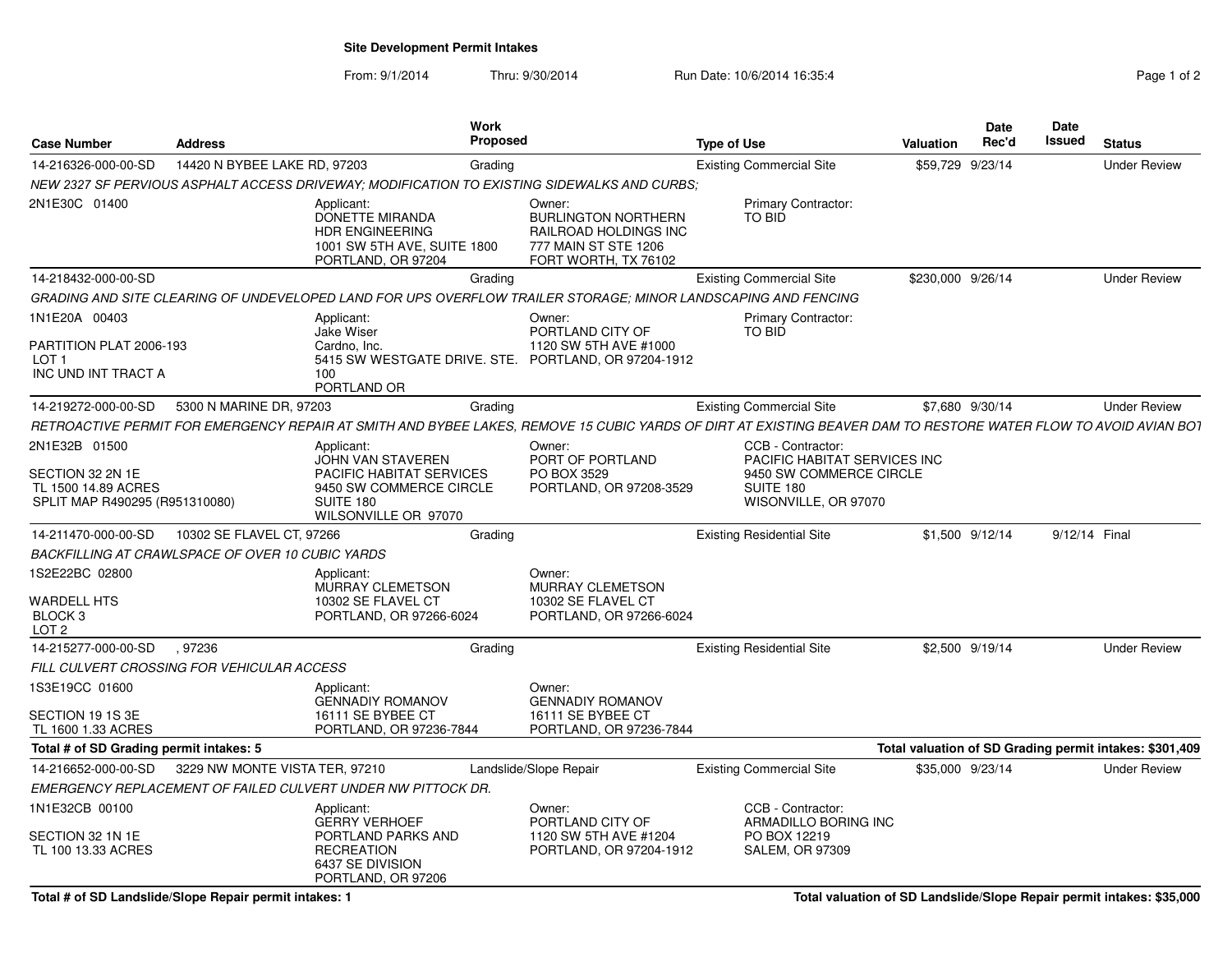**Site Development Permit Intakes**

From: 9/1/2014Thru: 9/30/2014 Run Date: 10/6/2014 16:35:4

| Page 1 of 2 |  |  |
|-------------|--|--|
|             |  |  |

| <b>Case Number</b>                                                                         | <b>Address</b>                                   | <b>Work</b><br><b>Proposed</b>                                                                                                                                  |                                                                                                               | <b>Type of Use</b>                                                                                                | Valuation         | Date<br>Rec'd    | <b>Date</b><br><b>Issued</b> | <b>Status</b>                                           |
|--------------------------------------------------------------------------------------------|--------------------------------------------------|-----------------------------------------------------------------------------------------------------------------------------------------------------------------|---------------------------------------------------------------------------------------------------------------|-------------------------------------------------------------------------------------------------------------------|-------------------|------------------|------------------------------|---------------------------------------------------------|
| 14-216326-000-00-SD                                                                        | 14420 N BYBEE LAKE RD, 97203                     | Grading                                                                                                                                                         |                                                                                                               | <b>Existing Commercial Site</b>                                                                                   |                   | \$59,729 9/23/14 |                              | <b>Under Review</b>                                     |
|                                                                                            |                                                  | NEW 2327 SF PERVIOUS ASPHALT ACCESS DRIVEWAY; MODIFICATION TO EXISTING SIDEWALKS AND CURBS;                                                                     |                                                                                                               |                                                                                                                   |                   |                  |                              |                                                         |
| 2N1E30C 01400                                                                              |                                                  | Applicant:<br>DONETTE MIRANDA<br>HDR ENGINEERING<br>1001 SW 5TH AVE, SUITE 1800<br>PORTLAND, OR 97204                                                           | Owner:<br><b>BURLINGTON NORTHERN</b><br>RAILROAD HOLDINGS INC<br>777 MAIN ST STE 1206<br>FORT WORTH, TX 76102 | <b>Primary Contractor:</b><br><b>TO BID</b>                                                                       |                   |                  |                              |                                                         |
| 14-218432-000-00-SD                                                                        |                                                  | Grading                                                                                                                                                         |                                                                                                               | <b>Existing Commercial Site</b>                                                                                   | \$230,000 9/26/14 |                  |                              | <b>Under Review</b>                                     |
|                                                                                            |                                                  | GRADING AND SITE CLEARING OF UNDEVELOPED LAND FOR UPS OVERFLOW TRAILER STORAGE: MINOR LANDSCAPING AND FENCING                                                   |                                                                                                               |                                                                                                                   |                   |                  |                              |                                                         |
| 1N1E20A 00403<br>PARTITION PLAT 2006-193<br>LOT <sub>1</sub><br>INC UND INT TRACT A        |                                                  | Applicant:<br><b>Jake Wiser</b><br>Cardno, Inc.<br>5415 SW WESTGATE DRIVE. STE. PORTLAND, OR 97204-1912<br>100<br>PORTLAND OR                                   | Owner:<br>PORTLAND CITY OF<br>1120 SW 5TH AVE #1000                                                           | <b>Primary Contractor:</b><br>TO BID                                                                              |                   |                  |                              |                                                         |
| 14-219272-000-00-SD                                                                        | 5300 N MARINE DR, 97203                          | Grading                                                                                                                                                         |                                                                                                               | <b>Existing Commercial Site</b>                                                                                   |                   | \$7,680 9/30/14  |                              | <b>Under Review</b>                                     |
|                                                                                            |                                                  | RETROACTIVE PERMIT FOR EMERGENCY REPAIR AT SMITH AND BYBEE LAKES. REMOVE 15 CUBIC YARDS OF DIRT AT EXISTING BEAVER DAM TO RESTORE WATER FLOW TO AVOID AVIAN BOT |                                                                                                               |                                                                                                                   |                   |                  |                              |                                                         |
| 2N1E32B 01500<br>SECTION 32 2N 1E<br>TL 1500 14.89 ACRES<br>SPLIT MAP R490295 (R951310080) |                                                  | Applicant:<br>JOHN VAN STAVEREN<br><b>PACIFIC HABITAT SERVICES</b><br>9450 SW COMMERCE CIRCLE<br>SUITE 180<br>WILSONVILLE OR 97070                              | Owner:<br>PORT OF PORTLAND<br>PO BOX 3529<br>PORTLAND, OR 97208-3529                                          | CCB - Contractor:<br>PACIFIC HABITAT SERVICES INC<br>9450 SW COMMERCE CIRCLE<br>SUITE 180<br>WISONVILLE, OR 97070 |                   |                  |                              |                                                         |
| 14-211470-000-00-SD                                                                        | 10302 SE FLAVEL CT, 97266                        | Grading                                                                                                                                                         |                                                                                                               | <b>Existing Residential Site</b>                                                                                  |                   | \$1,500 9/12/14  | 9/12/14 Final                |                                                         |
|                                                                                            | BACKFILLING AT CRAWLSPACE OF OVER 10 CUBIC YARDS |                                                                                                                                                                 |                                                                                                               |                                                                                                                   |                   |                  |                              |                                                         |
| 1S2E22BC 02800<br><b>WARDELL HTS</b><br>BLOCK 3<br>LOT <sub>2</sub>                        |                                                  | Applicant:<br>MURRAY CLEMETSON<br>10302 SE FLAVEL CT<br>PORTLAND, OR 97266-6024                                                                                 | Owner:<br>MURRAY CLEMETSON<br>10302 SE FLAVEL CT<br>PORTLAND, OR 97266-6024                                   |                                                                                                                   |                   |                  |                              |                                                         |
| 14-215277-000-00-SD                                                                        | .97236                                           | Grading                                                                                                                                                         |                                                                                                               | <b>Existing Residential Site</b>                                                                                  |                   | \$2,500 9/19/14  |                              | <b>Under Review</b>                                     |
|                                                                                            | FILL CULVERT CROSSING FOR VEHICULAR ACCESS       |                                                                                                                                                                 |                                                                                                               |                                                                                                                   |                   |                  |                              |                                                         |
| 1S3E19CC 01600<br>SECTION 19 1S 3E<br>TL 1600 1.33 ACRES                                   |                                                  | Applicant:<br><b>GENNADIY ROMANOV</b><br>16111 SE BYBEE CT<br>PORTLAND, OR 97236-7844                                                                           | Owner:<br><b>GENNADIY ROMANOV</b><br>16111 SE BYBEE CT<br>PORTLAND, OR 97236-7844                             |                                                                                                                   |                   |                  |                              |                                                         |
| Total # of SD Grading permit intakes: 5                                                    |                                                  |                                                                                                                                                                 |                                                                                                               |                                                                                                                   |                   |                  |                              | Total valuation of SD Grading permit intakes: \$301,409 |
| 14-216652-000-00-SD                                                                        | 3229 NW MONTE VISTA TER, 97210                   |                                                                                                                                                                 | Landslide/Slope Repair                                                                                        | <b>Existing Commercial Site</b>                                                                                   |                   | \$35,000 9/23/14 |                              | <b>Under Review</b>                                     |
|                                                                                            |                                                  | EMERGENCY REPLACEMENT OF FAILED CULVERT UNDER NW PITTOCK DR.                                                                                                    |                                                                                                               |                                                                                                                   |                   |                  |                              |                                                         |
| 1N1E32CB 00100<br>SECTION 32 1N 1E<br>TL 100 13.33 ACRES                                   |                                                  | Applicant:<br><b>GERRY VERHOEF</b><br>PORTLAND PARKS AND<br><b>RECREATION</b><br>6437 SE DIVISION<br>PORTLAND, OR 97206                                         | Owner:<br>PORTLAND CITY OF<br>1120 SW 5TH AVE #1204<br>PORTLAND, OR 97204-1912                                | CCB - Contractor:<br>ARMADILLO BORING INC<br>PO BOX 12219<br><b>SALEM, OR 97309</b>                               |                   |                  |                              |                                                         |

**Total # of SD Landslide/Slope Repair permit intakes: 1**

**Total valuation of SD Landslide/Slope Repair permit intakes: \$35,000**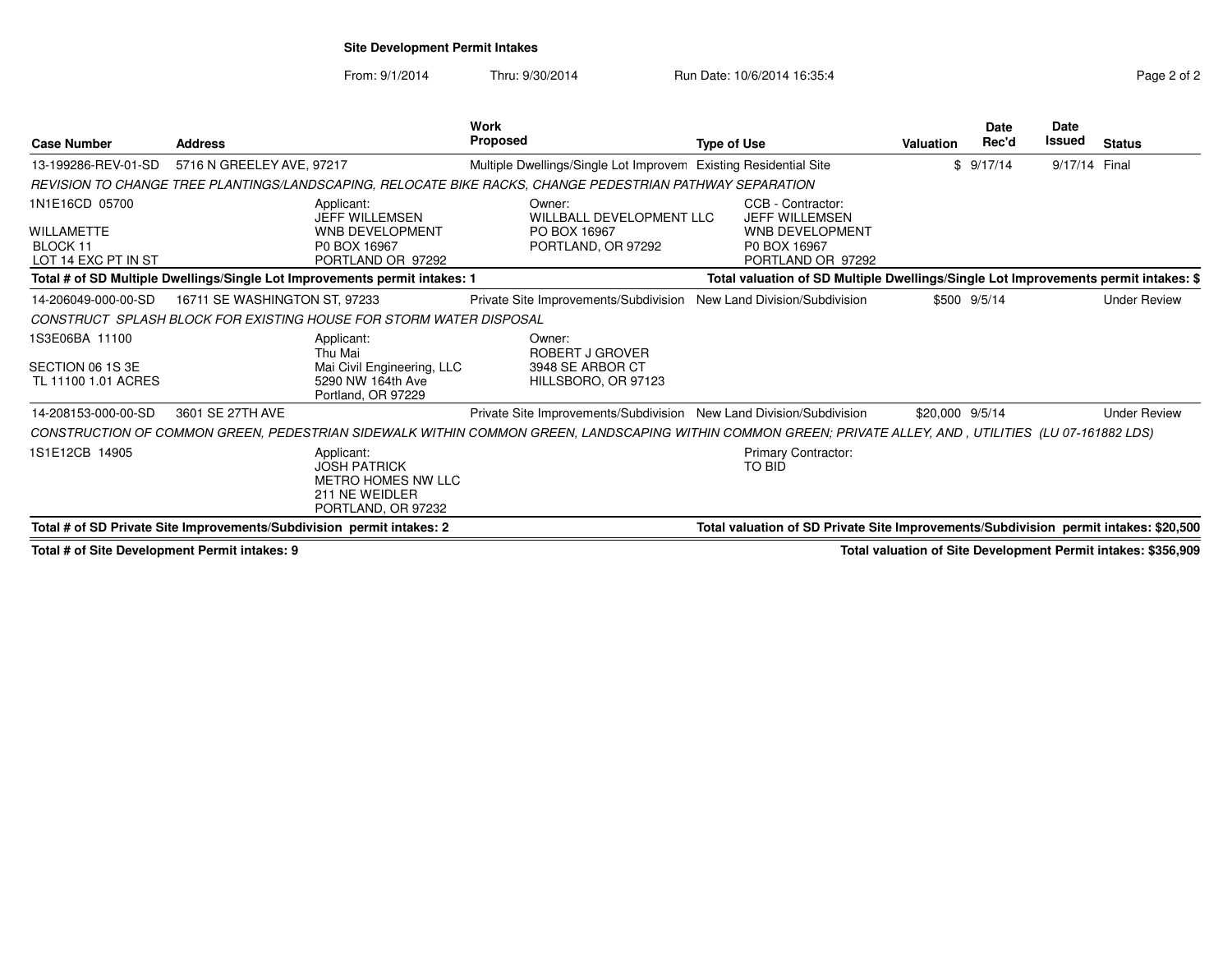## **Site Development Permit Intakes**

From: 9/1/2014Thru: 9/30/2014 Run Date: 10/6/2014 16:35:4

| <b>Case Number</b>                                              | <b>Address</b>                                                             |                                                                                                 | Work<br><b>Proposed</b> |                                                                                                                                                           | <b>Type of Use</b> |                                                                                                           | Valuation       | Date<br>Rec'd | <b>Date</b><br>Issued | <b>Status</b>       |
|-----------------------------------------------------------------|----------------------------------------------------------------------------|-------------------------------------------------------------------------------------------------|-------------------------|-----------------------------------------------------------------------------------------------------------------------------------------------------------|--------------------|-----------------------------------------------------------------------------------------------------------|-----------------|---------------|-----------------------|---------------------|
| 13-199286-REV-01-SD                                             | 5716 N GREELEY AVE, 97217                                                  |                                                                                                 |                         | Multiple Dwellings/Single Lot Improvem Existing Residential Site                                                                                          |                    |                                                                                                           |                 | \$9/17/14     | 9/17/14 Final         |                     |
|                                                                 |                                                                            |                                                                                                 |                         | REVISION TO CHANGE TREE PLANTINGS/LANDSCAPING, RELOCATE BIKE RACKS, CHANGE PEDESTRIAN PATHWAY SEPARATION                                                  |                    |                                                                                                           |                 |               |                       |                     |
| 1N1E16CD 05700<br>WILLAMETTE<br>BLOCK 11<br>LOT 14 EXC PT IN ST |                                                                            | Applicant:<br>JEFF WILLEMSEN<br><b>WNB DEVELOPMENT</b><br>P0 BOX 16967<br>PORTLAND OR 97292     |                         | Owner:<br>WILLBALL DEVELOPMENT LLC<br>PO BOX 16967<br>PORTLAND, OR 97292                                                                                  |                    | CCB - Contractor:<br><b>JEFF WILLEMSEN</b><br><b>WNB DEVELOPMENT</b><br>P0 BOX 16967<br>PORTLAND OR 97292 |                 |               |                       |                     |
|                                                                 | Total # of SD Multiple Dwellings/Single Lot Improvements permit intakes: 1 |                                                                                                 |                         |                                                                                                                                                           |                    | Total valuation of SD Multiple Dwellings/Single Lot Improvements permit intakes: \$                       |                 |               |                       |                     |
| 14-206049-000-00-SD                                             | 16711 SE WASHINGTON ST, 97233                                              |                                                                                                 |                         | Private Site Improvements/Subdivision                                                                                                                     |                    | New Land Division/Subdivision                                                                             |                 | \$500 9/5/14  |                       | <b>Under Review</b> |
|                                                                 | CONSTRUCT SPLASH BLOCK FOR EXISTING HOUSE FOR STORM WATER DISPOSAL         |                                                                                                 |                         |                                                                                                                                                           |                    |                                                                                                           |                 |               |                       |                     |
| 1S3E06BA 11100<br>SECTION 06 1S 3E<br>TL 11100 1.01 ACRES       |                                                                            | Applicant:<br>Thu Mai<br>Mai Civil Engineering, LLC<br>5290 NW 164th Ave<br>Portland, OR 97229  |                         | Owner:<br>ROBERT J GROVER<br>3948 SE ARBOR CT<br>HILLSBORO, OR 97123                                                                                      |                    |                                                                                                           |                 |               |                       |                     |
| 14-208153-000-00-SD                                             | 3601 SE 27TH AVE                                                           |                                                                                                 |                         | Private Site Improvements/Subdivision New Land Division/Subdivision                                                                                       |                    |                                                                                                           | \$20,000 9/5/14 |               |                       | <b>Under Review</b> |
|                                                                 |                                                                            |                                                                                                 |                         | CONSTRUCTION OF COMMON GREEN, PEDESTRIAN SIDEWALK WITHIN COMMON GREEN, LANDSCAPING WITHIN COMMON GREEN; PRIVATE ALLEY, AND , UTILITIES (LU 07-161882 LDS) |                    |                                                                                                           |                 |               |                       |                     |
| 1S1E12CB 14905                                                  |                                                                            | Applicant:<br><b>JOSH PATRICK</b><br>METRO HOMES NW LLC<br>211 NE WEIDLER<br>PORTLAND, OR 97232 |                         |                                                                                                                                                           |                    | <b>Primary Contractor:</b><br>TO BID                                                                      |                 |               |                       |                     |
|                                                                 | Total # of SD Private Site Improvements/Subdivision permit intakes: 2      |                                                                                                 |                         |                                                                                                                                                           |                    | Total valuation of SD Private Site Improvements/Subdivision permit intakes: \$20,500                      |                 |               |                       |                     |

**Total # of Site Development Permit intakes: 9**

**Total valuation of Site Development Permit intakes: \$356,909**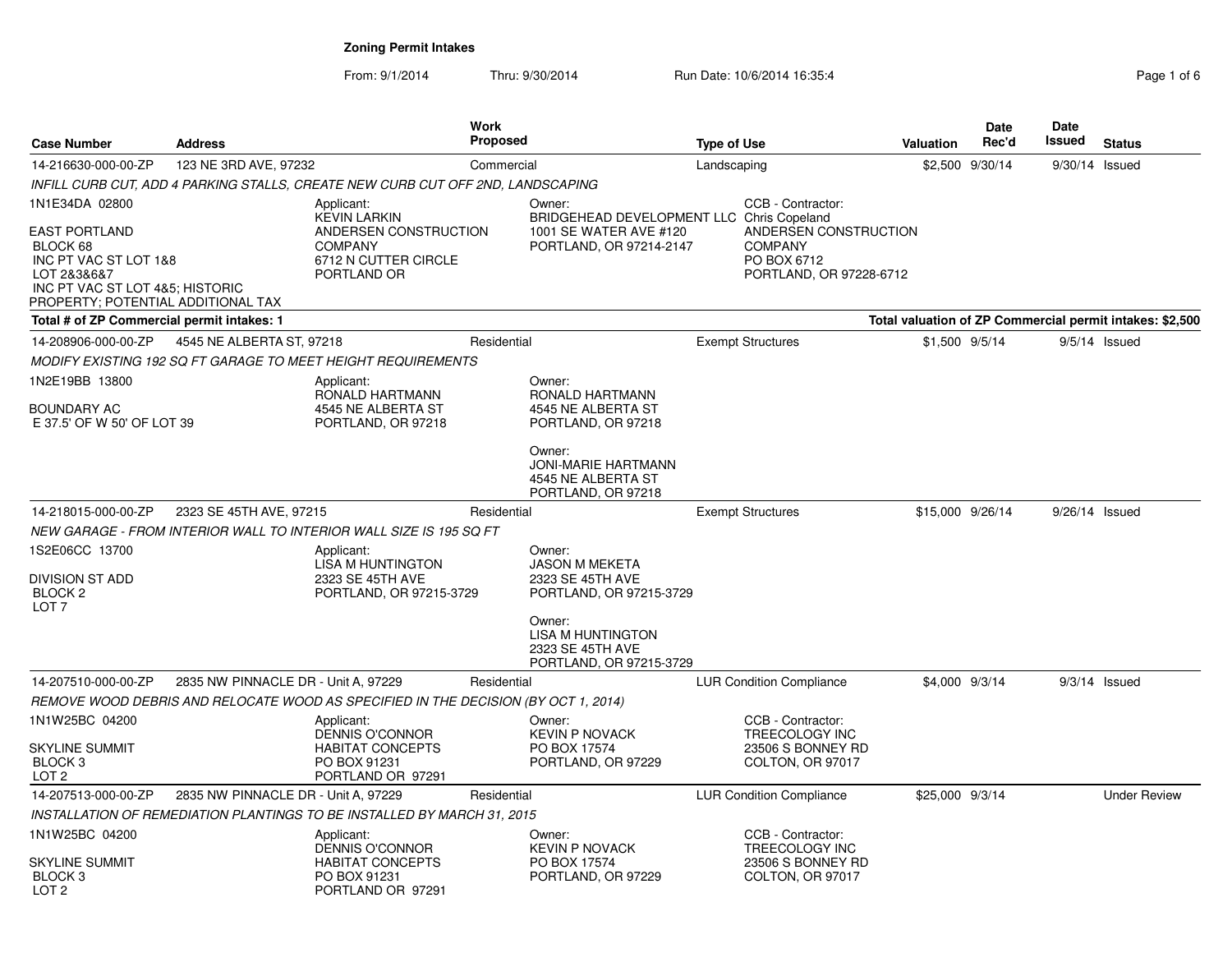| <b>Case Number</b>                                                                                                                                | <b>Address</b>                      |                                                                                       | <b>Work</b><br><b>Proposed</b><br><b>Type of Use</b> |                                                                                   | <b>Valuation</b> | Date<br>Rec'd                                                                     | <b>Date</b><br>Issued | <b>Status</b>   |                  |                                                          |
|---------------------------------------------------------------------------------------------------------------------------------------------------|-------------------------------------|---------------------------------------------------------------------------------------|------------------------------------------------------|-----------------------------------------------------------------------------------|------------------|-----------------------------------------------------------------------------------|-----------------------|-----------------|------------------|----------------------------------------------------------|
| 14-216630-000-00-ZP                                                                                                                               | 123 NE 3RD AVE, 97232               |                                                                                       | Commercial                                           |                                                                                   | Landscaping      |                                                                                   |                       | \$2,500 9/30/14 | 9/30/14 Issued   |                                                          |
|                                                                                                                                                   |                                     | INFILL CURB CUT, ADD 4 PARKING STALLS, CREATE NEW CURB CUT OFF 2ND, LANDSCAPING       |                                                      |                                                                                   |                  |                                                                                   |                       |                 |                  |                                                          |
| 1N1E34DA 02800                                                                                                                                    |                                     | Applicant:<br><b>KEVIN LARKIN</b>                                                     |                                                      | Owner:<br>BRIDGEHEAD DEVELOPMENT LLC Chris Copeland                               |                  | CCB - Contractor:                                                                 |                       |                 |                  |                                                          |
| <b>EAST PORTLAND</b><br>BLOCK 68<br>INC PT VAC ST LOT 1&8<br>LOT 2&3&6&7<br>INC PT VAC ST LOT 4&5; HISTORIC<br>PROPERTY; POTENTIAL ADDITIONAL TAX |                                     | ANDERSEN CONSTRUCTION<br><b>COMPANY</b><br>6712 N CUTTER CIRCLE<br>PORTLAND OR        |                                                      | 1001 SE WATER AVE #120<br>PORTLAND, OR 97214-2147                                 |                  | ANDERSEN CONSTRUCTION<br><b>COMPANY</b><br>PO BOX 6712<br>PORTLAND, OR 97228-6712 |                       |                 |                  |                                                          |
| Total # of ZP Commercial permit intakes: 1                                                                                                        |                                     |                                                                                       |                                                      |                                                                                   |                  |                                                                                   |                       |                 |                  | Total valuation of ZP Commercial permit intakes: \$2,500 |
| 14-208906-000-00-ZP                                                                                                                               | 4545 NE ALBERTA ST, 97218           |                                                                                       | Residential                                          |                                                                                   |                  | <b>Exempt Structures</b>                                                          |                       | \$1,500 9/5/14  |                  | $9/5/14$ Issued                                          |
|                                                                                                                                                   |                                     | MODIFY EXISTING 192 SQ FT GARAGE TO MEET HEIGHT REQUIREMENTS                          |                                                      |                                                                                   |                  |                                                                                   |                       |                 |                  |                                                          |
| 1N2E19BB 13800<br>BOUNDARY AC<br>E 37.5' OF W 50' OF LOT 39                                                                                       |                                     | Applicant:<br>RONALD HARTMANN<br>4545 NE ALBERTA ST<br>PORTLAND, OR 97218             |                                                      | Owner:<br>RONALD HARTMANN<br>4545 NE ALBERTA ST<br>PORTLAND, OR 97218             |                  |                                                                                   |                       |                 |                  |                                                          |
|                                                                                                                                                   |                                     |                                                                                       |                                                      | Owner:<br><b>JONI-MARIE HARTMANN</b><br>4545 NE ALBERTA ST<br>PORTLAND, OR 97218  |                  |                                                                                   |                       |                 |                  |                                                          |
| 14-218015-000-00-ZP                                                                                                                               | 2323 SE 45TH AVE, 97215             |                                                                                       | Residential                                          |                                                                                   |                  | <b>Exempt Structures</b>                                                          | \$15,000 9/26/14      |                 | $9/26/14$ Issued |                                                          |
|                                                                                                                                                   |                                     | NEW GARAGE - FROM INTERIOR WALL TO INTERIOR WALL SIZE IS 195 SQ FT                    |                                                      |                                                                                   |                  |                                                                                   |                       |                 |                  |                                                          |
| 1S2E06CC 13700<br><b>DIVISION ST ADD</b><br>BLOCK <sub>2</sub><br>LOT <sub>7</sub>                                                                |                                     | Applicant:<br><b>LISA M HUNTINGTON</b><br>2323 SE 45TH AVE<br>PORTLAND, OR 97215-3729 |                                                      | Owner:<br><b>JASON M MEKETA</b><br>2323 SE 45TH AVE<br>PORTLAND, OR 97215-3729    |                  |                                                                                   |                       |                 |                  |                                                          |
|                                                                                                                                                   |                                     |                                                                                       |                                                      | Owner:<br><b>LISA M HUNTINGTON</b><br>2323 SE 45TH AVE<br>PORTLAND, OR 97215-3729 |                  |                                                                                   |                       |                 |                  |                                                          |
| 14-207510-000-00-ZP                                                                                                                               | 2835 NW PINNACLE DR - Unit A, 97229 |                                                                                       | Residential                                          |                                                                                   |                  | <b>LUR Condition Compliance</b>                                                   |                       | \$4,000 9/3/14  |                  | $9/3/14$ Issued                                          |
|                                                                                                                                                   |                                     | REMOVE WOOD DEBRIS AND RELOCATE WOOD AS SPECIFIED IN THE DECISION (BY OCT 1, 2014)    |                                                      |                                                                                   |                  |                                                                                   |                       |                 |                  |                                                          |
| 1N1W25BC 04200                                                                                                                                    |                                     | Applicant:<br><b>DENNIS O'CONNOR</b>                                                  |                                                      | Owner:<br><b>KEVIN P NOVACK</b>                                                   |                  | CCB - Contractor:<br>TREECOLOGY INC                                               |                       |                 |                  |                                                          |
| <b>SKYLINE SUMMIT</b><br>BLOCK <sub>3</sub><br>LOT <sub>2</sub>                                                                                   |                                     | <b>HABITAT CONCEPTS</b><br>PO BOX 91231<br>PORTLAND OR 97291                          |                                                      | PO BOX 17574<br>PORTLAND, OR 97229                                                |                  | 23506 S BONNEY RD<br>COLTON, OR 97017                                             |                       |                 |                  |                                                          |
| 14-207513-000-00-ZP                                                                                                                               | 2835 NW PINNACLE DR - Unit A, 97229 |                                                                                       | Residential                                          |                                                                                   |                  | <b>LUR Condition Compliance</b>                                                   | \$25,000 9/3/14       |                 |                  | <b>Under Review</b>                                      |
|                                                                                                                                                   |                                     | INSTALLATION OF REMEDIATION PLANTINGS TO BE INSTALLED BY MARCH 31, 2015               |                                                      |                                                                                   |                  |                                                                                   |                       |                 |                  |                                                          |
| 1N1W25BC 04200                                                                                                                                    |                                     | Applicant:<br><b>DENNIS O'CONNOR</b>                                                  |                                                      | Owner:<br><b>KEVIN P NOVACK</b>                                                   |                  | CCB - Contractor:<br>TREECOLOGY INC                                               |                       |                 |                  |                                                          |
| <b>SKYLINE SUMMIT</b><br>BLOCK <sub>3</sub><br>LOT <sub>2</sub>                                                                                   |                                     | <b>HABITAT CONCEPTS</b><br>PO BOX 91231<br>PORTLAND OR 97291                          |                                                      | PO BOX 17574<br>PORTLAND, OR 97229                                                |                  | 23506 S BONNEY RD<br>COLTON, OR 97017                                             |                       |                 |                  |                                                          |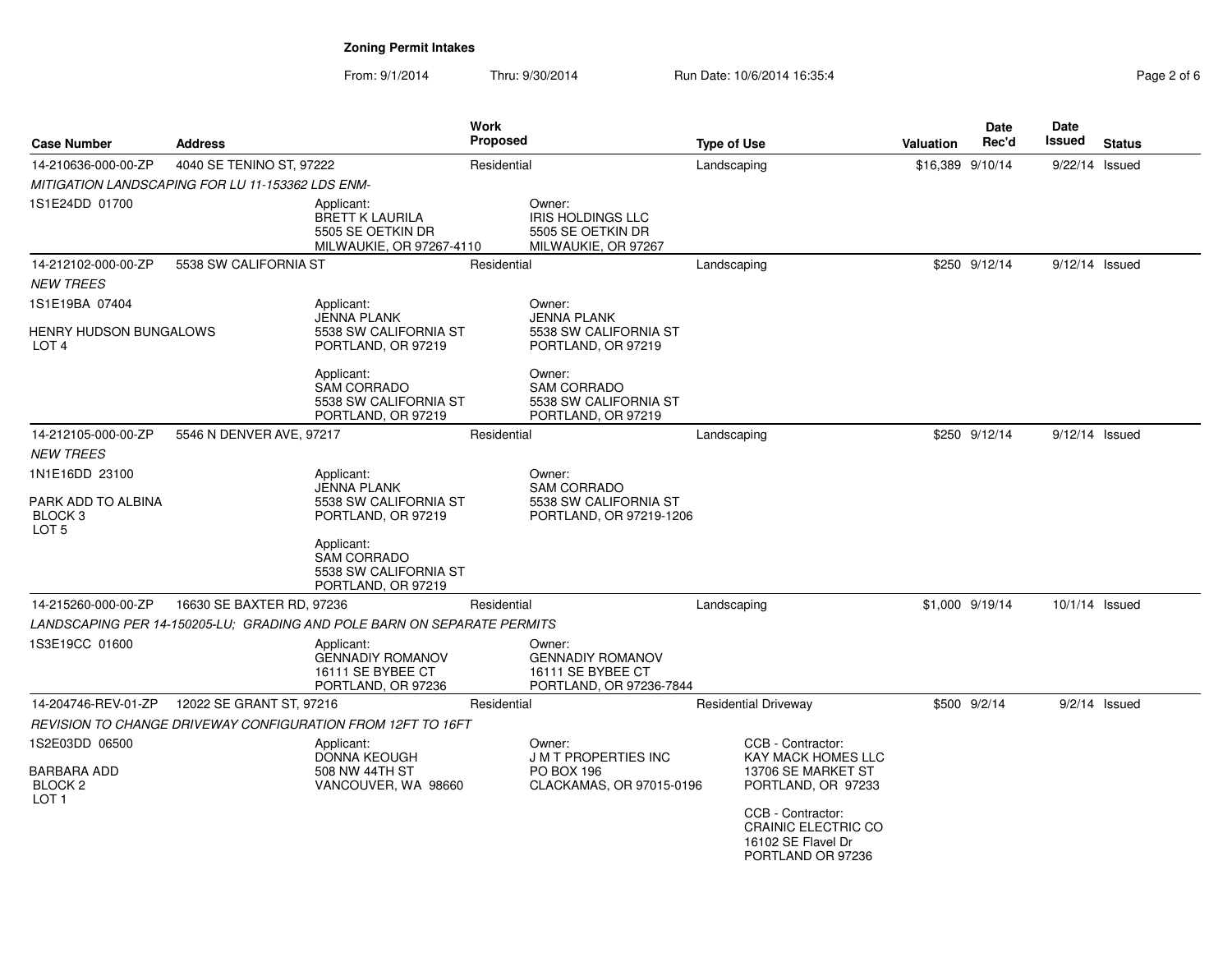| <b>Case Number</b>                                                      | <b>Address</b>                                   |                                                                                       | <b>Work</b><br><b>Proposed</b> |                                                                                   | <b>Type of Use</b> |                                                                                            | Valuation        | Date<br>Rec'd   | Date<br>Issued   | <b>Status</b>   |
|-------------------------------------------------------------------------|--------------------------------------------------|---------------------------------------------------------------------------------------|--------------------------------|-----------------------------------------------------------------------------------|--------------------|--------------------------------------------------------------------------------------------|------------------|-----------------|------------------|-----------------|
| 14-210636-000-00-ZP                                                     | 4040 SE TENINO ST, 97222                         |                                                                                       | Residential                    |                                                                                   | Landscaping        |                                                                                            | \$16,389 9/10/14 |                 | $9/22/14$ Issued |                 |
|                                                                         | MITIGATION LANDSCAPING FOR LU 11-153362 LDS ENM- |                                                                                       |                                |                                                                                   |                    |                                                                                            |                  |                 |                  |                 |
| 1S1E24DD 01700                                                          |                                                  | Applicant:<br><b>BRETT K LAURILA</b><br>5505 SE OETKIN DR<br>MILWAUKIE, OR 97267-4110 |                                | Owner:<br><b>IRIS HOLDINGS LLC</b><br>5505 SE OETKIN DR<br>MILWAUKIE, OR 97267    |                    |                                                                                            |                  |                 |                  |                 |
| 14-212102-000-00-ZP                                                     | 5538 SW CALIFORNIA ST                            |                                                                                       | Residential                    |                                                                                   | Landscaping        |                                                                                            |                  | \$250 9/12/14   | $9/12/14$ Issued |                 |
| <b>NEW TREES</b>                                                        |                                                  |                                                                                       |                                |                                                                                   |                    |                                                                                            |                  |                 |                  |                 |
| 1S1E19BA 07404                                                          |                                                  | Applicant:                                                                            |                                | Owner:                                                                            |                    |                                                                                            |                  |                 |                  |                 |
| HENRY HUDSON BUNGALOWS<br>LOT <sub>4</sub>                              |                                                  | <b>JENNA PLANK</b><br>5538 SW CALIFORNIA ST<br>PORTLAND, OR 97219                     |                                | <b>JENNA PLANK</b><br>5538 SW CALIFORNIA ST<br>PORTLAND, OR 97219                 |                    |                                                                                            |                  |                 |                  |                 |
|                                                                         |                                                  | Applicant:<br><b>SAM CORRADO</b><br>5538 SW CALIFORNIA ST<br>PORTLAND, OR 97219       |                                | Owner:<br><b>SAM CORRADO</b><br>5538 SW CALIFORNIA ST<br>PORTLAND, OR 97219       |                    |                                                                                            |                  |                 |                  |                 |
| 14-212105-000-00-ZP                                                     | 5546 N DENVER AVE, 97217                         |                                                                                       | Residential                    |                                                                                   | Landscaping        |                                                                                            |                  | \$250 9/12/14   | $9/12/14$ Issued |                 |
| <b>NEW TREES</b>                                                        |                                                  |                                                                                       |                                |                                                                                   |                    |                                                                                            |                  |                 |                  |                 |
| 1N1E16DD 23100<br>PARK ADD TO ALBINA<br>BLOCK <sub>3</sub>              |                                                  | Applicant:<br><b>JENNA PLANK</b><br>5538 SW CALIFORNIA ST<br>PORTLAND, OR 97219       |                                | Owner:<br><b>SAM CORRADO</b><br>5538 SW CALIFORNIA ST<br>PORTLAND, OR 97219-1206  |                    |                                                                                            |                  |                 |                  |                 |
| LOT 5                                                                   |                                                  | Applicant:<br><b>SAM CORRADO</b><br>5538 SW CALIFORNIA ST<br>PORTLAND, OR 97219       |                                |                                                                                   |                    |                                                                                            |                  |                 |                  |                 |
| 14-215260-000-00-ZP                                                     | 16630 SE BAXTER RD, 97236                        |                                                                                       | Residential                    |                                                                                   | Landscaping        |                                                                                            |                  | \$1,000 9/19/14 | 10/1/14 Issued   |                 |
|                                                                         |                                                  | LANDSCAPING PER 14-150205-LU; GRADING AND POLE BARN ON SEPARATE PERMITS               |                                |                                                                                   |                    |                                                                                            |                  |                 |                  |                 |
| 1S3E19CC 01600                                                          |                                                  | Applicant:<br><b>GENNADIY ROMANOV</b><br>16111 SE BYBEE CT<br>PORTLAND, OR 97236      |                                | Owner:<br><b>GENNADIY ROMANOV</b><br>16111 SE BYBEE CT<br>PORTLAND, OR 97236-7844 |                    |                                                                                            |                  |                 |                  |                 |
| 14-204746-REV-01-ZP                                                     | 12022 SE GRANT ST, 97216                         |                                                                                       | Residential                    |                                                                                   |                    | <b>Residential Driveway</b>                                                                |                  | \$500 9/2/14    |                  | $9/2/14$ Issued |
|                                                                         |                                                  | REVISION TO CHANGE DRIVEWAY CONFIGURATION FROM 12FT TO 16FT                           |                                |                                                                                   |                    |                                                                                            |                  |                 |                  |                 |
| 1S2E03DD 06500<br>BARBARA ADD<br>BLOCK <sub>2</sub><br>LOT <sub>1</sub> |                                                  | Applicant:<br><b>DONNA KEOUGH</b><br>508 NW 44TH ST<br>VANCOUVER, WA 98660            |                                | Owner:<br><b>J M T PROPERTIES INC</b><br>PO BOX 196<br>CLACKAMAS, OR 97015-0196   |                    | CCB - Contractor:<br>KAY MACK HOMES LLC<br>13706 SE MARKET ST<br>PORTLAND, OR 97233        |                  |                 |                  |                 |
|                                                                         |                                                  |                                                                                       |                                |                                                                                   |                    | CCB - Contractor:<br><b>CRAINIC ELECTRIC CO</b><br>16102 SE Flavel Dr<br>PORTLAND OR 97236 |                  |                 |                  |                 |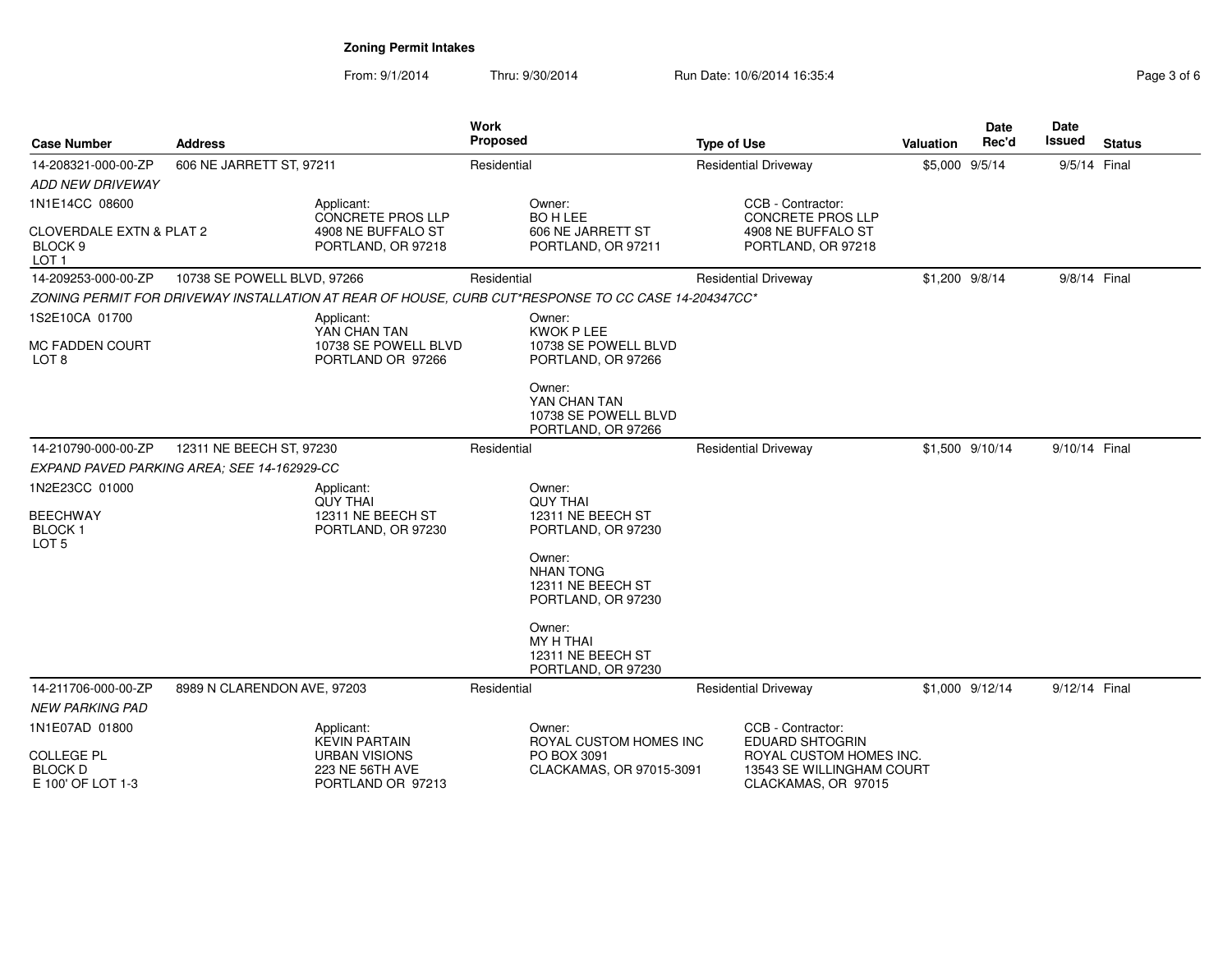| <b>Case Number</b>                                                            | <b>Address</b>                              |                                                              | <b>Work</b><br>Proposed |                                                                                                     | <b>Type of Use</b> |                                                                             | <b>Valuation</b> | <b>Date</b><br>Rec'd | Date<br>Issued | <b>Status</b> |
|-------------------------------------------------------------------------------|---------------------------------------------|--------------------------------------------------------------|-------------------------|-----------------------------------------------------------------------------------------------------|--------------------|-----------------------------------------------------------------------------|------------------|----------------------|----------------|---------------|
| 14-208321-000-00-ZP                                                           | 606 NE JARRETT ST, 97211                    |                                                              | Residential             |                                                                                                     |                    | <b>Residential Driveway</b>                                                 | \$5,000 9/5/14   |                      | 9/5/14 Final   |               |
| <i>ADD NEW DRIVEWAY</i>                                                       |                                             |                                                              |                         |                                                                                                     |                    |                                                                             |                  |                      |                |               |
| 1N1E14CC 08600                                                                |                                             | Applicant:<br>CONCRETE PROS LLP                              |                         | Owner:<br><b>BO H LEE</b>                                                                           |                    | CCB - Contractor:<br><b>CONCRETE PROS LLP</b>                               |                  |                      |                |               |
| <b>CLOVERDALE EXTN &amp; PLAT 2</b><br>BLOCK <sub>9</sub><br>LOT <sub>1</sub> |                                             | 4908 NE BUFFALO ST<br>PORTLAND, OR 97218                     |                         | 606 NE JARRETT ST<br>PORTLAND, OR 97211                                                             |                    | 4908 NE BUFFALO ST<br>PORTLAND, OR 97218                                    |                  |                      |                |               |
| 14-209253-000-00-ZP                                                           | 10738 SE POWELL BLVD, 97266                 |                                                              | Residential             |                                                                                                     |                    | <b>Residential Driveway</b>                                                 | \$1,200 9/8/14   |                      | 9/8/14 Final   |               |
|                                                                               |                                             |                                                              |                         | ZONING PERMIT FOR DRIVEWAY INSTALLATION AT REAR OF HOUSE, CURB CUT*RESPONSE TO CC CASE 14-204347CC* |                    |                                                                             |                  |                      |                |               |
| 1S2E10CA 01700                                                                |                                             | Applicant:<br>YAN CHAN TAN                                   |                         | Owner:<br><b>KWOK P LEE</b>                                                                         |                    |                                                                             |                  |                      |                |               |
| <b>MC FADDEN COURT</b><br>LOT <sub>8</sub>                                    |                                             | 10738 SE POWELL BLVD<br>PORTLAND OR 97266                    |                         | 10738 SE POWELL BLVD<br>PORTLAND, OR 97266                                                          |                    |                                                                             |                  |                      |                |               |
|                                                                               |                                             |                                                              |                         | Owner:<br>YAN CHAN TAN<br>10738 SE POWELL BLVD<br>PORTLAND, OR 97266                                |                    |                                                                             |                  |                      |                |               |
| 14-210790-000-00-ZP                                                           | 12311 NE BEECH ST, 97230                    |                                                              | Residential             |                                                                                                     |                    | <b>Residential Driveway</b>                                                 |                  | \$1,500 9/10/14      | 9/10/14 Final  |               |
|                                                                               | EXPAND PAVED PARKING AREA: SEE 14-162929-CC |                                                              |                         |                                                                                                     |                    |                                                                             |                  |                      |                |               |
| 1N2E23CC 01000                                                                |                                             | Applicant:<br><b>QUY THAI</b>                                |                         | Owner:<br><b>OUY THAI</b>                                                                           |                    |                                                                             |                  |                      |                |               |
| <b>BEECHWAY</b><br><b>BLOCK1</b><br>LOT <sub>5</sub>                          |                                             | 12311 NE BEECH ST<br>PORTLAND, OR 97230                      |                         | 12311 NE BEECH ST<br>PORTLAND, OR 97230                                                             |                    |                                                                             |                  |                      |                |               |
|                                                                               |                                             |                                                              |                         | Owner:<br><b>NHAN TONG</b><br>12311 NE BEECH ST<br>PORTLAND, OR 97230                               |                    |                                                                             |                  |                      |                |               |
|                                                                               |                                             |                                                              |                         | Owner:<br>MY H THAI<br>12311 NE BEECH ST<br>PORTLAND, OR 97230                                      |                    |                                                                             |                  |                      |                |               |
| 14-211706-000-00-ZP                                                           | 8989 N CLARENDON AVE, 97203                 |                                                              | Residential             |                                                                                                     |                    | <b>Residential Driveway</b>                                                 |                  | \$1,000 9/12/14      | 9/12/14 Final  |               |
| <b>NEW PARKING PAD</b>                                                        |                                             |                                                              |                         |                                                                                                     |                    |                                                                             |                  |                      |                |               |
| 1N1E07AD 01800                                                                |                                             | Applicant:<br><b>KEVIN PARTAIN</b>                           |                         | Owner:<br>ROYAL CUSTOM HOMES INC                                                                    |                    | CCB - Contractor:<br><b>EDUARD SHTOGRIN</b>                                 |                  |                      |                |               |
| <b>COLLEGE PL</b><br><b>BLOCK D</b><br>E 100' OF LOT 1-3                      |                                             | <b>URBAN VISIONS</b><br>223 NE 56TH AVE<br>PORTLAND OR 97213 |                         | PO BOX 3091<br>CLACKAMAS, OR 97015-3091                                                             |                    | ROYAL CUSTOM HOMES INC.<br>13543 SE WILLINGHAM COURT<br>CLACKAMAS, OR 97015 |                  |                      |                |               |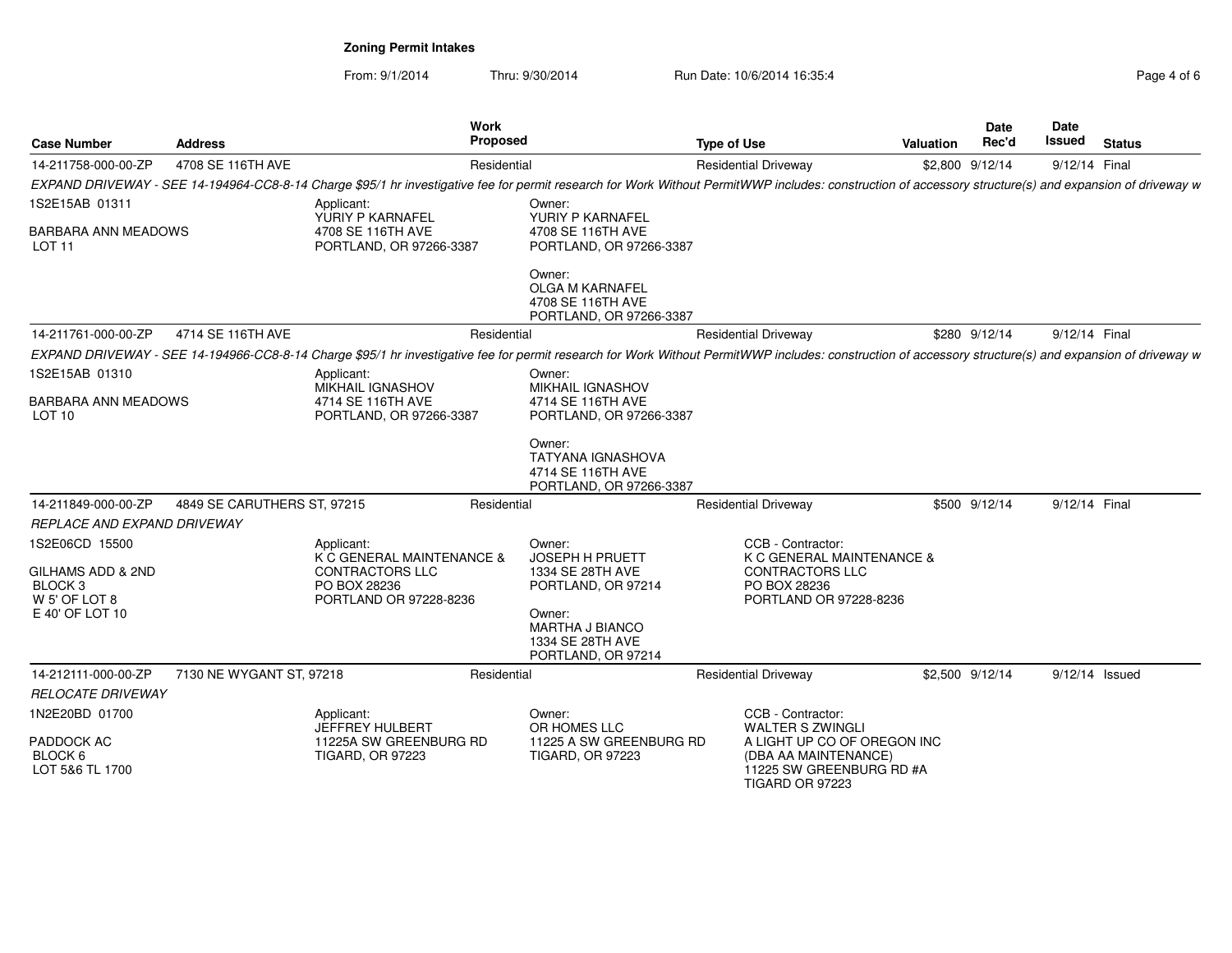| <b>Case Number</b>                                                                                        | <b>Address</b>              | Work<br>Proposed                                                                                                                                                                                        |                                                                                      | <b>Type of Use</b>                                                                                                 | Valuation | <b>Date</b><br>Rec'd | <b>Date</b><br>Issued | <b>Status</b> |
|-----------------------------------------------------------------------------------------------------------|-----------------------------|---------------------------------------------------------------------------------------------------------------------------------------------------------------------------------------------------------|--------------------------------------------------------------------------------------|--------------------------------------------------------------------------------------------------------------------|-----------|----------------------|-----------------------|---------------|
| 14-211758-000-00-ZP                                                                                       | 4708 SE 116TH AVE           | Residential                                                                                                                                                                                             |                                                                                      | <b>Residential Driveway</b>                                                                                        |           | \$2,800 9/12/14      | 9/12/14 Final         |               |
|                                                                                                           |                             | EXPAND DRIVEWAY - SEE 14-194964-CC8-8-14 Charge \$95/1 hr investigative fee for permit research for Work Without PermitWWP includes: construction of accessory structure(s) and expansion of driveway w |                                                                                      |                                                                                                                    |           |                      |                       |               |
| 1S2E15AB 01311                                                                                            |                             | Applicant:                                                                                                                                                                                              | Owner:                                                                               |                                                                                                                    |           |                      |                       |               |
| <b>BARBARA ANN MEADOWS</b><br>LOT <sub>11</sub>                                                           |                             | YURIY P KARNAFEL<br>4708 SE 116TH AVE<br>PORTLAND, OR 97266-3387                                                                                                                                        | YURIY P KARNAFEL<br>4708 SE 116TH AVE<br>PORTLAND, OR 97266-3387                     |                                                                                                                    |           |                      |                       |               |
|                                                                                                           |                             |                                                                                                                                                                                                         | Owner:<br><b>OLGA M KARNAFEL</b><br>4708 SE 116TH AVE<br>PORTLAND, OR 97266-3387     |                                                                                                                    |           |                      |                       |               |
| 14-211761-000-00-ZP                                                                                       | 4714 SE 116TH AVE           | Residential                                                                                                                                                                                             |                                                                                      | <b>Residential Driveway</b>                                                                                        |           | \$280 9/12/14        | 9/12/14 Final         |               |
|                                                                                                           |                             | EXPAND DRIVEWAY - SEE 14-194966-CC8-8-14 Charge \$95/1 hr investigative fee for permit research for Work Without PermitWWP includes: construction of accessory structure(s) and expansion of driveway w |                                                                                      |                                                                                                                    |           |                      |                       |               |
| 1S2E15AB 01310                                                                                            |                             | Applicant:                                                                                                                                                                                              | Owner:                                                                               |                                                                                                                    |           |                      |                       |               |
| BARBARA ANN MEADOWS<br>LOT <sub>10</sub>                                                                  |                             | MIKHAIL IGNASHOV<br>4714 SE 116TH AVE<br>PORTLAND, OR 97266-3387                                                                                                                                        | <b>MIKHAIL IGNASHOV</b><br>4714 SE 116TH AVE<br>PORTLAND, OR 97266-3387              |                                                                                                                    |           |                      |                       |               |
|                                                                                                           |                             |                                                                                                                                                                                                         | Owner:<br><b>TATYANA IGNASHOVA</b><br>4714 SE 116TH AVE<br>PORTLAND, OR 97266-3387   |                                                                                                                    |           |                      |                       |               |
| 14-211849-000-00-ZP                                                                                       | 4849 SE CARUTHERS ST, 97215 | Residential                                                                                                                                                                                             |                                                                                      | <b>Residential Driveway</b>                                                                                        |           | \$500 9/12/14        | 9/12/14 Final         |               |
| REPLACE AND EXPAND DRIVEWAY                                                                               |                             |                                                                                                                                                                                                         |                                                                                      |                                                                                                                    |           |                      |                       |               |
| 1S2E06CD 15500<br>GILHAMS ADD & 2ND<br>BLOCK <sub>3</sub><br>W <sub>5</sub> ' OF LOT 8<br>E 40' OF LOT 10 |                             | Applicant:<br>K C GENERAL MAINTENANCE &<br><b>CONTRACTORS LLC</b><br>PO BOX 28236<br>PORTLAND OR 97228-8236                                                                                             | Owner:<br><b>JOSEPH H PRUETT</b><br>1334 SE 28TH AVE<br>PORTLAND, OR 97214<br>Owner: | CCB - Contractor:<br>K C GENERAL MAINTENANCE &<br><b>CONTRACTORS LLC</b><br>PO BOX 28236<br>PORTLAND OR 97228-8236 |           |                      |                       |               |
|                                                                                                           |                             |                                                                                                                                                                                                         | <b>MARTHA J BIANCO</b><br>1334 SE 28TH AVE<br>PORTLAND, OR 97214                     |                                                                                                                    |           |                      |                       |               |
| 14-212111-000-00-ZP                                                                                       | 7130 NE WYGANT ST, 97218    | Residential                                                                                                                                                                                             |                                                                                      | <b>Residential Driveway</b>                                                                                        |           | \$2,500 9/12/14      | 9/12/14 Issued        |               |
| <b>RELOCATE DRIVEWAY</b>                                                                                  |                             |                                                                                                                                                                                                         |                                                                                      |                                                                                                                    |           |                      |                       |               |
| 1N2E20BD 01700<br>PADDOCK AC<br>BLOCK 6                                                                   |                             | Applicant:<br><b>JEFFREY HULBERT</b><br>11225A SW GREENBURG RD<br><b>TIGARD, OR 97223</b>                                                                                                               | Owner:<br>OR HOMES LLC<br>11225 A SW GREENBURG RD<br><b>TIGARD, OR 97223</b>         | CCB - Contractor:<br><b>WALTER S ZWINGLI</b><br>A LIGHT UP CO OF OREGON INC<br>(DBA AA MAINTENANCE)                |           |                      |                       |               |
| LOT 5&6 TL 1700                                                                                           |                             |                                                                                                                                                                                                         |                                                                                      | 11225 SW GREENBURG RD #A<br><b>TIGARD OR 97223</b>                                                                 |           |                      |                       |               |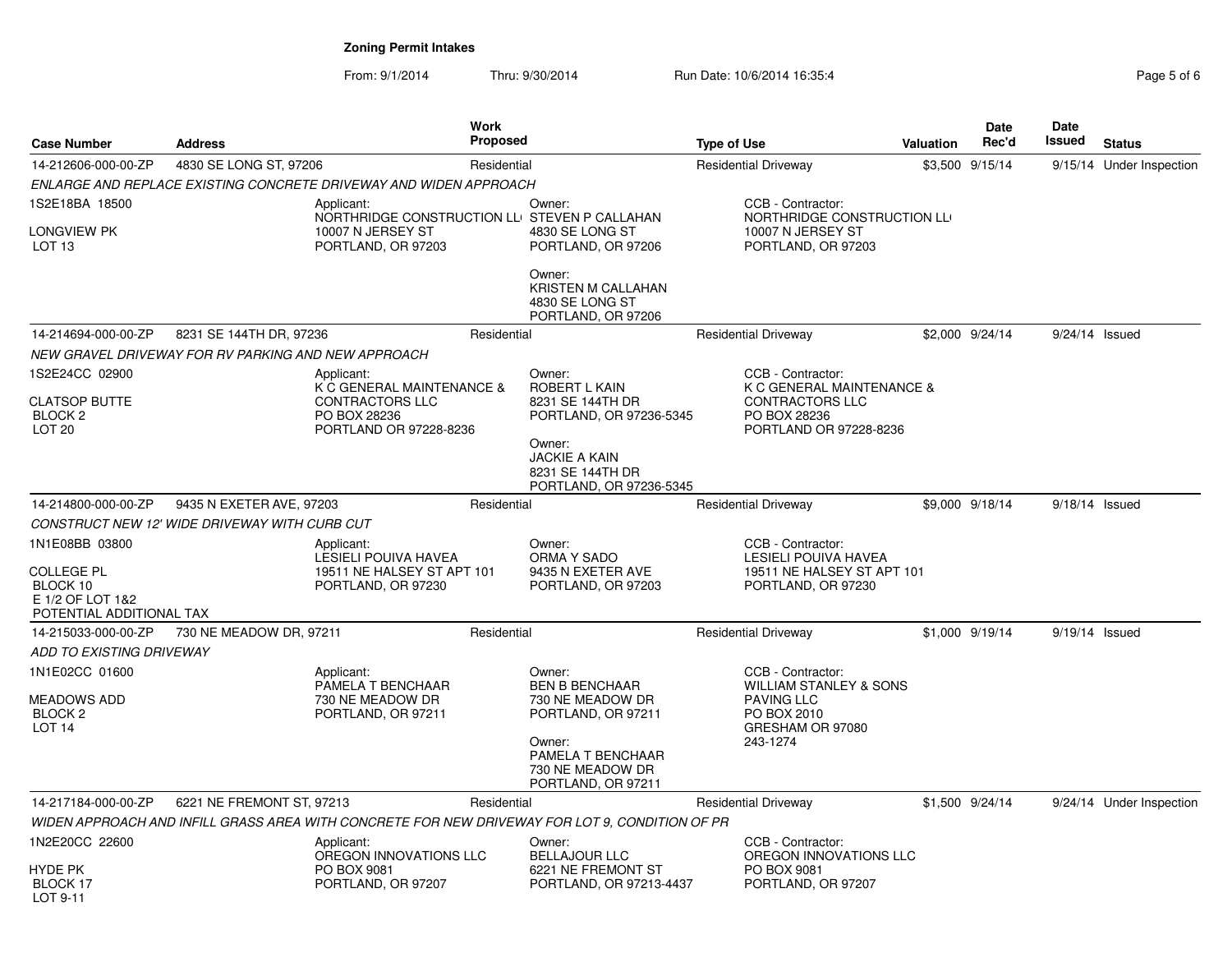| <b>Case Number</b>                                                                              | <b>Address</b>                                      |                                                                                                        | <b>Work</b><br>Proposed |                                                                                                | <b>Type of Use</b> |                                                                                                                | Valuation | <b>Date</b><br>Rec'd | Date<br>Issued   | <b>Status</b>            |
|-------------------------------------------------------------------------------------------------|-----------------------------------------------------|--------------------------------------------------------------------------------------------------------|-------------------------|------------------------------------------------------------------------------------------------|--------------------|----------------------------------------------------------------------------------------------------------------|-----------|----------------------|------------------|--------------------------|
| 14-212606-000-00-ZP                                                                             | 4830 SE LONG ST, 97206                              |                                                                                                        | Residential             |                                                                                                |                    | <b>Residential Driveway</b>                                                                                    |           | \$3,500 9/15/14      |                  | 9/15/14 Under Inspection |
|                                                                                                 |                                                     | ENLARGE AND REPLACE EXISTING CONCRETE DRIVEWAY AND WIDEN APPROACH                                      |                         |                                                                                                |                    |                                                                                                                |           |                      |                  |                          |
| 1S2E18BA 18500<br>Longview PK<br>LOT <sub>13</sub>                                              |                                                     | Applicant:<br>NORTHRIDGE CONSTRUCTION LLI STEVEN P CALLAHAN<br>10007 N JERSEY ST<br>PORTLAND, OR 97203 |                         | Owner:<br>4830 SE LONG ST<br>PORTLAND, OR 97206                                                |                    | CCB - Contractor:<br>NORTHRIDGE CONSTRUCTION LL<br>10007 N JERSEY ST<br>PORTLAND, OR 97203                     |           |                      |                  |                          |
|                                                                                                 |                                                     |                                                                                                        |                         | Owner:<br>KRISTEN M CALLAHAN<br>4830 SE LONG ST<br>PORTLAND, OR 97206                          |                    |                                                                                                                |           |                      |                  |                          |
| 14-214694-000-00-ZP                                                                             | 8231 SE 144TH DR, 97236                             |                                                                                                        | Residential             |                                                                                                |                    | <b>Residential Driveway</b>                                                                                    |           | \$2,000 9/24/14      | $9/24/14$ Issued |                          |
|                                                                                                 | NEW GRAVEL DRIVEWAY FOR RV PARKING AND NEW APPROACH |                                                                                                        |                         |                                                                                                |                    |                                                                                                                |           |                      |                  |                          |
| 1S2E24CC 02900<br><b>CLATSOP BUTTE</b><br>BLOCK <sub>2</sub>                                    |                                                     | Applicant:<br>K C GENERAL MAINTENANCE &<br><b>CONTRACTORS LLC</b><br>PO BOX 28236                      |                         | Owner:<br>ROBERT L KAIN<br>8231 SE 144TH DR<br>PORTLAND, OR 97236-5345                         |                    | CCB - Contractor:<br>K C GENERAL MAINTENANCE &<br>CONTRACTORS LLC<br>PO BOX 28236                              |           |                      |                  |                          |
| LOT <sub>20</sub>                                                                               |                                                     | PORTLAND OR 97228-8236                                                                                 |                         | Owner:<br><b>JACKIE A KAIN</b><br>8231 SE 144TH DR<br>PORTLAND, OR 97236-5345                  |                    | PORTLAND OR 97228-8236                                                                                         |           |                      |                  |                          |
| 14-214800-000-00-ZP                                                                             | 9435 N EXETER AVE, 97203                            |                                                                                                        | Residential             |                                                                                                |                    | <b>Residential Driveway</b>                                                                                    |           | \$9,000 9/18/14      | $9/18/14$ Issued |                          |
|                                                                                                 | CONSTRUCT NEW 12' WIDE DRIVEWAY WITH CURB CUT       |                                                                                                        |                         |                                                                                                |                    |                                                                                                                |           |                      |                  |                          |
| 1N1E08BB 03800<br><b>COLLEGE PL</b><br>BLOCK 10<br>E 1/2 OF LOT 1&2<br>POTENTIAL ADDITIONAL TAX |                                                     | Applicant:<br>LESIELI POUIVA HAVEA<br>19511 NE HALSEY ST APT 101<br>PORTLAND, OR 97230                 |                         | Owner:<br>ORMA Y SADO<br>9435 N EXETER AVE<br>PORTLAND, OR 97203                               |                    | CCB - Contractor:<br>LESIELI POUIVA HAVEA<br>19511 NE HALSEY ST APT 101<br>PORTLAND, OR 97230                  |           |                      |                  |                          |
| 14-215033-000-00-ZP                                                                             | 730 NE MEADOW DR, 97211                             |                                                                                                        | Residential             |                                                                                                |                    | <b>Residential Driveway</b>                                                                                    |           | \$1,000 9/19/14      | $9/19/14$ Issued |                          |
| ADD TO EXISTING DRIVEWAY                                                                        |                                                     |                                                                                                        |                         |                                                                                                |                    |                                                                                                                |           |                      |                  |                          |
| 1N1E02CC 01600<br>MEADOWS ADD<br>BLOCK <sub>2</sub><br>LOT <sub>14</sub>                        |                                                     | Applicant:<br>PAMELA T BENCHAAR<br>730 NE MEADOW DR<br>PORTLAND, OR 97211                              |                         | Owner:<br><b>BEN B BENCHAAR</b><br>730 NE MEADOW DR<br>PORTLAND, OR 97211                      |                    | CCB - Contractor:<br><b>WILLIAM STANLEY &amp; SONS</b><br><b>PAVING LLC</b><br>PO BOX 2010<br>GRESHAM OR 97080 |           |                      |                  |                          |
|                                                                                                 |                                                     |                                                                                                        |                         | Owner:<br>PAMELA T BENCHAAR<br>730 NE MEADOW DR<br>PORTLAND, OR 97211                          |                    | 243-1274                                                                                                       |           |                      |                  |                          |
| 14-217184-000-00-ZP                                                                             | 6221 NE FREMONT ST, 97213                           |                                                                                                        | Residential             |                                                                                                |                    | <b>Residential Driveway</b>                                                                                    |           | \$1,500 9/24/14      |                  | 9/24/14 Under Inspection |
|                                                                                                 |                                                     |                                                                                                        |                         | WIDEN APPROACH AND INFILL GRASS AREA WITH CONCRETE FOR NEW DRIVEWAY FOR LOT 9, CONDITION OF PR |                    |                                                                                                                |           |                      |                  |                          |
| 1N2E20CC 22600                                                                                  |                                                     | Applicant:<br>OREGON INNOVATIONS LLC                                                                   |                         | Owner:<br><b>BELLAJOUR LLC</b>                                                                 |                    | CCB - Contractor:<br>OREGON INNOVATIONS LLC                                                                    |           |                      |                  |                          |
| HYDE PK<br><b>BLOCK 17</b><br>LOT 9-11                                                          |                                                     | PO BOX 9081<br>PORTLAND, OR 97207                                                                      |                         | 6221 NE FREMONT ST<br>PORTLAND, OR 97213-4437                                                  |                    | PO BOX 9081<br>PORTLAND, OR 97207                                                                              |           |                      |                  |                          |